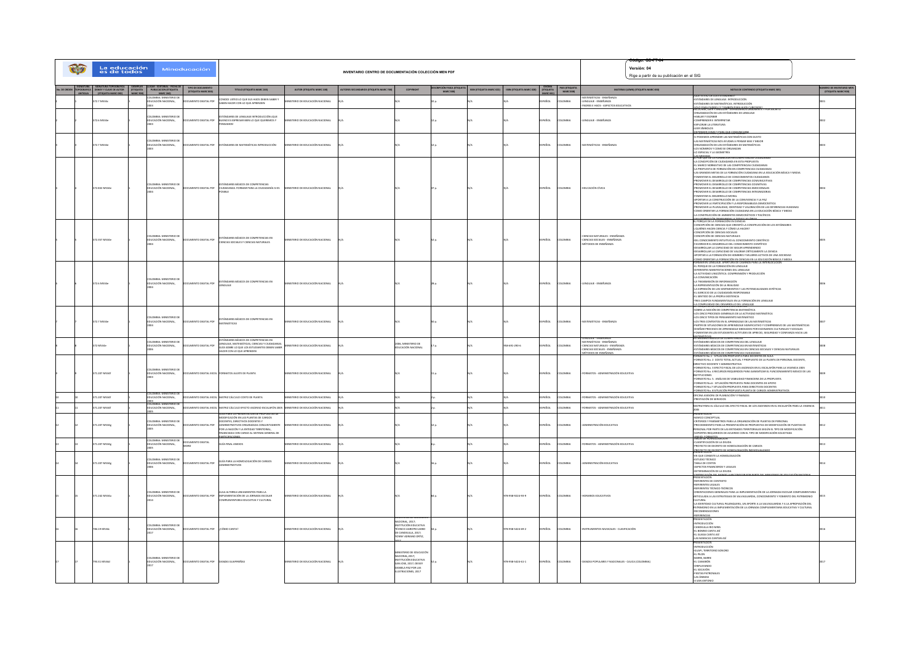|  | La educación<br>es de todos |                                                      | Mineducación                             |                                                                                                                                                                                                                                                 |                                 | INVENTARIO CENTRO DE DOCUMENTACIÓN COLECCIÓN MEN PDF |                                                                                                                                        |                        |                               |             |                |                                                                                                                                            | Versión: 04                               |                                                                                                                                                                                                                                                                                                                                                                                                                                                                                                                                                                                                                                                                                                                                                                                                                                                                                                                                                         |  |
|--|-----------------------------|------------------------------------------------------|------------------------------------------|-------------------------------------------------------------------------------------------------------------------------------------------------------------------------------------------------------------------------------------------------|---------------------------------|------------------------------------------------------|----------------------------------------------------------------------------------------------------------------------------------------|------------------------|-------------------------------|-------------|----------------|--------------------------------------------------------------------------------------------------------------------------------------------|-------------------------------------------|---------------------------------------------------------------------------------------------------------------------------------------------------------------------------------------------------------------------------------------------------------------------------------------------------------------------------------------------------------------------------------------------------------------------------------------------------------------------------------------------------------------------------------------------------------------------------------------------------------------------------------------------------------------------------------------------------------------------------------------------------------------------------------------------------------------------------------------------------------------------------------------------------------------------------------------------------------|--|
|  |                             |                                                      |                                          |                                                                                                                                                                                                                                                 |                                 |                                                      |                                                                                                                                        |                        |                               |             |                |                                                                                                                                            | Rige a partir de su publicación en el SIG |                                                                                                                                                                                                                                                                                                                                                                                                                                                                                                                                                                                                                                                                                                                                                                                                                                                                                                                                                         |  |
|  |                             |                                                      | TIPO DE DOCUMENTO<br>(ETIQUETA MARC 006) | TITULO (ETIQUETA MARC 245)                                                                                                                                                                                                                      | AUTOR (ETIQUETA MARC 100)       | ORES SECUNDARIOS (ETIQUETA MARC 700)                 | COPYRIGH                                                                                                                               | SN (ETIQUETA MARC 022) | <b>SON (ETIQUETA MARC 02)</b> |             |                |                                                                                                                                            | MATERIAS (LEMB) (ETIQUETA MARC 650)       | NOTAS DE CONTENIDO (ETIQUETA MARC 505)                                                                                                                                                                                                                                                                                                                                                                                                                                                                                                                                                                                                                                                                                                                                                                                                                                                                                                                  |  |
|  | 22 MS34                     | OLOMBIA: MINISTERIO DE<br>DUCACIÓN NACIONAL          | MENTO DIGITAL PDF                        | INOCE USTED LO QUE SUS HUOS DEBEN SABER Y<br>BEN HACER CON LO QUE APRENDEN                                                                                                                                                                      | STERIO DE EDUCACIÓN NACIONAL    |                                                      |                                                                                                                                        |                        |                               | <b>AÑOI</b> | OMRIA          | MATFMÁTICAS - FNSFÑANZA<br>MATEMATICAS - ENSENHAZA<br>LENGUAJE - ENSEÑANZA<br>PADRES E HUOS - ASPECTOS EDUCATIVOS                          |                                           | COL ES ESO DE LOS ESTANDARES<br>ESTÁNDARES DE LENGUAIE. INTRODUCCIÓN<br>ESTÁNDARES DE MATEMÁTICAS. INTRODUCCIÓN<br>SOLO PARA PADRES (IN TAMBIÉN PARA HUOS CURK)                                                                                                                                                                                                                                                                                                                                                                                                                                                                                                                                                                                                                                                                                                                                                                                         |  |
|  | 2.6 MS34                    | <b>DLOMBIA: MINISTERIO DE</b><br>EDUCACIÓN NACIONAL  | UMENTO DIGITAL PDF                       | ANDARES DE LENGUAJE INTRODUCCIÓN IQUE<br>BUENO ES EXPRESAR BIEN LO QUE QUEREMOS Y<br>CARAGE                                                                                                                                                     | ISTERIO DE EDUCACIÓN NACIONAL   |                                                      |                                                                                                                                        |                        |                               | AÑOL        | LOMBIA         | ENGUAJE - ENSEÑANZA                                                                                                                        |                                           | ORGANIZACIÓN DE LOS ESTÁNDARES DE LENGUAJE<br>HABLAR Y ESCRIBIR<br>COMPRENDER E INTERPRETAR<br>EXPLORAR LA LITERATURA<br>EXPLORAR LA LITERATURA                                                                                                                                                                                                                                                                                                                                                                                                                                                                                                                                                                                                                                                                                                                                                                                                         |  |
|  | 2.7 MS34e                   | <b>DLOMBIA: MINISTERIO DE</b><br>EDUCACIÓN NACIONAL  | <b>DCUMENTO DIGITAL PDF</b>              | ESTÁNDARES DE MATEMÁTICAS INTRODUCCIÓN                                                                                                                                                                                                          | INISTERIO DE EDUCACIÓN NACIONAL |                                                      |                                                                                                                                        |                        |                               | SPAÑOL      | <b>AISMOJO</b> | <b>MATEMÁTICAS - ENSEÑANZA</b>                                                                                                             |                                           | ENTENDER COMPLY RABA OUE COMUNICARS<br>SI PODEMOS APRENDER LAS MATEMÁTICAS CON GUSTO<br>LAS MATEMÁTICAS NOS AYUDAN A PENSAR MAS Y MEJOR<br>ORGANIZACIÓN DE LOS ESTÁNDARES DE MATEMÁTICAS<br>LOS NÚMEROS Y COMO SE ORGANIZAN<br>ESPACIAL Y LA GEOMETRÍA                                                                                                                                                                                                                                                                                                                                                                                                                                                                                                                                                                                                                                                                                                  |  |
|  | 2.832 MS34e                 | COLOMBIA: MINISTERIO DE<br>EDUCACIÓN NACIONAL,       | OCUMENTO DIGITAL PDF                     | ESTÁNDARES BÁSICOS DE COMPETENCIAS<br>CIUDADANAS, FORMAR PARA LA CIUDADANÍA SI ES<br>OSIBLE                                                                                                                                                     | INSTERIO DE EDUCACIÓN NACIONAL  |                                                      |                                                                                                                                        |                        |                               | SPAÑOL      |                | EDUCACIÓN CÍVICA                                                                                                                           |                                           | <b>SAFDOS Contact Service</b><br>LA CONCEPCIÓN DE CIUDADANÍA EN ESTA PROPUESTA<br>EL MARCO NORMATIVO DE LAS COMPETENCIAS CIUDADANIAS<br>LA PROPUESTA DE FORMACIÓN EN COMPETENCIAS CIUDADANAS<br>LAS GRANDES METAS DE LA FORMACIÓN CIUDADANA EN LA EDUCACIÓN BÁSICA Y MEDIA<br>FOMENTAR FLOFSARROLLO DE CONOCIMIENTOS CUIDADANO<br>FUMENTAR EL DESARROLLO DE CONOCIMIENTOS CIDIAIDANOS<br>PROMOVER EL DESARROLLO DE COMPETENCIAS COMUNICATIVAS<br>PROMOVER EL DESARROLLO DE COMPETENCIAS COGNITIVAS<br>PROMOVER EL DESARROLLO DE COMPETENCIAS EMOCIONALES<br>-PROMOVER EL DESARROLLO DE COMPETENCIAS INTEGRADORAS<br>FOMENTAR EL DESARROLLO MORAL<br>TORIKINYIN IL DELININGULO MINIMA<br>PROMOVIRI NA PARTICIONO DE LA CONVIVENCIA Y LA PAZ<br>PROMOVIRI NA PARTICIONO DE LA CONVIVENCIA DE MOCRÁTICA<br>PROMOVIRI NA PUBRILIDAD, IDENTIDAD Y VALORACIÓN DE LAS DIFERENCIAS HUMANIAS<br>COMO OR<br>LA CONSTRUCCIÓN DE AMBIENTES DEMOCRÁTICOS Y PACÍFICOS |  |
|  | 2.357 MS34                  | OMRIA: MINISTERIO D<br>DUCACIÓN NACIONAL,            | ENTO DIGITAL PDF                         | TÁNDARES RÁSICOS DE COMPETENCIAS EN<br>ENCIAS SOCIALES Y CIENCIAS NATURALES                                                                                                                                                                     | TERIO DE EDUCACIÓN NACIONAL     |                                                      |                                                                                                                                        |                        |                               |             |                | <b>ENCIAS NATURALES - ENSEÑANZA</b><br>ENCIAS NATURALES - ENSENANC<br>ENCIAS SOCIALES - ENSEÑANZA<br>ÉTODOS DE ENSEÑANZA                   |                                           | NA FORMACIÓN TRANSVERSAL A TODAS LAS ÁREAS<br>. PORQUE DE LA FORMACIÓN EN CIENCIAS<br>CONCEPCIÓN DE CIENCIAS QUE ORIENTÓ LA CONSTRUCCIÓN DE LOS ESTÁNDARES<br>¿QUIÉNES HACEN CIENCIA Y CÓMO LA HACEN?<br>CONCERCIÓN DE CIENCIAS SOCIALES.<br>-Concepción de Ciencias Sociales<br>-Concepción de Ciencias Naturales<br>-Del Conocimiento Intuitivo al Conocimiento Científico<br>-Favorecer el desarrollo del Conocimiento Científico<br>DESARROLLAR LA CAPACIDAD DE SEGUIR APRENDIENDO<br>DESARROLLAR LA CAPACIDAD DE VALORAR CRÍTICAMENTE LA CIENCIA<br>APORTAR A LA FORMACIÓN DE HOMBRES Y MUJERES ACTIVOS DE UNA SOCIEDAD<br>.<br>COMO ORIENTAR LA FORMACIÓN EN CIENCIAS EN LA EDUCACIÓN BÁSICA Y MEDIA<br>ORMAR EN LENGUAJE: APERTURA DE CAMINOS PARA LA INTERLOCUCIÓN                                                                                                                                                                              |  |
|  | 2.6 MS34                    | <b>DLOMBIA: MINISTERIO DE</b><br>EDUCACIÓN NACIONAL  | <b>CUMENTO DIGITAL PDF</b>               | TÁNDARES BÁSICOS DE COMPETENCIAS EN<br><b>ENGLIAIF</b>                                                                                                                                                                                          | INISTERIO DE EDUCACIÓN NACIONAL |                                                      |                                                                                                                                        |                        |                               | AÑOL        | LOMBIA         | ENGUAJE - ENSEÑANZA                                                                                                                        |                                           | -EL PORQUE DE LA FORMACIÓN EN LENGUAJE<br>-DIFERENTES MANIFESTACIONES DEL LENGUAJE<br>-LA ACTIVIDAD LINGÜÍSTICA: COMPRENSIÓN Y PRODUCCIÓN<br>LA COMUNICACIÓN<br>LA TRANSMISIÓN DE INFORMACIÓN<br>-UN INVISIONISMO UE VIMONINGUINI<br>- LA REPRESENTACIÓN DE LA REALIDAD<br>- LA EXPRESIÓN DE LOS SENTIMIENTOS Y LAS POTENCIALIDADES ESTÉTICAS<br>- EL EJERCICIO DE LA CIUDADANÍA RESPONSABLE<br>EL SENTIDO DE LA PROPIA EXISTENCIA<br>TRES CAMPOS FUNDAMENTALES EN LA FORMACIÓN EN LENGUAJE<br>A COMPLEIDAD DEL DESARROLLO DEL LENGUAJE                                                                                                                                                                                                                                                                                                                                                                                                                 |  |
|  | 2.7 MS34e                   | <b>DLOMBIA: MINISTERIO DE</b><br>EDUCACIÓN NACIONAL  | <b>OCUMENTO DIGITAL PDF</b>              | ESTÁNDARES BÁSICOS DE COMPETENCIAS EN<br><b>MATEMATICAS</b>                                                                                                                                                                                     | INISTERIO DE EDUCACIÓN NACIONAL |                                                      |                                                                                                                                        |                        |                               | PAÑOL       | <b>AISMOJO</b> | MATEMÁTICAS - ENSEÑANZA                                                                                                                    |                                           | EL PURQUE DE LA FURMACIÓN MATEMATICA<br>-SOBRE LA NOCIÓN DE COMPETENCIA MATEMÁTICA<br>-LOS CINCO PROCESOS GENERALES DE LA ACTIVIDAD MATEMÁTICA<br>LOS CINCO TIPOS DE PENSAMIENTO MATEMÁTICO<br>LOS TRES CONTEXTOS EN EL APRENDIZAJE DE LAS MATEMÁTICAS<br>PARTIR DE SITUACIONES DE APRENDIZAJE SIGNIFICATIVO Y COMPRENSIVO DE LAS MATEMÁTICAS<br>FFINITI DE JITURISON DE JORENDOZAJE MEDIADOS POR ESCENARIOS CULTURALES Y SOCIALES<br>- DISEÑAR PROCESOS DE APRENDIZAJE MEDIADOS POR ESCENARIOS CULTURALES Y SOCIALES<br>- FOMENTAR EN LOS ESTUDIANTES ACTITUDES DE APRECIO, SEGURIDA                                                                                                                                                                                                                                                                                                                                                                   |  |
|  | 2 M534e                     | OLOMBIA: MINISTERIO DE<br>EDUCACIÓN NACIONAL,        | MENTO DIGITAL PDF                        | .<br>STÁNDARES BÁSICOS DE COMPETENCIAS EN<br>ENGUAJE, MATEMÁTICAS, CIENCIAS Y CIUDAD<br>SUÍA SOBRE LO QUE LOS ESTUDIANTES DEBEN SABER<br>CER CON LO QUE APRENDEN                                                                                | INSTERIO DE EDUCACIÓN NACIONAL  |                                                      | 006, MINISTERIO DE<br>DUCACIÓN NACIONAL                                                                                                |                        | 58-691-290-6                  | AÑOL        | LOMBIA         | $\cdots$<br><b>MATEMÁTICAS - ENSEÑANZA</b><br>CIENCIAS NATURALES - ENSEÑANZA<br>IENCIAS SOCIALES - ENSEÑANZA<br><b>ÉTODOS DE ENSEÑANZA</b> |                                           | <b>TERMÁRICOS DE COMPETENCIAS</b><br>ESTÁNDARES BÁSICOS DE COMPETENCIAS DEL LENGUAJE<br>ESTÁNDARES BÁSICOS DE COMPETENCIAS EN MATEMÁTICAS<br>ESTÁNDARES BÁSICOS DE COMPETENCIAS EN CIENCIAS SOCIALES Y CIENCIAS NATURALES                                                                                                                                                                                                                                                                                                                                                                                                                                                                                                                                                                                                                                                                                                                               |  |
|  | 1.207 MS34f                 | COLOMBIA: MINISTERIO DE<br>EDUCACIÓN NACIONAL,       |                                          | MENTO DIGITAL EXCEL FORMATOS AJUSTE DE PLANTA                                                                                                                                                                                                   | STERIO DE EDUCACIÓN NACIONAL    |                                                      |                                                                                                                                        |                        |                               | AÑOL        | LOMBIA         | <b>RMATOS - ADMINISTRACIÓN EDUCATIVA</b>                                                                                                   |                                           | -ESTANDARES BASICOS DE COMPETENCIAS CINDADANAS<br>FORMATIO No. 1 - SITUACIÓN PROPUESTA PARA DOCENTES DE AUJA<br>FORMATIO No. 2 COSTO TOTAL ACTUAL Y PROPUESTO DE LA PLANTA DE PERSONAL DOCENTE,<br><b>DIRECTIVO DOCENTE Y ADMINISTRATIVA</b><br>FORMATO No. 3 FFFCTO FISCAL DE LOS ASCENSOS EN EL ESCALAFÓN PARA LA VIGENCIA 2005.<br>FORMATO No. 4 RECURSOS REQUERIDOS PARA GARANTIZAR EL FUNCIONAMIENTO BÁSICO DE LAS<br><b>INSTITUCIONES</b><br>-FORMATO No. 5. ANÁLISIS DE VIABILIDAD FINANCIERA DE LA PROPUESTA<br>FORMATO No 6 - SITUACIÓN PROPUESTA PARA DOCENTES DE APOVO<br>FORMATO NOS - SITUACIÓN PROPUESTA PARA DUCENTES DE APOTO<br>FORMATO No.7 SITUACIÓN PROPUESTA PARA DIRECTIVOS DOCENTES<br>FORMATO No. 8 SITUACIÓN PROPUESTA PLANTA DE CARGOS ADMINI                                                                                                                                                                                 |  |
|  | 1.207 MS34f                 | CIRTY/MINE MARKET<br>UCACIÓN NACIONAL                | LUMENTO DIGITAL EXCEL                    | MATRIZ CÁLCULO COSTO DE PLANTA                                                                                                                                                                                                                  | ISTERIO DE EDUCACIÓN NACIONAL   |                                                      |                                                                                                                                        |                        |                               | AÑOL        | LOMBIA         | <b>RMATOS - ADMINISTRACIÓN EDUCATIVA</b>                                                                                                   |                                           | OFICINA ASESORA DE PLANFACIÓN Y FINANZAS<br>RESTACIÓN DE SERVICIOS                                                                                                                                                                                                                                                                                                                                                                                                                                                                                                                                                                                                                                                                                                                                                                                                                                                                                      |  |
|  | 1.207 MS34f                 | 2003<br>COLOMBIA: MINISTERIO D<br>EDUCACIÓN NACIONAL | <b>LUMENTO DIGITAL EXCE</b>              | MTRIZ CÁLCULO EFECTO ASCENSO ESCALAFÓN 2005                                                                                                                                                                                                     | INSTERIO DE EDUCACIÓN NACIONAL  |                                                      |                                                                                                                                        |                        |                               | AÑOL        | <b>COMBIA</b>  | ORMATOS - ADMINISTRACIÓN EDUCATIVA                                                                                                         |                                           | MATRIZ PARA EL CÁLCULO DEL EFECTO FISCAL DE LOS ASCENSOS EN EL ESCALAFÓN PARA LA VIGENCIA                                                                                                                                                                                                                                                                                                                                                                                                                                                                                                                                                                                                                                                                                                                                                                                                                                                               |  |
|  | 1.207 MS34g                 | <b>DLOMBIA: MINISTERIO DE</b><br>EDUCACIÓN NACIONAL, | <b>HMENTO DIGITAL PDF</b>                | PANA LA PRESENTACION DE PROPUESTAS I<br>IDIFICACIÓN EN LAS PLANTAS DE CARGOS<br>CENTES, DIRECTIVOS DOCENTES Y<br>OMINISTRATIVOS ORGANIZADA CONJUNTAMENTE<br>OR LA NACIÓN Y LA ENTIDAD TERRITORIAL,<br>INANCIADA CON CARGO AL SISTEMA GENERAL DE | NISTERIO DE EDUCACIÓN NACIONAL  |                                                      |                                                                                                                                        |                        |                               | AÑOL        | <b>OMMA</b>    | MINISTRACIÓN FOLICATIVA                                                                                                                    |                                           | <b>RESENTACION</b><br>MARCO CONCEPTUAL<br>CRITERIOS Y PARÁMETROS PARA LA ORGANIZACIÓN DE PLANTAS DE PERSONAL<br>-PROCEDIMIENTO PARA LA PRESENTACIÓN DE PROPUESTAS DE MODIFICACIÓN DE PLANTAS DE<br>PERSONAL POR PARTE DE LAS ENTIDADES TERRITORIALES SEGÚN EL TIPO DE MODIFICACIÓN.<br>SOPORTES REQUERIDOS DE ACUERDO CON EL TIPO DE MODIFICACIÓN SO                                                                                                                                                                                                                                                                                                                                                                                                                                                                                                                                                                                                    |  |
|  | 1.207 MS34e                 | COLOMBIA: MINISTERIO DE<br>EDUCACIÓN NACIONAL        | OCUMENTO DIGITAL                         | IS FINAL ANEXOS                                                                                                                                                                                                                                 | NISTERIO DE EDUCACIÓN NACIONAL  |                                                      |                                                                                                                                        |                        |                               | SPAÑOL      | <b>UOMRIA</b>  | <b>ORMATOS - ADMINISTRACIÓN FOLICATIVA</b>                                                                                                 |                                           | ANEXO: FORMATOS<br>ABLAS DE HOMOLÓGACION<br>CUANTIFICACIÓN DE LA DEUDA<br>MOYECTO DE DECRETO DE HOMOLOGACIÓN DE CARGOS                                                                                                                                                                                                                                                                                                                                                                                                                                                                                                                                                                                                                                                                                                                                                                                                                                  |  |
|  | 71.207 MS34e                | OLOMBIA: MINISTERIO DE<br>EDUCACIÓN NACIONAL         | <b>DCUMENTO DIGITAL PDF</b>              | GUÍA PARA LA HOMOLOGACIÓN DE CARGOS<br>NUMBER                                                                                                                                                                                                   | NISTERIO DE EDUCACIÓN NACIONAL  |                                                      |                                                                                                                                        |                        |                               | SPAÑOL      | LOMBIA         | <b>DMINISTRACIÓN EDUCATIVA</b>                                                                                                             |                                           | PROYECTO DE DECRETO DE HOMOLOGACIÓN INDIVIDUA<br>EN QUE CONSISTE LA HOMOLOGACIÓN<br>ESTUDIO TÉCNICO<br>TABLA DE COSTOS<br>ASPECTOS FINANCIEROS Y LEGALES<br>DETERMINACIÓN DE LA DEUDA                                                                                                                                                                                                                                                                                                                                                                                                                                                                                                                                                                                                                                                                                                                                                                   |  |
|  | 1.242 MS34a                 | <b>DLOMBIA: MINISTERIO DE</b><br>EDUCACIÓN NACIONAL, | OCUMENTO DIGITAL PDF                     | AULA ALTERNA LINEAMIENTOS PARA LA<br>IMPLEMENTACIÓN DE LA JORNADA ESCOLAR<br>MPLEMENTARIA EDUCATIVA Y CULTURAL                                                                                                                                  | NISTERIO DE EDUCACIÓN NACIONAL  |                                                      |                                                                                                                                        |                        | 078-058-0224-03-0             | JORAGE      | <b>AISMOJO</b> | <b>DRARIOS EDUCATIVOS</b>                                                                                                                  |                                           | CERTIFICACIÓN DI<br>PRESENTACIÓN<br>-REFERENTES DE CONTEXTO<br><b>REFERENTES LEGALES</b><br>REFERENTES TÉCNICO-TEÓRICOS<br>-ORENTACIONES GENERALES PARA LA IMPLEMENTACIÓN DE LA JORNADA ESCOLAR COMPLEMENTARIA<br>ARTICULADA A LAS ESTRATEGIAS DE SALVAGUARDIA, CONOCIMIENTO Y FOMENTO DEL PATRIMONIO<br><b>CULTURAL</b><br>LA IDENTIDAD CHI TURAL PALENOUERA. UN APORTE A LA SALVAGUARDIA Y A LA APROPIACIÓN DEL<br>-DE IDENTIDAD COLTONAL PALENQUENA, ON APONTE A DES<br>PATRIMONIO EN LA IMPLEMENTACIÓN DE LA JORNADA COM<br>-RECOMENDACIONES<br>REFERENCIAS                                                                                                                                                                                                                                                                                                                                                                                         |  |
|  | 34.19 M534c                 | .<br>COLOMBIA: MINISTERIO DE<br>EDUCACIÓN NACIONAL,  | UMENTO DIGITAL PDF                       | ¿CÓMO CANTA?                                                                                                                                                                                                                                    | NISTERIO DE EDUCACIÓN NACIONAL  |                                                      | NACIONAL, 2017;<br>NACIONAL, 2017;<br>NSTITUCIÓN EDUCATIVA<br>DE CANDEULLA, 2017;<br>ONNY ADRIANO ORTIZ.                               |                        | 078-058-5424-69-2             | ESPAÑOL     | LOMBIA         | INSTRUMENTOS MUSICALES - CLASIFICACIÓN                                                                                                     |                                           | PRESENTACIÓN<br>-INTRODUCCIÓN<br>-CANDELILLA RIO MIRA<br>EL BOMBO CANTA ASÍ<br>EL GUASA CANTA ASÍ<br>LAS MARACAS CANTAN                                                                                                                                                                                                                                                                                                                                                                                                                                                                                                                                                                                                                                                                                                                                                                                                                                 |  |
|  | 3.31 M534d                  | LOMBIA: MINISTERIO DI<br>UCACIÓN NACIONAL,           | MENTO DIGITAL PDF                        | NZAS GUAPIREÑAS                                                                                                                                                                                                                                 | ISTERIO DE EDUCACIÓN NACIONAL   |                                                      | INISTERIO DE EDUCACIÓ<br>NACIONAL, 2017:<br>INSTITUCIÓN EDUCATIVA<br>SAN JOSE, 2017; DEISSY<br>ANIELA PAZ POR LAS<br>USTRACIONES, 2017 |                        | 78-958-5424-61-1              | AÑOL        |                | .<br>MZAS POPULARES Y NACIONALES - CAUCA (COLOMBIA                                                                                         |                                           | PRESENTACIÓN<br>-INTRODUCCIÓN<br>-GUAPI, TERRITORIO SONORO<br><b>KO PEON</b><br>-EL PILUN<br>-BARRE, BARRE<br>-EL CAMARÓN<br>-ORIPLAYANDO<br>EL SOCAVÓN<br><b>FIESTAS PATRONALES</b><br>LAS ÁNIMAS                                                                                                                                                                                                                                                                                                                                                                                                                                                                                                                                                                                                                                                                                                                                                      |  |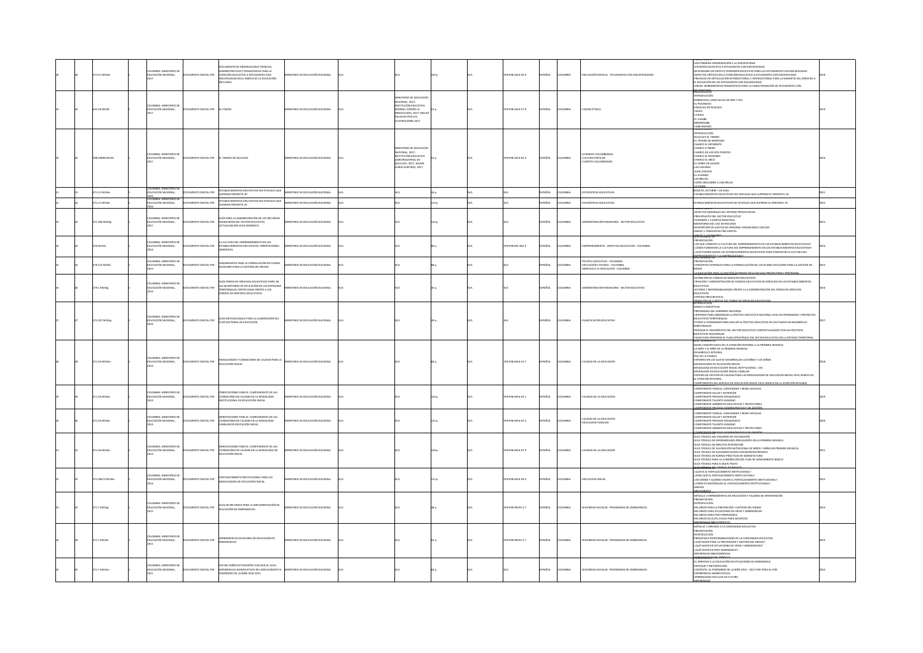|  | 1.91 M534d     | OMBIA: MINISTERIO DI<br><b>CACIÓN NACIONAL</b>       | TO DIGITAL PD             | <b>CUMENTO DE ORIENTACIONES TÉCNICAS.</b><br>MINISTRATIVAS Y PEDAGÓGICAS PARA LA<br>FENCIÓN EDUCATIVA A ESTUDIANTES CON<br>ISCAPACIDAD EN EL MARCO DE LA EDUCACIÓN<br>CLUSIVA  | TERIO DE EDUCACIÓN NACIONAL          |                                                                                                                                               |       | 8-958-5424-50-0   | AÑOL   |                | EDUCACIÓN ESPECIAL - ESTUDIANTES CON DISCAPACIDADES                                                | UNA PRIMERA APROXIMACIÓN A LA DISCAPACIDAD<br>-ATENCIÓN EDUCATIVA A ESTUDIANTES CON DISCAPACIDAD<br>-NECESIDADES DE APOYO E INVERSIÓN EDUCATIVA PARA LOS ESTUDIANTES CON DISCAPACIDAD<br>"INCLUSIONED EN TOTO INVESTIGATION EN EN TRANSISTENTI DE L'ORDEN DE L'ORDEN DE L'ORDEN DE L'ORDEN DE L'ORDEN D<br>-ROPCETOS DE ARTICULACIÓN INTERSECTORIAL E INTRASECTORIAL PARA LA GARANTÍA DEL DERECHO A<br>LA EDUCACIÓN DE LOS ES<br>-ANEXO, HERRAMIENTAS PEDAGÓGICAS PARA LA CARACTERIZACIÓN DE ESTUDIANTES CON                       |  |
|--|----------------|------------------------------------------------------|---------------------------|--------------------------------------------------------------------------------------------------------------------------------------------------------------------------------|--------------------------------------|-----------------------------------------------------------------------------------------------------------------------------------------------|-------|-------------------|--------|----------------|----------------------------------------------------------------------------------------------------|------------------------------------------------------------------------------------------------------------------------------------------------------------------------------------------------------------------------------------------------------------------------------------------------------------------------------------------------------------------------------------------------------------------------------------------------------------------------------------------------------------------------------------|--|
|  | 11 59 M 534f   | LOMBIA: MINISTERIO DI<br>FOUCACIÓN NACIONAL          | NUMERITO DIGITAL PDF      | <b>EL FOGÓN</b>                                                                                                                                                                | ISTERIO DE EDUCACIÓN NACIONAL        | STERIO DE EDUCACIO<br>(ACIONAL, 2017;<br>INSTITUCIÓN EDUCATIVA<br>ALCOHOLD IAMAC<br>MACULADA, 2017: MIL<br>LACIOS POR LAS<br>STRACIONES, 2017 |       | 078.058.5424.57.0 | JORAGE | OLOMRIA        | OONA FINICA                                                                                        | NECARAGIONAL<br>PRESENTACIÓN<br>-INTRODUCCIÓN<br>-BARBACOAS, LINDA SELVA DE ORO Y SOL<br>-EL PUSANDAO<br>-ENCOCAO DE PESCADO<br>Tapan<br>-IAPAU<br>-LA BALA<br>-EL CASABE<br>-BIENMESABE<br>CABECINEGRO                                                                                                                                                                                                                                                                                                                            |  |
|  | 98.20986 M534t | LOMBIA: MINISTERIO DE<br>EDUCACIÓN NACIONAL,         | OCUMENTO DIGITAL PDF      | EL TESORO DE QUILCACE                                                                                                                                                          | NISTERIO DE EDUCACIÓN NACIONAL       | STERIO DE EDUCACIÓ<br>NACIONAL, 2017;<br>INSTITUCIÓN EDUCATIVA<br>AGROINDUSTRIAL DE<br>OUILCACE 2017-HELMA<br>IRIO HURTADO, 2017              |       | 978-958-5424-65-4 | SPAÑOL | <b>OLOMBIA</b> | CULTURA POPULAR<br>LUENTOS COLOMBIANOS                                                             | -INTRODUCCIÓN<br>QUILCACE EL TAMBO<br>-EL TESORO DE MARCHAN<br>-CHARCO EL INFIERNITO<br>-CHARGO DE MINISTRITO<br>-CHARGO E PERRO<br>-CHARGO DE LOS DOS PUENTES<br>-CHARCO EL ENCIERRO<br>CHARCO EL ARCO<br>EL CERRO DE GALION<br>-EL CERRO DE GA<br>-LAS LAGUNAS<br>-JUAN CAICEDO<br>EL GUANDO<br><b>LAS BRUJAS</b><br>OMO DESCUBRIR A UNA BRUJA                                                                                                                                                                                   |  |
|  | 171.21 M534e   | EDUCACIÓN NACIONAL,                                  | OCUMENTO DIGITAL PDF      | STABLECIMIENTOS EDUCATIVOS NO OFICIALES QUE<br>PERAN PERCENTIL 30                                                                                                              | MINISTERIO DE EDUCACIÓN NACIONAL     |                                                                                                                                               |       |                   | SPAÑOL | OLOMBIA        | <b>ESTADÍSTICAS EDUCATIVAS</b>                                                                     | DGOTÁ, OCTUBRE 7 DE 2016<br>-ESTABLECIMIENTOS EDUCATIVOS NO OFICIALES QUE SUPERAN EL PERCENTIL 30                                                                                                                                                                                                                                                                                                                                                                                                                                  |  |
|  | 71.21 M534e    | NARIA-MINISTERIO<br>EDUCACIÓN NACIONAL,              | CUMENTO DIGITAL PDR       | ESTABLECIMIENTOS EDUCATIVOS NO OFICIALES QUE<br>SUPERAN PERCENTIL 35                                                                                                           | NISTERIO DE EDUCACIÓN NACIONAL       |                                                                                                                                               | 13c   |                   | PAÑOL  | LOMBIA         | <b>ESTADÍSTICAS EDUCATIVAS</b>                                                                     | STABLECIMIENTOS EDUCATIVOS NO OFICIALES QUE SUPERAN EL PERCENTIL 35                                                                                                                                                                                                                                                                                                                                                                                                                                                                |  |
|  | 1.206 MS34g    | I OMRIA: MINISTERIO DI<br>EDUCACIÓN NACIONAL,        | MENTO DIGITAL PDF         | IÑA PARA LA ADMINISTRACIÓN DE LOS RECURSOS<br>IOIA PARA LA ADMINISTRACION DE LOS<br>INANCIEROS DEL SECTOR EDUCATIVO.<br>ICTUALIZACIÓN GUÍA NÚMERO 8                            | STERIO DE EDUCACIÓN NACIONAL         |                                                                                                                                               |       |                   | AÑOL   |                | DMINISTRACIÓN FINANCIERA - SECTOR EDUCATIVO                                                        | -ASPECTOS GENERALES DEL SISTEMA PRESUPUESTAL<br>PRESUPUESTO DEL SECTOR EDUCATIVO<br>-MESOPOESIO DEL SELTOR EDOCA<br>-TESORERÍA Y CUENTAS MAESTRAS<br>-MONITOREO DEL USO DE RECURSO<br>-DESCRIPCIÓN DE GASTOS DE PERSONAL FINANCIADOS CON SGP<br>-ANEXO 1: PREGUNTAS FRECUENTES<br><b>MEXO 2: CALENDARIO</b>                                                                                                                                                                                                                        |  |
|  | <b>M534</b>    | <b>DLOMBIA: MINISTERIO DE</b><br>UCACIÓN NACIONAL,   | TO DIGITAL PDF            | A CULTURA DEL EMPRENDIMIENTO EN LOS<br>TABLECIMIENTOS EDUCATIVOS. ORIENTACIONES<br>ALES                                                                                        | <b>STERIO DE EDUCACIÓN NACIONA</b>   |                                                                                                                                               |       | 78-958-691-402-4  | PAÑOL  |                | MPRENDIMIENTO - ASPECTOS EDUCATIVOS - COLOMBIA                                                     | -PRESENTACIÓN<br>JEN OLIÉ CONSISTE LA CLILTURA DEL EMPRENDIMIENTO EN LOS ESTARLECIMIENTOS EDUCATIVOS?<br>CÓMO FOMENTAR LA CULTURA DEL EMPRENDIMIENTO EN LOS ESTABLECIMIENTOS EDUCATIVOS<br>-<br>QUÉ PUEDEN HACER LOS ESTABLECIMIENTOS EDUCATIVOS PARA FOMENTAR LA CULTURA DEL<br>MORENDIMENTO Y LA FAMORESALIFIYAT                                                                                                                                                                                                                 |  |
|  | 79.122 MS34    | COLOMBIA: MINISTERIO DE<br>EDUCACIÓN NACIONAL        | <b>UMENTO DIGITAL PDF</b> | EAMIENTOS PARA LA FORMULACIÓN DE PLANES<br>SCOLARES PARA LA GESTIÓN DEL RIESGO                                                                                                 | NISTERIO DE EDUCACIÓN NACIONAL       |                                                                                                                                               |       |                   | AÑOL   | LOMBIA         | POLÍTICA EDUCATIVA - COLOMBIA<br>EDUCACIÓN Y ESTADO - COLOMBIA<br>FRECHO A LA EDUCACIÓN - COLOMBIA | -PRESENTACIÓN<br>CONCEPTOS CENTRALES PARA LA FORMAULACIÓN DE LOS PLANES ESCOLARES PARA LA GESTIÓN DE<br>A EDUCACIÓN BABA LA GESTIÓN DE BIESGI                                                                                                                                                                                                                                                                                                                                                                                      |  |
|  | 179.1 MS34g    | OLOMBIA: MINISTERIO DI<br>EDUCACIÓN NACIONAL,        | UMENTO DIGITAL PDR        | UÍA FONDO DE SERVICIOS EDUCATIVOS PAPEL DE<br>LAS SECRETARÍAS DE EDUCACIÓN DE LAS ENTIDADES<br><b>FERRITORIALES CERTIFICADAS FRENTE A LOS</b><br>INDOS DE SERVICIOS EDUCATIVOS | ISTERIO DE EDUCACIÓN NACIONAL        |                                                                                                                                               |       |                   | AÑOL   | LOMBIA         | DMINISTRACIÓN FINANCIERA - SECTOR EDUCATIVO                                                        | FUNDOS DE SERVICIOS EDUCATIVOS<br>-DEFINICIÓN DE FONDOS DE SERVICIOS EDUCATIVOS<br>-CREACIÓN Y ADMINISTRACIÓN DE FONDOS EDUCATIVOS DE SERVICIOS EN LOS ESTABLECIMIENTOS<br>EDUCATIVOS<br>-ACTORES Y RESPONSABILIDADES FRENTE A LA ADMINISTRACIÓN DEL FONDO DE SERVICIOS<br>EDUCATIVOS<br>SISTEMA PRESUPUESTAL                                                                                                                                                                                                                      |  |
|  | 1.207 MS34g    | COLOMBIA: MINISTERIO DI<br>EDUCACIÓN NACIONAL,       | UMENTO DIGITAL PDR        | GUÍA METODOLÓGICA PARA LA ELABORACIÓN DEL<br><b>ILAN SECTORIAL DE EDUCACIÓN</b>                                                                                                | STERIO DE EDUCACIÓN NACIONAL         |                                                                                                                                               |       |                   | AÑOL   |                | LANIFICACIÓN EDUCATIVA                                                                             | INTRODUCCIÓN<br>-MARCO CONCEPTUAL<br>IMPOSAMAS DEL GOBERNO NACIONAL<br>-<br>CRITERIOS PARA ARMONIZAR LA POLÍTICA EDUCATIVA NACIONAL CON LOS PROGRAMAS Y PROYECTO<br>EDUCATIVOS TERRITORIALES<br>-ETAPAS A CONSIDERAR PARA INCLUIR LA POLÍTICA EDUCATIVA EN LOS PLANES DE DESARROLLO<br>TERRITORIALES<br>-REALIZAR EL DIAGNÓSTICO DEL SECTOR EDUCATIVO CONTEXTUALIZADO CON LAS POLÍTICAS<br>------------- MAGUINALES<br>-PASOS PARA PREPARAR EL PLAN ESTRATÉGICO DEL SECTOR EDUCATIVO EN LA ENTIDAD TERRITORIAI<br>IGUIA: NUMERO 50 |  |
|  | 21.26 M534m    | OMRIA: MINISTERIO D<br><b>DUCACIÓN NACIONAL,</b>     | UMENTO DIGITAL PDF        | DALIDADES Y CONDICIONES DE CALIDAD PARA LA<br>MUUNLONALL                                                                                                                       | INSTERIO DE EDUCACIÓN NACIONAL       |                                                                                                                                               |       | 78-958-6916-41-7  | SPAÑOL | <b>OLOMBIA</b> | .<br>CALIDAD DE LA EDUCACIÓN                                                                       | -BASES CONCEPTUALES DE LA ATENCIÓN INTEGRAL A LA PRIMERA INFANCIA<br>-LA NIÑA Y EL NIÑO EN LA PRIMERA INFANCIA<br>DESARROLLO INTEGRAL<br>-ROL DE LA FAMILIA<br>-ROL DE LA FAMILIA<br>-ROLDRAD EN LOS QUE SE DESARROLLAN LAS NIÑAS Y LOS NIÑOS<br>-MODALIDAD DE EDUCACIÓN INICIAL<br>-MODALIDAD DE EDUCACIÓN INICIAL INSTITUCIONAL - CDI<br>-MODALIDAD DE EDUCACIÓN INICIAL FAMILIAR<br>-SISTEMA DE GESTIÓN DE CALIDAD PARA LAS MODALIDADES DE EDUCACIÓN INICIAL EN EL MARCO DE<br>A ATENCIÓN INTEGRAL                              |  |
|  | 1.26 MS34g     | <b>DLOMBIA: MINISTERIO DE</b><br>EDUCACIÓN NACIONAL. | CUMENTO DIGITAL PDF       | ENTACIONES PARA EL CUMPLIMIENTO DE LAS<br>CONDICIONES DE CALIDAD EN LA MODALIDAD<br>TTUCIONAL DE EDUCACIÓN INICIAL                                                             | NISTERIO DE EDUCACIÓN NACIONAL       |                                                                                                                                               |       | 78-958-6916-43-1  | PAÑOL  | OLOMBIA        | ALIDAD DE LA EDUCACIÓN                                                                             | COMPONENTES DEL SERVICIO DE EDUCACIÓN INICIAL EN EL MARCO DE LA ATENCIÓN IN<br>-COMPONENTE FAMILIA, COMUNIDAD Y REDES SOCIALES<br>COMPONENTE SALUD Y NUTRICIÓN<br>COMPONENTE SALOUT NOTHCLON<br>COMPONENTE PROCESO PEDAGÓGICO<br>COMPONENTE TALENTO HUMANO<br>COMPONENTE AMBIENTES EDUCATIVOS Y PROTECTORES<br>CONFIDENTE PROCESO A                                                                                                                                                                                                |  |
|  | 1.26 M534g     | OLOMBIA: MINISTERIO DE<br>EDUCACIÓN NACIONAL,        | UMENTO DIGITAL PDF        | ENTACIONES PARA EL CUMPLIMIENTO DE LAS<br>CONDICIONES DE CALIDAD EN LA MODALIDAD<br>MILIAR DE EDUCACIÓN INICIAL                                                                | STERIO DE EDUCACIÓN NACIONAL         |                                                                                                                                               | 32c   | 078-058-6016-45-5 | AÑOL   | OLOMBIA        | ALIDAD DE LA EDUCACIÓN<br><b>EDUCACIÓN FAMILIAR</b>                                                | COMPONENTE FAMILIA, COMUNIDAD Y REDES SOCIALES<br>COMPONENTE SALUD Y NUTRICIÓN<br>COMPONENTE PROCESO PEDAGÓGICO<br>COMPONENTE TALENTO HI IMANO<br>MPONENTE AMBIENTES EDUCATIVOS Y PROTECTORES                                                                                                                                                                                                                                                                                                                                      |  |
|  | 71.26 M534a    | OMBIA: MINISTERIO DE<br>EDUCACIÓN NACIONAL,          | CUMENTO DIGITAL PDF       | IENTACIONES PARA EL CUMPLIMIENTO DE LAS<br>CONDICIONES DE CALIDAD EN LA MODALIDAD DE<br>DUCACIÓN INICIAL                                                                       | ISTERIO DE EDUCACIÓN NACIONAL        |                                                                                                                                               |       | 078-058-6016-47-9 | PAÑOL  | OLOMBIA        | ALIDAD DE LA EDUCACIÓN                                                                             | GUÍA TÉCNICA DEL ESCUEMA DE VACUNACIÓN<br>-GOIA TECNICA DEL ESQUEMA DE VACONACION<br>-GUÍA TÉCNICA DE ENFERMEDADES PREVALENTES EN LA PRIMERA INFANCIA<br>-GUÍA TÉCNICA DE MINUTAS PATRÓN ICBF<br>-GUÍA TÉCNICA DE VALORACIÓN NUTRICIONAL DE NIÑOS Y NIÑAS EN PRIMERA INFANCIA<br>-GUÍA TÉCNICA DE SUPLEMENTACIÓN CON MICRONUTRIENTES<br>-GUÍA TÉCNICA DE BUENAS PRÁCTICAS DE MANOFACTURA<br>-GUÍA TÉCNICA PARA LA ELABORACIÓN DEL PLAN DE SANEAMIENTO BÁSICO<br>GUÍA TÉCNICA PARA EL BUEN TRATO<br>GOIA NÓMERO SA CO               |  |
|  | 1.90472 M534o  | OMRIA: MINISTERIO DI<br>EDUCACIÓN NACIONAL,          | CUMENTO DIGITAL PDF       | FORTALECIMIENTO INSTITUCIONAL PARA LAS<br>AUDADES DE EDUCACIÓN INICIAL                                                                                                         | ISTERIO DE EDUCACIÓN NACIONAL        |                                                                                                                                               | 112 o | 978-958-6916-39-4 | SPAÑOL | OLOMBIA        | DUCACIÓN INICIAL                                                                                   | - A QUÉ ES EL FORTALECIMIENTO INSTITUCIONAL?<br>-CUDE ES EL FORTALECIMIENTO INSTITUCIONAL?<br>-CPARA QUÉ EL FORTALECIMIENTO INSTITUCIONAL?<br>-CEN DÓNDE Y QUIENES HACEN EL FORTALECIMIENTO INSTITUCIONAL?<br>-¿CÓMO SE MATERIALIZA EL FORTALECIMIENTO INSTITUCIONAL?<br>ANEXOS                                                                                                                                                                                                                                                    |  |
|  | 1.7 M534g      | LOMBIA: MINISTERIO DI<br>EDUCACIÓN NACIONAL,         | UMENTO DIGITAL PDF        | UÍA DE RECURSOS PARA LA IMPLEMENTACIÓN DE<br>DUCACIÓN DE EMERGENCIAS                                                                                                           | <b>ISTERIO DE EDUCACIÓN NACIONAL</b> |                                                                                                                                               |       | 78-958-99335-2-7  | SPAÑOL | LOMBIA         | EGURIDAD ESCOLAR - PROGRAMAS DE EMERGENCIAS                                                        | MÓDULO 3 HERRAMIENTAS DE APLICACIÓN Y TALLERES DE INTERVENCIÓN<br>-PRESENTACIÓN<br><b>INTRODUCCIÓN</b><br>-INTRODUCCIÓN<br>-RECURSOS PARA LA PREVENCIÓN Y GESTIÓN DEL RIESGO<br>-RECURSOS PARA SITUACIONES DE CRISIS Y EMERGENCIAS<br>-RECURSOS PARA POST EMERGENCIA<br>-RECURSOS DE AUTO AYUDA PARA DOCENTES                                                                                                                                                                                                                      |  |
|  | 11.7 MSR4h     | <b>COLOMBIA: MINISTERIO DE</b><br>EDUCACIÓN NACIONAL | <b>IMENTO DIGITAL PDF</b> | HERRAMIENTAS ESCOLARES DE EDUCACIÓN EN<br>WERGENCIAS                                                                                                                           | STERIO DE EDUCACIÓN NACIONAL         |                                                                                                                                               |       | 178.058.00335.2.7 | SPAÑOL | <b>U OMRIA</b> | FGURIDAD FSCOUAR - PROGRAMAS DE FMERGENCIAS                                                        | MÓDULO 2 DIRIGIDO A LA COMUNIDAD EDUCATIVA<br>-PRESENTACIÓN<br>MÓIDDUCCIÓN<br>-PRINCIPALES RESPONSABILIDADES DE LA COMUNIDAD EDUCATIVA<br>-FOUR HACER EN POST EMERGENCIA?<br>-FOUR HACER PARA LA PREVENCIÓN Y GESTIÓN DEL RIESGO<br>-FOUR HACER EN SITUACIONES DE CRISIS Y EMERGENCIAS?<br>-FOUR HACER EN POST EMERGENCIA?<br>-REFERENCIAS BIBLIOGRÁFICAS                                                                                                                                                                          |  |
|  | 1.7 MS34m      | OMBIA: MINISTERIO DE<br>EDUCACIÓN NACIONAL,          | LUMENTO DIGITAL PDF       | 50 MIL NIÑOS ESTUDIANTES VUELVEN AL AULA.<br>EXPERIENCIAS SIGNIFICATIVAS DEL MEN DURANTE EL<br>NÓMENO DE LA NIÑA 2010-2011                                                     | NISTERIO DE EDUCACIÓN NACIONAL       |                                                                                                                                               |       |                   | AÑOL   | OLOMBIA        | EGURIDAD ESCOLAR - PROGRAMAS DE EMERGENCIAS                                                        | -EL DERECHO A LA EDUCACIÓN EN SITUACIONES DE EMERGENCIA<br>-ENFOQUE Y METODOLOGÍA<br>CONTEXTO: EL FENÓMENO DE LA NIÑA 2010 - 2011 POR TODO EL PAÍS<br><b>EXPERIENCIAS SIGNIFICATIVAS</b><br><b>APRENDIZAJES EN CLAVE DE FUTURO</b>                                                                                                                                                                                                                                                                                                 |  |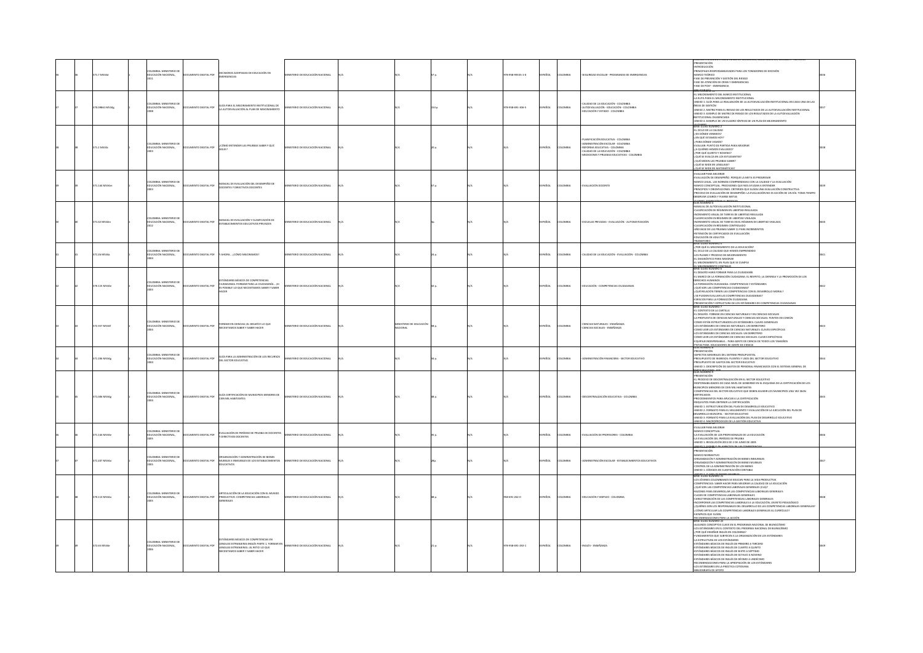|  | 371.7 MS34d     | OMBIA: MINISTERIO DE<br>EDUCACIÓN NACIONAL       | DOCUMENTO DIGITAL PDF       | ECISIONES ACERTADAS DE EDUCACIÓN EN<br>MERGENCIAS                                                                                                                          | NISTERIO DE EDUCACIÓN NACIONAL       |                                         |  | 78-958-99335-1-0 | PAÑOL        | <b>QLOMBIA</b> | SEGURIDAD ESCOLAR - PROGRAMAS DE EMERGENCIAS                                                                                                                                                                                        | -<br>PRESENTACIÓN<br>-INTRODUCCIÓN<br>PRINCIPALES RESPONSABILIDADES PARA LOS TOMADORES DE DECISIÓN<br>MARCO TEÓRICO<br>FASE DE PREVENCIÓN Y GESTIÓN DEL RIESGO<br>FASE DE ATENCIÓN DE CRISIS Y EMERGENCIAS<br>FASE DE POST - EMERGENCIA                                                                                                                                                                                                                                                                                                                                                                                                                                                                                                           |  |
|--|-----------------|--------------------------------------------------|-----------------------------|----------------------------------------------------------------------------------------------------------------------------------------------------------------------------|--------------------------------------|-----------------------------------------|--|------------------|--------------|----------------|-------------------------------------------------------------------------------------------------------------------------------------------------------------------------------------------------------------------------------------|---------------------------------------------------------------------------------------------------------------------------------------------------------------------------------------------------------------------------------------------------------------------------------------------------------------------------------------------------------------------------------------------------------------------------------------------------------------------------------------------------------------------------------------------------------------------------------------------------------------------------------------------------------------------------------------------------------------------------------------------------|--|
|  | 370.09861 MS34e | LOMBIA: MINISTERIO DE<br>EDUCACIÓN NACIONAL      | HMENTO DIGITAL PDF          | UÍA PARA EL MEJORAMIENTO INSTITUCIONAL DE<br>A AUTOEVALUACIÓN AL PLAN DE MEJORAMIENTO                                                                                      | ISTERIO DE EDUCACIÓN NACIONAL        |                                         |  | 78-958-691-306-5 | <b>PAÑOL</b> |                | CALIDAD DE LA EDUCACIÓN - COLOMBIA<br>ALITOEVALLIACIÓN - EDUCACIÓN - COLOMBIA<br>DUCACIÓN Y ESTADO - COLOMBIA                                                                                                                       | EL MEJORAMIENTO DEL MARCO INSTITUCIONAL<br>LA RUTA PARA EL MEJORAMIENTO INSTITUCIONAL<br>ANEXO 1: GUÍA PARA LA REALIZACIÓN DE LA AUTOEVALUACIÓN INSTITUCIONAL EN CADA UNA DE LAS<br>AREAS DE GESTIÓN<br>ANHALIO - MATINIA<br>- ANEXO 3: MATINIZ PARA EL RIESGO DE LOS RESULTADOS DE LA AUTOEVALLIACIÓN INSTITUCIONAL<br>-ANEXO 3: EJEMPLO DE MATRIZ DE RIESGO DE LOS RESULTADOS DE LA AUTOEVALUACIÓN<br>INSTITUCIONAL DILIGENCIADA<br>-ANEXO 4: EJEMPLO DE UN CUADRO SÍNTESIS DE UN PLAN DE MEJORAMIENTO                                                                                                                                                                                                                                          |  |
|  | 171.2 MS34      | LOMBIA: MINISTERIO DE<br>FOUCACIÓN NACIONAL      | 200 IATOM OTHER DOC         | CÓMO ENTENDER LAS PRUEBAS SABER Y QUÉ                                                                                                                                      | NISTERIO DE EDUCACIÓN NACIONAL       |                                         |  |                  | 10849        | <b>TIOMRIA</b> | PLANIFICACIÓN EDUCATIVA - COLOMBIA<br>ADMINISTRACIÓN ESCOLAR - COLOMBIA<br>- REFORMA EDUCATIVA - COLOMBIA<br>CALIDAD DE LA EDUCACIÓN - COLOMBIA<br>CALIDAD DE LA EDUCACIÓN - COLOMBIA<br>MEDICIONES Y PRUEBAS EDUCATIVAS - COLOMBIA | <b>CEREF GUILAS NUMERO 2</b><br>-EL CICLO DE LA CALIDAD<br>-EL CICLO DE LA CALIDAD<br>-EN QUÉ ESTAMOS HOY?<br>PARA DÓNDE VAMOS?<br>.<br>EVALUAR: PUNTO DE PARTIDA PARA MEIORAR<br>-EVALUAR: PUNTO DE PARTIDA P<br>-¿A QUIÉNES HEMOS EVALUADO?<br>-¿POR QUÉ QUINTO Y NOVENO?<br>-¿QUÉ SE EVALÚA EN LOS ESTUDIANTES?<br>JOUÉ MIDEN LAS PRUEBAS SABER?<br>OUF SEMIDE EN LENGUAIE?<br>QUÉ SE MIDE EN MATEMÁTI                                                                                                                                                                                                                                                                                                                                         |  |
|  | 371.144 MS34m   | I OMRIA: MINISTERIO DE<br>EDUCACIÓN NACIONAL,    | UMENTO DIGITAL PDF          | MNUAL DE EVALUACIÓN DEL DESEMPEÑO DE<br>OCENTES Y DIRECTIVOS DOCENTES                                                                                                      | NISTERIO DE EDUCACIÓN NACIONAL       |                                         |  |                  | AÑOL         | OMBIA          | VALUACIÓN DOCENTE                                                                                                                                                                                                                   | EVALUAR PARA MEJORAR<br>EVALUACIÓN DE DESEMPEÑO. PORQUE LA META ES PROGRESAR<br>"-Franco Legal, Las Normas Comprendidas con la calidad y la Evaluación<br>-Marco Legal, Las Normas Comprendidas con la calidad y la Evaluación<br>-Marco Lonceptual, precisiones que nos ayudan a entender<br>PROCESO DE EVALUACIÓN DE DESEMPEÑO: LA EVALUACIÓN NO ES ACCIÓN DE UN DÍA. TOMA TIEMPO<br>OBSERVAR LOGROS Y FUARSE METAS                                                                                                                                                                                                                                                                                                                             |  |
|  | 71.02 M534r     | I OMRIA: MINISTERIO DE<br>DUCACIÓN NACIONAL,     | MENTO DIGITAL PDF           | IANUAL DE EVALUACIÓN Y CLASIFICACIÓN DE<br>STABLECIMIENTOS EDUCATIVOS PRIVADOS                                                                                             | STERIO DE EDUCACIÓN NACIONAL         |                                         |  |                  | AÑOL         |                | ESCUELAS PRIVADAS - EVALUACIÓN - AUTOMATIZACIÓN                                                                                                                                                                                     | OUIENCE ADARRUETRAM EL BRO<br>GUÍA NÚMERO 4<br>MANUAL DE AUTOEVALUACIÓN INSTITUCIONAL<br>CLASIFICACIÓN DE RÉGIMEN EN LIBERTAD REGULADA<br>INCREMENTO ANUAL DE TARIFAS DE LIBERTAD REGULADA<br>-INASIFICACIÓN EN RÉGIMEN DE LIBERTAD VIGILADA<br>-CLASIFICACIÓN EN RÉGIMEN DE LIBERTAD VIGILADA<br>-CLASIFICACIÓN EN RÉGIMEN CONTROLADO<br>AÑO RASE DE LAS PRUERAS SARER 11 PARA INCREMENTOS<br>MO BASE DE DAS PROEBAS SABER 11 PARA INC<br>RETENCIÓN DE CERTIFICADOS DE EVALUACIÓN<br>EDUCACIÓN DE ADULTOS<br>RANSITORIO<br>IKIE GUIAS NUMERU S                                                                                                                                                                                                   |  |
|  | 371.26 M534a    | LOMBIA: MINISTERIO DE<br>EDUCACIÓN NACIONAL,     | CUMENTO DIGITAL PDF         | AHORA ¿CÓMO MEJORAMOS?                                                                                                                                                     | NISTERIO DE EDUCACIÓN NACIONAL       |                                         |  |                  | PAÑOL        |                | CALIDAD DE LA EDUCACIÓN - EVALUACIÓN - COLOMBIA                                                                                                                                                                                     | JPOR OUF FLMEIORAMENTO DE LA FOUCACIÓN?<br>EL CICLO DE LA CALIDAD QUE HEMOS EMPRENDIDO<br>LOS PLANES Y PROCESO DE MEJORAMIENTO<br>EL DIAGNÓSTICO PARA MEJORAR<br>.<br>FI MEIORAMENTO EN PIAN OUESE CUMPLE                                                                                                                                                                                                                                                                                                                                                                                                                                                                                                                                         |  |
|  | 370.115 MS34e   | MBIA: MINISTERIO D<br>EDUCACIÓN NACIONAL,        | UMENTO DIGITAL PDF          | <b>STÁNDARES BÁSICOS DE COMPETENCIAS</b><br>IUDADANAS. FORMAR PARA LA CIUDADANÍA (SI<br>S POSIBLEI LO QUE NECESITAMOS SABER Y SABER<br>ACER                                | NISTERIO DE EDUCACIÓN NACIONAL       |                                         |  |                  | <b>PAÑOL</b> | <b>OLOMBIA</b> | EDUCACIÓN - COMPETENCIAS CIUDADANAS                                                                                                                                                                                                 | SERIE GUÍAS NÚMERO 6<br>-EL DESAFÍO HARÁ FORMAR PARA LA CIUDADANÍA<br>-LE MARCO DE LA FORMACIÓN CIUDADAMA: EL RESPETO, LA DEFENSA Y LA PROMOCIÓN DE LOS<br>-EL MARCO DE LA FORMACIÓN CIUDADAMA: EL RESPETO, LA DEFENSA Y LA PROMOCIÓN DE LOS<br>-LA FORMACIÓN CIUDADAMA: COMPETENCIAS Y ESTÁNDARES<br>¿QUÉ SON LAS COMPETENCIAS CIUDADANAS?<br>JOUÉ RELACIÓN TIENEN LAS COMPETENCIAS CON EL DESARROLLO MORAL?<br>-CUUE MEDICION TIENEN DIS COMPETENCIAS CUI<br>- CSE PUEDEN EVALUAR LAS COMPETENCIAS CIUE<br>- ESPACIOS PARA LA FORMACIÓN CIUDADANA<br>-PRESENTACIÓN Y ESTRUCTURA DE LOS ESTÁNDARES DE COMPETENCIAS CIUDADANAS<br>SERIE GUÍAS NÚMERO 7                                                                                            |  |
|  | 372.357 MS34f   | MBIA: MINISTERIO DE<br>EDUCACIÓN NACIONAL,       | UMENTO DIGITAL PDF          | ORMAR EN CIENCIAS (EL DESAFÍOI LO QUE<br>ECESITAMOS SABER Y SABER HACER                                                                                                    | <b>ASTERIO DE EDUCACIÓN NACIONAL</b> | INISTERIO DE EDUCACIÓN<br><b>CIONAL</b> |  |                  | PAÑOL        |                | CIENCIAS NATURALES - ENSEÑANZA<br>CIENCIAS SOCIALES - ENSEÑANZA                                                                                                                                                                     | -EL CONTEXTO DE LA CARTILLA<br>-LE DONTONO DO DA DANILIDA<br>-EL DESAFÍO: FORMAR EN CIENCIAS NATURALES Y EN CIENCIAS SOCIALES:<br>-LA PROPUESTA DE CIENCIAS NATURALES Y CIENCIAS SOCIALES: PUNTOS EN COMÚN<br>-COMO ESTÁN ESTRUCTURADOS LOS ESTÁNDARES: CLAVES GENERAL<br>-LOS ESTÁNDARES DE CIENCIAS NATURALES: UN DERROTERO<br>COMO LEFR LOS ESTÁNDARES DE CIENCIAS NATURALES, CLAVES ESPECÍFICAS<br>COMO DEM LOS ESTANDARES DE CIENCIAS NATURALES: CLAVES ESPECÍFICAS<br>-LOS ESTÁNDARES DE CIENCIAS SOCIALES: UN DERROTERO<br>-COMO LEER LOS ESTÁNDARES DE CIENCIAS SOCIALES: CLAVES ESPECÍFICAS<br>EQUIPAJE INDISPENSABLE  PARA GENTE DE CIENCIA DE TODOS LOS TAMAÑOS<br><b>NSTAS PARA EDUCADORES DE GENTE DE CIENCIA</b>                    |  |
|  | 371.206 MS34e   | LOMBIA: MINISTERIO DE<br>EDUCACIÓN NACIONAL      | CUMENTO DIGITAL PDF         | LUÍA PARA LA ADMINISTRACIÓN DE LOS RECURSOS<br><b>EL SECTOR EDUCATIVO</b>                                                                                                  | NISTERIO DE EDUCACIÓN NACIONAL       |                                         |  |                  | <b>PAÑOL</b> | ILOMBIA        | <b>IDMINISTRACIÓN FINANCIERA - SECTOR EDUCATIVO</b>                                                                                                                                                                                 | PRESENTACIÓN<br>ASPECTOS GENERALES DEL SISTEMA PRESUPUESTAL<br>PRESIDUESTO DE INGRESOS: FUENTES Y USOS DEL SECTOR EDUCATIVO<br>-PRESUPUESTO DE INVIRENDO: FOERIES TI DOUS DEL SECTOR EDUCATIVO<br>-PRESUPUESTO DE GASTOS DEL SECTOR EDUCATIVO<br>-ANEXO 1: DESCRIPCIÓN DE GASTOS DE PERSONAL FINANCIADOS CON EL SISTEMA GENERAL DE<br><u>PARTICIPACIONES S</u><br>SUIA NUMERO 9                                                                                                                                                                                                                                                                                                                                                                   |  |
|  | 371.006 MS34g   | LOMBIA: MINISTERIO DE<br>EDUCACIÓN NACIONAL      | <b>OCUMENTO DIGITAL PDF</b> | GUÍA CERTIFICACIÓN DE MUNICIPIOS MENORES DE<br>.<br>IEN MIL HABITANTES                                                                                                     | NISTERIO DE EDUCACIÓN NACIONAL       |                                         |  |                  | PAÑOL        | <b>QLOMBIA</b> | - DESCENTRAUZACIÓN EDUCATIVA - COLOMBIA                                                                                                                                                                                             | PRESENTACIÓN<br>-<br>YAL PROCESO DE DESCENTRALIZACIÓN EN EL SECTOR EDUCATIVO<br>RESPONSABILIDADES DE CADA NIVEL DE GOBIERNO EN EL ESQUEMA DE LA CERTIFICACIÓN DE LOS<br>MUNICIPIOS MENORES DE CIEN MIL HABITANTES<br>COMPETENCIAS DEL SECTOR EDUCATIVO QUE DEBEN ASUMIR LOS MUNICIPIOS UNA VEZ SEAN<br>CERTIFICATION<br><b>REOCFDIMIENTOS PARA APLICAR A LA CERTIFICACIÓN</b><br>REQUISITOS PARA OBTENER LA CERTIFICACIÓN<br>-ANEXO 1: ESTRUCTURACIÓN DEL PLAN DE DESARROLLO EDUCATIVO<br>-ANEXO 2: FORMATO PARA EL SEGUIMIENTO Y EVALUACIÓN DE LA EJECUCIÓN DEL PLAN DE<br>DESARROLLO MUNCIPAL - SECTOR EDUCATIVO<br>ANEXO 3: FORMATO PARA LA EVALUACIÓN DEL PLAN DE DESARROLLO EDUCATIVO<br>ANEXO 4: MACROPROCESOS DE LA GESTIÓN E              |  |
|  | 1.144 MS34e     | LOMBIA: MINISTERIO DE<br><b>JCACIÓN NACIONAL</b> | <b>MENTO DIGITAL PDF</b>    | VALUACIÓN DE PERÍODO DE PRUEBA DE DOCENTES<br>DIRECTIVOS DOCENTES                                                                                                          | STERIO DE EDUCACIÓN NACIONAL         |                                         |  |                  | AÑOL         |                | <b>ILLIACIÓN DE PROFESORES - COLOMBIA</b>                                                                                                                                                                                           | EVALUAR PARA MEJORAR<br>MARCO CONCERTI IAI<br>LA EVALUACIÓN DE LOS PROFESIONALES DE LA EDUCACIÓN<br>LA EVALUACIÓN DEL PERÍODO DE PRUEBA<br>ANEXO 1: RESOLUCIÓN 2015 DE 2 DE JUNIO DE 2005                                                                                                                                                                                                                                                                                                                                                                                                                                                                                                                                                         |  |
|  | 371.207 MS34o   | LOMBIA: MINISTERIO DE<br>EDUCACIÓN NACIONAL,     | JMENTO DIGITAL PDF          | RGANIZACIÓN Y ADMINISTRACIÓN DE BIENES<br>MUEBLES E INMUEBLES DE LOS ESTABLECIMIENTOS<br>EDUCATIVOS                                                                        | NISTERIO DE EDUCACIÓN NACIONAL       |                                         |  |                  | AÑOL         | OMRIA          | <b>IDMINISTRACIÓN ESCOLAR - ESTABLECIMIENTOS EDUCATIVOS</b>                                                                                                                                                                         | PRESENTACIÓN<br>MARCO NORMATIVO<br>ORGANIZACIÓN Y ADMINISTRACIÓN DE RIENES INMUERLES<br>-UNGANIZACION 1 ADMINISTRACION DE BIENES INMOEBLES<br>-ORGANIZACIÓN Y ADMINISTRACIÓN DE BIENES MUEBLES<br>-CONTROL DE LA ADMINISTRACIÓN DE LOS BIENES<br>ANEXO 1: CÓDIGOS DE CLASIFICACIÓN CONTABLE<br>AMEXO 2: CLASES DE RIENES N                                                                                                                                                                                                                                                                                                                                                                                                                        |  |
|  | 0.113 MS34      | LOMBIA: MINISTERIO DE<br><b>UCACIÓN NACIONAL</b> | ENTO DIGITAL PDF            | RTICULACIÓN DE LA EDUCACIÓN CON EL MUNDO<br>RODUCTIVO. COMPETENCIAS LABORALES<br>RALES                                                                                     | STERIO DE EDUCACIÓN NACIONAL         |                                         |  | 68-691-262-0     | AÑOL         |                | DUCACIÓN Y EMPLEO - COLOMBIA                                                                                                                                                                                                        | LOS JÓVENES COLOMBIANOS SE EDUCAN PARA LA VIDA PRODUCTIVA<br>COMPETENCIAS: SABER HACER PARA MEJORAR LA CALIDAD DE LA EDUCACIÓN<br>-JOUÉ SON LAS COMPETENCIAS LABORALES GENERALES (CLG1?<br>-RAZONES PARA DESARROLLAR LAS COMPETENCIAS LABORALES GENERALES<br>FORDING TYPING DESIGNATION OF COUNTY ENFORCES OF THE CONSTRUCTION OF CONSTRUCTION OF CONSTRUCTION OF CONSTRUCT<br>CARACTERIZACIÓN DE LAS COMPETENCIAS LABORALES GENERALES<br>INCORPORAR LAS COMPETENCIAS LABORALES A LA EDUCACIÓN, U<br>JOUIENES SON LOS RESPONSABLES DEL DESARROLLO DE LAS COMPETENCIAS LABORALES GENERALES<br>CÓMO ARTICULAR LAS COMPETENCIAS LABORALES GENERALES AL CURRÍCULO?<br>MPLOS QUE GUÍAN<br>-<br>RECOMENDACIÓNES PARA LA ACCIÓN<br>SERIE GUIAS NUMERO 22 |  |
|  | 372.65 M534e    | MBIA: MINISTERIO DE<br>EDUCACIÓN NACIONAL,       | UMENTO DIGITAL PDF          | <b>TÁNDARFS RÁSICOS DE COMPETENCIAS EN</b><br><b>ENGUAS EXTRANJERAS INGLÉS PARTE 1. FORMAR E</b><br>ENGUAS EXTRANJERAS: (EL RETO) LO QUE<br>ECESITAMOS SABER Y SABER HACER | STERIO DE EDUCACIÓN NACIONAL         |                                         |  | 78-958-691-292-1 | PAÑOL        |                | INGLÉS - ENSEÑANZA                                                                                                                                                                                                                  | ALGUNOS CONCEPTOS CLAVE EN EL PROGRAMA NACIONAL DE BILINGÜÍSMO<br>-LOS ESTÁNDARES EN EL CONTEXTO DEL PROGRMA NACIONAL DE BILINGÜÍSMO<br>-/POR QUÉ ENSEÑAR INGLÉS EN COLOMBIA?<br>UNDAMENTOS QUE SUBYECEN A LA ORGANIZACIÓN DE LOS ESTÁNDARES<br>LA ESTRUCTURA DE LOS ESTÁNDARE<br>STÁNDARES BÁSICOS DE INGLÉS DE PRIMERO A TERCERO<br>ESTÁNDARES BÁSICOS DE INGLÉS DE CUARTO A QUINTO<br>ESTÁNDARES BÁSICOS DE INGLÉS DE SEXTO A SÉPTIMO<br><b>TÁNDARES BÁSICOS DE INGLÉS DE OCTAVO A NOVENO</b><br>ESTANDARES BASICOS DE INGLES DE OCTAVO A NOVENO<br>ESTÁNDARES BÁSICOS DE INGLÉS DE DÉCIMO A UNDÉCIMO<br>RECOMENDACIONES PARA LA APROPIACIÓN DE LOS ESTÁNDARES<br>LOS ESTÁNDARES EN LA PRÁCTICA COTIDIANA<br>BIBLIOGRAFÍA DE APOYO             |  |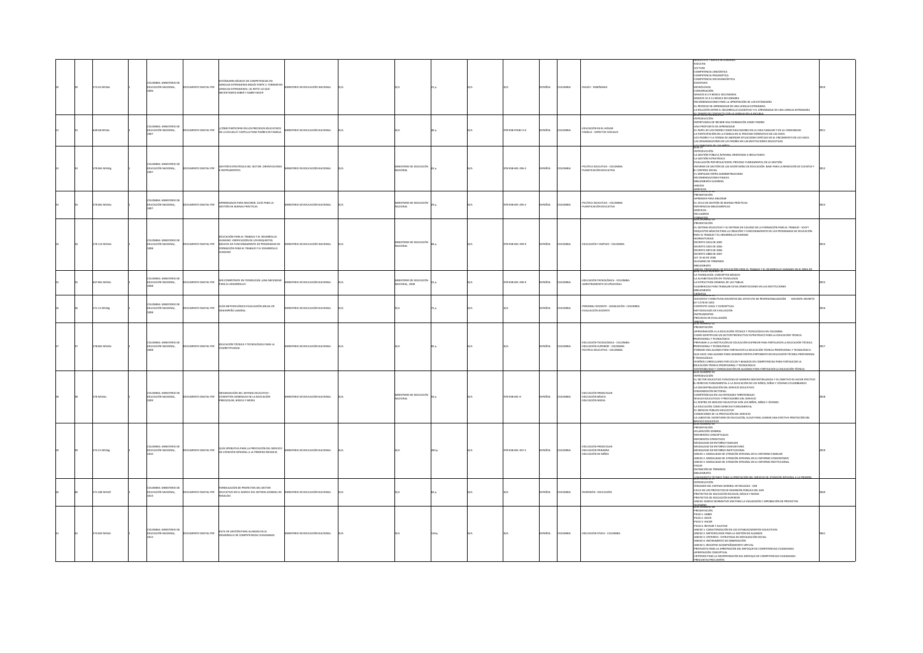|               |                                                    |                             |                                                                                                                                                                                    |                                      |                                       |     |                   |              |                |                                                                                                    | <b>RADOS 6 A 7 BASICA SECUN</b>                                                                                                                                                                                                                                                                                                                                                                                                                                                                                                                                                                                                                                                                                                                                                                                                              |  |
|---------------|----------------------------------------------------|-----------------------------|------------------------------------------------------------------------------------------------------------------------------------------------------------------------------------|--------------------------------------|---------------------------------------|-----|-------------------|--------------|----------------|----------------------------------------------------------------------------------------------------|----------------------------------------------------------------------------------------------------------------------------------------------------------------------------------------------------------------------------------------------------------------------------------------------------------------------------------------------------------------------------------------------------------------------------------------------------------------------------------------------------------------------------------------------------------------------------------------------------------------------------------------------------------------------------------------------------------------------------------------------------------------------------------------------------------------------------------------------|--|
| 372.65 M534e  | OLOMBIA: MINISTERIO DE<br>EDUCACIÓN NACIONAL       | <b>OCUMENTO DIGITAL PDF</b> | ÁNDARES BÁSICOS DE COMPETENCIAS EN<br>LENGUAS EXTRANJERAS INGLÉS PARTE 2. FORMAR I<br>LENGUAS EXTRANJERAS: JEL RETOI LO QUE<br>ESITAMOS SABER Y SABER HACER                        | INISTERIO DE EDUCACIÓN NACIONAL      |                                       |     |                   | AÑOL         | <b>OLOMBIA</b> | INGLÉS - ENSEÑANZA                                                                                 | SCUCHA<br>LECTURA<br>COMPETENCIA LINGÜÍSTICA<br>COMPETENCIA PRAGMÁTICA<br>MPETENCIA SOCIOLINGÜÍSTICA<br><b>ESCRITURA</b><br>MONÓLOGOS<br>ONVERSACIÓN<br>SRADOS 8 A 9 BÁSICA SECUNDARIA<br>GRADOS 10 A 11 BÁSICA SECUNDARIA<br>RECOMENDACIONES PARA LA APROPIACIÓN DE LOS ESTÁNDARES<br>LLOUNLINNEN HAR MON DE MARINHAN DE LOS EJIMIDADES<br>EL PROCESO DE APRENDIZAJE DE UNA LENGUA EXTRANJERA<br>A RELACIÓN ENTRE EL DESARROLLO COGNITIVO Y EL APRENDIZAJE DE UNA LENGUA EXTRANJERA<br>TIEMPO DE CONTACTO CON LA LENGUA EN LA ESCUEL<br>INTRODUCCIÓN                                                                                                                                                                                                                                                                                        |  |
| 49.68 M534c   | OMBIA: MINISTERIO D<br>EDUCACIÓN NACIONAL,         | CUMENTO DIGITAL PDF         | CÓMO PARTICIPAR EN LOS PROCESOS EDUCATIVOS<br>E LA ESCUELA? CARTILLA PARA PADRES DE FAMILIA                                                                                        | NISTERIO DE EDUCACIÓN NACIONAL       |                                       |     | 78-958-97482-2-0  | PAÑOL        | AISMOJC        | EDUCACIÓN EN EL HOGAR<br>AMILIA - ASPECTOS SOCIALES                                                | NPORTANCIA DE RECIRIR UNA FORMACIÓN COMO PADRES<br>-INFUNITION DE RECIBIN UNO FOUNDACIÓN COMO PARMES<br>-UNA PROPUESTA DE APRENDIZAIE<br>-EL PAPEL DE LOS PADRES COMO EDUCADORES EN LA VIDA FAMILIAR Y EN LA COMUNIDAD<br>LA PARTICIPACIÓN DE LA FAMILIA EN EL PROCESO FORMATIVO DE LOS HUOS<br>LOS PADRES Y LA FORMA DE ABORDAR SITUACIONES DIFÍCILES EN EL CRECIMIENTO DE LOS HIJOS<br>AS ORGANIZACIONES DE LOS PADRES EN LAS INSTITUCIONES EDUCATIVAS                                                                                                                                                                                                                                                                                                                                                                                     |  |
| 379.861 MS34g | <b>DLOMBIA: MINISTERIO DE</b><br>UCACIÓN NACIONAL, | OCUMENTO DIGITAL PDF        | SESTIÓN ESTRATÉGICA DEL SECTOR. ORIENTACIONES<br>INSTRUMENTOS                                                                                                                      | MINISTERIO DE EDUCACIÓN NACIONAL     | NISTERIO DE EDUCACIÓN<br>IONAL        |     | 78-958-691-296-2  | PAÑOL        | <b>TLOMBIA</b> | POLÍTICA EDUCATIVA - COLOMBIA<br>ANIFICACIÓN EDUCATIVA                                             | <b>INTRODUCCIÓN</b><br>A GESTIÓN PÚBLICA INTEGRAL ORIENTADA A RESULTADOS<br>LA GESTIÓN ESTRATÉGICA<br>EVALUACIÓN POR RESULTADOS: PROCESO FUNDAMENTAL DE LA GESTIÓN<br>INFORME DE GESTIÓN DE LAS SECRETARÍAS DE EDUCACIÓN: BASE PARA LA RENDICIÓN DE CUENTAS Y<br>CONTROL SOCIAL<br>EL EMPALME ENTRE ADMINISTRACIONES<br>RECOMENDACIONES FINALES<br>BIBLIOGRAFÍA SUGERIDA<br>WEXOS                                                                                                                                                                                                                                                                                                                                                                                                                                                            |  |
| 379.861 MS34a | OMBIA: MINISTERIO DE<br>EDUCACIÓN NACIONAL,        | CUMENTO DIGITAL PDF         | APRENDIZAJES PARA MEJORAR. GUÍA PARA LA<br>GESTIÓN DE BUENAS PRÁCTICAS                                                                                                             | <b>WSTERIO DE EDUCACIÓN NACIONAL</b> | NISTERIO DE EDUCACIÓN<br>ACIONAL      |     | 178-958-691-295-2 | PAÑOL        | AISMOJC        | POLÍTICA EDUCATIVA - COLOMBIA<br>PLANIFICACIÓN EDUCATIVA                                           | PRESENTACIÓN<br><b>APRENDER PARA MEJORAR</b><br>EL CICLO DE GESTIÓN DE BUENAS PRÁCTICAS<br>REFERENCIAS BIBLIOGRÁFICAS<br>SRÁFICOS<br>ECUADROS                                                                                                                                                                                                                                                                                                                                                                                                                                                                                                                                                                                                                                                                                                |  |
| 370.113 M534e | LOMBIA: MINISTERIO DE<br>EDUCACIÓN NACIONAL,       | UMENTO DIGITAL PDF          | DUCACIÓN PARA EL TRABAJO Y EL DESARROLLO<br>MANO, VERIFICACIÓN DE LOS REQUISITOS<br><b>BÁSICOS DE FUNCIONAMIENTO DE PROGRAM</b><br>RMACIÓN PARA EL TRABAJO Y EL DESARROLLO<br>MANO | STERIO DE EDUCACIÓN NACIONAL         | <b>ISTERIO DE EDUCACIÓN</b><br>CIONAL |     | 78-958-691-299-0  | <b>PAÑOL</b> | <b>ILOMBIA</b> | EDUCACIÓN Y EMPLEO - COLOMBIA                                                                      | <b>ORMATOERO 29</b><br>-PRESENTACIÓN<br>-malian milion.<br>- El sistema educativo y su sistema de calidad de la formación para el trabajo - scaft<br>- Requisitos básicos para la creación y funcionamiento de los programas de educación.<br>Para el trabajo y el desarrollo h<br><b>VORMATIVIDAE</b><br>DECRETO 3616 DE 2005<br>DECRETO 2020 DE 2006<br>-DECRETO 3870 DE 2006<br>-<br>-DECRETO 2888 DE 2007<br>-LEY 10 64 DE 2006<br>LOSARIO DE TERMINOS<br><b>BIBLIOGRAFÍA</b><br>NEXO: PROGR<br>CITRARADVO DESARROLIO MIN<br>FN FI ÁRFA D                                                                                                                                                                                                                                                                                                |  |
| 07 861 MS34c  | LOMBIA: MINISTERIO DE<br>EDUCACIÓN NACIONAL,       | 209 IATOD OTHERS OF         | SER COMPETENTE EN TECNOLOGÍA IUNA NECESIDAD<br>PARA EL DESARROLLO!                                                                                                                 | IN STERIO DE EDUCACIÓN NACIONAL      | NISTERIO DE EDUCACIÓN<br>CIONAL, 2008 | 32n | 0.305.093.920.07  | PAÑOL        | 11 OMRIA       | EDUCACIÓN TECNOLÓGICA - COLOMBIA<br>ADIESTRAMIENTO OCUPACIONAL                                     | LA TECNOLOGÍA: CONCEPTOS BÁSICOS<br>LA ALFABETIZACIÓN EN TECNOLOGÍA<br>LA ESTRUCTURA GENERAL DE LAS TARLAS<br>LUGERENCIAS PARA TRABAJAR ESTAS ORIENTACIONES EN LAS INSTITUCIONES<br><b>BIBLIOGRAFÍA</b><br>20TO 381                                                                                                                                                                                                                                                                                                                                                                                                                                                                                                                                                                                                                          |  |
| 71.12 M534g   | OMBIA: MINISTERIO DE<br>EDUCACIÓN NACIONAL,        | MENTO DIGITAL PDF           | GUÍA METODOLÓGICA EVALUACIÓN ANUAL DE<br>SEMPEÑO LABORAL                                                                                                                           | ISTERIO DE EDUCACIÓN NACIONAL        |                                       |     |                   | AÑOL         | <b>OLOMBI</b>  | FRSONAL DOCENTE - LEGISLACIÓN - COLOMBIA<br>VALUACIÓN DOCENTE                                      | -DOCENTES Y DIRECTIVOS DOCENTES DEL ESTATUTO DE PROFESIONALIZACIÓN - - DOCENTE DECRETO<br>EY 1278 DE 2002<br>CONTEXTO LEGAL Y CONCEPTUAL<br>METODOLOGÍA DE EVALUACIÓN<br><b>INSTRUMENTOS</b><br>PROCESOS DE EVALUACIÓN                                                                                                                                                                                                                                                                                                                                                                                                                                                                                                                                                                                                                       |  |
| 378.861 MS34e | OLOMBIA: MINISTERIO DE<br>EDUCACIÓN NACIONAL       | IMENTO DIGITAL PDF          | EDUCACIÓN TÉCNICA Y TECNOLÓGICA PARA LA<br>OMPETITWIDAD                                                                                                                            | STERIO DE EDUCACIÓN NACIONAL         |                                       |     |                   | AÑOL         | <b>ILOMARI</b> | EDUCACIÓN TECNOLÓGICA - COLOMBIA<br>FOUCACIÓN SUPERIOR - COLOMBIA<br>POLÍTICA EDUCATIVA - COLOMBIA | <b>NEWS</b><br>HA NUMERO<br>RESENTACIÓN<br>APROXIMACIÓN A LA FOLICACIÓN TÉCNICA Y TECNOLÓGICA EN COLOMBIA<br>APMANINAULIN A LA EUGA ALOUN TECNICA T TECNOLOGICA EN COLUMBIA<br>COMO IDENTIFICAR UN SECTOR PRODUCTIVO ESTRATÉGICO PARA LA EDUCACIÓN TÉCNICA.<br>PROFESIONAL Y TECNOLÓGICA<br>-PREPARAR A LA INSTITUCIÓN DE EDUCACIÓN SUPERIOR PARA FORTALECER LA EDUCACIÓN TÉCNICA<br>OFFSIONAL Y TECNOLÓGICA<br>PRUFESIONNE T TECNNEUGIEN<br>-FORMAR UNA ALIANZA PARA FORTALECER LA EDUCACIÓN TÉCNICA PROFESIONAL Y TECNOLÓGICA<br>-QUE HACE UNA ALIANZA PARA GENERAR OFERTA PERTINENTE EN EDUCACIÓN TÉCNICA PROFESIONA<br>TECNOLÓGICA<br>OISEÑOS CURRICULARES POR CICLOS Y BASADOS EN COMPETENCIAS PARA FORTALECER LA<br>UCACIÓN TÉCNICA PROFESIONAL Y TECNOLÓGICA<br>SOSTENIBILIDAD Y CONSOLIDACIÓN DE ALIANZAS PARA FORT<br>UIA NUMERO 33 |  |
| 70 MS34o      | OLOMBIA: MINISTERIO DE<br>EDUCACIÓN NACIONAL.      |                             | GANIZACIÓN DEL SISTEMA EDUCATIVO -<br>DOCUMENTO DIGITAL PDF CONCEPTOS GENERALES DE LA EDUCACIÓN<br>EESCOLAR, BÁSICA Y MEDIA                                                        | INSTERIO DE EDUCACIÓN NACIONAL       | NISTERIO DE EDUCACIÓN<br>CIONAL       |     | 08-958-691-9      | PAÑOL        | <b>OLOMBIA</b> | DUCACIÓN PREESCOLAR<br>EDUCACIÓN BÁSICA<br>DUCACIÓN MEDIA                                          | NTRODUCCIÓN<br>EL SECTOR EDUCATIVO FUNCIONA DE MANERA DESCENTRALIZADA Y SU OBJETIVO ES HACER EFECTIVO<br>DERECHO FUNDAMENTAL A LA EDUCACIÓN DE LOS NIÑOS, NIÑAS Y JÓVENES COLOMBIANOS<br>L DERECHO FONDAMENTAL A DI EDUCACION DE LO<br>LA DESCENTRAUZACIÓN DEL SERVICIO EDUCATIVO<br>ORGANIZACIÓN SECTORIAL<br>COMPETENCIAS EN LAS ENTIDADES TERRITORIALES<br>-NIVELES EDUCATIVOS Y PRESTADORES DEL SERVICIO<br>-EL CENTRO DE SERVICIO EDUCATIVO SON LOS NIÑOS, NIÑAS Y JÓVENES<br>LA EDUCACIÓN COMO DERECHO FUNDAMENTAL<br>EL SERVICIO PÚBLICO EDUCATIVO<br>- ANNICONES DE LA PRESTACIÓN DEL SERVICIO<br>CONDICIONES DE LA PRESTACIÓN DEL SERVICIO<br>A LABOR DEL SECRETARIO DE EDUCACIÓN, CLAVE PARA LOGRAR UNA EFECTIVA PRESTACIÓN DEL<br><b><i>ERVICIO EDUCATIVO</i></b><br>SUIA NUMERO 35                                               |  |
| 372.21 MS34e  | LOMBIA: MINISTERIO DE<br>EDUCACIÓN NACIONAL        | <b>OCUMENTO DIGITAL PDF</b> | GUÍA OPERATIVA PARA LA PRESTACIÓN DEL SERVICIO<br>DE ATENCIÓN INTEGRAL A LA PRIMERA INFANCIA                                                                                       | INISTERIO DE EDUCACIÓN NACIONAL      |                                       |     | 78-958-691-307-2  | PAÑOL        | <b>OLOMBIA</b> | DUCACIÓN PREESCOLAR<br>EDUCACIÓN PRIMARIA<br>DUCACIÓN DE NIÑOS                                     | PRESENTACIÓN<br>PRESENTACIÓN<br>ACLARACIÓN GENERAL<br>-REFERENTES CONCEPTUALES<br><b>REFERENTES OPERATIVOS</b><br>REFERENTES OPERATIVOS<br>MODALIDAD DE ENTORNO FAMILIAR<br>MODALIDAD DE ENTORNO COMUNITARIO<br>MODALIDAD DE ENTORNO INSTITUCIONAL<br>ANEXO 1: MODALIDAD DE ATENCIÓN INTEGRAL EN EL ENTORNO FAMILIAR<br>-ANEXO 2: MODALIDAD DE ATENCIÓN INTEGRAL EN EL ENTORNO COMUNITABIO<br>-ANEXO 2: MODALIDAD DE ATENCIÓN INTEGRAL EN EL ENTORNO COMUNITABIO<br>-ANEXO 3: MODALIDAD DE ATENCIÓN INTEGRAL EN EL ENTORNO INSTITUCIONAL<br><b>SIGLAS</b><br>OFFINIOON OF TERMINOS<br>BLIOGRAFÍA                                                                                                                                                                                                                                             |  |
| 71.206 MS34f  | OMRIA: MINISTERIO DE<br>EDUCACIÓN NACIONAL,        | OCUMENTO DIGITAL PDF        | MULACIÓN DE PROYECTOS DEL SECTOR<br>EDUCATIVO EN EL MARCO DEL SISTEMA GENERAL DE<br><b>GALÍAS</b>                                                                                  | MINISTERIO DE EDUCACIÓN NACIONAL     |                                       |     |                   | AÑOL         | LOMBIA         | NVERSIÓN - EDUCACIÓN                                                                               | INE AMENTO TECNIC<br>HA LA PRESTACIÓN DEL SERVICIO DE ATENCIÓN I<br>INTRODUCCIÓN<br>ORGANOS DEL SISTEMA GENERAL DE REGALÍAS - SGR<br>-UNUARUS DEL SISTEMA GENERAL DE REGALIAS - SOR<br>-CICLO DE LOS PROYECTOS DE INVERSIÓN PÚBLICA DEL SGR<br>-PROYECTOS DE EDUCACIÓN ESCOLAR, BÁSICA Y MEDIA<br>-PROYECTOS DE EDUCACIÓN SUPERIOR<br>ANEXO: MARCO NORMATIVO SGR PARA LA VIALIZACIÓN Y APROBACIÓN DE PROYECTOS<br>GLOSABIO con 20                                                                                                                                                                                                                                                                                                                                                                                                            |  |
| 372.832 MS34r | LOMBIA: MINISTERIO DE<br>EDUCACIÓN NACIONAL,       |                             | OCUMENTO DIGITAL PDF RUTA DE GESTIÓN PARA ALIANZAS EN EL                                                                                                                           | <b>NSTERIO DE EDUCACIÓN NACIONAL</b> |                                       |     |                   | PAÑOL        | LOMBIA         | EDUCACIÓN CÍVICA - COLOMBIA                                                                        | RESENTACIÓN<br>-PASO 1: SABER<br>-PASO 2: DECIR<br>-PASO 2: DECIR<br>-PASO 3: HACER<br>-PASO 4: REVISAR Y AJUSTAR<br>-ANEXO 1: CARACTERIZACIÓN DE LOS ESTABLECIMIENTOS EDUCATIVOS<br>-ANEXO 2: METODOLOGÍA PARA LA GESTIÓN DE ALIANZAS<br>MEXO 3: CRITERIOS - ESTRATEGIA DE MOVILIZACIÓN SOCIAL<br>ANEXO 4: INSTRUMENTO DE OBSERVACIÓN<br>-ANEXO 5: REGISTRO ACOMPAÑAMIENTO VIRTUAL<br>ROPUESTA PARA LA APROPIACIÓN DEL ENFOQUE DE COMPETENCIAS CIUDADANAS<br>-PRUPULSTA PARA LA APRIUPINGIUN DEL ENTOLIDE DE COMPETENCIAS CIUDADANAS<br>-APROPIACIÓN CONCEPTUAL<br>-CRITERIOS PARA LA INCORPORACIÓN DEL ENFOQUE DE COMPETENCIAS CIUDADANAS<br>INTAC COCCI ICNT                                                                                                                                                                              |  |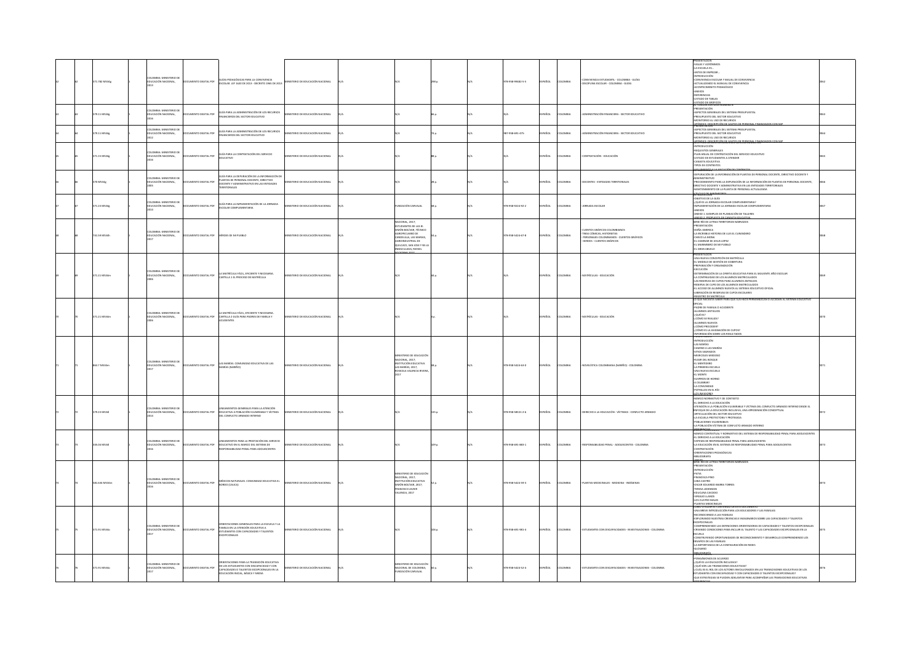|  | 1.782 MS34g      | CACIÓN NACIONAL                                   | IMENTO DIGITAL PDF         | GUÍAS PEDAGÓGICAS PARA LA CONVIVENCIA<br>ESCOLAR: LEY 1620 DE 2013 - DECRETO 1965 DE 2013                                                                                       | TERIO DE EDUCACIÓN NACIONAL          |                                                                                                                                                                                     |      | 78-958-99482-5-5  | AÑOL         |                | CONVIVENCIA ESTUDIANTIL - COLOMBIA - GUÍAS<br>DISCIPLINA ESCOLAR - COLOMBIA - GUÍAS                                                                                  | -SIGLAS Y ACRÓNIMOS<br>-LA ESCUELA ES<br>-ANTES DE EMPEZAR.<br>"MITRODUCCIÓN<br>- INTRODUCCIÓN<br>- CONVIVENCIA ESCOLAR Y MAUAL DE CONVIVENCIA<br>- ACTUALIZANDO EL MANUAL DE CONVIVENCIA<br>- ACONTECIMINETO PEDAGÓGICO<br>ANEXOS<br>REFERENCIAS<br><b>USTADO DE TABLA</b>                                                                                                                                                                                                                                                                                                                                                             |  |
|--|------------------|---------------------------------------------------|----------------------------|---------------------------------------------------------------------------------------------------------------------------------------------------------------------------------|--------------------------------------|-------------------------------------------------------------------------------------------------------------------------------------------------------------------------------------|------|-------------------|--------------|----------------|----------------------------------------------------------------------------------------------------------------------------------------------------------------------|-----------------------------------------------------------------------------------------------------------------------------------------------------------------------------------------------------------------------------------------------------------------------------------------------------------------------------------------------------------------------------------------------------------------------------------------------------------------------------------------------------------------------------------------------------------------------------------------------------------------------------------------|--|
|  | 79.11 M534e      | LOMBIA: MINISTERIO DI<br>DUCACIÓN NACIONAL        | 309 IATION OTHERS          | UÍA PARA LA ADMINISTRACIÓN DE LOS RECURSOS<br>ANCIEROS DEL SECTOR EDUCATIVO                                                                                                     | INSTERIO DE EDUCACIÓN NACIONAL       |                                                                                                                                                                                     |      |                   | PAÑOL        | I OMRIA        | LOMINISTRACIÓN FINANCIERA - SECTOR EDUCATIVO                                                                                                                         | <b>STARO DE GRÁFI</b><br>RESENTACIÓN<br>PRESENTIALIUM<br>ASPECTOS GENERALES DEL SISTEMA PRESUPUESTAL<br>PRESUPUESTO DEL SECTOR EDUCATIVO<br>MONITOREO AL USO DE RECURSOS<br>ARÉNDICE: DESCRIPCIÓN DE GAS                                                                                                                                                                                                                                                                                                                                                                                                                                |  |
|  | PR.11 M534e      | I OMRIA: MINISTERIO DI<br>UCACIÓN NACIONAL        | MENTO DIGITAL PDF          | <b>JUÍA PARA LA ADMINISTRACIÓN DE LOS RECURSOS</b><br>NANCIEROS DEL SECTOR EDUCATIVO                                                                                            | STERIO DE EDUCACIÓN NACIONAL         |                                                                                                                                                                                     |      | 7-958-691-475-    | JORAS        | OMRIA          | MINISTRACIÓN FINANCIFRA - SECTOR FOLICATIVO                                                                                                                          | ASPECTOS GENERALES DEL SISTEMA PRESIDUESTAL<br><b>ESUPLIESTO DEL SECTOR EDUCATIVO</b><br><b>IONITOREO AL USO DE RECURSO</b><br>APÉNDICE: DESCRIPCIÓN DE GASTOS DE E                                                                                                                                                                                                                                                                                                                                                                                                                                                                     |  |
|  | 71.15 M534g      | OMBIA: MINISTERIO DI<br>DUCACIÓN NACIONAL         | <b>CUMENTO DIGITAL PDF</b> | UÍA PARA LA CONTRATACIÓN DEL SERVICIO<br>EDUCATIVO                                                                                                                              | ISTERIO DE EDUCACIÓN NACIONAL        |                                                                                                                                                                                     |      |                   | PAÑOL        | ILOMBIA        | CONTRATACIÓN - EDUCACIÓN                                                                                                                                             | INTRODUCCIÓN<br>REQUISITOS GENERALES<br>-PLAN ANUAL DE CONTRATACIÓN DEL SERVICIO EDUCATIVO<br>-LISTADO DE ESTUDIANTES A ATENDER<br>CANASTA FINICATIVA<br>TIPOS DE CONTRATOS                                                                                                                                                                                                                                                                                                                                                                                                                                                             |  |
|  | 0 M534g          | MBIA: MINISTERIO DI<br>DUCACIÓN NACIONAL,         | UMENTO DIGITAL PDF         | IUÍA PARA LA DEPURACIÓN DE LA INFORMACIÓN DE<br>PLANTAS DE PERSONAL DOCENTE, DIRECTIVO<br>DOCENTE Y ADMINISTRATIVO EN LAS ENTIDADES<br>RRITORIALES                              | INSTERIO DE EDUCACIÓN NACIONAL       |                                                                                                                                                                                     |      |                   | PAÑOL        | LOMBIA         | DOCENTES - ENTIDADES TERRITORIALES                                                                                                                                   | -DEPURACIÓN DE LA INFORMACIÓN DE PLANTAS DE PERSONAL DOCENTE, DIRECTIVO DOCENTE Y<br><b><i>MINISTRATIVO</i></b><br>-PROCEDIMIENTO PARA LA DEPURACIÓN DE LA INFORMACIÓN DE PLANTAS DE PERSONAL DOCENTE.<br>DIRECTIVO DOCENTE Y ADMINISTRATIVA EN LAS ENTIDADES TERRITORIALES<br>INTENIMENTO DE LA PLANTA DE PERSONAL ACTUALIZADA<br>chewa pe ru                                                                                                                                                                                                                                                                                          |  |
|  | 371.23 M534g     | MRIA: MINISTERIO D<br>EDUCACIÓN NACIONAL,         | LUMENTO DIGITAL PDR        | GUÍA PARA LA IMPLEMENTACIÓN DE LA JORNADA<br>SCOLAR COMPLEMENTARIA                                                                                                              | INSTERIO DE EDUCACIÓN NACIONAL       | <b>INDACIÓN CARVAIAL</b>                                                                                                                                                            | 48 p | 78-958-9224-92-2  | SPAÑOL       | <b>ILOMBIA</b> | ORNADA ESCOLAR                                                                                                                                                       | INTRODUCTION<br>-OBJETIVO DE LA GUÍA<br>-¿QUÉ ES LA JORNADA E<br>.<br>4 FSCOLAR COMPLEMENTARIA?<br>IMPLEMENTACIÓN DE LA JORNADA ESCOLAR COMPLEMENTARIA<br>-ANEXOS<br>-ANEXO 1: EJEMPLOS DE PLANEACIÓN DE TALLERES                                                                                                                                                                                                                                                                                                                                                                                                                       |  |
|  | 1.59 M534        | MRIA: MINISTERIO E<br>UCACIÓN NACIONAL            | UMENTO DIGITAL PDF         | EROES DE MI PUEBLO                                                                                                                                                              | STERIO DE EDUCACIÓN NACIONAL         | ACIONAL, 2017:<br><b>TUDIANTES DE LAS IE:</b><br>MÓN ROLÍVAR TÉCNICO<br>OPECUARIO DE<br>NDELILLA, LAS MARIAS,<br>OINDUSTRIAL DE<br><b>UILCACE, SAN JOSE Y NS L</b><br>14454-404 IDA |      | 8-958-5424-67-8   | AÑOL         |                | TIENTOS GRÁFICOS COLOMBIANOS<br>LUENTOS GRAFICOS CULOMBIANOS<br>FIRAS CÓMICAS, HISTORIETAS<br>PERSONAIES COLOMBIANOS - CUENTOS GRÁFICOS<br>HEROES - CUENTOS GRÁFICOS | <b>EXO 2: PROPLIESTA DE CANASTA EDUCATI</b><br>SERIE RÍO DE LETRAS TERRITORIOS NARRADOS<br>-PRESENTACIÓN<br>-DOÑA AMERICA<br>-DONA AMERICA<br>-LA INCREIBLE HISTORIA DE LUIS EL CURANDERO<br>-CHEVO LA MONA<br>EL CAMINAR DE JESUS LOPEZ<br>-EL MARIMBERO DE MI PUEBLO<br>EL GRAN ABUELO                                                                                                                                                                                                                                                                                                                                                |  |
|  | 71.21 M534m      | OMBIA: MINISTERIO DI<br>DUCACIÓN NACIONAL         | NO IATION OTHER            | A MATRÍCULA FÁCIL. EFICIENTE Y NECESARIA<br>ARTILLA 1 EL PROCESO DE MATRÍCULA                                                                                                   | ISTERIO DE EDUCACIÓN NACIONAL        |                                                                                                                                                                                     |      |                   | PAÑOL        | I OMRIA        | MATRÍCULAS - FOUCACIÓN                                                                                                                                               | PRESENTACIÓN<br>r no actor molton<br>-UNA NUEVA CONCEPCIÓN DE MATRÍCULA<br>-EL MODELO DE GESTIÓN DE COBERTURA<br>PREPARACIÓN Y ORGANIZACIÓN<br>EIECUCIÓN<br>DETERMINACIÓN DE LA OFERTA EDUCATIVA PARA EL SIGUIENTE AÑO ESCOLAR<br>-LA CONTINUIDAD DE LOS ALUMINOS MATRICULADOS<br>-LA CONTINUIDAD DE LOS PARA ALUMINOS ANTIGUOS<br>-RESERVA DE CUPO DE LOS PARA ALUMINOS ANTIGUOS<br>-RESERVA DE CUPO DE LOS ALUMINOS MATRICULADOS<br>-RE ACCESO DE ALUMINOS NUEVOS AL SISTE<br>LIBERACIÓN DE RESERVAS DE CUPOS ESCOLARES<br>-REGISTRO DE MATRÍCULA<br>LO QUE NECESITA SABER PARA QUE SUS HUOS PERM<br><b>2014 NO ACCEDAN AL SISTEM</b> |  |
|  | 71.21 M534m      | OMBIA: MINISTERIO DE<br>DUCACIÓN NACIONAL         | <b>CUMENTO DIGITAL PDF</b> | A MATRÍCULA FÁCIL, EFICIENTE Y NECESARIA<br>CARTILLA 2 GUÍA PARA PADRES DE FAMILIA Y<br><b>LUDIENTES</b>                                                                        | NISTERIO DE EDUCACIÓN NACIONAL       |                                                                                                                                                                                     |      |                   | PAÑOL        | LOMBIA         | <b>MATRÍCULAS - EDUCACIÓN</b>                                                                                                                                        | OFICIAL<br>OPICIAL<br>-PADRE DE FAMILIA O ACUDIENTI<br>-ALUMNOS ANTIGUOS<br>-¿QUÉ ES?<br>¿CÓMO SE REALIZAT<br>ALLIMNOS NUEVOS<br>ALUMNOS NOEVOS<br>¿CÓMO PROCEDER?<br>¿CÓMO ES LA ASIGNACIÓN DE CUPOS?<br>-INFORMACIÓN SOBRE LOS RESULTADO<br>PRESENTACIÓN                                                                                                                                                                                                                                                                                                                                                                              |  |
|  | 63.7 MS34m       | OMBIA: MINISTERIO D<br>UCACIÓN NACIONAL,          | CUMENTO DIGITAL PDF        | LAS MARÍAS. COMUNIDAD EDUCATIVA DE LAS<br>RÍAS (NARIÑO)                                                                                                                         | <b>ESTERIO DE EDUCACIÓN NACIONAL</b> | NISTERIO DE EDUCACIÓ<br>MNUSICINO DE EDUCACIO<br>IACIONAL, 2017;<br>NSTITUCIÓN EDUCATIVA<br>AS MARÍAS, 2017;<br><b>SICELA VALENCIA RIVER</b>                                        |      | 78-958-5424-63-0  | AÑOL         |                | VOVELÍSTICA COLOMBIANA (NARIÑO) - COLOMBIA                                                                                                                           | <b>NTRODUCCIÓN</b><br>LAS MARÍAS<br>-CAMINO A LAS MARÍAS<br>SITIOS SAGRADOS<br><b>MIFRODI ES MIEDOSO</b><br>-MIERCOLES MIEDOSO<br>-RUGIR DEL BOSQUE<br>-EL MENTIDERO<br>-LA PRIMERA ESCUELA<br><b>UNA NUEVA ESCUELA</b><br>EL MONTE<br>SUSPIROS DE HORNO<br>CELEBRARI<br>LA COMUNIDAD<br>POTRILLOS EN EL RÍO<br>LOS INVASORES                                                                                                                                                                                                                                                                                                           |  |
|  | 79.23 M534       | LOMBIA: MINISTERIO DE<br><b>DUCACIÓN NACIONAL</b> | UMENTO DIGITAL PDF         | NEAMIENTOS GENERALES PARA LA ATENCIÓN<br>EDUCATIVA A POBLACIÓN VULNERABLE Y VÍCTIMA<br>DEL CONFUCTO ARMADO INTERNO                                                              | ISTERIO DE EDUCACIÓN NACIONAL        |                                                                                                                                                                                     |      | 78-958-58531-2-6  | PAÑOL        | LOMBIA         | DERECHO A LA EDUCACIÓN - VÍCTIMAS - CONFLICTO ARMADO                                                                                                                 | MARCO NORMATIVO Y DE CONTEXTO<br>EL DERECHO A LA EDUCACIÓN<br>ATENCIÓN A LA POBLACIÓN VULNERABLE Y VÍCTIMA DEL CONFLICTO ARMADO INTERNO DESDE EL<br>INFOQUE DE LA EDUCACIÓN INCLUSIVA, UNA APROXIMACIÓN CONCEPTUAL<br>ENFOLIOE DE LA EDUCACION INCLUSIVA, I<br>-ARTICULACIÓN DEL SECTOR EDUCATIVO<br>-LA ESCUELA PROTECTORA Y PROTEGIDA<br>POBLACIONES VULNERABLES<br>-LA POBLACIÓN VÍCTIMA DE CONFLICTO ARMADO INTERNO                                                                                                                                                                                                                 |  |
|  | <b>INFPARING</b> | OMBIA: MINISTERIO DI<br>DUCACIÓN NACIONAL         | HAFNTO DIGITAL PDF         | VEAMIENTOS PARA LA PRESTACIÓN DEL SERVICIO<br>EDUCATIVO EN EL MARCO DEL SISTEMA DE<br>ABILIDAD PENAL PARA ADOLESCENTES                                                          | ISTERIO DE EDUCACIÓN NACIONAL        |                                                                                                                                                                                     |      | 78-958-691-883-1  | <b>JORAS</b> | <b>TIOMRIA</b> | RESPONSABILIDAD PENAL - ADOLESCENTES - COLOMBIA                                                                                                                      | MARCO CONTEXTUAL Y NORMATIVO DEL SISTEMA DE RESPONSABILIDAD PENAL PARA ADOLESCENTES<br>EL DERECHO A LA EDUCACIÓN<br>-SISTEMA DE RESPONSABILIDAD PENAL PARA ADOLESCENTES<br>-LA EDUCACIÓN EN EL SISTEMA DE RESPONSABILIDAD PENAL PARA ADOLESCENTES<br>-DI EDUCACIÓN EN EL SISTEMA D<br>-CONTRATACIÓN<br>-BIBLIOGRAFÍA                                                                                                                                                                                                                                                                                                                    |  |
|  | 581.634 M534m    | OMBIA: MINISTERIO DI<br>EDUCACIÓN NACIONAL,       | CUMENTO DIGITAL PDF        | MÉDICOS NATURALES. COMUNIDAD EDUCATIVA EL<br>ORDO (CAUCA)                                                                                                                       | INSTERIO DE EDUCACIÓN NACIONAL       | STERIO DE EDUCACIÓ<br>ONAL, 2017;<br>STITUCIÓN EDUCATIVA<br>IMÓN BOLÍVAR, 2017:<br><b>RANCISCO JAVIER</b><br>LENCIA, 2017                                                           |      | 178-958-5424-59-3 | <b>JORAS</b> | <b>JLOMBIA</b> | LANTAS MEDICINALES - MEDICINA - INDÍGENAS                                                                                                                            | SERIE RIO DE LETRAS T<br>-PRESENTACIÓN<br><b>INTRODUCCIÓN</b><br>INTRODUCION<br>PATIA<br>FRANCISCA PINO<br>LIBIA CASTRO<br>-OSCAR EDUARDO IBARRA TORRES<br>-TERESA LEDESMAN<br>EDUCLINA CAICEDO<br>VIRGILIO LLANOS<br>LOS CUATRO MALES<br><b>PLANTAS MEDICINALES</b><br>YIMO LITILIZAR FL CONTENIDO DE ESTE DOCUMENT                                                                                                                                                                                                                                                                                                                    |  |
|  | 171.91 M534o     | UCACIÓN NACIONAL,                                 | CUMENTO DIGITAL PDR        | ENTACIONES GENERALES PARA LA ESCUELA Y LA<br>AMILIA EN LA ATENCIÓN EDUCATIVA A<br><b>STUDIANTES CON CAPACIDADES Y TALENTOS</b><br>CEPCIONALES                                   | ANTERIO DE EDUCACIÓN NACIONAL        |                                                                                                                                                                                     |      | 8-958-691-981-4   | PAÑOL        | <b>JLOMBIA</b> | ESTUDIANTES CON DISCAPACIDADES - INVESTIGACIONES - COLOMBIA                                                                                                          | -UNA BREVE INTRODUCCIÓN PARA LOS EDUCADORES Y LAS FAMILIAS<br>-RECONOCIENDO A LAS FAMILIAS<br>EXPLORANDO NUESTRAS CREENCIAS E IMAGINARIOS SOBRE LAS CAPACIDADES Y TALENTOS<br>-DA LOOMING MULTIMAL CRECHENGE E BRASILMARIOS SOBRE DO CAPACIDADES Y TALENTOS EXCEPCIONALES<br>-COMPRENDIENDO LAS DEFINICIONES ORIENTADORAS DE CAPACIDADES Y TALENTOS EXCEPCIONALES<br>-CREANDO CONDICIONES PARA INCLUIR EL TALENTO<br>SCUELA<br>-CONSTRUYENDO OPORTUNIDADES DE RECONOCIMIENTO Y DESARROLLO COMPRENDIENDO LOS<br>DESAFÍOS DE LAS FAMILIAS<br>LA IMPORTANCIA DE LA CONFIGURACIÓN DE REDES<br><b>IBLIOGRAFÍA</b>                            |  |
|  | 1.91 M534o       | LOMBIA: MINISTERIO DI<br>UCACIÓN NACIONAL,        | MENTO DIGITAL PDF          | <b>IRIENTACIONES PARA LA TRANSICIÓN EDUCATIVA</b><br>DE LOS ESTUDIANTES CON DISCAPACIDAD Y CON<br>APACIDADES O TALENTOS EXCEPCIONALES EN LA<br>DUCACIÓN INICIAL, BÁSICA Y MEDIA | STERIO DE EDUCACIÓN NACIONAL         | NISTERIO DE EDUCACIÓ<br>NUTENO DE EDOCACIO<br>CIONAL DE COLOMBIA;<br>NDACIÓN CARVAIAL                                                                                               |      | 8-958-5424-52-4   | AÑOL         |                | STUDIANTES CON DISCAPACIDADES - INVESTIGACIONES - COLOMBIA                                                                                                           | PONGÁMONOS DE ACUERDO<br>JOUÉ ES LA EDUCACIÓN INCLUSIVA?<br>JOUR SON LAS TRANSICIONES EDUCATIVAS?<br>-CULO SUN LAS TRANSICIONES EUGA-TINAS?<br>-{CUÁL ES EL ROL DE LOS ACTORES INVOLUCINDOS EN LAS TRANSCISIONES EDUCATIVAS DE LOS<br>ESTUDIANTES CON DISCAPACIDAD Y CON CAPACIDADES O TALENTOS EXCEPCIONALES?<br>-QUE ESTRATEGIAS SE PUEDEN                                                                                                                                                                                                                                                                                            |  |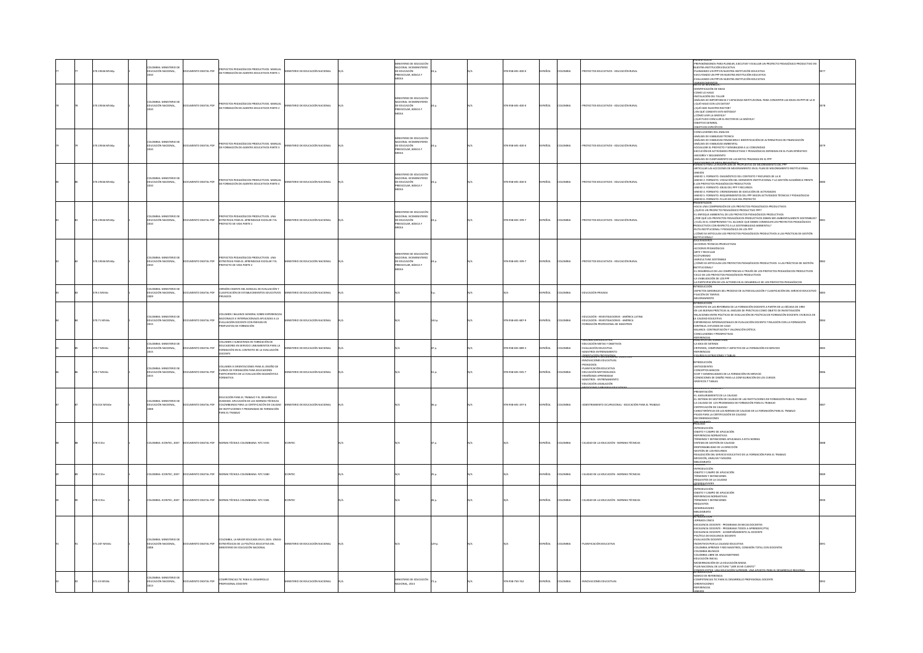|  | 0.19346 MS34o   | OMBIA: MINISTERIO DI<br>JUCACIÓN NACIONAL           | CUMENTO DIGITAL PDF             | ROYECTOS PEDAGÓGICOS PRODUCTIVOS, MANUAL<br>DE FORMACIÓN DE AGENTES EDUCATIVOS PARTE 1                                                                                                                | ISTERIO DE EDUCACIÓN NACIONAL        | INISTERIO DE EDUCACIÓ<br><b>IACIONAL VICEMINISTERIO</b><br>DE EDUCACIÓN<br>REESCOLAR, BÁSICA Y<br><b>EDIA</b>                |  | 78-958-691-400-0  | SPAÑOL        | OMRIA   | ROYECTOS EDUCATIVOS - EDUCACIÓN RURAL                                                                                                                                                                        | -<br>PREPARÁNDONOS PARA PLANEAR, EJECUTAR Y EVALUAR UN PROYECTO PEDAGÓGICO PRODUCTIVO E<br>NUESTRA INSTITUCIÓN EDUCATIVA<br>-<br>PLANEANDO UN PPP EN NUESTRA INSTITUCIÓN EDUCATIVA<br>FOUTANDO UN PRE FN NUFSTRA INSTITUCIÓN FDUCATIVA<br>LUANDO UN PPP EN NUESTRA INSTITUCIÓN EDUCATIVA                                                                                                                                                                                                                                                                                                                                                                                                |  |
|--|-----------------|-----------------------------------------------------|---------------------------------|-------------------------------------------------------------------------------------------------------------------------------------------------------------------------------------------------------|--------------------------------------|------------------------------------------------------------------------------------------------------------------------------|--|-------------------|---------------|---------|--------------------------------------------------------------------------------------------------------------------------------------------------------------------------------------------------------------|-----------------------------------------------------------------------------------------------------------------------------------------------------------------------------------------------------------------------------------------------------------------------------------------------------------------------------------------------------------------------------------------------------------------------------------------------------------------------------------------------------------------------------------------------------------------------------------------------------------------------------------------------------------------------------------------|--|
|  | 370.19346 MS34o | LOMBIA: MINISTERIO DI<br><b>UCACIÓN NACIONAL</b>    | OCUMENTO DIGITAL PDF            | PROYECTOS PEDAGÓGICOS PRODUCTIVOS. MANUAL<br>DE FORMACIÓN DE AGENTES EDUCATIVOS PARTE 2                                                                                                               | <b>NSTERIO DE EDUCACIÓN NACIONAL</b> | NISTERIO DE EDUCACIÓ<br>.<br>«ACIONAL VICEMINISTER<br>»E EDUCACIÓN<br>REESCOLAR, BÁSICA Y                                    |  | 78-958-691-400-0  | SPAÑOL        | I OMRIA | ROYECTOS EDUCATIVOS - EDUCACIÓN RURA                                                                                                                                                                         | <b>GRADECIMENTOS</b><br>IDENTIFICACIÓN DE IDEAS<br>COMO LO HAGO<br>INSTALACIÓN DEL TALLER<br>-INSILIANAIS DE IMPORTANCIA Y CAPACIDAD INSTITUCIONAL PARA CONVERTIR LAS IDEAS EN PPP DE LA IE<br>-LOUÁLISS DE IMPORTANCIA Y CAPACIDAD INSTITUCIONAL PARA CONVERTIR LAS IDEAS EN PPP DE LA IE<br>-LOUÉ HADO CON ILO SANTOS?<br>-LEN QUÉ<br>-¿CÓMO LEER LA GRÁFICA?<br>-VOUÉ PUDO CONCLUIR EL RECTOR DE LA GRÁFICA?<br>OBJETIVO GENERAL                                                                                                                                                                                                                                                     |  |
|  | 70.19346 MS34p  | .<br>DLOMBIA: MINISTERIO DE<br>DUCACIÓN NACIONAL,   | OCUMENTO DIGITAL PDF            | PROYECTOS PEDAGÓGICOS PRODUCTIVOS. MANUAL<br>DE FORMACIÓN DE AGENTES EDUCATIVOS PARTE 3                                                                                                               | INISTERIO DE EDUCACIÓN NACIONAL      | <b>STERIO DE EDUCACIÓ</b><br>NACIONAL VICEMINISTERIO<br>DE EDUCACIÓN<br>REESCOLAR, BÁSICA Y<br><b>FOIA</b>                   |  | 178-958-691-400-0 | ESPAÑOL       | LOMBIA  | PROYECTOS EDUCATIVOS - EDUCACIÓN RURAL                                                                                                                                                                       | <b>QAJETIVOS ESPECÍFICO</b><br>USAI IVIOS MISITUOJEMAS<br>- ANÁLISIS DE VIABILIDAD TÉCNICA<br>- ANÁLISIS DE VIABILIDAD FRANCOERA E IDENTIFICACIÓN DE ALTERNATIVAS DE FINANCIACIÓN<br>- ANÁLISIS DE VIABILIDAD RAMBIENTAL<br>- ANÁLISIS DE VIABILIDAD AMBIENTAL<br>SOCIALIZAR EL PROYECTO Y SENSIBILIZAR A LA COMUNIDAD<br>-EJECUCIÓN DE ACTIVIDADES PRODUCTIVAS Y PEDAGÓGICAS DEFINIDAS EN EL PLAN OPERATIVO<br>ASESORÍA Y SEGUIMIENTO<br><b>WHISK DECUMPUMENTO DE LAS METAS TRAZADAS EN EL PPP</b>                                                                                                                                                                                     |  |
|  | 007266 MSS40    | LOMBIA: MINISTERIO DI<br>IMPOUNDED IN VEHICLE       | NUMENTO DIGITAL PDF             | ROYECTOS PEDAGÓGICOS PRODUCTIVOS, MANUAL<br>DE FORMACIÓN DE AGENTES EDUCATIVOS PARTE 4                                                                                                                | ISTERIO DE EDUCACIÓN NACIONAL        | <b>ISTERIO DE EDUCACIÓ</b><br>NACIONAL VICEMINISTERIO<br>DE EDUCACIÓN<br><b>EESCOLAR, BÁSICA Y</b>                           |  | 0.008.691.400.0   | <b>IORAGE</b> | I OMRIA | ROYFCTOS EDUCATIVOS - EDUCACIÓN RURAL                                                                                                                                                                        | OCCHOOST OF HATH AFOLOGICAL<br>RMANTO PARA LA INSCRIPCIÓN DE PROPUESTAS DE MEJORAMIENTO DEL PPP<br>RTICULAR LAS ACCCIONES DE MEJORAMIENTO EN EL PLAN DE MEJORAMIENTO INSTITUCIONAL<br>-ANEXOS<br>-ANEXO 1: FORMATO: DIAGNÓSTICO DEL CONTEXTO Y RECURSOS DE LA IE<br>-ANEXO 2: FORMATO: VOCACIÓN DEL HORIZONTE INSTITUCIONAL Y LA GESTIÓN ACADÉMICA FRENTE<br>LOS PROYECTOS PEDAGÓGICOS PRODUCTIVOS<br>A NOS FRONTECLO F CONSULTANT FRONT CONTROL EST DE MONDERNATION DE ACTIVIDADES<br>-ANEXO 3: FORMATO: CRONOGRAMA DE EJECUCIÓN DE ACTIVIDADES<br>-ANEXO 5: FORMATO: REQUERIMIENTOS DEL PPP SEGÚN ACTIVIDADES TÉCNICAS Y PEDAGÓGICAS<br>-ANEXO 6: FORMATO: FLUJO DE CAJA DEL PROYECTO |  |
|  | 70.19346 MS34p  | LOMBIA: MINISTERIO DI<br>UCACIÓN NACIONAL,          | CUMENTO DIGITAL PDF             | WECTOS REDAGÓGICOS RRODUCTIVOS LINA<br>PROTECTOS PEDRIQUITOS PRODUCTIVOS: ONA<br>ESTRATEGIA PARA EL APRENDIZAJE ESCOLAR Y EL                                                                          | <b>ISTERIO DE EDUCACIÓN NACIONAL</b> | NISTERIO DE EDUCACIÓ<br>WINSTERIO DE EDOCACI<br>VACIONAL VICEMINISTEI<br>DE EDUCACIÓN<br>PREESCOLAR, BÁSICA Y<br><b>EDIA</b> |  | 178-958-691-399-7 | SPAÑOL        | LOMBIA  | ROYECTOS EDUCATIVOS - EDUCACIÓN RURA                                                                                                                                                                         | RESENTACIÓN<br>-HACIA UNA COMPRENSIÓN DE LOS PROYECTOS PEDAGÓGICOS PRODUCTIVOS<br>-JOUÉ ES UN PROYECTO PEDAGÓGICO PRODUCTIVO PPP?<br>EL ENFOQUE AMBIENTAL DE LOS PROYECTOS PEDAGÓGICOS PRODUCTIVOS<br>- EL BIPOLOGIC AMMIENTAL LE ELLO TRULPOLOGICO PRODUCTIVOS DEBEN SER AMMIENTALMENTE SOSTENIBLES?<br>- L'UDA QUÈ LOS PROYECTOS PEDAGÓGICOS PRODUCTIVOS DEBEN SER AMMIENTALMENTE SOSTENIBLES?<br>- L'UDAL ES EL COMPROMISO Y EL ALCANEZ<br>CÓMO SE ARTICULAN LOS PROYECTOS PEDAGÓGICOS PRODUCTIVOS A LAS PRÁCTICAS DE GESTIÓN<br>NSTITUCIONAL?<br>FOOCRIADEROS                                                                                                                       |  |
|  | 70.19346 M534p  | LOMBIA: MINISTERIO DE<br>UCACIÓN NACIONAL,          | DOCUMENTO DIGITAL PDF           | COS PRODUCTIVOS. UNA<br>PROYECTOS PEDAGÓGICOS PRODUCTIVOS. UNA<br>ESTRATEGIA PARA EL APRENDIZAJE ESCOLAR Y EL<br>OYECTO DE VIDA PARTE 2                                                               | <b>WSTERIO DE EDUCACIÓN NACIONAL</b> | STERIO DE EDUCACIÓ<br>NACIONAL VICEMINISTERIO<br>DE EDUCACIÓN<br>REESCOLAR, BÁSICA Y<br><b>EDIA</b>                          |  | 178-958-691-399-7 | SPAÑOL        | OLOMBIA | ROYECTOS EDUCATIVOS - EDUCACIÓN RURAL                                                                                                                                                                        | ACCIONES TÉCNICAS PRODUCTIVAS<br>-RECORD TECHNOLY MODE<br>-ACCIONES PEDAGÓGICAS<br>-ECOTURISMO<br>AGRICULTURA SOSTENIBLE<br>AGINEDE FUIR SOSTENIDE.<br>¿CÓMO SE ARTICULAN LOS PROYECTOS PEDAGÓGICOS PRODUCTIVOS A LAS PRÁCTICAS DE GESTIÓN<br>TITUCIONAL?<br>-EL DESARROLLO DE LAS COMPETENCIAS A TRAVÉS DE LOS PROYECTOS PEDAGÓGICOS PRODUCTIVOS<br>CICLO DE LOS PROYECTOS PEDAGÓGICOS PRODUCTIVOS<br>VIARI IZACIÓN DE LOS PRR<br>LA PARTICIPACIÓN DE LOS ACTORES EN EL DESARROLLO DE LOS PROYECTOS PED                                                                                                                                                                                |  |
|  | 20 3 M S &      | LOMBIA: MINISTERIO DE<br>UCACIÓN NACIONAL,          | MENTO DIGITAL PDF               | ERSIÓN VIGENTE DEL MANUAL DE EVALUACIÓN Y<br>LASIFICACIÓN DE ESTABLECIMIENTOS EDUCATIVOS<br>ADOS                                                                                                      | STERIO DE EDUCACIÓN NACIONAL         |                                                                                                                              |  |                   | <b>IOBA</b>   | OMRIA   | DUCACIÓN PRIVADA                                                                                                                                                                                             | <b>INTRODUCCIÓN</b><br>-<br>-ASPECTOS GENERALES DEL PROCESO DE AUTOEVALUACIÓN Y CLASIFICACIÓN DEL SERVICIO EDUCATIVO<br><b>FUACIÓN DE TARIFAS</b>                                                                                                                                                                                                                                                                                                                                                                                                                                                                                                                                       |  |
|  | 0.71 M534v      | .<br>COLOMBIA: MINISTERIO DE<br>EDUCACIÓN NACIONAL, | MENTO DIGITAL PDF               | VOLUMEN I BALANCE GENERAL SOBRE EXPERIENCIAS<br>NACIONALES E INTERNACIONALES APLICADAS A LA<br>EVALUACIÓN DOCENTE CON ÉNFASIS EN<br><b>IOPUESTAS DE FORMACIÓN</b>                                     | STERIO DE EDUCACI                    |                                                                                                                              |  | 78-958-691-887-9  | PAÑOL         |         | EDUCACIÓN - INVESTIGACIONES - AMÉRICA LATINA<br>EDUCACIÓN - INVESTIGACIONES - AMÉRICA<br>FORMACIÓN PROFESIONAL DE MAESTROS                                                                                   | RODUCCIÓN<br>ONTEXTO DE LAS REFORMAS DE LA FORMACIÓN DOCENTE A PARTIR DE LA DÉCADA DE 1990<br>-LOMITERIA DE LAS REACTIONAIS DE LA FUTAMMAJON DUCENTIE A PARTIT DE LA DELSIAN DE 2010<br>- DE LAS BUERAS PRÁCTICAS AL ANÁLISIS DE PRÁCTICAS COMO OBJETO DE INVESTIGACIÓN<br>- RELACIONES ENTRE POLÍTICAS DE EVALUACIÓN DE POLÍTICAS<br>-EXPERIENCIAS INTERNACIONALES DE EVALUACIÓN DOCENTE Y RELACIÓN CON LA FORMACIÓN<br>CONTINUA: ESTUDIOS DE CASO<br>-BALANCE: CONTRASTACIÓN Y VALORACIÓN CRÍTICA<br>CONCLUSIONES Y PROSPECTIVAS                                                                                                                                                      |  |
|  | 0.7 MS34v       | LOMBIA: MINISTERIO DE<br>UCACIÓN NACIONAL           | UMENTO DIGITAL PDF              | VOLUMEN II SUBSISTEMA DE FORMACIÓN DE<br>DUCADORES EN SERVICIO LINEAMIENTOS PARA LA<br>MMACIÓN EN EL CONTEXTO DE LA EVALUACIÓN<br>OCENTE                                                              | <b>NSTERIO DE EDUCACIÓN NACIONAL</b> |                                                                                                                              |  | 78-958-691-889-3  | PAÑOL         | OMRIA   | ALORACIÓN EDUCATIVA<br>EDUCACIÓN-METAS Y OBJETIVOS<br>- EVALUACIÓN EDUCATIVA<br>MARSTROS ENTRENAMENTO                                                                                                        | REFERENCIAS<br>PRINCIPIOS DEL SUBSISTEMA<br>-LA IDEA DE SISTEMA<br>-CRITERIOS, COMPONENTES Y ASPECTOS DE LA FORMACIÓN EN SERVICIO<br>REFERENCIAS                                                                                                                                                                                                                                                                                                                                                                                                                                                                                                                                        |  |
|  | 7 MS34          | )<br>LOMBIA: MINISTERIO DE<br>JUCACIÓN NACIONAL,    | <b><i>MENTO DIGITAL PDR</i></b> | VOLUMEN III ORIENTACIONES PARA EL DISEÑO DE<br>CURSOS DE FORMACIÓN PARA EDUCADORES<br>ARTICIPANTES DE LA EVALUACIÓN DIAGNÓSTICA<br>AVITAMS                                                            | TERIO DE EDUCACIÓN NACIONAL          |                                                                                                                              |  | 8-958-691-935-7   | AÑOL          |         | RIENTACIÓN PROFESIONAL<br>INOVACIONES EDUCATIVAS<br>PEDAGOGÍA<br>PEDAGOGÍA<br>PLANIFICACIÓN EDUCATIVA<br>EDUCACIÓN METODOLOGÍA<br>ENSEÑANZA APRENDIZAJE<br>MAESTROS - ENTRENAMIENTO<br>EDUCACIÓN LEGISLACIÓN | <b>TROOLOOD</b><br>INTRODUCIÓN<br>-ANTECEDENTES<br>-CONCEPTOS BÁSICOS<br>-ECDF Y GENERALIDADES DE LA FORMACIÓN EN SERVICIO<br>CONDICIONES DE DISEÑO PARA LA CONFIGURACIÓN DE LOS CURSOS<br>GRÁFICOS Y TABLAS                                                                                                                                                                                                                                                                                                                                                                                                                                                                            |  |
|  | 374.013 MS34e   | LOMBIA: MINISTERIO DE<br>DUCACIÓN NACIONAL          | CUMENTO DIGITAL PDF             | DUCACIÓN PARA EL TRABAJO Y EL DESARROLLO<br>HUMANO, APLICACIÓN DE LAS NORMAS TÉCNICAS<br>COLOMBIANAS PARA LA CERTIFICACIÓN DE CALIDAD<br>DE INSTITUCIONES Y PROGRAMAS DE FORMACIÓN<br>PARA EL TRABAJO | INSTERIO DE EDUCACIÓN NACIONAL       |                                                                                                                              |  | 78-958-691-297-6  | SPAÑOL        | LOMBIA  | ADIESTRAMIENTO OCUPACIONAL - EDUCACIÓN PARA EL TRABAJO                                                                                                                                                       | -PRESENTACIÓN<br>EL ASEGURAMIENTO DE LA CALIDAD<br>EL SISTEMA DE GESTIÓN DE CAUDAD DE LAS INSTITUCIONES DE FORMACIÓN PARA EL TRABAJO<br>-LA CALIDAD DE LOS PROGRAMAS DE FORMACIÓN PARA EL TRABAJO<br>CERTIFICACIÓN DE CALIDAD<br>.<br>ARACTERÍSTICAS DE LAS NORMAS DE CALIDAD DE LA FORMACIÓN PARA EL TRABAJO<br>-PASOS PARA LA CERTIFICACIÓN DE CALIDAD<br>-RECOMENDACIONES<br>PROLOGO                                                                                                                                                                                                                                                                                                 |  |
|  | IC15n           | MBIA: ICONTEC, 2007                                 | MENTO DIGITAL PDF               | <b>DRMA TÉCNICA COLO</b><br>WA NTC 5555                                                                                                                                                               |                                      |                                                                                                                              |  |                   |               |         | ALIDAD DE LA EDUCACIÓN - NORMAS TÉCNICAS                                                                                                                                                                     | INTRODUCCIÓN<br>-OBJETO Y CAMPO DE APLICACIÓN<br>-JAEFERENCIAS NORMATIVAS<br>-REFERENCIAS NORMATIVAS<br>-TÉRMINOS Y DEFINICIONES APLICABLES A ESTA NORMA<br>-SISTEMA DE GESTIÓN DE CALIDAD<br>-RESPONSABILIDAD DE LA DIRECCIÓN<br><b>GESTIÓN DE LOS RECURSOS</b><br>-REAUZACIÓN DEL SERVICIO EDUCATIVO DE LA FORMACIÓN PARA EL TRABAJO<br><b>JEDICIÓN, ANÁLISIS Y MEJORA</b><br>BIBLIOGRAFÍA                                                                                                                                                                                                                                                                                            |  |
|  | 78 (C15n)       | DLOMBIA: ICONTEC. 2007                              | DOCUMENTO DIGITAL PDF           | NORMA TÉCNICA COLOMBIANA NTC 5580                                                                                                                                                                     | ONTEC                                |                                                                                                                              |  |                   | AÑOL          | LOMBIA  | CALIDAD DE LA EDUCACIÓN - NORMAS TÉCNICAS                                                                                                                                                                    | INTRODUCCIÓN<br>OBJETO Y CAMPO DE APLICACIÓN<br>TÉRMINOS Y DEFINICIONES<br>FOUNTOS DE LA CALIDAD                                                                                                                                                                                                                                                                                                                                                                                                                                                                                                                                                                                        |  |
|  | B IC15n         | OMBIA: ICONTEC, 2007                                | POCUMENTO DIGITAL PDF           | ORMA TÉCNICA COLOMBIANA NTC 5581                                                                                                                                                                      |                                      |                                                                                                                              |  |                   |               |         | .<br>CALIDAD DE LA EDUCACIÓN - NORMAS TÉCNICAS                                                                                                                                                               | <b>INTRODUCCIÓN</b><br>-INTRODUCTION<br>- GEFERENCIAS NORMATIVAS<br>- REFERENCIAS NORMATIVAS<br>- TÉRMINOS Y DEFINICIONES<br>- REQUISITOS<br>-GENERALIDADES<br><b>ARABOUSBB</b>                                                                                                                                                                                                                                                                                                                                                                                                                                                                                                         |  |
|  | 71.207 MS34c    | )LOMBIA: MINISTERIO DE<br>JUCACIÓN NACIONAL,        | OCUMENTO DIGITAL PDF            | .<br>COLOMBIA, LA MEJOR EDUCADA EN EL 2025. LÍNEAS<br>ESTRATÉGICAS DE LA POLÍTICA EDUCATIVA DEL<br>INISTERIO DE EDUCACIÓN NACIONAL                                                                    | INISTERIO DE EDUCACIÓN NACIONAL      |                                                                                                                              |  |                   | <b>Viol</b>   |         | LANIFICACIÓN EDUCATIVA                                                                                                                                                                                       | JORNADA ÚNICA<br>-EXCELENCIA DOCENTE - PROGRAMA DE BECAS DOCENTES<br>EXCELENCIA DOCENTE - PROGRAMA TODOS A APRENDER (PTA)<br>-EALELENCIA DOCENTE - PROGRAMA TODOS A APRENDER  <br>-EXCELENCIA DOCENTE - ACOMPAÑAMIENTO AL DOCENTE<br>- POLÍTICA DE EXCELENCIA DOCENTE<br>-EVALUACIÓN DOCENTE<br>-INCENTIVOS POR LA CALIDAD EDUCATIVA<br>-COLOMBIA APRENDE Y RED MAESTROS, CONEXIÓN TOTAL CON DOCENTES<br>COLOMBIA BILINGÜE<br>COLOMBIA LIBRE DE ANALEARETISMO<br>-COLOMBIA LIBRE DE AMALFABETISMO<br>-EDUCACIÓN INICIAL<br>-MODERNIZACIÓN DE LA EDUCACIÓN MEDIA<br>-PLAN NACIONAL DE LECTURA "LEER ES MI CUENTO"<br>INDOS ICETEX, UNA EDUCACIÓN SUPERIOR, UNA APUE                      |  |
|  | 71.33 M534c     | LOMBIA: MINISTERIO DI<br>UCACIÓN NACIONAL           | <b>OCUMENTO DIGITAL PDF</b>     | COMPETENCIAS TIC PARA EL DESARROLLO<br><b>IDFESIONAL DOCENTE</b>                                                                                                                                      | ISTERIO DE EDUCACIÓN NACIONAL        | INISTERIO DE EDUCACIÓN<br>CIONAL, 2013                                                                                       |  | 78-958-750-762    | PAÑOL         | LOMBIA  | NNOVACIONES EDUCATIVAS                                                                                                                                                                                       | MARCO DE REFERENCIA<br>COMPETENCIAS TIC PARA EL DESARROLLO PROFESIONAL DOCENTE<br>-COMPETENCION<br>-ORIENTACIONES<br>-REFERENCIAS                                                                                                                                                                                                                                                                                                                                                                                                                                                                                                                                                       |  |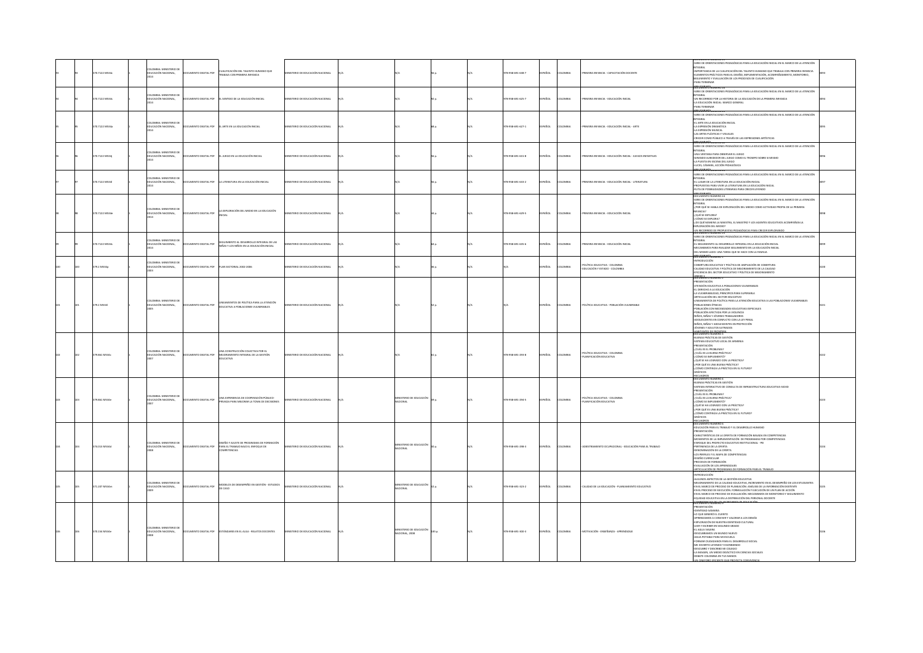|  |                |                                                    |                              |                                                                                                                                      |                                       |                                         |        |                   |                |                |                                                              | -SERIE DE ORIENTACIONES PEDAGÓGICAS PARA LA EDUCACIÓN INICIAL EN EL MARCO DE LA ATENCIÓN                                                                                                                                                                                                                                                                                                                                                                                                                                                                                                                                                                                                                     |  |
|--|----------------|----------------------------------------------------|------------------------------|--------------------------------------------------------------------------------------------------------------------------------------|---------------------------------------|-----------------------------------------|--------|-------------------|----------------|----------------|--------------------------------------------------------------|--------------------------------------------------------------------------------------------------------------------------------------------------------------------------------------------------------------------------------------------------------------------------------------------------------------------------------------------------------------------------------------------------------------------------------------------------------------------------------------------------------------------------------------------------------------------------------------------------------------------------------------------------------------------------------------------------------------|--|
|  | 370.7122 MS34c | <b>DMBIA: MINISTERIO DE</b><br>UCACIÓN NACIONAL    | <b>OCUMENTO DIGITAL PDF</b>  | UALIFICACIÓN DEL TALENTO HUMANO QUE<br>ABAJA CON PRIMERA INFANCIA                                                                    | <b>NSTERIO DE EDUCACIÓN NACIONAL</b>  |                                         |        | 078-058-601-638-7 | SPAÑOL         | <b>OLOMBIA</b> | RIMERA INFANCIA - CAPACITACIÓN DOCENTE                       | NTEGRAL<br>IMPORTANCIA DE LA CUALIFICACIÓN DEL TALENTO HUMANO QUE TRABAJA CON PRIMERA INFANCIA<br>ELEMENTOS PRÁCTICOS PARA EL DISEÑO, IMPLEMENTACIÓN, ACOMPAÑAMIENTO, MONITOREO.<br>GUIMIENTO Y EVALUACIÓN DE LOS PROCESOS DE CUALIFICACIÓN<br><b>PARA TERMINAR</b>                                                                                                                                                                                                                                                                                                                                                                                                                                          |  |
|  | 370.7122 M534s | LOMBIA: MINISTERIO DE<br>EDUCACIÓN NACIONAL,       | OCUMENTO DIGITAL PDF         | L SENTIDO DE LA EDUCACIÓN INICIAL                                                                                                    | <b>NSTERIO DE EDUCACIÓN NACIONAL</b>  |                                         |        | 178-958-691-625-7 | ESPAÑOL        | LOMBIA         | RIMERA INFANCIA - EDUCACIÓN INICIAL                          | <b>OLUMENTÓ NUMENO 20</b><br>-SERIE DE ORIENTACIONES PEDAGÓGICAS PARA LA EDUCACIÓN INICIAL EN EL MARCO DE LA ATENCIÓN<br><b>INTEGRAL</b><br>UN RECORRIDO POR LA HISTORIA DE LA EDUCACIÓN DE LA PRIMERA INFANCIA<br>-LA EDUCACIÓN INICIAL: MARCO GENERAL<br>PARA TERMINAR                                                                                                                                                                                                                                                                                                                                                                                                                                     |  |
|  | 370.7122 M534a | LOMBIA: MINISTERIO DE<br>EDUCACIÓN NACIONAL        | <b>OCUMENTO DIGITAL PDF</b>  | LARTE EN LA EDUCACIÓN INICIAL                                                                                                        | NISTERIO DE EDUCACIÓN NACIONAL        |                                         |        | 078-058-601-627-1 | <b>ESPAÑOL</b> | <b>OLOMBIA</b> | RIMERA INFANCIA - EDUCACIÓN INICIAL - ARTE                   | -SERIE DE ORIENTACIONES PEDAGÓGICAS PARA LA EDUCACIÓN INICIAL EN EL MARCO DE LA ATENCIÓN<br>-EL ARTE EN LA EDUCACIÓN INICIAL<br>-LA EXPRESIÓN DRAMÁTICA<br>LA EXPRESIÓN MUSICAL<br>LAS ARTES PLÁSTICAS Y VISUALES<br>-CRECER COMO PÚBLICO A TRAVÉS DE LAS EXPRESIONES ARTÍSTICAS                                                                                                                                                                                                                                                                                                                                                                                                                             |  |
|  | 370.7122 MS34i | LOMBIA: MINISTERIO DE<br>EDUCACIÓN NACIONAL        | OCUMENTO DIGITAL PDF         | LJUEGO EN LA EDUCACIÓN INICIAL                                                                                                       | NISTERIO DE EDUCACIÓN NACIONAL        |                                         |        | 78-958-691-631-8  | SPAÑOL         | OMRIA          | RIMERA INFANCIA - EDUCACIÓN INICIAL - JUEGOS INFANTILES      | -<br>SERIE DE ORIENTACIONES PEDAGÓGICAS PARA LA EDUCACIÓN INICIAL EN EL MARCO DE LA ATENCIÓN<br>NTEGRAL<br>-<br>-UNA VENTANA PARA OBSERVAR EL JUEGO<br>-GIRANDO ALREDEDOR DEL JUEGO COMO EL TROMPO SOBRE SI MISMO<br>-LA PUESTA EN ESCENA DEL JUEGO<br>JUICES CÁMARA ACCIÓN PEDAGÓGICA                                                                                                                                                                                                                                                                                                                                                                                                                       |  |
|  | 370.7122 MS34  | MBIA: MINISTERIO DE<br>EDUCACIÓN NACIONAL,         | OCUMENTO DIGITAL PDF         | LITERATURA EN LA EDUCACIÓN INICIAL                                                                                                   | NISTERIO DE EDUCACIÓN NACIONAL        |                                         |        | 178-958-691-633-2 | <b>SPAÑOL</b>  | LOMBIA         | RIMERA INFANCIA - EDUCACIÓN INICIAL - LITERATURA             | <b>SLUMENTO NUMERU 2:</b><br>-SERIE DE ORIENTACIONES PEDAGÓGICAS PARA LA EDUCACIÓN INICIAL EN EL MARCO DE LA ATENCIÓN<br>-EL LUGAR DE LA LITERATURA EN LA EDUCACIÓN INICIAL<br>PROPIESTAS PARA VIVIR LA LITERATURA EN LA FOLICACIÓN INICIAL<br>-RUTA DE POSIBILIDADES LITERARIAS PARA CRECER LEYENDO                                                                                                                                                                                                                                                                                                                                                                                                         |  |
|  | 370.7122 M534e | LOMBIA: MINISTERIO DE<br>EDUCACIÓN NACIONAL        | CUMENTO DIGITAL PDF          | A EXPLORACIÓN DEL MEDIO EN LA EDUCACIÓN                                                                                              | <b>NSTERIO DE EDUCACIÓN NACIONAL</b>  |                                         |        | 078-058-601-620-5 | SPAÑOL         | LOMBIA         | RIMERA INFANCIA - EDUCACIÓN INICIAL                          | DOCUMENTO NUMERO 24<br>-<br>SERIE DE ORIENTACIONES PEDAGÓGICAS PARA LA EDUCACIÓN INICIAL EN EL MARCO DE LA ATENCIÓN<br>NTEGRAL<br>-<br>¿POR QUÉ SE HABLA DE EXPLORACIÓN DEL MEDIO COMO ACTIVIDAD PROPIA DE LA PRIMERA<br>(FANCIA)<br>-LOUE SE EXPLORA?<br>-¿CÓMO SE EXPLORA?<br>JOE OUE MANERA LA MAESTRA. EL MAESTRO Y LOS AGENTES EDUCATIVOS ACOMPAÑAN LA<br>KPLORACIÓN DEL MEDIO?<br>UN RECORRIDO DE PROPUESTAS PEDAGÓGICAS PARA CRECER EXPLORANDO                                                                                                                                                                                                                                                        |  |
|  | 370.7122 M534s | OMBIA: MINISTERIO D<br>EDUCACIÓN NACIONAL,         | OCUMENTO DIGITAL PDF         | GUIMIENTO AL DESARROLLO INTEGRAL DE LAS<br>HÑAS Y LOS NIÑOS EN LA EDUCACIÓN INICIAL                                                  | <b>ASTERIO DE EDUCACIÓN NACIONAL</b>  |                                         |        | 078-058-601-635-6 | JORAGE         | LOMBIA         | RIMERA INFANCIA - EDUCACIÓN INICIAL                          | -SERIE DE ORIENTACIONES PEDAGÓGICAS PARA LA EDUCACIÓN INICIAL EN EL MARCO DE LA ATENCIÓN<br><b>ITEGRAL</b><br>-EL SEGUIMIENTO AL DESARROLLO INTEGRAL EN LA EDUCACIÓN INICIAL<br>MECANISMOS PARA REALIZAR SEGUIMIENTO EN LA EDUCACIÓN INICIAL<br>DEL MISMO LADO: UNA TAREA QUE SE HACE CON LA FAMILIA<br><b>BIBLIOGRAFÍA</b> MARINETT                                                                                                                                                                                                                                                                                                                                                                         |  |
|  | 379.2 MS34p    | LOMBIA: MINISTERIO DE<br>EDUCACIÓN NACIONAL,       | CUMENTO DIGITAL PDF          | LAN SECTORIAL 2002-2006                                                                                                              | <b>VISTERIO DE EDUCACIÓN NACIONAL</b> |                                         |        |                   | PAÑOL          | OMRIA          | OLÍTICA EDUCATIVA - COLOMBIA<br>DUCACIÓN Y ESTADO - COLOMBIA | INTRODUCCIÓN<br>-COBERTURA EDUCATIVA Y POLÍTICA DE AMPLIACIÓN DE COBERTURA<br>-CALIDAD EDUCATIVA Y POLÍTICA DE MEJORAMIENTO DE LA CALIDAD<br>-EFICIENCIA DEL SECTOR EDUCATIVO Y POLÍTICA DE MEJORAMIENTO                                                                                                                                                                                                                                                                                                                                                                                                                                                                                                     |  |
|  | 379.2 MS34I    | OMBIA: MINISTERIO DE<br>EDUCACIÓN NACIONAL,        | OCUMENTO DIGITAL PDF         | UNEAMIENTOS DE POLÍTICA PARA LA ATENCIÓN<br>DUCATIVA A POBLACIONES VULNERABLES                                                       | <b>USTERIO DE EDUCACIÓN NACIONAL</b>  |                                         |        |                   | SPAÑOL         | LOMBIA         | POLÍTICA EDUCATIVA - POBLACIÓN VULNERABLE                    | <b>ANEXAZATO NUME</b><br>DOCUMENTO NOMENO 2<br>-PRESENTACIÓN<br>-ATENCIÓN EDUCATIVA A POBLACIONES VULNERABLES<br>EL DERECHO A LA EDUCACIÓN<br>-LA VULNERABILIDAD, PRINCIPIOS PARA SUPERARLA<br>-UN VULKINDINING / FIRINT INDIANA UN LINNIA<br>-ARTICULACIÓN DEL SECTOR EDUCATIVO<br>-LINEAMIENTOS DE POLÍTICA PARA LA ATENCIÓN EDUCATIVA A LAS POBLACIONES VULNERABLES<br>POBLACIONES ÉTNICAS<br><b>JOBI ACIÓN CON NECESIDADES EDUCATIVAS ESPECIALES</b><br>-POBLACIÓN AFECTADA POR LA VIOLENCIA<br>-POBLACIÓN AFECTADA POR LA VIOLENCIA<br>-NIÑOS, NIÑAS Y JÓVENES TRABAJADORES<br>ADOLESCENTES EN CONFLICTO CON LA LEY PENAL<br>-NIÑOS, NIÑAS Y ADOLESCENTES EN PROTECCIÓN<br>-JÓVENES Y ADULTOS ILETRADOS |  |
|  | 379.861 MS34c  | <b>IMBIA: MINISTERIO DE</b><br>EDUCACIÓN NACIONAL, | <b>DOCUMENTO DIGITAL PDF</b> | UNA CONSTRUCCIÓN COLECTIVA POR EL<br>MEJORAMIENTO INTEGRAL DE LA GESTIÓN<br>DUCATIVA                                                 | INSTERIO DE EDUCACIÓN NACIONAL        |                                         |        | 078-058-601-293-8 | ESPAÑOL        | OLOMBIA        | OLÍTICA EDUCATIVA - COLOMBIA<br>LANIFICACIÓN EDUCATIVA       | HABITANTES DE FRONTERA<br>OOCUMENTO NUMERO 3<br>BUENAS PRÁCTICAS DE GESTIÓN<br>-SISTEMA EDUCATIVO LOCAL DE ARMENIA<br>PRESENTACIÓN<br>-FRESENTACION<br>-¿CUÁL ES EL PROBLEMA?<br>-¿CUÁL ES LA BUENA PRÁCTICA?<br>-¿CÓMO SE IMPLEMENTÓ?<br>-/ QUÉ SE HA LOGRADO CON LA PRÁCTICA?<br>-COOK QUE ES UNA BUENA PRÁCTICA?<br>-¿POR QUE ES UNA BUENA PRÁCTICA?<br>-¿CÓMO CONTINÚA LA PRÁCTICA EN EL FUTURO?<br>-GRÁFICOS                                                                                                                                                                                                                                                                                            |  |
|  | 79.861 MS34    | OMBIA: MINISTERIO D<br>CACIÓN NACIONAL,            |                              | <b>MA EXPERIENCIA DE COOPERACIÓN PÚBLICO.</b><br>VADA PARA MEJORAR LA TOMA DE DECISIONES                                             | <b>STERIO DE EDUCACIÓN NACIONA</b>    | NISTERIO DE EDUCACIÓ<br>CIONAL          |        | 8-958-691-294-5   | AÑOL           |                | OLÍTICA EDUCATIVA - COLOMBIA<br>LANIFICACIÓN EDUCATIVA       | RECUADROS<br>IOCUMENTO NÚMERO 4<br>BUENAS PRÁCTICAS EN GESTIÓN<br>SISTEMA INTERACTIVO DE CONSULTA DE INFRAESTRUCTURA EDUCATIVA-SICIED<br>-PRESENTACIÓN<br>- / CUÁL ES EL PROBLEMA?<br><b>CUÁL ES LA BUENA PRÁCTICA?</b><br>CÓMO SE IMPLEMENTÓ?<br>-/ QUÉ SE HA LOGRADO CON LA PRÁCTICA?<br>JPOR OUF ESTINA BUFNA PRÁCTICA?<br>CÓMO CONTINÚA LA PRÁCTICA EN EL FUTURO?<br>GRÁFICOS                                                                                                                                                                                                                                                                                                                            |  |
|  | 4.013 MS34d    | LOMBIA: MINISTERIO DE<br><b>UCACIÓN NACIONAL</b>   | <b>IMENTO DIGITAL PDF</b>    | ISEÑO Y AJUSTE DE PROGRAMAS DE FORMACIÓN<br>UISENO TAJUSTE DE PROGRAMMAS DE FO<br>PARA EL TRABAJO BAJO EL ENFOQUE DE<br>COMPETENCIAS | STERIO DE EDUCACIÓN NACIONAL          | INISTERIO DE EDUCACIÓN                  |        | 78-958-691-298-3  | AÑOL           |                | DIESTRAMIENTO OCUPACIONAL - EDUCACIÓN PARA EL TRABAJO        | RECUADROS<br>DOCUMENTO NUMERO 6<br>EDUCACIÓN PARA EL TRABAJO Y EL DESARROLLO HUMANO<br>PRESENTACIÓN<br>-CARACTERÍSTICAS DE LA OFERTA DE FORMACIÓN BASADA EN COMPETENCIAS<br>-MOMENTOS DE LA IMPLEMENTACIÓN DE PROGRAMAS POR COMPETENCIAS<br>-ENFOQUE DEL PROYECTO EDUCATIVO INSTITUCIONAL - PEI<br>- PERTINENCIA DE LA OFERTA<br>- PERTINENCIA DE LA OFERTA<br>- DENOMINACIÓN DE LA OFERTA<br>- LOS PERFILES Y EL MAPA DE COMPETENCIAS<br>BA LINERIO ORRAD<br>-DISENU CORRICOLAR<br>-PROCESOS DE FORMACIÓN<br>-EVALUACIÓN DE LOS APRENDIZAJES<br>ARTICULACIÓN DE PROGRAMAS DE FORMACIÓN PARA EL TRABAJO.<br>JOCOMENTO NOMERO 8                                                                               |  |
|  | 371.207 MS34m  | COLOMBIA: MINISTERIO DE<br>EDUCACIÓN NACIONAL      | DOCUMENTO DIGITAL PDF        | MODELOS DE DESEMPEÑO EN GESTIÓN - ESTUDIOS<br>DE CASO                                                                                | NISTERIO DE EDUCACIÓN NACIONAL        | IINISTERIO DE EDUCACIÓN<br>ACIONAL      |        | 078-058-601-323-2 | <b>ESPAÑOL</b> | LOMBIA         | CALIDAD DE LA EDUCACIÓN - PLANEAMIENTO EDUCATIVO             | <b>INTRODUCCIÓN</b><br>ALGUNOS ASPECTOS DE LA GESTIÓN EDUCATIVA<br>-MEJORAMIENTO DE LA CALIDAD EDUCATIVA. INCREMENTO EN EL DESEMPEÑO DE LOS ESTUDIANTES<br>EN EL MARCO DE PROCESO DE PLANEACIÓN, ANÁLISIS DE LA INFORMACIÓN EXISTENTE<br>-IN EL PROCESO DE EJECUCIÓN. FORMULACIÓN Y EJECUCIÓN DE UN PLAN DE ACCIÓN<br>-EN EL PROCESO DE EJECUCIÓN. FORMULACIÓN Y EJECUCIÓN DE UN PLAN DE ACCIÓN<br>-EN EL MARCO DE PROCESO DE EVALUACIÓN. MECANISMOS DE MONITOREO Y SEGUIMIEN<br>-EQUIDAD EDUCATIVA EN LA DISTRIBUCIÓN DEL PERSONAL DOCENTE<br><b>CONSTRUCTS OF LOCK</b>                                                                                                                                     |  |
|  | 370.154 MS34e  | MBIA: MINISTERIO DE<br>EDUCACIÓN NACIONAL,         | DOCUMENTO DIGITAL PDF        | STÁNDARES EN EL AULA - RELATOS DOCENTES                                                                                              | INSTERIO DE EDUCACIÓN NACIONAL        | MINISTERIO DE EDUCACIÓN<br>CIONAL, 2008 | 185 p. | 978-958-691-300-3 | JORAGE         | OLOMBIA        | MOTIVACIÓN - ENSEÑANZA - APRENDIZAJE                         | -PRESENTACIÓN<br>IDENTIDAD SAMARIA<br>LO QUE GENERÓ EL CUENTO<br>-APRENDAMOS A CONVIVIR Y VALORAR A LOS DEMÁS<br>FIXED ORACLON OF NUFSTRA IDENTIDAD CULTURAL<br>-LEER Y ESCRIBIR EN SEGUNDO GRADO<br>-EL AGUA VIAJERA<br>-DESCUBRAMOS UN MUNDO NUEVO<br>-AGUA POTABLE PARA MI ESCUELA<br>FORMAR CIUDADANOS PARA EL DESARROLLO SOCIAL<br>-ME DIVIERTO LEYENDO Y ESCRIBIENDO<br>-DESCUBRO Y DESCRIBO MI COLEGIO<br>-DESCURRO Y DESCRIBO INTEGRADO<br>-LA IMAGEN, UN MEDIO DIDÁCTICO EN CIENCIAS SOCIALES<br>-DEBATE COLOMBIA EN TUS MANOS                                                                                                                                                                      |  |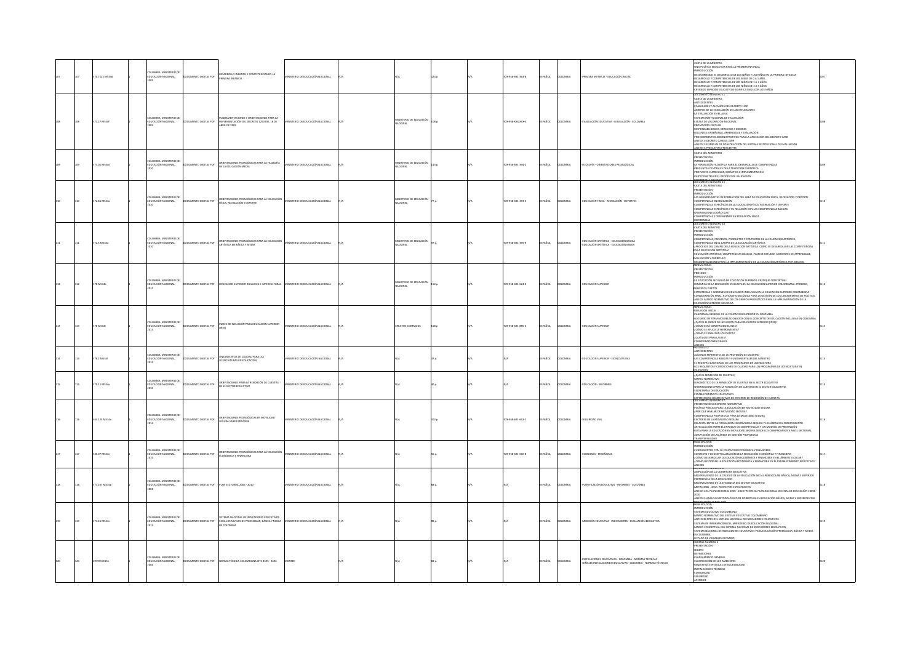|  | 70.7122 M534d |                                                     | OMBIA: MINISTERIO D<br><b>CACIÓN NACIONAL</b>         | UMENTO DIGITAL PDF          | ARROUG INFANTILY COMPETENCIAS EN LA<br>IMERA INFANCIA                                                                          | STERIO DE EDUCACIÓN NACIONAL         |                                         |       | 8-958-691-363-8  | PAÑOL  | CARGIA         | .<br>PRIMERA INFANCIA - EDUCACIÓN INICIAL                                                                                 | CARTA DE LA MINISTRA<br>JNA POLÍTICA EDUCATIVA PARA LA PRIMERA INFANCIA<br><b>INTRODUCCIÓN</b><br><b>SECURRIENDO EL DESARROLLO DE LOS NIÑOS Y LAS NIÑAS EN LA PRIMERA INFANCIA</b><br>DESCRIBINARS LE DESPIRIDAD DE EDS NIÑOS Y DES NINAS EN<br>DESARROLLO Y COMPETENCIAS DE LOS BEBES DE 0 A 1 AÑO<br>DESARROLLO Y COMPETENCIAS DE LOS NIÑOS DE 1 A 3 AÑOS<br>DESARROLLO Y COMPETENCIAS DE LOS NIÑOS DE 3 A 5 AÑOS<br>CREANING FSPACIOS EDUCATIVOS SISNIFICATIVOS CON LOS NUROS                                                                                                                                                                                                  |  |
|--|---------------|-----------------------------------------------------|-------------------------------------------------------|-----------------------------|--------------------------------------------------------------------------------------------------------------------------------|--------------------------------------|-----------------------------------------|-------|------------------|--------|----------------|---------------------------------------------------------------------------------------------------------------------------|-----------------------------------------------------------------------------------------------------------------------------------------------------------------------------------------------------------------------------------------------------------------------------------------------------------------------------------------------------------------------------------------------------------------------------------------------------------------------------------------------------------------------------------------------------------------------------------------------------------------------------------------------------------------------------------|--|
|  | 371.27 MS346  | EDUCACIÓN NACIONAL                                  | LOMBIA: MINISTERIO DE                                 |                             | <b>DAMENTACIONES Y ORIENTACIONES PARA LA</b><br>OCUMENTO DIGITAL PDF IMPLEMENTACIÓN DEL DECRETO 1290 DEL 16 DE<br>881L DE 2009 | VISTERIO DE EDUCACIÓN NACIONAL       | NISTERIO DE EDUCACIÓN<br>CIONAL         | 108n  | X-XXX-XXX-826-87 | PAÑOL  | <b>OLOMBIA</b> | EVALUACIÓN EDUCATIVA - LEGISLACIÓN - COLOMBIA                                                                             | UMENTO NUMERO 13<br>-CARTA DE LA MINISTRA<br><b>NTFCFDENTES</b><br>NALIDADES Y ALCANCES DEL DECRETO 1290<br>-FINALIDADES T ACCANCES DEL DECRETO 1250<br>-ÁMBITOS DE LA EVALUACIÓN DE LOS ESTUDIANTES<br>-LA EVALUACIÓN EN EL AULA<br>SISTEMA INSTITUCIONAL DE EVALUACIÓN<br>ESCALA DE VALORACIÓN NACIONAL<br>"-JACHA DE FRONDONO INFORMAL<br>-PROMOCIÓN ESCOLAR<br>-RESPONSABILIDADES, DERECHOS Y DEBERES<br>-DOCENTES: ENSEÑANZA, APRENDIZAJE Y EVALUACIÓN<br>PROCEDIMIENTOS ADMINISTRATIVOS PARA LA APLICACIÓN DEL DECRETO 1290<br>-ANEXO 1: DECRETO 1290 DE 2009<br>ANEXO 2: FIFMBLOS DE CONSTRUCCIÓN DEL SISTEMA INSTITUCIONAL DE EVALUACIÓN<br>ANEXO 3: PREGUNTAS FRECUENTES |  |
|  | 73.01 MS34o   | EDUCACIÓN NACIONAL                                  | <b>DMBIA: MINISTERIO D</b>                            | <b>OCUMENTO DIGITAL PDF</b> | DRIENTACIONES PEDAGÓGICAS PARA LA FILOSOFÍA<br>N LA EDUCACIÓN MEDIA                                                            | INISTERIO DE EDUCACIÓN NACIONAL      | NISTERIO DE EDUCACIÓN<br><b>ACIONAL</b> | 143 n | 78-958-691-394-2 | SPAÑOL | <b>OLOMBIA</b> | FILOSOFÍA - ORIENTACIONES PEDAGÓGICAS                                                                                     | LOCOMENTO NOMENO<br>-CARTA DEL MINISTERIO<br>-PRESENTACIÓN<br>-INTRODUCCIÓN<br>LA FORMACIÓN FILOSÓFICA PARA EL DESARROLLO DE COMPETENCIAS<br>PREGUNTAS CENTRALES DE LA TRADICIÓN FILOSÓFICA<br>PROPUESTA CURRICULAR, DIDÁCTICA E IMPLEMENTACIÓN<br>RTICIPANTES EN EL PROCESO DE VALIDACIÓN                                                                                                                                                                                                                                                                                                                                                                                        |  |
|  | 72.86 M534o   |                                                     | MBIA: MINISTERIO D<br>UCACIÓN NACIONAL,               | OCUMENTO DIGITAL PDF        | RIENTACIONES PEDAGÓGICAS PARA LA EDUCACIÓN<br><b>ISICA, RECREACIÓN Y DEPORTE</b>                                               | INSTERIO DE EDUCACIÓN NACIONAL       | INISTERIO DE EDUCACIÓN<br>CIONAL        |       | 8-958-691-393-5  | PAÑOL  | <b>ILOMBIA</b> | EDUCACIÓN FÍSICA - RECREACIÓN - DEPORTES                                                                                  | ECCRENCIAS RIPLIAGRÁJ<br>OCUMENTO NÚMERO 15<br>-CARTA DEL MINISTERIO<br><b>RESENTACIÓN</b><br>PRESENTACION<br>INTRODUCCIÓN<br>LAS GRANDES METAS DE FORMACIÓN DEL ÁREA DE EDUCACIÓN FÍSICA, RECREACIÓN Y DEPORTE<br>COMPETENCIAS EN EDUCACIÓN<br>COMPETENCIAS ESPECÍFICAS DE LA EDUCACIÓN FÍSICA, RECREACIÓN Y DEPORTE<br>COMPETENCIAS ESPECÍFICAS Y SU RELACIÓN CON LAS COMPETENCIAS BÁSICAS<br><b>DRENTACIONES DIDÁCTICAS</b><br>MPETENCIAS Y DESEMPEÑOS EN EDUCACIÓN FÍSICA<br><b>REFERENCIAS</b><br>OCUMENTO NÚMERO 14                                                                                                                                                         |  |
|  | 372.5 MS34c   |                                                     | OMRIA: MINISTERIO DE<br><b><i>CACIÓN NACIONAL</i></b> | UMENTO DIGITAL PDF          | <b>ENTACIONES PEDAGÓGICAS PARA LA EDUCACIÓN</b><br>RTÍSTICA EN BÁSICA Y MEDIA                                                  | NISTERIO DE EDUCACIÓN NACIONAL       | NISTERIO DE EDUCACIÓN<br>CIONAL         |       | 8-958-691-395-9  | PAÑOL  |                | <b>DUCACIÓN ARTÍSTICA - EDUCACIÓN RÁSICA</b><br>DUCACIÓN ARTÍSTICA - EDUCACIÓN MEDIA                                      | CARTA DEL MINISTRO<br>PRESENTACIÓN<br><b>INTRODUCCIÓN</b><br>OMPETENCIAS, PROCESOS, PRODUCTOS Y CONTEXTOS DE LA EDUCACIÓN ARTÍSTICA<br>COMPETENCIAS, PROCESOS, PRODUCIOS T CONTEXTOS DE DA EDUCADOR MATISTICA<br>COMPETENCIAS EN EL CAMPO DE LA EDUCACIÓN ARTÍSTICA<br>¿PROCESOS DEL CAMPO DE LA EDUCACIÓN ARTÍSTICA. COMO SE DESARROLLAN LAS COMPETENCIAS<br>IN LA EDUCACIÓN ARTÍSTICA?<br>EDUCACIÓN ARTÍSTICA: COMPETENCIAS BÁSICAS, PLAN DE ESTUDIO, AMBIENTES DE APRENDIZAJE,<br>OLLOWAN CHRESTLIC<br>-<br>RECOMENDACIONES PARA LA IMPLEMENTACIÓN DE LA EDUCACIÓN ARTÍSTICA POR GRADOS<br>ABREVIATURAS                                                                        |  |
|  | 78 M534e      | EDUCACIÓN NACIONAL                                  | LOMBIA: MINISTERIO DE                                 | OCUMENTO DIGITAL PDF        | EDUCACIÓN SUPERIOR INCLUSIVA E INTERCULTURAL                                                                                   | INISTERIO DE EDUCACIÓN NACIONAL      | NISTERIO DE EDUCACIÓN<br>CIONAL         | 1520  | 78-958-691-624-0 | PAÑOL  | <b>QLOMBIA</b> | EDUCACIÓN SUPERIOR                                                                                                        | RESENTACIÓN<br>ODOJÓRK<br><b>INTRODUCCIÓN</b><br>LA EDUCACIÓN INCLUSIVA EN EDUCACIÓN SUPERIOR: ENFOQUE CONCEPTUAL<br>.<br>DINÁMICA DE LA EDUCACIÓN INCLUSIVA EN LA EDUCACIÓN SUPERIOR COLOMBIANA: PROCESO,<br>UNIMINICA DE LA EDUCACION INCLUSIVA EN LA EDUCACION SUPENIUR COLUMBIANA: PRUCESO,<br>PRINCIPIOS Y RETOS<br>ESTRATEGIAS Y ACCIONES DE EDUCACIÓN INCLUSIVA EN LA EDUCACIÓN SUPERIOR COLOMBIANA<br>CONSIDERACIÓN FINAL: RUTA METODOLÓGICA PARA LA GESTIÓN DE LOS LINEAMIENTOS DE POLÍTICA<br>ANEXO: MARCO NORMATIVO DE LOS GRUPOS PRIORIZADOS PARA LA IMPLEMENTACIÓN DE LA<br>EDUCACIÓN SUPERIOR INCLUSIVA<br>ABREVIATURAS                                             |  |
|  | 378 MS34      | EDUCACIÓN NACIONAL                                  | LOMBIA: MINISTERIO DE                                 | DOCUMENTO DIGITAL PDF       | INDICE DE INCLUSIÓN PARA EDUCACIÓN SUPERIOR                                                                                    | INISTERIO DE EDUCACIÓN NACIONAL      | CREATIVE COMMONS                        | 158   | 78-958-691-885-5 | SPAÑOL | <b>OLOMBIA</b> | EDUCACIÓN SUPERIOR                                                                                                        | AIRMONAUMAS<br>- AREVEROÓN NOCIAL<br>- AREVEROÓN NOCIAL<br>-GLOSARIO DE TÉRMINOS RELACIONADOS CON EL CONCEPTO DE EDUCACIÓN INCLUSIVA EN COLOMBIA<br>-{QUÉ ES EL ÍNDICE DE INCLUSIÓN PARA EDUCACIÓN SUPERIOR (INES)?<br>CÓMO ESTÁ CONSTRUIDO EL INES?<br>CÓMO SE APLICA LA HERRAMIENTA?<br>COMO SE ANALIZAN LOS DATOS?<br>QUÉ SIGUE PARA LAS IES?<br>ONSIDERACIONES FINALES<br>ANEXOS                                                                                                                                                                                                                                                                                              |  |
|  | 78.2 MS34     | EDUCACIÓN NACIONAL,                                 | <b>DMBIA: MINISTERIO D</b>                            | CUMENTO DIGITAL PDF         | INEAMIENTOS DE CALIDAD PARA LAS<br>ICENCIATURAS EN EDUCACIÓN                                                                   | ISTERIO DE EDUCACIÓN NACIONAL        |                                         |       |                  | AÑOL   | LOMBIA         | EDUCACIÓN SUPERIOR - LICENCIATURAS                                                                                        | <b>MTECEDENTES</b><br>LLGUNOS REFERENTES DE LA PROFESIÓN DE MAESTRO<br>LAS COMPETENCIAS BÁSICAS Y FUNDAMENTALES DEL MAESTRO<br>L REGISTRO CALIFICADO DE LOS PROGRAMAS DE LICENCIATURA<br>OS REQUISITOS Y CONDICIONES DE CALIDAD PARA LOS PROGRAMAS DE LICENCIATURA EN<br><b>CASARILLUS</b>                                                                                                                                                                                                                                                                                                                                                                                        |  |
|  | 370.11 M534o  | EDUCACIÓN NACIONAL,                                 | LOMBIA: MINISTERIO DE                                 | UMENTO DIGITAL PDF          | ORIENTACIONES PARA LA RENDICIÓN DE CUENTAS<br>EN EL SECTOR EDUCATIVO                                                           | ISTERIO DE EDUCACIÓN NACIONAL        |                                         |       |                  | AÑOL   |                | EDUCACIÓN - INFORMES                                                                                                      | JOUÉ ES RENDICIÓN DE CUENTAS?<br>MANCO NORMATIVO<br>DIAGNÓSTICO DE LA RENDICIÓN DE CUENTAS EN EL SECTR EDUCATIVO<br>ORIENTACIONES PARA LA RENDICIÓN DE CUENTAS EN EL SECTOR EDUCATIVO<br>SECRETARÍAS DE EDUCACIÓN<br><b>ESTABLECIMIENTOS EDUCATIVOS</b>                                                                                                                                                                                                                                                                                                                                                                                                                           |  |
|  | 363.125 MS34o | EDUCACIÓN NACIONAL,                                 | <b>NOMBIA: MINISTERIO DE</b>                          | OCUMENTO DIGITAL PDF        | BIENTACIONES PEDAGÓGICAS EN MOVILIDAD<br>EGURA SABER MOVERSE                                                                   | <b>ISTERIO DE EDUCACIÓN NACIONAL</b> |                                         |       | 78-958-691-662-2 | PAÑOL  | LOMBIA         | SEGURIDAD VIA                                                                                                             | VEFRIFINGIAS SIGNIFICATIVAS DE INFOR<br>OCUMENTO NÚMERO 27<br>RESENTACIÓN CONTEXTO NORMATIVO<br>OLÍTICA PÚBLICA PARA LA EDUCACIÓN EN MOVILIDAD SEGURA<br>POR QUÉ HABLAR DE MOVILIDAD SEGURA?<br><b>COMPETENCIAS PROPUESTAS PARA LA MOVILIDAD SEGURA</b><br>COMPETENCIAS PRIDIRIES INSPIRANTA IN MICHIELIND SEGUNA<br>FACTORES DE LA MOVILIDAD SEGURA<br>RELACIÓN ENTRE LA FORMACIÓN EN MOVILIDAD SEGURA Y LAS ÁREAS DEL CONOCIMIENTO<br>ARTICULACIÓN ENTRE EL ENFOQUE DE COMPETENCIAS Y UN MODELO DE PREVENCIÓN<br>-RUTA PARA LA EDUCACIÓN EN MOVILIDAD SEGURA DESDE LOS COMPROMISOS A NIVEL SECTORIAL<br>ADAPTACIÓN DE LAS ÁREAS DE GESTIÓN PROPUESTAS                           |  |
|  | 330.07 MS34o  | EDUCACIÓN NACIONAL                                  | LOMBIA: MINISTERIO DE                                 | OCUMENTO DIGITAL PDF        | RIENTACIONES PEDAGÓGICAS PARA LA EDUCACIÓN<br>CONÓMICA Y FINANCIERA                                                            | MINISTERIO DE EDUCACIÓN NACIONAL     |                                         |       | 78-958-691-660-8 | PAÑOL  | <b>AISMOJC</b> | ECONOMÍA - ENSEÑANZA                                                                                                      | RESENTACIÓN<br><b>INTRODUCCIÓN</b><br>FUNDAMENTOS CON LA EDUCACIÓN ECONÓMICA Y FINANCIERA<br>CONTEXTO Y CONCEPTUALIZACIÓN DE LA EDUCACIÓN ECONÓMICA Y FINANCIERA<br>CÓMO DESARROLLAR LA EDUCACIÓN ECONÓMICA Y FINANCIERA EN EL ÁMRITO ESCOLARZ<br>.<br>CÓMO GESTIONAR LA EDUCACIÓN ECONÓMICA Y FINANCIERA EN EL ESTABLECIMIENTO EDUCATIV<br>VEXOS                                                                                                                                                                                                                                                                                                                                 |  |
|  | 371.207 MS34o | EDUCACIÓN NACIONAL.                                 | LOMBIA: MINISTERIO DE                                 | CUMENTO DIGITAL PDF         | PLAN SECTORIAL 2006 - 2010                                                                                                     | NISTERIO DE EDUCACIÓN NACIONAL       |                                         |       |                  | AÑOL   | <b>JLOMBIA</b> | PLANIFICACIÓN EDUCATIVA - INFORMES - COLOMBIA                                                                             | DOCUMENTO NO MENO DE LA COBERTURA EDUCATIVA<br>- AMPUACIÓN DE LA COBERTURA EDUCATIVA<br>- PERTINENCIA DE LA ENUCACIÓN<br>- PERTINENCIA DE LA EDUCACIÓN<br>MEJORAMIENTO DE LA EFICIENCIA DEL SECTOR EDUCATIVO<br>METAS 2006 - 2010. PROYECTOS ESTRATÉGICOS<br>MEXO 1: EL PLAN SECTORIAL 2006 - 2010 FRENTE AL PLAN NACIONAL DECENAL DE EDUCACIÓN 2000E<br>.<br>NEXO 2: ANÁLISIS METODOLÓGICO DE COBERTURA EN EDUCACIÓN BÁSICA, MEDIA Y SUPERIOR CON                                                                                                                                                                                                                                |  |
|  | 71.26 M534s   | .<br>COLOMBIA: MINISTERIO DE<br>EDUCACIÓN NACIONAL, |                                                       | CUMENTO DIGITAL PDR         | SISTEMA NACIONAL DE INDICADORES EDUCATIVOS<br>PARA LOS NIVELES DE PREESCOLAR, BÁSICA Y MEDIA<br>AI8MOJOS I                     | INSTERIO DE EDUCACIÓN NACIONAL       |                                         |       |                  | AÑOL   | OLOMBIA        | MEDICIÓN EDUCATIVA - INDICADORES - EVALUACIÓN EDUCATIVA                                                                   | PRESENTACIÓN<br><b>INTRODUCCIÓN</b><br>OKKINNA FOLICATIVO COLOMBIANO<br>-351 ENNE EUGLATIVO LOLOUNIBINNO<br>-MARICO NORMATIVO DEL SISTEMA EDUCATIVO COLOMBIANO<br>-ANTECEDENTES DEL SISTEMA NACIONAL DE INDICADORES EDUCATIVOS<br>-SISTEMA DE INFORMACIÓN DEL MINISTERIO DE EDUCACIÓN NACIONAL<br>MARCO CONCEPTUAL DEL SISTEMA NACIONAL DE INDICADORES EDUCATIVOS<br>.<br>ISTEMA NACIONAL DE INDICADORES EDUCATIVOS PARA EDUCACIÓN PREESCOLAR, BÁSICA Y MEDIA<br>SISTEMA NAGIONAL DE INDICADOR<br>LISTADO DE VARIABLES GLOSARIO<br>LISTADO DE VARIABLES GLOSARIO<br>VORMAS NÚMERO 2<br>PRESERVIACIÓN                                                                              |  |
|  | 935 IC15n     |                                                     | OMBIA: MINISTERIO D<br>CACIÓN NACIONAL                | NTO DIGITAL PDF             | MA TÉCNICA COLOMBIANA NTC 4595 - 4596                                                                                          |                                      |                                         |       |                  |        |                | .<br>NSTALACIONES EDUCATIVAS - COLOMBIA - NORMAS TÉCNICAS<br>EÑALES INSTALACIONES EDUCATIVAS - COLOMBIA - NORMAS TÉCNICAS | OBJETO<br>DEFINICIONES<br><b>NAMEAMENTO GENERAL</b><br>LASIFICACIÓN DE LOS AMBIENTES<br>REQUISITOS ESPECIALES DE ACCESIBILIDAD<br>INSTALACIONES TÉCNICAS<br>COMODIDAD<br>SEGURIDAD                                                                                                                                                                                                                                                                                                                                                                                                                                                                                                |  |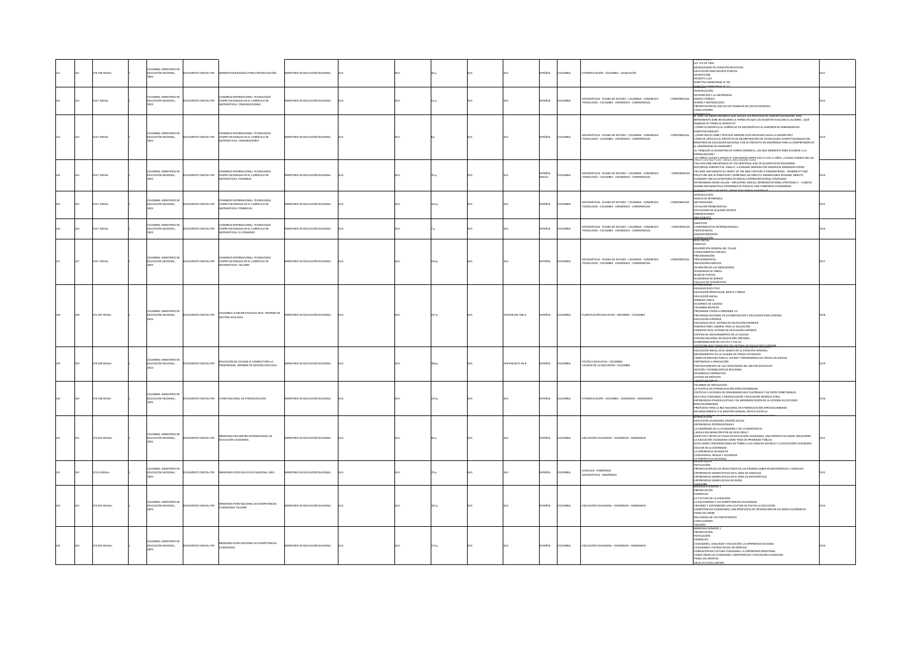|  | 70.196 MS34n  | MBIA: MINISTERIO DI<br><b>DUCACIÓN NACIONAL,</b>  | OCUMENTO DIGITAL PDF        | ORMATIVIDAD BÁSICA PARA ETNOEDUCACIÓN                                                                                                   | INSTERIO DE EDUCACIÓN NACIONAL        |  |  |                  | PAÑOL                    | <b>JLOMBIA</b>  | ETNOEDUCACIÓN - COLOMBIA - LEGISLACIÓN                                                                                            | -REALMINGUM<br>-LEY 115 DE 1994<br>-MODALIDADES DE ATENCIÓN EDUCATIVA<br>-EDUCACIÓN PARA GRUPOS ÉTNICOS<br>DECRETO 804<br>DECRETO 1122<br>DIRECTIVA MINISTERIAL N° 08                                                                                                                                                                                                                                                                                                                                                                                                                                                                                                                                                                                                                                                                                      |  |
|--|---------------|---------------------------------------------------|-----------------------------|-----------------------------------------------------------------------------------------------------------------------------------------|---------------------------------------|--|--|------------------|--------------------------|-----------------|-----------------------------------------------------------------------------------------------------------------------------------|------------------------------------------------------------------------------------------------------------------------------------------------------------------------------------------------------------------------------------------------------------------------------------------------------------------------------------------------------------------------------------------------------------------------------------------------------------------------------------------------------------------------------------------------------------------------------------------------------------------------------------------------------------------------------------------------------------------------------------------------------------------------------------------------------------------------------------------------------------|--|
|  | 0.7 MS34c     | OMBIA: MINISTERIO DI<br>DUCACIÓN NACIONAL         | <b>DCUMENTO DIGITAL PDF</b> | ONGRESO INTERNACIONAL: TECNOLOGÍAS<br>COMPUTACIONALES EN EL CURRÍCULO DE<br>TEMÁTICAS. COMUNICACIONES                                   | INISTERIO DE EDUCACIÓN NACIONAL       |  |  |                  | PAÑOL                    | <b>ILOMBIA</b>  | MATEMÁTICAS - PLANES DE ESTUDIO - COLOMBIA - CONGRESOS<br>- CONFERENCIAS<br>ECNOLOGÍA - COLOMBIA - CONGRESOS - CONFERENCIAS       | NTRODUCCIÓN<br>-DESCRIPCIÓN Y LA EXPERIENCIA<br>MARCO TEÓRICO<br>DISEÑO Y METODOLOGÍA<br>PRESENTACIÓN DE UNO DE LOS TRABAJOS DE LOS ESTUDIANTES<br>-CONCLUSIONES                                                                                                                                                                                                                                                                                                                                                                                                                                                                                                                                                                                                                                                                                           |  |
|  | 10.7 MS34c    | COLOMBIA: MINISTERIO DI<br>EDUCACIÓN NACIONAL,    | CUMENTO DIGITAL PDR         | ONGRESO INTERNACIONAL: TECNOLOGÍAS<br>COMPUTACIONALES EN EL CURRÍCULO DE<br>TEMÁTICAS. CONVERSATORIO                                    | NISTERIO DE EDUCACIÓN NACIONAL        |  |  |                  | PAÑOL                    | LOMBIA          | IATEMÁTICAS - PLANES DE ESTUDIO - COLOMBIA - CONGRESOS<br>- CONFERENCIAS<br>TECNOLOGÍA - COLOMBIA - CONGRESOS - CONFERENCIAS      | AECESENT-14<br>JE TIENE UN MEDIO DINÁMICO QUE AGILIZA LOS PROCESOS DE CONCEPTUALIZACIÓN. ESTA<br>HERRAMIENTA DEBE REVALORAR LA FORMA EN QUE LOS DOCENTES EVALÚAN AL ALUMNO. ¿QUÉ<br>TRABAJOS SE TIENEN AL RESPECTO?<br>/CÓMO SE MODIFICA EL CURRÍCULO DE MATEMÁTICAS AL DISPONER DE HERRAMIENTAS<br>OMPLITACIONALES?<br>¿CÓMO NACIÓ CABRI Y POR QUÉ SIEMPRE ESTÁ ENFOCADO HACIA LA GEOMETRÍA?<br>-CÓMO SE ARTICULA EL PROYECTO DE INCORPORACIÓN DE TECNOLOGÍAS COMPUTACIONALES DEL<br>MINISTERIO DE EDUCACIÓN NACIONAL CON EL PROYECTO DE ENSEÑANZA PARA LA COMPRENSIÓN DE<br>A LINIVERSIDAD DE HARWARD2<br>.<br>ALTRABAJAR LA GEOMETRÍA EN FORMA DINÁMICA, ¿EN QUÉ MOMENTO DEBE ACUDIRSE A LA<br>ORMAUZACIÓN?<br>-LOS NIÑOS LLEGAN A GRADO 6" CON EDADES ENTRE LOS 9 Y LOS 11 AÑOS. ¿CUÁLES PUEDEN SER LAS<br>THREE STARTING-POINT TRENDS AND ASSUMPTIONS |  |
|  | 10.7 MS341    | LOMBIA: MINISTERIO DI<br>EDUCACIÓN NACIONAL       | CUMENTO DIGITAL PDF         | ONGRESO INTERNACIONAL: TECNOLOGÍAS<br>COMPUTACIONALES EN EL CURRÍCULO DE<br>TEMÁTICAS. PLENARIAS                                        | NISTERIO DE EDUCACIÓN NACIONAL        |  |  |                  | SPAÑOL<br><b>DEL ESC</b> | I OMRIA         | MATEMÁTICAS - PLANES DE ESTUDIO - COLOMBIA - CONGRESOS<br>- CONFERENCIAS<br>FECNOLOGÍA - COLOMBIA - CONGRESOS - CONFERENCIAS      | ITHICE SI PATIURA-PORTI I RENIUS PANI PASIARIPI IUNG<br>-THE EVOLVING IMPORTANCE OF THE GRAPHICAL SIDE OF QUANTITATIVE REASONING<br>-HISTORICAL PERSPECTIVE: FINALLY, A DYNAMIC MEDIUM FOR GRAPHICAL REPRESENTATIONS<br>THE BASE MATHEMATICAL OBJECT OF THE NEW CENTURY IS PARAMETRIZED - GENERALITY AND<br>STRUCTURE ARE ALTERNATIVELY EXPRESSED VIA DIRECTLY MANIPULABLE DYNAMIC OBJECTS<br>SINUCI UNE PRE PALENTARI I VELT EXPRESSEU VIA DINECI LET NIMINI UDALE DITIAMINI, UBJELI S<br>-SUMMARY AND ILLUSTRATIONS OF SIMCALC REPRESENTATIONAL STRATEGIES<br>-DETERMINING MEAN VALUES--EXPLOITING SIMCALC REPRESENTATIONAL STRA<br>-BASING MATHEMATICAL EXPERIENCE IN PHYSICAL AND CYBERNETIC PHENOMENA                                                                                                                                                 |  |
|  | 0.7 MS34c     | LOMBIA: MINISTERIO DI<br>UCACIÓN NACIONAL         | UMENTO DIGITAL PDR          | NASRESO INTERNACIONAL: TECNOLOGÍAS<br>ONORESO INTERNACIONAL: TECNOLOGIA<br>COMPUTACIONALES EN EL CURRÍCULO DE<br>AATEMÁTICAS, PONENCIAS | <b>ISTERIO DE EDUCACIÓN NACIONAL</b>  |  |  |                  | PAÑOL                    | OMRIA           | <b>ATEMÁTICAS - PLANES DE ESTUDIO - COLOMBIA - CONGRESOS</b><br>- CONFERENCIAS<br>ECNOLOGÍA - COLOMBIA - CONGRESOS - CONFERENCIAS | INTRODUCCIÓN<br>MARCO DE REFERENCIA<br>-METODOLOGÍA<br>-SITUACIÓN PROBLEMÁTICA<br>-SOLUCIONES DE ALGUNOS GRUPOS<br>-OBSERVACIONES<br>mmarkis.                                                                                                                                                                                                                                                                                                                                                                                                                                                                                                                                                                                                                                                                                                              |  |
|  | 0.7 MS34c     | MBIA: MINISTERIO DI<br>EDUCACIÓN NACIONAL,        | UMENTO DIGITAL PDR          | MGRESO INTERNACIONAL: TECNOLOGÍA:<br>COMPUTACIONALES EN EL CURRÍCULO DE<br>ATEMÁTICAS, EL CONGRESO                                      | INSTERIO DE EDUCACIÓN NACIONAL        |  |  |                  | PAÑOL                    | LOMBIA          | ANTEMÁTICAS - PLANES DE ESTUDIO - COLOMBIA - CONGRESOS<br>- CONFERENCIAS<br>FECNOLOGÍA - COLOMBIA - CONGRESOS - CONFERENCIAS      | OBJETIVOS<br>-CONFERENCISTAS INTERNACIONALES<br>-PARTICIPANTES<br><b>AGRADECIMENTOS</b><br>-INTRODUCCIÓN<br>NIVEL INICIAL                                                                                                                                                                                                                                                                                                                                                                                                                                                                                                                                                                                                                                                                                                                                  |  |
|  | 10.7 MS341    | LOMBIA: MINISTERIO DE<br>FOUCACIÓN NACIONAL       | 209 IATI200 OTHERS          | ONGRESO INTERNACIONAL: TECNOLOGÍAS<br>COMPUTACIONALES EN EL CURRÍCULO DE<br>ATEMÁTICAS. TALLERES                                        | NISTERIO DE EDUCACIÓN NACIONAL        |  |  |                  | <b>IOBA</b>              | I OMRIA         | ANTEMÁTICAS - PLANES DE ESTUDIO - COLOMBIA - CONSBESOS<br>- CONFERENCIAS<br>ECNOLOGÍA - COLOMBIA - CONGRESOS - CONFERENCIA        | ONITED-<br>-DISCRIPCIÓN GENERAL DEL TALLER<br>-CONOCIMIENTOS PREVIOS<br>PROGRAMACIÓN<br><b>PROCEDIMENTOS</b><br>-PROCEDIMIENTOS<br>-INDICADORES BÁSICOS<br>-DEFINICIÓN DE LOS INDICADO<br>DIAGRAMAS DE LÍNEAS<br>MIRE DE PUNTOS<br>GRAMAS DE RABRA                                                                                                                                                                                                                                                                                                                                                                                                                                                                                                                                                                                                         |  |
|  | 71.207 MS34c  | MBIA: MINISTERIO DI<br>EDUCACIÓN NACIONAL         | OCUMENTO DIGITAL PDF        | OLOMBIA LA MEJOR EDUCADA 2025. INFORME DE<br>ESTIÓN 2014-2016                                                                           | <b>INSTERIO DE EDUCACIÓN NACIONAL</b> |  |  | 78-958-691-936-4 | PAÑOL                    | <b>DI OMRIA</b> | PLANIFICACIÓN EDUCATIVA - INFORMES - COLOMBIA                                                                                     | <b>ÁLCULO DE ESTADÍS</b><br>HRODULLOUN<br><b>RESUMEN FIECUTIVO</b><br>EDUCACIÓN INICIAL<br>JORNADA ÚNICA<br>ACUERDOS DE CALIDAD<br>COLOMBIA BILINGÜE<br>PROGRAMA TODOS A APRENDER 2.0<br>-PROGRAMA NACIONAL DE ALFABETIZACIÓN Y EDUCACIÓN PARA JÓVENES<br>EDUCACIÓN SUPERIOR<br>EXCELENCIA EN EL SISTEMA DE EDUCACIÓN SUPERIOR<br>OBSERVATORIO LABORAL PARA LA EDUCACIÓN<br>FOMENTO EN EL SISTEMA DE EDUCACIÓN SUPERIOR<br>SISTEMA DE ASEGURAMIENTO DE LA CALIDAD<br>STEMA NACIONAL DE EDUCACIÓN TERCIARIA<br>GOBERNABILIDAD EN LOS CSU Y LOS CD<br>STENIBULIDAD: ENANCIERA DE                                                                                                                                                                                                                                                                             |  |
|  | 19.209 MS34e  | LOMBIA: MINISTERIO DE<br>DUCACIÓN NACIONAL,       | UMENTO DIGITAL PDF          | :<br>DUCACIÓN DE CALIDAD EL CAMINO PARA LA<br>SPERIDAD. INFORME DE GESTIÓN 2010-2014                                                    | ISTERIO DE EDUCACIÓN NACIONAL         |  |  | 8-958-8575-56-8  | PAÑOL                    |                 | OLÍTICA FOLICATIVA - COLOMBIA<br>ALIDAD DE LA EDUCACIÓN - COLOMBIA                                                                | -EDUCACIÓN INICIAL EN EL MARCO DE LA ATENCIÓN INTEGRAL<br>MEJORAMIENTO DE LA CALIDAD EN TODOS LOS NIVELES<br>-CIERRE DE BRECHAS PARA EL ACCESO Y PERMANENCIA EN TODOS LOS NIVELES<br>-LIERRE DE BRELHAS PARA EL ALLESO T PERMANENLIA EN TODOS L<br>-PERTINENCIA E INNOVACIÓN<br>-FORTALECIMIENTO DE LAS CAPACIDADES DEL SECTOR EDUCATIVO<br>-GESTIÓN Y DISTRIBUCIÓN DE RECURSOS<br>DESARROLLO NORMATIVO<br><b>USTADO DE GRÁFICOS</b>                                                                                                                                                                                                                                                                                                                                                                                                                       |  |
|  | 70.196 MS34f  | OMBIA: MINISTERIO DE<br>EDUCACIÓN NACIONAL        | OCUMENTO DIGITAL PDF        | I FORO NACIONAL DE ETNOEDUCACIÓN                                                                                                        | INISTERIO DE EDUCACIÓN NACIONAL       |  |  |                  | PAÑOL                    | <b>OLOMBIA</b>  | ETNOEDUCACIÓN - COLOMBIA - CONGRESOS - SEMINARIOS                                                                                 | <b>PALARRAS DE INSTALACIÓN</b><br>-PAUMINOL DE INSIAURUM<br>- LA POLÍTICA DE ETNOEDUCACIÓN AFROCOLOMBIANA<br>- POLÍTICAS Y ACCIONES DE ORGANISMOS MULTILATERALES Y DE ENTES TERRITORIALES<br>- MULTICULTURALISMO, ETNOEDUCACIÓN Y EDUCACIÓN INTERCULTURAL<br>-EXPERIENCIAS ETNOEDUCATIVAS Y DE IMPLEMENTACIÓN DE LA CÁTEDRA DE ESTUDIOS<br><b>FROCOLOMBIANOS</b><br>PROPUESTA PARA LA RED NACIONAL DE ETNOEDUCACIÓN AFROCOLOMBIAN<br>-RECONOCIMIENTO A EL MAESTRO MANUEL ZAPATA OLIVELLA                                                                                                                                                                                                                                                                                                                                                                   |  |
|  | 172.832 MS34m | LOMBIA: MINISTERIO DE<br><b>DUCACIÓN NACIONAL</b> | CUMENTO DIGITAL PDF         | MORAS ENCUENTRO INTERNACIONAL DE<br>EDUCACIÓN CIUDADANA                                                                                 | NISTERIO DE EDUCACIÓN NACIONAL        |  |  |                  | AÑOL                     |                 | EDUCACIÓN CIUDADANA - CONGRESOS - SEMINARIOS                                                                                      | ACCHANGEMA<br>-EDUCACIÓN CIUDADANA, DESAFÍO SOCIAL<br>-EDUCACION CIUDADANA, DESATIO SOCIAL<br>-EXPERIENCIAS INTERNACIONALES<br>-LA ENSEÑANZA DE LA CIUDADANÍA Y DE LA DEMOCRACIA<br>-/NUEVA ENCARNACIÓN POR UN VIEJO IDEAL?<br>-<br>ASPECTOS Y RETOS ACTUALES EN EDUCACIÓN CIUDADANA: UNA PERSPECTIVA DESDE INGLATERRA<br>LA EDUCACIÓN CIUDADANA COMO TEMA DE PRIORIDAD PÚBLICA<br>-GATILLANDO CONVERSACIONES EN TORNO A LAS CIENCIAS SOCIALES Y LA EDUCACIÓN CIUDADANA<br>-EDUCAR EN LA DIVERSIDAD<br>LA EXPERIENCIA DE BOGOTÁ<br>CONVIVENCIA: REGLAS Y ACUERDOS<br>LA PERSPECTIVA NACIONAL                                                                                                                                                                                                                                                               |  |
|  | 172.6 MS34m   | MBIA: MINISTERIO DI<br>EDUCACIÓN NACIONAL,        | <b>OCUMENTO DIGITAL PDF</b> | MEMORIAS FORO EDUCATIVO NACIONAL 2003                                                                                                   | AINISTERIO DE EDUCACIÓN NACIONAL      |  |  |                  | PAÑOL                    | <b>JLOMBIA</b>  | ENGUAJE - ENSEÑANZA<br>MATEMÁTICAS - ENSEÑANZA                                                                                    | FILLENTIFICION<br>-INSTALACIÓN<br>-PRESENTACIÓN DE LOS RESULTADOS DE LAS PRUEBAS SABER EN MATEMÁTICAS Y LENGUAIE<br>EXPERIENCIAS SIGNIFICATIVAS EN EL ÁREA DE LENGUAJE<br>EXPERIENCIAS SIGNIFICATIVAS EN EL ÁREA DE MATEMÁTICAS<br>FRIENCIAS SIGNIFICATIVAS DE REDES                                                                                                                                                                                                                                                                                                                                                                                                                                                                                                                                                                                       |  |
|  | 372.832 MS34m | LOMBIA: MINISTERIO DE<br>DUCACIÓN NACIONAL        | OCUMENTO DIGITAL PDF        | MEMORIAS FORO NACIONAL DE COMPETENCIAS<br><b>UDADANAS TALLERES</b>                                                                      | INSTERIO DE EDUCACIÓN NACIONAL        |  |  |                  | PAÑOL                    | I OMRIA         | EDUCACIÓN CIUDADANA - CONGRESOS - SEMINARIOS                                                                                      | ,CLAUSURA<br>MEMORIAS NÚMERO<br>-PRESENTACIÓN<br>ENCIAS<br>LA CULTURA DE LA LEGALIDAD<br>-LA SOLIDARIDAD Y LAS COMPETENCIAS CIUDADANAS<br>-CREANDO Y SOSTENIENDO UNA CULTURA DE PAZ EN LA EDUCACIÓN<br>COMPETENCIAS CIUDADANAS, UNA PROPUESTA DE INTEGRACIÓN EN LAS ÁREAS ACADÉMICAS<br>-PANEL DE CIERRE<br>-RELATORÍAS DE LOS PARTICIPANTES<br>CONCLUSIONES                                                                                                                                                                                                                                                                                                                                                                                                                                                                                               |  |
|  | 172.832 MS34m | MBIA: MINISTERIO DE<br>UCACIÓN NACIONAL,          | DOCUMENTO DIGITAL PDF       | MEMORIAS FORO NACIONAL DE COMPETENCIAS<br><b>JDADANAS</b>                                                                               | INSTERIO DE EDUCACIÓN NACIONAL        |  |  |                  | PAÑOL                    |                 | EDUCACIÓN CIUDADANA - CONGRESOS - SEMINARIOS                                                                                      | TALLERES<br>MEMORIAS NÚMER<br>-PRESENTACIÓN<br><b>MODALATION</b><br>PONENCIAL<br>.<br>JUDADANÍA, LEGALIDAD Y EDUCACIÓN: LA EXPERIENCIA SICILIANA<br>CIUDADANÍA Y ESTADO SOCIAL DE DERECHO<br>FORMACIÓN EN CULTURA CIUDADANA: LA EXPERIENCIA BOGOTANA<br>OMO CREAR UN CIUDADANO: COMPETENCIAS Y EDUCACIÓN CIUDADANA<br>PANEL DE EXPERTOS<br>-MESA DE CONCLUSIONES                                                                                                                                                                                                                                                                                                                                                                                                                                                                                           |  |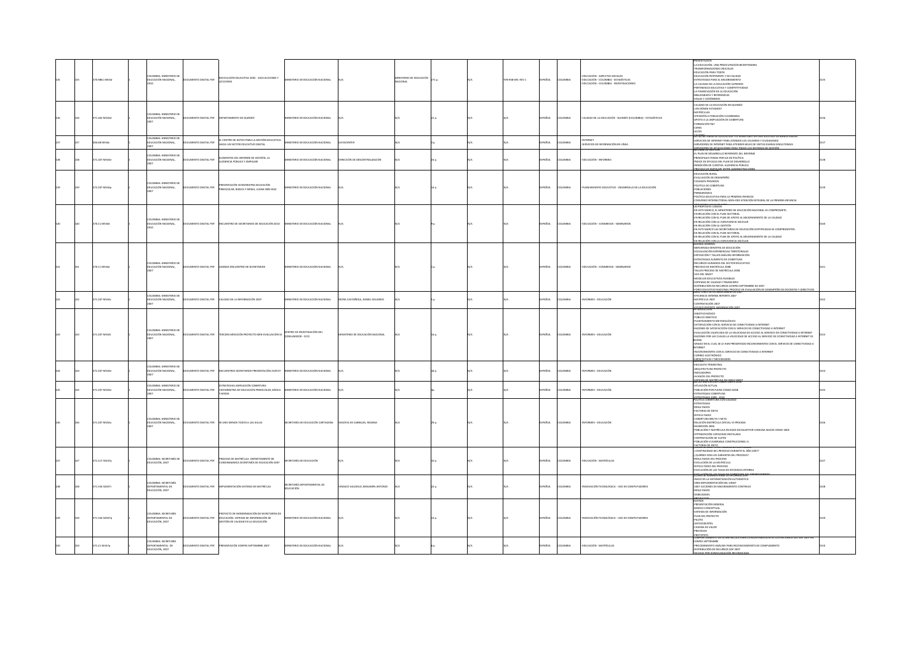|  | 370.9861 M534r | OMBIA: MINISTERIO DI<br>EDUCACIÓN NACIONAL                  | <b>COLUMENTO DIGITAL PDF</b> | REVOLUCIÓN EDUCATIVA 2002 - 2010 ACCIONES Y<br><b>FOONES</b>                                                                                                     | INISTERIO DE EDUCACIÓN NACIONAL                 |                                    | INISTERIO DE EDUCACIÓN<br>ACIONAL | 2710. | 078-058-601-391-1 | ESPAÑOL      | OLOMBIA        | DUCACIÓN - ASPECTOS SOCIALES<br>EDUCACIÓN - COLOMBIA - ESTADÍSTICAS<br>UCACIÓN - COLOMBIA - INVESTIGACIONES | ESENTACIÓ<br>-LA EDUCACIÓN: UNA PREOCUPACIÓN BICENTENARIA<br>-<br>TRANSFORMACIONES CRUCIALES<br>- EDUCACIÓN PARA TODOS<br>- EDUCACIÓN PERTINENTE Y DE CALIDAD<br>ESTRATEGIAS PARA EL MEJORAMIENTO<br>-ESTIMITEGIAS PAIN EL MEJORAMIENTO<br>-LA CALIDAD DE LA EDUCACIÓN SUPERIOR<br>-PERTINENCIA EDUCATIVA Y COMPETITIVIDAD<br>-LA FINANCIACIÓN DE LA EDUCACIÓN<br>IBLIOGRAFÍA Y REFERENCIAS<br>-SIGLAS Y ACRÓNIMOS                                                                                                                                                                                                                                                                                                |  |
|--|----------------|-------------------------------------------------------------|------------------------------|------------------------------------------------------------------------------------------------------------------------------------------------------------------|-------------------------------------------------|------------------------------------|-----------------------------------|-------|-------------------|--------------|----------------|-------------------------------------------------------------------------------------------------------------|-------------------------------------------------------------------------------------------------------------------------------------------------------------------------------------------------------------------------------------------------------------------------------------------------------------------------------------------------------------------------------------------------------------------------------------------------------------------------------------------------------------------------------------------------------------------------------------------------------------------------------------------------------------------------------------------------------------------|--|
|  | 371.262 MS34d  | LOMBIA: MINISTERIO DE<br>EDUCACIÓN NACIONAL                 | OCUMENTO DIGITAL PDF         | DEPARTAMENTO DE QUINDÍO                                                                                                                                          | NISTERIO DE EDUCACIÓN NACIONAL                  |                                    |                                   |       |                   | <b>PAÑOL</b> | <b>OLOMBIA</b> | CALIDAD DE LA EDUCACIÓN - QUINDÍO (COLOMBIA) - ESTADÍSTICAS                                                 | CALIDAD DE LA EDUCACIÓN EN QUINDÍO<br>-CHERIAD DE LA EDUCAJ<br>-{EN DÓNDE ESTAMOS?<br>-MATRÍCULAS<br>-ATENCIÓN A POBLACIÓN VULNERABLE<br>-<br>APOYO A LA AMPLIACIÓN DE COBERTURA<br>- FORMACIÓN T&T<br>-CERES<br>.acces                                                                                                                                                                                                                                                                                                                                                                                                                                                                                           |  |
|  | 04.68 M534c    | OLOMBIA: MINISTERIO DE<br>EDUCACIÓN NACIONAL,               | <b>IMENTO DIGITAL PDF</b>    | L CENTRO DE DATOS PARA LA GESTIÓN EDUCATIVA.<br>ACIA UN SECTOR EDUCATIVO DIGITAL                                                                                 | NISTERIO DE EDUCACIÓN NACIONAL                  | ATACENTER                          |                                   |       |                   | PAÑOL        |                | VTERNET<br>ERVICIOS DE INFORMACIÓN EN LÍNEA                                                                 | LAS SPORTABLES OF FOUCATION V.FL MINISTRIIO FN UNA SOLA BED OF BAR<br>-SERVICIOS DE INTERNET PARA ATENDER LOS USUARIOS Y CIUDADANOS<br>-SERVIDORES DE INTERNET PARA ATENDER MILES DE VISITAS DIARIAS SIMULTÁNEAS                                                                                                                                                                                                                                                                                                                                                                                                                                                                                                  |  |
|  | 371 207 MS34e  | LOMBIA: MINISTERIO DI<br>EDUCACIÓN NACIONAL                 | IMENTO DIGITAL PDF           | LEMENTOS DEL INFORME DE GESTIÓN. LA<br><b>UDIENCIA PÚBLICA Y EMPALME</b>                                                                                         | NISTERIO DE EDUCACIÓN NACIONAL                  | IRFODÓN DE DESCENTRALIZACIÓN       |                                   |       |                   | <b>IORAS</b> | <b>COMBIA</b>  | FOUCACIÓN - INFORMES                                                                                        | SERVIDORES DE APLICACIONES PARA TODOS LOS SISTEMAS DE GESTIÓN<br>-EL PLAN DE DESARROLLO REFERENTE DEL INFORME<br>-PRINCIPALES TEMAS POR EJE DE POLÍTICA<br>-<br>- INDICE DE EFICACIA DEL PLAN DE DESARROLLO<br>- RENDICIÓN DE CUENTAS: AUDIENCIA PÚBLICA                                                                                                                                                                                                                                                                                                                                                                                                                                                          |  |
|  | 372.207 MS34p  | MBIA: MINISTERIO DE<br>EDUCACIÓN NACIONAL,                  | CUMENTO DIGITAL PDF          | RESENTACIÓN VICEMINISTRA EDUCACIÓN<br>EESCOLAR, BÁSICA Y MEDIA, JUANA INÉS DIAZ                                                                                  | NISTERIO DE EDUCACIÓN NACIONAL                  |                                    |                                   |       |                   | <b>JORAS</b> | OMBIA          | LANEAMIENTO EDUCATIVO - DESARROLLO DE LA EDUCACIÓN                                                          | <b>RIGGESCUPE EMBALME ENTRE ADMINI</b><br>-EDUCACIÓN RURAL<br>-EVALUACIÓN DE DESEMPEÑO<br>-COLEGIOS PRIVADOS<br>-POLÍTICA DE COBERTURA<br>-POBLACIONES<br>-FOULACIONES<br>-PERMANENCIA<br>-POLÍTICA EDUCATIVA PARA LA PRIMERA INFANCIA<br>CONVENIO INTERSECTORIAL MEN-ICBF ATENCIÓN INTEGRAL DE LA PRIMERA INFANCIA<br>080YECTOS I EV.21.0E                                                                                                                                                                                                                                                                                                                                                                       |  |
|  | 370.11 M534e   | MBIA: MINISTERIO DI<br>EDUCACIÓN NACIONAL,                  | CUMENTO DIGITAL PDF          | ENCUENTRO DE SECRETARIOS DE EDUCACIÓN 2010                                                                                                                       | AINISTERIO DE EDUCACIÓN NACIONAL                |                                    |                                   |       |                   | SPAÑOL       | <b>LOMBIA</b>  | EDUCACIÓN - CONGRESOS - SEMINARIOS                                                                          | -EN ESTE MARCO, EL MINISTERIO DE EDUCACIÓN NACIONAL SE COMPROMETE:<br>-EN RELACIÓN CON EL PIAN SECTORIAL<br>-EN RELACIÓN CON EL PIAN SECTORIAL<br>-EN RELACIÓN CON EL PIAN DE APOYO AL MEJORAMIENTO DE LA CALIDAD<br>-EN RELACIÓN CON LA CONVIVENCIA ESCOLAR<br>EN RELACIÓN CON LA GESTIÓN<br>-L'HI NILHILION LON LA SECRETARÍAS DE EDUCACIÓN CERTIFICADAS SE COMPROMETEN:<br>-EN REJE MARCO LAS SECRETARÍAS DE EDUCACIÓN CERTIFICADAS SE COMPROMETEN:<br>-EN RELACIÓN CON EL PLAN DE APOYO AL MEJORAMIENTO DE LA CALIDAD<br>-<br>EN RELACIÓN CON LA CONVIVENCIA ESCOLAR                                                                                                                                          |  |
|  | 370.11 M534a   | LOMBIA: MINISTERIO DE<br>EDUCACIÓN NACIONAL                 | <b>COLUMENTO DIGITAL PDF</b> | AGENDA ENCUENTRO DE SECRETARIOS                                                                                                                                  | IINSTERIO DE EDUCACIÓN NACIONAL                 |                                    |                                   |       |                   | SPAÑOL       | OLOMBIA        | EDUCACIÓN - CONGRESOS - SEMINARIOS                                                                          | -BIENVENIDA MINISTRA DE EDUCACIÓN<br>-SOCIALIZACIÓN EXPERIENCIAS TERRITORIALES<br>-EXPOSICIÓN Y TALLER ANÁLISIS INFORMACIÓN<br>-EXP COCOON 1 PALLIA PRAELISCHE COMPACION<br>-ESTRATEGIAS AUMENTO DE COBERTURA<br>-RECURSOS HUMANOS DEL SECTOR EDUCATIVO<br>-PROCESO DE MATRÍCULA 2008<br>TALLER PROCESO DE MATRÍCULA 2008<br>USO DEL SIMAT<br>MODELOS EDUCATIVOS FLEXIBLES<br>-SISTEMAS DE CALIDAD Y FINANCIERO<br>STRIBUCIÓN DE RECURSOS CONPES SEPTIEMBRE DE 2007<br>FORO EDUCATIVO NACIONAL PROCESO DE                                                                                                                                                                                                         |  |
|  | 371.207 MS34c  | LOMBIA: MINISTERIO DE<br>EDUCACIÓN NACIONAL,                | OCUMENTO DIGITAL PDF         | CALIDAD DE LA INFORMACIÓN 2007                                                                                                                                   | INSTERIO DE EDUCACIÓN NACIONAL                  | MORA CASTAÑEDA, DANIEL EDUARDO     |                                   |       |                   | AÑOL         |                | <b>VFORMES - EDUCACIÓN</b>                                                                                  | -EFICIENCIA INTERNA REPORTE 2007<br>-MATRÍCULA 2007<br>CONTRATACIÓN 2007                                                                                                                                                                                                                                                                                                                                                                                                                                                                                                                                                                                                                                          |  |
|  | 371.207 MS34t  | .<br>COLOMBIA: MINISTERIO DE<br>EDUCACIÓN NACIONAL,         | OCUMENTO DIGITAL PDF         | ERCERA MEDICIÓN PROYECTO MEN EVALUACIÓN SS                                                                                                                       | CENTRO DE INVESTIGACIÓN DEL<br>INSUMIDOR - CICO | NISTERIO DE EDUCACIÓN NACIONAL     |                                   |       |                   | AÑOL         |                | NFORMES - EDUCACIÓN                                                                                         | STANO REPORTE<br>OBJETIVO BÁSICO<br><b>PÚBLICO OBJETIVO</b><br>PLANTEAMIENTO METODOLÓGICO<br>-SATISFACCIÓN CON EL SERVICIO DE CONECTIVIDAD A INTERNET<br>-ANTIFICADO SON LE ANYINO DE LONGETININO PINTERNET<br>-RAZONES DE SATISFACCIÓN CON EL SERVICIÓ DE CONECTIVIDAD A INTERNET<br>-EVALUACIÓN CALIFICADA DE LA VELOCIDAD DE ACCESO AL SERVICIO DE CONECTIVIDAD A INTERNET<br>-RAZONES POR LAS CUALES LA VELOCIDAD DE ACCESO AL SERVICIO DE CONECTIVIDAD A INTERNET ES<br><b>RUFNA</b><br>-GRADO EN EL CUAL SE LE HAN PRESENTADO INCONVENIENTES CON EL SERVICIO DE CONECTIVIDAD A<br>INTERNET<br>-INCONVENIENTES CON EL SERVICIO DE CONECTIVIDAD A INTERNET<br>CORREO ELECTRÓNICO<br><b>EXPECTATIVAS Y NEO</b> |  |
|  | 371.207 MS34e  | I OMRIA: MINISTERIO DI<br>EDUCACIÓN NACIONAL,               | CUMENTO DIGITAL PDF          | ENCUENTROS SECRETARIOS PRESENTACIÓN 2109 07                                                                                                                      | MINISTERIO DE EDUCACIÓN NACIONAL                |                                    |                                   |       |                   | SPAÑOL       |                | NFORMES - EDUCACIÓN                                                                                         | -ENCUESTA TRIMESTRAL<br>ARQUITECTURA PROYECTO<br>INDICADORES<br>AVANCES DEL PROVECTO                                                                                                                                                                                                                                                                                                                                                                                                                                                                                                                                                                                                                              |  |
|  | 371.207 MS34e  | <b>OLOMBIA: MINISTERIO DE</b><br>EDUCACIÓN NACIONAL,        | CUMENTO DIGITAL PDF          | <b>STRATEGIAS AMPLIACIÓN COBERTURA.</b><br>VICEMINISTRA DE EDUCACIÓN PREESCOLAR, BÁSICA<br><b>AFOIA</b>                                                          | MINISTERIO DE EDUCACIÓN NACIONAL                |                                    |                                   |       |                   | <b>AÑOL</b>  | LOMBIA         | <b>VFORMES - EDUCACIÓN</b>                                                                                  | <u>SISTEMA DE MATRÍCIU A EN LINEA</u><br>METAS AMPLIACIÓN COBERTURA A<br>-SITUACIÓN ACTUAL<br>-POBLACIÓN POR FUERA CENSO DANE<br><b>ESTRATEGIAS COBERTURA</b>                                                                                                                                                                                                                                                                                                                                                                                                                                                                                                                                                     |  |
|  | 371.207 MS34u  | LOMBIA: MINISTERIO DI<br>EDUCACIÓN NACIONAL                 | OCUMENTO DIGITAL PDF         | ILUNO MENOS TODOS A LAS AULAS                                                                                                                                    | ECRETARÍA DE EDUCACIÓN CARTAGENA                | <b>SEGOVIA DE CABRALES, ROXANA</b> |                                   |       |                   | SPAÑOL       | OLOMBIA        | <b>VFORMES - EDUCACIÓN</b>                                                                                  | <b>ESTRATEGIAS 2008 - 2010</b><br>VOLITICA COBERTURA CON<br>-ESTRATEGIAS<br>-RESULTADOS<br>-FACTORES DE ÉXITO<br>-INCHALS DE EXITO<br>-DIFICULTADES<br>-COBERTURA BRUTA Y NETA<br>-RELACIÓN MATRÍCULA OFICIAL VS PRIVADA<br>anns whrappen.<br>-POBLACIÓN Y MATRÍCULA EN EDAD ESCOLAR POR COMUNA SEGÚN CENSO 2005<br>-OPTIMIZACIÓN CAPACIDAD INSTALADA<br>CONTRATACIÓN DE CUPOS<br>-<br>POBLACIÓN VULNERABLE CONSTRUCIONES I.E.                                                                                                                                                                                                                                                                                    |  |
|  | 371.217 SE437o | OLOMBIA: SECRETARÍA DE<br>EDUCACIÓN, 2007                   | OCUMENTO DIGITAL PDF         | PROCESO DE MATRÍCULA, DEPARTAMENTO DE<br>INDINAMARCA SECRETARÍA DE EDUCACIÓN 2007                                                                                | ECRETARÍA DE EDUCACIÓN                          |                                    |                                   |       |                   | SPAÑOL       | <b>LOMBIA</b>  | EDUCACIÓN - MATRÍCULAS                                                                                      | FACTORES DE ÉXITO<br>CONTINUIDAD DEL PROCESO DURANTE EL AÑO 2007?<br>-¿QUIÉNES SON LOS GARANTES DEL PROCESO?<br>-RESULTADOS DEL PROCESO<br>PVOLIDON DE LA MATRÍCULA<br>-EVOLUCIÓN DE LA MATRICOLA<br>-DIFICULTADES DEL PROCESO<br>-EVOLUCIÓN DE LAS TASAS DE EFICIENCIA INTERNA                                                                                                                                                                                                                                                                                                                                                                                                                                   |  |
|  | 371.334 SD437i | LOMBIA: SECRETARÍA<br>DEPARTAMENTAL DE<br>DUCACIÓN, 2007    | CUMENTO DIGITAL PDF          | MPLEMENTACIÓN SISTEMA DE MATRÍCULA                                                                                                                               | CRETARÍA DEPARTAMENTAL DE<br>EDUCACIÓN          | INASCO AGUDELO, BENJAMIN ANTONIO   |                                   | 22a   |                   | PAÑOL        |                | WIQVACIÓN TECNOLÓGICA - USO DE COMPUTADORES                                                                 | <b>GALFJÓN DE LAS TASAS DE GOBBELIRA DEL DEL</b><br>INICIO DE LA SISTEMATIZACIÓN AUTOMÁTICA<br>-INICIO DE DA SISTEMATIZACION ADTOMATICA<br>-2006 IMPLEMENTACIÓN DEL SIMAT<br>-2007 ACCIONES DE MEJORAMIENTO CONTINUO<br>-RESULTADOS<br>OFRILIDADES<br>RODUCT                                                                                                                                                                                                                                                                                                                                                                                                                                                      |  |
|  | 171.334 SD437p | COLOMBIA: SECRETARÍA<br>DEPARTAMENTAL DE<br>EDUCACIÓN, 2007 | UMENTO DIGITAL PDF           | ROYECTO DE MODERNIZACIÓN DE SECRETARÍAS DE<br>FROTCETO DE INDODEREDOR DE JECHE PRI<br>EDUCACIÓN, SISTEMA DE INFORMACIÓN DE<br>GESTIÓN DE CALIDAD EN LA EDUCACIÓN | NISTERIO DE EDUCACIÓN NACIONAL                  |                                    |                                   |       |                   | AÑOL         |                | WIOVACIÓN TECNOLÓGICA - USO DE COMPUTADORES                                                                 | PRESENTACIÓN GENERAL<br>-MARCO CONCEPTUAL<br>-SISTEMA DE INFORMACIÓN<br>PLAN DEL PROYECTO<br>PILOTO<br>-ANTECEDENTES<br>CADENA DE VALOR<br>ROCESOS<br><b>LOTOTIPS</b>                                                                                                                                                                                                                                                                                                                                                                                                                                                                                                                                             |  |
|  | 371.21 SE437p  | COLOMBIA: SECRETARÍA<br>DEPARTAMENTAL DE<br>UCACIÓN, 2007   |                              | OCUMENTO DIGITAL PDF PRESENTACIÓN CONPES SEPTIEMBRE 2007                                                                                                         | INISTERIO DE EDUCACIÓN NACIONAL                 |                                    |                                   |       |                   | <b>IORAS</b> | OLOMBIA        | EDUCACIÓN - MATRÍCULAS                                                                                      | CONPES SEPTIEMBRE<br><b>PROCEDIMIENTO ANÁLISIS PARA RECONOCIMIENTO DE COMPLEMENTO</b><br>STRIBUCIÓN DE RECURSOS SGP 2007<br><b>MON BECO</b>                                                                                                                                                                                                                                                                                                                                                                                                                                                                                                                                                                       |  |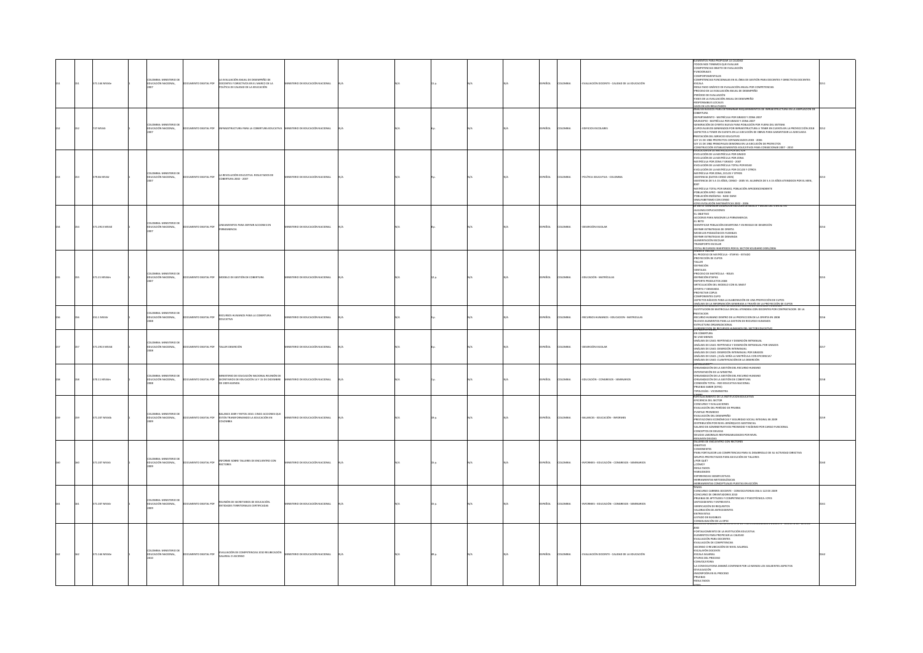|  | 371.144 MS34e | )<br>LOMBIA: MINISTERIO DE<br>JUCACIÓN NACIONAL,      | MENTO DIGITAL PDF    | LA EVALUACIÓN ANUAL DE DESEMPEÑO DE<br>DOCENTES Y DIRECTIVOS EN EL MARCO DE LA<br>POLÍTICA DE CALIDAD DE LA EDUCACIÓN | TERIO DE EDUCACIÓN NACIONAL             |  |  | AÑOL  |                | VALUACIÓN DOCENTE - CALIDAD DE LA EDUCACIÓN   | DOOS NOS TENEMOS QUE EVALUAR<br>COMPETENCIAS OBJETO DE EVALUACIÓN<br><b>FUNCIONALES</b><br>COMPORTAMENTALES<br>-LOMPUNIMMENTALES<br>-COMPETENCIAS FUNCIONALES EN EL ÁREA DE GESTIÓN PARA DOCENTES Y DIRECTIVOS DOCENTES<br>-ESOALA<br>-RESULTADO GRÁFICO DE EVALUACIÓN ANUAL POR COMPETENCIAS<br>-PROCESO DE LA EVALUACIÓN ANUAL DE DESEMPEÑO<br>-PERÍODO DE EVALUACIÓN<br>FASES DE LA EVALUACIÓN ANUAL DE DESEMPEÑO<br><b>FSPONSABLES LOCALES</b><br><b>ISOS DE LOS RESULTADOS</b><br>REQUERIMIENTOS DE INFRAESTRUCTURA EN LA AMPLIACIÓN DE                                                                                                                                                                                                                    |  |
|--|---------------|-------------------------------------------------------|----------------------|-----------------------------------------------------------------------------------------------------------------------|-----------------------------------------|--|--|-------|----------------|-----------------------------------------------|-----------------------------------------------------------------------------------------------------------------------------------------------------------------------------------------------------------------------------------------------------------------------------------------------------------------------------------------------------------------------------------------------------------------------------------------------------------------------------------------------------------------------------------------------------------------------------------------------------------------------------------------------------------------------------------------------------------------------------------------------------------------|--|
|  | 27 MS34       | OMBIA: MINISTERIO DE<br>EDUCACIÓN NACIONAL,           | LUMENTO DIGITAL PDF  | <b>IFRAESTRUCTURA PARA LA COBERTURA EDUCATIVA</b>                                                                     | INSTERIO DE EDUCACIÓN NACIONAL          |  |  | AÑOL  | LOMBIA         | DIFICIOS ESCOLARES                            | MINIGUIG INSIGUI PRIM ULTEIMINIMI INTOLOGICI IN DI CHI INVESTIGETUR<br>-DEPARTAMENTO - MATRICULA POR GRADO Y ZONA 2007<br>-MUNICIPIO - MATRICULA POR GRADO Y ZONA 2007<br>-GENERACIÓN DE OFERTA NUEVA PARA POBLACIÓN POR FUERA DEL SIST<br>CUPOS NUEVOS GENERADOS POR INFRAESTRUCTURA A TENER EN CUENTA EN LA PROYECCCIÓN 2018<br>ASPECTOS A TENER EN CUENTA EN LA EJECUCIÓN DE OBRAS PARA GARANTIZAR LA ADECUADA<br>ASPECTION TERRE EN CUENTR EN LA ELECUCIÓN DE OBRAS PRINCIPAIRES<br>RESTACIÓN DEL SERVICIO EDUCATIVO<br>LEY 21 DE 1982 PROYECTOS COFINANCIADOS 2003 - 2006<br>LEY 21 DE 1982 PRINCIPALES DEMORAS EN LA EJECUCIÓN DE PROYECTOS<br>ONSTRUCCIÓN ESTABLECIMIENTOS EDUCATIVOS PARA CONSECIONAR 2007 - 2010<br>ULUCION DE LA MATRICULA POR SECTOR |  |
|  | 379.86 MS34r  | LOMBIA: MINISTERIO DE<br>UCACIÓN NACIONAL             | MENTO DIGITAL PDF    | LA REVOLUCIÓN EDUCATIVA. RESULTADOS DE<br>COBERTURA 2002 - 2007                                                       | STERIO DE EDUCACIÓN NACIONAL            |  |  | AÑOL  |                | <b>2011 FLORIDATIVA - COLOMBIA</b>            | EVOLUCIÓN DE LA MATRÍCULA POR GRADO<br>EVOLUCIÓN DE LA MATRÍCULA POR GRADO<br>MATRÍCULA POR ZONA Y GRADO - 2007<br>EVOLUCIÓN DE LA MATRÍCULA TOTAL POR EDAD<br>EVOLUCIÓN DE LA MATRÍCULA POR CICLOS Y OTROS<br>ANTRÍCULA POR ZONA, CICLOS Y OTROS<br>SISTENCIA (DATOS CENSO 2005<br>-MATRÍCULA TOTAL POR GRADO, POBLACIÓN AFRODESCENDIENTE<br>-POBLACIÓN AFRO - BASE DANE<br>POBLACIÓN INDÍGENA - BASE DANE<br>ANALFABETISMO CON CENSO<br><u>ICEES EVOLUCIÓN MATEMÁTICAS 2002 - 2006.</u><br>ICEES EVOLUCIÓN MATEMÁTICAS 2002 - 2006.<br>A META: DISMINUIR DESERCIÓN ESCOLAR DE BÁSICA Y MEDIA DEL 5.8% AL 5%.                                                                                                                                                  |  |
|  | 71.2913 M534  | .<br>COLOMBIA: MINISTERIO DE<br>EDUCACIÓN NACIONAL,   | UMENTO DIGITAL PDF   | EAMIENTOS PARA DEFINIR ACCIONES EN<br>RMANENCIA                                                                       | STERIO DE EDUCACIÓN NACIONAL            |  |  | vior  |                | DESERCIÓN ESCOLAR                             | ALGUNAS EXPLICACIONES<br><b>FLORIETIVO</b><br>ACCIONES PARA MEJORAR LA PERMANENCIA<br>-EL RETO<br>-IDENTIFICAR POBLACIÓN DESERTORA Y EN RIESGO DE DESERCIÓN<br>-DEFINIR ESTRATEGIAS DE OFERTA<br>-MODELOS PEDAGÓGICOS FLEXIBLES<br><b>DEFINIR ESTRATEGIAS DE DEMANDA</b><br>DEFINIR ESTRATEGIAS DE<br>ALIMENTACIÓN ESCOLAR<br>TRANSPORTE ESCOLAR                                                                                                                                                                                                                                                                                                                                                                                                                |  |
|  | 371.21 M534m  | LOMBIA: MINISTERIO DE<br>EDUCACIÓN NACIONAL           | TUMENTO DIGITAL PDF  | MODELO DE GESTIÓN DE COBERTURA                                                                                        | <b>USTERIO DE EDUCACIÓN NACIONAL</b>    |  |  | PAÑOL | <b>AISMOJC</b> | FOUCACIÓN - MATRÍCULAS                        | <b>TOTAL RECURSOS INVER</b><br>TEMAS A TRATAR<br>EL PROCESO DE MATRÍCULA - ETAPAS - ESTADO<br>ROYECCIÓN DE CUPOS<br>-FROTECCION<br>-TALLER<br>-DEFINICIÓN<br>VENTAIAS<br>-PROCESO DE MATRÍCULA - ROLES<br>-DEFINICIÓN ETAPAS<br>-DEFINICION ETAPAS<br>-REPORTE PRODUCTOS 2008<br>-ARTICULACIÓN DEL MODELO<br>N FI SMAT<br>OFERTA Y DEMANDA<br>PROYECTAR COPUS<br>COMPONENTES CUPO<br>SPECTOS BÁSICOS PARA LA ELABORACIÓN DE UNA PROYECCIÓN DE CUPOS<br>ANÁLISIS DE LA INFORMACIÓN GENERADA A TRAVÉS DE LA PROVECCIÓN DE CI                                                                                                                                                                                                                                      |  |
|  | 351.1 M534r   | .<br>COLOMBIA: MINISTERIO DE<br>EDUCACIÓN NACIONAL,   | UMENTO DIGITAL PDF   | RECURSOS HUMANOS PARA LA COBERTURA<br>EDUCATIVA                                                                       | STERIO DE EDUCACIÓN NACIONAL            |  |  | AÑOL  |                | RECURSOS HUMANOS - EDUCACIÓN - MATRICULAS     | ALIMAN VAS BASIKALS PARA LA ADMINISTRACION <mark>DE RECURSUS HUMANIOS"<br/>AUSTITUCION DE MATRICULA OFICIAL ATENDIDA CON DOCENTES POR CONTRATACION DE LA<br/>IESTACION</mark><br>-RECURSO HUMANO DENTRO DE LA PROYECCION DE LA OFERTA EN 2008<br>-NUEVOS ELEMENTOS PARA LA GESTION DE RECURSO HUMANOS<br>ESTRUCTURA ORGANIZACIONAL                                                                                                                                                                                                                                                                                                                                                                                                                              |  |
|  | 71.2913 M534t | OMBIA: MINISTERIO DE<br><b><i>CACIÓN NACIONAL</i></b> | ENTO DIGITAL PDF     | <b>ULFR DESERCIÓN</b>                                                                                                 | <b>STERIO DE EDUCACIÓN NACIONAL</b>     |  |  | AÑOL  |                | DESERCIÓN ESCOLAR                             | <b>EN COBERTURA</b><br>-NI UNO MENOS<br>ANÁLISIS DE CASO: REPITENCIA Y DESERCIÓN INTRANUAL<br>"HIMILIS DE CASO: REPITENCIA Y DESERCIÓN INTRANUAL POR GRADOS<br>-ANÁLISIS DE CASO: REPITENCIA Y DESERCIÓN INTRANUAL POR GRADOS<br>-ANÁLISIS DE CASO: DESERCIÓN INTERANUAL POR GRADOS<br>-ANÁLISIS DE CASO: ¿CUÁL SERÍA LA MATRÍCULA CON EFICIENCIA?<br>ANÁLISIS DE CASO: CUANTIFICACIÓN DE LA DESERCIÓN                                                                                                                                                                                                                                                                                                                                                          |  |
|  | 370.11 M534m  | LOMBIA: MINISTERIO DE<br>EDUCACIÓN NACIONAL           | CUMENTO DIGITAL PDF  | INISTERIO DE EDUCACIÓN NACIONAL REUNIÓN DE<br>SECRETARIOS DE EDUCACIÓN 14 Y 15 DE DICIEMBRE<br>E 2009 AGENDA          | MINISTERIO DE EDUCACIÓN NACIONAL        |  |  | AÑOL  | <b>JLOMBIA</b> | EDUCACIÓN - CONGRESOS - SEMINARIOS            | insi Himilion<br>-Organización de la Gestión del recurso Humano<br>-Intervención de la ministra<br>-Organización de la Gestión del recurso Humano<br>ORGANIZACIÓN DE LA GESTIÓN DE COBERTURA<br>CONEXIÓN TOTAL - RED EDUCATIVA NACIONAL<br>PRUEBAS SABER (ICFES)<br>TIPOLOGÍAS - VICEMINISTRA<br>NERRE<br>ORTALECIMIENTO DE LA INSTIT                                                                                                                                                                                                                                                                                                                                                                                                                           |  |
|  | 71.207 MS34b  | N OMRIA: MINISTERIO DE<br>EDUCACIÓN NACIONAL,         | O DIGITAL PDF        | ALANCE 2009 Y RETOS 2010, CINCO ACCIONES QUE<br>ESTÁN TRANSFORM<br>ANDO LA EDUCACIÓN EN<br>LOMBIA                     | ERIO DE EDUCACIÓN NACIONA               |  |  | ιÑΟι. |                | <b>IALANCES - EDUCACIÓN - INFORMES</b>        | EFICIENCIA DEL SECTOR<br>CONCURSO Y EVALUACIONES<br>EVALUACIÓN DEL PERÍODO DE PRUEBA<br>-EVALUALION DEL PENGDO DE<br>-PUNTAJE PROMEDIO<br>-EVALUACIÓN DEL DESEMPEÑO<br>EVALORICON DE DEJENIFENCI<br>PRESTACIONES ECONÓMICAS Y SEGURIDAD SOCIAL INTEGRAL EB 2009<br>DISTRIBUCIÓN POR NIVEL JERÁRQUICO ASISTENCIAL<br>SALARIO DE ADMINISTRATIVOS PROMEDIO Y MÁXIMO POR CARGO FUNCIONAL<br>CONCEPTOS DE DEUDAS<br>.<br>FUDAS LARORALES RESPONSARILIDADES POR NIVEL<br>-RESUMEN DEUDAS<br>TALLERES DE ENCUENTRO CON RECTOR                                                                                                                                                                                                                                          |  |
|  | 371.207 MS34i | LOMBIA: MINISTERIO DE<br>EDUCACIÓN NACIONAL,          |                      | OCUMENTO DIGITAL PDF INFORME SOBRE TALLERES DE ENCUENTRO CON                                                          | NISTERIO DE EDUCACIÓN NACIONAL          |  |  | AÑOL  | OLOMBIA        | INFORMES - EDUCACIÓN - CONGRESOS - SEMINARIOS | IALIZANO SE DIVLODI INDI LON RELIURES<br>-COMENINO<br>-PARAMENTIS<br>-PARA FORTALECER LAS COMPETENCIAS PARA EL DESARROLLO DE SU ACTIVIDAD DIRECTIVA<br>-GRUPOS PROYECTADOS PARA EJECUCIÓN DE TALLERES<br>SBUO RON-<br>CÓMO?<br>RESULTADOS<br>------------<br>-iabilidades<br>Experiencias significativas<br>RAMIENTAS METODOLÓGICAS<br>HERRAMIENTAS CONCEPTUALES PUESTAS EN ACCIÓ                                                                                                                                                                                                                                                                                                                                                                               |  |
|  | 371.207 MS34r | OMBIA: MINISTERIO DE<br>UCACIÓN NACIONAL,             | MENTO DIGITAL PDF    | REUNIÓN DE SECRETARIOS DE EDUCACIÓN.<br>ENTIDADES TERRITORIALES CERTIFICADAS                                          | STERIO DE EDUCACIÓN NACIONAL            |  |  | AÑOL  | LOMBIA         | INFORMES - EDUCACIÓN - CONGRESOS - SEMINARIOS | EMAS<br>CONCURSO CARRERA DOCENTE - CONVOCATORIAS 056 A 122 DE 2009<br>ONCURSO DE ORIENTADORES 2010<br>-CAMILINISU DE AMERINANAMES ADU<br>-PRUEBAS DE APTITUDES Y COMPETENCIAS Y PSICOTÉCNICA: ICFES<br>-NITECEDENTES Y ENTREVISTOS<br>-VEBIFICACIÓN DE REQUISITOS<br>-VALORACIÓN DE RATECEDENTES<br>ENTREVISTAS<br><b>USTADO DE ELEGIBLES</b><br>NSOLIDACIÓN DE LA OPE                                                                                                                                                                                                                                                                                                                                                                                          |  |
|  | 371.144 MS34e | OLOMBIA: MINISTERIO DE<br>EDUCACIÓN NACIONAL,         | OCUMENTO DIGITAL PDF | EVALUACIÓN DE COMPETENCIAS 2010 REUBICACIÓN<br>SALARIAL O ASCENSO                                                     | <b>IINISTERIO DE EDUCACIÓN NACIONAL</b> |  |  | AÑOL  | OLOMBIA        | EVALUACIÓN DOCENTE - CALIDAD DE LA EDUCACIÓN  | -FORTALECIMIENTO DE LA INSTITUCIÓN EDUCATIVA<br>ELEMENTOS PARA PROPICIAR LA CALIDAD<br>-ELEMENTIUS PANA MODERNES<br>-EVALUACIÓN PARA DOCENTES<br>-EVALUACIÓN DE COMPETENCIAS<br>-ASCENSO O REUBICACIÓN DE NIVEL SALARIAL<br>-ESCALAFÓN DOCENTE<br>ESCALA SALARIAL<br>ETAPAS DEL PROCESO<br>ONVOCATORIA<br>-LONVOLATIONIA<br>-LA CONVOCATORIA DEBERÁ CONTENER POR LO MENOS LOS SIGUIENTES ASPECTOS<br>-DIVLIGACIÓN EN EL PROCESO<br>-PRUEBAS<br>-RESULTADOS                                                                                                                                                                                                                                                                                                      |  |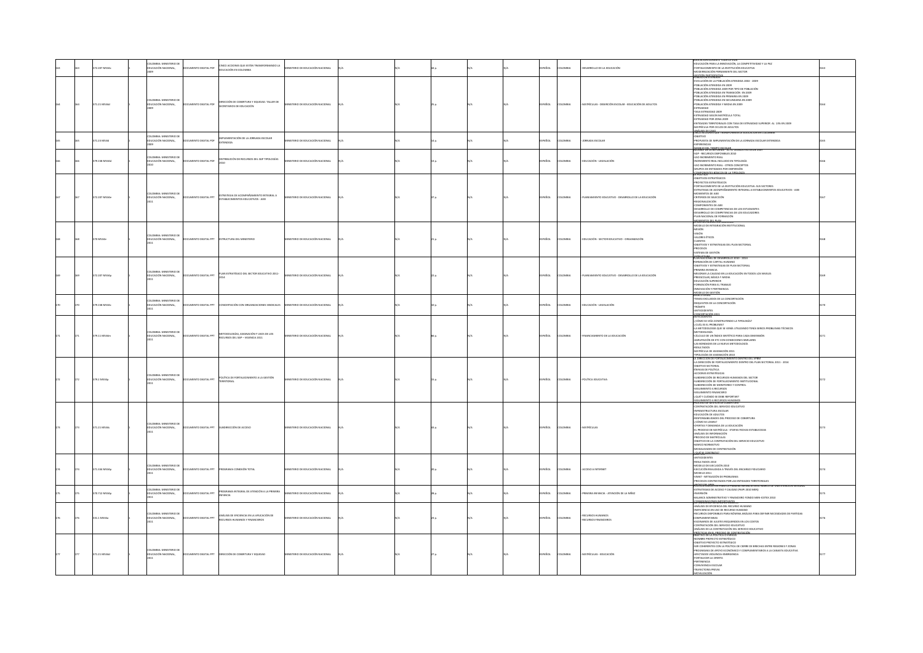|     | 2.207 MS34    | LOMBIA: MINISTERIO DE<br>UCACIÓN NACIONAL,          | ENTO DIGITAL PDF      | .<br>CINCO ACCIONES QUE ESTÁN TRANSFORMANDO LA<br>EDUCACIÓN EN COLOMBIA       | NISTERIO DE EDUCACIÓN NACIONAL       |  |  | AÑOL          |         | ESARROLLO DE LA EDUCACIÓN                             | EDUCACION DUKANTE TODA LA VIDA<br>EDUCACIÓN PARA LA INNOVACIÓN, LA COMPETITIVIDAD Y LA PAZ<br>-<br>FORTALECIMIENTO DE LA INSTITUCIÓN EDUCATIVA<br>MODERNIZACIÓN PERMANENTE DEL SECTOR<br>GESTIÓN PARTICIPATIVA                                                                                                                                                                                                                                                                                                                                                                                                                                                                                    |  |
|-----|---------------|-----------------------------------------------------|-----------------------|-------------------------------------------------------------------------------|--------------------------------------|--|--|---------------|---------|-------------------------------------------------------|---------------------------------------------------------------------------------------------------------------------------------------------------------------------------------------------------------------------------------------------------------------------------------------------------------------------------------------------------------------------------------------------------------------------------------------------------------------------------------------------------------------------------------------------------------------------------------------------------------------------------------------------------------------------------------------------------|--|
|     | 371.21 M534d  | .<br>COLOMBIA: MINISTERIO DE<br>EDUCACIÓN NACIONAL, | OCUMENTO DIGITAL PDF  | IRECCIÓN DE COBERTURA Y EQUIDAD. TALLER DE<br>SECRETARIOS DE EDUCACIÓN        | INSTERIO DE EDUCACIÓN NACIONAL       |  |  | PAÑOL         | OMBIA   | MATRÍCULAS - DESERCIÓN ESCOLAR - EDUCACIÓN DE ADULTOS | EVOLUCIÓN DE LA POBLACIÓN ATENDIDA 2002 - 2009<br>-EVOLUCION ATENDIDA EN 2009<br>-POBLACIÓN ATENDIDA EN 2009<br>-POBLACIÓN ATENDIDA 2009 POR TIPO DE POBLACIÓN<br>-POBLACIÓN ATENDIDA EN TRANSICIÓN EN 2009<br>POR ACIÓN ATENDIDA EN PRIMARIA EN 2009.<br>-POBLACIÓN ATENDIDA EN PRIMARIA EN 2009<br>-POBLACIÓN ATENDIDA EN SECUNDARIA EN 2009<br>-POBLACIÓN ATENDIDA Y MEDIA EN 2009<br>-EXTRAEDAD<br>TASA EXTRAEDAD 2009<br>-EXTRAEDAD SEGÚN MATRÍCULA TOTAL<br>-ENTINADRO ANDUN MINIMUM I UTAL<br>-EXTRAEDAD POR ZONA 2009<br>-ENTIDADES TERRITORIALES CON TASA DE EXTRAEDAD SUPERIOR AL 13% EN 2009<br>-MATRÍCULA POR CICLOS DE ADULTOS<br>ANÁUSIS DE CASO<br>UNUD ALUDNES QUE TRANSFURMAN LA |  |
|     | 23 MS34       | COLOMBIA: MINISTERIO DE<br>CACIÓN NACIONAL,         | ENTO DIGITAL PDF      | PLEMENTACIÓN DE LA JORNADA ESCOLAR<br><b>TENDIDA</b>                          | STERIO DE EDUCACIÓN NACIONAL         |  |  | PAÑOL         |         | RNADA ESCOLAR                                         | -OBJETIVO<br>-PROPUESTA DE IMPLEMENTACIÓN DE LA JORNADA ESCOLAR EXTENDIDA<br>-EXPERIENCIAS                                                                                                                                                                                                                                                                                                                                                                                                                                                                                                                                                                                                        |  |
|     | 79.158 MS34d  | <b>OLOMBIA: MINISTERIO DE</b><br>UCACIÓN NACIONAL,  | UMENTO DIGITAL PDF    | <b>ISTRIBUCIÓN DE RECURSOS DEL SGP TIPOLOGÍAS</b>                             | STERIO DE EDUCACIÓN NACIONAL         |  |  | PAÑOL         |         | EDUCACIÓN - LEGISLACIÓN                               | MANEIO DEL TIEMPO ESCOLAR<br>-SGP - RECURSOS DISPONIBLES 2010<br>-307 - INCONSOLIDATION INTERNATIONAL AND INCREMENTO REAL INCLUIDO EN TIPOLOGÍA<br>-INCREMENTO REAL INCLUIDO EN TIPOLOGÍA<br>-USO INCREMENTO REAL - OTROS CONCEPTOS<br>-GRUPOS DE ENTIDADES POR DISPERSIÓN                                                                                                                                                                                                                                                                                                                                                                                                                        |  |
|     | 372.207 MS34e | .<br>COLOMBIA: MINISTERIO DE<br>EDUCACIÓN NACIONAL, | TRA JATIDO OTMENCI    | ESTRATEGIA DE ACOMPAÑAMIENTO INTEGRAL A<br>ESTABLECIMIENTOS EDUCATIVOS - AIEE | <b>NSTERIO DE EDUCACIÓN NACIONAL</b> |  |  | PAÑOL         | LOMBIA  | LANEAMIENTO EDUCATIVO - DESARROLLO DE LA EDUCACIÓN    | LA POLÍTICA<br>-OBJETIVOS ESTRATÉGICOS<br>-PROYECTOS ESTRATÉGICOS<br>-FORTALECIMIENTO DE LA INSTITUCIÓN EDUCATIVA: SUS SECTORES<br>FSTRATEGIA DE ACOMPAÑAMIENTO INTEGRAL A ESTARI ECIMIENTOS EDUCATIVOS , AIEE<br>-ESTINTEGIA DE ALUMIPAI<br>-MOMENTOS DE AIEE<br>-CRITERIOS DE SELECCIÓN<br>-REGIONALIZACIÓN<br>-COMPONENTES DE AIEE<br>-DESARROLLO DE COMPETENCIAS DE LOS ESTUDIANTES<br>-<br>-DESARROLLO DE COMPETENCIAS DE LOS EDUCADORES<br>-PLAN NACIONAL DE FORMACIÓN<br>-MOMENTOS DEL PLAN                                                                                                                                                                                                |  |
|     | 370 MS34e     | LOMBIA: MINISTERIO DE<br>EDUCACIÓN NACIONAL,        | DOCUMENTO DIGITAL PPT | ESTRUCTURA DEL MINISTERIO                                                     | INSTERIO DE EDUCACIÓN NACIONAL       |  |  | SPAÑOL        | OLOMBIA | EDUCACIÓN - SECTOR EDUCATIVO - ORGANIZACIÓN           | MODELO DE INTEGRACIÓN INSTITUCIONAL<br>MISIÓN<br>-MISION<br>-VISIÓN<br>-VALORES ÉTICOS<br>-CLIENTES<br>-OBJETIVOS Y ESTRATEGIAS DEL PLAN SECTORIAL<br>encrsos.<br>SISTEMA DE GESTIÓN                                                                                                                                                                                                                                                                                                                                                                                                                                                                                                              |  |
|     | 372.207 MS34p | <b>DMBIA: MINISTERIO DE</b><br>UCACIÓN NACIONAL,    | DOCUMENTO DIGITAL PPT | PLAN ESTRATÉGICO DEL SECTOR EDUCATIVO 2011-                                   | NISTERIO DE EDUCACIÓN NACIONAL       |  |  | PAÑOL         | LOMBIA  | LANEAMIENTO EDUCATIVO - DESARROLLO DE LA EDUCACIÓN    | <b>FLAN NACIONAL DE DESARROLLO 2010 - 2014</b><br>FORMACIÓN DE CAPITAL HUMANO<br>-OBJETIVOS Y ESTRATEGIAS DE PLAN SECTORIAL<br>PRIMERA INFANCIA<br>-MEJORAR LA CALIDAD EN LA EDUCACIÓN EN TODOS LOS NIVELES<br>-PREESCOLAR, BÁSICA Y MEDIA<br><b>EDUCACIÓN SUPERIOR</b><br>-FORMACIÓN PARA EL TRABAJO<br>NNOVACIÓN Y PERTINENCIA<br>MODELO DE GESTIÓN                                                                                                                                                                                                                                                                                                                                             |  |
|     | 379.158 MS34c | LOMBIA: MINISTERIO DE<br>UCACIÓN NACIONAL,          | UMENTO DIGITAL PPT    | INCERTACIÓN CON ORGANIZACIONES SINDICALES                                     | INSTERIO DE EDUCACIÓN NACIONAL       |  |  | SPAÑOL        | OMBIA   | EDUCACIÓN - LEGISLACIÓN                               | TEMAS EXCLUIDOS DE LA CONCERTACIÓN<br>-REQUISITOS DE LA CONCERTACIÓN<br>-TRÁMITE<br>-ANTECEDENTES                                                                                                                                                                                                                                                                                                                                                                                                                                                                                                                                                                                                 |  |
|     | 379.11 M534m  | .<br>COLOMBIA: MINISTERIO DE<br>EDUCACIÓN NACIONAL, | DOCUMENTO DIGITAL PPT | METODOLOGÍAS, ASIGNACIÓN Y USOS DE LOS<br>ECURSOS DEL SGP - VIGENCIA 2011     | INSTERIO DE EDUCACIÓN NACIONAL       |  |  | PAÑOL         | OLOMBIA | INANCIAMIENTO DE LA EDUCACIÓN                         | .<br>.CONCERTACIÓN 2011<br>.<br>-¿CÓMO SE VEÍA CONSTRUYENDO LA TIPOLOGÍA?<br>- CUÁL ES EL PROBLEMA?<br>-LA METODOLOGÍA QUE SE VENÍA UTILIZANDO TENÍA SERIOS PROBLEMAS TÉCNICOS<br>-DI METODOLOGÍA<br>-METODOLOGÍA<br>-CÁLCULO DE UN ÍNDICE SINTÉTICO PARA CADA DIMENSIÓN<br>-AGRUPACIÓN DE ETC CON CONDICIONES SIMILARES<br>LAS BONDADES DE LA NUEVA METODOLOGÍA<br><b>PERITADOS</b><br>MATRÍCULA DE ASIGNACIÓN 2011                                                                                                                                                                                                                                                                              |  |
| 172 | 379.2 MS34p   | OMBIA: MINISTERIO DE<br>EDUCACIÓN NACIONAL,         | DOCUMENTO DIGITAL PPT | POLÍTICA DE FORTALECIMIENTO A LA GESTIÓN<br>RRITORIAL                         | NISTERIO DE EDUCACIÓN NACIONAL       |  |  | SPAÑOL        | LOMBIA  | OLÍTICA EDUCATIVA                                     | -TIPOLOGÍAS DE ASIGNACIÓN 2010<br>LA DIRECCIÓN DE FORTALECIMIENTO DENTRO DEL VPBM<br>-LA DIRECCIÓN DE FORTALECIMIENTO DENTRO DEL PLAN SECTORIAL 2011 - 2014<br>-OBJETIVO SECTORIAL<br>-ENFASIS DE POLÍTICA<br>-ACCIONES ESTRATÉGICAS<br>-SUBDIRECCIÓN DE RECURSOS HUMANOS DEL SECTOR<br>-SUBDIRECCIÓN DE FORTALECIMIENTO INSTITUCIONAL<br>-SUBDIRECCIÓN DE MONITOREO Y CONTROL<br>SEGUINIENTO A RECURSOS<br><b>FOURNENTO FINANCIFRO</b><br>-COUL A CUMBO SE DEBE REPORTAR?                                                                                                                                                                                                                        |  |
| 173 | 371.21 M534s  | MBIA: MINISTERIO DE<br>EDUCACIÓN NACIONAL,          | DOCUMENTO DIGITAL PPT | UBDIRECCIÓN DE ACCESO                                                         | INSTERIO DE EDUCACIÓN NACIONAL       |  |  | JORAS !       | OLOMBIA | MATRÍCULAS                                            | -<br>Seguimiento a recursos humanos<br>Proceso de Gestión de Cobertura<br>-Contratación del Servicio Educativo<br>-INFRAESTRUCTURA ESCOLAR<br>EDUCACIÓN DE ADULTOS<br>RESPONSABILIDADES DEL PROCESO DE COBERTURA<br>-RESPONSIBILINAIS DEL PROCESO DE COBERTORA<br>-(CÓMO SE LOGRA?)<br>-OFERTAS Y DEMANDA DE LA EDUCACIÓN<br>-EL PROCESO DE MATRÍCULA - ETAPAS FECHAS ESTABLECIDAS<br>ANÁLISIS DE INFORMACIÓN<br><b>JROCESO DE MATRÍCULAS</b><br>OBJETIVO DE LA CONTRATACIÓN DEL SERVICIO EDUCATIVO<br>MARCO NORMATIVO<br>MODALIDADES DE CONTRATACIÓN<br><b>JOUE SE CONTRATA?</b>                                                                                                                 |  |
|     | 371.334 MS34p | MBIA: MINISTERIO DE<br>EDUCACIÓN NACIONAL,          | DOCUMENTO DIGITAL PPT | ROGRAMA CONEXIÓN TOTAL                                                        | INSTERIO DE EDUCACIÓN NACIONAL       |  |  | JORAS !       | LOMBIA  | ACCESO A INTERNET                                     | ANTECEDENTES<br>-RESULTADOS 2010<br>MODELO DE EJECUCIÓN 2010<br>-EJECUCIÓN REALIZADA A TRAVÉS DEL ENCARGO FIDUCIARIO<br>MODELO 2011<br>-SIMAT - MITIGACIÓN DE PROBLEMAS<br>PROCESOS CONTRATADOS POR LAS ENTIDADES TERRITORIALES<br>ABOWE CREW TELLO DANA LA DINAMINA INFANCIA FALFICK                                                                                                                                                                                                                                                                                                                                                                                                             |  |
|     | 70.712 MS34p  | COLOMBIA: MINISTERIO DE<br>UCACIÓN NACIONAL,        | UMENTO DIGITAL PPT    | IOGRAMA INTEGRAL DE ATENCIÓN A LA PRIMERA<br>FANCIA                           | <b>NSTERIO DE EDUCACIÓN NACIONAL</b> |  |  | JORAS         | OMBIA   | <b>PRIMERA INFANCIA - ATENCIÓN DE LA NIÑEZ</b>        | STRATEGIAS DE ACCESO Y CALIDAD (PAIPI 2010 MEN)<br>INVERSIÓN<br>-BALANCE ADMINISTRATIVO Y FINANCIERO FONDO MEN-ICETEX 2010<br><b>EPISIDERAGIONES IMPORTANTES</b>                                                                                                                                                                                                                                                                                                                                                                                                                                                                                                                                  |  |
|     | 331.1 MS34a   | OMBIA: MINISTERIO DE<br>EDUCACIÓN NACIONAL,         | DOCUMENTO DIGITAL PPT | ANÁLISIS DE EFICIENCIA EN LA APLICACIÓN DE<br>CURSOS HUMANOS Y FINANCIEROS    | NISTERIO DE EDUCACIÓN NACIONAL       |  |  | <b>SPAÑOL</b> | LOMBIA  | RECURSOS HUMANOS<br>RECURSOS FINANCIEROS              | ANÁLISIS DE FROENCIA DEL RECURSO HUMANO<br>-MARIJOS DE ETICIENCIA DEL RECORSO MOMANO<br>-INEFICIENCIA EN USO DE RECURSO HUMANO<br>-RECURSOS DISPONIBLES PARA NÓMINA ANÁLISIS PARA DEFINIR NECESIDADES DE PARTIDAS<br>COMPLEMENTARIAS<br>-ESCENARIOS DE AJUSTES REQUERIDOS EN LOS COSTOS<br>CONTRATACIÓN DEL SERVICIO EDUCATIVO<br>ANÁLISIS DE LA CONTRATACIÓN DEL SERVICIO EDUCATIVO<br>RESERVAS EN EL BROCECO DE CONT                                                                                                                                                                                                                                                                            |  |
|     | 371.21 M534d  | LOMBIA: MINISTERIO DE<br>EDUCACIÓN NACIONAL,        | T91 JATI200 OTM3MUDDD | DIRECCIÓN DE COBERTURA Y EQUIDAD                                              | NISTERIO DE EDUCACIÓN NACIONAL       |  |  | SPAÑOL        | OLOMBIA | MATRÍCULAS - EDUCACIÓN                                | -NOMBRE PROYECTO ESTRATÉGICO<br>"HAMINIM" / MONEL VIOLININGUIDO<br>- CRISTINYO PROYECTO ESTRATÉGICO<br>- SER COHERENTES CON LA POLÍTICA DE CIERRE DE BRECHAS ENTRE REGIONES Y ZONAS<br>- PROGRAMAS DE APOYO ECONÓMICO Y COMPLEMENTARIOS A LA CANASTA EDUCATIVA<br>- AFECTA<br>FORTALFORD A OFFRTA<br>-FURTHLECER LA OFERTA<br>-PERTINENCIA<br>-CONVIVENCIA ESCOLAR<br>-TRAYECTORIA PREVIA<br>MOVILIZACIÓN                                                                                                                                                                                                                                                                                         |  |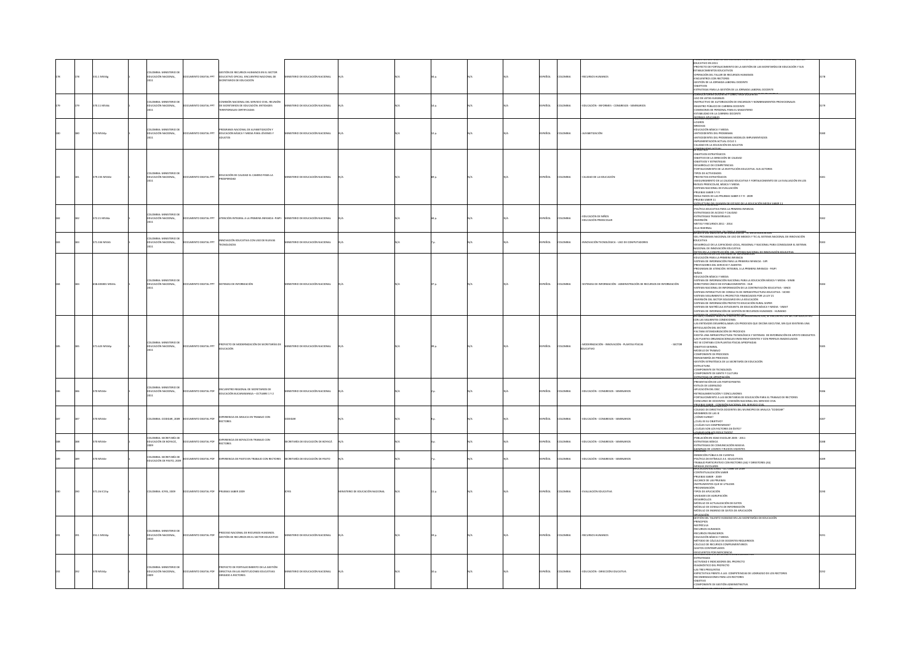|  | 1.1 MS34g      | OMRIA: MINISTERIO D<br>EDUCACIÓN NACIONAL,          | MENTO DIGITAL PPT           | <b>STIÓN DE RECURSOS HUMANOS EN EL SECTOR</b><br>SESTION DE RECONSOS HUMANOS EN EL SECTOR<br>EDUCATIVO OFICIAL: ENCUENTRO NACIONAL DE<br>SECRETARIOS DE EDUCACIÓN | TERIO DE EDUCACIÓN NACIONA            |                                       |  |  | AÑO          |                | <b>CURSOS HUMANO</b>                                                | EDUCATIVO EN 2011<br>PROYECTO DE FORTALECIMIENTO DE LA GESTIÓN DE LAS SECRETARÍAS DE EDUCACIÓN Y SUS<br><b>FSTARLECIMIENTOS EDUCATIVOS</b><br>OPERACIÓN DEL TALLER DE RECURSOS HUMANOS<br>-<br>-ENCUENTROS CON RECTORES<br>-GESTIÓN DE LA JORNADA LABORAL DOCENTE<br><b>OBJETIVOS</b><br>ESTRATEGIA PARA LA GESTIÓN DE LA JORNADA LABORAL DOCENTE                                                                                                                                                                                                                                                                                                                                                                                                                                                                                                                                              |  |
|--|----------------|-----------------------------------------------------|-----------------------------|-------------------------------------------------------------------------------------------------------------------------------------------------------------------|---------------------------------------|---------------------------------------|--|--|--------------|----------------|---------------------------------------------------------------------|------------------------------------------------------------------------------------------------------------------------------------------------------------------------------------------------------------------------------------------------------------------------------------------------------------------------------------------------------------------------------------------------------------------------------------------------------------------------------------------------------------------------------------------------------------------------------------------------------------------------------------------------------------------------------------------------------------------------------------------------------------------------------------------------------------------------------------------------------------------------------------------------|--|
|  | 70.11 M534c    | OLOMBIA: MINISTERIO DE<br>EDUCACIÓN NACIONAL,       | UMENTO DIGITAL PPT          | <b>AISIÓN NACIONAL DEL SERVICIO CIVIL: REUNIÓN</b><br>DE SECRETARIOS DE EDUCACIÓN. ENTIDADES<br>RITORIALES CERTIFICADAS                                           | <b>VISTERIO DE EDUCACIÓN NACIONAL</b> |                                       |  |  | AÑOL         | LOMBIA         | EDUCACIÓN - INFORMES - CONGRESOS - SEMINARIOS                       | <b>NVUCATURAS DOCENTES</b><br>USO DE LISTAS ELEGIBLES<br>INSTRUCTIVO DE AUTORIZACIÓN DE ENCARGOS Y NOMBRAMIENTOS PROVICIONALES<br>REGISTRO PÚBLICO DE CARRERA DOCENTE<br>COMISIONES DE RERSONAL RARA EL MAGISTERIO<br><b>STABILIDAD EN LA CARRERA DOCENTE</b><br>CRMASARUCARI                                                                                                                                                                                                                                                                                                                                                                                                                                                                                                                                                                                                                  |  |
|  | 4 M534p        | COLOMBIA: MINISTERIO DE<br>EDUCACIÓN NACIONAL,      | MENTO DIGITAL PPT           | .<br>PROGRAMA NACIONAL DE ALFABETIZACIÓN Y<br>EDUCACIÓN BÁSICA Y MEDIA PARA IÓVENES Y<br>ULTOS                                                                    | <b>STERIO DE EDUCACIÓN NACIONAL</b>   |                                       |  |  | AÑO          |                | FABETIZACIÓN                                                        | LOGROS<br><b>REFCHAS</b><br>-BRECHACIÓN BÁSICA Y MEDIA<br>-EDICACIÓN BÁSICA Y MEDIA<br>-ANTECEDENTES DEL PROGRAMA<br>-ANTECEDENTES DEL PROGRAMA MODELOS IMPLEMENTADOS<br>-IMPLEMENTACIÓN ACTUAL CICLO 1<br>CALIDAD EN LA EDUCACIÓN DE ADULTOS<br><b>CARETHERATO ACTIVAL</b>                                                                                                                                                                                                                                                                                                                                                                                                                                                                                                                                                                                                                    |  |
|  | 79.155 M534e   | OLOMBIA: MINISTERIO DE<br>EDUCACIÓN NACIONAL,       | <b>DCUMENTO DIGITAL PPT</b> | EDUCACIÓN DE CALIDAD EL CAMINO PARA LA<br><b>ROSPERIDAD</b>                                                                                                       | INSTERIO DE EDUCACIÓN NACIONAL        |                                       |  |  | AÑOL         |                | ALIDAD DE LA EDUCACIÓN                                              | OBJETIVOS ESTRATÉGICOS<br>OBJETIVO DE LA DIRECCIÓN DE CALIDAD.<br>-<br>OBJETIVOS Y ESTRATEGIAS<br>- DESARROLLO DE COMPETENCIAS<br>FORTALECIMIENTO DE LA INSTITUCIÓN EDUCATIVA: SUS ACTORES<br>-TIPOS DE ACTIVIDADES<br>PROYECTOS ESTRATÉGICOS<br>ASEGURAMIENTO DE LA CALIDAD EDUCATIVA Y FORTALECIMIENTO DE LA EVALUACIÓN EN LOS<br>NIVELES PREESCOLAR RÁSICA Y MEDIA<br>SISTEMA NACIONAL DE EVALUACIÓN<br>-SISTEMA NACIONAL DE EVALUACION<br>-PRUEBAS SABER 5 Y 9<br>-RESULTADOS DE LAS PRUEBAS SABER 5 Y 9 - 2009<br>PRUEBA SABER 11<br>STRUCTURA DEL EXAMEN DE ESTADO DE LA EDUCACIÓN MEDIA SABER                                                                                                                                                                                                                                                                                           |  |
|  | 72.21 M534a    | OLOMBIA: MINISTERIO DE<br>EDUCACIÓN NACIONAL        | TRA JATIZIO OTMENDO         | ATENCIÓN INTEGRAL A LA PRIMERA INFANCIA -PAIPI-                                                                                                                   | MINISTERIO DE EDUCACIÓN NACIONAL      |                                       |  |  | SPAÑOL       | <b>LOMBIA</b>  | <b>NICACIÓN DE NIÑOS</b><br>UCACIÓN PREESCOLAR                      | POLÍTICA EDUCATIVA PARA LA PRIMERA INFANCIA<br>ESTRATEGIAS DE ACCESO Y CALIDAD<br><b>ESTRATEGIAS TRANSVERSALES</b><br>INVERSIÓN<br>-INVERSION<br>-METAS Y RECURSOS 2011 - 2014<br>-OLA INVERNAL                                                                                                                                                                                                                                                                                                                                                                                                                                                                                                                                                                                                                                                                                                |  |
|  | 1.334 M534i    | DLOMBIA: MINISTERIO DE<br>EDUCACIÓN NACIONAL,       | THE JATIOU DISTRIPT         | DVACIÓN EDUCATIVA CON USO DE NUEVAS<br><b>FECNOLOGÍAS</b>                                                                                                         | <b>USTERIO DE EDUCACIÓN NACIONAL</b>  |                                       |  |  | AÑOL         |                | NOVACIÓN TECNOLÓGICA - USO DE COMPUTADORES                          | TRATEGIA WAGIO<br>DEL PROGRAMA NACIONAL DE USO DE MEDIOS Y TIC AL SISTEMA NACIONAL DE INNOVACIÓN<br>DUCATIVA<br>-DESARROLLO DE LA CAPACIDAD LOCAL, REGIONAL Y NACIONAL PARA CONSOLIDAR EL SISTEMA<br>NACIONAL DE INNOVACIÓN EDUCATIVA                                                                                                                                                                                                                                                                                                                                                                                                                                                                                                                                                                                                                                                          |  |
|  | 8.403801 MS34s | <b>DLOMBIA: MINISTERIO DE</b><br>EDUCACIÓN NACIONAL | CUMENTO DIGITAL PPT         | <b>STEMAS DE INFORMACIÓN</b>                                                                                                                                      | NISTERIO DE EDUCACIÓN NACIONAL        |                                       |  |  | AÑO          | OMRIA          | ISTEMAS DE INFORMACIÓN - ADMINISTRACIÓN DE RECURSOS DE INFORMACIÓN  | .<br>KTICOERLIGA DE TES SISTEMAS DE INFORMA<br>EDUCACIÓN PARA LA PRIMERA INFANCIA<br>COUCHOUN PRINT CHRISTIAN IN MILITARY<br>SISTEMA DE INFORMACIÓN PARA LA PRIMERA INFANCIA - SIPI<br>PROGRAMA DE ATENCIÓN INTEGRAL A LA PRIMERA INFANCIA - PAIPI<br>NIÑOS<br>EDUCACIÓN BÁSICA Y MEDIA<br>-SISTEMA DE INFORMACIÓN NACIONAL PARA LA EDUCACIÓN BÁSICA Y MEDIA - SINEB<br>-DIRECTORIO ÚNICO DE ESTABLECIMIENTOS - DUE<br>-SISTEMA NACIONAL DE INFORMACIÓN DE LA CONTRATACIÓN EDUCATIVA - SISTEMA<br>-SISTEMA INTERACTIVO DE CONSULTA DE INFRAESTRUCTURA EDUCATIVA - SISTED<br>-SISTEMA SEGUIMIENTO A PROYECTOS FINANCIADOS POR LA LEY 21<br>INVERSIÓN DEL SECTOR SOLIDARIO EN LA EDUCACIÓN<br>-SISTEMA DE INFORMACIÓN PROYECTO EDUCACIÓN RURAL SISPER<br>-SISTEMA DE MATRÍCULA ESTUDIANTIL DE EDUCACIÓN BÁSICA Y MEDIA - SIMAT<br>SISTEMA DE INFORMACIÓN DE GESTIÓN DE RECURSOS HUMANOS - HUMANO |  |
|  | 71.623 MS34o   | OLOMBIA: MINISTERIO DE<br>EDUCACIÓN NACIONAL        | T99 IATING OTHERWICK        | OYECTO DE MODERNIZACIÓN DE SECRETARÍAS DE<br>DUCACIÓN                                                                                                             | INISTERIO DE EDUCACIÓN NACIONAL       |                                       |  |  | <b>IORAS</b> | <b>COMBIA</b>  | MODERNIZACIÓN - INNOVACIÓN - PLANTAS FÍSICAS<br>- SECTOR<br>UCATIVO | .<br>EN 2003, COANDO HICLO LE PHOPECTO DE MODERNIZACION, SE I<br>CON LAS SIGUIENTES CONDICIONES<br>LAS ENTIDADES DESARROLLABAN LOS PROCESOS QUE DECÍAN EJECUTAR, SIN QUE EXISTIERA UNA<br>-uas entitunides desimunuament las processos que decinit etecotait, sita que existient atin.<br>ARTICULACIÓN DEL SECTOR<br>-ENLTABA ESTANDARIZACIÓN DE PROCESOS<br>-ENSTÍA UNA INFRAESTRUCTURA TECNOLÓGICA Y SISTEMAS DE INFORMACIÓN DE<br>-LAS PLANTAS ORGANIZACIONALES ERAN INSUFICIENTES Y CON PERFILES INADECUADOS<br>-NO SE CONTABA CON PLANTAS FÍSICAS APROPIADAS<br>ORIETIVO GENERAL<br>MODELO DE TRABAIC<br>-museus de Thouris<br>-COMPONENTE DE PROCESOS<br>-REINGENIERÍA DE PROCESOS<br>-GESTIÓN ESTRATÉGICA DE LA SECRETARÍA DE EDUCACIÓN<br>ESTRUCTURA<br>COMPONENTE DE TECNOLOGÍA<br>COMPONENTE DE GENTE Y CULTURA                                                                      |  |
|  | 0 MS34         | OMRIA: MINISTERIO D<br>UCACIÓN NACIONAL             | MENTO DIGITAL PDF           | ENCUENTRO REGIONAL DE SECRETARIOS DE<br>EDUCACIÓN BUCARAMANGA - OCTUBRE 1 Y 2                                                                                     | STERIO DE EDUCACIÓN NACIONAL          |                                       |  |  | AÑO          |                | <b>UCACIÓN - CONGRESOS - SEMINARIOS</b>                             | <b><i>ERATEGIA DE GEROBIACIÓN</i></b><br>PRESENTACIÓN DE LOS PARTICIPANTES<br>ESTILOS DE LIDERAZGO<br>-ENTIUS DE UNERWOOD<br>-APLICACIÓN DEL DISC<br>-RETROALIMENTACIÓN Y CONCLUSIONES<br>-FORTALECIMIENTO A LAS SECRETARÍAS DE EDUCACIÓN PARA EL TRABAJO DE RECTORES<br>CONCURSO DE DOCENTES - COMISIÓN NACIONAL DEL SERVICIO CIVIL<br><b>FRAS SARER, COMISIÓN MACIONAL DEL CO</b>                                                                                                                                                                                                                                                                                                                                                                                                                                                                                                            |  |
|  | 0 MS34e        | OLOMBIA: CODIDAR, 2009                              | DOCUMENTO DIGITAL PDF       | EXPERIENCIA DE ARAUCA EN TRABAJO CON<br><b>CTORES</b>                                                                                                             |                                       |                                       |  |  | AÑOL         | LOMBIA         | EDUCACIÓN - CONGRESOS - SEMINARIOS                                  | MIEMBROS DE LAS IE<br>F3RND SURGE?<br>- CUÁL ES SU OBJETIVO?<br>-CLUMES SUS COMPROMISOS?<br>-CLUMES SUS COMPROMISOS?<br>-CLUMES SON LOS FACTORES DE ÉXITO?<br><b>UCLUM ES SON HO</b>                                                                                                                                                                                                                                                                                                                                                                                                                                                                                                                                                                                                                                                                                                           |  |
|  | <b>M534</b>    | COLOMBIA: SECRETARÍA DE<br>EDUCACIÓN DE BOYACÁ,     | ENTO DIGITAL PDF            | XPERIENCIA DE BOYACÁ EN TRABAJO CON<br><b>TORES</b>                                                                                                               | RETARÍA DE EDUCACIÓN DE BOYACÁ        |                                       |  |  | Ñ0L          |                | <b>JUCACIÓN - CONGRESOS - SEMINARIOS</b>                            | GENENADIOADES<br>-POBLACIÓN EN EDAD ESCOLAR 2005 - 2011<br>-ESTRATEGIA BÁSICA<br>ESTRATEGIAS DE COMUNICACIÓN MASIVA<br>EIEMBLOS DE LOGROS Y BUIDOS VIGENTI                                                                                                                                                                                                                                                                                                                                                                                                                                                                                                                                                                                                                                                                                                                                     |  |
|  | 0 MS34         | COLOMBIA: SECRETARÍA DE<br>DUCACIÓN DE PASTO, 200   | IMENTO DIGITAL PDF          | PERIENCIA DE PASTO EN TRABAJO CON RECTORES                                                                                                                        | ECRETARÍA DE EDUCACIÓN DE PASTO       |                                       |  |  | AÑOL         | OMRIA          | DUCACIÓN - CONGRESOS - SEMINARIOS                                   | RENDICIÓN PÚBLICA DE CUENTAS<br>POLÍTICA DE ESTÍMULO A E. EDUCATIVOS<br>TRABAJO PARTICIPATIVO CON RECTORES (AS) Y DIRESTORES (AS)<br>MINGAS ESCOLARES.<br>APLICACIÓN NACIONAL - OCTUBRE DE 2009                                                                                                                                                                                                                                                                                                                                                                                                                                                                                                                                                                                                                                                                                                |  |
|  | 1.26 IC15p     | OLOMBIA: ICFES, 2009                                | <b>UMENTO DIGITAL PDF</b>   | RUEBAS SABER 2009                                                                                                                                                 |                                       | <b>IISTERIO DE EDUCACIÓN NACIONAL</b> |  |  | AÑOL         |                | ALUACIÓN EDUCATIVA                                                  | -CONTEXTUALIZACIÓN SABER<br>- PRUEBAS SABER - 2009<br>-PRUEBAS SABEN - 2009<br>- ALCANCE DE LAS PRUEBAS<br>- INSTRUMENTOS QUE SE UTILIZAN<br>- PROGRAMACIÓN<br>- TIPOS DE APLICACIÓN<br>-UNIDADES DE AGRUPACIÓN<br>-DESARROLLOS<br>MONILO DE ACTUALIZACIÓN DE DATOS<br>MODULO DE CONSULTA DE INFO<br>DULO DE INGRESO DE DATOS DE APLICACIÓN                                                                                                                                                                                                                                                                                                                                                                                                                                                                                                                                                    |  |
|  | 1.1 MS34o      | <b>DLOMBIA: MINISTERIO DE</b><br>EDUCACIÓN NACIONAL | CUMENTO DIGITAL PDF         | ROCESO NACIONAL DE RECURSOS HUMANOS.<br>SESTIÓN DE RECURSOS EN EL SECTOR EDUCATIVO                                                                                | NISTERIO DE EDUCACIÓN NACIONAL        |                                       |  |  | SPAÑOL       | <b>U OMRIA</b> | FOURSOS HUMANOS                                                     | -APLICACIÓN<br>GESTIÓN DEL TALENTO HUMANO EN LAS SECRETARÍAS DE EDUCACIÓN<br>-PRINCIPIOS<br><b>MATRÍCULA</b><br>-RECURSOS HUMANOS<br>RECURSOS FINANCIEROS<br>EDUCACIÓN BÁSICA Y MEDIA<br>-<br>- MÉTODO DE CÁLCULO DE DOCENTES REQUERIDOS<br>-CÁLCULO DE RECURSOS COMPLEMENTARIOS<br>-GASTOS CONTEMPLADOS<br>DESCUENTOS POR INEFICIENCI                                                                                                                                                                                                                                                                                                                                                                                                                                                                                                                                                         |  |
|  | M534p          | COLOMBIA: MINISTERIO DE<br>EDUCACIÓN NACIONAL,      | OCUMENTO DIGITAL PDF        | PROYECTO DE FORTALECIMIENTO DE LA GESTIÓN<br>DIRECTIVA EN LAS INSTITUCIONES EDUCATIVAS<br>DIRIGIDO A RECTORES                                                     | <b>NISTERIO DE EDUCACIÓN NACIONAL</b> |                                       |  |  | <b>Viol</b>  | LOMBIA         | EDUCACIÓN - DIRECCIÓN EDUCATIVA                                     | <b>ESTRATEGIAS</b><br>ACTIVIDAD E INDICADORES DEL PROVECTO<br><b>AGNÓSTICO DEL PROYECTO</b><br>LAS TRES PREGUNTAS<br>-<br>EXPECTATIVA FRENTE A LAS COMPETENCIAS DE LIDERAZGO DE LOS RECTORES<br>RECOMENDACIONES PARA LOS RECTORES<br>OBJETIVO<br>COMPONENTE DE GESTIÓN ADMINISTRATIVA                                                                                                                                                                                                                                                                                                                                                                                                                                                                                                                                                                                                          |  |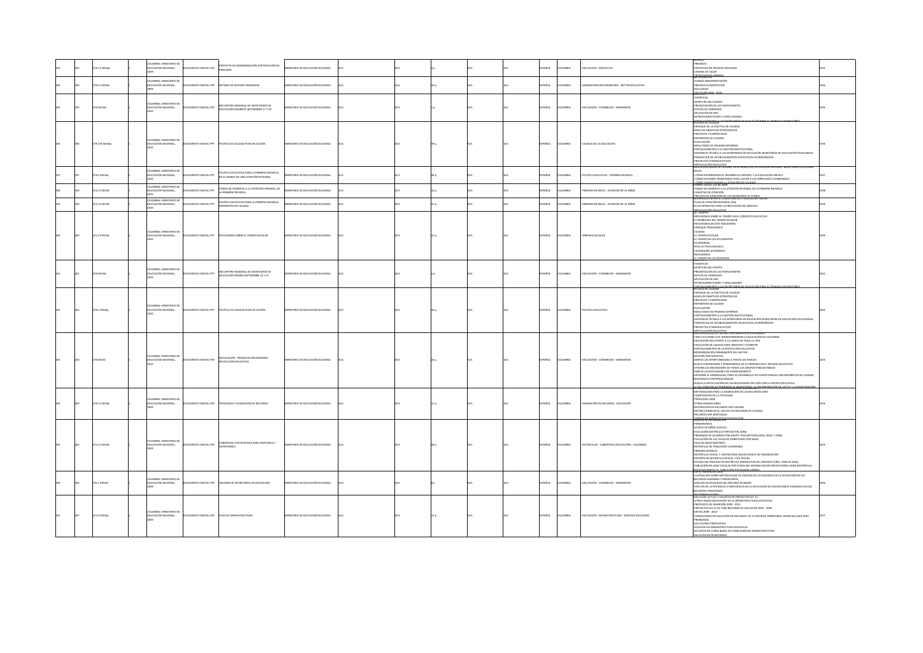|  | 70.11 M534p   | <b>OLOMBIA: MINISTERIO DE</b><br>EDUCACIÓN NACIONAL, | CUMENTO DIGITAL PDF          | ROYECTO DE MODERNIZACIÓN CERTIFICACIÓN DE<br>ROCESOS                                 | INSTERIO DE EDUCACIÓN NACIONAL              |  |  | AÑOL          |                | EDUCACIÓN - PROYECTOS                               | -PREMISAS<br>-CERTIFICACIÓN PROCESO NACIONAL<br>CADENA DE VALOR<br>CRONOGRAMA GE                                                                                                                                                                                                                                                                                                                                                                                                                                                                                                                                                                                                                                                                                                                                                                                                                                                                                                               |  |
|--|---------------|------------------------------------------------------|------------------------------|--------------------------------------------------------------------------------------|---------------------------------------------|--|--|---------------|----------------|-----------------------------------------------------|------------------------------------------------------------------------------------------------------------------------------------------------------------------------------------------------------------------------------------------------------------------------------------------------------------------------------------------------------------------------------------------------------------------------------------------------------------------------------------------------------------------------------------------------------------------------------------------------------------------------------------------------------------------------------------------------------------------------------------------------------------------------------------------------------------------------------------------------------------------------------------------------------------------------------------------------------------------------------------------------|--|
|  | 79.11 M534s   | COLOMBIA: MINISTERIO DE<br>EDUCACIÓN NACIONAL,       | CUMENTO DIGITAL PDF          | ISTEMA DE GESTIÓN FINANCIERA                                                         | INSTERIO DE EDUCACIÓN NACIONAL              |  |  | PAÑOL         | LOMBIA         | <b>IDMINISTRACIÓN FINANCIERA - SECTOR EDUCATIVO</b> | AVANCE IMPLEMENTACIÓN<br>PROCESO ALIMENTACIÓN<br><b>HALLAZGOS</b><br>ELECHCIÓN 2009 -                                                                                                                                                                                                                                                                                                                                                                                                                                                                                                                                                                                                                                                                                                                                                                                                                                                                                                          |  |
|  | 0 M534        | OLOMBIA: MINISTERIO DE<br>EDUCACIÓN NACIONAL         | OCUMENTO DIGITAL PDF         | <b>ENCUENTRO REGIONAL DE SECRETARIOS DE</b><br>EDUCACIÓN GIRARDOT SEPTIEMBRE 17 Y 18 | NISTERIO DE EDUCACIÓN NACIONAL              |  |  | PAÑOL         | LOMBIA         | EDUCACIÓN - CONGRESOS - SEMINARIOS                  | <b>TEMÁTICAS</b><br>-APERTURA DEL EVENTO<br>PRESENTACIÓN DE LOS PARTICIPANTES<br>-ESTILOS DE LIDERAZGO<br>APLICACIÓN DE DISC<br>RETROALIMENTACIÓN Y CONCLUSIONES                                                                                                                                                                                                                                                                                                                                                                                                                                                                                                                                                                                                                                                                                                                                                                                                                               |  |
|  | 379.155 MS34g | OLOMBIA: MINISTERIO DE<br>EDUCACIÓN NACIONAL,        |                              | OCUMENTO DIGITAL PPT POLÍTICA DE CALIDAD PLAN DE ACCIÓN                              | INSTERIO DE EDUCACIÓN NACIONAL              |  |  | <b>JORAGE</b> | AISMOJO:       | CALIDAD DE LA EDUCACIÓN                             | <b>CORTAL CORAIGNEO</b><br>OLÍTICA DE CALIDA<br>ENFOQUE DE LA POLÍTICA DE CALIDAD<br>-MAPA DE OBJETIVOS ESTRATÉGICOS<br>PROCESOS Y SUBPROCESOS<br>-REFERENTES DE CALIDAD<br>EVALUACIÓN<br>RESULTADOS DE PRUEBAS EXTERNAS<br>-FORTALECIMIENTO A LA GESTIÓN INSTITUCIONAL<br>-<br>ASISTENCIA TÉCNICA A LAS SECRETERÍAS DE EDUCACIÓN SECRETARÍAS DE EDUCACIÓN FOCALIZADAS<br>- PORCENTAJE DE ESTABLECIMIENTOS EDUCATIVOS ACOMPAÑADOS<br>-PROYECTOS ETNOEDUCATIVOS<br>-ARTICULACIÓN EDUCATIVA<br>EDUCACIÓN INICIAL DE CALIDAD: EN EL MARCO DE LA ATENCIÓN INTEGRAL: BASES PARA LA EQUIDAD                                                                                                                                                                                                                                                                                                                                                                                                          |  |
|  | 79.2 MS34p    | .<br>COLOMBIA: MINISTERIO DE<br>EDUCACIÓN NACIONAL,  | CUMENTO DIGITAL PPT          | OLÍTICA EDUCATIVA PARA LA PRIMERA INFANCIA:<br>N EL MARCO DE UNA ATENCIÓN INTEGRAL   | <b>ASTERIO DE EDUCACIÓN NACIONAL</b>        |  |  | PAÑOL         | LOMBIA         | POLÍTICA EDUCATIVA - PRIMERA INFANCIA               | -<br>¿CÓMO ENTENDEMOS EL DESARROLLO INFANTIL Y LA EDUCACIÓN INICIAL?<br>¿CÓMO ESTAMOS TRABAJANDO PARA LLEGAR A LOS NIÑOS MÁS VULNERABLES?<br>-CÓMO GARANTIZAMOS LA ATENCIÓN DE CA<br>20NPES SOCIAL 123 DE 2009                                                                                                                                                                                                                                                                                                                                                                                                                                                                                                                                                                                                                                                                                                                                                                                 |  |
|  | 72.21 M534f   | ON OMBIA: MINISTERIO DE<br>EDUCACIÓN NACIONAL,       | MENTO DIGITAL PPT            | NDO DE FOMENTO A LA ATENCIÓN INTEGRAL DE<br>PRIMERA INFANCIA                         | STERIO DE EDUCACIÓN NACIONAL                |  |  | PAÑOL         |                | RIMERA INFANCIA - ATENCIÓN DE LA NIÑEZ              | FONDO DE FOMENTO A LA ATENCIÓN INTEGRAL DE LA PRIMERA INFANCIA<br>-CANASTAS DE ATENCIÓN<br>-<br>PROCESO DE ADHESIÓN DE LOS MUNICIPIOS AL FONDO<br>DESARROLLO INFANTIL, COMPETENCIAS Y EDUCACIÓN INICIAL                                                                                                                                                                                                                                                                                                                                                                                                                                                                                                                                                                                                                                                                                                                                                                                        |  |
|  | 72.21 M534f   | COLOMBIA: MINISTERIO DE<br>EDUCACIÓN NACIONAL,       | MENTO DIGITAL PPT            | OLÍTICA EDUCATIVA PARA LA PRIMERA INFANCIA.<br>ERENTES DE CALIDAD                    | <b><i>ASTERIO DE EDUCACIÓN NACIONAL</i></b> |  |  | PAÑOL         | OMBIA          | PRIMERA INFANCIA - ATENCIÓN DE LA NIÑEZ             | PLAN DE ATENCIÓN INTEGRAL (PAI)<br>RUTA OPERATIVA PARA LA PRESTACIÓN DEL SERVICIO<br>ARTICULACIÓN EDUCATIVA                                                                                                                                                                                                                                                                                                                                                                                                                                                                                                                                                                                                                                                                                                                                                                                                                                                                                    |  |
|  | 371.23 M534r  | LOMBIA: MINISTERIO DE<br>EDUCACIÓN NACIONAL          |                              | OCUMENTO DIGITAL PPT REFLEXIONES SOBRE EL TIEMPO ESCOLAR                             | NISTERIO DE EDUCACIÓN NACIONAL              |  |  | <b>JORAS</b>  | OLOMBIA        | JORNADA ESCOLAR                                     | -REFLEXIONES SOBRE EL TIEMPO EN EL CONTEXTO EDUCATIVO<br>-EL PROBLEMA DEL TIEMPO ESCOLAR<br>REFLEXIONES EN ESTE ENCUENTRO<br>ENFOQUE PEDAGÓGICO<br>CALIDAD<br>EL TIEMPO ESCOLAR<br>-EL TIEMPO DE LOS ESTUDIANTES<br>-EL TIEMPO DE LOS ESTOL<br>-40 SEMANAS<br>-DÍAS LECTIVOS ANUALES<br>CALENDARIO ACADÉMICO<br>-REFLEXIONES<br>EL TIEMPO DE LOS D                                                                                                                                                                                                                                                                                                                                                                                                                                                                                                                                                                                                                                             |  |
|  | 0 M534        | OLOMBIA: MINISTERIO DE<br>EDUCACIÓN NACIONAL         | TRA JATI200 OTM3MIOD         | ENCUENTRO REGIONAL DE SECRETARIOS DE<br>EDUCACIÓN PEREIRA SEPTIEMBRE 24 Y 25         | NISTERIO DE EDUCACIÓN NACIONAL              |  |  | PAÑOL         | LOMBIA         | EDUCACIÓN - CONGRESOS - SEMINARIOS                  | TEMÁTICAS<br>-APERTURA DEL EVENTO<br>PRESENTACIÓN DE LOS PARTICIPANTES<br>-ESTILOS DE LIDERAZGO<br>APLICACIÓN DE DISC<br>RETROALIMENTACIÓN Y CONCLUSIONES                                                                                                                                                                                                                                                                                                                                                                                                                                                                                                                                                                                                                                                                                                                                                                                                                                      |  |
|  | 79.2 MS34p    | OLOMBIA: MINISTERIO DE<br>EDUCACIÓN NACIONAL,        | OCUMENTO DIGITAL PPT         | POLÍTICA DE CALIDAD PLAN DE ACCIÓN                                                   | ISTERIO DE EDUCACIÓN NACIONAL               |  |  | PAÑOL         | <b>JLOMBIA</b> | POLÍTICA EDUCATIVA                                  | ENFOQUE DE LA POLÍTICA DE CALIDAD<br>-MAPA DE OBJETIVOS ESTRATÉGICOS<br>PROCESOS Y SUBPROCESOS<br>-REFERENTES DE CALIDAD<br>PV4/114/10W<br>RESULTADOS DE PRUEBAS EXTERNAS<br>-FORTALECIMIENTO A LA GESTIÓN INSTITUCIONAL<br>-<br>ASISTENCIA TÉCNICA A LAS SECRETARÍAS DE EDUCACIÓN SECRETARÍAS DE EDUCACIÓN FOCALIZADAS<br>PROYECTOS ETNOEDUCATIVOS                                                                                                                                                                                                                                                                                                                                                                                                                                                                                                                                                                                                                                            |  |
|  | 70 MS34       | OLOMBIA: MINISTERIO DE<br>EDUCACIÓN NACIONAL         | <b>OCUMENTO DIGITAL PDF</b>  | INSTALACIÓN - PRESENTACIÓN MINISTRA.<br><b>EVOLUCIÓN EDUCATIVA</b>                   | INISTERIO DE EDUCACIÓN NACIONAL             |  |  | SPAÑOL        | AI8MOJO:       | - EDUCACIÓN - CONGRESOS - SEMINARIOS                | -ARTICULACIÓN EDUCATIVA<br>UNA EDUCACIÓN DE CALIDAD CENTRADA EN EL ESTUDIANT<br>ONA EDOLACIÓN DE CADIAD CENTRADA EN EL ESTODIANTE<br>-CINCO ACCIONES QUE TRANSFORMARON LA EDUCACIÓN EN COLOMBIA<br>-EDUCACIÓN INCLUYENTE A LO LARGO DE TODA LA VIDA<br>-EDUCACIÓN DE CALIDAD PARA INNOVAR Y COMPETIR<br>-FORTALECIMIENTO DE LA INSTITUCIÓN EDUCATIVA<br>-MODERNIZACIÓN PERMANENTE DEL SECTOR<br><b>GESTIÓN PARTICIPATIVA</b><br>-AMPLÍA LAS OPORTUNIDADES A TODOS LOS NIVELES<br>PRINCIPAL CONTINUIDAD Y PERMANENCIA DE LA PERSONA EN EL SISTEMA EDUCATIVO<br>-BUSCA CONTINUIDAD Y PERMANENCIA DE LA PERSONA EN EL SISTEMA EDUCATIVO<br>AMPLIA LAS NECESIDADES DE EINANCIAMIENTO<br>-HAIFIEN LAS NECESILINUES DE FINANCIAMIENTO<br>-ENTIENDE EL APRENDIZAJE COMO EL DESARROLLO DE COMPETENCIAS CON REFERENTES DE CALIDAD<br>NACIONALES E INTERNACIONALES<br>-BUSCA LA ARTICULACIÓN DE LAS NECESIDADES DEL PAÍS CON LA OFERTA EDUCATIVA<br>E DA CARÁCTER DE PRIORIDAD AL RUINGÜÍSMO, LA INCORPO |  |
|  | 79.11 MS34t   | COLOMBIA: MINISTERIO DE<br>EDUCACIÓN NACIONAL        | <b>COLUMENTO DIGITAL PDF</b> | TIPOLOGÍAS Y ASIGNACIÓN DE RECURSOS                                                  | IINSTERIO DE EDUCACIÓN NACIONAL             |  |  | <b>JORAS</b>  | <b>ILOMBIA</b> | ASIGNACIÓN DE RECURSOS - EDUCACIÓN                  | -METODOLOGÍA PARA LA ASIGNACIÓN DE LOS RECURSOS 2009<br>-COMPOSICIÓN DE LA TIPOLOGÍA<br>-TIPOLOGIAS 2009<br>-OTRAS ASIGNACIONES<br>-DESTINACIÓN DE RECURSOS SGP CALIDAD<br>-RESTRICCIONES EN EL USO DE LOS RECURSOS DE CALIDAD<br><b>AFCURSOS SOP GRATULOM</b>                                                                                                                                                                                                                                                                                                                                                                                                                                                                                                                                                                                                                                                                                                                                 |  |
|  | 371.21 MS34c  | COLOMBIA: MINISTERIO DE<br>EDUCACIÓN NACIONAL        | DOCUMENTO DIGITAL PDF        | COBERTURA Y ESTRATEGIAS PARA AMPLIARLA Y<br>ANTENERLA                                | <b>INSTERIO DE EDUCACIÓN NACIONAL</b>       |  |  | <b>JORAS</b>  | <b>OLOMBIA</b> | MATRÍCULAS - COBERTURA (EDUCACIÓN) - COLOMBIA       | <b>JONDOE DE SERVICIOS SI</b><br>-PERMANENCIA<br>-ACCESO DE NIÑOS NUEVOS<br>-EVOLUCIÓN MATRÍCULA POR SECTOR, ZONA<br>-PROMEDIO DE ALUMNOS POR GRUPO, POR METODOLOGÍA, NIVEL Y ZONA<br>EVOLUCIÓN DE LAS TASAS DE COBERTURAS POR NIVEL<br>TASA DE ANALFABETISMO<br>-MATRÍCULA DE POBLACIÓN VULNERABLE<br>PRIMERA INFANCIA<br>MATRÍCULA ORCIAL Y CONTRATADA SEGÚN FUENTE DE RNANCIACIÓN<br>-MINIMILIUM UTILINE, T LUINTINI NUM SEGUNT FUERTE DE FINANCIALION<br>-REPORTE DE MATRÍCULA OFICIAL Y NO OFICIAL<br>-ESTADO DEL PROCESO DE MATRÍCULA (PRODUCTOS DEL PROCESO S/RES. 5360 DE 2006)<br>POBLACIÓN EN EDAD ESCOLAR POR FUERA DEL SISTEMA SEGÚN PROYECCIONES DANE (MATRÍCULA<br><b>POR EDAD SIMPLE VS. POBLACIÓN POR EDADES SIMPLE!</b>                                                                                                                                                                                                                                                       |  |
|  | 351.1 MS34t   | OLOMBIA: MINISTERIO DE<br>EDUCACIÓN NACIONAL         | <b>COLUMENTO DIGITAL PDF</b> | TALLERES DE SECRETARIOS DE EDUCACIÓN                                                 | MINISTERIO DE EDUCACIÓN NACIONAL            |  |  | <b>JORAS</b>  | AISMOJC        | - EDUCACIÓN - CONGRESOS - SEMINARIOS                | -ILUSTRACIÓN SOBRE METODOLOGÍA DE ANÁLISIS DE LA EFICIENCIA EN LA APUCACIÓN DE LOS<br>RECURSOS HUMANOS Y FINANCIEROS<br>-ANÁLISIS DE EFICIENCIA DEL RECURSO HUMANO<br>-EFECTOS DE LA EFICIENCIA O INEFICIENCIA EN LA APLICACIÓN DE LOS RECURSOS HUMANOS EN LOS<br>RECURSOS FINANCIEROS                                                                                                                                                                                                                                                                                                                                                                                                                                                                                                                                                                                                                                                                                                         |  |
|  | 71.6 MS34p    | OLOMBIA: MINISTERIO DE<br>EDUCACIÓN NACIONAL,        |                              | OCUMENTO DIGITAL PDF PLAN DE INFRAESTRUCTURA                                         | <b>INSTERIO DE EDUCACIÓN NACIONAL</b>       |  |  | PAÑOL         | <b>ILOMBIA</b> | EDUCACIÓN - INFRAESTRUCTURA - EDIFICIOS ESCOLARES   | RECOMENDACIÓNES<br>EJECUCIÓN ACTUAL Y DESAFÍOS EN PROYECTOS LEY 21<br>-OTROS TEMAS RELEVANTES DE LA INFRAESTRUCTURA EDUCATIVA<br>-PROPUESTA DE INVERSIÓN 2009 - 2011<br>-PROYECTOS LEY 21 DE 1982 RESUMEN DE EJECUCIÓN 2003 - 2008<br>MFTAS 2009 - 2010<br>-CONSOLIDADO DE EJECUCIÓN DE RECURSOS LEY 21 ENTIDAD TERRITORIAL VIGENCIAS 2003-2007<br>PROBLEMAS<br>-SOLUCIONES PROPUESTAS<br>DESAFÍOS EN INFRAESTRUCTURA EDUCATIVA<br>ACCIONES EN CURSO BASES DE PLANEACIÓN EN INFRAESTRUCTURA<br>RELACIÓN DE INVENTARIOS                                                                                                                                                                                                                                                                                                                                                                                                                                                                         |  |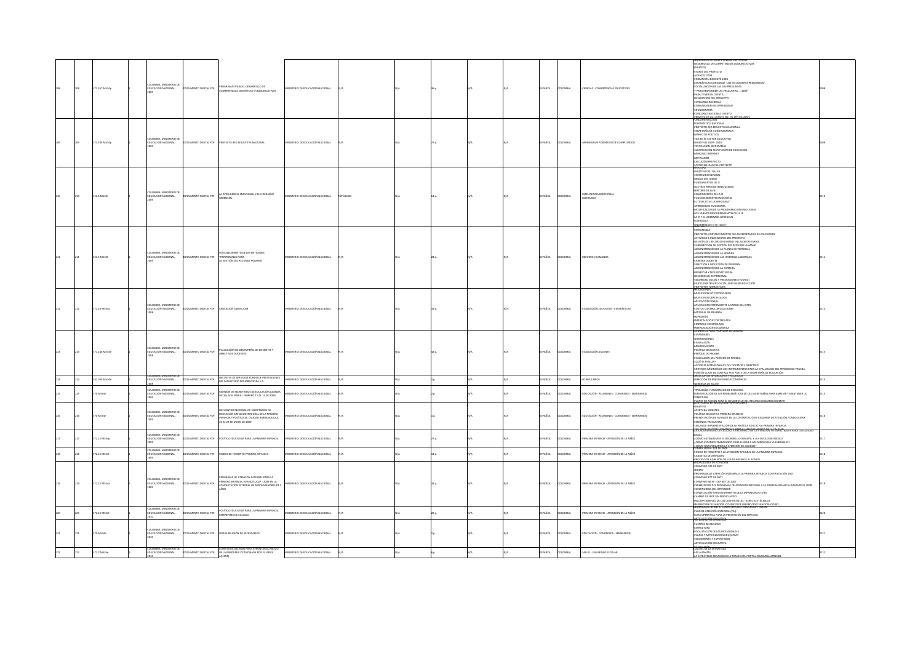|     | 372.357 M534p | COLOMBIA: MINISTERIO DE<br>EDUCACIÓN NACIONAL,                         | OCUMENTO DIGITAL PDF        | PROGRAMAS PARA EL DESARROLLO DE<br>COMPETENCIAS CIENTÍFICAS Y COMUNICATIVAS                                                                                       | NISTERIO DE EDUCACIÓN NACIONAL       |         |      |  | AÑOL         |                | CIENCIAS - COMPETENCIAS EDUCATIVAS                    | : I ENCIAS CIENTIFICA<br>-DESARROLLO DE COMPETENCIAS COMUNICATIVAS<br>OWITHING<br>-GULLITO<br>-ETAPAS DEL PROYECTO<br>-AVANCES 2008<br>FORMACIÓN DOCENTE 2008<br>-TOMMACON DOCUME 2000<br>- ESTADÍSTICAS CONCURSO "LOS ESTUDIANTES PREGUNTAN"<br>- SOCIALIZACIÓN DE LAS 200 PREGUNTAS<br>Y PARA RESPONDER LAS PREGUNTAS ¿QUÉ?<br>-PARA TENER EN CUENTA<br>-<br>-DESCRIPCIÓN DEL PROYECTO<br>-CONCURSO NACIONAL<br>COMUNIDADES DE APRENDIZAJE<br>-CRONOGRAMA<br>CONCURSO NACIONAL CUENTO<br><b>PRINCIPALES HALLAZGOS E</b><br>LINDAMENTACIÓN                                                                                                                                                   |           |
|-----|---------------|------------------------------------------------------------------------|-----------------------------|-------------------------------------------------------------------------------------------------------------------------------------------------------------------|--------------------------------------|---------|------|--|--------------|----------------|-------------------------------------------------------|-----------------------------------------------------------------------------------------------------------------------------------------------------------------------------------------------------------------------------------------------------------------------------------------------------------------------------------------------------------------------------------------------------------------------------------------------------------------------------------------------------------------------------------------------------------------------------------------------------------------------------------------------------------------------------------------------|-----------|
|     | 71.334 MS34p  | MBIA: MINISTERIO DE<br>EDUCACIÓN NACIONAL,                             | OCUMENTO DIGITAL PDF        | PROYECTO RED EDUCATIVA NACIONAL                                                                                                                                   | NISTERIO DE EDUCACIÓN NACIONAL       |         |      |  | PAÑOL        | LOMBIA         | PRENDIZAJE POR MEDIO DE COMPUTADOR                    | PUNUMMENTALIUM<br>-DIAGNÓSTICO NACIONAL<br>-PROYECTO RED EDUCATIVA NACIONAL<br>-SECRETARÍA DE CUNDINAMARCA<br>-MARCO DE POLÍTICA<br>-TICS EN EL SECTOR EDUCATIVO<br>-OBJETIVOS 2009 - 2010<br>TIRIFICACIÓN SECRETARÍAS<br>-TIPIPICACIÓN SECRETARIAS<br>-CLASIFICACIÓN SECRETARÍAS DE EDUCACIÓN<br>-MERCADO INTERNET<br>METAS 2009<br><b>EIFCUCIÓN PROYECTO</b><br>SOSTENIBILIDAD DEL PR                                                                                                                                                                                                                                                                                                       |           |
|     | 52.4 MS34i    | OLOMBIA: MINISTERIO DE<br>EDUCACIÓN NACIONAL                           | <b>OCUMENTO DIGITAL PDF</b> | LA INTELIGENCIA EMOCIONAL Y EL LIDERAZGO<br>GEBENCIAL                                                                                                             | INSTERIO DE EDUCACIÓN NACIONAL       | TELLEGO |      |  | <b>JORAS</b> | <b>JLOMBIA</b> | INTELIGENCIA EMOCIONAL<br>OPEAN11                     | ORIETIVO DEL TALLER<br>-OBJETIVO DEL TALLER<br>-CONTENIDO GENERAL<br>-REGLAS DEL JUEGO<br>-FUNDAMENTOS DE IE<br>-LOS TRES TIPOS DE INTELIGENCIA<br>-HISTORIA DE LA IE<br>-COMPONENTES DE LA IE<br><b>FUNCIONAMENTO EMOCIONAL</b><br>-FUNCIUMMIENTO EMOCION<br>-EL "ASALTO DE LA AMIGDALA"<br>-APRENDIZAJE EMOCIONAL<br>-MODIFICACION DE LA PROGRAMACION EMOCIONAL<br>-LOS NUEVOS DESCUBRIMIENTOS DE LA IE<br>-LA IE Y EL LIDERAZGO GERENCIAL<br>LIDERAZGO<br>UNLIDER NACE OSE                                                                                                                                                                                                                 |           |
|     | 51.1 MS34f    | <b>COLOMBIA: MINISTERIO DE</b><br>EDUCACIÓN NACIONAL                   | OCUMENTO DIGITAL PDF        | FORTALECIMIENTO DE LAS ENTIDADES<br>TERRITORIALES PARA<br>A GESTIÓN DEL RECURSO HUMANO                                                                            | NISTERIO DE EDUCACIÓN NACIONAL       |         |      |  | PAÑOL        | LOMBIA         | ECURSOS HUMANOS                                       | UGAL IVO<br>- ESTRATEGIAS<br>- PROYECTO: FORTALECIMIENTO DE LAS SECRETARÍAS DE EDUCACIÓN<br>- ACTIVIDAD E INDICADORES DEL PROYECTO<br>GESTIÓN DEL RECURSO HUMANO EN LAS SECRETARÍAS<br>-GESTION DEL RECORSO HOMANO EN DAS SECRETARIA<br>-SUBDIRECCIÓN DE GESTIÓN DEL RECURSO HUMANO<br>-ADMINISTRACIÓN DE LA PLANTA DE PERSONAL<br>ADMINISTRACIÓN DE LA NÓMINA<br>-ADMINISTRACIÓN DE LAS HISTORIAS LABORALES<br>-ADMINISTRACIÓN DE LAS HISTORIAS LABORALES<br>-SELECCIÓN E INDUCCIÓN DE PERSONAL<br>-<br>ADMINISTRACIÓN DE LA CARRERA<br>-BIENESTAR Y SEGURIDAD SOCIAL<br>-DESARROLLO DE PERSONAL<br>-SEGURIDAD SOCIAL Y PRESTACIONES (FOMAG)<br>PARTICIPANTES EN LOS TALLERES DE REINDUCCIÓN |           |
| 212 | 71.26 MS34a   | OLOMBIA: MINISTERIO DE<br>EDUCACIÓN NACIONAL                           |                             | DOCUMENTO DIGITAL PDF APLICACIÓN SABER 2009                                                                                                                       | INISTERIO DE EDUCACIÓN NACIONAL      |         |      |  | PAÑOL        | 11 OMRIA       | EVALUACIÓN EDUCATIVA - ESTADÍSTICAS                   | JROYFOTOS NI<br>APLICACIONES<br>-MUNICIPIOS NO CERTIFICADOS<br>-MUNICIPIOS CERTIFICADOS<br>-APLICACIÓN CENSAL<br>-APLICACIÓN ENTERAMENTE A CARGO DEL ICFES<br>-COSTOS CONTROL APLICACIONES<br>MATERIAL DE PRUEBAS<br><b>IMPRESIÓN</b><br>INTERCALACIÓN CONTROLADA<br>EMPAQUE CONTROLADA                                                                                                                                                                                                                                                                                                                                                                                                       |           |
|     | 1.144 MS34e   | OLOMBIA: MINISTERIO DE<br>EDUCACIÓN NACIONAL                           | OCUMENTO DIGITAL PDF        | VALUACIÓN DE DESEMPEÑO DE DOCENTES Y<br>IRECTIVOS DOCENTES                                                                                                        | NISTERIO DE EDUCACIÓN NACIONAL       |         |      |  | PAÑOL        | OLOMBIA        | VALUACIÓN DOCENTE                                     | INTERCALACIÓN ESTADÍSTICA<br>ELEMENTOS PARA PROPICIAR I<br><b>ESTÁNDARES</b><br><b>ZRICOLATINERS</b><br>EVALUACIÓN<br>OTABINAROLEM-<br>POLÍTICA EDUCATIVA<br>-POLITICA LOCATIVA<br>-PERÍODO DE PRUEBA<br>-EVALUACIÓN DEL PERÍODO DE PRUEBA<br>-JOUE SE EVALUA?<br>ACCIONES INTENCIONALES DEL DOCENTE Y DIRECTIVO<br>CRITERIOS MÍNIMOS DE LOS INSTRUMENTOS PARA LA EVALUACIÓN DEL PERÍODO DE PRUEBA                                                                                                                                                                                                                                                                                            |           |
|     | 47.055 M534e  | EDUCACIÓN NACIONAL,                                                    | OCUMENTO DIGITAL PDF        | INCUESTA DE SERVICIOS FONDO DE PRESTACIONES<br>DEL MAGISTERIO FIDUPREVISORA S.A.                                                                                  | AINISTERIO DE EDUCACIÓN NACIONAL     |         |      |  | PAÑOL        | <b>OLOMBIA</b> | FORMULARIOS                                           | -<br>PUNTOS CLAVE DE CONTROL POR PARTE DE LA SECRETARÍA DE EDUCACIÓN<br>DIRECCIÓN DE AFILIACIONES Y RECAUDOS<br>-DIRECCIÓN DE PRESTACIONES ECONÓMICAS                                                                                                                                                                                                                                                                                                                                                                                                                                                                                                                                         | $^{1214}$ |
|     | 0 M534        | OLOMBIA: MINISTERIO DE<br>EDUCACIÓN NACIONAL,                          | IMENTO DIGITAL PDF          | EUNIÓN DE SECRETARIOS DE EDUCACIÓN AGENDA<br>ETALLADA, PAIPA - FEBRERO 12 AL 14 DE 2009                                                                           | <b>USTERIO DE EDUCACIÓN NACIONAL</b> |         |      |  | PAÑOL        | LOMBIA         | EDUCACIÓN - REUNIONES - CONGRESOS - SEMINARIOS        | <b>GERENCIA DE SALUD</b><br>TIPOLOGÍAS Y ASIGNACIÓN DE RECURSOS<br>-IDENTIFICACIÓN DE LAS PROBLEMÁTICAS DE LAS SECRETARÍAS PARA AMPLIAR Y MANTENER LA<br>CORFRTURA                                                                                                                                                                                                                                                                                                                                                                                                                                                                                                                            |           |
|     | 70 MS34       | OLOMBIA: MINISTERIO DE<br>EDUCACIÓN NACIONAL,                          | UMENTO DIGITAL PDF          | NCUENTRO REGIONAL DE SECRETARIOS DE<br><b>DUCACIÓN ATENCIÓN INTEGRAL DE LA PRIMERA</b><br>NFANCIA Y POLÍTICA DE CALIDAD BARRANQUILLA,<br>20 AL 22 DE MAYO DE 2009 | <b>NSTERIO DE EDUCACIÓN NACIONAL</b> |         |      |  | <b>PAÑOL</b> | LOMBIA         | <b>EDUCACIÓN - REUNIONES - CONGRESOS - SEMINARIOS</b> | -PLANES DE ACCIÓN PABA EL DESARROLLO DEL RECURSO HUMANO DOCENTE<br>OBJETIVO<br>-APERTURA MINISTRA<br>POLÍTICA FOLICATIVA PRIMERA INFANCIA<br>-PRESENTACIÓN DE AVANCES EN LA CONTRATACIÓN Y ESQUEMA DE ATENCIÓN FONDO ICETEX<br>-SESIÓN DE PREGUNTAS<br>TALLER DE IMPLEMENTACIÓN DE LA POLÍTICA EDUCATIVA PRIMERA INFANCIA<br>.<br>EDUCATION TRICIAL DE CALIDADE EN LE MAINCO DE LA ATENCIÓN INTEGRAL BAS                                                                                                                                                                                                                                                                                      |           |
|     | 22.21 M534p   | COLOMBIA: MINISTERIO DE<br>EDUCACIÓN NACIONAL,                         | CUMENTO DIGITAL PDF         | POLÍTICA EDUCATIVA PARA LA PRIMERA INFANCIA                                                                                                                       | NISTERIO DE EDUCACIÓN NACIONAL       |         |      |  | PAÑOL        | <b>JLOMBIA</b> | RIMERA INFANCIA - ATENCIÓN DE LA NIÑEZ                | -¿CÓMO ENTENDEMOS EL DESARROLLO INFANTIL Y LA EDUCACIÓN INICIAL?<br>- CÓMO ESTAMOS TRABAJANDO PARA LLEGAR A LOS NIÑOS MÁS VULNERABLES?<br>CÓMO GARANTIZAMOS LA ATENCIÓN DE CALIDAD?<br>ONPES SOCIAL 123 DE 2009                                                                                                                                                                                                                                                                                                                                                                                                                                                                               |           |
|     | 72.21 MS34f   | COLOMBIA: MINISTERIO DE<br>EDUCACIÓN NACIONAL,                         | <b>NORTH LIGHTED</b>        | ONDO DE FOMENTO PRIMERA INFANCIA                                                                                                                                  | VISTERIO DE EDUCACIÓN NACIONAL       |         |      |  | PAÑOL        | <b>JLOMBIA</b> | PRIMERA INFANCIA - ATENCIÓN DE LA NIÑEZ               | FONDO DE FOMENTO A LA ATENCIÓN INTEGRAL DE LA PRIMERA INFANCIA<br>CANASTAS DE ATENCIÓN<br>-<br>PROCESO DE ADHESIÓN DE LOS MUNICIPIOS AL FOND                                                                                                                                                                                                                                                                                                                                                                                                                                                                                                                                                  |           |
|     | 372.21 M534a  | .<br>COLOMBIA: MINISTERIO DE<br>EDUCACIÓN NACIONAL,                    | OCUMENTO DIGITAL PDF        | <b>GRAMA DE ATENCIÓN INTEGRAL PARA LA</b><br>RIMERA INFANCIA. AVANCES 2007 - 2009 EN LA<br>CONTRATACIÓN INTEGRAL DE NIÑOS MENORES DE 5<br>AROS                    | INSTERIO DE EDUCACIÓN NACIONAL       |         |      |  | <b>PAÑOL</b> | <b>JLOMBIA</b> | .<br>PRIMERA INFANCIA - ATENCIÓN DE LA NIÑEZ          | CONVENIO 030 DE 2007<br>-OBJETO<br>-PROGRAMA DE ATENCIÓN INTEGRAL A LA PRIMERA INFANCIA CONTRATACIÓN 2007<br>CONVENIO 877 DE 2007<br>CONVENIO MEN - ICBF 887 DE 2007<br>-EXPERIENCIAS DEL PROGRAMA DE ATENCIÓN INTEGRAL A LA PRIMERA INFANCIA DURANTE EL 2008<br>-CONTINUIDAD DEL OPERADOR<br>-CONSECUCIÓN Y MANTENIMIENTO DE LA INFRAESTRUCTURA<br>-CONSECUCIÓN Y MANTENIMIENTO DE LA INFRAESTRUCTURA<br>-INCUMPLIMIENTO DE LOS CONTRATISTAS - ASPECTOS TÉCNICOS<br>-<br>IMPOSICIÓN DE SANCIÓN Y/O INICIO DE UN PROCESO SANCIONATORIO<br>DESARROLLO INFANTIL: COMPETENCIAS Y EDUCACIÓN INICIAL                                                                                               |           |
|     | 72.21 M534f   | OLOMBIA: MINISTERIO DE<br>EDUCACIÓN NACIONAL,                          | CUMENTO DIGITAL PDF         | POLÍTICA EDUCATIVA PARA LA PRIMERA INFANCIA.<br>REFERENTES DE CALIDAD                                                                                             | NISTERIO DE EDUCACIÓN NACIONAL       |         | 22 p |  | PAÑOL        | LOMBIA         | RIMERA INFANCIA - ATENCIÓN DE LA NIÑEZ                | PLAN DE ATENCIÓN INTEGRAL (PAI)<br>RUTA OPERATIVA PARA LA PRESTACIÓN DEL SERVICIO<br>ARTICULACIÓN FOUCATIVA                                                                                                                                                                                                                                                                                                                                                                                                                                                                                                                                                                                   |           |
|     | 0 M534        | I OMRIA: MINISTERIO DE<br>EDUCACIÓN NACIONAL,<br>LOMBIA: MINISTERIO DE | CUMENTO DIGITAL PDF         | NOTAS REUNIÓN DE SECRETARIOS<br>STRATEGIA DEL MEN PARA AFRONTAR EL RIESGO                                                                                         | NISTERIO DE EDUCACIÓN NACIONAL       |         |      |  | PAÑOL        | COLOMBIA       | EDUCACIÓN - CONGRESOS - SEMINARIOS                    | -FUENTES DE RECURSO<br><b>FSTRUCTURA</b><br>FOCALIZACIÓN DE LAS MODALIDADES<br>-PLANES Y ARTICULACIÓN EDUCATIVO<br>-SEGUIMIENTO Y SUPERVISIÓN<br>-ARTICULACIÓN EDUCATIVA<br>EVALUAÇIÓN<br>LOS EJES DE LA ESTRATEGIA                                                                                                                                                                                                                                                                                                                                                                                                                                                                           |           |
|     | 371.7 MS34e   | EDUCACIÓN NACIONAL                                                     |                             | DOCUMENTO DIGITAL PDF DE LA PANDEMIA OCASIONADA POR EL VIRUS                                                                                                      | INISTERIO DE EDUCACIÓN NACIONAL      |         |      |  | SPAÑOL       | AI8MOJO2       | SALUD - SEGURIDAD ESCOLAR                             | LAS ALIANZAS<br>A ESTRATEGIA PEDAGÓGICA A TRAVÉS DEL PORTAL COLOMBIA APRENDE                                                                                                                                                                                                                                                                                                                                                                                                                                                                                                                                                                                                                  |           |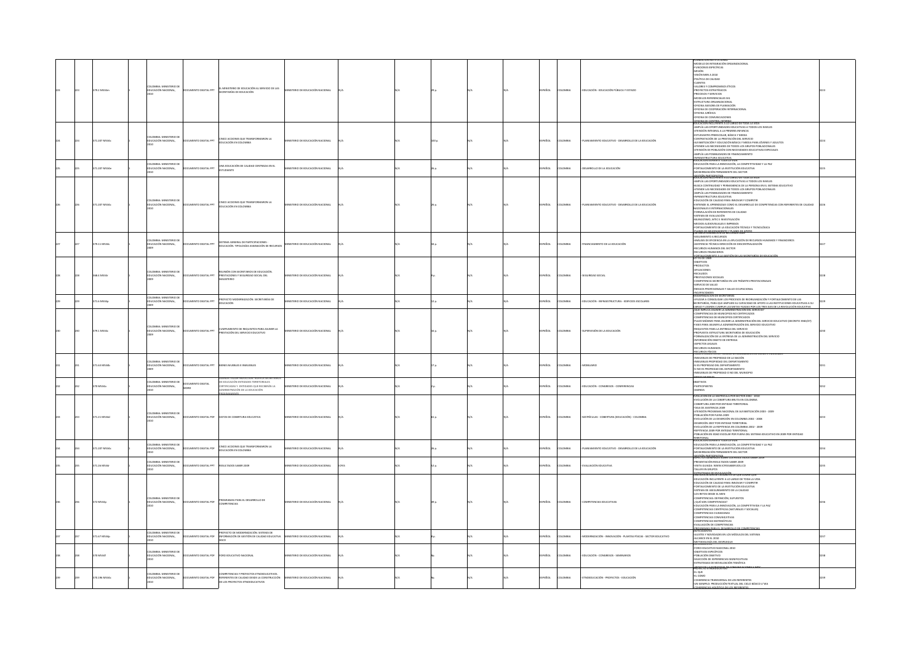|            |               |                                                     |                      |                                                                                                                                                                 |                                       |  |  |               |                |                                                                 | PLANEACION INSTITUCIONAL                                                                                                                                                                                                                                                                                                                                                                                                                                                                                                                                                                                                                                                                                                                                                                                                                     |  |
|------------|---------------|-----------------------------------------------------|----------------------|-----------------------------------------------------------------------------------------------------------------------------------------------------------------|---------------------------------------|--|--|---------------|----------------|-----------------------------------------------------------------|----------------------------------------------------------------------------------------------------------------------------------------------------------------------------------------------------------------------------------------------------------------------------------------------------------------------------------------------------------------------------------------------------------------------------------------------------------------------------------------------------------------------------------------------------------------------------------------------------------------------------------------------------------------------------------------------------------------------------------------------------------------------------------------------------------------------------------------------|--|
| <b>SCI</b> | 379.2 MS34m   | <b>DLOMBIA: MINISTERIO DE</b><br>EDUCACIÓN NACIONAL |                      | DOCUMENTO DIGITAL PPT EL MINISTERIO DE EDUCACIÓN AL SERVICIO DE LAS                                                                                             | <b>INSTERIO DE EDUCACIÓN NACIONAL</b> |  |  | <b>SPAÑOL</b> | AISMOJO        | EDUCACIÓN - EDUCACIÓN PÚBLICA Y ESTADO                          | -MODELO DE INTEGRACIÓN ORGANIZACIONAL<br>FUNCIONES ESPECÍFICAS<br>MISIÓN<br>-MISION<br>-VISIÓN MEN A 2010<br>-POLÍTICA DE CALIDAD<br>-CLIENTES<br>-VALORES Y COMPROMISOS ÉTICOS<br>-PROYECTOS ESTRATÉGICOS<br><b><i>PROCESOS Y SERVICIOS</i></b><br>MODELOS REFERENCIALES SIG<br>-<br>- ESTRUCTURA ORGANIZACIONAL<br>- OFICINA ASESORA DE PLANEACIÓN<br>OFICINA DE COOPERACIÓN INTERNACIONAL<br>OFICINA JURÍDICA<br>OFICINA DE COMUNICACIONES                                                                                                                                                                                                                                                                                                                                                                                                |  |
|            | 71.207 MS34c  | I OMRIA: MINISTERIO DE<br>EDUCACIÓN NACIONAL        |                      | CUMENTO DIGITAL PPT CINCO ACCIONES QUE TRANSFORMARON LA                                                                                                         | NISTERIO DE EDUCACIÓN NACIONAL        |  |  | <b>JORAS</b>  | LOMBIA         | -<br>NANEAMIENTO EDUCATIVO - DESARROLLO DE LA EDUCACIÓN         | OPICINA DE CONTROL INTERNO.<br>OPICNA DE CONTROL INTERNO.<br>EDUCACIÓN INCLUYENTE A LO LARGO DE TODA LA VIDA.<br>AMPLÍA LAS OPORTUNIDADES EDUCATIVAS A TODOS LOS NIVELES<br>ATENCIÓN INTEGRAL A LA PRIMERA INFANCIA<br>-ESTUDIANTES PREESCOLAR, BÁSICA Y MEDIA<br>CONTRATACIÓN DE LA PRESTACIÓN DEL SERVICIO<br>-LUMINATION DE LA PRESTAUDIN DEL SENVIDO PARA JÉVENES Y ADULTOS<br>-ALFABETIZACIÓN Y EDUCACIÓN BÁSICA Y MEDIA PARA JÉVENES Y ADULTOS<br>-ATENDE LAS NECESIDADES DE TODOS LOS GRUPOS POBLACIONALES<br>-ATENCIÓN DE POBLACIÓN CON NECESID<br>NFRAESTRUCTURA EDUCATIVA<br>DUCACION DURANTE TODA LA VIDA                                                                                                                                                                                                                         |  |
|            | 1.207 MS346   | DLOMBIA: MINISTERIO DE<br>EDUCACIÓN NACIONAL,       | UMENTO DIGITAL PPT   | UNA EDUCACIÓN DE CALIDAD CENTRADA EN EL<br>TUDIANTE                                                                                                             | ISTERIO DE EDUCACIÓN NACIONAL         |  |  | AÑOL          | AIBMO          | <b>DESARROLLO DE LA EDUCACIÓN</b>                               | EDUCACIÓN PARA LA INNOVACIÓN, LA COMPETITIVIDAD Y LA PAZ<br>FORTALECIMIENTO DE LA INSTITUCIÓN EDUCATIVA<br>MODERNIZACIÓN PERMANENTE DEL SECTOR                                                                                                                                                                                                                                                                                                                                                                                                                                                                                                                                                                                                                                                                                               |  |
|            | 371.207 MS34c | OLOMBIA: MINISTERIO DE<br>EDUCACIÓN NACIONAL        |                      | DOCUMENTO DIGITAL PPT CINCO ACCIONES QUE TRANSFORMARON LA                                                                                                       | INSTERIO DE EDUCACIÓN NACIONAL        |  |  | SPAÑOL        | AISMOJO        | PLANEAMIENTO EDUCATIVO - DESARROLLO DE LA EDUCACIÓN             | .<br>EDUCACIÓN INCLUYENTE A LO LARGO DE TODA LA VID<br>LOUGHEMENTHE AT THE SERVE OF THE STOLEN IN THE STATE OF THE STATE OF THE SAME AND THE STATE OF THE STATE OF TH<br>- BUSCA CONTINUIDAD Y PERMANENCIA DE LA PERSONA EN EL SISTEMA EDUCATIVO<br>- ATIENDE LAS NECESIDADES DE TODOS LOS<br>AMPLÍA LAS POSIBILIDADES DE FINANCIAMIENTO<br>INFRAESTRUCTURA EDUCATIVA<br>-EDUCACIÓN DE CALIDAD PARA INNOVAR Y COMPETIR<br>-ENTIENDE EL APRENDIZAJE COMO EL DESARROLLO DE COMPETENCIAS CON REFERENTES DE CALIDAD<br>NACIONALES E INTERNACIONALES<br>FORMULACIÓN DE REFERENTES DE CALIDAD<br>-SISTEMA DE EVALUACIÓN<br>BILINGÜÍSMO, MTIC E INVESTIGACIÓN<br>MEDIOS AUDIOVISUALES E IMPRESOS<br>FORTALECIMIENTO DE LA EDUCACIÓN TÉCNICA Y TECNOLÓGICA<br>-<br>PLANES DE MEJORAMIENTO Y PLANES DE APOYO<br>LRITERRIS ASIGNALION DE RELUISOS 2009 |  |
|            | 79.11 M534s   | COLOMBIA: MINISTERIO DE<br>EDUCACIÓN NACIONAL,      | CUMENTO DIGITAL PPT  | SISTEMA GENERAL DE PARTICIPACIONES -<br>EDUCACIÓN. TIPOLOGÍAS ASIGNACIÓN DE RECURSOS                                                                            | INSTERIO DE EDUCACIÓN NACIONAL        |  |  | PAÑOL         | LOMBIA         | FINANCIAMIENTO DE LA EDUCACIÓN                                  | -SEGUIMIENTO A RECURSOS<br>ANÁLISIS DE EFICIENCIA EN LA APLICACIÓN DE RECURSOS HUMANOS Y FINANCIEROS<br>ASISTENCIA TÉCNICA DIRECCIÓN DE DESCENTRALIZACIÓN<br>RECURSOS HUMANOS DEL SECTOR<br>-RECURSOS FINANCIEROS                                                                                                                                                                                                                                                                                                                                                                                                                                                                                                                                                                                                                            |  |
|            | 68.4 MS34     | <b>QLOMBIA: MINISTERIO DE</b><br>EDUCACIÓN NACIONAL | OCUMENTO DIGITAL PPT | EUNIÓN CON SECRETARIOS DE EDUCACIÓN.<br>PRESTACIONES Y SEGURIDAD SOCIAL DEL<br>CIETERIO                                                                         | NISTERIO DE EDUCACIÓN NACIONAL        |  |  | PAÑOL         | <b>AISMOJC</b> | <b>EGURIDAD SOCIAL</b>                                          | .<br>FORTALECIMIENTO A LA GESTIÓ<br>LEY 91 DE 1989<br><b>OBJETIVOS</b><br>-PRODUCTOS<br>AFILIACIONES<br>-RECAUDOS<br>REFSTACIONES SOCIALES<br>-MESTACIONES SUCIALES<br>COMPETENCIA SECRETARÍAS EN LOS TRÁMITES PRESTACIONALES<br>SERVICIO DE SALUD<br>RIESGOS PROFESIONALES Y SALUD OCUPACIONAL                                                                                                                                                                                                                                                                                                                                                                                                                                                                                                                                              |  |
|            | 1.6 MS34p     | .<br>COLOMBIA: MINISTERIO DE<br>EDUCACIÓN NACIONAL, | TRA JATION OTHER     | PROYECTO MODERNIZACIÓN. SECRETARÍAS DE<br>DUCACIÓN                                                                                                              | MISTERIO DE EDUCACIÓN NACIONAL        |  |  | PAÑOL         | OMBIA          | EDUCACIÓN - INFRAESTRUCTURA - EDIFICIOS ESCOLARES               | INCAPACIDADES<br>AODERNIZACIÓN DE SECRETARIAS<br>AYUDAR A CONSOLIDAR LOS PROCESOS DE REORGANIZACIÓN Y FORTALECIMIENTO DE LAS<br>ECRETARÍAS, PARA QUE AMPUEN SU CAPACIDAD DE APOYO A LAS INSTITUCIONES EDUCATIVAS A SU                                                                                                                                                                                                                                                                                                                                                                                                                                                                                                                                                                                                                        |  |
|            | 79.1 MS34c    | OLOMBIA: MINISTERIO DE<br>EDUCACIÓN NACIONAL        | OCUMENTO DIGITAL PPT | CUMPLIMIENTO DE REQUISITOS PARA ASUMIR LA<br>PRESTACIÓN DEL SERVICIO EDUCATIVO                                                                                  | INSTERIO DE EDUCACIÓN NACIONAL        |  |  | PAÑOL         | <b>QLOMBIA</b> | SUPERVISIÓN DE LA EDUCACIÓN                                     | SOLOTANISM, PANA QUE ANNICOLA DEL DISPOSITO A APOIS DE DE LA BROCALICANISME DE LA BROCALICANISMENTALE CARRIERA<br>LA BROCA LOGICA DE LA BROCA DE LA BROCA DE SENINGO?<br>L'ORIGI PAPILEA ASUNARI AL NA BROCA DE LA BROCA DE LA BROCA<br>-FASES PARA ASUMIR LA ADMINISTRACIÓN DEL SERVICIO EDUCATIVO<br>-REQUISITOS PARA LA ENTREGA DEL SERVICIO<br><b>PROPUESTA ESTRUCTURA SECRETARÍAS DE EDUCACIÓN</b><br>-PROPOESTA ESTRUCTURA SECRETARIAS DE EDOCACIÓN<br>-FORMALIZACIÓN DE LA ENTREGA DE LA ADMINISTRACIÓN DEL SERVICIO<br>-INFORMACIÓN OBJETO DE ENTREGA<br>ASPECTOS LEGALES<br>RECURSOS HUMANOS<br>-RECURSOS FÍSICOS<br>PASOS A SEGUIR EN EL PROCESO DE LE                                                                                                                                                                             |  |
|            | 1.63 M534b    | <b>MARIA MANICTERIO P</b><br>EDUCACIÓN NACIONAL,    | LUMENTO DIGITAL PPT  | BIENES MUEBLES E INMUEBLES<br>A TALLER INDUCCION: NUEVOS SECR                                                                                                   | <b>NSTERIO DE EDUCACIÓN NACIONAL</b>  |  |  | PAÑOL         | <b>JLOMBIA</b> | <b>MOBILIARIO</b>                                               | PASOS A SEGUIN EN EL PROCESO DE LEGALIZAD<br>-INMUEBLES DE PROPIEDAD DE LA NACIÓN<br>-INMUEBLES PROPIEDAD DEL DEPARTAMENTO<br>SI ES PROPIEDAD DEL DEPARTAMENTO<br>-SI NO ES PROPIEDAD DEL DEPARTAMENTO<br>INMUEBLES DE PROPIEDAD O NO DEL MUNICIPIO                                                                                                                                                                                                                                                                                                                                                                                                                                                                                                                                                                                          |  |
|            | n MSR4        | OLOMRIA: MINISTERIO DE<br>DUCACIÓN NACIONAL         | CUMENTO DIGITAL      | <b>DE EDUCACIÓN ENTIDADES TERRITORIALES</b><br>: EDUCACION ENTIDADES TENTITORIALES<br>:RTIFICADAS Y ENTIDADES QUE RECIBIRÁN LA<br>>MINISTRACIÓN DE LA EDUCACIÓN | <b>NSTERIO DE EDUCACIÓN NACIONAL</b>  |  |  | AÑOL          | OMRIA          | EDUCACIÓN - CONGRESOS - CONFERENCIAS                            | ORIETIVOS<br>PARTICIPANTES<br>AGENDA                                                                                                                                                                                                                                                                                                                                                                                                                                                                                                                                                                                                                                                                                                                                                                                                         |  |
|            | 71.21 M534d   | MBIA: MINISTERIO DE<br>EDUCACIÓN NACIONAL,          |                      | DOCUMENTO DIGITAL PDF DATOS DE COBERTURA EDUCATIVA                                                                                                              | INSTERIO DE EDUCACIÓN NACIONAL        |  |  | PAÑOL         | OLOMBIA        | MATRÍCULAS - COBERTURA (EDUCACIÓN) - COLOMBIA                   | OLUCIÓN DE LA MATRÍCULA POR SECTOR 2002 - 2010<br>EVOLUCIÓN DE LA COBERTURA BRUTA EN COLOMBIA<br>COBERTURA 2009 POR ENTIDAD TERRITORIAL<br>-LUBERTUWN ZUUD PUNTERUTIOND TERRITORIAL<br>-TASA DE ASISTENCIA 2009<br>-RTENCIÓN PROGRAMA NACIONAL DE ALFABETIZACIÓN 2003 - 2009<br>-POBLACIÓN POR FUERA 2009<br>-EVOLUCIÓN DE LA DESERCIÓN EN COLOMBIA 2002 - 2008<br>DESERCIÓN 2007 POR ENTIDAD TERRITORIAL<br>EVOLUCIÓN DE LA REPITENCIA EN COLOMBIA 2002 - 2009<br>REPITENCIA 2009 POR ENTIDAD TERRITORIAL<br>ERRITORIAL<br>DUCACION DUKANTE TODA LA VIDA                                                                                                                                                                                                                                                                                    |  |
|            | 1.207 MS34    | OLOMBIA: MINISTERIO DE<br><b>UCACIÓN NACIONAL</b>   | ENTO DIGITAL PDF     | <b>LINCO ACCIONES QUE TRANSFORMARON LA</b><br><b>DUCACIÓN EN COLOMBIA</b>                                                                                       | TERIO DE EDUCACIÓN NACIONAL           |  |  | PAÑOL         |                | LANEAMIENTO EDUCATIVO - DESARROLLO DE LA EDUCACIÓN              | EDUCACIÓN PARA LA INNOVACIÓN, LA COMPETITIVIDAD Y LA PAZ<br>COUCHOUN PROVENTING VIOLOG, DECORPETITY<br>FORTALECIMIENTO DE LA INSTITUCIÓN EDUCATIVA                                                                                                                                                                                                                                                                                                                                                                                                                                                                                                                                                                                                                                                                                           |  |
|            | 1.26 M534r    | COLOMBIA: MINISTERIO DE<br>EDUCACIÓN NACIONAL,      | MENTO DIGITAL PPT    | ESULTADOS SABER 2009                                                                                                                                            | ISTERIO DE EDUCACIÓN NACIONAL         |  |  | JORAS         | <b>LOMBIA</b>  | EVALUACIÓN EDUCATIVA                                            | -GESTIÓN PARTICIPATIVA<br>ASPECTOS GENERALES SOBRE LOS RESULTAI<br>PRESENTACIÓN RESULTADOS SABER 2009<br>VISITA GUIADA: WWW.ICFESSABER.EDU.CO<br>TALLER EN GRUPOS                                                                                                                                                                                                                                                                                                                                                                                                                                                                                                                                                                                                                                                                            |  |
|            | 2 M534p       | <b>DMBIA: MINISTERIO DI</b><br>EDUCACIÓN NACIONAL,  | OCUMENTO DIGITAL PDF | <b>IOGRAMAS PARA EL DESARROLLO DE</b><br><b>PRUGHAML-</b>                                                                                                       | STERIO DE EDUCACIÓN NACIONAL          |  |  | PAÑOL         |                | OMPETENCIAS EDUCAT                                              | ESTRATEGIAS DE DIVULG<br>EDUCACIÓN INCLUYENTE A LO LARGO DE TODA LA VIDA<br>EDUCACIÓN DE CALIDAD PARA INNOVAR Y COMPETIR<br>FORTALECIMIENTO DE LA INSTITUCIÓN EDUCATIVA<br>-SISTEMA DE ASEGURAMIENTO DE LA CALIDAD<br>LOS RETOS DESDE EL MEN<br>-LOUINE IN LUCHA LA INICIÓN, SUPUESTOS<br>-{QUIÉ SON COMPETENCIAS?<br>-{QUÉ SON COMPETENCIAS?<br>-EDUCACIÓN PARA LA INNOVACIÓN, LA COMPETITIVIDA Y LA PAZ<br>-COMPETENCIAS CIENTÍFICAS (NATURALES Y SOCIALES)<br>-COMPETENCIAS CIUDADANAS<br>-COMPETENCIAS COMUNICATIVAS<br>COMPETENCIAS MATEMÁTICAS<br>.<br>VALUACIÓN DE COMPETENCIA<br>OSRAMAS P                                                                                                                                                                                                                                           |  |
|            | 1.67 M534p    | COLOMBIA: MINISTERIO DE<br>EDUCACIÓN NACIONAL,      | UMENTO DIGITAL PDF   | PROYECTO DE MODERNIZACIÓN. SISTEMA DE<br>INFORMACIÓN DE GESTIÓN DE CALIDAD EDUCATIVA<br><b>ISCF</b>                                                             | NISTERIO DE EDUCACIÓN NACIONAL        |  |  | JORAS         | LOMBIA         | MODERNIZACIÓN - INNOVACIÓN - PLANTAS FÍSICAS - SECTOR EDUCATIVO | AIUSTES Y NOVEDADES EN LOS MÓDULOS DEL SISTEMA<br>ALCANCE EN EL 2010<br><b>TODOLOGÍA DEL DESPUEGUI</b>                                                                                                                                                                                                                                                                                                                                                                                                                                                                                                                                                                                                                                                                                                                                       |  |
|            | M534          | OMBIA: MINISTERIO DE<br>CACIÓN NACIONAL,            | UMENTO DIGITAL PDF   | <b>ORD EDUCATIVO NACIONAL</b>                                                                                                                                   | TERIO DE EDUCACIÓN NACIONAL           |  |  | vilor         |                | EDUCACIÓN - CONGRESOS - SEMINARIOS                              | ANTELEDENTES<br>- DRIO EDUCATIVO NACIONAL 2010<br>- POBLACIÓN OBJETIVO<br>SELECCIÓN DE EXPERIENCIAS SIGNIFICATIVAS<br>ESTRATEGIAS DE MOVILIZACIÓN TEMÁTICA<br>20YO DE LA ESTRATEGIA DE COMUNIC                                                                                                                                                                                                                                                                                                                                                                                                                                                                                                                                                                                                                                               |  |
|            | 70.196 MS34c  | LOMBIA: MINISTERIO DE<br>EDUCACIÓN NACIONAL         | CUMENTO DIGITAL PDF  | OMPETENCIAS Y PROYECTOS ETNOEDUCATIVOS.<br>REFERENTES DE CALIDAD DESDE LA CONSTRUCCIÓN<br>DE LOS PROYECTOS ETNOEDUCATIVOS                                       | NISTERIO DE EDUCACIÓN NACIONAL        |  |  | <b>SPAÑOL</b> | <b>AISMOJC</b> | ETNOEDUCACIÓN - PROYECTOS - EDUCACIÓN                           | EL QUE<br>i covo<br>-EL COMO<br>-COHERENCIA TRANSVERSAL DE LOS REFERENTES<br>-UN EJEMPLO: PRODUCCIÓN TEXTUAL DEL CICLO BÁSICO U'WA<br>-COHERENCIAS HOLÍSTICA DE LOS REFERENTES                                                                                                                                                                                                                                                                                                                                                                                                                                                                                                                                                                                                                                                               |  |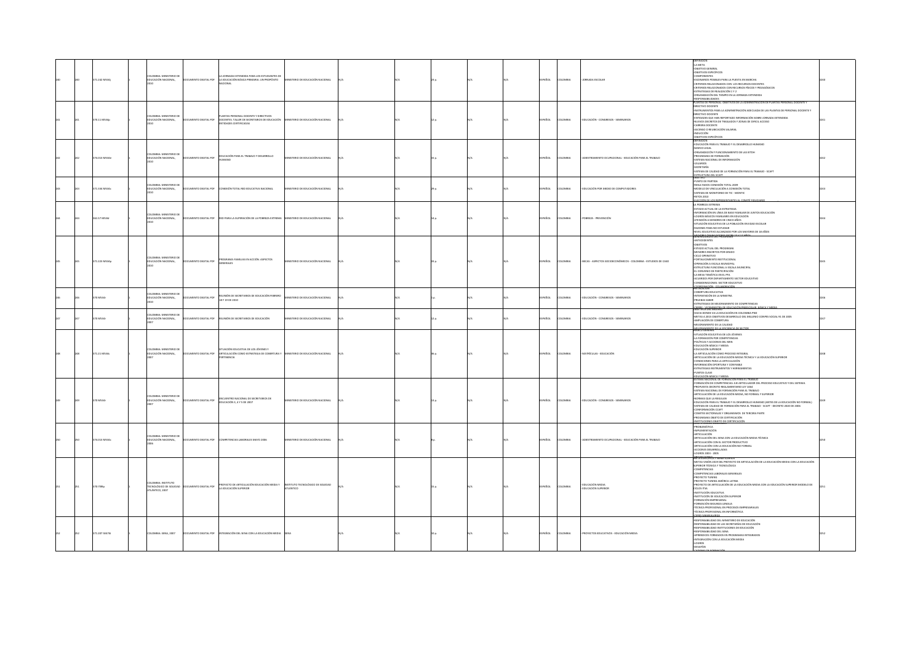|  | 371.242 MS34i  | LOMBIA: MINISTERIO DI<br>EDUCACIÓN NACIONAL                      |                             | A JORNADA EXTENDIDA PARA LOS ESTUDIANTES DE<br>OCUMENTO DIGITAL PDF LA EDUCACIÓN BÁSICA PRIMARIA: UN PROPÓSITO<br>IONAL | NISTERIO DE EDUCACIÓN NACIONAL                      |  |  | ESPAÑOL        | AI8MOJO:       | JORNADA ESCOLAR                                                | FINICIÓ<br>AT3M AL-<br>-<br>-OBJETIVO GENERAL<br>-OBJETIVOS ESPECÍFICOS<br>-COMPONENTES<br>-ESCENARIOS POSIBLES PARA LA PUESTA EN MARCHA<br>-CRITERIOS RELACIONADOS CON LOS RECURSOS DOCENTES<br>-CRITERIOS RELACIONADOS CON RECURSOS FÍSICOS Y PEDAGÓGICOS<br>ESTRATEGIAS DE REAUZACIÓN 1 Y 2<br><b>IRGANIZACIÓN DEL TIEMPO EN LA JORNADA EXTENDIDA</b><br>RESPONSABILIDADES                                                                                                                                                                                                                                                                                                                                                                       |  |
|--|----------------|------------------------------------------------------------------|-----------------------------|-------------------------------------------------------------------------------------------------------------------------|-----------------------------------------------------|--|--|----------------|----------------|----------------------------------------------------------------|-----------------------------------------------------------------------------------------------------------------------------------------------------------------------------------------------------------------------------------------------------------------------------------------------------------------------------------------------------------------------------------------------------------------------------------------------------------------------------------------------------------------------------------------------------------------------------------------------------------------------------------------------------------------------------------------------------------------------------------------------------|--|
|  | 370.11 M534p   | <b>DLOMBIA: MINISTERIO DE</b><br>DUCACIÓN NACIONAL               |                             | LANTAS PERSONAL DOCENTE Y DIRECTIVOS<br>CUMENTO DIGITAL PDF POCENTES, TALLER DE SECRETARIOS DE EDUCACIÓN                | NISTERIO DE EDUCACIÓN NACIONAL                      |  |  | PAÑOL          | <b>AISMOJC</b> | EDUCACIÓN - CONGRESOS - SEMINARIOS                             | PLANTAS DE PERSONAL: OBJETIVOS DE LA ADMINISTRACIÓN DE PLANTAS PERSONAL DOCENTE Y<br>DIRECTIVO DOCENTE<br>URECTIVO DOCENTE<br>INSTRUMENTOS PARA LA ADMINISTRACIÓN ADECUADA DE LAS PLANTAS DE PERSONAL DOCENTE Y<br>DIRECTIVO DOCENTE<br>-<br>ENTIDADES QUE HAN REPORTADO INFORMACIÓN SOBRE JORNADA EXTENDIDA<br>-NUEVOS DECRETOS DE TRASLADOS Y ZONAS DE DIFICIL ACCESO<br>-CARRERA DOCENTE<br>ASCENSO O REUBICACIÓN SALARIAL<br>NDUCCIÓN<br>OBJETIVOS ESPECÍFICOS                                                                                                                                                                                                                                                                                  |  |
|  | 74.013 MS34e   | OLOMBIA: MINISTERIO DE<br>EDUCACIÓN NACIONAL,                    | UMENTO DIGITAL PDF          | DUCACIÓN PARA EL TRABAJO Y DESARROLLO                                                                                   | <b>ISTERIO DE EDUCACIÓN NACIONAL</b>                |  |  | PAÑOL          | <b>ILOMBIA</b> | ADIESTRAMIENTO OCUPACIONAL - EDUCACIÓN PARA EL TRABAJO         | <b>DEFINICIÓN</b><br>EDUCACIÓN PARA EL TRABAJO Y EL DESARROLLO HUMANO<br>MARCO LEGAL<br>-ORGANIZACIÓN Y FUNCIONAMIENTO DE LAS IETDH<br><b>PROGRAMAS DE FORMACIÓN</b><br>SISTEMA NACIONAL DE INFORMACIÓN<br><b>USUARIOS</b><br><b>SECRETARÍA</b><br><br>TEMA DE CALIDAD DE LA FORMACIÓN PARA EL TRABAJO - SCAFT                                                                                                                                                                                                                                                                                                                                                                                                                                      |  |
|  | 171 334 MS34r  | <b>COLOMBIA: MINISTERIO DE</b><br>EDUCACIÓN NACIONAL             | 309 IATION OTHERS           | CONEXIÓN TOTAL RED EDUCATIVA NACIONAL                                                                                   | ISTERIO DE EDUCACIÓN NACIONAL                       |  |  | <b>ESPAÑOL</b> | <b>TIOMRIA</b> | FOUCACIÓN POR MEDIO DE COMPUTADORES                            | ESTRUCTURA DEL SCAFT<br>-<br>PUNTO DE PARTIDA<br>RESULTADOS CONEXIÓN TOTAL 2009<br>MODELO DE VINCULACIÓN A CONEXIÓN TOTAL<br>SISTEMA DE MONITOREO DE TIC - MONTIC<br>RETOS 2010                                                                                                                                                                                                                                                                                                                                                                                                                                                                                                                                                                     |  |
|  | 61.57 MS34     | <b>COLOMBIA: MINISTERIO DE</b><br>FOUCACIÓN NACIONAL             |                             | OCUMENTO DIGITAL PDF RED PARA LA SUPERACIÓN DE LA POBREZA EXTREMA                                                       | <b>INSTERIO DE EDUCACIÓN NACIONAL</b>               |  |  | <b>IORAS</b>   | DI OMRIA       | PORREZA - PREVENCIÓN                                           | A PORREZA EXTREMA<br>LA POBREZA EXTREMA<br>-ESTADO ACTUAL DE LA ESTRATEGIA<br>-INFORMACIÓN EN LÍNEA DE BASE FAMILIAR DE JUNTOS EDUCACIÓN<br>JOSROS RÁSICOS FAMILIARES EN EDUCACIÓN<br>-LUGHUS BASICUS FAMILIARES EN EDUCACION<br>-ATENCIÓN A MENORES DE CINCO AÑOS<br>-SITUACIÓN EDUCATIVA DE LA POBLACIÓN EN EDAD ESCOLAR<br>-RAZONES PARA NO ESTUDIAR<br>NIVEL EDUCATIVO ALCANZADO POR LOS MAYORES DE 18 AÑOS                                                                                                                                                                                                                                                                                                                                     |  |
|  | 371.223 MS34p  | <b>QLOMBIA: MINISTERIO DE</b><br>EDUCACIÓN NACIONAL,             | TUMENTO DIGITAL PDF         | PROGRAMA FAMILIAS EN ACCIÓN. ASPECTOS<br>INERALES                                                                       | <b><i>ASTERIO DE EDUCACIÓN NACIONAL</i></b>         |  |  | AÑOL           |                | BECAS - ASPECTOS SOCIOECONÓMICOS - COLOMBIA - ESTUDIOS DE CASO | <b>WEEKLIDADES DE BROGRAMA</b><br>ANTECEDENTES<br>OBJETIVOS<br>ESTADO ACTUAL DEL PROGRAMA<br>MENORES INSCRITOS POR GRADO<br>CICLO OPERATIVO<br>ΕΠΕΤΑΙ ΕΠΜΙΕΝΤΟ ΙΝSTITUCIONAL<br>OPERACIÓN A ESCALA MUNICIPAL<br>ESTRUCTURA FUNCIONAL A ESCALA MUNICIPAL<br>EL CONVENIO DE PARTICIPACIÓN<br>LA MESA TEMÁTICA EN EL PFA<br>ACUERDOS POR DEPARTAMENTO SECTOR EDUCATIVO<br>CONSIDERACIONES: SECTOR EDUCATIVO                                                                                                                                                                                                                                                                                                                                            |  |
|  | 0 MS34         | <b>DLOMBIA: MINISTERIO DE</b><br>EDUCACIÓN NACIONAL,             | UMENTO DIGITAL PDF          | UNIÓN DE SECRETARIOS DE EDUCACIÓN FEBRERO<br>18 Y 19 DE 2010                                                            | STERIO DE EDUCACIÓN NACIONAL                        |  |  | AÑOL           |                | DUCACIÓN - CONGRESOS - SEMINARIOS                              | COORDINACIÓN - COLABORACIÓN<br>-COBERTURA EDUCATIVA<br>INTERVENCIÓN DE LA MINISTRA<br>PRUEBAS SABER<br>ESTRATEGIAS DE MEJORAMIENTO DE COMPETENCIAS                                                                                                                                                                                                                                                                                                                                                                                                                                                                                                                                                                                                  |  |
|  | 370 MS34r      | <b>LOMBIA: MINISTERIO DE</b><br>EDUCACIÓN NACIONAL               |                             | OCUMENTO DIGITAL PDF REUNIÓN DE SECRETARIOS DE EDUCACIÓN                                                                | INSTERIO DE EDUCACIÓN NACIONAL                      |  |  | ESPAÑOL        | OLOMBIA        | EDUCACIÓN - CONGRESOS - SEMINARIOS                             | CIFREE, VICEMINISTRA DE FOUCACIÓN PREESCOLAR RÁSICA Y M<br>28JE INUS DEL MILENIO<br>HACIA DONDE VA LA EDUCACIÓN EN COLOMBIA PND<br>-METAS A 2015 OBJETIVOS DESARROLLO DEL MILLENIO CONPES SOCIAL 91 DE 2005<br>AMPLIACIÓN DE CORERTURA<br>AEJORAMIENTO DE LA CALIDAD                                                                                                                                                                                                                                                                                                                                                                                                                                                                                |  |
|  | 371.21 MS34s   | COLOMBIA: MINISTERIO DE<br>EDUCACIÓN NACIONAL                    | <b>OCUMENTO DIGITAL PDF</b> | SITUACIÓN EDUCATIVA DE LOS JÓVENES Y<br>ARTICULACIÓN COMO ESTRATEGIA DE COBERTURA Y<br>TINENCIA                         | NISTERIO DE EDUCACIÓN NACIONAL                      |  |  | <b>ESPAÑOL</b> | <b>U OMRIA</b> | MATRÍCULAS - EDUCACIÓN                                         | MEJORAMIENTO DE LA FEICIENCIA DE S<br>MARCO GENERAL<br>SITUACIÓN EDUCATIVA DE LOS JÓVENES<br>-LA FORMACIÓN POR COMPETENCIAS<br>POLÍTICAS Y ACCIONES DEL MEN<br>EDUCACIÓN BÁSICA Y MEDIA<br>EDUCACIÓN SUPERIOR<br>LA ARTICULACIÓN COMO PROCESO INTEGRAL<br>-UN MITILULACIÓN DE LA EDUCACIÓN METOLANCA Y LA EDUCACIÓN SUPERIOR<br>-ARTICULACIÓN DE LA EDUCACIÓN MEDIA TÉCNICA Y LA EDUCACIÓN SUPERIOR<br>-CONDICIONES PARA LA ARTICULACIÓN<br>INFORMACIÓN OPORTUNA Y CONFIARI F<br>INFORMACION OPORTONA T CONFIABLE<br>ESTRATEGIAS INSTRUMENTOS Y HERRAMIENTAS<br>PUNTOS CLAVE                                                                                                                                                                        |  |
|  | 0 MS34r        | OLOMBIA: MINISTERIO DE<br>UCACIÓN NACIONAL,                      | UMENTO DIGITAL PDF          | ENCUENTRO NACIONAL DE SECRETARIOS DE<br>EDUCACIÓN 3, 4 Y S DE 2007                                                      | <b>ESTERIO DE EDUCACIÓN NACIONAL</b>                |  |  | AÑOL           |                | DUCACIÓN - CONGRESOS - SEMINARIOS                              | <u>IDUCACIÓN BÁSICA Y MEDIA.</u><br>ISTEMA NACIONAL DE FORMACIÓN PARA EL TRABAJO<br>FORMACIÓN DE COMPETENCIAS: EJE ARTICULADOR DEL PROCESO EDUCATIVO Y DEL SISTEMA<br>FORMALION DE COMPETENCIAS: EJE ARTICOLADOR DE<br>PROPUESTA DECRETO REGLAMENTARIO LEY 1064<br>SISTEMA NACIONAL DE FORMACIÓN PARA EL TRABAJO<br>-ARTICULACIÓN DE LA EDUCACIÓN MEDIA. NO FORMAL Y SUPERIOR<br>PRINCIPADO DE EN REGULAN<br>-NORMAS QUE LA REGULAN<br>-EDUCACIÓN PARA EL TRABAJO Y EL DESARROLLO HUMANO (ANTES DE LA EDUCACIÓN NO FORMAL)<br>-SISTEMA DE CALIDAD DE FORMACIÓN PARA EL TRABAJO - SCAFT - DECRETO 2020 DE 2006<br>CONFORMACIÓN CCAFT<br>CONFORMACIÓN CCAFT<br>COMITES SECTORIALES Y ORGANISMOS DE TERCERA PARTE<br>PROGRAMAS OBJETO DE CERTIFICACIÓN |  |
|  | 4.013 MS34c    | LOMBIA: MINISTERIO DI<br>EDUCACIÓN NACIONAL,                     | OCUMENTO DIGITAL PDF        | COMPETENCIAS LABORALES MAYO 2006                                                                                        | STERIO DE EDUCACIÓN NACIONAL                        |  |  | AÑOL           |                | OIESTRAMIENTO OCUPACIONAL - EDUCACIÓN PARA EL TRABAJO          | STITUCIONES OBJETO DE CERTIFICACIÓN<br>ROBLEMÁTICA<br>IMPLEMENTACIÓN<br>-ARTICULACIÓN<br>-ARTICULACIÓN<br>-ARTICULACIÓN DEL SENA CON LA EDUCACIÓN MEDIA TÉCNICA<br>ARTICULACIÓN CON EL SECTOR PRODUCTIVO<br>ARTICULACIÓN CON LA EDUCACIÓN NO FORMAL<br>-ARTICULACION CON LA EDUC<br>-ACCIONES DESARROLLADAS<br>-LOGROS 2003 - 2005                                                                                                                                                                                                                                                                                                                                                                                                                  |  |
|  | 970 IT89p      | COLOMBIA: INSTITUTO<br>TECNOLÓGICO DE SOLEDAD<br>ATLÁNTICO, 2007 |                             | DOCUMENTO DIGITAL PDF PROYECTO DE ARTICULACIÓN EDUCACIÓN MEDIA Y                                                        | INSTITUTO TECNOLÓGICO DE SOLEDAD<br><b>TLÁNTICO</b> |  |  | ESPAÑOL        | OLOMBIA        | EDUCACIÓN MEDIA<br>EDUCACIÓN SUPERIOR                          | ETX'ESPECIFICA y BENEFICIANIOS<br>-METAS VISIÓN 2019 DEL PROYECTO DE ARTICULACIÓN DE LA EDUCACIÓN MEDIA CON LA EDUCACIÓN<br><b>UPERIOR TÉCNICA Y TECNOLÓGICA</b><br>COMPETENCIAS<br>-COMPETENCIAS LABORALES GENERALES<br>-<br>PROYECTO TUNING<br>- PROYECTO TUNING AMÉRICA LATINA<br>PROYECTO DE ARTICULACIÓN DE LA EDUCACIÓN MEDIA CON LA EDUCACIÓN SUPERIOR MODELO DE<br>-<br>CICLOS ITSA<br>-INSTITUCIÓN EDUCATIVA<br>-INSTITUCIÓN DE EDUCACIÓN SUPERIOR<br><b>ISOBACIÓN FMPRESARIAI</b><br>FORMACIÓN EMPRESARIAL<br>FORMACIÓN SEGUNDA LENGUA<br>TÉCNICA PROFESIONAL EN PROCESOS EMPRESARIALES<br>TÉCNICA PROFESIONAL EN INFORMÁTICA<br><b>RFS SARANA</b>                                                                                        |  |
|  | 371.207 SE474i | COLOMBIA: SENA, 2007                                             |                             | OCUMENTO DIGITAL PDF INTEGRACIÓN DEL SENA CON LA EDUCACIÓN MEDIA                                                        |                                                     |  |  | AÑOL           | LOMBI          | PROYECTOS EDUCATIVOS - EDUCACIÓN MEDIA                         | RESPONSABILIDAD DEL MINISTERIO DE EDUCACIÓN<br>RESPONSABILIDAD DEL MINISTERIO DE EDUCACIÓN<br>RESPONSABILIDAD INSTITUCIONES DE EDUCACIÓN<br>-RESPONSABILIDAD INEITIOCIONES DE EDUCACIÓN<br>-RESPONSABILIDAD DEL SENA<br>-APRENDICES FORMADOS EN PROGRAMAS INTEGRADOS<br>INTEGRACIÓN CON LA EDUCACIÓN MEDIA<br><b>POROL</b><br>DESAFÍOS                                                                                                                                                                                                                                                                                                                                                                                                              |  |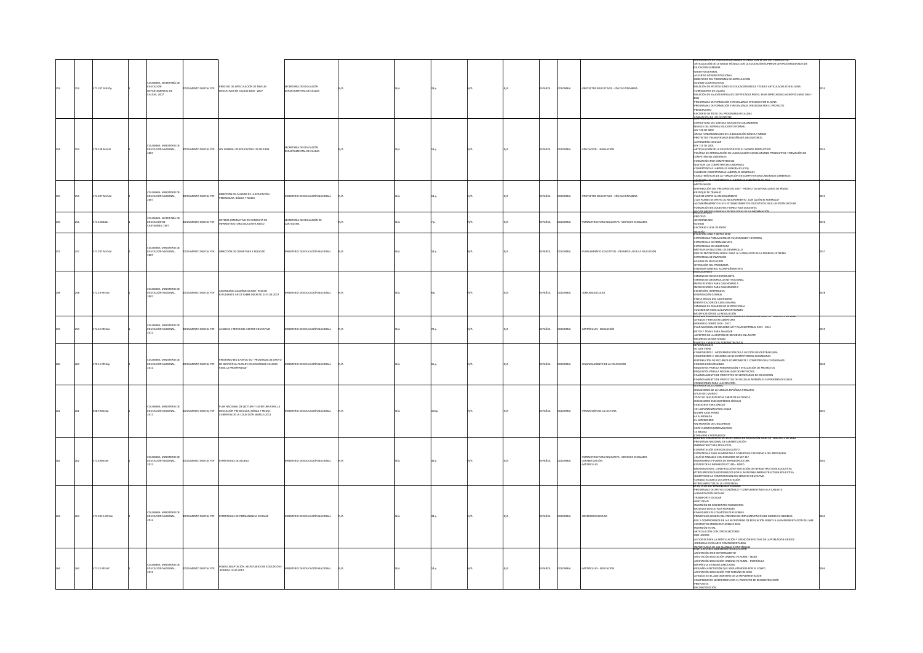|  | 371.207 SE447o     | EDUCACIÓN<br>DEPARTAMENTAL DE   | <b>DLOMBIA: SECRETARÍA DI</b>                        | CUMENTO DIGITAL PDF       | ROCESO DE ARTICULACIÓN DE NIVELES<br>DUCATIVOS EN CALDAS 2004 - 2007                                                                      | ECRETARÍA DE EDUCACIÓN<br><b>JEPARTAMENTAL DE CALDAS</b>       |  |  | AÑOL        | <b>JLOMBIA</b> | PROYECTOS EDUCATIVOS - EDUCACIÓN MEDIA                                      | WITCULACION DE LA EDUCACION MEDIA TECNICA CON EL SECTOR PRODUCTIVO<br>ARTICULACIÓN DE LA MEDIA TÉCNICA CON LA EDUCACIÓN SUPERIOR CENTROS REGIONALES DE<br>EDUCACIÓN SUPERIOR<br>-OBJETIVO GENERAL<br>-OBJETIVO GENERAL<br>-BENEFICIOS DEL PROGRAMA DE ARTICULACIÓN<br>LOGROS CUANTITATIVOS<br>SUBREGIONES DE CALDAS<br>RELACIÓN DE SALIDAS PARCIALES CERTIFICADAS POR EL SENA ESPECIALIDAD AGROPECUARIA 2004 -<br>iuus<br>PROGRAMAS DE FORMACIÓN ESPECIALIZADA OFRECIDA POR EL SENA<br>PROGRAMAS DE FORMACIÓN ESPECIALIZADA OFRECIDAS POR EL PROYECTO<br>OT23UPUESTO<br>FACTORES DE ÉXITO DEL PROGRAMA EN CALDAS                                                                                                                                                                                                              |  |
|--|--------------------|---------------------------------|------------------------------------------------------|---------------------------|-------------------------------------------------------------------------------------------------------------------------------------------|----------------------------------------------------------------|--|--|-------------|----------------|-----------------------------------------------------------------------------|-------------------------------------------------------------------------------------------------------------------------------------------------------------------------------------------------------------------------------------------------------------------------------------------------------------------------------------------------------------------------------------------------------------------------------------------------------------------------------------------------------------------------------------------------------------------------------------------------------------------------------------------------------------------------------------------------------------------------------------------------------------------------------------------------------------------------------|--|
|  | 79.158 MS34        |                                 | LOMBIA: MINISTERIO DI<br>EDUCACIÓN NACIONAL,         | 309 IATION OTHER          | EY GENERAL DE EDUCACIÓN 115 DE 1994                                                                                                       | <b><i>SECRETARÍA DE EDUCACIÓN</i></b><br>PARTAMENTAL DE CALDAS |  |  | afine       | I OMRIA        | DUCACIÓN - LEGISLACIÓN                                                      | <b>SORMAGIÓN DE LOS DOCENTES</b><br>FSTRUCTURA DEL SISTEMA EDUCATIVO COLOMBIANO<br>ESTRUCTURA DEL SISTEMA EDUCATIVO COLOMBIANO<br>NIVELES DEL SISTEMA EDUCATIVO FORMAL<br>- LEY 749 DE 2002<br>- ÁREAS FUNDAMENTALES DE LA EDUCACIÓN BÁSICA Y MEDIA<br>- PROYECTOS TRANSVERSALES (ENSEÑANZA OBLIGATORIA)<br>AUTONOMÍA ESCOLAR<br>LEY 715 DE 2001<br>ARTICULACIÓN DE LA EDUCACIÓN CON EL MUNDO PRODUCTIVO<br>-ARII KUMADUN BE LA EDUCACION CON EL MUNIDO PRODUCTIVO: PORMACIÓN DE<br>-POLÍTICA DE ARTICILIACIÓN DE LA EDUCACIÓN CON EL MUNDO PRODUCTIVO: FORMACIÓN DE<br>-FOMMACIÓN POR COMPETENCIAS<br>-QUE SON LAS COMPETENCIAS LABORALES<br>-QUE SON<br>COMPETENCIAS LABORALES GENERALES (CLG)<br>-<br>CLASES DE COMPETENCIAS LABORALES GENERALES<br>- CARACTERÍSTICAS DE LA FORMACIÓN EN COMPETENCIAS LABORALES GENERALES  |  |
|  | 1.207 MS34d        |                                 | .<br>COLOMBIA: MINISTERIO DE<br>EDUCACIÓN NACIONAL,  | UMENTO DIGITAL PDF        | DIRECCIÓN DE CALIDAD DE LA EDUCACIÓN<br>PREESCOLAR, BÁSICA Y MEDIA                                                                        | STERIO DE EDUCACIÓN NACIONAL                                   |  |  | <b>Viol</b> |                | ROYECTOS EDUCATIVOS - EDUCACIÓN MEDIA                                       | METAS SIGOB<br>DISTRIBUCIÓN DEL PRESUPUESTO 2007 - PROYECTOS SSP (MILLONES DE PESOS)<br>-DISTINIBULDIN DEL PRESUPUESTO 2007 - PROYECTOS SSP (MILLONES DE PESOS)<br>-ENFOQUE DE TRABAIO<br>-FAFOQUE DE TRABAIO<br>-LOCOMPAÑAMIENTO A LOS ESTABLEOMIENTO. CON QUIÉN SE FORMULA?<br>-ACOMPAÑAMIENTO A LOS ESTABLEOMIENTOS EDUCATIVOS<br>FORMACIÓN DE DOCENTES Y DIRECTIVOS DOCENTES                                                                                                                                                                                                                                                                                                                                                                                                                                              |  |
|  | <b>121 6 SFAAA</b> | EDUCACIÓN DE<br>CARTAGENA, 2007 | <b>OLOMBIA: SECRETARÍA DE</b>                        | HARVED DIGITAL PDF        | STEMA INTERACTIVO DE CONSULTA DE<br><b>FRAESTRUCTURA EDUCATIVA SIGED</b>                                                                  | CRETARÍA DE EDUCACIÓN DE<br><b>RTAGENA</b>                     |  |  | PAÑOI       | 11 OMRIA       | INFRAESTRUCTURA EDUCATIVA - EDIFICIOS ESCOLARES                             | PROCESO<br>GESTIONES SED<br>LOGROS<br>-FACTORES CLAVE DE ÉXITO                                                                                                                                                                                                                                                                                                                                                                                                                                                                                                                                                                                                                                                                                                                                                                |  |
|  | 371.207 MS34d      |                                 | MBIA: MINISTERIO DE<br>EDUCACIÓN NACIONAL,           | IMENTO DIGITAL PDF        | IRECCIÓN DE COBERTURA Y EQUIDAD                                                                                                           | NISTERIO DE EDUCACIÓN NACIONAL                                 |  |  | AÑOL        | <b>AISMOJO</b> | LANEAMIENTO EDUCATIVO - DESARROLLO DE LA EDUCACIÓN                          | DESAFÍO<br>IITUACIÓN 2006 Y METAS 2010<br>ESTRATEGIAS POBLACIONALES VULNERABLES Y DIVERSAS<br>-ESTRATEGIAS VOBIADIONALES VOUNERABLES Y DIVERSAS<br>-ESTRATEGIAS DE PERMANENCIA<br>-RETRATEGIAS DE COBERTURA<br>-RED DE PROTECCIÓN SOCIAL PARA LA SUPERACIÓN DE LA POBREZA EXTREMA<br>-RED DE PROTECCIÓN SOCIAL PARA LA SUPERACIÓN DE LA<br>ESTRATEGIA DE INVERSIÓN<br>LOGROS EN EDUCACIÓN<br>PERACIÓN DEL PROGRAM<br><b>ESQUEMA GENERAL ACOMPAÑAMIENT</b>                                                                                                                                                                                                                                                                                                                                                                     |  |
|  | 71.23 M534c        |                                 | OMBIA: MINISTERIO DE<br>EDUCACIÓN NACIONAL           | HOW JATIOU OTHER          | ALENDARIO ACADÉMICO 2007, RECESO<br>STUDIANTIL EN OCTUBRE DECRETO 1373 DE 2007                                                            | NISTERIO DE EDUCACIÓN NACIONAL                                 |  |  | AÑOL        | <b>JLOMBIA</b> | <b>DRNADA FSCOLAR</b>                                                       | INTECEDENTES<br>SEMANA DE RECESO ESTUDIANTIL<br>SEMANA DE DESARROLLO INSTITUCIONAL<br>IMPLICACIONES PARA CALENDARIO A<br>IMPLICACIONES PARA CALENDARIO B<br>EXCEPCIÓN: INTERNADOS<br>ORENTACIÓN GENERAL<br>ORIENTACION GENERAL<br>FECHA INICIAL DEL CALENDARIO<br>IDENTIFICACIÓN DE CADA SEMANA<br>SEMANAS DE DESARROLLO INSTITUCIONAL<br>SUGERENCIA PARA ALGUNAS ENTIDADES<br><b>ODIFICACIÓN DE LA RESOLUCIÓN</b><br>SUNDO ENCOENTRO DE SECRETA                                                                                                                                                                                                                                                                                                                                                                              |  |
|  | 171.21 M534a       |                                 | .<br>COLOMBIA: MINISTERIO DI<br>EDUCACIÓN NACIONAL,  | OCUMENTO DIGITAL PDF      | VANCES Y RETOS DEL SECTOR EDUCATIVO                                                                                                       | NISTERIO DE EDUCACIÓN NACIONAL                                 |  |  | AÑOL        | <b>JLOMBIA</b> | MATRÍCULAS - EDUCACIÓN                                                      | SENDINGO ENCUENTINU DE SECRETANDS DE EDUCATION NUID 30 -<br>-GRANDES LOGROS 2010 - 2012<br>- GRANDES LOGROS 2010 - 2012<br>- PLAN NACIONAL DE DESARROLLO Y PLAN SECTORIAL 2012 - 2014<br>- RETOS Y TEMAS PARA ANALIZAR<br>ASPECTOS DE LA GESTIÓN DE RECURSOS EN LAS ETC<br>RECURSOS DE GRATUIDAD                                                                                                                                                                                                                                                                                                                                                                                                                                                                                                                              |  |
|  | 79.11 M534o        |                                 | OMBIA: MINISTERIO DE<br>EDUCACIÓN NACIONAL           |                           | RÉSTAMO BID 2709/OC-CO "PROGRAMA DE APOYO<br>CUMENTO DIGITAL PDF EN GESTIÓN AL PLAN DE EDUCACIÓN DE CALIDAD<br><b>ARA LA PROSPERIDAD"</b> | INSTERIO DE EDUCACIÓN NACIONAL                                 |  |  | AÑOL        | <b>AISMOJC</b> | INANCIAMIENTO DE LA EDUCACIÓN                                               | ENERALIDADI<br>.O QUE VIENE<br>COMPONENTE 1. MODERNIZACIÓN DE LA GESTIÓN DESCENTRALIZADA<br>COMPONENTE 2. DESARROLLO DE COMPETENCIAS CIUDADANAS<br>DISTRIBUCIÓN DE RECURSOS COMPONENTE 2 COMPETENCIAS CIUDADANAS<br>FONDOS CONCURSABLES<br>"UNIDUS CUNCURONICES"<br>REQUISITOS PARA LA PRESENTACIÓN Y EVALUACIÓN DE PROYECTOS<br>REQUISITOS PARA LA ELEGIBILIDAD DE PROYECTOS<br>-FINANCIAMIENTO DE PROYECTOS DE SECRETARÍAS DE EDUCACIÓN<br>INANCIAMIENTO DE PROYECTOS DE ESCUELAS NORMALES SUPERIORES OFICIALES<br>CONDICIONES PARA LA EJECUCIÓN                                                                                                                                                                                                                                                                            |  |
|  | 28.9 MS34p         |                                 | <b>IMBIA: MINISTERIO DE</b><br>EDUCACIÓN NACIONAL,   | CUMENTO DIGITAL PDF       | PLAN NACIONAL DE LECTURA Y ESCRITURA PARA LA<br>EDUCACIÓN PREESCOLAR, BÁSICA Y MEDIA.<br>CUBIERTAS DE LA COLECCIÓN SEMILLA 2011           | ISTERIO DE EDUCACIÓN NACIONAL                                  |  |  | AÑOL        | LOMBIA         | ROMOCIÓN DE LA LECTURA                                                      | -<br>DICCIONARIO DE LA LENGUA ESPAÑOLA PRIMARIA<br>TODO LO QUE NECESITAS SABER DE LA CIENCIA<br>DICCIONARIO ENCICLOPÉDICO CÍRCULO<br>CANCIONES PARA CRECER<br>-CHNCIONES PHRA CRECER<br>-351 ADIVINANZAS PARA JUGAR<br>-QUIERE A ESE PERRO<br>LA ALMOHADA<br>EL SUPERZORRO<br>UN MONTÓN DE UNICORNIOS<br>SETE CUENTOS MARAVILLOSOS<br><b>15 BRUJAS</b>                                                                                                                                                                                                                                                                                                                                                                                                                                                                        |  |
|  | 71.6 MS34e         |                                 | COLOMBIA: MINISTERIO DE<br>EDUCACIÓN NACIONAL,       | <b>IMENTO DIGITAL PDF</b> | <b>STRATEGIAS DE ACCESO</b>                                                                                                               | STERIO DE EDUCACIÓN NACIONAL                                   |  |  | <b>VioL</b> | <b>JLOMBIA</b> | RAESTRUCTURA EDUCATIVA - EDIFICIOS ESCOLARES<br>LFABETIZACIÓN<br>MATRÍCULAS | ONILIBOS Y SOBTILEGIOS.<br>IGUNDO ENCUENTRO DE SECRETARIOS DE EDUCACIÓN JULIO 30 - AGOSTO 1 DE 2012.<br>PROGRAMA NACIONAL DE ALFABETIZACIÓN<br>INFRAESTRUCTURA EDUCATIVA<br>-INTRACINOLI UNA EDIDICATIVA<br>ECONTRATACIÓN SERVICIO EDUCATIVO<br>ESTRATEGIAS PARA ALIMENTAR LA COBERTURA Y EFICIENCIA DEL PROGRAMA<br>-{QUÉ SE FINANCIA CON RECURSOS DE LEY 21?<br>- NVENTARIOS Y PLANES DE INFRAESTRUCTURA<br>ESTADO DE LA INFRAESTRUCTURA - SICIED<br>MEJORAMIENTO. CONSTRUCCIÓN Y DOTACIÓN DE INFRAESTRUCTURA EDUCATIVA<br>OTROS PROCESOS GESTIONADOS POR EL MEN PARA INFRAESTRUCTURA EDUCATIVA<br>-UIBIUS PRINCESIOS GESTIONNUUS PUR EL RIEN PARA INFRAES<br>-OBJETIVO DE LA CONTRATACIÓN DEL SEÑVICIO EDUCATIVO<br>-OBJETIVO DE LA CONTRATACIÓN<br>-OTRIOS ASPECTOS DE LA ESTRATECIA<br>-OTRIOS ASPECTOS DE LA ESTRATECIA |  |
|  | 371.2913 MS34e     |                                 | OMBIA: MINISTERIO DE<br>EDUCACIÓN NACIONAL           | OCUMENTO DIGITAL PDF      | STRATEGIAS DE PERMANENCIA ESCOLAR                                                                                                         | NISTERIO DE EDUCACIÓN NACIONAL                                 |  |  | PAÑOL       | <b>JLOMBIA</b> | DESERCIÓN ESCOLAR                                                           | PROGRAMAS DE APOYO ECONÓMICO Y COMPLEMENTARIO A LA CANASTA<br>ALIMENTACIÓN ESCOLAR<br>TRANSPORTE ESCOLAR<br>INVERSIÓN DE EXCEDENTES FINANCIEROS<br>MODELOS EDUCATIVOS FLEXIBLES<br>-FINALIDADES DE LOS MODELOS FLEXIBLES<br>-PRINCIPALES LOGROS DEL PROCESO DE IMPLEMENTACIÓN DE MODELOS FLEXIBLES<br>-ROL Y COMPROMISOS DE LAS SECRETARÍAS DE EDUCACIÓN FRENTE A LA IMPLEMENTACIÓN DEL MEF<br>FIDE T COMPROMISOS DE DIS SECRETARI<br>CONTRATOS MODELOS FLEXIBLES 2012<br>ARTICULACIÓN CON OTROS SECTORES<br>200 MU G3R<br>ACCIONES PARA LA ARTICULACIÓN Y ATENCIÓN EFECTIVA DE LA POBLACIÓN UNIDOS<br>JORNADAS ESCOLARES COMPLEMENTARIAS<br>IMPORTANCIA DE LAS ALIANZAS SSTRATÉGIC<br>POSTULACIONES MINISTERIO DE EDUCACIÓN                                                                                                  |  |
|  | 71.21 M534         |                                 | <b>DLOMBIA: MINISTERIO DE</b><br>EDUCACIÓN NACIONAL, | UMENTO DIGITAL PDF        | ONDO ADAPTACIÓN. SECRETARIOS DE EDUCACIÓN -<br>BOGOTÁ JULIO 2012                                                                          | NISTERIO DE EDUCACIÓN NACIONAL                                 |  |  | Ñ0          |                | MATRÍCULAS - EDUCACIÓN                                                      | <b><i>AFECTACIÓN POR DEPARTAMENTO</i></b><br>AFECTACIÓN EDUCACIÓN URBANO VS RURAL - SEDES<br>-AFECTACIÓN EDUCACIÓN URBANO VS RURAL - MATRÍCULA<br>MATRÍCULA EN SEDES AFECTADAS<br>MATINICULA EN SAIDA APECITADAS<br>ARSUMEN ARECTACIÓN QUE SERÁ ATENDIDA POR EL FONFO<br>ARSUMEN ARECTACIÓN POR TAMAÑO DE SEDE<br>AVANCES EN EL ALISTAMISTO DE LA IMPLIFACIÓN<br>COMPROMISOS SECRETANDS CON EL PROYECTO DE RECONSTRUCCIÓN<br>CO<br>PROPUESTA<br>RECONSTRUCCIÓN                                                                                                                                                                                                                                                                                                                                                                |  |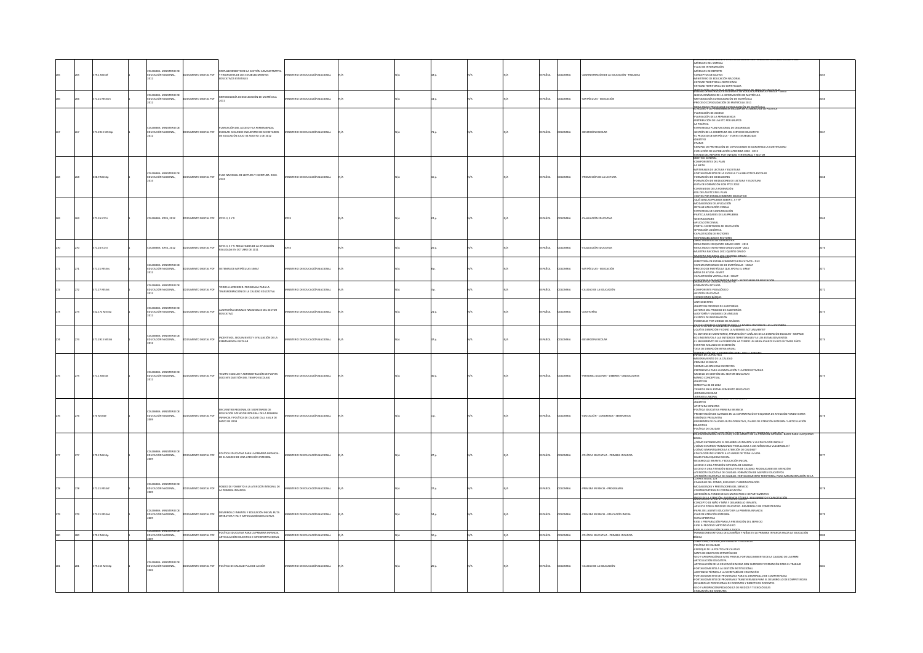|  | 11 M534           | OMBIA: MINISTERIO D<br>EDUCACIÓN NACIONAL           | UMENTO DIGITAL PDF          | <b>RTALECIMIENTO DE LA GESTIÓN ADMINISTRA</b><br>FINANCIERA DE LOS ESTABLECIMIENTOS<br><b>UCATIVOS ESTATALES</b>                                                                            | STERIO DE EDUCACIÓN NACIONAL         |  |  | AÑOL         | <b>LOMBIA</b>  | DMINISTRACIÓN DE LA EDUCACIÓN - FINANZAS     | k DE SEGI<br>-MÓDULOS DEL SISTEMA<br>-FLUJO DE INFORMACIÓN<br>-MÓDULOS DE REPORTE<br>-CONCEPTOS DE GASTOS<br><b>MINISTERIO DE EDUCACIÓN NACIONA</b><br>-MINISTERIO DE EDOCACIÓN NACIONAL<br>-ENTIDAD TERRITORIAL CERTIFICADA<br>-ENTIDAD TERRITORIAL NO CERTIFICADA<br>WEDDAY ANGEMA SEMAIA CO                                                                                                                                                                                                                                                                                                                                                                                                                                                                                                                                                                                                         |  |
|--|-------------------|-----------------------------------------------------|-----------------------------|---------------------------------------------------------------------------------------------------------------------------------------------------------------------------------------------|--------------------------------------|--|--|--------------|----------------|----------------------------------------------|--------------------------------------------------------------------------------------------------------------------------------------------------------------------------------------------------------------------------------------------------------------------------------------------------------------------------------------------------------------------------------------------------------------------------------------------------------------------------------------------------------------------------------------------------------------------------------------------------------------------------------------------------------------------------------------------------------------------------------------------------------------------------------------------------------------------------------------------------------------------------------------------------------|--|
|  | 71.21 M534m       | OLOMBIA: MINISTERIO DE<br>EDUCACIÓN NACIONAL,       | UMENTO DIGITAL PDF          | ETODOLOGÍA CONSOLIDACIÓN DE MATRÍCULA                                                                                                                                                       | STERIO DE EDUCACIÓN NACIONAL         |  |  | PAÑOL        | LOMBIA         | MATRÍCULAS - EDUCACIÓN                       | NUEVA DINÁMICA DE LA INFORMACIÓN DE MATRÍCULA<br>METODOLOGÍA CONSOLIDACIÓN DE MATRÍCULA<br>PROCESO CONSOLIDACIÓN DE MATRÍCULA 2011                                                                                                                                                                                                                                                                                                                                                                                                                                                                                                                                                                                                                                                                                                                                                                     |  |
|  | 71.2913 M534p     | OLOMBIA: MINISTERIO DI<br>EDUCACIÓN NACIONAL        | CUMENTO DIGITAL PDF         | ANEACIÓN DEL ACCESO Y LA PERMANENCIA<br>ESCOLAR. SEGUNDO ENCUENTRO DE SECRETARIOS<br>E EDUCACIÓN JULIO 30 AGOSTO 1 DE 2012                                                                  | STERIO DE EDUCACIÓN NACIONAL         |  |  | <b>PAÑOL</b> | <b>OLOMBIA</b> | <b>DESERCIÓN ESCOLAR</b>                     | <u>RESULTADOS PROCESO DE CONSOUDACIÓN DE MATRÍCULA.</u><br>EL ACCESO Y LA PERMANENCIA ESCOLAR EN EL MARCO DE LA POLITICA<br>PLANEACIÓN DE ACCESO<br>-<br>PLANEACIÓN DE LA PERMANENCIA<br>-DISTRIBUCIÓN DE LAS ETC POR GRUPOS<br>ADITION AL-<br>ESTRATEGIAS PLAN NACIONAL DE DESARROLLO<br>-GESTIÓN DE LA COBERTURA DEL SERVICIO EDUCATIVO<br>-EL PROCESO DE MATRÍCULA - ETAPAS ESTABLECIDAS<br>ORIETIVO<br>-ETAPAS<br>-EJEMPLO DE PROYECCIÓN DE CUPOS DONDE SE GARANTIZA LA CONTINUIDAD<br>-EVOLUCIÓN DE LA POBLACIÓN ATENDIDA 2002 - 2012                                                                                                                                                                                                                                                                                                                                                             |  |
|  | <b>DR 9 MS346</b> | <b>OLOMBIA: MINISTERIO DE</b><br>FOUCACIÓN NACIONAL |                             | OCUMENTO DIGITAL PDF PLAN NACIONAL DE LECTURA Y ESCRITURA 2010-                                                                                                                             | NISTERIO DE EDUCACIÓN NACIONAL       |  |  | 108492       | <b>AVANO I</b> | <b>ROMOCIÓN DE LA LECTURA</b>                | -<br>ESTADO DEL REPORTE POR ENTIDAD TERRITORIAL Y SECTOR<br>-COMPONENTES DEL PLAN<br>LA META<br>-<br>MATERIALES DE LECTURA Y ESCRITURA<br>- FORTALECIMIENTO DE LA ESCUELA Y LA BIBLIOTECA ESCOLAR<br>PORMACIÓN DE MEDIADORES<br>-FURNMULIN DE MEDIADORES DE LECTURA Y ESCRITURA<br>-FOIMACIÓN DE MEDIADORES DE LECTURA Y ESCRITURA<br>-RUTA DE FORMACIÓN CON PTCE 2012<br>-CONTENIDOS DE LA FORMACIÓN<br>-ROL DE LAS ETC EN EL PLAN<br>-COSTOS POR ESTABLECIMIENTO EDUCATIVO<br>¿QUÉ SON LAS PRUEBAS SABER 3, 5 Y 9?                                                                                                                                                                                                                                                                                                                                                                                   |  |
|  | 126 IC15i         | COLOMBIA: ICFES, 2012                               | CUMENTO DIGITAL PDF         | ICFES 3, 5 Y 9                                                                                                                                                                              |                                      |  |  | AÑOL         |                | VALUACIÓN EDUCATIVA                          | -MODALIDADES DE APLICACIÓN<br>-DETALLE APLICACIÓN CENSAL<br>-ESTRATEGIA DE COMUNICACIÓN<br>-PARTICULARIDADES DE LAS PRUEBAS<br>-PARTICULARIDADES DE DIS PROEBAS<br>-GENERALIDADES<br>- APLICACIÓN CENSAL<br>- PORTAL SECRETARIOS DE EDUCACIÓN<br>OPERACIÓN LOGÍSTICA<br>CAPACITACIÓN DE RECTORES<br><b><i>ESPONSABILIDADES RECTORES</i></b><br>ANACTERISTICAS DE LA MUESTR                                                                                                                                                                                                                                                                                                                                                                                                                                                                                                                             |  |
|  | 1.26 IC15i        | DLOMBIA: ICFES, 2012                                | CUMENTO DIGITAL PDF         | ICFES 3, 5 Y 9. RESULTADOS DE LA APLICACIÓN<br>ALIZADA EN OCTUBRE DE 2011                                                                                                                   |                                      |  |  | AÑOL         | LOMBIA         | VALUACIÓN EDUCATIVA                          | -RESULTADOS EN QUINTO GRADO 2009 - 2011<br>-RESULTADOS EN NOVENO GRADO 2009 - 2011<br>MUESTRA NACIONAL 2011 QUINTO GRADO<br><b>CATESTRA NACIONAL SOLUTION COMPANY</b>                                                                                                                                                                                                                                                                                                                                                                                                                                                                                                                                                                                                                                                                                                                                  |  |
|  | 71.21 M534s       | MRIA: MINISTERIO D<br>UCACIÓN NACIONAL              | MENTO DIGITAL PDF           | STEMAS DE MATRÍCULAS SIMAT                                                                                                                                                                  | STERIO DE EDUCACIÓN NACIONAL         |  |  | AÑOL         |                | MATRÍCULAS - EDUCACIÓN                       | -DIRECTORÍA DE ESTABLECIMIENTOS EDUCATIVOS - DUE<br>SISTEMA INTEGRADO DE DE MATRÍCULAS - SIMA<br>-<br>PROCESO DE MATRÍCULA QUE APOYA EL SIMAT<br>-MESA DE AYUDA - SIMAT<br>-CAPACITACIÓN VIRTUAL DUE - SIMAT<br>EUNCIONES ADMINISTRADOR SIMAT -                                                                                                                                                                                                                                                                                                                                                                                                                                                                                                                                                                                                                                                        |  |
|  | 1.27 MS34t        | COLOMBIA: MINISTERIO DE<br>EDUCACIÓN NACIONAL       | UMENTO DIGITAL PDF          | <b>DDOS A APRENDER: PROGRAMA PARA LA</b><br>ANSFORMACIÓN DE LA CAUDAD EDUCATIVA                                                                                                             | <b>NSTERIO DE EDUCACIÓN NACIONAL</b> |  |  | AÑOL         | <b>AISMOJO</b> | ALIDAD DE LA EDUCACIÓN                       | FORMACIÓN SITUADA<br>COMPONENTE PEDAGÓGICO<br>GESTIÓN EDUCATIVA<br><b>GONDUCIONES.BÁSICAS</b>                                                                                                                                                                                                                                                                                                                                                                                                                                                                                                                                                                                                                                                                                                                                                                                                          |  |
|  | 2.172 MS34        | MBIA: MINISTERIO D<br>UCACIÓN NACIONAL              | MENTO DIGITAL PDF           | AUDITORÍAS CENSALES NACIONALES DEL SECTOR<br>EDUCATIVO                                                                                                                                      | STERIO DE EDUCACIÓN NACIONAL         |  |  | AÑO          |                | <b>JDITORÍAS</b>                             | <b>ANTECEDENTES</b><br>-ANTECEDENTES<br>- OBJETIVOS PROCESO DE ALIDITORÍAS<br>- ACTORES DEL PROCESO DE ALIDITORÍAS<br>- ALIDITORÍA Y UNIDADES DE ANÁLISIS<br>- FUENTES DE INFORMACIÓN<br>EVIDENCIAS POR UNIDAD DE ANÁLISIS                                                                                                                                                                                                                                                                                                                                                                                                                                                                                                                                                                                                                                                                             |  |
|  | 1.2913 M534       | OLOMBIA: MINISTERIO DI<br>EDUCACIÓN NACIONAL        | CUMENTO DIGITAL PDF         | INCENTIVOS, SEGUIMIENTO Y EVALUACIÓN DE LA<br><b>BAMANENCIA ESCOLAR</b>                                                                                                                     | NISTERIO DE EDUCACIÓN NACIONAL       |  |  | SPAÑOL       | <b>QLOMBIA</b> | <b>JESERCIÓN ESCOLAR</b>                     | <b>SAS ROSIN SE VARIORTES BARAJ</b><br>-COUÉ ES DESERCIÓN Y COMO LA MEDIMOS ACTUALMENTE?<br>-EL SISTEMA DE MONITOREO, PREVENCIÓN Y ANÁLISIS DE LA DESERCIÓN ESCOLAR - SIMPADE<br>-LOS INCENTIVOS A LAS ENTIDADES TERRITORIALES Y A LOS ESTABLECIMIENTOS<br>-EL SEGUIMIENTO DE LA DESERCIÓN HA TENIDO UN GRAN AVANCE EN LOS ÚLTIMOS AÑOS<br><b>EVENTOS ANITALES DE DESERCIÓN</b><br>TASA DE DESERCIÓN INTRA-ANUA                                                                                                                                                                                                                                                                                                                                                                                                                                                                                        |  |
|  | 11.1 MS34         | LOMBIA: MINISTERIO DI<br>EDUCACIÓN NACIONAL         | CUMENTO DIGITAL PDF         | <b>TEMPO ESCOLAR Y ADMINISTRACIÓN DE PLANTA</b><br>OCENTE (GESTIÓN DEL TIEMPO ESCOLAR)                                                                                                      | <b>NSTERIO DE EDUCACIÓN NACIONAL</b> |  |  | PAÑOL        | <b>OLOMBIA</b> | FRSONAL DOCENTE - DERERES - ORLIGACIONES     | ENFASIS DE LA POLÍTICA<br>MEJORAMIENTO DE LA CALIDAD<br>PRIMERA INFANCIA<br>-CERRAR LAS BRECHAS EXISTENTES<br>-PERTINENCIA PARA LA INNOVACIÓN Y LA PRODUCTIVIDAD<br>-MODELO DE GESTIÓN DEL SECTOR EDUCATIVO<br>-MODELO DE GESTION<br>-MARCO CONCEPTUAL<br>-DIRECTIVA 02 DE 2012<br>-TIEMPOS EN EL ESTABLECIMIENTO EDUCATIVO<br><b>JORNADA ESCOLAR</b><br>JORNADA LABORAL                                                                                                                                                                                                                                                                                                                                                                                                                                                                                                                               |  |
|  |                   | MBIA: MINISTERIO DI<br>EDUCACIÓN NACIONAL,          | MENTO DIGITAL PDR           | NO IFNTRO REGIONAL DE SECRETARIOS DE<br>ENCUENTRO REGIONAL DE SECRETARIOS DE<br>EDUCACIÓN ATENCIÓN INTEGRAL DE LA PRIMERA<br>INFANCIA Y POLÍTICA DE CALIDAD CALI, 6 AL 8 DE<br>6005 30 0YAM | STERIO DE EDUCACIÓN NACIONAL         |  |  | AÑO          |                | -<br>EDUCACIÓN - CONGRESOS - SEMINARIOS      | -OBJETIVO<br>-APERTURA MINISTRA<br>-POLÍTICA EDUCATIVA PRIMERA INFANCIA<br>-POLITING EDUCATIVA PRIMERA INTERNATA<br>-PRESENTACIÓN DE AVANCES EN LA CONTRATACIÓN Y ESQUEMA DE ATENCIÓN FONDO ICETEX<br>-SESIÓN DE PREGUNTAS<br>-REFERENTES DE CALIDAD: RUTA OPERATIVA, PLANES DE ATENCIÓN INTEGRAL Y ARTICULACIÓN<br>EDUCATIVA<br>POLÍTICA DE CALIDAD<br>TALLER DE GEGNÁN FETRATÍGUSA BARA EL MEJOR AMENCIÓN INTEGRAL: BASES PARA LA EQUIDAD                                                                                                                                                                                                                                                                                                                                                                                                                                                            |  |
|  | 179.2 MS34p       | EDUCACIÓN NACIONAL,                                 | CUMENTO DIGITAL PDF         | .<br>POLÍTICA EDUCATIVA PARA LA PRIMERA INFANCIA:<br>EN EL MARCO DE UNA ATENCIÓN INTEGRAL                                                                                                   | ISTERIO DE EDUCACIÓN NACIONAL        |  |  | <b>PAÑOL</b> | <b>AISMOJO</b> | POLÍTICA EDUCATIVA - PRIMERA INFANCIA        | SOCIAL<br>JODNO ENTENDEMOS EL DESARROLLO INFANTIL Y LA EDUCACIÓN INICIAL?<br>-COMO ESTANDS TRABAIANDO PARA LIEGAR A LOS NIÑOS MAS VULNERABLES?<br>-CÓMO ESTANDS TRABAIANDO PARA LIEGAR A LOS NIÑOS MAS VULNERABLES?<br>-CÓMO GARANTIZAMOS LA ATENCIÓN DE CALIDAD?<br>-EDUCACIÓN INCLUYENTE A LO LARGO DE TODA LA VID<br>BASES PARA EQUIDAD SOCIAL<br>-DESARROLLO INFANTIL Y EDUCACIÓN INICIAL<br>ACCESO A UNA ATENCIÓN INTEGRAL DE CALIDAD<br>ACCESO A UNA ATENCIÓN EDUCATIVA DE CALIDAD: MODALIDADES DE ATENCIÓN<br>-PACEAS PLOUGATIVA DE CALIDAD VE DE MONDE DE AGENTES EDUCATIVOS<br>-ATENCIÓN EDUCATIVA DE CALIDAD: FORMACIÓN DE AGENTES EDUCATIVOS<br>-ATENCIÓN EDUCATIVA DE CALIDAD: FORTALECIMIENTO TERRITORIAL PARA IMPLEMENTACIÓN DE L<br>CUNYES SU                                                                                                                                           |  |
|  | 2.21 M534f        | LOMBIA: MINISTERIO DE<br>EDUCACIÓN NACIONAL         | CUMENTO DIGITAL PDF         | INDO DE FOMENTO A LA ATENCIÓN INTEGRAL DE<br>A PRIMERA INFANCIA                                                                                                                             | INSTERIO DE EDUCACIÓN NACIONAL       |  |  | SPAÑOL       | <b>OLOMBIA</b> | <b>RIMERA INFANCIA - PROGRAMAS</b>           | -<br>FINALIDAD DEL FONDO, RECURSOS Y ADMINISTRACIÓN<br>-MODALIDADES Y PRESTADORES DEL SERVICIO<br>CONTRAPARTIDAS DE COFINANCIACIÓN<br><b>ADHESIÓN AL FONDO DE LOS MUNICIPIOS O DEPARTAMENTOS</b>                                                                                                                                                                                                                                                                                                                                                                                                                                                                                                                                                                                                                                                                                                       |  |
|  | 72.21 M534d       | .<br>COLOMBIA: MINISTERIO DI<br>EDUCACIÓN NACIONAL, | LUMENTO DIGITAL PDF         | ARROLLO INFANTIL Y EDUCACIÓN INICIAL RUTA<br>FRATIVA Y PAI Y ARTICULACIÓN EDUCATIVA                                                                                                         | STERIO DE EDUCACIÓN NACIONAL         |  |  | PAÑOL        | LOMBIA         | RIMERA INFANCIA - EDUCACIÓN INICIAL          | JUSOBALLA ATENCIÓN ASSERICIA TÉCNICA SEGI<br>-CONCEPTO DE NIÑO Y NIÑA Y DESARROLLO INFANTIL<br>-APUESTA POR EL PROCESO EDUCATIVO: DESARROLLO DE COMPETENCIAS<br>-APOESTA FOR EL PROCESO EDOCATIVO: DESARROLLO DE CI<br>-PAPEL DEL AGENTE EDUCATIVO EN LA PRIMERA INFANCIA<br>-PLAN DE ATENCIÓN INTEGRAL<br>-RUTA OPERATIVA<br>-FASE I: PREPARACIÓN PARA LA PRESTACIÓN DEL SERVICIO<br>FASE II: PROCESO METODOLÓGICO<br><b><i>KYÓN DE BEGULT</i></b>                                                                                                                                                                                                                                                                                                                                                                                                                                                    |  |
|  | 379.2 MS34p       | OMBIA: MINISTERIO DI<br>EDUCACIÓN NACIONAL,         | <b>OCUMENTO DIGITAL PDF</b> | POLÍTICA EDUCATIVA PARA LA PRIMERA INFANCIA.<br><b>ITICH ACIÓN FOUCATIVA F INTERINSTITUCIONAL</b>                                                                                           | INSTERIO DE EDUCACIÓN NACIONAL       |  |  | SPAÑOL       | LOMBIA         | <b>POLÍTICA EDUCATIVA - PRIMERA INFANCIA</b> | TRANSICIONES EXITOSAS DE LOS NIÑOS Y NIÑAS EN LA PRIMERA INFANCIA HACIA LA EDUCACIÓN<br>RÁSICA                                                                                                                                                                                                                                                                                                                                                                                                                                                                                                                                                                                                                                                                                                                                                                                                         |  |
|  | 19.155 MS34p      | lombia: Ministerio di<br>Ucación Nacional,          | O DIGITAL PDF               | DLÍTICA DE CALIDAD PLAN DE ACCIÓN                                                                                                                                                           | ERIO DE EDUCACIÓN NACIONAL           |  |  | AÑO          |                | ALIDAD DE LA EDUCACIÓ                        | --------<br>COBERTURA, CALIDAD, PERTINENCIA Y EFICIENCIA<br>POLÍTICA DE CALIDAD<br>ENFOQUE DE LA POLÍTICA DE CALIDAD<br>MARA DE ORIETIVOS ESTRATÉGICOS<br>-USO Y APROPIACIÓN DE MTIC PARA EL FORTALECIMINENTO DE LA CALIDAD DE LA EPBM<br>-USU T MPROPUNDIN DE RITIR. PARA EL FURTALECIMINENTO DE LA CALIDAD DE LA EPRIN<br>-ARTICULACIÓN EDUCATIVA<br>-ARTICULACIÓN DE LA EDUCACIÓN MEDIA CON SUPERIOR Y FORMACIÓN PARA EL TRABAIO<br>-FORTALECIMIENTO A LA GESTIÓN INSTITUCIONAL<br>-ASISTENCIA TÉCNICA A LA SECRETARÍA DE EDUCACIÓN<br>-FORTALECIMIENTO DE PROGRAMAS PARA EL DESARROLLO DE COMPETENCIAS<br>-FORTALECIMIENTO DE PROGRAMAS TRANSVERSALES PARA EL DESARROLLO DE COMPETENCIAS<br>DESARROLLO PROFESIONAL DE DOCENTES Y DIRECTIVOS DOCENTES<br>-DESHMODLO PROFESIONAL DE DOCENTES Y DIRECTIVOS DOCENT<br>-USO Y APROPIACIÓN PEDAGÓGICA DE MEDIOS Y TECNOLÓGICAS<br>-FORMACIÓN DE DOCENTES |  |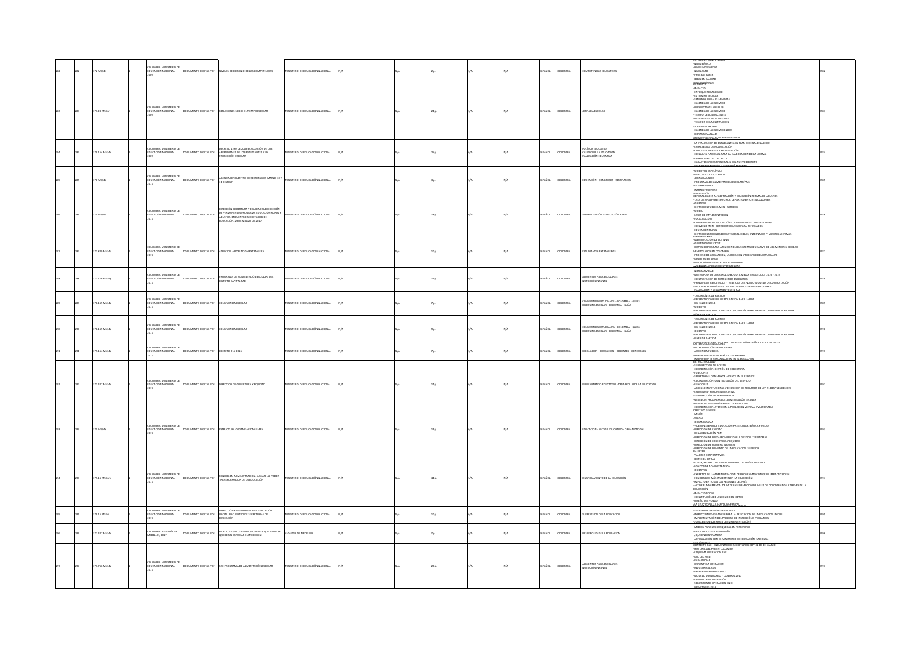|  |                     | <b>IMBIA: MINISTERIO D</b><br><b>CACIÓN NACIONAL</b> | IMENTO DIGITAL PDF         | IVELES DE DOMINIO DE LAS COMPETENCIAS                                                                                                                        | ERIO DE EDUCACIÓN NACIONAL       |  |  |               |                | <b>IPETENCIAS EDUCATIVAS</b>                                                        | NIVELES DE COMPET<br>-NIVEL BÁSICO<br>-NIVEL INTERMEDIO<br>-NIVEL ALTO<br>PRUEBAS SABER                                                                                                                                                                                                                                                                                                                                                                                                                                        |  |
|--|---------------------|------------------------------------------------------|----------------------------|--------------------------------------------------------------------------------------------------------------------------------------------------------------|----------------------------------|--|--|---------------|----------------|-------------------------------------------------------------------------------------|--------------------------------------------------------------------------------------------------------------------------------------------------------------------------------------------------------------------------------------------------------------------------------------------------------------------------------------------------------------------------------------------------------------------------------------------------------------------------------------------------------------------------------|--|
|  |                     |                                                      |                            |                                                                                                                                                              |                                  |  |  |               |                |                                                                                     | <b>IDEAL EN CALIDAD</b>                                                                                                                                                                                                                                                                                                                                                                                                                                                                                                        |  |
|  | 371.23 M534r        | OMBIA: MINISTERIO DE<br>UCACIÓN NACIONAL,            | POCUMENTO DIGITAL PDF      | REFLEXIONES SOBRE EL TIEMPO ESCOLAR                                                                                                                          | MINISTERIO DE EDUCACIÓN NACIONAL |  |  | JORAS:        | OLOMBIA        | JORNADA ESCOLAR                                                                     | <b>AFTAS A</b><br>IMPACTO<br><b>ENFOQUE PEDAGÓSICO</b><br>-ENFOQUE PEDAGOGICO<br>- EL TIEMPO ESCOLAR<br>- SEMANAS ANUALES MÍNIMAS<br>- CALENDARIO ACADÉMICO<br>- DÍAS LECTIVOS ANUALES<br>-CALENDARIO ACADÉMICO<br>-TIEMPO DE LOS DOCENTES<br>-TIEMPO DE LOS DOCENTES<br>- DESARROLLO INSTITUCIONAL<br>- TIEMPOS DE LA INSTITUCIÓN<br>- LORNADA LABORAL<br>- CALENDARIO ACADÉMICO 2009                                                                                                                                         |  |
|  | <b>DR FSA MSRAH</b> | LOMBIA: MINISTERIO DE<br>DUCACIÓN NACIONAL           | OCUMENTO DIGITAL PDF       | DECRETO 1290 DE 2009 EVALUACIÓN DE LOS<br>APRENDIZAJES DE LOS ESTUDIANTES Y LA<br>PROMOCIÓN ESCOLAR                                                          | NISTERIO DE EDUCACIÓN NACIONAL   |  |  | <b>IORAS</b>  | I OMRIA        | POLÍTICA EDUCATIVA<br>CALIDAD DE LA EDUCACIÓN<br>EVALUACIÓN EDUCATIVA               | -HORAS SEMANALES<br><b>HORAS SEMANALES DE PER</b><br>-LA EVALUACIÓN DE ESTUDIANTES: EL PLAN DECENAL EN ACCIÓN<br>-ESTRATEGIAS DE MOVILIZACIÓN<br>CONCLUSIONES DE LA MOVILIZACIÓN<br>CONCLUSIONALE DE MOTHLINGON<br>CONSULTA NACIONAL PARA LA ELABORACIÓN DE LA NORMA<br>ESTRUCTURA DEL DECRETO<br>CARACTERÍSTICAS PRINCIPALES DEL NUEVO DECRETO                                                                                                                                                                                |  |
|  |                     |                                                      |                            |                                                                                                                                                              |                                  |  |  |               |                |                                                                                     |                                                                                                                                                                                                                                                                                                                                                                                                                                                                                                                                |  |
|  | 0 MS34a             | .<br>COLOMBIA: MINISTERIO DE<br>EDUCACIÓN NACIONAL,  | POR JATION OTHER           | AGENDA I ENCUENTRO DE SECRETARIOS MARZO 30 Y                                                                                                                 | MINISTERIO DE EDUCACIÓN NACIONAL |  |  | SPAÑOL        | LOMBIA         | EDUCACIÓN - CONGRESOS - SEMINARIOS                                                  | <b>MOFFORMACIÓ</b><br>OBJETIVO GENERAL<br>-OBJETIVOS ESPECÍFICOS<br>-BANCO DE LA EXCELENCIA<br>-JORNADA ÚNICA<br>-PROGRAMA DE ALIMENTACIÓN ESCOLAR (PAE)<br>-FIDUPREVISORA                                                                                                                                                                                                                                                                                                                                                     |  |
|  |                     |                                                      |                            |                                                                                                                                                              |                                  |  |  |               |                |                                                                                     | INFRAFSTRUCTURA                                                                                                                                                                                                                                                                                                                                                                                                                                                                                                                |  |
|  | 74 M534d            | LOMBIA: MINISTERIO DE<br>EDUCACIÓN NACIONAL          | <b>CUMENTO DIGITAL PDF</b> | IRECCIÓN COBERTURA Y EQUIDAD SUBDIRECCIÓN<br>DE PERMANENCIA PROGRAMA EDUCACIÓN RURAL Y<br>ADULTOS. ENCUENTRO SECRETARIOS DE<br>DUCACIÓN. 29 DE MARZO DE 2017 | INISTERIO DE EDUCACIÓN NACIONAL  |  |  | <b>JORAS</b>  | LOMBIA         | ALFABETIZACIÓN - EDUCACIÓN RURAL                                                    | or a vica cióni.<br>GENERALIDADES ALFABETIZACIÓN Y EDUCACIÓN FORMAL DE ADUL<br>-TASA DE ANALFABETISMO POR DEPARTAMENTOS EN COLOMBIA<br>OWITHING<br>-LICITACIÓN PÚBLICA MEN - ACRECER<br>OBJETO<br><b>FASES DE IMPLEMENTACIÓN</b><br>-PASES DE INFERIENTIACION<br>-FOCALIZACIÓN<br>-CONVENIO MEN - ASOCIACIÓN COLOMBIANA DE UNIVERSIDADES<br>-CONVENIO MEN - CONSEIO NORUEGO PARA REFUGIADOS<br>EDUCACIÓN RURAL<br>UCITACIÓN MODELOS EDUCATIVOS FLEXIBLES, INTERNADOS Y MUJERES VÍCTIMAS                                        |  |
|  | 371.829 MS34a       | .<br>COLOMBIA: MINISTERIO DE<br>EDUCACIÓN NACIONAL,  | OCUMENTO DIGITAL PDF       | ATENCIÓN A POBLACIÓN EXTRANJERA                                                                                                                              | INSTERIO DE EDUCACIÓN NACIONAL   |  |  | SPAÑOL        | OLOMBIA        | ESTUDIANTES EXTRANJEROS                                                             | IDENTIFICACIÓN DE LOS NNA<br>ORENTACIONES 2017<br>-UNIENI HULINES JULI7<br>- DISPOSICIONES PARA ATENCIÓN EN EL SISTEMA EDUCATIVO DE LOS MENORES DE EDAD<br>- VENEZOLANOS EN COLOMBIA<br>- PROCESO DE ASIGNACIÓN, UNIFICACIÓN Y REGISTRO DEL ESTUDIANTE<br>TAMIZ AD ORTZIGS-<br>-UBICACIÓN DEL GRADO DEL ESTUDIANTE<br><b>ENCON A BORLACK</b>                                                                                                                                                                                   |  |
|  | 371.716 MS34o       | LOMBIA: MINISTERIO DE<br>DUCACIÓN NACIONAL           | OCUMENTO DIGITAL PDF       | OGRAMA DE ALIMENTACIÓN ESCOLAR DEL<br>DISTRITO CAPITAL PAE                                                                                                   | INISTERIO DE EDUCACIÓN NACIONAL  |  |  | SPAÑOL        | LOMBIA         | <b>UMENTOS PARA ESCOLARES</b><br>NUTRICIÓN INFANTIL                                 | <b>GAONITAMRON-</b><br>-METAS PLAN DE DESARROLLO BOGOTÁ MEJOR PARA TODOS 2016 - 2019<br>-INITIAT FOR DE LO REFRIGERIOS ESCOLARES<br>- FORNOPALES RESULTADOS Y VENTAIAS DEL NUEVO MODELO DE CONTRATACIÓN<br>- FRINCIPALES RESULTADOS Y VENTAIAS DEL NUEVO MODELO DE CONTRATACIÓN<br>- ACULONAS PEDAGÓGICAS DEL PARE - ESTILOS DE<br>EVALUACIÓN Y SEGUIMENTO A EL PAE.<br>FRAU PERISTI AZ TRENCIPADA NA BINAL DE CONDIGENCIA ESP                                                                                                 |  |
|  | 70.115 MS34c        | MBIA: MINISTERIO DE<br>UCACIÓN NACIONAL,             | OCUMENTO DIGITAL PDF       | ONVIVENCIA ESCOLAR                                                                                                                                           | INSTERIO DE EDUCACIÓN NACIONAL   |  |  | PAÑOL         | MBIA           | CONVIVENCIA ESTUDIANTIL - COLOMBIA - GUÍAS<br>DISCIPLINA ESCOLAR - COLOMBIA - GUÍAS | CONTEXTUALIZACION SISTEMA NACIONAL DE CONV<br>-TALLER LÍNEA DE PARTIDA<br>-PRESENTACIÓN PLAN DE EDUCACIÓN PARA LA PAZ<br>-LEY 1620 DE 2013<br>ONITED-<br><b>UNEARTANZIOAN SISTEMA NACIONAL DE 1</b>                                                                                                                                                                                                                                                                                                                            |  |
|  |                     |                                                      |                            |                                                                                                                                                              |                                  |  |  |               |                |                                                                                     | TALLER LÍNEA DE PARTIDA                                                                                                                                                                                                                                                                                                                                                                                                                                                                                                        |  |
|  | 70.115 MS34c        | LOMBIA: MINISTERIO DE<br><b>UCACIÓN NACIONAL,</b>    | OCUMENTO DIGITAL PDF       | CONVIVENCIA ESCOLAR                                                                                                                                          | NISTERIO DE EDUCACIÓN NACIONAL   |  |  | <b>IORAS</b>  | OMRIA          | MVIVENCIA ESTUDIANTIL - COLOMBIA - GUÍAS<br>NSCIPLINA ESCOLAR - COLOMBIA - GUÍAS    | -PRESENTACIÓN PLAN DE EDUCACIÓN PARA LA PAZ<br>LEY 1620 DE 2013<br>-LO HETIVO<br>-OBJETIVO<br>-RECORDEMOS FUNCIONES DE LOS COMITÉS TERRITORIAL DE CONVIVENCIA ESCOLAR                                                                                                                                                                                                                                                                                                                                                          |  |
|  |                     |                                                      |                            |                                                                                                                                                              |                                  |  |  |               |                |                                                                                     | LÍNEA DE PARTIDA                                                                                                                                                                                                                                                                                                                                                                                                                                                                                                               |  |
|  | 79.154 MS34d        | LOMBIA: MINISTERIO DE<br>JUCACIÓN NACIONAL           | UMENTO DIGITAL PDF         | DECRETO 915 2016                                                                                                                                             | NISTERIO DE EDUCACIÓN NACIONAL   |  |  | <b>SPAÑOL</b> | OMBIA          | LEGISLACIÓN - EDUCACIÓN - DOCENTES - CONCURSOS                                      | 01110301011405<br>DETERMINACIÓN DE VACANTES<br>AUDIENCIA PÚBLICA<br>NOMBRAMIENTO EN PERÍODO DE PRUEBA                                                                                                                                                                                                                                                                                                                                                                                                                          |  |
|  | 1.207 MS34d         | )<br>LOMBIA: MINISTERIO DE<br>JUCACIÓN NACIONAL,     | MENTO DIGITAL PDF          | IRECCIÓN DE COBERTURA Y EQUIDAD                                                                                                                              | STERIO DE EDUCACIÓN NACIONAL     |  |  | <b>VioL</b>   |                | NEAMIENTO EDUCATIVO - DESARROLLO DE LA EDUCACIÓN                                    | INSCRIBCIÓN O ACTUALIZACIÓN EN EL ESCALA<br>SUBDIRECCIÓN DE ACCESO<br>-COORDINACIÓN: GESTIÓN DE COBERTURA<br>-FUNCIONES<br>-SECRETARÍAS CON MAYOR AVANCE EN EL REPORTE<br>-ACORDINACIÓN: CONTRATACIÓN DEL SERVICIO<br>- COORDINACIÓN: CONTRATACIÓN DEL SERVICIO<br>- ARREGLO INSTITUCIONAL Y EJECUCIÓN DE RECURSOS DE LEY 21 DESPUÉS DE 2015<br><b>ESQUEMAS - RESUMEN EJECUTIVO</b><br>SUBDIRECCIÓN DE PERMANENCIA<br>-GERENCIA: PROGRAMA DE AUMENTACIÓN ESCOLAR<br>-GERENCIA: EDUCACIÓN RURAL Y DE ADULTOS                    |  |
|  | 0 M534e             | OMBIA: MINISTERIO DE<br>EDUCACIÓN NACIONAL,          |                            | DOCUMENTO DIGITAL PDF ESTRUCTURA ORGANIZACIONAL MEN                                                                                                          | INSTERIO DE EDUCACIÓN NACIONAL   |  |  | PAÑOL         | OLOMBIA        | EDUCACIÓN - SECTOR EDUCATIVO - ORGANIZACIÓN                                         | COORDINACIÓN: ATENCIÓN A POBLACIÓN V<br>OBJETIVO GENERAL<br>MODIM.<br>munun<br>VISIÓN<br>ORGANIGRAMA<br>-VICEMINISTERIO DE EDUCACIÓN PREESCOLAR, BÁSICA Y MEDIA<br>DIRECCIÓN DE CALIDAD<br>DE LA EDUCACIÓN PBM<br>-DIRECCIÓN DE FORTALECIMIENTO A LA GESTIÓN TERRITORIAL                                                                                                                                                                                                                                                       |  |
|  | 379.11 M534m        | LOMBIA: MINISTERIO DE<br>EDUCACIÓN NACIONAL          | OCUMENTO DIGITAL PDF       | FONDOS EN ADMINISTRACIÓN, SUMATE AL PODER<br>RANSFORMADOR DE LA EDUCACIÓN                                                                                    | INSTERIO DE EDUCACIÓN NACIONAL   |  |  | <b>SPAÑOL</b> | <b>OLOMBIA</b> | INANCIAMIENTO DE LA EDUCACIÓN                                                       | VALORES CORPORATIVOS<br><b>ICETEX EN CIFRAS</b><br>-ICEIX EN CHINA<br>-ICEIEX, MODELO DE FINANCIAMIENTO DE AMÉRICA LATINA<br>-FONDOS DE ADMINISTRACIÓN<br>-OBJETIVOS<br>-EXPERTOS DE LA ADMINISTRACIÓN DE PROGRAMAS CON GRAN IMPACTO SOCIAL<br>FONDOS QUE MÁS INVIERTEN EN LA EDUCACIÓN<br>-IMPACTO EN TODAS LAS REGIONES DEL PAÍS<br>-ACTOR FUNDAMENTAL DE LA TRANSFORMACIÓN DE MILES DE COLOMBIANOS A TRAVÉS DE LA<br>-REIGNATOR<br>EDUCACIÓN<br>-IMPACTO SOCIAL<br>-CONSTITUCIÓN DE UN FONDO EN ICETEX<br>-DISEÑO DEL FONDO |  |
|  | P9.15 M534          | .<br>DLOMBIA: MINISTERIO DE<br>DUCACIÓN NACIONAL,    | LUMENTO DIGITAL PDF        | INSPECCIÓN Y VIGILANCIA DE LA EDUCACIÓN<br>INICIAL: ENCUENTRO DE SECRETARÍAS DE<br>EDUCACIÓN                                                                 | ISTERIO DE EDUCACIÓN NACIONAL    |  |  | PAÑOL         | owau           | SUPERVISIÓN DE LA EDUCACIÓN                                                         | A ECU CACIÓN, LA MEICR UNIFRSIÓN<br>MMINO MOMMINIO DI LONDONOMI IRRANE<br>-INSPECCIÓN Y VIGILANCIA PARA LA PRESTACIÓN DE LA EDUCACIÓN INICIAL<br>-INSPECCIÓN Y VIGILANCIA PARA LA PRESTACIÓN Y VIGILANCIA                                                                                                                                                                                                                                                                                                                      |  |
|  | 72.207 MS34c        | OLOMBIA: ALCALDÍA DE                                 | TUMENTO DIGITAL PDF        | EN EL COLEGIO CONTAMOS CON VOS QUE NADIE SE<br>QUEDE SIN ESTUDIAR EN MEDELLÍN                                                                                | LCALDÍA DE MEDELLÍN              |  |  | PAÑOL         | OMBIA          | <b>DESARROLLO DE LA EDUCACIÓN</b>                                                   | HELMI ESSEEN VEGASES DE MANGARENTACIÓN ?<br>MEDIOS PARA LAS BÚSQUEDAS EN TERRITORIO<br>RESULTADOS DE LA CAMPAÑA                                                                                                                                                                                                                                                                                                                                                                                                                |  |
|  |                     | <b>EDELLÍN, 2017</b>                                 |                            |                                                                                                                                                              |                                  |  |  |               |                |                                                                                     | -/QUÉ ENCONTRAMOS?<br>ARTICULACIÓN CON EL MINISTERIO DE EDUCACIÓN NACIONAL<br>JOHÉ SIGHE?<br>CONTEXTO PAE - ENCUENTRO DE SECRETARIOS 30 Y 31 DE DE MARZI                                                                                                                                                                                                                                                                                                                                                                       |  |
|  | 71.716 MS34p        | lombia: Ministerio de<br>Ucación Nacional,           | DOCUMENTO DIGITAL PDF      | PAE PROGRAMA DE ALIMENTACIÓN ESCOLAR                                                                                                                         | INSTERIO DE EDUCACIÓN NACIONAL   |  |  | PAÑOL         | LOMBIA         | AUMENTOS PARA ESCOLARES<br>NUTRICIÓN INFANTIL                                       | HISTORIA DEL PAE EN COLOMBIA<br>ESQUEMA OPERACIÓN PAE<br><b>ROL DEL MEN<br/>PARA INICIAR</b><br>DURANTE LA OPERACIÓN<br>-INDUSTRIALIZADA<br>-PREPARADA PARA EL SITIO<br>MODELO MONITOREO Y CONTROL 2017<br>-ESTADO DE LA OPERACIÓN<br>GUIMIENTO OPERACIÓN EN IE                                                                                                                                                                                                                                                                |  |
|  |                     |                                                      |                            |                                                                                                                                                              |                                  |  |  |               |                |                                                                                     | RESULTADOS 2016                                                                                                                                                                                                                                                                                                                                                                                                                                                                                                                |  |
|  |                     |                                                      |                            |                                                                                                                                                              |                                  |  |  |               |                |                                                                                     |                                                                                                                                                                                                                                                                                                                                                                                                                                                                                                                                |  |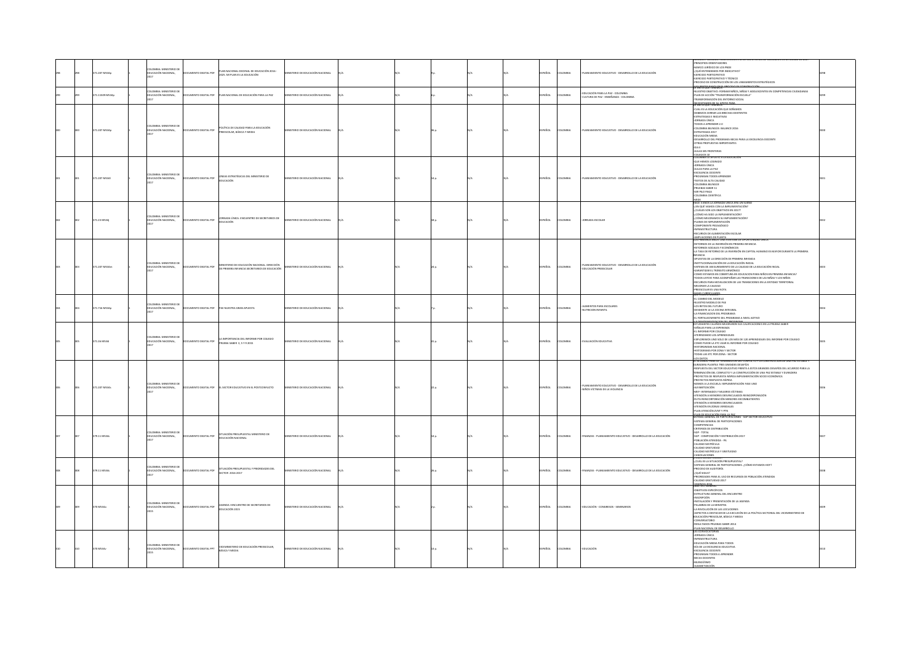|  | 171.207 MS34p  | OMRIA: MINISTERIO D<br>EDUCACIÓN NACIONAL,           | MENTO DIGITAL PDF           | PLAN NACIONAL DECENAL DE EDUCACIÓN 2016 -<br>2025: MI PLAN ES LA EDUCACIÓN                  | STERIO DE EDUCACIÓN NACIONAL          |  |     |  | AÑOL   |                | LANEAMIENTO EDUCATIVO - DESARROLLO DE LA EDUCACIÓN                                   | <b>RINCIPIOS ORIENTADORES</b><br>MARCO JURÍDICO DE LOS PNDE<br>-<br>- QUÉ ENTENDEMOS POR INDICATIVO?<br>- EJERCICIO PARTICIPATIVO<br>EJERCICIO PARTICIPATIVO Y TÉCNICO<br>ROCESO DE CONSTRUCCIÓN DE LOS UNEAMENTOS ESTRATÉGICOS<br><b><i><u>RIETXTEGEYEREAL</u></i></b>                                                                                                                                                                                                                                                                                                                                                                                                                                                                                                                                                                                                                                           |  |
|--|----------------|------------------------------------------------------|-----------------------------|---------------------------------------------------------------------------------------------|---------------------------------------|--|-----|--|--------|----------------|--------------------------------------------------------------------------------------|-------------------------------------------------------------------------------------------------------------------------------------------------------------------------------------------------------------------------------------------------------------------------------------------------------------------------------------------------------------------------------------------------------------------------------------------------------------------------------------------------------------------------------------------------------------------------------------------------------------------------------------------------------------------------------------------------------------------------------------------------------------------------------------------------------------------------------------------------------------------------------------------------------------------|--|
|  | 71.11509 M534p | COLOMBIA: MINISTERIO D<br>EDUCACIÓN NACIONAL,        | MENTO DIGITAL PDF           | LAN NACIONAL DE EDUCACIÓN PARA LA PAZ                                                       | MSTERIO DE EDUCACIÓN NACIONAL         |  |     |  | AÑOL   |                | EDUCACIÓN PARA LA PAZ - COLOMBIA<br>CULTURA DE PAZ - ENSEÑANZA - COLOMBIA            | n hillin tung tingdidas.<br>NUESTRO OBJETIVO: FORMAR NIÑOS, NIÑAS Y ADOLESCENTES EN COMPETENCIAS CIUDADANAS.<br>NAN DE ACCIÓN "TRANSFORMACIÓN ESCUELA".<br>TRANSFORMACIÓN DEL ENTORNO SOCIAL                                                                                                                                                                                                                                                                                                                                                                                                                                                                                                                                                                                                                                                                                                                      |  |
|  | 371.207 MS34p  | COLOMBIA: MINISTERIO DE<br>EDUCACIÓN NACIONAL,       | CUMENTO DIGITAL PDF         | POLÍTICA DE CALIDAD PARA LA EDUCACIÓN<br>REESCOLAR, BÁSICA Y MEDIA                          | INSTERIO DE EDUCACIÓN NACIONAL        |  |     |  | SPAÑOL | OLOMBIA        | PLANEAMIENTO EDUCATIVO - DESARROLLO DE LA EDUCACIÓN                                  | NECESTAMOS DE SU AROX<br>CUAL ES LA EDUCACIÓN QUE SOÑAMOS<br>-DEBEMOS CERRAR LAS BRECHAS EXISTENTES<br><b>ESTRATEGIAS E INICIATIVAS</b><br>-DRNADA ÚNICA<br>-TODOS A APRENDER 2.0<br>-COLOMBIA BILINGÜE: BALANCE 2016<br>ESTRATEGIAS 2017<br>EDUCACIÓN MEDIA<br>ESARROLLO DEL PROGRAMA BECA:<br>ESARROLLO DEL PROGRAMA BECA:<br>ITRAS PROPUESTAS IMPORTANTES<br>MA BECAS PARA LA EXCELENCIA DOCENTE<br>DIA E<br>AULAS SIN FRONTERAS                                                                                                                                                                                                                                                                                                                                                                                                                                                                               |  |
|  | 371.207 MS34   | LOMBIA: MINISTERIO DE<br>EDUCACIÓN NACIONAL          | OCUMENTO DIGITAL PDF        | NEAS ESTRATÉGICAS DEL MINISTERIO DE<br>DUCACIÓN                                             | <b>ISTERIO DE EDUCACIÓN NACIONAL</b>  |  |     |  | SPAÑOL | <b>OLOMBIA</b> | PLANEAMIENTO EDUCATIVO - DESARROLLO DE LA EDUCACIÓN                                  | XEGIOS 10<br>LOMBIA LE APOSTO A LA EDUCA<br>QUE HEMOS LOGRADO<br>-CHENNADA ÚNICA<br>-AULAS PARA LA PAZ<br>-EXCELENCIA DOCENTE<br>ROGRAMA TODOS APRENDER<br>TEXTOS DE ALTA CALIDAD<br>COLOMBIA BILINGUE<br>MUEBAS SABER 11<br>SER PILO PAGA<br>OLOMBIA CIENTÍFICA                                                                                                                                                                                                                                                                                                                                                                                                                                                                                                                                                                                                                                                  |  |
|  | 371.23 MS34i   | <b>OLOMBIA: MINISTERIO DE</b><br>EDUCACIÓN NACIONAL  | <b>OCUMENTO DIGITAL PDF</b> | <b>ORNADA ÚNICA, ENCUENTRO DE SECRETARIOS DE</b><br>DUCACIÓN                                | INISTERIO DE EDUCACIÓN NACIONAL       |  |     |  | SPAÑOL | <b>OLOMBIA</b> | ORNADA ESCOLAR                                                                       | MIDE<br>ACE 3 AÑOS LA JORNADA ÚNICA ERA UN SUEÑO<br>JEN QUÉ VAMOS CON LA IMPLEMENTACIÓN?<br>JCUÁLES SON LOS OBJETIVOS EN 2017?<br>CÓMO HA SIDO LA IMPLEMENTACIÓN?<br>CONO MEJORAMOS SI IMPLEMENTACIÓN?<br>COMO MEJURAMOS SO IMPLE<br>LANES DE IMPLEMENTACIÓN<br>OMPONENTE PEDAGÓGICO<br><b>INFRAESTRUCTURA</b><br>RECURSOS DE AUMENTACIÓN ESCOLAR<br>:<br>IPLIACIONES DE PLANTA<br>IPRIMEROS ANOS: UNA VENTANA DE OPORT                                                                                                                                                                                                                                                                                                                                                                                                                                                                                           |  |
|  | 371.207 MS34m  | <b>ILOMBIA: MINISTERIO D</b><br>EDUCACIÓN NACIONAL,  | HOLDING DIGITAL PDF         | MINISTERIO DE EDUCACIÓN NACIONAL: DIRECCIÓN<br>DE PRIMERA INFANCIA SECRETARIOS DE EDUCACIÓN | <b>NISTERIO DE EDUCACIÓN NACIONAL</b> |  |     |  | SPAÑOL | LOMBIA         | LANEAMIENTO EDUCATIVO - DESARROLLO DE LA EDUCACIÓN<br>EDUCACIÓN PREESCOLAR           | RETORNOS DE LA INVERSIÓN EN PRIMERA INFANCIA<br>ETORNOS SOCIALES Y ECONÓMICOS<br>A TASA DE RETORNO DE LA INVERSIÓN EN CAPITAL HUMANO ES MAYOR DURANTE LA PRIMERA<br>ANCIA<br>-APUESTAS DE LA DIRECCIÓN DE PRIMERA INFANCIA<br>NSTITUCIONALIZACIÓN DE LA EDUCACIÓN INICIAL<br>-INSITIOURUMIZZATION DE LA EDUCADONI INICIAL<br>-SISTEMA DE ASEGURAMIENTO DE LA CALIDAD DE LA EDUCACIÓN INCIAL<br>-GARANTIZAR EL TRÁNSITO ARMÓNICO<br>-COMO ESTAMOS EN COBERTURA EN EDUCACION PARA NIÑOS EN PRIMERA INFANCIA?<br>TODOS LISTOSI PARA ACOMPAÑAR LAS TRANSCIONES DE LAS NIÑAS Y LOS NIÑOS<br>RECURSOS PARA MOVILIZACION DE LAS TRANSICIONES EN LA ENTIDAD TERRITORIAL<br>EJORAR LA CALIDAD<br><b>EESCOLAR ES UNA NOTA</b><br><b>ESCURRICULARES</b>                                                                                                                                                                      |  |
|  | 371.716 MS34p  | <b>NOMBIA: MINISTERIO D</b><br>EDUCACIÓN NACIONAL,   | UMENTO DIGITAL PDF          | AE NUESTRA GRAN APUESTA                                                                     | ASTERIO DE EDUCACIÓN NACIONAL         |  |     |  | SPAÑOL | LOMBIA         | ALIMENTOS PARA ESCOLARES<br>NUTRICIÓN INFANTIL                                       | EL CAMBIO DEL MODELO<br>LIFSTRO MODELO DE PAF<br>NUESTRU MODELU DE PAE<br>LOS RETOS DEL FUTURO<br>DESMOSTE LE LA COCINA INTEGRAL<br>LA FINANCIACION DEL PROGRAMA<br>L FORTALECIMINETO DEL PROGRAMA A NIVEL ADTIVO<br>DESETIGMATIZACION DEL PROGRAMA<br>LUDIANTES CALEÑOS MEJORARON SUS CALIFICACIONES EN LA PRUEBA SABEI                                                                                                                                                                                                                                                                                                                                                                                                                                                                                                                                                                                          |  |
|  | 371.26 M534i   | <b>NOMBIA: MINISTERIO D</b><br>EDUCACIÓN NACIONAL,   | IMENTO DIGITAL PDF          | LA IMPORTANCIA DEL INFORME POR COLEGIO<br>PRUEBA SABER 3, 5 Y 9 2015                        | <b>STERIO DE EDUCACIÓN NACIONAL</b>   |  |     |  | SPAÑOL | LOMBIA         | VALUACIÓN EDUCATIVA                                                                  | -SEÑALES PARA LA ESPERANZA<br>OIRE IN CORRECTED IN<br>is informer for colegio<br>ATERRIZANDO LOS APRENDIZAJES<br>EXPLOREMOS UNO SOLO DE LOS MÁS DE 120 APRENDIZAJES DEL INFORME POR COLEGIO<br>COMO PUEDE LA ETC USAR EL INFORME POR COLEGIO<br>HISTORGRAMA NACIONAL<br>STOSRAMA POR 20NA Y SECTOR<br>IDAS LAS ETC POR ZONA - SECTOR                                                                                                                                                                                                                                                                                                                                                                                                                                                                                                                                                                              |  |
|  | 371.207 MS34s  | .<br>COLOMBIA: MINISTERIO DE<br>EDUCACIÓN NACIONAL,  | UMENTO DIGITAL PDF          | EL SECTOR EDUCATIVO EN EL POSTCONFLICTO                                                     | INSTERIO DE EDUCACIÓN NACIONAL        |  |     |  | PAÑOL  |                | LANEAMIENTO EDUCATIVO - DESARROLLO DE LA EDUCACIÓN<br>NIÑOS VÍCTIMAS DE LA VIOLENCIA | IS DATOS<br>ALUERDO PARA LA TERMINALION DEL CONFUCTO Y LA<br>L'ALUGINIO FAMA UN TENNIMINANT DEL CONTENUE DE L'ON CONTENUES DE L'ON FAIL L'ENNIER.<br>NURADERA PLANTEA TRES GRANDES DESAFÍOS<br>RESPUESTA DEL SECTOR EDUCATIVO FRENTE A ESTOS GRANDES DESAFÍOS DEL ACUERDO PARA LA<br>RMINACIÓN DEL CONFLICTO Y LA CONSTRUCCIÓN DE UNA PAZ ESTABLE Y DURADERA<br>ROYECTOS DE RESPUESTA RÁPIDA IMPLEMENTACIÓN SOCIO ECONÓMICA<br>IOTECTOS DE RESPOESTA NAPIDA IMPLEMENTACIÓN<br>IOYECTOS RESPUESTA RÁPIDA<br>ANOS A LA ESCUELA: IMPLEMENTACIÓN FASE UNO<br>ALFABETIZACIÓN<br>-MEF- INTERNADOS Y MUJERES VÍCTIMAS<br>-<br>ATENCIÓN A MENORES DESVINCULADOS REINCORPORACIÓN<br>RUTA REINCORPORACIÓN MENORES EXCOMBATIENTES<br>TENCIÓN A MENORES DESVINCULADOS<br>TENCIÓN EN ZONAS VEREDALES<br>LAN ATENCIÓN ZVNT Y PTN<br><br>LAN DE EDUCACIÓN PARA LA PAZ<br>STEMA GENERAL DE PARTICIPACIONES - SGP SECTOR EDUCATIVO |  |
|  | 379.11 MS34s   | OLOMBIA: MINISTERIO DE<br>EDUCACIÓN NACIONAL         | HOR JATION OTHER            | <b>TUACIÓN PRESUPUESTAL MINISTERIO DE</b><br>EDUCACIÓN NACIONAL                             | <b>ISTERIO DE EDUCACIÓN NACIONAL</b>  |  |     |  | SPAÑOL | <b>U OMRIA</b> | INANZAS - PLANEAMIENTO EDUCATIVO - DESARROLLO DE LA EDUCACIÓN                        | SISTEMA GENERAL DE PARTICIPACIONES<br>COMPETENCIAS<br>COMPETENCIAS<br>CRITERIOS DE DISTRIBUCIÓN<br>SGP - TOTAL<br>-SGP - COMPOSICIÓN Y DISTRIBUCIÓN 2017<br>SGP - COMPOSICION 1 UISTRI<br>POBLACIÓN ATENDIDA - PA<br>CALIDAD MATRÍCULA<br>CALIDAD GRATUIDAD<br>CALIDAD MATRÍCULA Y GRATUIDAD<br><b>ANCELACIONES</b>                                                                                                                                                                                                                                                                                                                                                                                                                                                                                                                                                                                               |  |
|  | 379.11 MS34s   | OLOMBIA: MINISTERIO DE<br>EDUCACIÓN NACIONAL         | CUMENTO DIGITAL PDF         | LIACIÓN PRESUPLIESTAL Y PRIORIDADES DEL<br>SECTOR 2016-2017                                 | <b>ISTERIO DE EDUCACIÓN NACIONAL</b>  |  | 60. |  | SPAÑOL | COLOMBIA       | FINANZAS - PLANEAMIENTO EDUCATIVO - DESARROLLO DE LA EDUCACIÓN                       | CLIÁL ES LA SITUACIÓN PRESUPUESTAL?<br>SISTEMA GENERAL DE PARTICIPACIONES, / CÓMO ESTAMOS HOY?<br>ROCESO DE AUDITORÍA<br>-FRUCESO DE PRODITORIA<br>-PRIORIDADES PARA EL USO DE RECURSOS DE POBLACIÓN ATENDIDA<br>-CALIDAD GRATUIDAD 2017                                                                                                                                                                                                                                                                                                                                                                                                                                                                                                                                                                                                                                                                          |  |
|  | 370 MS34a      | <b>OLOMBIA: MINISTERIO DI</b><br>EDUCACIÓN NACIONAL, | UMENTO DIGITAL PDF          | GENDA I ENCUENTRO DE SECRETARIOS DE<br>DUCACIÓN 2015                                        | <b>STERIO DE EDUCACIÓN NACIONAL</b>   |  |     |  | SPAÑOL | LOMBIA         | EDUCACIÓN - CONGRESOS - SEMINARIOS                                                   | <b>JACENCIA 2016</b><br>OBJETIVO GENERAL<br>OBJETIVO GENERAL<br>OBJETIVOS ESPECÍFICOS<br>ESTRUCTURA GENERAL DEL ENCUENTRO<br>INSCRIPCIÓN<br>INSTALACIÓN Y PRESENTACIÓN DE LA AGENDA<br>PALABRAS DE LA MINISTRA<br>FALMINO DE LA INTHUITION<br>LA REVOLUCIÓN DE LAS LOCUCIONES<br>ASPECTOS A DESTACAR DE LA EJECUCIÓN DE LA POLÍTICA SECTORIAL DEL VICEMINISTERIO DE<br>EDUCACIÓN PRESCOLAR, BÁSICA Y MEDIA<br>OIROTAZEN 2010<br><b>SULTADOS PRUEBAS SABER 2014</b>                                                                                                                                                                                                                                                                                                                                                                                                                                                |  |
|  | 70 M534v       | MBIA: MINISTERIO I<br>EDUCACIÓN NACIONAL,            | TRA JATIOU OTREMU.          | CEMINISTERIO DE EDUCACIÓN PREESCOLAR,<br>BÁSICA Y MEDIA                                     | STERIO DE EDUCACIÓN NACIONAL          |  |     |  | AÑOL   | LOMBIA         | EDUCACIÓN                                                                            | YLAN NACIONAL DE DESARROLLI<br>AS CONVOCATORIAS<br>JORNADA ÚNICA<br><b>INFRAESTRUCTURA</b><br>FOUCACIÓN MEDIA PARA TODOS<br>DÍA DE LA EXCELENCIA EDUCATIVA<br>EXCELENCIA DOCENTE<br>ROGRAMA TODOS A APRENDER<br>BECAS DOCENTES<br>LEAS BUCENTE<br>ILINGÜÍSMO<br>LBABETIZACIÓ!                                                                                                                                                                                                                                                                                                                                                                                                                                                                                                                                                                                                                                     |  |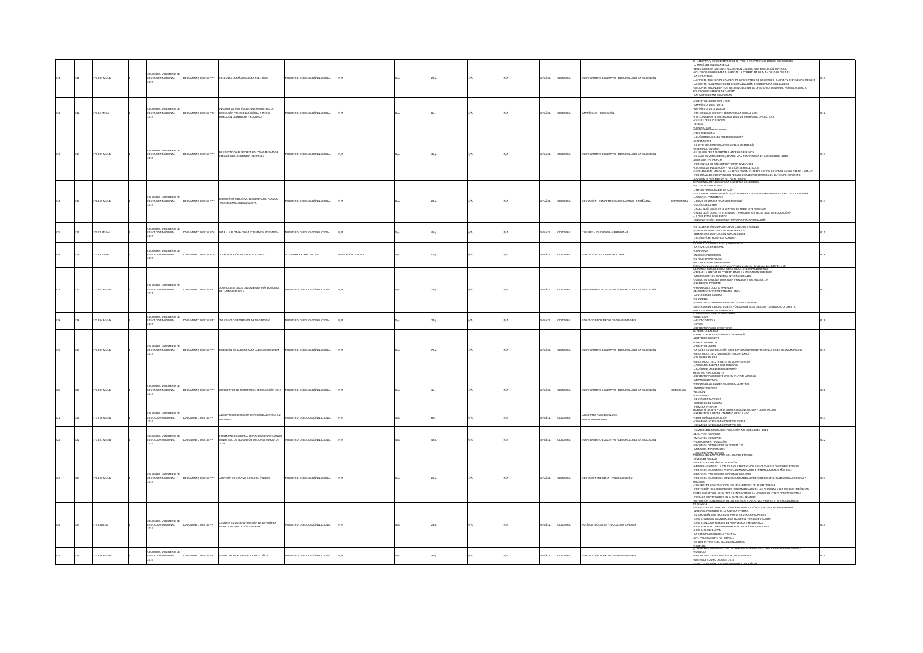|  | 71.207 MS34c      | <b>IBIA: MINISTERIO DI</b><br>UCACIÓN NACIONAL,   | TP1 JATI200 OTM3MU3         | OLOMBIA LA MÁS EDUCADA 2014-2018                                                                                                  | INSTERIO DE EDUCACIÓN NACIONAL       |                 |  |  | PAÑOL        |                | LANEAMIENTO EDUCATIVO - DESARROLLO DE LA EDUCACIÓN                     | <b>ACTO QUE QUEREMOS</b><br>-A TRAVÉS DE UN GRAN IDEAL<br>NUESTRO GRAN ORIETIVO: ACCESO CON CAUDAD A LA EDUCACIÓN SUPERIOR<br>LOS CINCO PILARES PARA AUMENTAR LA COBERTURA DE ALTA CALIDAD DE LA ES<br>-LA ESTRATEGIA<br>ACCIONES: TABLERO DE CONTROL DE INDICADORES DE COBERTURA, CALIDAD Y PERTINENCIA DE LA ES<br>ACCIONES: PLAN MAESTRO DE REGIONALIZACIÓN DE CORERTURA CON CALIDAD<br>ACCIONES: BALANCE EN LOS INCENTIVOS DESDE LA OFERTA Y LA DEMANDA PARA EL ACCESO A<br>DUCACIÓN SUPERIOR DE CALIDAD<br>LAS METAS COMO CUMPLIRLAS                                                                                                                                                                                                                                       |  |
|--|-------------------|---------------------------------------------------|-----------------------------|-----------------------------------------------------------------------------------------------------------------------------------|--------------------------------------|-----------------|--|--|--------------|----------------|------------------------------------------------------------------------|---------------------------------------------------------------------------------------------------------------------------------------------------------------------------------------------------------------------------------------------------------------------------------------------------------------------------------------------------------------------------------------------------------------------------------------------------------------------------------------------------------------------------------------------------------------------------------------------------------------------------------------------------------------------------------------------------------------------------------------------------------------------------------|--|
|  | <b>21.21 MS34</b> | LOMBIA: MINISTERIO DE<br>FOUCACIÓN NACIONAL       |                             | NFORME DE MATRÍCULA, VICEMINISTERIO DE<br>OCUMENTO DIGITAL PDF EDUCACIÓN PREESCOLAR, BÁSICA Y MEDIA<br>ECCIÓN COBERTURA Y EQUIDAD | NISTERIO DE EDUCACIÓN NACIONAL       |                 |  |  | <b>PAÑOL</b> | <b>TIOMRIA</b> | MATRÍCULAS - EDUCACIÓN                                                 | COBERTURA NETA 2005 - 2014<br>MATRÍCULA 2005 - 2014<br>-MATRÍCULA 2014 VS 2015<br>FTC CON BAID REPORTE DE MATRÍCULA ORIGIAL 2015<br>-<br>FTC CON REPORTE SUPERIOR AL 100% DE MATRÍCULA OFICIAL 2015<br>-CAUSAS DE BAIO REPORTE<br>OFICIAL<br><b>CONTRATADA</b><br>VISI PRIMERAS REACCIO                                                                                                                                                                                                                                                                                                                                                                                                                                                                                         |  |
|  | 371.207 MS34e     | COLOMBIA: MINISTERIO DE<br>EDUCACIÓN NACIONAL,    | OCUMENTO DIGITAL PPT        | DE EDUCACIÓN EL SECRETARIO COMO MEDIADOR<br>DAGÓGICO: ACCIONES Y RECURSOS                                                         | AINISTERIO DE EDUCACIÓN NACIONAL     |                 |  |  | <b>JORA</b>  | OLOMBIA        | LANEAMIENTO EDUCATIVO - DESARROLLO DE LA EDUCACIÓN                     | TRES PREGUNTAS<br>-¿QUÉ CONCLUSIONES PODEMOS SACAR?<br>LIDERAZGO ES<br>FL RETO DE SOSTENER ALTOS NIVELES DE ENFRISÍA<br>LIDERANDO EQUIPOS<br>-EL EQUIPO DE LA SECRETARÍA HACE LA DIFERENCIA<br>-EL CASO DE MINAS GERAIS, BRASIL: UNA TRAYECTORÍA DE SUCESO 2006 - 2014<br>-LE CASO DE MINAR GENAU, SINGIE DINA TINTEET<br>- UNIDADES EDUCATIVAS<br>- PORCENTAJE DE ATENDIMIENTO POR NIVEL Y RED<br>-CULTURA DE EVALUACIÓN Y GESTIÓN DE RESULTADOS<br>-SISTEMAS EVALUACIÓN DE LAS REDES OFICIALES DE EDUCACIÓN BÁSICA DE MINAS GERAIS - SIMAVE<br>OGRAMA DE INTERVENCIÓN PEDAGÓGICA LECTO ESCRITURA EN EL TIEMPO CORRECTO                                                                                                                                                        |  |
|  | 70.115 MS34e      | OMRIA: MINISTERIO DI<br><b>DUCACIÓN NACIONAL</b>  | TRA JATIDO OTHER            | EXPERIENCIA REFLEXIVA: EL SECRETARIO PARA LA<br>NSFORMACIÓN EDUCATIVA                                                             | NISTERIO DE EDUCACIÓN NACIONAL       |                 |  |  | AÑOL         |                | EDUCACIÓN - COMPETENCIAS CIUDADANAS - ENSEÑANZA<br><b>EXPERIENCIAS</b> | -FOCO EN EL DESEMPEÑO DE LOS ALUMNOS<br>EXPERIENCIA REFLEXIVA PARA DESPERTAR CON<br>-LA COYUNTURA ACTUAL<br><b>/TENGO POSIBILIDADES DE MÁS?</b><br>TODOS POR UN NUEVO PAÍS. ¿QUÉ SIGNIFICA ESA FRASE PARA UN SECRETARIO DE EDUCACIÓN?<br>CON QUÉ CONTAMOS?<br>ÓMO LOGRAR LA TRANSFORMACIÓN?<br><b>SR32 OR3IUD 3UD3-</b><br>PARA QUÉ? / CUÁL ES EL SENTIDO DE TODO ESTE PROCESO?<br>-LA QUE ESTOY DISPUESTO?<br>-LA QUA E ECONE ES EL SENTIDO / PARA QUE SER SECRETARIO DE EDUCACIÓN?<br>-LA QUE ESTOY DISPUESTO?<br>UNA INVITACIÓN: COMIENZA TU PROPIA TRANSFORMACIÓN<br>JISJE I IVUS DEL TALLER DIA - E                                                                                                                                                                        |  |
|  | 70.72 MS34d       | LOMBIA: MINISTERIO DI<br>DUCACIÓN NACIONAL        | HOW JATIOU OTNEWS           | DIA E - LA RUTA HACIA LA EXCELENCIA EDUCATIVA                                                                                     | INSTERIO DE EDUCACIÓN NACIONAL       |                 |  |  | PAÑOL        | I OMRIA        | TALLERES - EDUCACIÓN - APRENDIZAJE                                     | OBJETIVOS DEL TALLEN DIA - E<br>-EL TALLER ESTÁ COMPUESTO POR CINCO ACTIVIDADES<br>-¿CUÁNTO CONOCEMOS DE NUESTRA ETC?<br>JOENTIFICAR LA SITUACIÓN ACTUAL ÍNDICE<br>-¿QUÉ ESTÁ EN NUESTRAS MANOS?<br><b>CREAG METAS TO TAX PETI</b>                                                                                                                                                                                                                                                                                                                                                                                                                                                                                                                                              |  |
|  | 71.33 EG29r       | OMBIA: MINISTERIO DI<br>DUCACIÓN NACIONAL,        | TUMENTO DIGITAL PDF         | "LA REVOLUCIÓN DE LAS SOLUCIONES"                                                                                                 | V. EGGERS Y P. MACMILLAN             | UNDACIÓN CORONA |  |  | JORAS        | I OMRIA        | EDUCACIÓN - AYUDAS EDUCATIVAS                                          | -LA REVOLUCIÓN DIGITAL<br>CONFIANZA<br>INICIALES Y NÚMEROS<br>EL PODER PARA PODER<br>-DE QUE ESTAMOS HABLANDO                                                                                                                                                                                                                                                                                                                                                                                                                                                                                                                                                                                                                                                                   |  |
|  | 371.207 MS34q     | COLOMBIA: MINISTERIO DE<br>EDUCACIÓN NACIONAL,    | TRA JATION OTHER            | ¿QUé QUIERE DECIR COLOMBIA LA MÁS EDUCADA<br>DE LATINOAMERICA?                                                                    | AINISTERIO DE EDUCACIÓN NACIONAL     |                 |  |  | PAÑOL        | OLOMBIA        | PLANEAMIENTO EDUCATIVO - DESARROLLO DE LA EDUCACIÓN                    | <b>The Channel Contains com Austria Montcanaghung der allegend</b><br>CERRAR LA BRECHA EN LOS RESULTADOS DE LAS PRUEBAS PIS<br>CERRAR LA BRECHA EN COBERTURA EN LA EDUCACIÓN SUPERIOR<br>-MEJORAR EN LOS RANKINGS INTERNACIONALES<br>JO NOTO VAMOS A LOGRAR EN PRIMARIA Y RACHILLERATO?<br>EXCELENCIA DOCENTE<br>PROGRAMA TODOS A APRENDER<br>IMPLEMENTACIÓN DE JORNADA ÚNICA<br>ACUERDOS DE CALIDAD<br>EL MODELO<br>CÓMO LO LOGRAREMOS EN EDUCACIÓN SUPERIOR?<br>ACUERDOS DE CALIDAD CON IES PÚBLICAS DE ALTA CALIDAD - SUBSIDIO A LA OFERTA<br><b>BECAS: SUBSIDIO A LA DEMANDA</b><br>MITHAS WHITTANNITZIN IN 201                                                                                                                                                             |  |
|  | 71 334 MS34e      | LOMBIA: MINISTERIO DI<br>LAMOUNA MACIONAL         | T99 IATION OTHER            | "MI FOUCACIÓN DERENDE DE TU GESTIÓN"                                                                                              | ISTERIO DE EDUCACIÓN NACIONAL        |                 |  |  | PAÑOL        | I OMRIA        | FOUCACIÓN POR MEDIO DE COMPUTADORES                                    | -BENEFICIOS<br>APLICACIÓN 2015<br>-<br>PRESENTACIÓN DE RES                                                                                                                                                                                                                                                                                                                                                                                                                                                                                                                                                                                                                                                                                                                      |  |
|  | 71.207 MS34d      | LOMBIA: MINISTERIO DI<br><b>DUCACIÓN NACIONAL</b> | UMENTO DIGITAL PPT          | RECCIÓN DE CALIDAD PARA LA EDUCACIÓN PBM                                                                                          | INSTERIO DE EDUCACIÓN NACIONAL       |                 |  |  | AÑOL         | LOMBIA         | LANEAMIENTO EDUCATIVO - DESARROLLO DE LA EDUCACIÓN                     | SABER 11 POR CATEGORÍAS DE DESEMPEÑO<br>-HISTÓRICO SABER 11<br>-COBERTURA BRUTA<br>CORFRTURA NETA                                                                                                                                                                                                                                                                                                                                                                                                                                                                                                                                                                                                                                                                               |  |
|  |                   |                                                   |                             |                                                                                                                                   |                                      |                 |  |  |              |                |                                                                        | LA CAÍDA EN LA POBLACIÓN SOLO EXPLICA UN PORCENTAJE EN LA CAÍDA DE LA MATRÍCULA<br>-RESULTADOS 2012 ILA REGIÓN EN CONTEXTO)<br>-COLOMBIA EN PISA<br>RESULTADOS 2012 INIVELES DE COMPETENCIAI<br>COLOMBIA MEJORA O SE ESTANCA?                                                                                                                                                                                                                                                                                                                                                                                                                                                                                                                                                   |  |
|  | 71.207 MS34e      | OMBIA: MINISTERIO DI<br>DUCACIÓN NACIONAL.        | CUMENTO DIGITAL PPT         | I ENCUENTRO DE SECRETARIOS DE EDUCACIÓN 2014                                                                                      | MINISTERIO DE EDUCACIÓN NACIONAL     |                 |  |  | PAÑOL        | <b>OLOMBIA</b> | PLANEAMIENTO EDUCATIVO - DESARROLLO DE LA EDUCACIÓN<br>- CONGRESOS     | -¿QUÉ BRECHAS DEBEMOS CERRAR?<br>-PRESENTACIÓN MINISTRA DE EDUCACIÓN NACIONAL<br>-PRESENTACION MINISTRA DE EDUCACION NAC<br>-METAS COBERTURA<br>-PROGRAMA DE ALIMENTACIÓN ESCOLAR - PAE<br>-INFRAESTRUCTURA<br>-MI INCORNOCI<br>-GESTIÓN<br>-EJE CALIDAD<br>EDUCACIÓN SUPERIOR<br>-DIRECCIÓN DE CALIDAD                                                                                                                                                                                                                                                                                                                                                                                                                                                                         |  |
|  | 71.716 MS34a      | <b>NOMBIA: MINISTERIO DI</b><br>UCACIÓN NACIONAL, | TRA JATI2NO OTMENCI         | <b>UMENTACIÓN ESCOLAR- EXPERIENCIA EXITOSA EN</b>                                                                                 | INSTERIO DE EDUCACIÓN NACIONAL       |                 |  |  | PAÑOL        |                | <b>UMENTOS PARA ESCOLARES</b><br>UTRICIÓN INFANTIL                     | .<br>PRIMERA INFANCIA<br>KVYACA SE ATREVE POR LA ALIMENTACION ESCOLAR Y LA NUTRI<br>ODAILI'NDA OLARAD - AZOTOSA FORESTA<br>SECRETARÍA DE EDUCACIÓN<br>CONVENIO INTERADMINISTRATIVO 002958                                                                                                                                                                                                                                                                                                                                                                                                                                                                                                                                                                                       |  |
|  | 71.207 MS34p      | MBIA: MINISTERIO DE<br>UCACIÓN NACIONAL,          | <b>DCUMENTO DIGITAL PPT</b> | ESENTACIÓN OFICINA DE PLANEACIÓN Y FINANZA<br>MINISTERIO DE EDUCACIÓN NACIONAL MARZO DE                                           | AINISTERIO DE EDUCACIÓN NACIONAL     |                 |  |  | <b>JORA</b>  | OMBIA          | LANEAMIENTO EDUCATIVO - DESARROLLO DE LA EDUCACIÓN                     | PAKENIO INTERADVINISTRATIVO REP<br>-CAMBIOS DEL MODELO DE POBLACIÓN ATENDIDA 2013 - 2014<br>IMPACTOS EN GRUPO<br>IMPACTOS EN GRUPOS<br>VARIACIÓN EN TIPOLOGÍAS<br>-RECURSOS DISTRIBUIDOS EN CONPES 170<br><b>JENSAIES IMPORTANTES</b>                                                                                                                                                                                                                                                                                                                                                                                                                                                                                                                                           |  |
|  | 70.196 MS34a      | LOMBIA: MINISTERIO DE<br>DUCACIÓN NACIONAL,       | DCUMENTO DIGITAL PPT        | ATENCIÓN EDUCATIVA A GRUPOS ÉTNICOS                                                                                               | INSTERIO DE EDUCACIÓN NACIONAL       |                 |  |  | AÑOL         | OMBIA          | EDUCACIÓN INDÍGENA - ETNOEDUCACIÓN                                     | ALIMENTACIÓN ESCOLAR<br>POLÍTICA EDUCATIVA PARA LOS GRUPOS ETNICO<br>LÍNEAS DE TRABAJO<br>WANCES EN LAS LÍNEAS DE ACCIÓN<br>-NUMELES EN LAS LINEAS LIE ALCUNN<br>-MEIORAMIENTO DE LA CALIDAD Y LA PERTINENCIA EDUCATIVA DE LOS GRUPOS ÉTNICOS<br>-PROCESOS EDUCATIVOS PROPIOS, COMUNITARIOS E INTERCULTURALES AÑO 2014<br>-PROCESOS CON PUEBLOS INDÍGENAS AÑO 2014<br>-PROCESOS EDUCATIVOS CON COMUNIDADES AFRODESCENDIENTES, PALENQUERAS, NEGRAS Y<br>RAIZALES<br>-TALLERES DE CONSTRUCCIÓN DE LINEAMIENTOS DEL PUEBLO RROM<br>-PROTECCIÓN DE LOS DERECHOS FUNDAMENTALES DE LAS PERSONAS Y LOS PUEBLOS INDÍGENAS<br>CUMPLIMIENTO DE LOS AUTOS Y SENTENCIAS DE LA HONORABLE CONTE CONSTITUCIONAL<br>CUMPLIMIENTO DE LOS AUTOS Y SENTENCIAS DE LA HONORABLE CONTE CONSTITUCIONAL |  |
|  | 79.2 MS34a        | MBIA: MINISTERIO DI<br>DUCACIÓN NACIONAL,         | T99 JATIOD OTAEMUS          | AVANCES EN LA CONSTRUCCIÓN DE LA POLÍTICA<br>PÚBLICA DE EDUCACIÓN SUPERIOR                                                        | <b>ESTERIO DE EDUCACIÓN NACIONAL</b> |                 |  |  | PAÑOL        |                | POLÍTICA EDUCATIVA - EDUCACIÓN SUPERIOR                                | -DEFINICIÓN CONCERTADA DE LOS SISTEMAS EDUCATIVOS PROPIOS E INTERCULTURALES<br>AVANCES EN LA CONSTRUCCIÓN DE LA POLÍTICA PÚBLICA DE EDUCACIÓN SUPERIOR<br>-NUESTRA PRIORIDAD ES LA AGENDA INTERNA<br>-EL GRAN DIÁLOGO NACIONAL POR LA EDUCACIÓN SUPERIOR<br>-FASE 1: INICIA EL GRAN DIÁLOGO NACIONAL POR LA EDUCACIÓN<br>-FASE 2: ANÁLISIS TÉCNICO DE PROPUESTAS Y TENDENCIAS<br>-FASE 3: EL CESU COMO ABANDERADO DEL DIÁLOGO NACIONAL<br><b>FASE 4: DELIBERACIÓN</b><br>-LA CONSTRUCCIÓN DE LA POLÍTICA<br>-LOS COMPONENTES DEL SISTEMA<br>LO QUE ES Y NO ES EL DIÁLOGO NACIONAL<br>COSECHA<br>PUEDEN LAS HERRAMIENTAS TIC GENERAR CAMBIOS POSITIVOS EN LA REALIDAD SOCIALI                                                                                                    |  |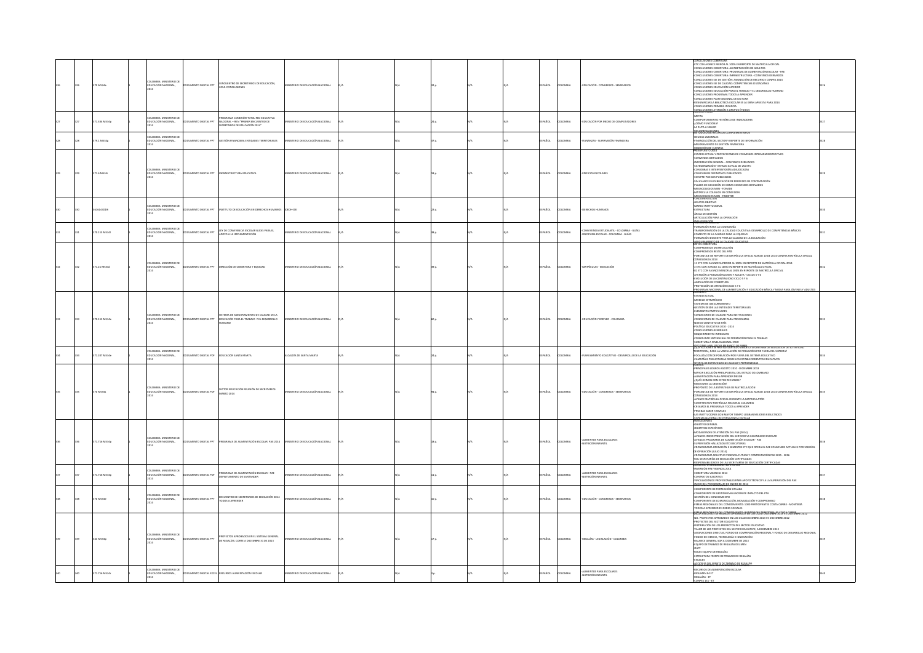|  | <b>M534e</b>       | OMRIA: MINISTERIO DI<br><b>UCACIÓN NACIONAL</b>      | MENTO DIGITAL PPT           | ENCUENTRO DE SECRETARIOS DE EDUCACIÓN<br>14. CONCLUSIONES                                                   | <b>STERIO DE EDUCACIÓN NACIONA</b>   |  |  |        |                | <b>JUCACIÓN - CONGRESOS - SEMINARIOS</b>                                         | ONCH ISONES CORFRTHRA<br>LONICLOSIONES CUBERIUMA<br>-ETC CON AVANCE MENOR AL 100% EN REPORTE DE MATRÍCULA OFICIAL<br>-CONCLUSIONES COBERTURA: ALFABETIZACIÓN DE ADULTOS<br>-CONCLUSIONES COBERTURA: PROGRAMA DE ALIMENTACIÓN ESCOLAR - PAE<br>CONCLUSIONES COBERTURA: INFRAESTRUCTURA - CONVENIOS DERIVADOS<br>CONCLUSIONES EJE DE GESTIÓN: ASIGNACIÓN DE RECURSOS CONPES 2014<br>-CONCLUSIONES EIE DE CALIDAD: COMPETENCIAS CIUDADANAS<br>-CONCLUSIONES EIE DE CALIDAD: COMPETENCIAS CIUDADANAS<br>-CONCLUSIONES EDUCACIÓN PARA EL TRABAJO Y EL DESARROLLO HUMANO<br>CONCLUSIONES PROGRAMA TODOS A APRENDER<br>CONCLUSIONES PLAN NACIONAL DE LECTURA<br>ESIGNIFICAR LA BIBLIOTECA ESCOLAR ES LA GRAN APUESTA PARA 2014<br><b>ONCLUSIONES PRIMERA INFANCIA</b><br><b>ONCLUSIONES ATEN</b> |  |
|--|--------------------|------------------------------------------------------|-----------------------------|-------------------------------------------------------------------------------------------------------------|--------------------------------------|--|--|--------|----------------|----------------------------------------------------------------------------------|-------------------------------------------------------------------------------------------------------------------------------------------------------------------------------------------------------------------------------------------------------------------------------------------------------------------------------------------------------------------------------------------------------------------------------------------------------------------------------------------------------------------------------------------------------------------------------------------------------------------------------------------------------------------------------------------------------------------------------------------------------------------------------------------|--|
|  | 71.334 MS34o       | LOMBIA: MINISTERIO DE<br>EDUCACIÓN NACIONAL          | <b>DCUMENTO DIGITAL PPT</b> | OGRAMA CONEXIÓN TOTAL RED EDUCATIVA<br>NACIONAL - REN "PRIMER ENCUENTRO DE<br>ECRETARIOS DE EDUCACIÓN 2014" | NISTERIO DE EDUCACIÓN NACIONAL       |  |  | SPAÑOL | LOMBIA         | EDUCACIÓN POR MEDIO DE COMPUTADORES                                              | METAS<br>COMPORTAMIENTO HISTÓRICO DE INDICADORES<br>CÓMO FUNCIONAZ<br>LA RUTA A SEGUIR<br>ECOMENDACIONE                                                                                                                                                                                                                                                                                                                                                                                                                                                                                                                                                                                                                                                                                   |  |
|  | 379.1 MS34g        | COLOMBIA: MINISTERIO DE<br>EDUCACIÓN NACIONAL,       | CUMENTO DIGITAL PPT         | GESTIÓN FINANCIERA ENTIDADES TERRITORIALES                                                                  | <b>ISTERIO DE EDUCACIÓN NACIONAL</b> |  |  | SPAÑOL | <b>AISMOJO</b> | ANANZAS - SUPERVISIÓN FINANCIERA                                                 | DEUDAS LABORALES<br>NANCIACIÓN DEL SECTOR Y REPORTE DE INFORMACIÓN<br>EJORAMIENTO DE GESTIÓN FINANCIERA                                                                                                                                                                                                                                                                                                                                                                                                                                                                                                                                                                                                                                                                                   |  |
|  | 371.6 MS34i        | LOMBIA: MINISTERIO DE<br>EDUCACIÓN NACIONAL,         |                             | OCUMENTO DIGITAL PPT INFRAESTRUCTURA EDUCATIVA                                                              | INSTERIO DE EDUCACIÓN NACIONAL       |  |  | SPAÑOL | LOMBIA         | <b>EDIFICIOS ESCOLARES</b>                                                       | <b>ENDICIÓN DE CUENTAS</b><br>ESTADO ACTUAL Y PROYECCIONES DE CONVENIOS INTERADMINISTRATIVOS<br>CONVENIOS DERIVADOS<br>-LUNYENIUS DERIVADUS<br>-INFORMACIÓN GENERAL - CONVENIOS DERIVADOS<br>-CATEGORIZACIÓN - ESTADO ACTUAL DE LAS ETC<br>-CON OBRAS E INTERVENTORÍAS ADIUDICADAS<br>CON PLIEGOS DEFINITIVOS PUBLICADOS<br>CON PRE-PLIEGOS PUBLICADOS<br><b>SIN AVANCE EN PUBLICACIÓN DE PROCESOS DE CONTRATACIÓN</b><br>PLAZOS DE EJECUCIÓN DE OBRAS CONV<br>MEGACOLEGIOS MEN - FONADE<br>MATRÍCULA COLEGIOS EN CONCESIÓN<br>MEGACOLEGIOS MEN - FINDETER<br>UNDAMENTACION                                                                                                                                                                                                               |  |
|  | 61614 (019)        | .<br>COLOMBIA: MINISTERIO DE<br>EDUCACIÓN NACIONAL,  | IMENTO DIGITAL PPT          | NSTITUTO DE EDUCACIÓN EN DERECHOS HUMANOS                                                                   | JEDH-OEI                             |  |  | AÑO    |                | ERECHOS HUMANOS                                                                  | CONDAMENTACION<br>-GRUPOS OBJETIVO<br>-MARCO INSTITUCIONAL<br><b>ESTRUCTURA</b><br>AREAS DE GESTIÓN<br>RTICULACIÓN PARA LA OPERACIÓN                                                                                                                                                                                                                                                                                                                                                                                                                                                                                                                                                                                                                                                      |  |
|  | 0.115 MS34         | OMBIA: MINISTERIO DE<br>CACIÓN NACIONAL,             | TO DIGITAL PPT              | LEY DE CONVIVENCIA ESCOLAR GUÍAS PARA EL<br>OYO A LA IMPLEMENTACIÓN                                         | TERIO DE EDUCACIÓN NACIONAL          |  |  | AÑOL   |                | ONVIVENCIA ESTUDIANTIL - COLOMBIA - GUÍAS<br>SCIPLINA ESCOLAR - COLOMBIA - GUÍAS | <b>CHEARER CATHLINE</b><br>FORMACIÓN PARA LA CILIDADANÍA<br>FUNNALION PARA LA CHUDADANIA<br>TRANSFORMACIÓN DE LA CALIDAD EDUCATIVA: DESARROLLO DE COMPETENCIAS BÁSICAS<br>FOMENTO DE LA CALIDAD PARA LA EQUIDAD<br>FORMACIÓN DOCENTE PARA LA CALIDAD DE LA EDUCACIÓN                                                                                                                                                                                                                                                                                                                                                                                                                                                                                                                      |  |
|  | <b>21.21 MS344</b> | OLOMBIA: MINISTERIO DE<br>EDUCACIÓN NACIONAL         | IMENTO DIGITAL PPT          | RECOÓN DE CORERTURA Y FOLUDAD                                                                               | STERIO DE EDUCACIÓN NACIONAL         |  |  | AÑO    | I OMRIA        | MATRÍCULAS - FOUCACIÓN                                                           | SEGURAMIENTO DE LA CAUDAD EDI.<br>ETAS COBERTURA<br>RETAS COBERTORA<br>COMPROMISOS MATRICULATÓN<br>COMPROMISOS RESTO DEL PAÍS<br>PORCENTAJE DE REPORTE DE MATRÍCULA OFICIAL MARZO 10 DE 2014 CONTRA MATRÍCULA OFICIAL<br>EEGS AGACILITY<br>11 ETC CON AVANCE SUPERIOR AL 100% EN REPORTE DE MATRÍCULA OFICIAL 2014<br>FTC CON AVANCE AL 100% EN REPORTE DE MATRÍCULA OFICIAL<br>Z ETC CON AVANCE AL 100% EN REPORTE DE MATRICOLA OFICIAL<br>81 ETC CON AVANCE MENOR AL 100% EN REPORTE DE MATRÍCULA OFICIAL<br>ATENCIÓN A POBLACIÓN JOVEN Y ADULTA - CICLOS 5 Y 6<br>EVOLUCIÓN DE LA CONTINUIDAD CICLO 5 Y 6<br>AMPLIACIÓN DE COBERTURA<br>A Y 2 O DD MÖDARES 30 MÖDARES                                                                                                                  |  |
|  | 370.113 MS34e      | LOMBIA: MINISTERIO DE<br>EDUCACIÓN NACIONAL          | <b>OCUMENTO DIGITAL PPT</b> | STEMA DE ASEGURAMIENTO DE CALIDAD DE LA<br>EDUCACIÓN PARA EL TRABAJO Y EL DESARROLLO<br>MANO                | ISTERIO DE EDUCACIÓN NACIONAL        |  |  | SPAÑOL | AI8MOJO        | EDUCACIÓN Y EMPLEO - COLOMBIA                                                    | PROGRAMA NACIONAL DE ALFABETIZACIÓN Y EDUCACIÓN BÁSICA Y MEDIA PARA JÓVENES Y ADULTO<br>XINTEXTO<br>ESTADO ACTUAL<br>MODELO ESTRATÉGICO<br>MUDIELU ESTIMITEUILO<br>SISTEMA DE ASEGURAMIENTO<br>GESTIÓN DESDE LAS ENTIDADES TERRITORIALES<br>ELEMENTOS PARTICULARES<br>CONDICIONES DE CALIDAD PARA INSTITUCIONES<br>CONDICIONES DE CALIDAD PARA PROGRAMAS<br>NUEVO CONTEXTO DE PAÍS<br>POLÍTICA FOLICATIVA 2010 - 2014<br>CONCLUSIONES GENERALES<br>EQUERIMIENTO INMEDIATO<br>CONSOLIDAR SISTEMA NAL DE FORMACIÓN PARA EL TRABAJO<br>CORERTURA A NIVEL NACIONAL ETDH                                                                                                                                                                                                                       |  |
|  | 71.207 MS34e       | <b>ILOMBIA: MINISTERIO DE</b><br>EDUCACIÓN NACIONAL, | UMENTO DIGITAL PDF          | EDUCACIÓN SANTA MARTA                                                                                       | CALDÍA DE SANTA MARTA                |  |  | AÑOL   | LOMBIA         | LANEAMIENTO EDUCATIVO - DESARROLLO DE LA EDUCACIÓN                               | CORCINION ANNUNDUS EN BANCO DE PARES.<br>OUA ACCIONES SE HAN ADELANTADO DESDE LA SECRETARIA DE EDUCACION DE :<br>QUA ACCIONES SE HAN ADELANTADO DESDE LA SECRETARIA DE EDUCACION L'<br>ERRITORIAL, PARA LA VINCULACIÓN DE POBLACIÓN POR FUERA DEL SISTEMA?<br>FOCALIZACIÓN DE POBLACIÓN POR FUERA DEL SISTEMA EDUCATIVO<br>CAMPAÑAS PUBLICITARIAS DESDE LOS ESTABLECIMIENTOS EDUCATIVOS                                                                                                                                                                                                                                                                                                                                                                                                   |  |
|  | 370 MS34s          | <b>NOMBIA: MINISTERIO DE</b><br>EDUCACIÓN NACIONAL,  | OCUMENTO DIGITAL PDF        | SECTOR EDUCACIÓN REUNIÓN DE SECRETARIOS<br>MARZO 2014                                                       | STERIO DE EDUCACIÓN NACIONAL         |  |  | PAÑO   |                | EDUCACIÓN - CONGRESOS - SEMINARIOS                                               | FERTA DE ESTRATEGIAS DE ACCESO Y DER<br>UENUA<br>RUNCIPALES LOGROS AGOSTO 2010 - DICIEMBRE 2013<br>MAYOR EJECUCIÓN PRESUPUESTAL DEL ESTADO COLOMBIANO<br>ALIMENTACIÓN PARA APRENDER MEJOR<br>JOUÉ HIGMOS CON ESTOS RECURSOS?<br>REDUJIMOS LA DESERCIÓNI<br>PROPÓSITO DE LA ESTRATEGIA DE MATRICULACIÓN<br>ONSOLIDADA 2013<br>COMPARATIVO MATRÍCULA NACIONAL COLOMBIA<br><b>CREAMOS EL PROGRAMA TODOS A APRENDER</b><br>REAMOS EL PROGRAMA TODOS A APRENDER<br>RUEBAS SABER 5 NIVELES<br>AS INSTITUCIONES CON MAYOR TIEMPO LOGRAN MEJORES RESULTADOS<br>SISTEMA NACIONAL DE CONVIVENCIA ESCOLAR                                                                                                                                                                                            |  |
|  | 371.716 MS34p      | COLOMBIA: MINISTERIO DE<br>EDUCACIÓN NACIONAL        | MENTO DIGITAL PPT           | GRAMA DE ALIMENTACIÓN ESCOLAR PAE 2014                                                                      | NISTERIO DE EDUCACIÓN NACIONAL       |  |  | AÑOL   |                | <b>UMENTOS PARA ESCOLARES</b><br><b>ULTRICIÓN INFANTIL</b>                       | INTECEDENTES<br>OBJETIVO GENERAL<br>OBJETIVOS ESPECÍFICOS<br>-MODALIDADES DE ATENCIÓN DEL PAE (2014)<br>AVANCES INICIO PRESTACIÓN DEL SERVICIO VS CALENDARIO ESCOLAR<br>AVANCES PROGRAMA DE ALIMENTACIÓN ESCOLAR - PAE<br><b>SUPERVISIÓN HALLAZGOS ETC EIECUTORAS</b><br>SOPENVISION MALLAGUOS ETC LIECUTORAS<br>CRONOGRAMA OPERACIÓN II SEMESTRE ETC QUE OPERA EL PAE CONVENIOS ACTUALES POR 108 DÍAS<br>CE OPERACIÓN (JULIO 2014)<br>CRONOGRAMA SOLICITUD VIGENCIA FUTURA Y CONTRATACIÓN PAE 2015 - 2016<br>ROL SECRETARÍAS DE EDUCACIÓN CERTIFICADAS<br>.<br>RESPONSABILIDADES DE LAS SECRETARÍAS DE EDUCACIÓN CERTIFICADA                                                                                                                                                             |  |
|  | 371.716 MS34o      | LOMBIA: MINISTERIO DE<br>EDUCACIÓN NACIONAL          | <b>OCUMENTO DIGITAL PDF</b> | OGRAMA DE ALIMENTACIÓN ESCOLAR - PAE<br>EPARTAMENTO DE SANTANDER                                            | INSTERIO DE EDUCACIÓN NACIONAL       |  |  | SPAÑOL | LOMBIA         | <b>LIMENTOS PARA ESCOLARES</b><br><b>NUTRICIÓN INFANTIL</b>                      | INVERSIÓN PAE VIGENCIA 2014<br>COBERTURA VIGENCIA 2014<br>CONTRATOS SUSCRITOS<br>NCULACIÓN DE PROFESIONALES PARA APOYO TÉCNICO Y A LA SUPERVISIÓN DEL PAE                                                                                                                                                                                                                                                                                                                                                                                                                                                                                                                                                                                                                                 |  |
|  | 70 MS34e           | OMBIA: MINISTERIO DE<br>EDUCACIÓN NACIONAL,          | CUMENTO DIGITAL PPT         | ENCUENTRO DE SECRETARIOS DE EDUCACIÓN 2014<br><b>DOS A APRENDER</b>                                         | NISTERIO DE EDUCACIÓN NACIONAL       |  |  | SPAÑOL | LOMBIA         | EDUCACIÓN - CONGRESOS - SEMINARIOS                                               | GIORELPEOGRAMAZIONE ENFRO DE 2<br>UMPUNENTE PEDAGOGICU<br>COMPONENTE DE FORMACIÓN SITUADA<br>COMPONENTE DE GESTIÓN EVALUACIÓN DE IMPACTO DEL PTA<br>SESTIÓN DEL CONOCIMIENTO<br>OMPONENTE DE COMUNICACIÓN, MOVILIZACIÓN Y COMPROMISO<br>ERIAS REGIONALES DEL CONOCIMIENTO: 1000 PARTICIPANTES COSTA CARIBE - MONTERÍA<br><b>DOS A APRENDER EN REDES SOCIALES</b><br>.<br>1988 - BEGYNNI ES DEL CONOCH HENTO, A ENTIDADES TERRITORIALES COSTA CARIBE.<br>20 DE RECURSOS DE REGALIAS ARROBADOS EN LOS OCAD DICIEMBRE 2013 VS DIOEMBRE 201                                                                                                                                                                                                                                                   |  |
|  | 44 M534p           | OMBIA: MINISTERIO DI<br>EDUCACIÓN NACIONAL           | CUMENTO DIGITAL PPT         | PROYECTOS APROBADOS EN EL SISTEMA GENERAL<br>DE REGALÍAS. CORTE A DICIEMBRE 31 DE 2013                      | TERIO DE EDUCACIÓN NACIONAL          |  |  | AÑOI   | LOMBIA         | EGALÍAS - LEGISLACIÓN - COLOMBIA                                                 | NO. PROYECTOS APROBADOS EN LOS OCAD DICEMBRE 2013 VS DICIEMBRE 2012<br>ROYECTOS DEL SECTOR EDUCATIVO<br>DISTRIBUCIÓN DE LOS PROYECTOS DEL SECTOR EDUCATIVO<br>AUSTRIBULION DE LOS PROFIECIOS DEL SECTOR EDUCATIVO<br>ASIGNACIONES DIRECTAS, FONDO DE COMPENSADON REGIONAL Y FONDO DE DESARROLLO REGIONA<br>ASIGNACIONES DIRECTAS, FONDO DE COMPENSADON REGIONAL Y FONDO DE DESARROLLO REGIONA<br>EPON<br>EQUIPO DE TRABAJO DE REGALÍAS DEL MEN<br>80LES FOLURO DE BEGALÍAS<br>TRUCTURA FRENTE DE TRABAJO DE REGALÍAS<br>NLACES<br>CONES DEL FRENTE DE TRABAJO DE REGAL<br>ICINA ASESORA DE PLANEACIÓN Y FINANZA                                                                                                                                                                           |  |
|  | 371.716 MS34r      | COLOMBIA: MINISTERIO DE<br>CACIÓN NACIONAL,          |                             | UMENTO DIGITAL EXCEL RECURSOS ALIMENTACIÓN ESCOLAR                                                          | NISTERIO DE EDUCACIÓN NACIONAL       |  |  | SPAÑOL | OMBIA          | <b>UMENTOS PARA ESCOLARES</b><br>UTRICIÓN INFANTI                                | RECURSOS DE ALIMENTACIÓN ESCOLAR<br>RESUMEN 94 ET<br>REGALÍAS - ET<br><b>IPFS 15</b>                                                                                                                                                                                                                                                                                                                                                                                                                                                                                                                                                                                                                                                                                                      |  |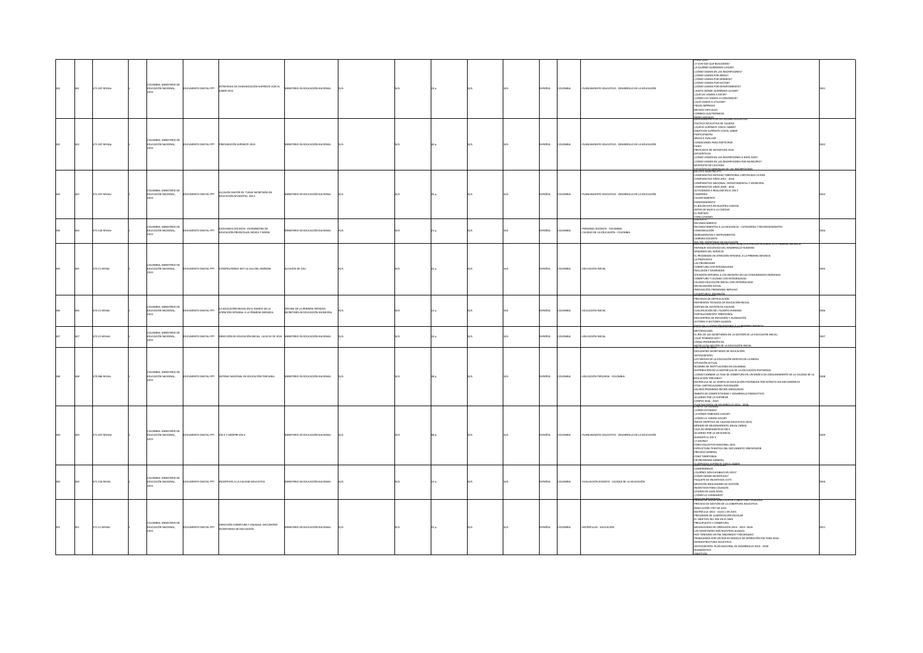|  | 171.207 MS346 | .<br>COLOMBIA: MINISTERIO DE<br>EDUCACIÓN NACIONAL,  | CUMENTO DIGITAL PPT         | ESTRATEGIA DE COMUNICACIÓN SUPÉRATE CON EL<br><b>ABER 2014</b>                  | NISTERIO DE EDUCACIÓN NACIONAL                                      |  |  | SPAÑOL | <b>OLOMBIA</b> | INTO EDUCATIVO - DESARROLLO DE LA EDUCACIÓN                           | -2Y CON ESO QUE BUSCAMOS?<br>-/A QUIÉNES QUEREMOS LLEGAR?<br>-EX QUEENLY QUERERINGS LECONY<br>-{CÓMO VAMOS EN LAS INSCRIPCIONES?<br>-{CÓMO VAMOS POR ÁREAS?<br>-/CÓMO VAMOS POR GÉNEROS?<br>-COMO VAMOS POR SECTOR?<br>-COMO VAMOS POR SECTOR?<br>-COMO VAMOS POR DEPARTAMENTO?<br>-¿HASTA DÓNDE QUEREMOS LLEGAR?<br>-/QUÉ LES VAMOS A DECIR?<br>-<br>COMO LOS VAMOS A CONVENCER?<br>- COUÉ VAMOS A UTILIZAR?<br>PIEZAS IMPRESAS<br>-<br>MEDIOS VIRTUALES<br>-CORREOS ELECTRÓNICOS                                                                                                                                                                                                 |  |
|--|---------------|------------------------------------------------------|-----------------------------|---------------------------------------------------------------------------------|---------------------------------------------------------------------|--|--|--------|----------------|-----------------------------------------------------------------------|------------------------------------------------------------------------------------------------------------------------------------------------------------------------------------------------------------------------------------------------------------------------------------------------------------------------------------------------------------------------------------------------------------------------------------------------------------------------------------------------------------------------------------------------------------------------------------------------------------------------------------------------------------------------------------|--|
|  | 71.207 MS34o  | OLOMBIA: MINISTERIO DE<br>EDUCACIÓN NACIONAL         | CUMENTO DIGITAL PPT         | <b>PREPARACIÓN SUPERATE 2014</b>                                                | NISTERIO DE EDUCACIÓN NACIONAL                                      |  |  | SPAÑOL | <b>OLOMBIA</b> | LANEAMIENTO EDUCATIVO - DESARROLLO DE LA EDUCACIÓN                    | <u>REDES SOCIALES</u><br>SEGURAMIENTO DE LA CALIDAD EDI<br>POLÍTICA EDUCATIVA DE CALIDAD<br>-¿QUÉ ES SUPÉRATE CON EL SABER?<br>-OBJETIVOS SUPÉRATE CON EL SABER<br>PARTICIPANTES<br>ÁREAS A EVALUAR<br>-CONDICIONES PARA PARTICIPAR<br><b>FACES</b><br>-<br>PROPUESTA DE INCENTIVOS 2014<br>-ESTADÍSTICAS<br>- CÓMO VAMOS EN LAS INSCRIPCIONES A NIVEL PAÍS?<br>¿CÓMO VAMOS EN LAS INSCRIPCIONES POR MUNICIPIO?<br>MUNICIPIO DE CAUCASIA<br><b>ESTADÍSTICAS GENERALES DE LAS</b>                                                                                                                                                                                                   |  |
|  | 171.207 MS34a | <b>OLOMBIA: MINISTERIO DE</b><br>EDUCACIÓN NACIONAL, |                             | DOCUMENTO DIGITAL PPT ALCALDÍA MAYOR DE TUNIA SECRETARÍA DE                     | NISTERIO DE EDUCACIÓN NACIONAL                                      |  |  | SPAÑOL | <b>AISMOJO</b> | LANEAMIENTO EDUCATIVO - DESARROLLO DE LA EDUCACIÓN                    | -COMPARATIVO ENTIDAD TERRITORIAL CERTIFICADA VS PAÍS<br>COMPARATIVO AÑOS 2012 - 2014<br>-COMPARATIVO ANOS 2012 - 2014<br>- COMPARATIVO NACIONAL, DEPARTAMENTAL Y MUNICIPAL<br>- COMPARATIVO AÑOS 2009 - 2014<br>- ACTIVIDADES A REALIZAR EN EL DÍA E<br>-<br>CAMERINO<br>-CALENTAMIENTO<br>-ENTRENAMIENTO<br>-EL BALÓN ESTÁ EN NUESTRA CANCHA<br>-EL BALON ESTA EN NUESTRA L<br>-ANTES DE SALIR A LA CANCHA<br>-EL PARTIDO<br>CONCLUSIONES                                                                                                                                                                                                                                         |  |
|  | 1.144 MS34e   | LOMBIA: MINISTERIO DE<br>EDUCACIÓN NACIONAL          | CUMENTO DIGITAL PPT         | EXCELENCIA DOCENTE, VICEMINISTRO DE<br>DUCACIÓN PREESCOLAR, BÁSICA Y MEDIA      | NISTERIO DE EDUCACIÓN NACIONAL                                      |  |  | AÑOL   | OLOMBIA        | ERSONAL DOCENTE - COLOMBIA<br>-<br>CALIDAD DE LA EDUCACIÓN - COLOMBIA | -RECONOCIMIENTO<br>-RECONOCIMIENTOS A LA EXCELENCIA - CATEGORÍAS Y RECONOCIMIENTOS<br>COMUNICACIÓN<br>-CONNONCACION<br>-HERRAMIENTAS E INSTRUMENTOS<br>-CARRERA DOCENTE                                                                                                                                                                                                                                                                                                                                                                                                                                                                                                            |  |
|  | 72.21 M534c   | COLOMBIA: MINISTERIO DE<br>EDUCACIÓN NACIONAL        | TRA JATIZIO DIGITAL PRT     | CONSTRUYENDO HOY LA CALI DEL MAÑANA                                             | LCALDÍA DE CALI                                                     |  |  | SPAÑOL | AI8MOJO        | EDUCACIÓN INICIAL                                                     | AOL DEL SECRETARIO DE EDUCACIÓN.<br>PREFORO EDUCACIÓN INICIAL EN EL MARCO ATENCIÓN INTEGRAL A LA PRIMERA INFANCI<br>-<br>ENFOQUE ECOLÓGICO DEL DESARROLLO HUMANO<br>-EL PROGRAMA DE ATENCIÓN INTEGRAL A LA PRIMERA INFANCIA<br>-LA PROPUESTA<br>-LA PROPUESTA<br>-LAS PRIORIDADES<br>-COBERTURA CON INTEGRALIDAD<br>INCLUSIÓN Y DIVERSIDAD<br>-INCLUSION T DIVERSIDAD<br>-ATENCIÓN INTEGRAL A LOS INFANTES EN LAS COMUNIDADES INDÍGENAS<br>-COBERTURA Y CALIDAD CON INTEGRALIDAD<br>-CALIDAD EDUCACIÓN INICIAL CON INTEGRALIDAD<br>-MENING EDUCACIÓN MICHEL CON IN<br>- MOVILIZACIÓN SOCIAL<br>- INNOVACIÓN: PROGRAMA IMPULSO<br>LOVERTURA E INVERSIÓN                             |  |
|  | 22.21 M534e   | OMBIA: MINISTERIO DE<br>EDUCACIÓN NACIONAL,          | CUMENTO DIGITAL PPT         | A EDUCACIÓN INICIAL EN EL MARCO DE LA<br>TENCIÓN INTEGRAL A LA PRIMERA INFANCIA | DFICINA DE LA PRIMERA INFANCIA<br>SECRETARÍA DE EDUCACIÓN MUNICIPAL |  |  | AÑO    | OLOMBIA        | DUCACIÓN INICIAL                                                      | -PROCESOS DE ARTICULACIÓN<br>-<br>-REFERENTES TÉCNICOS DE EDUCACIÓN INICIAL<br>-SISTEMA DE GESTIÓN DE CALIDAD<br>CUALIFICACIÓN DEL TALENTO HUMANO<br>-FORTALECIMIENTO TERRITORIAL<br>ENCUENTROS DE REFLEXIÓN Y PLANEACIÓN<br>-ACTORES O SECTORES ALIADOS                                                                                                                                                                                                                                                                                                                                                                                                                           |  |
|  | 2.21 M534d    | OLOMRIA: MINISTERIO DE<br>UCACIÓN NACIONAL,          | MENTO DIGITAL PPT           | RECCIÓN DE EDUCACIÓN INICIAL JULIO 02 DE 2015                                   | NISTERIO DE EDUCACIÓN NACIONAL                                      |  |  | PAÑOL  |                | DUCACIÓN INICIAL                                                      | <b>FARA QUE ESTE ESPACIO DE DISE</b><br>METODOLOGÍA<br>-<br>-EL ROL DE LAS SECRETARÍAS EN LA GESTIÓN DE LA EDUCACIÓN INICIAL<br>-¿QUÉ TENEMOS HOY?<br>-LÍNEAS PROGRAMÁTICAS                                                                                                                                                                                                                                                                                                                                                                                                                                                                                                        |  |
|  | 70.986 MS34s  | <b>QLOMBIA: MINISTERIO DE</b><br>EDUCACIÓN NACIONAL, | UMENTO DIGITAL PPT          | SISTEMA NACIONAL DE EDUCACIÓN TERCIARIA                                         | ISTERIO DE EDUCACIÓN NACIONAL                                       |  |  | AÑOL   |                | DUCACIÓN TERCIARIA - COLOMBIA                                         | MODELO DE SESTIÓN DE L<br>-ENCUENTRO SECRETARIOS DE EDUCACIÓN<br>-ANTECEDENTES<br>-LOS NIVELES DE LA EDUCACIÓN DESPUES DE LA MEDIA<br>-LUS NIVELES DE LA EDUCACIÓN DESPUES DE<br>-SITUACIÓN ACTUAL<br>-NÚMERO DE INSTITUCIONES EN COLOMBIA<br>DISTRIBUCIÓN DE LA MATRÍCULA DE LA EDUCACIÓN POSTMEDIA<br>-COMO CAMBIAR LA TASA DE COBERTURA EN UN MARCO DE ASEGURAMIENTO DE LA CALIDAD DE LA<br>ÉDUCACIÓN TERCURIA?<br>- MATRÍCULA DE LA OFERTA DE EDUCACIÓN POSTMEDIA POR ESTRATO SOCIOECONÓMICO<br>-ETDH: CERTIFICACIONES POR REGIÓN<br>-SALARIO PROMEDIO RECIEN GRADUADOS<br>-ÁMBITO DE COMPETITIVIDAD Y DESARROLLO PRODUCTIVO<br>-ACUERDO POR LO SUPERIOR<br>CONPES 3634 - 2010 |  |
|  | 71.207 MS34d  | LOMBIA: MINISTERIO DI<br>EDUCACIÓN NACIONAL,         | <b>DCUMENTO DIGITAL PPT</b> | DÍA E Y SIEMPRE DÍA E                                                           | NISTERIO DE EDUCACIÓN NACIONAL                                      |  |  | SPAÑOL | <b>AISMOJO</b> | LANEAMIENTO EDUCATIVO - DESARROLLO DE LA EDUCACIÓN                    | e an nacional de c<br>-¿CÓMO ESTAMOS?<br>-/A DÓNDE DEBEMOS LLEGAR?<br>-CA DONDE DEBENNOS LLEGARI?<br>-{CÓMO LO VAMOS HACER?<br>-ÍNDICE SINTÉTICO DE CALIDAD EDUCATIVA (ISCE)<br>MÍNIMO DE MEJORAMIENTO ANUAL (MM4)<br>-MINIMO DE MEJORAMIENTO A<br>-CAJA DE HERRAMIENTAS DIE E<br>-ACUERDO POR LA EXCELENCIA<br>DURANTE EL DÍA E<br>-<br>-{Y AHORA?<br>-FORO EDUCATIVO NACIONAL 2015<br>-ESTRUCTURA TEMÁTICA DEL DOCUMENTO ORIENTADOR<br><b>MOCFSO GENERAL</b><br>-PROCESO GENERAL<br>-FORO TERRITORIAL<br>-CRONOGRAMA GENERAL<br>OUMPIADAS SUPÉRATE O                                                                                                                             |  |
|  | 1.144 MS34    | OLOMBIA: MINISTERIO DE<br>EDUCACIÓN NACIONAL         |                             | OCUMENTO DIGITAL PPT INCENTIVOS A LA CAUDAD EDUCATIVA                           | NISTERIO DE EDUCACIÓN NACIONAL                                      |  |  | SPAÑOL | AI8MOJO        | VALUACIÓN DOCENTE - CAUDAD DE LA EDUCACIÓN                            | -COMPROMISOS<br>-<br>¿QUIÉNES SON ELEGIBLES EN 2015?<br>¿CÓMO GANAR INCENTIVOS?<br>- PAQUETE DE INCENTIVOS A ETC<br>-MEDICIÓN INDICADORES DE GESTIÓN<br>-INCENTIVOS PARA COLEGIOS<br>-INCENTIVOS PARA COLEGIOS<br>-LOGROS EN CADA NIVEL<br>ECÓMO LO LOGRAMOS?<br>MERA DE VALUR DIRECCION DE COB                                                                                                                                                                                                                                                                                                                                                                                    |  |
|  | 71.21 M534d   | OLOMBIA: MINISTERIO DE<br>EDUCACIÓN NACIONAL,        | DOCUMENTO DIGITAL PPT       | DIRECCIÓN COBERTURA Y EQUIDAD. ENCUENTRO<br>SECRETARIOS DE EDUCACIÓN            | INSTERIO DE EDUCACIÓN NACIONAL                                      |  |  | SPAÑOL | <b>AISMOJO</b> | MATRÍCULAS - EDUCACIÓN                                                | -PROCESO DE GESTIÓN DE LA COBERTURA EDUCATIVA<br>-RESOLUCIÓN 7797 DE 2015<br>-RESOLUCIÓN 7797 DE 2015<br>-MATRÍCULA 2014 - JULIO 1 DE 2015<br>-PROGRAMA DE ALIMENTACIÓN ESCOLAR<br>"FROGUERINO DE PAE EN EL MEN<br>- EL OBJETIVO DEL PAE EN EL MEN<br>- PRESUPUESTO Y COBERTURA<br>- MODALIDADES DE OPERACIÓN 2014 - 2015 -2016<br>-LAS SECRETARÍAS SON NUESTRAS ALIADAS<br>-MO SECRETARIAS SON NOESTAND AGRICULT.<br>-HOY TENEMOS UN PAE MEIORADO Y RECARGADO<br>-TRABAJAMOS POR UN NUEVO MODELO DE OPERACIÓN PAE PARA 2016<br>INFRAESTRUCTURA EDUCATIVA<br>ANTECEDENTES: PLAN NACIONAL DE DESARROLLO 2014 - 2018<br>DIAGNÓSTICO                                                  |  |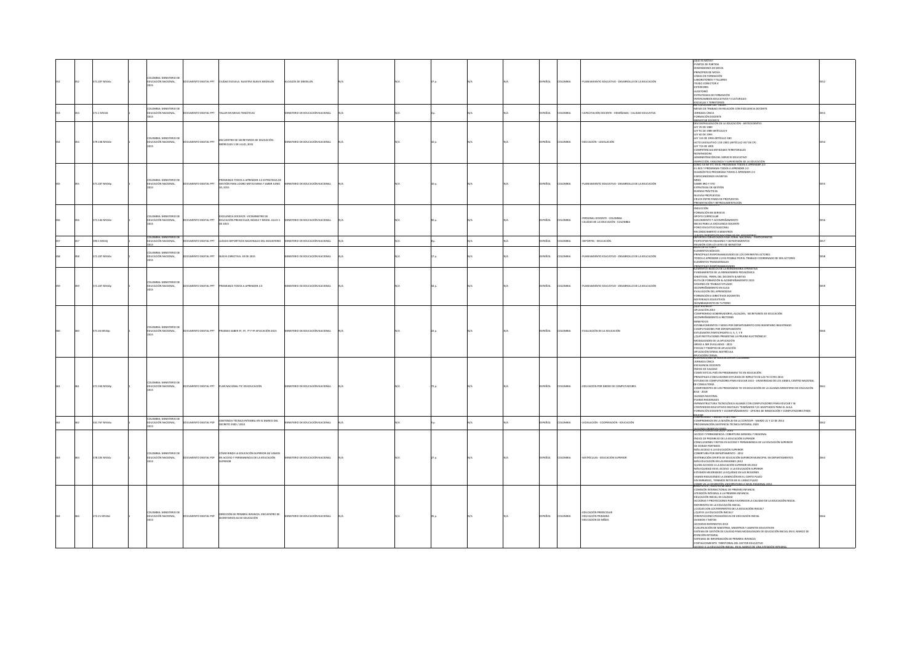|  | 371.207 MS34c | N OMRIA: MINISTERIO DE<br>EDUCACIÓN NACIONAL,        | <b>DCUMENTO DIGITAL PPT</b> | CIUDAD ESCUELA. NUESTRA NUEVA MEDELLÍN                                                             | LCALDÍA DE MEDELLÍN                  |  |  | PAÑOL       | LOMBIA         | LANEAMIENTO EDUCATIVO - DESARROLLO DE LA EDUCACIÓN                     | <b>UE ES MOW</b><br><b>PUNTOS DE PARTIDA</b><br>-PONTOS DE PARTIDA<br>-DIMENSIONES DE MOVA<br>-PRINCIPIOS DE MOVA<br>LINEAS DE FORMACIÓN<br>-LINEAS DE FORMALION<br>-LABORATORIOS Y TALLERES<br>-TEJIDO CONECTOR X<br><b>EXTERIORES</b><br>NJDITORIO<br>ESTRATEGIAS DE FORMACIÓN                                                                                                                                                                                                                                                                                                                                                                                                                                                                                                     |  |
|--|---------------|------------------------------------------------------|-----------------------------|----------------------------------------------------------------------------------------------------|--------------------------------------|--|--|-------------|----------------|------------------------------------------------------------------------|--------------------------------------------------------------------------------------------------------------------------------------------------------------------------------------------------------------------------------------------------------------------------------------------------------------------------------------------------------------------------------------------------------------------------------------------------------------------------------------------------------------------------------------------------------------------------------------------------------------------------------------------------------------------------------------------------------------------------------------------------------------------------------------|--|
|  | 1.1 MS34t     | OLOMBIA: MINISTERIO DE<br><b>CACIÓN NACIONAL</b>     | MENTO DIGITAL PPT           | <b>ALLER EN MESAS TEMÁTICAS</b>                                                                    | ASTERIO DE EDUCACIÓN NACIONAL        |  |  | AÑOL        |                | <b>APACITACIÓN DOCENTE - ENSEÑANZA - CALIDAD EDUCATIVA</b>             | INTERCAMBIOS EDUCATIVOS Y CULTURALES<br><b>ESCUELAS Y TERRITORIOS</b><br>METODOLOGIA DEL TALLER<br>MESAS DE TRARAJO EN RELACIÓN CON EXCELENCIA DOCENTE<br>ORNADA ÚNICA<br>FORMACIÓN DOCENTE                                                                                                                                                                                                                                                                                                                                                                                                                                                                                                                                                                                          |  |
|  | 79.158 M534e  | COLOMBIA: MINISTERIO DE<br>EDUCACIÓN NACIONAL,       | UMENTO DIGITAL PPT          | ENCUENTRO DE SECRETARIOS DE EDUCACIÓN.<br>MIÉRCOLES 1 DE JULIO, 2015                               | TERIO DE EDUCACIÓN NACIONAL          |  |  | <b>Viol</b> |                | DUCACIÓN - LEGISLACIÓN                                                 | RIEMESTAR DOCENTE<br>DESCENTRALIZACIÓN DE LA EDUCACIÓN - ANTECEDENTES<br>PRP 199 PC V3L<br>EY 91 DE 1989 ARTÍCULO 9<br>-LEY 60 DE 1993<br>-LEY 115 DE 1994 ARTÍCULO 180<br>ACTO LEGISLATIVO 1 DE 2001 (ARTÍCULO 357 DE CP)<br>-LEY 715 DE 2001<br>COMPETENCIAS ENTIDADES TERRITORIALES<br>VOMINADORA<br>ADMINISTRACIÓN DEL SERVICIO EDUCATIVO                                                                                                                                                                                                                                                                                                                                                                                                                                        |  |
|  | 371.207 MS34p | OMBIA: MINISTERIO DE<br>EDUCACIÓN NACIONAL,          | <b>DCUMENTO DIGITAL PPT</b> | OGRAMA TODOS A APRENDER 2.0 ESTRATEGIA DE<br>GESTIÓN PARA LOGRO METAS MMA Y SABER JUNIO<br>30.2015 | INSTERIO DE EDUCACIÓN NACIONAL       |  |  | SPAÑOL      | <b>AISMOJO</b> | LANEAMIENTO EDUCATIVO - DESARROLLO DE LA EDUCACIÓN                     | INSPECCIÓN, VIGILANCIA Y SUPERVISIÓN DE LA EDUCACIÓN<br>IOMO VA MI ETC EN EL PROGRAMA TODOS A APRENDER 2.0<br>EL ISCE Y PROGRAMA TODOS A APRENDER 2.0<br>DIAGNÓSTICO PROGRAMA TODOS A APRENDER 2.0<br><b>ENFOCANDONOS EN METAS</b><br>SABER 3ROY STO<br>-ESTRATEGIA DE GESTIÓN<br>BUENAS PRÁCTICAS<br>NUEVAS PROPUESTAS<br>CRUCE ENTRE PARES DE PROPUESTAS<br>RESENTACIÓN Y RETROALIMENTAC                                                                                                                                                                                                                                                                                                                                                                                           |  |
|  | 371.144 MS34e | COLOMBIA: MINISTERIO DE<br>EDUCACIÓN NACIONAL        | CUMENTO DIGITAL PPT         | EXCELENCIA DOCENTE. VICEMINISTRO DE<br>EDUCACIÓN PREESCOLAR, BÁSICA Y MEDIA, JULIO 1<br>E 2015     | <b>ISTERIO DE EDUCACIÓN NACIONAL</b> |  |  | SPAÑOL      | AI8MOJ0        | FRSONAL DOCENTE - COLOMBIA<br>CALIDAD DE LA FOLICACIÓN - COLOMBIA      | INDUCCIÓN<br>HEADCEADH<br>FORMACIÓN EN SERVICIO<br>APOYO CURRICULAR<br>SEGUIMIENTO Y ACOMPAÑAMIENTO<br>-BECAS PARA LA EXCELENCIA DOCENTE<br>RECONOCIMIENTO A MAESTROS                                                                                                                                                                                                                                                                                                                                                                                                                                                                                                                                                                                                                |  |
|  | 395.5 MS34j   | OMRIA: MINISTERI<br>EDUCACIÓN NACIONAL,              | CUMENTO DIGITAL PPT         | JUEGOS DEPORTIVOS NACIONALES DEL MAGISTERIO                                                        | MINISTERIO DE EDUCACIÓN NACIONAL     |  |  | SPAÑOL      | AISMOJO        | DEPORTES - EDUCACIÓN                                                   | <b>IFOOE DEBORTINGE NACIONALES DEL ARAGISTERIO.</b><br>PORTES CONVOCADOS FASE ZONAL NACIONAL - PAI<br>MARTICIPANTES REGIONES Y DEPARTAMENTOS                                                                                                                                                                                                                                                                                                                                                                                                                                                                                                                                                                                                                                         |  |
|  | 371.207 MS34n | <b>DLOMBIA: MINISTERIO DE</b><br>EDUCACIÓN NACIONAL, | CUMENTO DIGITAL PPT         | NUEVA DIRECTIVA, 30 DE 2015                                                                        | NISTERIO DE EDUCACIÓN NACIONAL       |  |  | PAÑOL       | AMMO II        | LANEAMIENTO EDUCATIVO - DESARROLLO DE LA EDUCACIÓN                     | <b>REUNIÓN CON LOS JEFES DE BIENESTAR</b><br>ELEMENTOS BÁSICOS<br>PRINCIPALES RESPONSABILIDADES DE LOS DIFERENTES ACTORES<br>THINGH PHEAD DER 2.0 ES POSIBLE POR EL TRABAJO COORDINADO DE SEIS ACTORES<br>-TODOS A APRENDER 2.0 ES POSIBLE POR EL TRABAJO COORDINADO DE SEIS ACTORES                                                                                                                                                                                                                                                                                                                                                                                                                                                                                                 |  |
|  | 371.207 MS34p | COLOMBIA: MINISTERIO DE<br>EDUCACIÓN NACIONAL        | TPP JATION OTHER            | PROGRAMA TODOS A APRENDER 2.0                                                                      | <b>ISTERIO DE EDUCACIÓN NACIONAL</b> |  |  | PAÑOL       | I OMRIA        | ANEAMIENTO EDUCATIVO - DESARROLLO DE LA EDUCACIÓN                      | .<br>REMENTOS BÁSICOS DE LA REINGENIERÍA OPERATIVA<br>ELEMENTOS BÁSICOS DE LA REINGENIERÍA OPERATIVA<br>FUNDAMENTOS DE LA REINGENIERÍA PEDAGÓGICA<br>DEJETIVOS, PERFIL DEL DOCENTE & METAS<br>RUTA DE FORMACIÓN & ACOMPAÑAMIENTO 2015<br>SESIONES DE TRABAJO SITUADO<br><b>ACOMPAÑAMENTO EN AULA</b><br><b>EVALUACIÓN DEL APRENDIZAJE</b><br>FORMACIÓN A DIRECTIVOS DOCENTES<br>MATERIALES EDUCATIVOS<br>NOMBRAMIENTO DE TUTORES                                                                                                                                                                                                                                                                                                                                                     |  |
|  | 371.26 M534p  | LOMBIA: MINISTERIO DE<br>EDUCACIÓN NACIONAL,         | OCUMENTO DIGITAL PPT        | PRUEBAS SABER 3º, 5º, 7º Y 9º APLICACIÓN 2015                                                      | ISTERIO DE EDUCACIÓN NACIONAL        |  |  | PAÑO        |                | VALUACIÓN DE LA EDUCACIÓN                                              | APLICACIÓN 2015<br>COMPROMISO GOBERNADORES, ALCALDES, SECRETARIOS DE EDUCACIÓN<br><b>COMPAÑAMIENTO A RECTORES</b><br><b>BENEFICIOS</b><br>ESTABLECIMIENTOS Y SEDES POR DEPARTAMENTO CON INVENTARIO REGISTRADO<br>COMPUTADORES POR DEPARTAMENTO<br>ESTUDIANTES PARTICIPANTES 3, 5, 7, Y 9<br>JOUÉ INSTITUCIONES PRESENTAN LA PRUEBA ELECTRÓNICA?<br>DALIDADES DE LA APLICACIÓN<br>ÁREAS A SER EVALUADAS - 2015<br>FECHAS Y TIEMPOS DE APLICACIÓN<br>APLICACIÓN CENSAL MATRÍCULA                                                                                                                                                                                                                                                                                                       |  |
|  | 371.334 MS34p | OLOMBIA: MINISTERIO DE<br>EDUCACIÓN NACIONAL,        |                             | OCUMENTO DIGITAL PPT PLAN NACIONAL TIC EN EDUCACIÓN                                                | NISTERIO DE EDUCACIÓN NACIONAL       |  |  | PAÑO        | LOMBIA         | EDUCACIÓN POR MEDIO DE COMPUTADORES                                    | <b>CARACIONAL DE 1</b><br>JORNADA ÚNICA<br>EXCELENCIA DOCENTE<br>-ÍNDICE DE CALIDAD<br>-<br>COMO ESTÁ EL PAÍS EN PROGRAMAS TIC EN EDUCACIÓN<br>-PRINCIPALES CONCLUSIONES ESTUDIOS DE IMPACTO DE LAS TIC ICFES 2014<br>ESTUDIO DE COMPUTADORES PARA EDUCAR 2014 - UNIVERSIDAD DE LOS ANDES, CENTRO NACIONAL<br>DE CONSULTORÍA<br>2014 - 2018<br>ALIANZA NACIONAL<br>PLANES REGIONALES<br>INFRAESTRUCTURA TECNOLÓGICA ALIANZA CON COMPUTADORES PARA EDUCAR Y SE<br>-CONTENIDOS EDUCATIVOS DIGITALES "DISEÑADOS Y/O ADAPTADOS PARA EL AULA<br>FORMACIÓN DOCENTE Y ACOMPAÑAMIENTO - OFICINA DE INNOVACIÓN Y COMPUTADORES PARA<br>NICAR<br>OMPROMISO 7 ANEXO IV DEL PND                                                                                                                   |  |
|  | 341.767 MS34a | OLOMBIA: MINISTERIO DE<br>EDUCACIÓN NACIONAL,        | UMENTO DIGITAL PDF          | ASISTENCIA TÉCNICA INTEGRAL EN EL MARCO DEL<br>ECRETO 2500 / 2010                                  | STERIO DE EDUCACIÓN NACIONAL         |  |  | SPAÑOL      | LOMBIA         | LEGISLACIÓN - COOPERACIÓN - EDUCACIÓN                                  | LUMPROMISO 7 ANIEAU IV DEL PNU<br>-COMPROMISOS EN LA SESIÓN 20 DE LA CONTCEPI - MARZO 21 Y 22 DE 2013<br>-PROGRAMACIÓN ASISTENCIA TÉCNICA INTEGRAL 2500                                                                                                                                                                                                                                                                                                                                                                                                                                                                                                                                                                                                                              |  |
|  | 378.105 MS34c | COLOMBIA: MINISTERIO DE<br>EDUCACIÓN NACIONAL,       | OCUMENTO DIGITAL PDF        | CÓMO RINDE LA FOLICACIÓN SUPERIOR ASÍ VAMOS<br>EN ACCESO Y PERMANENCIA DE LA EDUCACIÓN<br>UPERIOR  | <b>ASTERIO DE EDUCACIÓN NACIONAL</b> |  |  | AÑOI        | <b>LOMBIA</b>  | MATRÍCULAS - EDUCACIÓN SUPERIOR                                        | INDICE DE PROGRESO DE LA EDUCACIÓN SUPERIOR<br>CONCLUSIONES Y RETOS EN ACCESO Y PERMANENCIA DE LA EDUCACIÓN SUPERIOR<br>DE DONDE PARTIMOS<br>MÁS ACCESO A LA EDUCACIÓN SUPERIOR<br>HIHA HOLDAN POR DEPARTAMENTO - 2012<br>-COBERTURA POR DEPARTAMENTO - 2012<br>-DISTRIBUCIÓN OFERTA DE EDUCACIÓN SUPERIOR MUNICIPAL EN DEPARTAMENTOS<br>MÁS EDUCACIÓN EN LAS REGIONES 2012<br>-<br>QUIEN ACCEDIO A LA EDUCACIÓN SUPERIOR EN 2012<br>- MÁS EQUIDAD EN EL ACCESO - A LA EDUCACIÓN SUPERIOR<br>ESTAMOS MEJORANDO LA EQUIDAD EN LAS REGIONES<br>STANDS INDUIDING DE LEGIONS DE DO NOBINES<br>AMOS REDUCIENDO LA DESERCIÓN EN EL CORTO PLAZO<br>EN EMBARGO, TENEMOS RETOS EN EL LARGO PLAZO                                                                                              |  |
|  | 72.21 M534d   | LOMBIA: MINISTERIO DE<br>EDUCACIÓN NACIONAL,         | OCUMENTO DIGITAL PDF        | RECCIÓN DE PRIMERA INFANCIA. ENCUENTRO DE<br>SECRETARIOS AS DE EDUCACIÓN                           | STERIO DE EDUCACIÓN NACIONAL         |  |  |             |                | DUCACIÓN PREESCOLAR<br>-<br>EDUCACIÓN PRIMARIA<br>- EDUCACIÓN DE NIÑOS | <b>COOCH BLA DESERCIÓN UNIVERSITARIA A NIVEL REGA</b><br>-COMISIÓN INTERSECTORIAL DE PRIMERA INFANCIA<br>-COMISIÓN INTERSECTORIAL DE PRIMERA INFANCIA<br>EDUCACIÓN INICIAL DE CALIDAD<br>-DOUGNOUS Y PROYECCIONES PARA FAVORECER LA CALIDAD DE LA EDUCACIÓN INICIAL<br>-REFERENTES DE LA EDUCACIÓN INICIAL<br>CUÁLES SON LOS REFERENTES DE LA EDUCACIÓN INICIAL?<br>-CONDESTANTOS MATERIALES DE EN ESCORDON INICIAL<br>-CONENTACIONES PEDAGÓGICAS DE EDUCACIÓN INICIAL<br>AVANCES Y METAS<br>ACCIONES REFERENTES 2013<br>IALIFICACIÓN DE MAESTRAS, MAESTROS Y AGENTES EDUCATIVOS<br>SISTEMA DE GESTIÓN DE CALIDAD PARA MODALIDADES DE EDUCACIÓN INICIAL EN EL MARCO DE<br>FORTALECIMIENTO TERRITORIAL DEL SECTOR EDUCATIVO<br><b>CESO A LA FINICACIÓN INICIAL EN EL MARCO DE UNA</b> |  |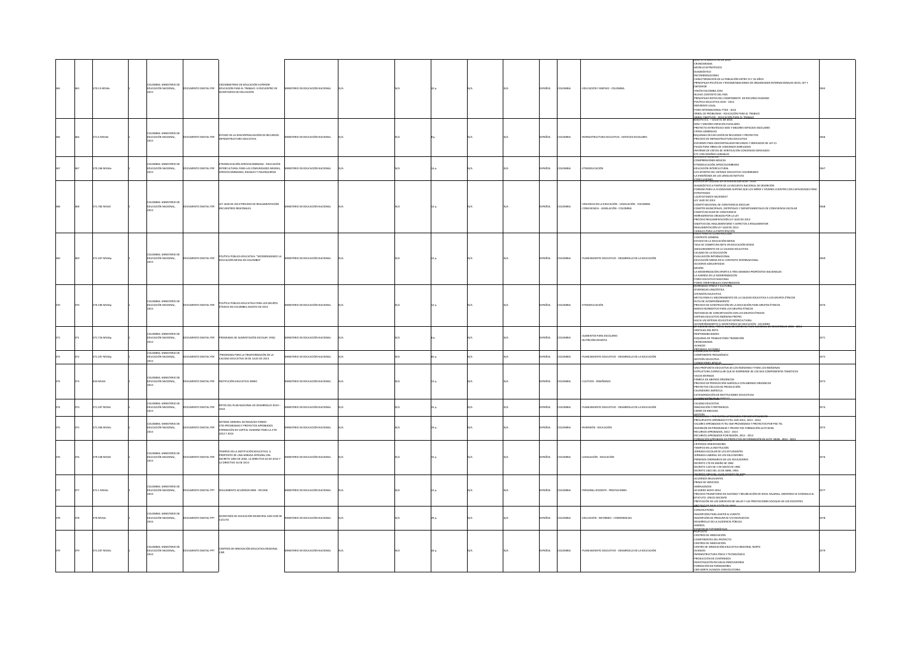|     | 70.13 MS34v  | OLOMBIA: MINISTERIO DE<br>EDUCACIÓN NACIONAL                |                       | CEMINISTERIO DE EDUCACIÓN SUPERIOR<br>OCUMENTO DIGITAL PDF EDUCACIÓN PARA EL TRABAJO. II ENCUENTRO DE<br>ECRETARIOS DE EDUCACIÓN                       | INSTERIO DE EDUCACIÓN NACIONAL        |  |  | <b>JORAS</b>  | AI8MOJO        | EDUCACIÓN Y EMPLEO - COLOMBIA                                                       | -CRONOGRAMA<br>-MODELO ESTRATÉGICO<br>COUNTRIES.<br><b>RECOMENDACIONE</b><br>CARACTERIZACIÓN DE LA POBLACIÓN ENTRE 15 Y 24 AÑOS<br>-PRINCIPALES POLÍTICAS Y RECOMENDACIONES DE ORGANISMOS INTERNACIONALES OECD, OIT Y<br>CINTERFOR<br>CEDS AIRMO IO MOUNT<br>-VISION COLONIBIN 2032<br>- NUEVO CONTEXTO DEL PAÍS<br>- PRINCIPALES RETOS DEL COMPONENTE DE RECURSO HUMANO<br>- POLÍTICA EDUCATIVA 2010 - 2014<br>-REFERENTE LEGAL<br>-hai anan'i Leane<br>-FORO INTERNACIONAL FTDH - 2012<br>-ARBOL DE PROBLEMAS - EDUCACIÓN PARA EL TRABAJO                                                                                                                              |  |
|-----|--------------|-------------------------------------------------------------|-----------------------|--------------------------------------------------------------------------------------------------------------------------------------------------------|---------------------------------------|--|--|---------------|----------------|-------------------------------------------------------------------------------------|--------------------------------------------------------------------------------------------------------------------------------------------------------------------------------------------------------------------------------------------------------------------------------------------------------------------------------------------------------------------------------------------------------------------------------------------------------------------------------------------------------------------------------------------------------------------------------------------------------------------------------------------------------------------------|--|
|     | 71.6 MS34e   | OLOMBIA: MINISTERIO DE<br>EDUCACIÓN NACIONAL                |                       | DOCUMENTO DIGITAL PDF ESTADO DE LA DESCENTRALIZACIÓN DE RECURSOS.<br>INFRAESTRUCTURA EDUCATIVA                                                         | <b>INSTERIO DE EDUCACIÓN NACIONAL</b> |  |  | <b>SPAÑOL</b> | <b>QLOMBIA</b> | INFRAESTRUCTURA EDUCATIVA - EDIFICIOS ESCOLARES                                     | <u>. ábbol objetivos , edicación daba el trabajo</u><br>BOGOTÁ D.C. – JULIO 31 DE 2013<br>-MÁS Y MEJORES ESPACIOS ESCOLARES<br>-PROYECTO ESTRATÉGICO MÁS Y MEJORES ESPACIOS ESCOLARES<br>-CIFRAS GENERALES<br>ESQUEMAS DE FIECUCIÓN DE RECURSOS Y PROYECTOS<br>ESQUEMAS DE EJECULION DE RECURSOS T PROTECTOS<br>-PROCESO DE INFRAESTRUCTURA EDUCATIVA<br>-ESFUERZO PARA DESCENTRALIZAR RECURSOS Y DERIVADOS DE LEY 21<br>PASOS PARA FIRMA DE CONVENIOS DERIVADOS<br>-INFORME DE VISITAS DE VERIFICACIÓN CONVENIOS DERIVADOS<br>ETC CON DISEÑOS VARIABLES<br>REFERENTE GENERAL                                                                                            |  |
|     | 70.196 MS34e | LOMBIA: MINISTERIO DE<br><b>EDUCACIÓN NACIONAL</b>          | CUMENTO DIGITAL PDF   | NOEDUCACIÓN AFROCOLOMBIANA - EDUCACIÓN<br>INTERCULTURAL PARA LAS COMUNIDADES NEGRAS<br>ROCOLOMBIANAS, RAIZALES Y PALENQUERAS                           | NISTERIO DE EDUCACIÓN NACIONAL        |  |  | <b>SPAÑOL</b> | <b>TIOMRIA</b> | <b>ETNOFDLICACIÓN</b>                                                               | -COMPRENSIONES BÁSICAS<br>-ETNOEDUCACIÓN AFROCOLOMBIANA<br>EDUCACIÓN INTERCULTURAL<br>LOS APORTES DEL SISTEMA EDUCATIVO COLOMBIANO<br>LA ENSEÑANZA DE LAS LENGUAS NATIVAS                                                                                                                                                                                                                                                                                                                                                                                                                                                                                                |  |
|     | 71.782 MS34  | LOMBIA: MINISTERIO DE<br>EDUCACIÓN NACIONAL,                | CUMENTO DIGITAL PDF   | LEY 1620 DE 2013 PROCESO DE REGLAMENTACIÓN                                                                                                             | NISTERIO DE EDUCACIÓN NACIONAL        |  |  | PAÑOL         | OMBIA          | 10 FNOIA EN LA EDUCACIÓN - LEGISLACIÓN - COLOMBIA<br>FNCIA - LEGISLACIÓN - COLOMBIA | CONCLUSIONES<br>OLITICA DE CALIDAD DE LA EDUCACIÓN 2010 - 2014<br>DIAGNÓSTICO A PARTIR DE LA ENCUESTA NACIONAL DE DESERCIÓN<br>FORMAR PARA LA CIUDADANÍA SUPONE QUE LOS NIÑOS Y JÓVENES CUENTEN CON CAPACIDADES PAR<br><b>ESTRATEGIAS</b><br>-VOUÉ ESTAMOS HACIENDO?<br>LEY 1620 DE 2013<br>-LO AND MADONAL DE CONVIVENCIA ESCOLAR<br>-COMITÉS MAJIONAL DE CONVIVENCIA ESCOLAR<br>-COMITÉS MUNICIPALES, DISTRITALES Y DEPARTAMENTALES DE CONVIVENCIA ESCOLAR<br>COMITÉ ESCOLAR DE CONVIVENCIA<br>HERRAMIENTAS CREADAS POR LA LEY<br>-PROCESO REGLAMENTACIÓN LEY 1620 DE 2013<br>-OBJETIVO DEL REGLAMENTARIO Y ASPECTOS A REGLAMENTAR<br>-REGLAMENTACIÓN LEY 1620 DE 2013 |  |
|     | 71.207 MS34p | OMBIA: MINISTERIO DI<br>EDUCACIÓN NACIONAL,                 | UMENTO DIGITAL PDF    | POLÍTICA PÚBLICA EDUCATIVA: "MODERNIZANDO LA<br>EDUCACIÓN MEDIA EN COLOMBIA"                                                                           | INSTERIO DE EDUCACIÓN NACIONAL        |  |  | PAÑOL         | <b>ILOMBIA</b> | LANEAMIENTO EDUCATIVO - DESARROLLO DE LA EDUCACIÓN                                  | CANALES PARA LA PARTICIPACIÓN<br>ONTEXTO GENERAL<br>ESTADO DE LA EDUCACIÓN MEDIA<br>TASA DE COBERTURA NETA EN EDUCACIÓN MEDIA<br>ASEGURAMIENTO DE LA CALIDAD EDUCATIVA<br>-SALIDAD DE LA EDUCACIÓN<br>-EVALUACIÓN INTERNACIONAL<br>-EVALUACIÓN INTERNACIONAL<br>-EDUCACIÓN MEDIA EN EL CONTEXTO INTERNACIONAL<br>-ACCIONES ADELANTADAS<br>MISIÓN.<br>A AGENDA DE LA MODERNIZACIÓN<br>FORO EDUCATIVO NACIONAL                                                                                                                                                                                                                                                             |  |
|     | 70.196 MS34p | COLOMBIA: MINISTERIO DE<br>EDUCACIÓN NACIONAL,              | CUMENTO DIGITAL PDF   | POLÍTICA PÚBLICA EDUCATIVA PARA LOS GRUPOS<br>INICOS EN COLOMBIA AGOSTO DE 2013                                                                        | ISTERIO DE EDUCACIÓN NACIONAL         |  |  | PAÑOL         |                | TNOEDUCACIÓN                                                                        | <b>FOROS TERRITORIALES CONFIRMADO:</b><br>INVERSIDAD ÉTNICA Y CULTURAL<br>DIVERSIDAD LINGÜÍSTICA<br>-ATENCIÓN EDUCATIVA<br>-<br>- METAS PARA EL MEJORAMIENTO DE LA CALIDAD EDUCATIVA A LOS GRUPOS ÉTNICOS<br>- RUTA DE ACOMPAÑAMIENTO<br>- PROCESO DE CONSTRUCCIÓN DE LA EDUCACIÓN PARA GRUPOS ÉTNICOS<br>-MARCO NORMATIVO PARA LOS GRUPOS ÉTNICOS<br>INSTANCIAS DE CONCERTACIÓN CON LOS GRUPOS ÉTNICOS<br>-INSTANCIAS DE CONCENTACION CON COS SNOV<br>-SISTEMA EDUCATIVO INDÍGENA PROPIO<br>-HACIA UN SISTEMA EDUCATIVO INTERCULTURAL<br>-<br>ACOMPAÑAMIENTO A SECRETARÍAS DE EDUCACIÓN - ACCIONE<br>LET 1450 DE 2011: POR EL LURL DE EAPIDE EL PORR NAUDIRIEL          |  |
|     | 71.716 MS34p | OMBIA: MINISTERIO DE<br>EDUCACIÓN NACIONAL,                 | CUMENTO DIGITAL PDF   | OGRAMA DE ALIMENTACIÓN ESCOLAR (PAE)                                                                                                                   | JAMODAN MÒDACIÓN SO DIRETTE           |  |  | SPAÑOL        | LOMBIA         | <b>ILIMENTOS PARA ESCOLARES</b><br>NUTRICIÓN INFANTIL                               | VENTAIAS DEL RETO<br>-RESPONSABILIDADES<br>-ESQUEMA DE TRABAJO PARA TRANSICIÓN<br>-CRONOGRAMA<br>VANCES<br><b><i>DRÓXIMAS ACCIONE</i></b><br>FORMACION SITUADA                                                                                                                                                                                                                                                                                                                                                                                                                                                                                                           |  |
|     | 1.207 MS34p  | .<br>Colombia: Ministerio di<br>Educación Nacional,<br>2013 | MENTO DIGITAL PDF     | PROGRAMA PARA LA TRASFORMACIÓN DE LA<br>ALIDAD EDUCATIVA 30 DE JULIO DE 2013                                                                           | STERIO DE EDUCACIÓN NACIONAL          |  |  | <b>PAÑOL</b>  | <b>AISMC</b>   | LANEAMIENTO EDUCATIVO - DESARROLLO DE LA EDUCACIÓN                                  | -COMPONENTE PEDAGÓGICO<br>GESTIÓN EDUCATIVA                                                                                                                                                                                                                                                                                                                                                                                                                                                                                                                                                                                                                              |  |
|     | 3 M534       | LOMBIA: MINISTERIO DE<br>EDUCACIÓN NACIONAL,<br><b>SOLD</b> | LUMENTO DIGITAL PDF   | INSTITUCIÓN EDUCATIVA IDEBIC                                                                                                                           | ISTERIO DE EDUCACIÓN NACIONAL         |  |  | <b>JORAS</b>  | LOMBIA         | CULTIVOS - ENSEÑANZA                                                                | <b>WOICKWES RÁSICAS</b><br>UNA PROPUESTA EDUCATIVA DE LOS INDÍGENAS Y PARA LOS INDÍGENAS<br>-ESTRUCTURA CURRICULAR QUE SE DESPRENDE DE LOS SEIS COMPONENTES TEMÁTICOS<br>VACAS BIVINAZA<br>-FÁBRICA DE ABONOS ORGÁNICOS<br>-PROCESO DE PRODUCCIÓN AGRÍCOLA CON ABONOS ORGÁNICOS<br>-PROYECTOS CÍCLICOS DE PRODUCCIÓN<br>-MOTECHO GENOCOLA<br>-CALENDARIO AGRÍCOLA<br>-CATEGORIZACIÓN DE INSTITUCIONES EDUCATIVAS                                                                                                                                                                                                                                                         |  |
|     | 71.207 MS34  | LOMBIA: MINISTERIO DE<br>EDUCACIÓN NACIONAL,                | UMENTO DIGITAL PDF    | RETOS DEL PLAN NACIONAL DE DESARROLLO 2010 -                                                                                                           | <b>USTERIO DE EDUCACIÓN NACIONAL</b>  |  |  | <b>SPAÑOL</b> | LOMBIA         | LANEAMIENTO EDUCATIVO - DESARROLLO DE LA EDUCACIÓN                                  | 34961619588<br>-CALIDAD EDUCATIVA<br>INNOVACIÓN Y PERTINENCIA<br>CIERRE DE BRECHAS                                                                                                                                                                                                                                                                                                                                                                                                                                                                                                                                                                                       |  |
|     | 71.206 MS34s | OMBIA: MINISTERIO DI<br>EDUCACIÓN NACIONAL                  | UMENTO DIGITAL PDF    | EMA GENERAL DE REGALÍAS FONDO<br>CTEI:PROGRAMAS Y PROYECTOS APROBADOS<br>ORMACIÓN DE CAPITAL HUMANO PARA LA CTEI<br>2012 Y 2013                        | <b>NISTERIO DE EDUCACIÓN NACIONAL</b> |  |  | <b>JORAS</b>  | <b>JLOMBIA</b> | NVERSIÓN - EDUCACIÓN                                                                | . GESTIÓN<br>PRI HORARASY V DRIVET TITY, ADRITHATY IV. DVIR TERRA<br>PRESUPUESTO APROBADO FCTEL-SGR 2012, 2013 - 2014<br>VALORES APROBADOS FCTEL-SGR PROGRAMAS Y PROYECTOS POR PNC TEL<br>INVERSIÓN EN PROGRAMAS Y PROYECTOS FORMACIÓN ALTO NIVEL<br>RECURSOS APROBADOS, 2012 - 2013<br>RECURSOS APROBADOS POR REGIÓN, 2012 - 2013<br><b><i><u>OBMAGEANAE</u></i></b>                                                                                                                                                                                                                                                                                                    |  |
|     | 79.158 M534t | OLOMBIA: MINISTERIO DE<br>EDUCACIÓN NACIONAL,               | CUMENTO DIGITAL PDF   | IPOS EN LA INSTITUCIÓN EDUCATIVA. A<br>PROPÓSITO DE UNA MIRADA INTEGRAL DEL<br>DECRETO 1850 DE 2002, LA DIRECTIVA 02 DE 2012 Y<br>DIRECTIVA 16 DE 2013 | INSTERIO DE EDUCACIÓN NACIONAL        |  |  | <b>JORA</b>   | <b>JLOMBIA</b> | LEGISLACIÓN - EDUCACIÓN                                                             | -CRITERIOS ORIENTADORES<br>TIEMPOS EN LA INSTITUCIÓN<br>JORNADA ESCOLAR DE LOS ESTUDIANTES<br>JORNADA LABORAL DE LOS EDUCADORES<br>PERMISOS ORDINARIOS DE LOS EDUCADORES<br>DECRETO 179 DE ENERO DE 1982<br>DECRETO 1235 DE 3 DE MAYO DE 1982<br>-DECRETO 1002 DEL 24 DE ABRIL 1994                                                                                                                                                                                                                                                                                                                                                                                      |  |
|     | 71.1 MS34s   | COLOMBIA: MINISTERIO DE<br>EDUCACIÓN NACIONAL               | CUMENTO DIGITAL PPT   | SEGUIMIENTO ACUERDOS MEN - FECODE                                                                                                                      | <b>NSTERIO DE EDUCACIÓN NACIONAL</b>  |  |  | <b>SPAÑOL</b> | <b>JLOMBIA</b> | PERSONAL DOCENTE - PRESTACIONES                                                     | -NOLLSOS DE NEGOCIALE<br>-ACUERDOS RELEVANTES<br>-PRIMA DE SERVICIOS<br>AMENAZADOS<br>-ACUERDO MAYO 2014<br>-MOLINIO<br>-PROCESO TRANSITORIO DE ASCENSO Y REUBICACIÓN DE NIVEL SALARIAL, MIENTRAS SE CONSESUA EL<br>ESTATUTO ÚNICO DOCENTE<br>-PRESTACIÓN DE LOS SERVICIOS DE SALUD Y LAS PRESTACIONES SOCIALES DE LOS DOCENTES                                                                                                                                                                                                                                                                                                                                          |  |
|     | 0 MS34       | <b>DLOMBIA: MINISTERIO DE</b><br>EDUCACIÓN NACIONAL,        |                       | <b>CUMENTO DIGITAL PPT</b> SECRETARÍA DE EDUCACIÓN MUNICIPAL SAN JOSÉ DE                                                                               | NISTERIO DE EDUCACIÓN NACIONAL        |  |  | PAÑOL         | I OMRIA        | EDUCACIÓN - INFORMES - CONFERENCIAS                                                 | soccco<br>CONVOCATORIA<br>INSCRIPCIÓN PARA ASISTIR AL EVENTO<br>INSCRIPTION OF PREGLINTAS V/O RESPUESTAS<br>DESARROLLO DE LA AUDIENCIA PÚBLICA<br>-AGENDA                                                                                                                                                                                                                                                                                                                                                                                                                                                                                                                |  |
| CO. | 71.207 MS34c | OLOMBIA: MINISTERIO DE<br>EDUCACIÓN NACIONAL                | TRA JATI200 OTM3MU200 | CENTROS DE INNOVACIÓN EDUCATIVA REGIONAL                                                                                                               | INISTERIO DE EDUCACIÓN NACIONAL       |  |  | PAÑOL         | <b>AISMOJC</b> | PLANEAMIENTO EDUCATIVO - DESARROLLO DE LA EDUCACIÓN                                 | PROPOSITO<br>-CENTROS DE INNOVACIÓN<br>-COMPONENTES DEL PROYECTO<br>-CENTROS DE INNOVACIÓN<br>-CENTRO DE INNOVACIÓN EDUCATIVA REGIONAL NORTE<br>AVANCES<br>INFRAFSTRUCTURA FÍSICA Y TECNOLÓGICA<br>-PRODUCCIÓN DE CONTENIDOS<br>-INVESTIGACIÓN ESCUELAS INNOVADORAS<br>FORMACIÓN DE FORMADORES<br>-CIER NORTE AVANCES CONVOCATORIA                                                                                                                                                                                                                                                                                                                                       |  |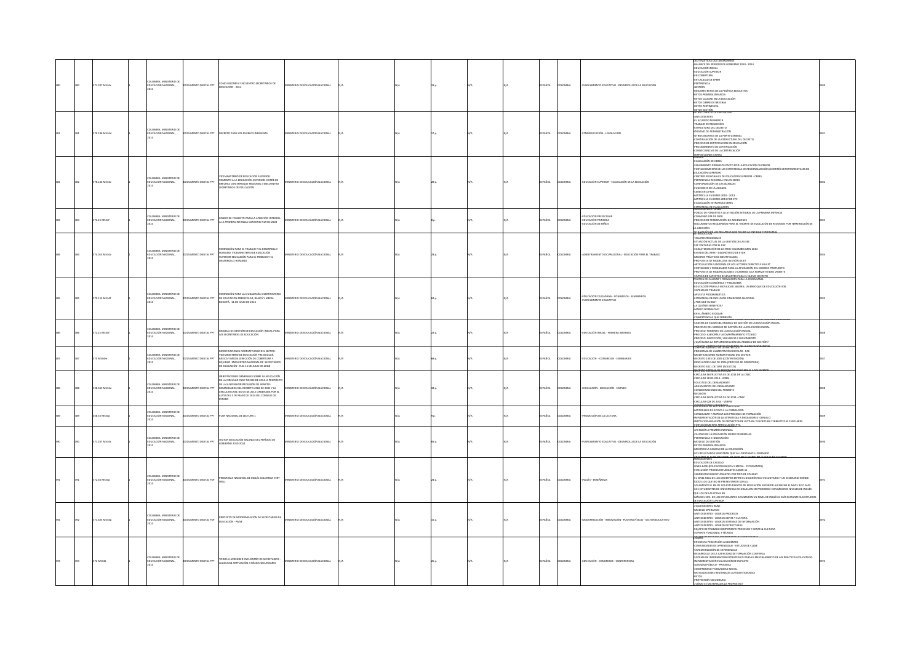|  |                      |                                                                            |                             |                                                                                                                                                                                                                                                                                    |                                       |  |  |              |                |                                                                  | <b>TEMATICAS QUE ABOR</b>                                                                                                                                                                                                                                                                                                                                                                                                                                                                                                                                                                                                                                        |  |
|--|----------------------|----------------------------------------------------------------------------|-----------------------------|------------------------------------------------------------------------------------------------------------------------------------------------------------------------------------------------------------------------------------------------------------------------------------|---------------------------------------|--|--|--------------|----------------|------------------------------------------------------------------|------------------------------------------------------------------------------------------------------------------------------------------------------------------------------------------------------------------------------------------------------------------------------------------------------------------------------------------------------------------------------------------------------------------------------------------------------------------------------------------------------------------------------------------------------------------------------------------------------------------------------------------------------------------|--|
|  | 71.207 MS34c         | )<br>LOMBIA: MINISTERIO DE<br>JUCACIÓN NACIONAL,<br>OLOMBIA: MINISTERIO DE | ENTO DIGITAL PPT            | INES II ENCUENTRO SECRETARIOS DE<br>DUCACIÓN - 2014                                                                                                                                                                                                                                | TERIO DE EDUCACIÓN NACIONAL           |  |  | vior         |                | ENTO EDUCATIVO - DESARROLLO DE LA EDUCACIÓN                      | BALANCE DEL PERÍODO DE GOBIERNO 2010 - 2014<br>EDUCACIÓN INICIAL<br>-EDUCACIÓN SUPERIOR<br>-EDUCACION SUPERIOR<br>-EN COBERTURA<br>-EN CALIDAD DE EPBM<br>-PERTINENCIA<br>GESTIÓN<br>-RESUMEN RETOS DE LA POLÍTICA EDUCATIVA<br>-RETOS PRIMERA INFANCIA<br>RETOS CALIDAD EN LA EDUCACIÓN<br>RETOS CHLIUND EN LA EUGO<br>RETOS CIERRE DE BRECHAS<br>RETOS PERTINENCIA<br><b>BETOS GESTIÓN<br/>STRUCTURA DE LA EXP</b><br>ESTRUCTURA DE LA EXPLISI<br>-EL ACUERDO NÚMERO 8<br>-TRABAJO DE REDACCIÓN<br>ESTRUCTURA DEL DECRETO<br><b>ÓRGANO DE ADMINISTRACIÓN</b>                                                                                                   |  |
|  | 370.196 MS34d        | EDUCACIÓN NACIONAL                                                         | MENTO DIGITAL PPT           | DECRETO PARA LOS PUEBLOS INDÍGENAS                                                                                                                                                                                                                                                 | ISTERIO DE EDUCACIÓN NACIONAL         |  |  | AÑOL         | I OMRIA        | ETNOEDUCACIÓN - LEGISLACIÓN                                      | -UNDANG DE MARINISTRALIAN<br>- CONTINUACIÓN DE LA PARTE GENERAL<br>- CONTINUACIÓN DE LA ESTRUCTURA DEL DECRETO<br>- PROCESO DE CERTIFICACIÓN EN EDUCACIÓN<br>- PROCEDIMIENTO DE CERTIFICACIÓN<br>CONSECUENCIAS DE LA CERTIFICACIÓN<br>SENDA<br>SENDA<br>SENDA<br>-<br>WALLIACIÓN DE CERES                                                                                                                                                                                                                                                                                                                                                                        |  |
|  | 378.166 MS34v        | COLOMBIA: MINISTERIO DE<br>EDUCACIÓN NACIONAL,                             | <b>DCUMENTO DIGITAL PPT</b> | INISTERIO DE EDUCACIÓN SUPERIOR<br>VICENING IENIO DE EDUCACION SUPERIOR.<br>FOMENTO A LA EDUCACIÓN SUPERIOR. CIERRE DE<br>BRECHAS CON ENFOQUE REGIONAL II ENCUENTRO<br>SECRETARIOS DE EDUCACIÓN                                                                                    | STERIO DE EDUCACIÓN NACIONAL          |  |  | .<br>Not     | <b>ILOMBIA</b> | EDUCACIÓN SUPERIOR - EVALUACIÓN DE LA EDUCACIÓN                  | SEGUIMIENTO PROMISOS PACTO POR LA EDUCACIÓN SUPERIOR<br>FORTALECIMIENTO DE LAS ESTRATEGIAS DE REGIONALIZACIÓN (COMITÉS DEPARTAMENTALES DE<br><b>ILCACIÓN SUPERIORI</b><br>ENTROS REGIONALES DE EDUCACIÓN SUPERIOR - CERES<br>ERTINENCIA REGIONAL EN LOS CERES<br>CONFORMACIÓN DE LAS ALIANZAS<br>FUNCIONES DE LA ALIANZA<br>CERES EN CIFRAS<br>MATRÍCULA EN CERES 2010 - 2013<br>MATRICULA EN CERES 2010 - 2015<br>MATRÍCULA EN CERES 2013 POR ETC<br>EVALUACIÓN ESTRATEGIA CERES<br>STRATEGIA DE EVALUACIÓN                                                                                                                                                     |  |
|  | 372.21 MS34f         | OMBIA: MINISTERIO DE<br>EDUCACIÓN NACIONAL                                 | <b>DCUMENTO DIGITAL PPT</b> | MDO DE FOMENTO PARA LA ATENCIÓN INTEGRAL<br>LA PRIMERA INFANCIA CONVENIO 929 DE 2008                                                                                                                                                                                               | NISTERIO DE EDUCACIÓN NACIONAL        |  |  | AÑOL         | <b>JLOMBIA</b> | EDUCACIÓN PREESCOLAR<br>EDUCACIÓN PRIMARIA<br>EDUCACIÓN DE NIÑOS | FONDO DE FOMENTO A LA ATENCIÓN INTEGRAL DE LA PRIMERA INFANCIA<br><b>CONVENIO 929 DE 2008</b><br>"-UNIVENTO 243 US JUNIO<br>- PROCESO DE TERMINACIÓN DE ADHESIONES<br>- DOCUMENTOS REQUERIDOS PARA EL TRÁMITE DE EVOLUCIÓN DE RECURSOS POR TERMINACIÓN DE<br>LA ADHESIÓN                                                                                                                                                                                                                                                                                                                                                                                         |  |
|  | 74.013 MS34v         | MBIA: MINISTERIO DE<br>EDUCACIÓN NACIONAL,                                 | UMENTO DIGITAL PPT          | ACIÓN PARA EL TRABAJO Y EL DESARROLLO<br>HUMANO. VICEMINISTERIO DE EDUCACIÓN<br>SUPERIOR EDUCACIÓN PARA EL TRABAIO Y EL<br>ESARROLLO HUMANO                                                                                                                                        | STERIO DE EDUCACIÓN NACIONAL          |  |  | <b>ÑOL</b>   | LOMBIA         | ADIESTRAMIENTO OCUPACIONAL - EDUCACIÓN PARA EL TRABAJO           | muzación de<br>Itroducción<br>ALLERES REGIONALES<br>SITUACIÓN ACTUAL DE LA GESTIÓN DE LAS SEC<br>-STORIUM WILLIAM DE LA SECONDI DE LAS SEC<br>-SECONSTADAS POR EL PIIC<br>-CARACTERIZACIÓN DE LA ETOH COLOMBIA MEN 2014<br>-ESTADO DEL ARTE - DIAGNÓSTICO DE ETOH<br>-MEJORES PRÁCTICAS IDENTIFICADAS<br>PROPUESTA DE MODELO DE GESTIÓN DE ET<br>ARTICULACIÓN FUNCIONAL DE LOS ACTORES DIRECTOS EN LA ET<br>PRINCIPALISM I DINCIDINDES PARA LA APLICACIÓN DEL MODELO PROPUESTO<br>FORTALEZAS Y DEBILIDADES PARA LA APLICACIÓN DEL MODELO PROPUESTO<br>PROPUESTA DE MODIFICACIONES O CAMBIOS A LA NORMATIVIDAD VIGENTE                                            |  |
|  | 370.115 MS34f        | <b>DLOMBIA: MINISTERIO DE</b><br>EDUCACIÓN NACIONAL                        | TRA IATION OTHER            | MACIÓN PARA LA CIUDADANÍA VICEMINISTERIO<br>DE EDUCACIÓN PREESCOLAR, BÁSICA Y MEDIA<br>GOTÁ, 11 DE JULIO DE 2014                                                                                                                                                                   | <b>USTERIO DE EDUCACIÓN NACIONAL</b>  |  |  | AÑOL         | 11 OMRIA       | DUCACIÓN CIUDADANA - CONGRESOS - SEMINARIOS<br>ENTO EDUCATIVO    | - <u>Síntesis de Aspectos relevantes para el nuevo decreto</u><br>Política de Caudad y Formación para la ciudadanía<br>-Educación egonómica y financiera<br>-Educación para la movilidad segura: un enfoque de Educación Víal<br>OLABART 30 AM3T212<br>APUESTA PROGRAMÁTICA<br>STRATEGIA DE INCLUSIÓN EINANCIERA NACIONAL<br>ESTRATEGIA DE INCLUSI<br>¿POR QUÉ SURGE?<br>¿A QUIÉNES BENEFICIA?<br><b>MARCO NORMATIVO</b><br>IN EL ÁMBITO ESCOLAR<br><b>COMPETENCIAS QUE FOMENTA</b><br>RODELLI SESTION DE EDUCACION INFLIALT                                                                                                                                     |  |
|  | 72.21 M534f          | MBIA: MINISTERIO DE<br>EDUCACIÓN NACIONAL,                                 | LUMENTO DIGITAL PPT         | ODELO DE GESTIÓN DE EDUCACIÓN INICIAL PARA<br>AS SECRETARÍAS DE EDUCACIÓN                                                                                                                                                                                                          | <b>NISTERIO DE EDUCACIÓN NACIONAL</b> |  |  | AÑOL         | LOMBIA         | EDUCACIÓN INICIAL - PRIMERA INFANCIA                             | MUDELO GESTION DE EDOCACIÓN INICIAL PARA DIS SECRETARIAS DE EDO<br>CADENA DE VALOR DEL MODELO DE GESTIÓN DE LA EDUCACIÓN INICIAL<br>PROCESOS DEL MODELO DE GESTIÓN DE LA EDUCACIÓN INICIAL<br>PROCESO: FOMENTO DE LA EDUCACIÓN INICIAL<br>PROCESO: ASESORÍA Y ACOMPAÑAMIENTO TÉCNICO<br>PROCESO: INSPECCIÓN, VIGILANCIA Y SEGUIMIENTO<br>QUÉ BUSCA LA IMPLEMENTACIÓN DEL MODELO DE GESTIÓN?<br>UANGREAMERED BEEN KANARUTA <sup>de 1</sup>                                                                                                                                                                                                                        |  |
|  | 70 M534m             | OMBIA: MINISTERIO DE<br>UCACIÓN NACIONAL,                                  | <b>ENTO DIGITAL PPT</b>     | ODIFICACIONES NORMATIVIDAD DEL SECTOR<br>RODIFICACIONES NORMATIVIDAD DEL SECTOR<br>ICEMINISTERIO DE EDUCACIÓN PREESCOLAR,<br>ÁSICA Y MEDIA DIRECCIÓN DE COBERTURA Y<br>EQUIDAD. ENCUENTRO NACIONAL DE SECRETARIO!<br>DE EDUCACIÓN (9 AL 11 DE JULIO DE 2014)                       | <b>STERIO DE EDUCACIÓN NACIONAL</b>   |  |  | <b>PAÑOL</b> |                | EDUCACIÓN - CONGRESOS - SEMINARIOS                               | -<br>DROGRAMA DE ALIMENTACIÓN ESCOLAR - PAE<br>MODIFICACIONES NORMATIVIDAD DEL SECTOR:<br>DECRETO 2355 DE 2009 (CONTRATACIÓN)<br>RESOLUCIÓN 5360 DE 2006 (PROCESO DE COBERTURA)<br>ECRETO 3011 DE 1997 (ADULTOS)<br>FTO SKTFMA DF RESPONSARI                                                                                                                                                                                                                                                                                                                                                                                                                     |  |
|  | <b>OBF2M 23F SSF</b> | <b>DLOMBIA: MINISTERIO DE</b><br>EDUCACIÓN NACIONAL                        | O DIGITAL PPT               | NTACIONES GENERALES SOBRE LA APLICACIÓN<br>E LA CIRCULAR CNSC NO 003 DE 2014. A PROPÓSITI<br>DE LA SUSPENSIÓN PROVISIÓN DE APARTES<br>MOOS DEL DECRETO 4968 DE 2005 Y LA<br><b>IRCULAR CNSC NO 05 DE 2012 ORDENADA POR EL</b><br>UTO DEL 5 DE MAYO DE 2014 DEL CONSEJO DE<br>STADO | TERIO DE EDUCACIÓN NACIONAL           |  |  | AÑOL         | <b>CAMBIA</b>  | FGISLACIÓN - EDUCACIÓN - EMPLEO                                  | CIRCULAR INSTRUCTIVA 03 DE 2014 DE LA CNSC<br>CIRCULAR 28 DE 2014 - VPBM<br>SOLICITUD DEL DEMANDANTE<br>ARGUMENTOS DEL DEMANDANTE<br>ONSIDERACIONES DEL PONENTE<br>:CRISIDERACIONES DEL PONENTE<br>3ECISIÓN<br>CIRCULAR INSTRUCTIVA 03 DE 2014 - CNSC<br>IRCULAR 028 DE 2014 - VEBPM<br><b><i><u><i><u>RAFAQONES GENTRA VEL-um</u></i></u></i></b>                                                                                                                                                                                                                                                                                                               |  |
|  | 328.55 M534p         | OMBIA: MINISTERIO DE<br>EDUCACIÓN NACIONAL,                                | MENTO DIGITAL PPT           | LAN NACIONAL DE LECTURA 1                                                                                                                                                                                                                                                          | STERIO DE EDUCACIÓN NACIONAL          |  |  | AÑOL         | LOMBIA         | ROMOCIÓN DE LA LECTURA                                           | ATERIALES DE APOYO A LA FORMACIÓN<br>CONSOLIDAR Y AMPLIAR LOS PROCESOS DE FORMACIÓN<br>IMPLEMENTACIÓN DE LA ESTRATEGIA A MEDIADORES (CERLALC)<br>NTITUCIONALIZACIÓN DE PROYECTOS DE LECTURA Y ESCRITURA Y BIBLIOTECAS ESCOLARES                                                                                                                                                                                                                                                                                                                                                                                                                                  |  |
|  | 371.207 MS34s        | OMBIA: MINISTERIO D<br>EDUCACIÓN NACIONAL,                                 | OCUMENTO DIGITAL PPT        | SECTOR EDUCACIÓN BALANCE DEL PERÍODO DE<br>GOBIERNO 2010-2014                                                                                                                                                                                                                      | MSTERIO DE EDUCACIÓN NACIONAL         |  |  | AÑOL         | LOMBIA         | PLANEAMIENTO EDUCATIVO - DESARROLLO DE LA EDUCACIÓN              | ATENCIÓN A PRIMERA INFANCIA<br>ALIDAD DE LA EDUCACIÓN CIERRE DE BRECHAS<br>-DILIUND DE DI EDUCACION C<br>-PERTINENCIA E INNOVACIÓN<br>-MODELO DE GESTIÓN<br>RETOS PRIMERA INFANCIA<br>MEJORAR LA CALIDAD DE LA EDUCACIÓN<br>LOS RESULTADOS MUESTRAN QUE YA LO ESTAMOS LOGRANDO<br><b>SAMOESHA</b>                                                                                                                                                                                                                                                                                                                                                                |  |
|  | 372.65 M534o         | COLOMBIA: MINISTERIO DE<br>EDUCACIÓN NACIONAL                              |                             | OCUMENTO DIGITAL PDF PROGRAMA NACIONAL DE INGLÉS COLOMBIA VERY                                                                                                                                                                                                                     | <b>NSTERIO DE EDUCACIÓN NACIONAL</b>  |  |  | AÑOL         | <b>AISMOJC</b> | INGLÉS - ENSEÑANZA                                               | ANTECEDENTES<br>- EDICACIÓN DE CALIDAD<br>- LÍNEA BASE (EDUCACIÓN BÁSICA Y MEDIA - ESTUDIANTES)<br>- EVOLUCIÓN PRUEBA ESTUDIANTES SABER 11<br>-SEGMENTACIÓN ESTUDIANTES POR TIPO DE COLEGIO<br>EL NIVEL REAL DE LOS DOCENTES ENTRE EL DIAGNÓSTICO VOLUNTARIO Y UN ESCENARIO DONDE<br>EK HIVEL REAL DE LUS DOUCHT ES EN INFE EL DINIGIOSTICO VOLONT IARIO T UN ESCENARIO DONIDE<br>1000S LOS QUE NO SE PRESENTARON SON A1<br>SOLAMENTE EL 8% DE LOS ESTUDIANTES DE EDUCACIÓN SUPERIOR ALCANZAN EL NIVEL B2 O MAS<br>OS ESTUDIANTES DE UNIVERSIDAD SE GRADUAN EN PROMEDIO CON MEJORES NIVELES DE INGLÉS<br>UE LOS DE LAS OTRAS IES<br><b>DE EDUCACIÓN SUPERIOR</b> |  |
|  | 71.623 MS34p         | MBIA: MINISTERIO DE<br>UCACIÓN NACIONAL,                                   | MENTO DIGITAL PDF           | ROYECTO DE MODERNI<br>CIÓN DE SECRETARÍAS DE<br><b>DUCACIÓN - PMSE</b>                                                                                                                                                                                                             | STERIO DE EDUCACIÓN NACIONAL          |  |  | AÑOL         | LOMBIA         | MODERNIZACIÓN - INNOVACIÓN - PLANTAS FÍSICAS - SECTOR EDUCATIVO  | COMPONENTES PMSE<br>MODELO OPERATIVO<br>-MODELO OPERATIVO<br>-ANTECEDENTES - LOGROS PROCESOS<br>-ANTECEDENTES - LOGROS GENTE Y CULTURA<br>ANTECEDENTES - LOGROS SISTEMAS DE INFORMACIÓN<br>ANTECEDENTES - LOGROS ESTRUCTURAS<br>QUIPO DE TRABAJO COMPONENTE PROCESOS Y GENTE & CULTURA<br><b>PORTE FUNCIONAL Y TÉCNICO</b>                                                                                                                                                                                                                                                                                                                                       |  |
|  | <b>BERM CD</b>       | LOMBIA: MINISTERIO DE<br>UCACIÓN NACIONAL                                  | <b>OCUMENTO DIGITAL PPT</b> | .<br>FODOS A APRENDER ENCUENTRO DE SECRETARIOS -<br>IULIO 2014 AMPLIACIÓN A BÁSICA SECUNDARIA                                                                                                                                                                                      | ISTERIO DE EDUCACIÓN NACIONAL         |  |  | PAÑOL        | <b>QLOMBIA</b> | FOUCACIÓN - CONSRESOS - CONFERENCIAS                             | NCUESTA PERCEPCIÓN A DOCENTES<br>ENCUESIA PERCEPCION A DOCENTES<br>COMUNIDADES DE APRENDIZAJE - ESTUDIO DE CLASE<br>SISTEMATIZACIÓN DE EXPERIENCIAS<br>DESARROLLO DE LA CAPACIDAD DE FORMACIÓN CONTINUA<br>.<br>HISTEMA DE INFORMACIÓN ESTRATÉGICO PARA EL MEJORAMIENTO DE LAS PRÁCTICAS EDUCATIVAS<br><b>IPLEMENTACIÓN EVALUACIÓN DE IMPACTO</b><br>INFICENTIFICION EVALUAUDO DE IMPALTO<br>ALIANZAS PÚBLICO - PRIVADAS<br>COMPROMISO Y MOVILIDAD SOCIAL<br>MOVILIZACIONES REGIONALES AUTOGESTIONADAS<br>RETOS<br>PROYECCIÓN SECUNDARIA<br>CALC CE N                                                                                                            |  |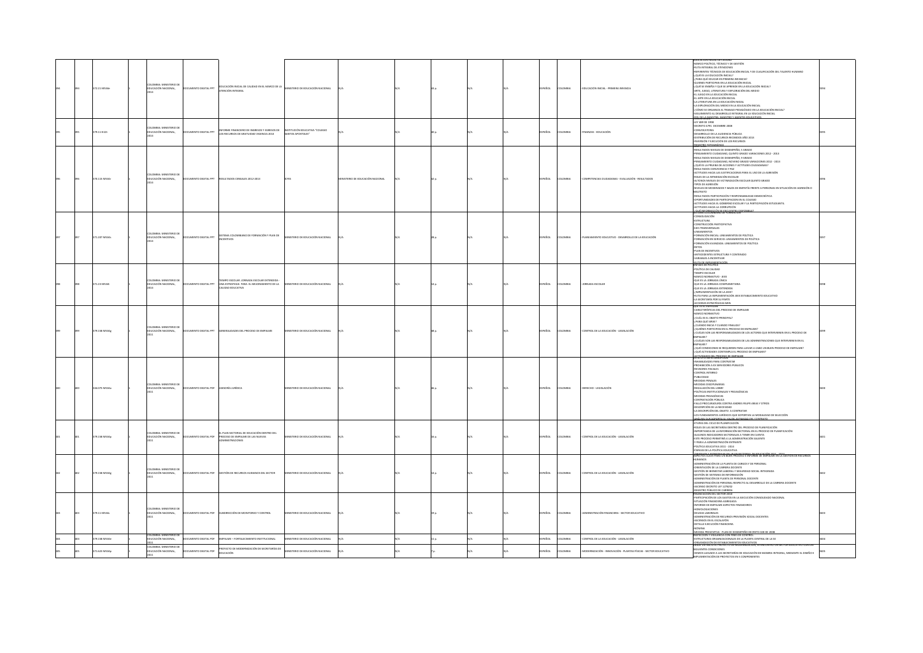|  | 172.21 M534e  | <b>DLOMBIA: MINISTERIO DE</b><br>EDUCACIÓN NACIONAL, | CUMENTO DIGITAL PPT    | EDUCACIÓN INICIAL DE CALIDAD EN EL MARCO DE LA<br>ATENCIÓN INTEGRAL                                             | MINISTERIO DE EDUCACIÓN NACIONAL                      |                                |  |  | SPAÑOL | LOMBIA         | EDUCACIÓN INICIAL - PRIMERA INFANCIA                            | MARCO POLÍTICO, TÉCNICO Y DE GESTIÓN<br>-RUTA INTEGRAL DE ATENCIONES<br>-REFERENTES TÉCNICOS DE EDUCACIÓN INICIAL Y DE CUALIFICACIÓN DEL TALENTO HUMANO<br>-REFERENTES TECNICUS DE EDUCACION INICIA<br>-¿QUÉ ES LA EDUCACIÓN INICIAL?<br>-¿PARA QUÉ EDUCAR EN PRIMERA INFANCIA?<br>-QUIENES PARTICIPAN EN LA EDUCACIÓN INICIAL<br>-LOUIS E ENSERA Y QUE SE APRENDE EN LA EDUCACIÓN INICIAL?<br>-ARTE, JUEGO, LITERATURA Y EXPLORACIÓN DEL MEDIO<br>-EL JUEGO, LITERATURA Y EXPLORACIÓN DEL MEDIO<br>FLARTE EN LA EDUCACIÓN INICIAL<br>-EL ARTE EN DI EDUCACIÓN INICIAL<br>-LA LITERATURA EN LA EDUCACIÓN INICIAL<br>-LA EXPLORACIÓN DEL MEDIO EN LA EDUCACIÓN INICIAL<br>-¿CÓMO SE ORGANIZA EL TRABAJO PEDAGÓGICO EN LA EDUCACIÓN INICIAL?<br>EGUIMIENTO AL DESARROLLO INTEGRAL EN LA EDUCACIÓN INICIAL<br><b>BOLOS LAMAESTRA MAESTRO</b>                                                                                                |  |
|--|---------------|------------------------------------------------------|------------------------|-----------------------------------------------------------------------------------------------------------------|-------------------------------------------------------|--------------------------------|--|--|--------|----------------|-----------------------------------------------------------------|------------------------------------------------------------------------------------------------------------------------------------------------------------------------------------------------------------------------------------------------------------------------------------------------------------------------------------------------------------------------------------------------------------------------------------------------------------------------------------------------------------------------------------------------------------------------------------------------------------------------------------------------------------------------------------------------------------------------------------------------------------------------------------------------------------------------------------------------------------------------------------------------------------------------------------------|--|
|  | 79.11 IE22i   | <b>DLOMBIA: MINISTERIO DE</b><br>EDUCACIÓN NACIONAL, | TRA JATION OTREM       | FORME FINANCIERO DE INGRESOS Y EGRESOS DE<br>LOS RECURSOS DE GRATUIDAD VIGENCIA 2013                            | STITUCIÓN EDUCATIVA "COLEGIO<br><b>NTOS APOSTOLES</b> |                                |  |  | PAÑOL  | LOMBIA         | INANZAS - EDUCACIÓN                                             | LEY 489 DE 1998<br>-DECRETO 4791 DICEMBRE 2008<br>CONVOCATORIA<br>DESARROLLO DE LA AUDIENCIA PÚBLICA<br>DISTRIBUCIÓN DE RECURSOS RECIBIDOS AÑO 2013<br>INVERSIÓN Y EJECUCIÓN DE LOS RECURSOS<br><b>RENTO FOTOGRÁFICO</b>                                                                                                                                                                                                                                                                                                                                                                                                                                                                                                                                                                                                                                                                                                                 |  |
|  | 70.115 MS34   | <b>OLOMBIA: MINISTERIO DE</b><br>EDUCACIÓN NACIONAL  | CUMENTO DIGITAL PPT    | RESULTADOS CENSALES 2012-2013                                                                                   |                                                       | NISTERIO DE EDUCACIÓN NACIONAL |  |  | PAÑOL  | LOMBIA         | COMPETENCIAS CIUDADANAS - EVALUACIÓN - RESULTADOS               | ODARD 2 ORRAMED BY DE DESEMBERO 5 GRADO.<br>-RESULTADOS NIVELES DE DESEMPENO, S GINDO<br>-PENSAMIENTO CIUDADANO, QUINTO GRADO VARIACIONES 2012 - 2013<br>-RESULTADOS NIVELES DE DESEMPEÑO, 9 GRADO<br>-PENSAMIENTO CIUDADANO, NOVENO GRADO VARIACIONES 2012 - 2013<br>-COURTNILLING COMMINING, NOVEMBER DIRECT VANDED INTO THE<br>-ACTITUDES HACIA LAS JUSTIFICACIONES PARA EL USO DE LA AGRESIÓN<br>BOLES DE LA INTIMIDACIÓN ESCOLAR<br>-RULES DE DA INTIMIDADON ESCODAR<br>-ALTONOS NIVELES DE VICTIMIZACIÓN ESCOLAR QUINTO GRADO<br>-TIPOS DE AGRESIÓN<br>-NIVELES DE MODERADOS Y BAJOS DE EMPATÍA FRENTE A PERSONAS EN SITUACIÓN DE AGRESIÓN O<br>MALTRATO<br>MALTRATO<br>- RESULTADOS PARTICIPACIÓN Y RESPONSABILIDAD DEMOCRÁTICA<br>-OPORTUNIDADES DE PARTICIPACION EN EL COLEGIO<br>-ACTITUDES HACIA EL GOBIERNO ESCOLAR Y LA PARTICIPACIÓN ESTUDIANTIL<br>ACTITUDES HACIA LA CORRUPCIÓN<br><b>JOUE INFORMACIÓN SE ENCUENTRA.</b> |  |
|  | 71.207 MS34   | OLOMBIA: MINISTERIO DI<br>EDUCACIÓN NACIONAL,        | CUMENTO DIGITAL PPT    | SISTEMA COLOMBIANO DE FORMACIÓN Y PLAN DE<br>INCENTIVOS                                                         | STERIO DE EDUCACIÓN NACIONAL                          |                                |  |  | PAÑOL  | OLOMBIA        | ENTO EDUCATIVO - DESARROLLO DE LA EDUCACIÓN                     | CONSOLIDACIÓN<br>-CONSOLIDACIÓN<br>-ESTRUCTURA<br>-CONSTRUCCIÓN PARTICIPATIVA<br><b>EJES TRANSVERSALES</b><br>-<br>LINEAMIENTOS<br>- FORMACIÓN INICIAL: LINEAMIENTOS DE POLÍTICA<br>-FORMACIÓN EN SERVICIO: LINEAMIENTOS DE POLÍTICA<br>FORMACIÓN AVANZADA: LINEAMIENTOS DE POLÍTICA<br><b>RETOS</b><br>-PLAN DE INCENTIVOS<br>-ANTECEDENTES ESTRUCTURA Y CONTENIDO<br>VARIARI FS A INCENTIVAR                                                                                                                                                                                                                                                                                                                                                                                                                                                                                                                                           |  |
|  | 1.23 M534     | LOMBIA: MINISTERIO DI<br>CACIÓN NACIONAL             | <b>ITO DIGITAL PPT</b> | <b>FMRO FSCOLAR IORNADA FSCOLAR EXTENDIDA</b><br>INA ESTRATEGIA PARA EL MEJORAMIENTO DE LA<br>CALIDAD EDUCATIVA | ERIO DE EDUCACIÓN NACIONA                             |                                |  |  | AÑO    |                | MDA ESCOLA                                                      | -RUTA DE IMPLEMENTACI<br>ÉNFASIS DE POLÍTICA<br>POLÍTICA DE CALIDAD<br>TIEMPO ESCOLAR<br>-MARCO NORMATIVO - JEEX<br>-MARCO NORMATIVO - 222A<br>-QUE ES LA JORNADA ÚNICA<br>-QUE ES LA JORNADA COMPLEMETARIA<br>OUE ES LA JORNADA EXTENDIDA<br>UMPLEMENTACIÓN DE LA IFEX2<br>-<br>NUTA PARA LA IMPLEMENTACIÓN JEEX ESTABLECIMIENTO EDUCATIVO<br>-LA SECRETARÍA POR SU PARTE<br>-ACCIONES ESTRATÉGICAS MEN                                                                                                                                                                                                                                                                                                                                                                                                                                                                                                                                 |  |
|  | 79.158 M534g  | OMBIA: MINISTERIO D<br><b>EDUCACIÓN NACIONAL</b>     | TO DIGITAL PPT         | MDES DEL PROCESO DE EMPALME                                                                                     | ERIO DE EDUCACIÓN NACIONA                             |                                |  |  | AÑO    |                | ONTROL DE LA EDUCACIÓN - LEGISLACIÓN                            | -CARACTERÍSTICAS DEL PROCESO DE EMPALME<br>MARCO NORMATIVO<br>-MARCO NORMATIVO<br>-¿CUÁL ES EL OBJETO PRINCIPAL?<br><b>S3VRIZ 3UD ARAS-</b><br>-Jeluándo inicia y cuando finaliza?<br>-{Cuiénes participan en el proceso de empalme?<br>-{Cuáles son las responsabilidades de los actores que intervienen en el proceso de<br>EMPALME?<br>¿CUÁLES SON LAS RESPONSABILIDADES DE LAS ADMINISTRACIONES QUE INTERVIENEN EN EL<br>EMPALME?<br>-ZQUÉ CONDICIONES SE REQUIEREN PARA LLEVAR A CABO UN BUEN PROCESO DE EMPALME?<br>-¿QUÉ ACTIVIDADES CONTEMPLA EL PROCESO DE EMPALME?<br><b>ACTIVIDADES DEL PROCESO DE EMPALME</b>                                                                                                                                                                                                                                                                                                                |  |
|  | 44.075 MS34a  | MBIA: MINISTERIO DE<br>EDUCACIÓN NACIONAL,           | OCUMENTO DIGITAL PDF   | ASESORÍA JURÍDICA                                                                                               | <b>USTERIO DE EDUCACIÓN NACIONAL</b>                  |                                |  |  | SPAÑOL | AISMOJO        | DERECHO - LEGISLACIÓN                                           | INHABILIDADES PARA CONTRATAR<br>-PROHIBICIÓN A EX SERVIDORES PÚBLICOS<br>-REVISORES FISCALES<br>CONTROL INTERNO<br>GACIOLIBUS-<br>-<br>-MEDIDAS PENALES<br>-MEDIDAS DISCIPLINARIAS<br>-REGULACIÓN DEL LOBBY<br>-ROLÍTICAS INSTITUCIONALES Y PEDAGÓGICAS<br>-ROLÍTICAS PEDAGÓGICAS<br>-CONTRATACIÓN PÚBLICA<br>-FALLO PROCURADURÍA CONTRA ANDRES FELIPE ARIAS Y OTROS<br>-DESCRIPCIÓN DE LA NECESIDAD<br>-LA DESCRIPCIÓN DEL OBJETO A CONTRATAR<br>LOS FUNDAMENTOS JURÍDICOS QUE SOPORTAN LA MODALIDAD DE SELECCIÓN<br><u>NUSS-PLYTARORPTA FE EN HORLER</u>                                                                                                                                                                                                                                                                                                                                                                               |  |
|  | 79.158 M534p  | OLOMBIA: MINISTERIO DE<br>EDUCACIÓN NACIONAL,        | CUMENTO DIGITAL PDR    | L PLAN SECTORIAL DE EDUCACIÓN DENTRO DEL<br>PROCESO DE EMPALME DE LAS NUEVAS<br><b>INISTRACIONES</b>            | ISTERIO DE EDUCACIÓN NACIONAL                         |                                |  |  | SPAÑOL | OLOMBIA        | CONTROL DE LA EDUCACIÓN - LEGISLACIÓN                           | -ETAPAS DEL CICLO DE PLANIFICACIÓN<br>-ROLES DE LAS SECRETARÍAS DENTRO DEL PROCESO DE PLANIFICACIÓN<br>-IMPORTANCIA DE LA INFORMACIÓN SECTORIAL EN EL PROCESO DE PLANIFICACIÓN<br>-IMPORTANCIA DE LA INFORMACIÓN SECTORIAL EN EL PROCESO DE PLANIFICACIÓN<br>-ESTE PROCESO PERMITIRÁ A LA ADMINISTRACIÓN SALIENTE<br>- LITE PROCESO FERRITIRA A DA ADRITIRA<br>-Y PARA LA ADMINISTRACIÓN ENTRANTE<br>-ENFASIS DE LA POLÍTICA EDUCATIVA                                                                                                                                                                                                                                                                                                                                                                                                                                                                                                   |  |
|  | 79.158 MS34g  | .<br>COLOMBIA: MINISTERIO DE<br>EDUCACIÓN NACIONAL,  | CUMENTO DIGITAL PDF    | SESTIÓN DE RECURSOS HUMANOS DEL SECTOR                                                                          | STERIO DE EDUCACIÓN NACIONAL                          |                                |  |  | PAÑOL  | OLOMBIA        | CONTROL DE LA EDUCACIÓN - LEGISLACIÓN                           | <b>NETINOS Y ESTRATEGIAS DEL DI AN SECTORIAL I</b><br>PECTOS CLAVE PARA UN BUEN PROCESO E INFO<br>CIÓN 2011 - 2014<br>EMPALMÉ EN LA GESTIÓN DE RECURSO<br>AANOS<br>-ADMINISTRACIÓN DE LA PLANTA DE CARGOS Y DE PERSONAL<br>-NAMING INSURANCE DE PARAMENTE DE PERSONAL<br>- ONENTACIÓN DE LA CARRERA DOCENTE<br>- GESTIÓN DE BIENESTAR LABORAL Y SEGURIDAD SOCIAL INTEGRADA<br>-GESTIÓN DE SISTEMAS DE INFORMACIÓN<br>-ADMINISTRACIÓN DE PLANTA DE PERSONAL DOCENTE<br>-MOMINISTRACIÓN DE PERSONAL RESPECTO AL DESARROLLO DE LA CARRERA DOCENTE<br>-ADMINISTRACIÓN DE PERSONAL RESPECTO AL DESARROLLO DE LA CARRERA DOCENTE                                                                                                                                                                                                                                                                                                               |  |
|  | 79.11 M534s   | <b>OLOMBIA: MINISTERIO DE</b><br>EDUCACIÓN NACIONAL, | CUMENTO DIGITAL PDF    | UBDIRECCIÓN DE MONITOREO Y CONTROL                                                                              | WSTERIO DE EDUCACIÓN NACIONAL                         |                                |  |  | PAÑOL  | <b>OLOMBIA</b> | DMINISTRACIÓN FINANCIERA - SECTOR EDUCATIVO                     | REGISTRO PÚBLICO DE CARRERA<br>FINANCIACIÓN DEL SECTOR 2010<br>- IMPHONACIÓN DE LOS GASTOS EN LA EJECUCIÓN CONSOLIDADO NACIONAL<br>-SITUACIÓN FINANCIERA AGREGADA<br>INFORME DE EMPALME ASPECTOS FINANCIEROS<br><b>PRACIDARD IOMOH.</b><br>- MUMOLUGACIONES<br>- DEUDAS LABORALES<br>- ADMINISTRACIÓN DE RECURSOS PREVISIÓN SOCIAL DOCENTES<br>-ASCENSOS EN EL ESCALAFÓN<br>DETALLE EJECUCIÓN FINANCIERA<br>AMIMÓM-                                                                                                                                                                                                                                                                                                                                                                                                                                                                                                                      |  |
|  | 379.158 MS34e | OLOMBIA: MINISTERIO D<br>EDUCACIÓN NACIONAL          | CUMENTO DIGITAL PDF    | EMPALME - FORTALECIMIENTO INSTITUCIONAL                                                                         | NISTERIO DE EDUCACIÓN NACIONAL                        |                                |  |  | SPAÑOL | AI8MOJO        | ONTROL DE LA EDUCACIÓN - LEGISLACIÓN                            | -MEDIDA PREVENTIVA - PLAN DE DESEMPEÑO DECRETO 028 DE 2008.<br>INSPECCIÓN Y VIGILANCIA CON FINES DE CONTROL<br>-ESTRUCTURAS ORGANIZACIONALES DE LA PLANTA CENTRAL DE LA SE                                                                                                                                                                                                                                                                                                                                                                                                                                                                                                                                                                                                                                                                                                                                                               |  |
|  | 1.623 MS34o   | COLOMBIA: MINISTERIO DE<br>UCACIÓN NACIONAL          | CUMENTO DIGITAL PDF    | PROYECTO DE MODERNIZACIÓN DE SECRETARÍAS DE<br><b>DUCACIÓN</b>                                                  | INSTERIO DE EDUCACIÓN NACIONAL                        |                                |  |  | AÑOL   | AISMOJO        | MODERNIZACIÓN - INNOVACIÓN - PLANTAS FÍSICAS - SECTOR EDUCATIVO | -ORGANIZACIÓN DE ESTABLECIMIENTOS EDUCATIVOS<br>DESDE UN INICIO EL PROYECTO DE MODERNIZACIÓN, SE ENCONTRO UN SECTOR EDUCATIVO CON :<br>SIGHTENTES CONDICIONES<br>IEMOS LLEGADO A LAS SECRETARÍAS DE EDUCACIÓN DE MANERA INTEGRAL, MEDIANTE EL DISEÑO E<br>IN FMENTACIÓN DE PROVECTOS EN 5 COMPONENTES                                                                                                                                                                                                                                                                                                                                                                                                                                                                                                                                                                                                                                    |  |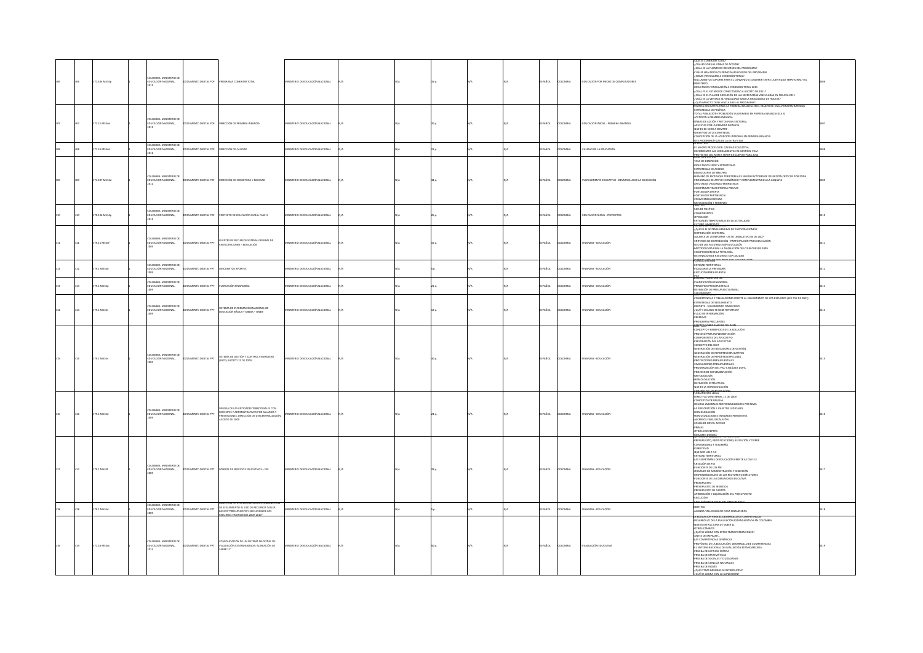|     |               |                                                |                            |                                                                                                                                                            |                                             |  |  |        |         |                                                    | JE ES CONEXION TOTA<br>CUÁLES SON LAS LÍNEAS DE ACCIÓN?<br>-COMES SON DO ENCOR DE MECION<br>-CUALES LA FUENTE DE RECURSOS DEL PROGRAMA?<br>-CUALES HAN SIDO LOS PRINCIPALES LOGROS DEL PROGRAMA                                                                                                                                                                                                                                                                                                                                                                                                                                      |  |
|-----|---------------|------------------------------------------------|----------------------------|------------------------------------------------------------------------------------------------------------------------------------------------------------|---------------------------------------------|--|--|--------|---------|----------------------------------------------------|--------------------------------------------------------------------------------------------------------------------------------------------------------------------------------------------------------------------------------------------------------------------------------------------------------------------------------------------------------------------------------------------------------------------------------------------------------------------------------------------------------------------------------------------------------------------------------------------------------------------------------------|--|
|     | 71.334 MS34p  | MBIA: MINISTERIO DI<br>EDUCACIÓN NACIONAL,     | OCUMENTO DIGITAL PDF       | ROGRAMA CONEXIÓN TOTAL                                                                                                                                     | INISTERIO DE EDUCACIÓN NACIONAL             |  |  | PAÑOL  | LOMBIA  | EDUCACIÓN POR MEDIO DE COMPUTADORES                | ¿CÓMO VINCULARSE A CONEXIÓN TOTAL?<br>DOCUMENTOS SOPORTE PARA EL CONVENIO A SUSCRIBIR ENTRE LA ENTIDAD TERRITORIAL Y EL<br>OIRSTERIO<br>RESULTADOS VINCULACIÓN A CONFIDÓN TOTAL 2011<br>-RESULTADUS VIRGUINICAIN A CONECTIVIDAD A AGOSTO DE 2011?<br>-¿CUÁL ES EL ESTADO DE CONECTIVIDAD A AGOSTO DE 2011?<br>-¿CUÁL ES EL PLAN DE EJECUCIÓN DE LAS SECRETARÍAS VINCULADAS EN FIDUCIA 2011<br>¿CUÁL ES LA VENTAJA AL VINCULARSE BAJO LA MODALIDAD DE FIDUCIA?                                                                                                                                                                        |  |
|     | 72.21 M534e   | COLOMBIA: MINISTERIO DE<br>EDUCACIÓN NACIONAL. | OCUMENTO DIGITAL PDF       | DIRECCIÓN DE PRIMERA INFANCIA                                                                                                                              | NISTERIO DE EDUCACIÓN NACIONAL              |  |  | SPAÑOL | LOMBIA  | EDUCACIÓN INICIAL - PRIMERA INFANCIA               | <u>JOUÉ IMPACTO TIENE VINCULARSE AL PROGRAMA?</u><br>POLÍTICA EDUCATIVA PARA LA PRIMERA INFANCIA EN EL MARCO DE UNA ATENCIÓN INTEGRAL<br><b>ESTRATEGIAS DE POLÍTICA</b><br>TOTAL POBLACIÓN Y POBLACIÓN VULNERABLE EN PRIMERA INFANCIA (0 A 5)<br>ATENCIÓN A PRIMERA INFANCIA<br>LÍNEAS DE ACCIÓN Y RETOS PLAN SECTORIAL<br>-APUESTAS POR LA PRIMERA INFANCIA<br>HOLLES DE CERO A SIEMPRE<br>-QUE ES DE CERO A SIEMPRE<br>-CONCEPCIÓN DE LA ATENCIÓN INTEGRAL EN PRIMERA INFANCIA                                                                                                                                                     |  |
|     | 1.26 M534d    | COLOMBIA: MINISTERIO DE<br>EDUCACIÓN NACIONAL, | <b>CUMENTO DIGITAL PDF</b> | IRECCIÓN DE CALIDAD                                                                                                                                        | <b>ISTERIO DE EDUCACIÓN NACIONAL</b>        |  |  | PAÑOL  | LOMBIA  | CALIDAD DE LA EDUCACIÓN                            | -LIES PROGRAMÁTICAS DE LA ESTRATEGIA<br>LA POLITICA<br>-EL MACRO PROCESO DE: CALIDAD EDUCATIVA<br>-RECORDEMOS LAS HERRAMIENTAS DE GESTIÓN: PAM<br>PROYECTOS DEL MEN A TENER EN CUENTA PARA 2012                                                                                                                                                                                                                                                                                                                                                                                                                                      |  |
|     | 171.207 MS34d | COLOMBIA: MINISTERIO DE<br>EDUCACIÓN NACIONAL, | CUMENTO DIGITAL PDF        | DIRECCIÓN DE COBERTURA Y EQUIDAD                                                                                                                           | <b><i>ASTERIO DE EDUCACIÓN NACIONAL</i></b> |  |  | AÑOL   | LOMBIA  | LANEAMIENTO EDUCATIVO - DESARROLLO DE LA EDUCACIÓN | TASA DE DESERCIÓN<br>-RESULTADOS ENDE Y ESTRATEGIAS<br>"HUGULFUOU ENDA" L'EUTRITUAIRE<br>- ESTRATEGIAS DE BRECENSO<br>- ESTRATEGIAS DE BRECENSO<br>- NÚMERO DE ENTIDADES TERRITORIALES SEGÚN FACTORES DE DESERCIÓN CRÍTICOS POR ZONA<br>- PROGRAMAS DE APOYO ECONÓMICO Y COMPLEMENTARIO A LA CANA<br>AFF(TADOS VIOLENCIA EMERGENCIA<br>AFECTADOS VIOLENCIA-EMERIGENCIA<br>COMPENSAR TRAYECTORIAS PREVIAS<br>FORTALECER OFERTA<br>-FORTALECER PERTINENCIA<br>-CONVIVENCIA ESCOLAR<br>MOVILIZACIÓN Y FOM                                                                                                                               |  |
|     | 70.196 MS34o  | COLOMBIA: MINISTERIO DE<br>EDUCACIÓN NACIONAL  | <b>CUMENTO DIGITAL PDF</b> | ROYECTO DE EDUCACIÓN RURAL FASE II                                                                                                                         | <b>ISTERIO DE EDUCACIÓN NACIONAL</b>        |  |  | SPAÑOL | LOMBIA  | EDUCACIÓN RURAL - PROYECTOS                        | EJES DE POLÍTICA<br>-COMPONENTES<br>OPERACIÓN<br>ENTIDADES TERRITORIALES EN LA ACTUALIDAD<br><b>LIPO INMEDIATO</b>                                                                                                                                                                                                                                                                                                                                                                                                                                                                                                                   |  |
|     | 79.11 M534f   | COLOMBIA: MINISTERIO DE<br>EDUCACIÓN NACIONAL, | CUMENTO DIGITAL PPT        | FUENTES DE RECURSOS SISTEMA GENERAL DE<br>ARTICIPACIONES - EDUCACIÓN                                                                                       | <b><i>ESTERIO DE EDUCACIÓN NACIONAL</i></b> |  |  | PAÑOL  | LOMBIA  | NANZAS - EDUCACIÓN                                 | - AQUÉ ES EL SISTEMA GENERAL DE PARTICIPACIONES?<br>-COOR ES EL SESTEMA DEMENSE DE PARTICIPACIONES I<br>-DISTRIBUCIÓN SECTORIAL<br>-ALCANCE DE LA REFORMA - ACTO LEGISLATIVO O4 DE 2007<br>-CRITERIOS DE DISTRIBUCIÓN - PARTICIPACIÓN PARA EDUCACIÓN<br>-USO DE LOS RECURSOS SGP EDUCACIÓN<br>METODOLOGÍA PARA LA ASIGNACIÓN DE LOS RECURSOS 2009<br>-METODOLOGIA PARA LA ASIGNALION DE<br>-COMPOSICIÓN DE LA TIPOLOGÍA<br>-DESTINACIÓN DE RECURSOS SGP CALIDAD<br>CANEACIÓN MEN **                                                                                                                                                  |  |
|     | 9.1 MS34d     | COLOMBIA: MINISTERIO DE<br>EDUCACIÓN NACIONAL, | CUMENTO DIGITAL PPT        | ESCUENTOS APORTES                                                                                                                                          | <b>ESTERIO DE EDUCACIÓN NACIONAL</b>        |  |  | AÑOL   |         | NANZAS - EDUCACIÓN                                 | ENTIDAD TERRITORIAL<br>-FIDUCIARIA LA PREVISORA<br>EJECUCIÓN PRESUPUESTAL                                                                                                                                                                                                                                                                                                                                                                                                                                                                                                                                                            |  |
|     | 9.1 MS34p     | COLOMBIA: MINISTERIO DE<br>EDUCACIÓN NACIONAL, | <b>IMENTO DIGITAL PPT</b>  | ANEACIÓN FINANCIERA                                                                                                                                        | STERIO DE EDUCACIÓN NACIONAL                |  |  | AÑOL   |         | ANZAS - EDUCACIÓN                                  | <u>PAC</u><br>ISTEMA PRESUPUESTAL<br>PLANIFICACIÓN FINANCIERA<br>PRINCIPIOS PRESUPUESTALES<br>INFENIOUS OF PRESIDENTO AN IAL                                                                                                                                                                                                                                                                                                                                                                                                                                                                                                         |  |
|     | 79.1 MS34s    | COLOMBIA: MINISTERIO DE<br>EDUCACIÓN NACIONAL, | OCUMENTO DIGITAL PPT       | SISTEMA DE INFORMACIÓN NACIONAL DE<br>DUCACIÓN BÁSICA Y MEDIA - SINEB                                                                                      | <b>ASTERIO DE EDUCACIÓN NACIONAL</b>        |  |  | PAÑOL  | LOMBIA  | NANZAS - EDUCACIÓN                                 | COMPETENCIAS Y OBLIGACIONES FRENTE AL SEGUIMIENTO DE LOS RECURSOS (LEY 715 DE 2001)<br>-COMPETENCIAS Y OBDISACIONES FRENT<br>-ESTRATEGIAS DE SEGUIMIENTO<br>-REPORTE - SEGUIMIENTO FINANCIERO<br>-¿QUÉ Y CUÁNDO SE DEBE REPORTAR?<br>-FLUJO DE INFORMACIÓN<br>-TLOSO DE TRI ORIGINADOR<br>-PREMISAS<br>-PROBLEMAS FRECUENTES                                                                                                                                                                                                                                                                                                         |  |
| 115 | 179.1 MS34s   | OLOMBIA: MINISTERIO DE<br>EDUCACIÓN NACIONAL,  | OCUMENTO DIGITAL PPT       | SISTEMA DE GESTIÓN Y CONTROL FINANCIERO<br>SGCF) AGOSTO 21 DE 2009                                                                                         | NISTERIO DE EDUCACIÓN NACIONAL              |  |  | AÑOL   | LOMBIA  | INANZAS - EDUCACIÓN                                | 656706.64<br>CONCERTO Y RENEFICIOS DE LA SOLUCIÓN<br>-CONCEPTO T BENEFICIOS DE DA SOL<br>-PROCESO PARA IMPLEMENTACIÓN<br>-COMPONENTES DEL APLICATIVO<br>-EXPLORACIÓN DEL APLICATIVO<br>CONCEPTO DEL SGCF<br>-CONCEPTO DEL SOCI<br>-GENERACIÓN DE INDICADORES DE GESTIÓN<br>-GENERACIÓN DE REPORTES EXPLICATIVOS<br>-GENERACIÓN DE REPORTES ESPECIALES<br>-PROYECCIONES PRESUPUESTALES<br>-SIMULACIONES PRESUPUESTALES<br>PROGRAMACIÓN DEL PAC Y ANÁLISIS DOFA<br>PROCESO DE IMPLEMENTACIÓN<br>-METODOLOGÍA<br><b>HOMOLOGACIÓN</b><br>-DEFINICIÓN ESTRUCTURA<br>QUE ES LA HOMOLOGACIÓN                                                |  |
| 116 | 79.1 MS34d    | MBIA: MINISTERIO DI<br>EDUCACIÓN NACIONAL,     | CUMENTO DIGITAL PPT        | .<br>DÉUDAS DE LAS ENTIDADES TERRITORIALES CON<br>DOCENTES Y ADMINISTRATIVOS POR SALARIOS Y<br>RESTACIONES, DIRECCIÓN DE DESCENTRALIZACIÓN<br>OSTO DE 2009 | NISTERIO DE EDUCACIÓN NACIONAL              |  |  | AÑOL   | LOMBIA  | INANZAS - EDUCACIÓN                                | EIEMBLO DE HOMOLI<br>UNDAMENTO LEGAL<br>DIRECTIVA MINISTERIAL 11 DE 2009<br>CONCEPTOS DE DEUDAS<br>-LOEILDAS LABORALES RESPONSABILIDADES POR NIVEL<br>-LA PRESCRIPCIÓN Y ASUNTOS JUDICIALES<br>-HOMOLOGACIÓN<br>-HOMOLOGACIONES ENTIDADES PENDIENTES<br>ASCENSOS EN EL ESCALAFÓN<br>-20NAS DE DIFICIL ACCESO<br>-OTROS CONCEPTOS<br>-RESUMEN DEUDAS                                                                                                                                                                                                                                                                                  |  |
| 417 | 379.1 MS34f   | DLOMBIA: MINISTERIO DE<br>EDUCACIÓN NACIONAL,  | OCUMENTO DIGITAL PPT       | FONDOS DE SERVICIOS EDUCATIVOS - FSE                                                                                                                       | INISTERIO DE EDUCACIÓN NACIONAL             |  |  | PAÑOL  | LOMBIA  | INANZAS - EDUCACIÓN                                | DEFINICION, CREACION Y ESTROCTORA<br>-PRESUPUESTO, MODIFICACIONES, EJECUCIÓN Y CIERRE<br>-CONTABILIDAD Y TESORERÍA<br>GACIOLISTS.<br>QUE SON LOS F.S.E<br>-<br>ENTIDAD TERRITORIAL<br>-LAS SECRETARÍAS DE EDUCACIÓN FRENTE A LOS F.S.E<br>-DAS SECRETARIAS DE EDUCACION FRENTE A LUI<br>-CREACIÓN DE FSE<br>-FUNCIONES DE LOS FSE<br>-ÓRGANOS DE ADMINISTRACIÓN Y DIRECCIÓN<br>-RESPONSIBILIDADES DE LOS RECTORES O DIRECTORES<br>-RESPONSIBILIONDES DE LOS RECTORES O DIRI<br>-FUNCIONES DE LA COMUNIDAD EDUCATIVA<br>-PRESLIPUESTO DE INGRESOS<br>PRESUPLIESTO DE GASTOS<br>-APROBACIÓN Y LIQUIDACIÓN DEL PRESUPUESTO<br>EJECUCIÓN |  |
|     | 79.1 MS34d    | COLOMBIA: MINISTERIO DE<br>EDUCACIÓN NACIONAL  | UMENTO DIGITAL PPT         | COON DE DESCI<br>DE SEGUIMIENTO AL USO DE RECURSOS TALLER<br>BÁSICO "PRESUPUESTO Y EJECUCIÓN DE LOS<br>IRSOS FINANCIFROS 2009-2010"                        | STERIO DE EDUCACIÓN NACIONAL                |  |  | SPAÑOL | AISMOJI | FINANZAS - EDUCACIÓN                               | OUTHEO<br>-<br>AGENDA TALLER BÁSICO PARA FINANCIEROS                                                                                                                                                                                                                                                                                                                                                                                                                                                                                                                                                                                 |  |
|     | 171.26 M534c  | COLOMBIA: MINISTERIO DE<br>EDUCACIÓN NACIONAL, | DOCUMENTO DIGITAL PPT      | ONSOLIDACIÓN DE UN SISTEMA NACIONAL DE<br>EVALUACIÓN ESTANDARIZADA: ALINEACIÓN DE<br>ABER 11"                                                              | NISTERIO DE EDUCACIÓN NACIONAL              |  |  | AÑOL   | LOMBIA  | EVALUACIÓN EDUCATIVA                               | A FINE ACTIVE PARA FETH SARRENTEEDS COMPETENCY<br>-OTROS CAMBIOS<br>- JOUÉ SE LOGRA CON ESTAS TRANSFORMACIONES?<br>-CUUS SE LUGINI CUN ESTAS TRANSFURINACIONES?<br>-ANTES DE EMPEZAR<br>-PROPÓSITO DE LA EDUCACIÓN: DESARROLLO DE COMPETENCIAS<br>-EL SISTEMA NACIONAL DE EVALUACIÓN ESTANDARIZADA<br>-PRUEBA DE LECTURA CRÍTICA<br>-PRUEBA DE MATEMÁTICAS<br>PRUEBA DE SOCIALES Y CIUDAD<br>-PRUEBA DE CIENCIAS NATURALES<br>PRUEBA DE INGLÉS<br>-JOUE OTRAS MEJORAS SE INTRODUCEN?<br><b>LES FLOGRA CON LA ALIMEA</b>                                                                                                              |  |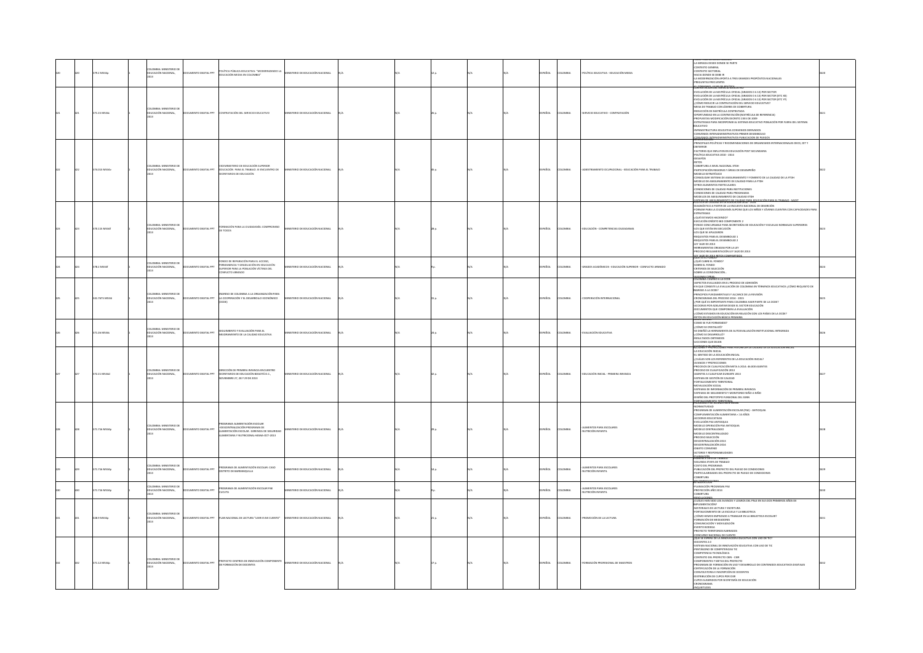|  | 19.2 MS34o          | OMBIA: MINISTERIO DI<br><b>DUCACIÓN NACIONAL</b>             | TPP JATION OTHER      | <b>JUÍTICA PÚBLICA EDUCATIVA: "MODERNIZANDO L</b><br>DUCACIÓN MEDIA EN COLOMBIA                                                                                 | MINISTERIO DE EDUCACIÓN NACIONAL      |  |  | PAÑOL        | <b>I</b> OMARIA | POLÍTICA EDUCATIVA - EDUCACIÓN MEDIA                      | LA MIRADA DESDE DONDE SE PARTE<br>CONTEXTO GENERAL<br>CONTEXTO SECTORIAL<br>-LOMI EXID SECTIONAL<br>-HACIA DONDE SE DEBE IR<br>-HACIA DONDE SE DEBE IR<br>-PREGUNTAS FRECUENTES<br><b>SA CONSTANTO A SHEE DE DOLLAR DE DELCATIVO</b>                                                                                                                                                                                                                                                                                                                                                                                                                                                                                                                                                                        |  |
|--|---------------------|--------------------------------------------------------------|-----------------------|-----------------------------------------------------------------------------------------------------------------------------------------------------------------|---------------------------------------|--|--|--------------|-----------------|-----------------------------------------------------------|-------------------------------------------------------------------------------------------------------------------------------------------------------------------------------------------------------------------------------------------------------------------------------------------------------------------------------------------------------------------------------------------------------------------------------------------------------------------------------------------------------------------------------------------------------------------------------------------------------------------------------------------------------------------------------------------------------------------------------------------------------------------------------------------------------------|--|
|  | 171.15 M534c        | .<br>DLOMBIA: MINISTERIO DE<br>DUCACIÓN NACIONAL,            | MENTO DIGITAL PPT     | ONTRATACIÓN DEL SERVICIO EDUCATIVO                                                                                                                              | STERIO DE EDUCACIÓN NACIONAL          |  |  |              |                 | ERVICIO EDUCATIVO - CONTRATACIÓN                          | -EVOLUCIÓN DE LA MATRÍCULA OFICIAL (GRADOS 0 A 13) POR SECTOR<br>-EVOLUCIÓN DE LA MATRÍCULA OFICIAL (GRADOS 0 A 13) POR SECTOR (ETC.XX)<br>EVOLUCIÓN DE LA MATRÍCULA OFICIAL (GRADOS 0 A 13) POR SECTOR (ETC YY)<br>CÓMO REDUCIR LA CONTRATACIÓN DEL SERVICIO EDUCATIVO<br>-CLOMO REDUCAN LA CUNTINITATION DEL SERVITO EDUCATIVO?<br>- MESA DE TRABAJO CON LÍDERES DE COBERTURA<br>- REDUCCIÓN DE MATRÍCULA CONTRATADA<br>- OPORTUNIDAD EN LA CONTRATACIÓN (MATRÍCULA DE REFERENCIA)<br>-PROPUESTAS MODIFICACIÓN DECRETO 2355 DE 2009<br>-ESTRATEGIAS PARA INCORPORAR AL SISTEMA EDUCATIVO POBLACIÓN POR FUERA DEL SISTEMA<br><b>FOLICATIVO</b><br>UNDERSTRUCTURA FOUCATIVA CONVENIOS DERIVADOS<br>ONVENIOS INTERADMINISTRATIVOS PRIMER DESEMBOLSO<br>CONVENIOS INTERADMINISTRATIVOS PUBLICACION DE PLIEGOS |  |
|  | 174.013 MS34v       | :<br>Olombia: Ministerio de<br>Ducación Nacional,            | LUMENTO DIGITAL PPT   | VICEMINISTERIO DE EDUCACIÓN SUPERIOR<br>EDUCACIÓN: PARA EL TRABAJO: III ENCUENTRO DE<br>SECRETARIOS DE EDUCACIÓN                                                | NISTERIO DE EDUCACIÓN NACIONAL        |  |  |              |                 | DIESTRAMIENTO OCUPACIONAL - EDUCACIÓN PARA EL TRABAJO     | -<br>PRINCIPALES POLÍTICAS Y RECOMENDACIONES DE ORGANISMOS INTERNACIONALES OECD, OIT Y<br><b>CINTERFOR</b><br>-FACTORES QUE INFLUYEN EN EDUCACIÓN POST SECUNDARIA<br>POLÍTICA EDUCATIVA 2010 - 2014<br>DESAFÍOS<br>-RETOS<br>-COBERTURA A NIVEL NACIONAL ETDH<br>-PARTICIPACIÓN REGIONES Y ÁREAS DE DESEMPEÑO<br>-MODELO ESTRATÉGICO<br>CONSOLIDAR SISTEMA DE ASEGURAMIENTO Y FOMENTO DE LA CALIDAD DE LA FTDH<br>MODELO DE ASEGURAMIENTO DE CALIDAD PARA LA FTDH<br>-MUJELU DE ASEGUIMMIENTO DE CHIDAD PARA<br>-CONDICIONES DE CALIDAD PARA INSTITUCIONES<br>-CONDICIONES DE CALIDAD PARA INSTITUCIONES<br>-MODELOS DE ASEGURAMIENTO DE CALIDAD ETDE<br><b>POLITICA DE ASSOURAMENTO DE CAUDIO PARA SO</b>                                                                                                  |  |
|  | 70.115 MS34f        | OMBIA: MINISTERIO DE<br>EDUCACIÓN NACIONAL                   | OCUMENTO DIGITAL PPT  | FORMACIÓN PARA LA CIUDADANÍA: COMPROMISO<br>DE TODOS                                                                                                            | MINISTERIO DE EDUCACIÓN NACIONAL      |  |  | PAÑOL        | <b>LOMBIA</b>   | EDUCACIÓN - COMPETENCIAS CIUDADANAS                       | DIAGNÓSTICO A PARTIR DE LA ENCUESTA NACIONAL DE DESERCIÓN<br>FORMAR PARA LA CIUDADANÍA SUPONE QUE LOS NIÑOS Y JÓVENES CUENTEN CON CAPACIDADES PA<br><b>ESTRATEGIAS</b><br>-ESIUNTERING<br>-{DIECISION ORENTO BID COMPONENTE 2<br>-EJECUCIÓN CRÉDITO BID COMPONENTE 2<br>-FONDO CONCURSABLE PARA SECRETARÍAS DE EDUCACIÓN Y ESCUELAS NORMALES SUPERIORES<br>-LOS QUE ESTÁN EN EJECUCIÓN<br>LOS QUE SE APLAZARON<br>-REQUISITOS PARA EL DESEMBOLSO 1<br>-REQUISITOS PARA EL DESEMBOLSO 2<br>-RELIOISHTOS PARALEL DESEMBOLSO Z<br>-LEFY 1620 DE 2013<br>-HERRAMIENTAS CREADAS POR LA LEY<br>-PROCESO REGLAMENTACIÓN LEY 1620 DE 2013                                                                                                                                                                           |  |
|  | <b>1652MCRE</b>     | LOMBIA: MINISTERIO DI<br>UCACIÓN NACIONAL                    | MENTO DIGITAL PPT     | ONDO DE REPARACIÓN PARA EL ACCESO.<br>DROD DE REFRIREDAVERIR EL RECESO,<br>ERMANENCIA Y GRADUACIÓN EN EDUCACIÓN<br>ONFLICTO ARMADO                              | <b>IANTERIO DE EDUCACIÓN NACIONAL</b> |  |  | inGas        |                 | GRADOS ACADÉMICOS - EDUCACIÓN SUPERIOR - CONFLICTO ARMADO | EX 1620 DE 2013 BETOS COM<br>-JOUE CUBRE EL FONDO?<br>-ELECCIONAL LE TONDOT                                                                                                                                                                                                                                                                                                                                                                                                                                                                                                                                                                                                                                                                                                                                 |  |
|  | 341.7675 M534i      | OMBIA: MINISTERIO DI<br>DUCACIÓN NACIONAL,                   | LUMENTO DIGITAL PPT   | NGRESO DE COLOMBIA A LA ORGANIZACIÓN PARA<br>LA COOPERACIÓN Y EL DESARROLLO ECONÓMICO                                                                           | <b>USTERIO DE EDUCACIÓN NACIONAL</b>  |  |  | PAÑOL        | <b>MBIA</b>     | OOPERACIÓN INTERNACIONAL                                  | ALGUNAS CIFRAS<br>COLOMBIA CAMINO A LA OCDE<br>- ASPECTOS EVALUADOS EN EL PROCESO DE ADHESIÓN<br>-EN QUE CONSISTE LA EVALUACIÓN DE COLOMBIA EN TÉRMINOS EDUCATIVOS ¿CÓMO REQUISITO DE<br>INGRESO A LA OCDE?<br>-PRINCIPIOS FUNDAMENTALES Y ALCANCE DE LA REVISIÓN<br>-CRONOGRAMA DEL PROCESO 2014 - 2015<br>-¿POR QUÉ ES IMPORTANTE PARA COLOMBIA HAER PARTE DE LA OCDE?<br>ACCIONES POR ADELANTAR DESDE EL SECTOR EDUCACIÓN<br>DOCUMENTOS QUE COMPONEN LA EVALUACIÓN<br>COMENTOS QUE COMPONEN DE ENSINONES<br>CÓMO ESTAMOS EN EDUCACIÓN EN RELACIÓN CON LOS PAÍSES DE LA OCDE?<br>RETOS EN EDUCACIÓN BÁSICA PRIMARIA                                                                                                                                                                                       |  |
|  | <b>371 26 MS34c</b> | LOMBIA: MINISTERIO DE<br>DUCACIÓN NACIONAL                   | T99 IATING OTHERS IDO | IMIENTO Y EVALUACIÓN PARA EL<br>MEJORAMIENTO DE LA CALIDAD EDUCATIVA                                                                                            | INSTERIO DE EDUCACIÓN NACIONAL        |  |  | <b>IORAS</b> | <b>COMBIA</b>   | VALUAÇIÓN FOLICATIVA                                      | COMO SE FUE FORMANDO?<br>CÓMO SE CRISTALIZÓ?<br>-<br>SE DISEÑÓ LA HERRAMIENTA DE AUTOEVALUACIÓN INSTITUCIONAL INTEGRADA<br>SE DISENO DI HERRAMIEI<br>-¿CÓMO SE DESARROLLÓ?<br>-RESULTADOS OBTENIDOS<br>-LECCIONES QUE DEJAN                                                                                                                                                                                                                                                                                                                                                                                                                                                                                                                                                                                 |  |
|  | 72.21 M534d         | ilombia: Ministerio de<br>Ijcación Nacional,                 | CUMENTO DIGITAL PPT   | DIRECCIÓN DE PRIMERA INFANCIA ENCUENTRO<br>SECRETARIOS DE EDUCACIÓN BOGOTÁ D.C.,<br>OVIEMBRE 27, 28 Y 29 DE 2013                                                | STERIO DE EDUCACIÓN NACIONAL          |  |  | AÑOL         |                 | DUCACIÓN INICIAL - PRIMERA INFANCIA                       | -LA EDUCACIÓN INICIAL<br>EL SENTIDO DE LA EDUCACIÓN INICIAL<br>CUÁLES SON LOS REFERENTES DE LA EDUCACIÓN INICIAL?<br>-LOWILLES SUN LOS RIFERIENIS DE LA EDUCACION INICIAL?<br>-AVANCES Y PROYECCIONES<br>-PROCESOS DE CUALIFICACIÓN X013<br>-PROCESO DE CUALIFICACIÓN 2013<br>-RGENTES A CUALIFICAR DURANTE 2013<br>-SISTEMA DE GESTIÓN DE CALIDAD<br>-FORTALECIMIENTO TERRITORIAL<br>-MOVILIZACIÓN SOCIAL<br>-<br>-SISTEMAS DE INFORMACIÓN DE PRIMERA INFANCIA<br>-SISTEMAS DE SEGUIMENTO Y MONITOREO NIÑO A NIÑO<br>-DISEÑO DEL PROTOTIPO FUNSIONAL DEL SSNN<br>FORTALECIMIENTO TERRITORIAL                                                                                                                                                                                                               |  |
|  | 371.716 MS34p       | COLOMBIA: MINISTERIO DE<br>EDUCACIÓN NACIONAL,               | OCUMENTO DIGITAL PPT  | <b>PROGRAMA ALIMENTACIÓN ESCOLAR<br/>-OESCENTRALIZACIÓN PROGRAMA DE</b><br>ALIMENTACIÓN ESCOLAR. GERENCIA DE SEGURIDAD<br>UMENTARIA Y NUTRICIONAL-MANA-OCT-2013 | INSTERIO DE EDUCACIÓN NACIONAL        |  |  | PAÑOL        | <b>JLOMBIA</b>  | UMENTOS PARA ESCOLARES<br>NUTRICIÓN INFANTIL              | OACIVITAM/ROM-<br>-PROGRAMA DE AUMENTACIÓN ESCOLAR (PAE) - ANTIOQUIA<br>COMPLEMENTACIÓN ALIMENTARIA « 14 AÑOS<br>ACCIONES EDUCATIVAS<br>-ALLIUNES EDUCATIVAS<br>-EVOLUCIÓN PAE ANTIOQUIA<br>-MODELO OPERACIÓN PAE ANTIOQUIA<br>-MODELO CENTRALIZADO<br>-MODELO DESCENTRALIZADO<br><b>MOCESO SELECCIÓN</b><br>PESCENTRALIZACIÓN 2013<br>-DESCENTINALIZACIÓN 2014<br>-DESCENTRALIZACIÓN 2014<br>-ACTORES Y RESPONSABILIDADES                                                                                                                                                                                                                                                                                                                                                                                  |  |
|  | 21.216 MS34n        | LOMBIA: MINISTERIO DI<br>UCACIÓN NACIONAL                    | THE IATION OTHER      | ROGRAMA DE ALIMENTACIÓN ESCOLAR: CASO<br><b>ISTRITO DE BARRANQUILLA</b>                                                                                         | NISTERIO DE EDUCACIÓN NACIONAL        |  |  | <b>IORAS</b> |                 | AUMENTOS PARA ESCOLARES<br><b>IUTRICIÓN INFANTIL</b>      | SEGUNDA ETAPA DE TRABAJO<br>COSTO DEL PROGRAMA<br>PUBLICACIÓN DEL PROVECTO DEL PUEGO DE CONDICIONES<br>PARTICULARIDADES DEL PROYECTO DE PUEGO DE CONDICIONES<br>COBERTURA                                                                                                                                                                                                                                                                                                                                                                                                                                                                                                                                                                                                                                   |  |
|  | 171.716 MS34p       | OMBIA: MINISTERIO DE<br>UCACIÓN NACIONAL,                    | TRA JATION OTHER      | ROGRAMA DE ALIMENTACIÓN ESCOLAR PAE<br>UCUTA                                                                                                                    | <b>USTERIO DE EDUCACIÓN NACIONAL</b>  |  |  | PAÑOL        |                 | UMENTOS PARA ESCOLARES<br><b>IUTRICIÓN INFANTIL</b>       | BECOMENDACIO<br>-PLANEACIÓN PROGRAMA PAE<br>PROYECCIÓN AÑO 2014<br>COBERTURA                                                                                                                                                                                                                                                                                                                                                                                                                                                                                                                                                                                                                                                                                                                                |  |
|  | 28.9 MS34p          | LOMBIA: MINISTERIO DE<br>DUCACIÓN NACIONAL,                  | TRA JATIOU OTNEM      | PLAN NACIONAL DE LECTURA "LEER ES MI CUENTO"                                                                                                                    | MINISTERIO DE EDUCACIÓN NACIONAL      |  |  | AÑOL         |                 | NOMOCIÓN DE LA LECTURA                                    | -RESOLUCIONES<br>¿CUÁLES HAN SIDO LOS AVANCES Y LOGROS DEL PNLE EN SUS DOS PRIMEROS AÑOS DE<br>IMPLEMENTACIÓN?<br>-MATERIALES DE LECTURA Y ESCRITURA<br>FORTAL FOMENTO DE LA ESCUELA Y LA RIBUOTECA<br>-TORI MEDIMIENTO DE LA ESCUEDA TIA BIBLIOTECA<br>-{CÓMO HEMOS EMPEZADO A TRABAJAR EN LA BIBLIOTECA ESCOLAR?<br>-FORMACIÓN DE MEDIADORES<br>-COMUNICACIÓN Y MOVILIZACIÓN<br>EVENTO BODEGA<br>PROYECTO TERRITORIOS NARRADOS<br>CONCURSO NACIONAL DE CUENTO<br>¿QUE SE ESPERA DE LA INNOVACIÓN EDUCA                                                                                                                                                                                                                                                                                                    |  |
|  | 171.12 M534p        | <b>CERIO DI</b><br>LOMBIA: MINISTERIO I<br>UCACIÓN NACIONAL, | CUMENTO DIGITAL PPT   | PROYECTO CENTROS DE INNOVACIÓN COMPONENTI<br>DE FORMACIÓN DE DOCENTES                                                                                           | NISTERIO DE EDUCACIÓN NACIONAL        |  |  | AÑOL         |                 | RMACIÓN PROFESIONAL DE MAESTROS                           | DOCENTES 2.0<br>-SISTEMA NACIONAL DE INNOVACIÓN EDUCATIVA CON USO DE TIC<br>-PENTÁGONO DE COMPETENCIAS TIC<br>-PENTHONNO DE COMPETENCIAS TIC<br>-COMPETENCIA TECNOLÓGICA<br>-CONTEXTO DEL PROYECTO CIEN - CIER<br>COMPONENTES Y METAS DEL PROYECTO<br>-<br>PROGRAMA DE FORMACIÓN EN USO Y DESARROLLO DE CONTENIDOS EDUCATIVOS DIGITALES<br>-CERTIFICACIÓN DE LA FORMACIÓN<br>CONVOCATORIA E INSCRIPCIÓN DE DOCENTES<br>DISTRIBUCIÓN DE CUROS POR CIE<br>DISTRIBUCION DE COPOS POR CIER<br>CUPOS SUGERIDOS POR SECRETARÍA DE EDUCACIÓN<br>CRONOGRAMA                                                                                                                                                                                                                                                         |  |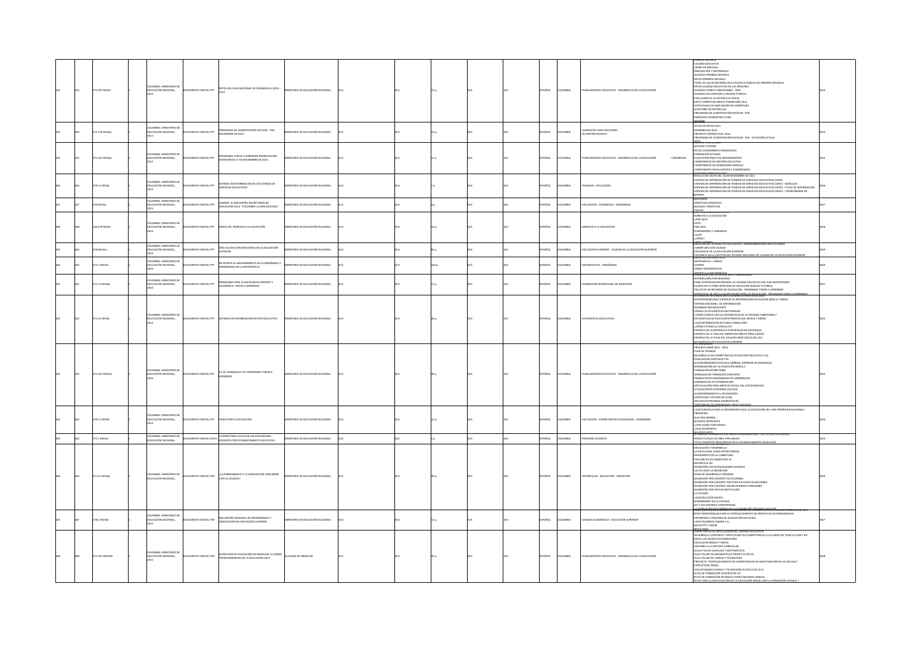|  | 171.207 MS34   | <b>QLOMBIA: MINISTERIO DE</b><br>EDUCACIÓN NACIONAL, | TRI JATION OTHER          | ETOS DEL PLAN NACIONAL DE DESARROLLO 2010 -                                                                 | NISTERIO DE EDUCACIÓN NACIONAL       |  |  | AÑOL        | OMRIA          | LANEAMIENTO EDUCATIVO - DESARROLLO DE LA EDUCACIÓN                | <b>NMEKA INFANLIA</b><br>CALIDAD EDUCATIVA<br>CIFREF OF REFCHAS<br>-LIERRE DE BRECHAS<br>-INNOVACIÓN Y PERTINENCIA<br>-AVANCES PRIMERA INFANCIA<br>-RETOS PRIMERA INFANCIA<br>-PAPEL DE LAS SECRETARÍAS EN LA POLÍTICA PÚBLICA DE PRIMERA INFANCIA<br>-RETOS CALIDAD EDUCATIVA EN LAS REGIONES<br>-RETOS CADDIAD EDUCATIVA EN CAS REGIONE<br>-AVANCES EN ATENCIÓN A GRUPOS ÉTNICOS<br>-EVOLUCIÓN DE LA MATRÍCULA OFICAL<br>META COBERTURA BRUTA TRANSICIÓN 2013<br>ESTRATEGIAS DE AMPLIACIÓN DE COBERTURA<br>AUDITORÍA DE MATRÍCULA<br>PROGRAMA DE INFINICION<br>PROGRAMA DE ALIMENTACIÓN ESCOLAR - PAE<br>PENDIENTE INFRAESTRUCTURA                                                                                                                                                                    |  |
|--|----------------|------------------------------------------------------|---------------------------|-------------------------------------------------------------------------------------------------------------|--------------------------------------|--|--|-------------|----------------|-------------------------------------------------------------------|---------------------------------------------------------------------------------------------------------------------------------------------------------------------------------------------------------------------------------------------------------------------------------------------------------------------------------------------------------------------------------------------------------------------------------------------------------------------------------------------------------------------------------------------------------------------------------------------------------------------------------------------------------------------------------------------------------------------------------------------------------------------------------------------------------|--|
|  | 71.716 MS34o   | OLOMBIA: MINISTERIO DE<br>EDUCACIÓN NACIONAL         | OCUMENTO DIGITAL PPT      | OGRAMA DE ALIMENTACIÓN ESCOLAR - PAE -<br>OVIEMBRE DE 2013                                                  | NISTERIO DE EDUCACIÓN NACIONAL       |  |  | PAÑOL       | LOMBIA         | <b>UMENTOS PARA ESCOLARES</b><br>UTRICIÓN INFANTIL                | <b>ESTIQN</b><br>ACTAS DE INICIO 2013<br>DESEMBOLSO 2013<br>-PROCESO CONTRACTUAL 2014<br>PROGRAMA DE AUMENTACIÓN ESCOLAR - PAE - SITUACIÓN ACTUAL                                                                                                                                                                                                                                                                                                                                                                                                                                                                                                                                                                                                                                                       |  |
|  | 71.207 MS34p   | .<br>COLOMBIA: MINISTERIO DE<br>EDUCACIÓN NACIONAL,  | CUMENTO DIGITAL PPT       | PROGRAMA TODOS A APRENDER PRESENTACIÓN<br>SECRETARIOS 27 DE NOVIEMBRE DE 2013                               | <b>ASTERIO DE EDUCACIÓN NACIONAL</b> |  |  | PAÑOL       | LOMBIA         | LANEAMIENTO EDUCATIVO - DESARROLLO DE LA EDUCACIÓN<br>- CONGRESOS | 510 as tempos<br>GESTIÓN TUTORES<br><b>ETOS COMPONENTE PEDAGÓSICO</b><br>-FORMACIÓN SITUADA<br>-PLAN ESTRATÉGICO DE MEJORAMIENTO<br>COMPONENTE DE GESTIÓN EDUCATIVA<br>COMPONENTE DE CONDICIONES RÁSICAS<br>OMPONENTE MOVILIZACIÓN Y COMPROMISO                                                                                                                                                                                                                                                                                                                                                                                                                                                                                                                                                         |  |
|  | 9.11 M534s     | OMBIA: MINISTERIO DI<br>EDUCACIÓN NACIONAL,          | <b>IMENTO DIGITAL PPT</b> | ITEMA DE INFORMACIÓN DE LOS FONDOS DE<br>RVICIOS EDUCATIVOS                                                 | STERIO DE EDUCACIÓN NACIONAL         |  |  | AÑO         |                | VANZAS - EDUCACIÓN                                                | RESOLUCIÓN 16378 DEL 18 DE NOVIEMBRE DE 2013<br>misauxicum advisions. Ad an may mimimis die sales distrituitus (SIFSE)<br>-SISTEMA DE INFORMACIÓN DE FONDOS DE SERVICIOS EDUCATIVOS (SIFSE)<br>-SISTEMA DE INFORMACIÓN DE FONDOS DE SERVICIOS EDUCATIVOS (SIFSE) - MÓDULOS<br>-SISTEMA<br>EPORTE                                                                                                                                                                                                                                                                                                                                                                                                                                                                                                        |  |
|  | ) M534a        | COLOMBIA: MINISTERIO DE<br>EDUCACIÓN NACIONAL,       | NTO DIGITAL PPT           | SENDA III ENCUENTRO SECRETARIOS DE<br>UCACIÓN 2014 "COLOMBIA LA MÁS EDUCADA"                                | TERIO DE EDUCACIÓN NACIONAL          |  |  | AÑOL        |                | DUCACIÓN - CONGRESOS - SEMINARIOS                                 | OBJETIVOS GENERALES<br>BLOQUES TEMÁTICOS<br>ECHAS                                                                                                                                                                                                                                                                                                                                                                                                                                                                                                                                                                                                                                                                                                                                                       |  |
|  | 4.079 MS34     | COLOMBIA: MINISTERIO DE<br>EDUCACIÓN NACIONAL        | CUMENTO DIGITAL PPT       | ÍNDICE DEL DERECHO A LA EDUCACIÓN                                                                           | <b>ISTERIO DE EDUCACIÓN NACIONAL</b> |  |  | PAÑOL       | LOMBIA         | DERECHO A LA EDUCACIÓN                                            | DERECHO A LA EDUCACIÓN<br>Faup Roqu-<br>ICEES<br>-PISA 2012<br>-<br>-DIMENSIONES Y VARIABLES<br>-¿CÓMO?<br><b>SEACIÓN DEL SISTEMA DE EDUCACIÓN</b>                                                                                                                                                                                                                                                                                                                                                                                                                                                                                                                                                                                                                                                      |  |
|  | 8 M534m        | COLOMBIA: MINISTERIO DE<br>EDUCACIÓN NACIONAL        | <b>UMENTO DIGITAL PPT</b> | MÁS ACCESO CON EXCELENCIA EN LA EDUCACIÓN<br><b>ROIR3N</b>                                                  | <b>ISTERIO DE EDUCACIÓN NACIONAL</b> |  |  | SPAÑOL      | LOMBIA         | EDUCACIÓN SUPERIOR - CALIDAD DE LA EDUCACIÓN SUPERIOR             | -COBERTURA CON CAUDAD<br>EXCELENCIA DE LA EDUCACIÓN SUPERIOR<br><u>EEKJENCIA EN LA GESTIÓL</u>                                                                                                                                                                                                                                                                                                                                                                                                                                                                                                                                                                                                                                                                                                          |  |
|  | 2.7 MS34a      | COLOMBIA: MINISTERIO DE<br>EDUCACIÓN NACIONAL,       | <b>IMENTO DIGITAL PPT</b> | I APORTE AL MEJORAMIENTO DE LA ENSEÑANZA Y<br>RENDIZAJE DE LA MATEMÁTICA                                    | <b>STERIO DE EDUCACIÓN NACIONAL</b>  |  |  | AÑOL        | OM8M           | MATEMÁTICAS - ENSEÑANZA                                           | MATEMÁTICA = ORDEN<br>LOGROS<br>VIDEOS MATEMÁTICOS                                                                                                                                                                                                                                                                                                                                                                                                                                                                                                                                                                                                                                                                                                                                                      |  |
|  | 71.12 M534p    | .<br>COLOMBIA: MINISTERIO DE<br>EDUCACIÓN NACIONAL,  | <b>IMENTO DIGITAL PPT</b> | ROGRAMA PARA LA EXCELENCIA DOCENTE Y<br>CADÉMICA: TODOS A APRENDER                                          | MSTERIO DE EDUCACIÓN NACIONAL        |  |  | AÑOL        | LOMBIA         | ORMACIÓN PROFESIONAL DE MAESTROS                                  | <b>BOBTE ALAMATEMÁTICA.run</b><br>COMONICHONY, MOVINIZACION T COMPROMISO<br>-DISTRIBUCIÓN POR REGIONES<br>-PARA CONTINUAR MEJORANDO LA CALIDAD EDUCATIVA DEL PAÍS NECESITAMOS<br>-PLANTA DE TUTORES (PROCESO DE SELECCIÓN NUEVOS TUTORES)<br>TALLER DE SECRETARIOS DE EDUCACIÓN - PROGRAMA TODOS A APRENDER<br><b>STRATEGIA DE ARTICULACIÓN SECRETARÍAS DE EDUCACIÓN - PROGRAMA TODOS</b><br>KTEMAS DE INFORMACIÓN COLOMBIA LA MAS ADECUADA                                                                                                                                                                                                                                                                                                                                                             |  |
|  | 71.21 M534s    | OLOMRIA: MINISTERIO DI<br>EDUCACIÓN NACIONAL,        | UMENTO DIGITAL PPT        | STEMAS DE INFORMACIÓN SECTOR EDUCATIVO                                                                      | NISTERIO DE EDUCACIÓN NACIONAL       |  |  | AÑOL        | <b>OLOMBIA</b> | <b>ESTADÍSTICAS EDUCATIVAS</b>                                    | SISTENNIS DE INFORMANOUN COCOMBIN LA MAS ADECUADA<br>-INTEROPERABILIDAD SISTEMAS DE INFORMACIÓN EDUCACIÓN BÁSICA Y MEDIA<br>-SISTEMA NACIONAL DE INFORMACIÓN<br>INFORMACIÓN RELEVANTE<br>-CONSULTA ESTADÍSTICAS SECTORIALES<br>COMO CONSULTAR LAS ESTADÍSTICAS DE SU ENTIDAD TERRITORIAL?<br>-CLIMIO CONSIGUIAR DAS ESTADISTICAS DE SU ENTIDAD TERRIT<br>-ESTADÍSTICAS DE EDUCACIÓN PREESCOLAR, BÁSICA Y MEDIA<br>-{QUÉ INFORMACIÓN SE PUEDE CONSULTAR?<br>-{CÓMO FILTRAR LA CONSULTA?<br>EJEMPLO DE LA MATRÍCULA POR NIVELES EN ANTIOQUIA<br>EJEMPLO DE LA TASA DE COBERTURA BRUTA PARA CALDAS<br>JEMPLO DE LA FICHA DEL COLEGIO INEM ISAACS DE CALI<br>ESTADÍSTICAS DE EDUCACIÓN SUPERIOR                                                                                                             |  |
|  | 71.207 MS34m   | COLOMBIA: MINISTERIO DE<br>EDUCACIÓN NACIONAL        | TRA JATION OTHER          | S.E.M. MANIZALES Y EL PROGRAMA TODOS A<br>RENDER                                                            | NISTERIO DE EDUCACIÓN NACIONAL       |  |  | <b>IORA</b> | LOMBIA         | LANEAMIENTO EDUCATIVO - DESARROLLO DE LA EDUCACIÓN                | -PRUEBAS SABER 2012 - 2013<br>PLAN DE TRABAJO<br>DESARROLLO DE COMPETENCIAS EN GESTIÓN EDUCATIVA A SE<br>-DESHARDULD DE COMPRETENTIAIS EN GESTION EDUCATIVA A SE<br>-EVALUACIÓN CONTINUA PTA<br>-ACOMPAÑAMIENTO ESCUELA NORMAL SUPERIOR DE MANIZALES<br>-DINAMIZACIÓN DE LA COLECCIÓN SEMILLA<br>-FORMACIÓN ENTRE PARES<br>JORNADAS DE FORMACIÓN DOCENTES<br>TRABAJO POR COMUNIDADES DE APRENDIZAJE<br>ORNADAS DE AUTOFORMACIÓN<br>ARTICULACIÓN PNLE-SERVICIO SOCIAL DEL ESTUDIANTADO<br>UTILIZACIÓN PLATAFORMA GALYLEO<br>-ACOMPAÑAMIENTO A ESTUDIANTES<br>ESTRATEGIA: ESTUDIO DE CLASE<br>APLICACIÓN PRUEBAS DIAGNÓSTICA                                                                                                                                                                              |  |
|  |                | .<br>COLOMBIA: MINISTERIO DE<br>EDUCACIÓN NACIONAL,  |                           |                                                                                                             |                                      |  |  |             |                |                                                                   | MINIDAD OF ARR<br>-<br>- (QUÉ SIGNIFICA PARA EL MOVIMIENTO QUE LA EDUCACIÓN SEA UNA PRIORIDAD NACIONAL?<br>- REINITIBIOS<br>-CUDE SKINFILA PA<br>-PRINCIPIOS<br>-QUE NOS INSPIRA                                                                                                                                                                                                                                                                                                                                                                                                                                                                                                                                                                                                                        |  |
|  | 70.11 M534t    |                                                      | CUMENTO DIGITAL PPT       | DDOS POR LA EDUCACIÓN                                                                                       | STERIO DE EDUCACIÓN NACIONAL         |  |  | PAÑOL       | LOMBIA         | EDUCACIÓN - COMPETENCIAS CIUDADANAS - ENSEÑANZA                   | NUESTRA PROPUESTA<br>-/CON QUIÉN CONTAMOS?<br>OUE QUEREMOS?                                                                                                                                                                                                                                                                                                                                                                                                                                                                                                                                                                                                                                                                                                                                             |  |
|  | 371.1 MS34c    |                                                      |                           | COLOMBIA: MINISTERIO DE DOCUMENTO DIGITAL EXCEL CUADRO PARA CALCULAR LAS NECESIDADES<br>EDUCACIÓN NACIONAL, | INSTERIO DE EDUCACIÓN NACIONAL       |  |  | ESPAÑOL     | AISMOJO        | PERSONAL DOCENTE                                                  | -<br>NTENSIDAD HORARIA DE LAS AREAS FUNDAMI<br>HORAS TOTALES DE ÁREA POR GRADO                                                                                                                                                                                                                                                                                                                                                                                                                                                                                                                                                                                                                                                                                                                          |  |
|  | 171.21 M534p   | COLOMBIA: MINISTERIO DE<br>DUCACIÓN NACIONAL,        | OCUMENTO DIGITAL PDF      | A PERMANENCIA Y LA GRADUACIÓN CONCIERNE<br>ON LA CALIDAD?                                                   | INISTERIO DE EDUCACIÓN NACIONAL      |  |  | añn         | OMRIA          | MATRÍCULAS - EDUCACIÓN - DESERCIÓN                                | <b>FOTAL DOCENTES REQUERIDOS EN EL EST</b><br>EDUCACIÓN Y DESARROLLO<br>JA FRI CACIÓN COMO OPORTUNIDAD<br>INCREMENTO EN LA COBERTURA<br>-INCREMIENTO EN LA CUBERTIURA<br>-TASA BRUTA DE COBERTURA ES<br>-MATRÍCULA IES<br>-DESERCIÓN LAS DESIGUALDADES SOCIALES<br>LAS IES ANTE LA DESERCIÓN<br>20NA DE DESARROLLO PRÓXIMO<br>-DESERCIÓN POR COHORTE EN COLOMBIA<br>-DESERCIÓN POR COHORTE EN ROLOMBIA<br>-DESERCIÓN POR COHORTE POR PUNTAIE ICFES EN COLOMBIA<br>-DESERCIÓN POR COHORTE SEGÚN INGRESOS FAMILIARES<br>DESERCIÓN POR TIPO DE INSTITUCIÓN<br>LA CAUDAD<br>-VOUÉ RELACIÓN EXISTE?<br>ENSIONES DE LA CALIDAD<br><b>IES Y SUS AGENDAS COMPARTIDAS</b>                                                                                                                                        |  |
|  | 178.2 MS34e    | COLOMBIA: MINISTERIO DE<br>EDUCACIÓN NACIONAL,       | CUMENTO DIGITAL PDF       | ENCUENTRO REGIONAL DE PERMANENCIA Y<br>ADUACIÓN EN EDUCACIÓN SUPERIOR                                       | <b>ASTERIO DE EDUCACIÓN NACIONAL</b> |  |  | PAÑOL       | LOMBIA         | SRADOS ACADÉMICOS - EDUCACIÓN SUPERIOR                            | <del>MALL GESTIÓN DE RECORSUS Y MUNICEOR DE RINKAS ENTRE LE SE</del> LIUR PRUDUI<br>ENTES TERRITORIALES PARA EL FORTALECIMIENTO DE PROYECTOS DE PERMANENCIA<br>-EXPERIENCIA CONVENIO DE ASOCIACIÓN EN PALMA<br>-CASO PALMERAS YAMIRA S.A.<br>BECAS PTP Y MADR                                                                                                                                                                                                                                                                                                                                                                                                                                                                                                                                           |  |
|  | 171.207 AM478s | COLOMBIA: MINISTERIO DE<br>EDUCACIÓN NACIONAL,       | UMENTO DIGITAL PDF        | SECRETARÍA DE EDUCACIÓN DE MEDELLÍN. EL PODER<br>TRANSFORMADOR DE LA EDUCACIÓN 2012                         | CALDÍA DE MEDELLÍN                   |  |  |             |                | ANEAMIENTO EDUCATIVO - DESARROLLO DE LA EDUCACIÓN                 | JNOTA FINAL<br>COMPETENCIA EJE ARTICULADOR DEL SISTEMA EDUCATIVO<br>DESARROLLO CONTINUO Y ARTICULADO DE COMPETENCIAS A LO LARGO DE TODA LA VIDA Y EN<br>TODOS LOS NIVELES DE FORMACIÓN<br>FOUCACIÓN RÁSICA Y MEDIA<br>-EUULHUND BHAILM T MIEUM<br>-ASESORÍA A LA GESTIÓN CURBICULAR<br>-AULAS TALLER LENGUAJE Y MATEMÁTICAS<br>-AULA TALLER DE MATEMÁTICAS PROYECTO POLYA<br>-AULA TALLER DE CIENCIA Y TECNOLOGÍA<br>-PROYECTO "FORTALECIMIENTO DE COMPETENCIAS DE INVESTIGACIÓN EN LA ESCUELA"<br>-ESTRUCTURA ZONAL<br>VOLUNTABIADO CIENCIA Y TECNOLOGÍA PHOTO CON 10 IE<br>-VOLONTANIADO CIENCIA Y TECNOLOGIA PILOTO CON 10TE<br>-RUTA DE FORMACIÓN DOCENTE EN TIC<br>-RUTA DE FORMACIÓN EN INGLÉS COMO SEGUNDA LENGUA<br>-RUTA PARA LA ARTICULACIÓN DE LA EDUCACIÓN MEDIA CON LA FORMACIÓN TÉCNICA Y |  |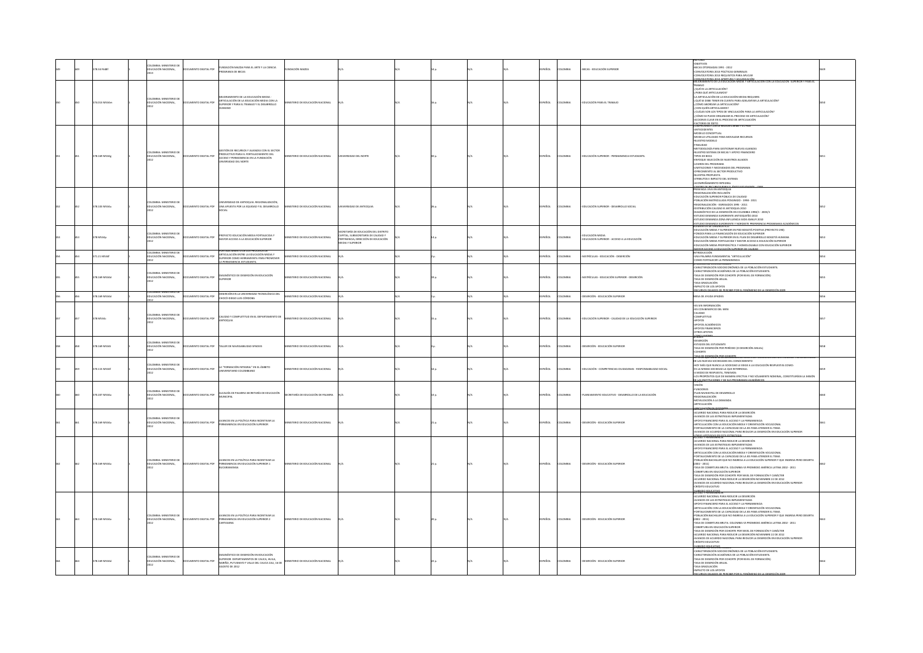|  | 8.34 F648     | OMBIA: MINISTERIO DI<br>EDUCACIÓN NACIONAL,                     | MENTO DIGITAL PDF           | IDACIÓN MAZDA PARA EL ARTE Y LA CIENCIA<br><b>DGRAMA DE BECAS</b>                                                                                                  | VDACIÓN MAZDI                               |                                                                                                                                                                             |  |  | AÑOL  |             | BECAS - EDUCACIÓN SUPERIOR                                    | -DISERVOS<br>-BECAS OTORSADAS 1991 - 2012<br>-CONVOCATORIA 2013 POLÍTICAS GENERALES<br>CONVOCATORIA 2013 REQUISITOS PARA APLICAR<br>WHO' ATORIA 2013 ARERTHRA Y ADHIDICACIÓ                                                                                                                                                                                                                                                                                                                                                                                                                                                                                                                                                                                                                                                                                                                                                                                            |  |
|--|---------------|-----------------------------------------------------------------|-----------------------------|--------------------------------------------------------------------------------------------------------------------------------------------------------------------|---------------------------------------------|-----------------------------------------------------------------------------------------------------------------------------------------------------------------------------|--|--|-------|-------------|---------------------------------------------------------------|------------------------------------------------------------------------------------------------------------------------------------------------------------------------------------------------------------------------------------------------------------------------------------------------------------------------------------------------------------------------------------------------------------------------------------------------------------------------------------------------------------------------------------------------------------------------------------------------------------------------------------------------------------------------------------------------------------------------------------------------------------------------------------------------------------------------------------------------------------------------------------------------------------------------------------------------------------------------|--|
|  | 4.013 MS34r   | MBIA: MINISTERIO I<br>UCACIÓN NACIONAL,                         | TO DIGITAL PDF              | FIORAMENTO DE LA EDUCACIÓN MEDIA.<br>REIORAMIENTO DE LA EDUCACIÓN MEDIA -<br>RTICULACIÓN DE LA EDUCACIÓN MEDIA CON LA<br>UPERIOR Y PARA EL TRABAJO Y EL DESARROLLO | <b>STERIO DE EDUCACIÓN NACIONAL</b>         |                                                                                                                                                                             |  |  | AÑOL  |             | DUCACIÓN PARA EL TRABAJO                                      | CIÓN SUPERIOR V P<br>RABAJO<br>-/ QUÉ ES LA ARTICULACIÓN?<br>-PARA QUÉ ARTICULAMOS?<br>LA ARTICULACIÓN DE LA EDUCACIÓN MEDIA REQUIERE-<br>- QUÉ SE DEBE TENER EN CUENTA PARA ADELANTAR LA ARTICULACIÓN?<br>¿CÓMO ABORDAR LA ARTICULACIÓN?<br>-¿CON QUIÉN ARTICULAMOS?<br>- CUÁLES SON LOS TIPOS DE VINCULACIÓN PARA LA ARTICULACIÓN?<br>-COMO SE PUEDE ORGANIZAR EL PROCESO DE ARTICULACIÓN?<br>-CÓMO SE PUEDE ORGANIZAR EL PROCESO DE ARTICULACIÓN?<br>-ACCIONES CLAVE EN EL PROCESO DE ARTICULACIÓN<br>-FACTORES DE ÉXITO<br>COMPROMISO CON LA REGION CARIBE Y EL PA                                                                                                                                                                                                                                                                                                                                                                                                 |  |
|  | 178.169 MS34g | OMRIA: MINISTERIO DE<br>EDUCACIÓN NACIONAL,                     | UMENTO DIGITAL PDF          | GESTIÓN DE RECURSOS Y ALIANZAS CON EL SECTOR<br>PRODUCTIVO PARA EL FORTALECIMIENTO DEL<br>ACCESO Y PERMANENCIA EN LA FUNDACIÓN<br>INVERSIDAD DEL NORTE             | NISTERIO DE EDUCACIÓN NACIONAL              | VERSIDAD DEL NORTE                                                                                                                                                          |  |  | PAÑOL |             | EDUCACIÓN SUPERIOR - PERMANENCIA ESTUDIANTIL                  | -ANTECEDENTES<br>-MITELEUENTES<br>-MODELO CONCEPTUAL<br>-MODELO UTILIZADO PARA MOVILIZAR RECURSOS<br>NUESTRO MODELO<br>GAGLIANIA-<br>-METODOLOGÍA PARA GESTIONAR NUEVAS ALIANZAS<br>NUESTRO SISTEMA DE BECAS Y APOYO FINANCIERO<br>-INCORDE BELECCIÓN DE NUESTROS ALIADOS<br>LOGROS DEL PROGRAMA<br>-LIMITACIONES Y NECESIDADES DEL PROGRAMA<br>-CIFRECIMIENTO AL SECTOR PRODUCTIVO<br>-NUESTRA PROPUESTA<br>-ATRIBUTOS E IMPACTO DEL SISTEMA<br>ACOMPAÑAMIENTO INTEGRAL<br>CENTRO DE RECURSOS PARA EL ÉXITO.<br>MESENCIA VIVA EN ANTIOQUIA                                                                                                                                                                                                                                                                                                                                                                                                                            |  |
|  | 78.103 MS34   | MBIA: MINISTERIO D<br>EDUCACIÓN NACIONAL,                       | UMENTO DIGITAL PDF          | D DE ANTIOQUIA. REGIONAL<br>UNA APUESTA POR LA EQUIDAD Y EL DESARROLLO<br><b>CIAL</b>                                                                              | <b>MSTERIO DE EDUCACIÓN NACIONAL</b>        | ERSIDAD DE ANTIOQUIA                                                                                                                                                        |  |  | AÑOL  |             | EDUCACIÓN SUPERIOR - DESARROLLO SOCIAL                        | -REGIONALIZACIÓN INCLUSIÓN<br>FOUCACIÓN SUPERIOR PÚBLICA DE CALIDAD<br>-EDUCACION SUPERIOR POBLICA DE CALIDAD<br>-POBLACIÓN MATRICULADA POSGRADO - 1998 - 2011<br>-REGIONALIZACIÓN - EGRESADOS 1995 - 2011<br>DISTRIBUCIÓN CALIDAD IE ANTIOQUIA 2010<br>DIAGNÓSTICO DE LA DESERCIÓN EN COLOMBIA 1998/1 - 2003/1<br>ESTUDIO DEMANDA SURORIENTE ANTIQQUEÑO 2010<br>UDIO DEMANDA ZONA INFLUENCIA SEDE AMALFI 2010<br>STUDIO DEMANDA SURORIENTE Y NORDESTE PREFERENCIA PROGRAMAS ACADÉM<br>LEMENTOS DE DIAGNOSTICO                                                                                                                                                                                                                                                                                                                                                                                                                                                         |  |
|  | M534g         | <b>DMBIA: MINISTERIO D</b><br>CACIÓN NACIONAL,                  | DIGITAL PDF                 | OYECTO EDUCACIÓN MEDIA FORTALECIDA Y<br>FOR ACCESO A LA EDUCACIÓN SUPERIOR<br>LALECIMIENTO DE LOS RROCESOS D                                                       | TERIO DE EDUCACIÓN NACIONAL                 | RETARÍA DE EDUCACIÓN DEL DISTRITO<br>CRETARIA DE EDUCACION DEL DISTRITO<br>PITAL; SUBSECRETARÍA DE CALIDAD Y<br>RTINENCIA; DIRECCIÓN DE EDUCACIÓN<br><b>BOIA Y SUPERIOR</b> |  |  |       |             | EDUCACIÓN MEDIA<br>EDUCACIÓN SUPERIOR - ACCESO A LA EDUCACIÓN | -EDUCACIÓN MEDIA Y SUPERIOR EN PDD BOGOTÁ POSITIVA (PROYECTO 290)<br>-EDUCACIÓN MEDIA I SUPERIOR DE POD BOGOTA POSITIVA (PROTECTO 230)<br>-FONDOS PARA LA FINANCIACIÓN DE EDUCACIÓN SUPERIOR<br>-EDUCACIÓN MEDIA Y SUPERIOR EN EL PLAN DE DESARROLLO BOGOTÁ HUMANA<br>-EDUCACIÓN MEDIA FORTALECIDA Y MAYOR ACCESO A EDUCACIÓN SUPERIOR<br>-EDUCACIÓN MEDIA PROPEDEÚTICA Y HOMOLOGABLE CON EDUCACIÓN SUPERIOR                                                                                                                                                                                                                                                                                                                                                                                                                                                                                                                                                           |  |
|  | 71.21 M534f   | LOMBIA: MINISTERIO DE<br>UCACIÓN NACIONAL,                      | O DIGITAL PDF               | <b>CULACIÓN ENTRE LA EDUCACIÓN MEDIA Y</b><br>UPERIOR COMO HERRAMIENTA PARA PROMOVER<br>ERMANENCIA ESTUDIANTI                                                      | <b>STERIO DE EDUCACIÓN NACIONAL</b>         |                                                                                                                                                                             |  |  | AÑOL  |             | ATRÍCULAS - EDUCACIÓN - DESERCIÓN                             | NTRODUCCIÓN<br>UNA PALABRA FUNDAMENTAL "ARTICULACIÓN"<br>COMO FORTALECER LA PERMANENCIA<br><b>UNLICAN DE ES EN LA REGIU</b>                                                                                                                                                                                                                                                                                                                                                                                                                                                                                                                                                                                                                                                                                                                                                                                                                                            |  |
|  | 78.169 MS34c  | OMRIA: MINISTERIO D<br>EDUCACIÓN NACIONAL,<br>OMRIA: MINISTERIO | MENTO DIGITAL PDR           | IAGNÓSTICO DE DESERCIÓN EN EDUCACIÓN<br>UPERIOR                                                                                                                    | <b>ESTERIO DE EDUCACIÓN NACIONAL</b>        |                                                                                                                                                                             |  |  | AÑOL  |             | ANTRÍCULAS - EDUCACIÓN SUPERIOR - DESERCIÓN                   | -CARACTERIZACIÓN SOCIOECONÓMICA DE LA POBLACIÓN ESTUDIANTIL<br>CARACTERIZACIÓN ACADÉMICA DE LA PORLACIÓN ESTUDIANTIL<br>-<br>TASA DE DESERCIÓN POR COHORTE (POR NIVEL DE FORMACIÓN)<br>TASA DE DESERCIÓN ANUAL<br>TASA GRADUACIÓN<br>IMPACTO DE LOS APOYOS                                                                                                                                                                                                                                                                                                                                                                                                                                                                                                                                                                                                                                                                                                             |  |
|  | 78.169 MS34d  | DUCACIÓN NACIONAL,                                              | <b>DCUMENTO DIGITAL PDF</b> | DESERCIÓN EN LA UNIVERSIDAD TECNOLÓGICA DEL<br>CHOCÓ-DIEGO LUIS CÓRDOBA                                                                                            | NISTERIO DE EDUCACIÓN NACIONAL              |                                                                                                                                                                             |  |  | PAÑOL | MBM         | DESERCIÓN - EDUCACIÓN SUPERIOR                                | MESA DE AYUDA SPADIES                                                                                                                                                                                                                                                                                                                                                                                                                                                                                                                                                                                                                                                                                                                                                                                                                                                                                                                                                  |  |
|  | 8 M534        | .<br>COLOMBIA: MINISTERIO DE<br>EDUCACIÓN NACIONAL,             | UMENTO DIGITAL PDR          | ALIDAD Y COMPLETITUD EN EL DEPARTAMENTO DE<br><b>ITIOQUIA</b>                                                                                                      | NISTERIO DE EDUCACIÓN NACIONAL              |                                                                                                                                                                             |  |  | AÑOL  |             | DUCACIÓN SUPERIOR - CALIDAD DE LA EDUCACIÓN SUPERIOR          | -IES SIN INFORMACIÓN<br><b>IES CON BENEFICIO DEL MEN</b><br>-CALIDAD<br>-COMPLETITUD<br>-APOYOS<br>-APOYOS ACADÉMICOS<br>-RECTION PLEASED BROS<br>- APOYOS FINANCIEROS<br>- OTROS APOYOS                                                                                                                                                                                                                                                                                                                                                                                                                                                                                                                                                                                                                                                                                                                                                                               |  |
|  | 78.169 MS34   | LOMBIA: MINISTERIO DE<br>EDUCACIÓN NACIONAL,                    | LUMENTO DIGITAL PDF         | ALLER DE NAVEGABILIDAD SPADIES                                                                                                                                     | <b>NSTERIO DE EDUCACIÓN NACIONAL</b>        |                                                                                                                                                                             |  |  | PAÑOL |             | DESERCIÓN - EDUCACIÓN SUPERIOR                                | <b>Altrix</b><br>-FFAN-J<br>-DESERCIÓN<br>-ESTADOS DEL ESTUDIANTE<br>-TASA DE DESERCIÓN POR PERÍODO (O DESERCIÓN ANUAL)<br><b>COHORTE</b><br>.<br>L'AARE QEE COMME LA EGUCACION DE CANA A LA FI                                                                                                                                                                                                                                                                                                                                                                                                                                                                                                                                                                                                                                                                                                                                                                        |  |
|  | 0.115 M534    | <b>IMBIA: MINISTERIO D</b><br>DUCACIÓN NACIONAL,                | O DIGITAL PDE               | "FORMACIÓN INTEGRAL" EN EL ÁMBITO<br>VERSITARIO COLOMBIAN                                                                                                          | STERIO DE EDUCACIÓN NACIONAL                |                                                                                                                                                                             |  |  | AÑOL  |             | DUCACIÓN - COMPETENCIAS CIUDADANAS - RESPONSABILIDAD SOCIAL   | LE PAS NUEVAS SOCIEDADES DEL CONOCIMIENTO<br>DE LAS NUEVAS SOCIEDADES DEL CONOCIMIENTO<br>-HOY MÁS QUE NUNCA LA SOCIEDAD LE EXIGE A LA EDUCACIÓN RESPUESTAS COMO<br>-ES LA MISMA SOCIEDAD LA QUE INTERROGA:<br>A MODO DE RESPUESTA, TENEMOS:<br>LOS PROPÓSITOS QUE DE MANERA EFECTIVA Y NO SÓLAMENTE NOMINAL, CONSTITUIRÍAN LA MISIÓN<br>LAS INSTITUCIONES Y DE SUS BROGRA                                                                                                                                                                                                                                                                                                                                                                                                                                                                                                                                                                                             |  |
|  | 70.207 MS34a  | OMBIA: MINISTERIO DI<br>EDUCACIÓN NACIONAL,                     | IMENTO DIGITAL PDF          | ALCALDÍA DE PALMIRA SECRETARÍA DE EDUCACIÓN<br><b>INICIPAL</b>                                                                                                     | CRETARÍA DE EDUCACIÓN DE PALMIRA            |                                                                                                                                                                             |  |  | AÑOL  |             | LANEAMIENTO EDUCATIVO - DESARROLLO DE LA EDUCACIÓN            | -VISIÓN<br>-FUNCIONES<br>-FUNCIONES<br>-PLAN MUNICIPAL DE DESARROLLO<br>-REGIONALIZACIÓN<br>-MOVILIZACIÓN A LA DEMANDA<br>MODALITY DRA<br>eesa Yyénaba                                                                                                                                                                                                                                                                                                                                                                                                                                                                                                                                                                                                                                                                                                                                                                                                                 |  |
|  | 78.169 MS34a  | COMBIA: MINISTERIO DI<br>EDUCACIÓN NACIONAL,                    | IMENTO DIGITAL PDF          | WANCES EN LA POLÍTICA PARA INCENTIVAR LA<br>MANENCIA EN EDUCACIÓN SUPERIOR                                                                                         | <b>ASTERIO DE EDUCACIÓN NACIONAL</b>        |                                                                                                                                                                             |  |  | AÑOL  |             | DESERCIÓN - EDUCACIÓN SUPERIOR                                | ACUERDO NACIONAL PARA REDUCIR LA DESERCIÓN<br>-ALUERUD NAHUNNA PARA REDUCIN LA DESERVIDO<br>-AVANCES DE LAS ESTRATEGIAS IMPLEMENTADAS<br>-APOYO FINANCIERO PARA EL ACCESO Y LA PERMANENCIA<br>-ARTICULACIÓN CON LA EDUCACIÓN MEDIA Y ORIENTACIÓN VOCACIONAL<br>-FORTALECIMIENTO DE LA CAPACIDAD DE LA IES PARA ATENDER EL TEMA<br>AVANCES DE ACUERDO NACIONAL PARA REDUCIR LA DESERCIÓN EN EDUCACIÓN SUPERIOR<br><u>ÍNEAS ABOVADAS EN EST</u><br>FERRO Y DEBALANENCIA                                                                                                                                                                                                                                                                                                                                                                                                                                                                                                  |  |
|  | 78.169 MS34a  | OMBIA: MINISTERIO DI<br>EDUCACIÓN NACIONAL,                     | UMENTO DIGITAL PDF          | .<br>ANCES EN LA POLÍTICA PARA INCENTIVAR LA<br>RMANENCIA EN EDUCACIÓN SUPERIOR 1<br>ARAMANGA                                                                      | <b>ESTERIO DE EDUCACIÓN NACIONAL</b>        |                                                                                                                                                                             |  |  | AÑOL  |             | DESERCIÓN - EDUCACIÓN SUPERIO                                 | ALCESO Y PERMANENCIA<br>-ACUERDO NACIONAL PARA REDUCIR LA DESERCIÓN<br>-AVANCES DE LAS ESTRATEGIAS IMPLEMENTADAS<br>-APOYO FINANCIERO PARA EL ACCESO Y LA PERMANENCIA<br>-ARTICULACIÓN CON LA EDUCACIÓN MEDIA Y ORIENTACIÓN VOCACIONAL<br>-ROINCIAIN DAN CONTROLLAIN INDIA TO THE REAL ATENDER EL TEMA<br>-FOBTALECIMIENTO DE LA CAPACIDAD DE LA IES PARA ATENDER EL TEMA<br>-POBLACIÓN BACHILLER QUE NO INGRESA A LA EDUCACIÓN SUPERIOR Y QUE INGRESA PERO DESERTA<br>$(2002 - 2011)$<br>TASA DE COBERTURA BRUTA: COLOMBIA VS PROMEDIO AMÉRICA LATINA 2002 - 2011<br>-COBERTURA EN EDUCACIÓN SUPERIOR<br>-JOANNING NORTHOLOGY AND HOT MANY THE FORMACIÓN Y CARÁCTER<br>-TASA DE DESERCIÓN POR COHORTE POR NIVEL DE FORMACIÓN Y CARÁCTER<br>-AVANCES DE ACUERDO NACIONAL PARA REDUCIR LA DESERCIÓN EN EDUCACIÓN SUPERIOR<br>-AVANCES DE ACUERDO N                                                                                                                      |  |
|  | 78.169 MS34a  | OMBIA: MINISTERIO DI<br>EDUCACIÓN NACIONAL,                     | <b>CUMENTO DIGITAL PDF</b>  | ANCES EN LA POLÍTICA PARA INCENTIVAR LA<br>ERMANENCIA EN EDUCACIÓN SUPERIOR 2<br>ARTAGENA                                                                          | <b><i>ESTERIO DE EDUCACIÓN NACIONAL</i></b> |                                                                                                                                                                             |  |  | AÑOL  | <b>MBIA</b> | DESERCIÓN - EDUCACIÓN SUPERIOR                                | SURSIDIO FOUCATIVO<br>ACCESO Y PERMANENCIA<br>HICLESO T PERMHANENICA<br>-ACUERDO NACIONAL PARA REDUCIR LA DESERCIÓN<br>-AVANCES DE LAS ESTRATEGIAS IMPLEMENTADAS<br>-APOYO FINANCIERO PARA EL ACCESO Y LA PERMANENCIA<br>ARTICULACIÓN CON LA FOLICACIÓN MEDIA Y ORIENTACIÓN VOCACIONAL<br>-ANI INJUANDAN LOVI LA CARACIDAD DE LA IES PARA ATENDER EL TEMA<br>-FORTALECIMIENTO DE LA CARACIDAD DE LA IES PARA ATENDER EL TEMA<br>-POBLACIÓN BACHILLER QUE NO INGRESA A LA EDUCACIÓN SUPERIOR Y QUE INGRESA PERO DESERTA<br>$(2002 - 2011)$<br>TASA DE COBERTURA BRUTA: COLOMBIA VS PROMEDIO AMÉRICA LATINA 2002 - 2011<br>COBERTURA EN EDUCACIÓN SUPERIOR<br>TASA DE DESERCIÓN POR COHORTE POR NIVEL DE FORMACIÓN Y CARÁCTER<br>- I ASA DE DESENCIAIN POR COMONTE POR NIVEL DE FORMACION Y CARACTER<br>-ACUEROD NACIONAL PARA REDUCIR LA DESERCIÓN NOVIEMBRE 22 DE 2012<br>-AVANCES DE ACUEROD NACIONAL PARA REDUCIR LA DESERCIÓN EN EDUCACIÓN SUPERIOR<br>-CRÉDITO EDU |  |
|  | 78.169 MS34d  | OMBIA: MINISTERIO D<br>EDUCACIÓN NACIONAL,                      | UMENTO DIGITAL PDR          | DIAGNÓSTICO DE DESERCIÓN EN EDUCACIÓN<br>SUPERIOR: DEPARTAMENTOS DE CAUCA, HUILA,<br>NARIÑO, PUTUMAYO Y VALLE DEL CAUCA CALI, 16 DE<br>GOSTO DE 2012               | INSTERIO DE EDUCACIÓN NACIONAL              |                                                                                                                                                                             |  |  |       |             | DESERCIÓN - EDUCACIÓN SUPERIOR                                | HISOGARI ENTIKA<br>CARACTERIZACIÓN SOCIOECONÓMICA DE LA POBLACIÓN ESTUDIANTIL<br>-<br>CARACTERIZACIÓN ACADÉMICA DE LA POBLACIÓN ESTUDIANTIL-<br>-TASA DE DESERCIÓN POR COHORTE (POR NIVEL DE FORMACIÓN)<br>-TASA DE DESERCIÓN ANUAL<br>TASA GRADUACIÓN<br>IMPACTO DE LOS APOYOS                                                                                                                                                                                                                                                                                                                                                                                                                                                                                                                                                                                                                                                                                        |  |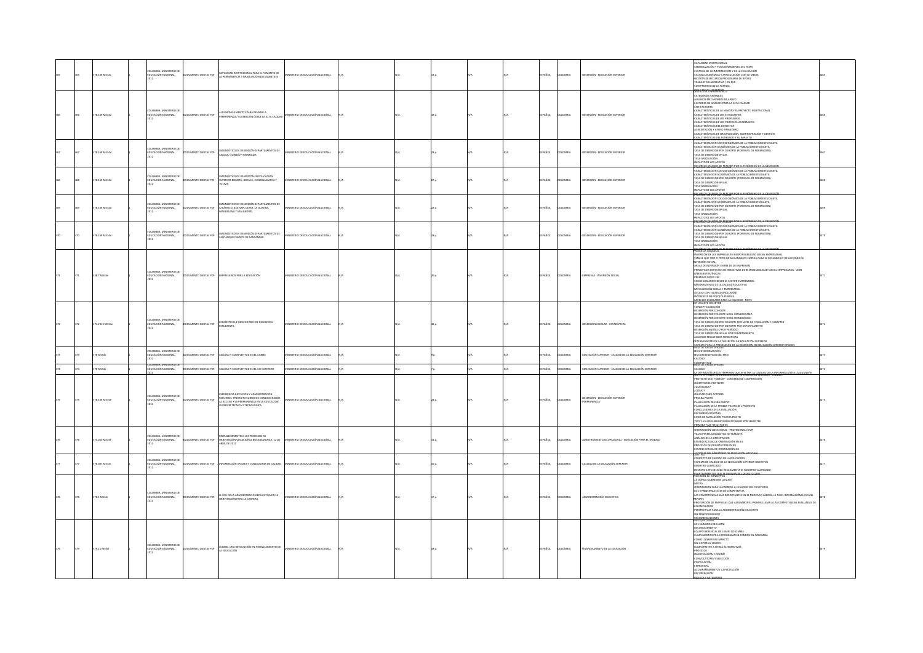|  | 78.169 MS34    | OMRIA: MINISTERIO DE<br>CACIÓN NACIONAL,             | OCUMENTO DIGITAL PDF        | .<br>CAPACIDAD INSTITUCIONAL PARA EL FOMENTO DE<br>LA PERMANENCIA Y GRADUACIÓN ESTUDIANTILES                                                                                | STERIO DE EDUCACIÓN NACIONAL          |  |  | AÑOL         |                | DESERCIÓN - EDUCACIÓN SUPERIOR                         | APACIDAD INSTITUCIONAL<br>SENSIBILIZACIÓN Y POSICIONAMIENTO DEL TEMA<br><b>THTIRA DE LA INFORMACIÓN Y DE LA EVALUACIÓN</b><br>-LOLLUNA DE LA INTURNACION TUE LA EVALUACION<br>-CALIDAD ACADÉMICA Y ARTICULACIÓN CON LA MEDIA<br>-GESTIÓN DE RECURSOS PROGRAMAS DE APOYO<br>-TRABAIO COLABORATIVO / EN RED<br>COMPROMISO DE LA FAMILIA<br><b>RECULTADOS CORONDOS</b><br>ESERCIÓN Y DERMANENCIA                                                                                                                                                                                                                                                      |  |
|--|----------------|------------------------------------------------------|-----------------------------|-----------------------------------------------------------------------------------------------------------------------------------------------------------------------------|---------------------------------------|--|--|--------------|----------------|--------------------------------------------------------|----------------------------------------------------------------------------------------------------------------------------------------------------------------------------------------------------------------------------------------------------------------------------------------------------------------------------------------------------------------------------------------------------------------------------------------------------------------------------------------------------------------------------------------------------------------------------------------------------------------------------------------------------|--|
|  | 378.169 MS34a  | <b>DLOMBIA: MINISTERIO DE</b><br>EDUCACIÓN NACIONAL, | MENTO DIGITAL PDF           | <b>SUNDS FLEMENTOS PARA PENSAR LA</b><br>ERMANENCIA Y DESERCIÓN DESDE LA ALTA CALIDA                                                                                        | ISTERIO DE EDUCACIÓN NACIONAL         |  |  | AÑOL         | <b>DLOMBM</b>  | DESERCIÓN - EDUCACIÓN SUPERIOR                         | JESERLIUN T PERMANENLIA<br>CATEGORÍAS VARIABLES<br>ALGUNOS MECANISMOS DE APOYO<br>FACTORES DE ANÁLISIS PARA LA ALTA CALIDAD<br>CNA-FACTORES<br>CARACTERÍSTICAS DE LA MISIÓN Y EL PROYECTO INSTITUCIONAL<br>CARACTERÍSTICAS DE LOS ESTUDIANTES<br>CARACTERÍSTICAS DE LOS ESTUDIANTES<br>CARACTERÍSTICAS DE LOS PROCESOS ACADÉMICOS<br>CARACTERÍSTICAS DEL BIENESTAR<br><b>SCREDITACIÓN Y AROYO FINANCIERO</b><br>RACTERÍSTICAS DE ORGANIZACIÓN, ADMINISTRACIÓN Y GESTIÓN<br><b>CARACTERÍSTICAS DEL EGRESADO Y SU IMPACTO</b>                                                                                                                        |  |
|  | 378.169 MS34d  | LOMBIA: MINISTERIO DE<br>EDUCACIÓN NACIONAL          |                             | AGNÓSTICO DE DESERCIÓN DEPARTAMENTOS DE<br>OCUMENTO DIGITAL PDF DIAGNUSTICU DE DE ARADAS                                                                                    | INSTERIO DE EDUCACIÓN NACIONAL        |  |  | <b>IORAS</b> | <b>TIOMRIA</b> | DESERCIÓN - EDUCACIÓN SUPERIOR                         | CARACTERIZACIÓN SOCIOECONÓMICA DE LA POBLACIÓN ESTUDIANTIL<br>ARACTERIZACIÓN ACADÉMICA DE LA POBLACIÓN ESTUDIANTIL<br>TASA DE DESERCIÓN POR COHORTE (POR NIVEL DE FORMACIÓN)<br>TASA DE DESERCIÓN POR CO<br>TASA DE DESERCIÓN ANUAL<br>TASA GRADUACIÓN<br>IMPACTO DE LOS APOYOS<br><b>CLIREDE DE LADOS DE BERCU</b>                                                                                                                                                                                                                                                                                                                                |  |
|  | 378.169 MS34d  | LOMBIA: MINISTERIO DE<br>EDUCACIÓN NACIONAL          | OCUMENTO DIGITAL PDF        | AGNÓSTICO DE DESERCIÓN EN EDUCACIÓN<br>SUPERIOR BOGOTÁ, BOYACÁ, CUNDINAMARCA Y                                                                                              | NISTERIO DE EDUCACIÓN NACIONAL        |  |  | PAÑOL        | <b>JLOMBIA</b> | DESERCIÓN - EDUCACIÓN SUPERIOR                         | CARACTERIZACIÓN ACADÉMICA DE LA POBLACIÓN ESTUDIANTIL<br>TASA DE DESERCIÓN POR COHORTE (POR NIVEL DE FORMACIÓN)<br>TASA DE DESERCIÓN ANUAL<br>TASA DE DESERCIÓN<br>TASA GRADUACIÓN<br>IMPACTO DE LOS APOYOS<br><b>FOURFOR DEVADOR DE BERC</b>                                                                                                                                                                                                                                                                                                                                                                                                      |  |
|  | 378.169 MS34d  | OMBIA: MINISTERIO DE<br>EDUCACIÓN NACIONAL           |                             | GNÓSTICO DE DESERCIÓN DEPARTAMENTOS DE<br>OCUMENTO DIGITAL PDF ATLÁNTICO, BOLIVAR, CESAR, LA GUAJIRA.<br>GOALENA Y SAN ANDRÉS                                               | NISTERIO DE EDUCACIÓN NACIONAL        |  |  | <b>PAÑOL</b> | <b>AISMOJC</b> | DESERCIÓN - EDUCACIÓN SUPERIOR                         | .<br>CARACTERIZACIÓN SOCIOECONÓMICA DE LA POBLACIÓN ESTUDIANTIL<br>ARACTERIZACIÓN ACADÉMICA DE LA POBLACIÓN ESTUDIANTIL<br>TASA DE DESERCIÓN POR COHORTE (POR NIVEL DE FORMACIÓN)<br>TASA DE DESERCIÓN ANUAL<br>IASA DE DESERCION ANOA<br>FASA GRADUACIÓN<br>MPACTO DE LOS APOYOS<br>ECURSOS OF IADOS DE REBOIRIR POR EL EENI                                                                                                                                                                                                                                                                                                                      |  |
|  | 378.169 MS34d  | OMBIA: MINISTERIO DE<br>EDUCACIÓN NACIONAL,          | OCUMENTO DIGITAL PDF        | IAGNÓSTICO DE DESERCIÓN DEPARTAMENTOS DE<br>SANTANDER Y NORTE DE SANTANDER                                                                                                  | NSTERIO DE EDUCACIÓN NACIONAL         |  |  | AÑOL         | <b>AISMOJO</b> | DESERCIÓN - EDUCACIÓN SUPERIOR                         | SHOWAUN DE ES EN AN REGIUN<br>-CARACTERIZACIÓN SOCIOECONÓMICA DE LA POBLACIÓN ESTUDIANTIL<br>-CARACTERIZACIÓN ACADÉMICA DE LA POBLACIÓN ESTUDIANTIL<br>-TASA DE DESERCIÓN POR COHORTE (POR NIVEL DE FORMACIÓN)<br>TASA DE DESERCIÓN ANUAL<br><b>KODALIGARD AZAT</b><br>MPACTO DE LOS APOYOS<br>RECURSOS DEJADOS DE<br>MESENCIA REGIONAL                                                                                                                                                                                                                                                                                                            |  |
|  | 338.7 MS34e    | OMBIA: MINISTERIO DE<br>EDUCACIÓN NACIONAL,          | OCUMENTO DIGITAL PDF        | EMPRESARIOS POR LA EDUCACIÓN                                                                                                                                                | NISTERIO DE EDUCACIÓN NACIONAL        |  |  | PAÑOL        | OLOMBIA        | EMPRESAS - INVERSIÓN SOCIAL                            | NVERSIÓN DE LAS EMPRESAS EN RESPONSABILIDAD SOCIAL EMPRESARIAL<br>-SEÑALE QUE TIPO O TIPOS DE MECANISMOS EMPLEA PARA EL DESARROLLO DE ACCIONES DE<br><b>VERSIÓN SOCIAL</b><br>inversion Social<br>"Áreas de Inversión en RSE (% de Empresas)<br>"Principales impactos de Iniciativas de Responsabilidad Social Empresarial - 2009<br>PREMISAS DESDE EXE<br>-COMO SUMAMOS DESDE EL SECTOR EMPRESARIAL<br>-MEJORAMIENTO DE LA CALIDAD EDUCATIVA<br>-MEJORAMIENTO DE LA CALIDAD EDUCATIVA<br>-MOVILIZACIÓN SOCIAL Y EMPRESARIAL<br>ACCESO CON EQUIDAD (INCLUSIÓN)<br>INCIDENCIA EN POLÍTICA PÚBLICA                                                   |  |
|  | 371.2913 M534e | OMBIA: MINISTERIO DE<br>EDUCACIÓN NACIONAL,          | OCUMENTO DIGITAL PDF        | ESTADÍSTICAS E INDICADORES DE DESERCIÓN<br><b>STUDIANTIL</b>                                                                                                                | NISTERIO DE EDUCACIÓN NACIONAL        |  |  | AÑOL         | OLOMBIA        | DESERCIÓN ESCOLAR - ESTADÍSTICAS                       | IODELOS ESCOLARES PARA LA EQUID.<br>TUDIANTE DESERTOR<br>CONCEPTUALIZACIÓN<br>DESERCIÓN POR COHORTE<br>DESERCIÓN POR COHORTE NIVEL UNIVERSITARIO<br>DESERCIÓN POR COMONTE NIVEL ONIVERSITARIO<br>DESERCIÓN POR COHORTE NIVEL TECNOLÓGICO<br>TASA DE DESERCIÓN POR COHORTE POR NIVEL DE FORMACIÓN Y CARÁCTER<br>TASA DE DESERCIÓN POR COHORTE POR DEPARTAMENTO<br>DESERCIÓN ANUAL (O POR PERÍODO)<br>TASA DE DESERCIÓN ANUAL POR DEPARTAMENTO<br>ALGUNOS RESULTADOS TENDENCIAS<br><b>ERMINANTES DE LA DESERCIÓN EN EDUCACIÓN SUPERIOR</b><br>.<br>SISTEMA PARA LA PREVENCIÓN DE LA DESERCIÓN EN EDUCACIÓN SUPERIOR SPADIES<br>MESA DE AYUDA SPADIES |  |
|  | 378 M534c      | OLOMBIA: MINISTERIO DE<br>EDUCACIÓN NACIONAL,        | UMENTO DIGITAL PDF          | ALIDAD Y COMPLETITUD EN EL CARIBE                                                                                                                                           | STERIO DE EDUCACIÓN NACIONAL          |  |  | AÑOL         |                | EDUCACIÓN SUPERIOR - CALIDAD DE LA EDUCACIÓN SUPERIOR  | ES SIN INFORMACIÓN<br>ES CON BENEFICIO DEL MEN<br><b>GALIDAD</b>                                                                                                                                                                                                                                                                                                                                                                                                                                                                                                                                                                                   |  |
|  | 378 M534c      | COMBIA: MINISTERIO O<br>CACIÓN NACIONAL,             |                             | OCUMENTO DIGITAL PDF CALIDAD Y COMPLETITUD EN EL EJE CAFETERO                                                                                                               | INISTERIO DE EDUCACIÓN NACIONAL       |  |  | <b>PAÑOL</b> | LOMBIA         | EDUCACIÓN SUPERIOR - CALIDAD DE LA EDUCACIÓN SUPERIOR  | COMPLETITUD<br>VESA DE AYUDA SPADIE:                                                                                                                                                                                                                                                                                                                                                                                                                                                                                                                                                                                                               |  |
|  | 378.169 MS34e  | LOMBIA: MINISTERIO DE<br>UCACIÓN NACIONAL,           | UMENTO DIGITAL PDF          | KPERIENCIA EJECUCIÓN Y ADMINISTRACIÓN<br>LATIFICIALE REGIONALE INSURANCIA EN LA EDUCIÓNADOS<br>AL ACCESO Y LA PERMANENCIA EN LA EDUCACIÓN<br>SUPERIOR TÉCNICA Y TECNOLÓGICA | <b>ISTERIO DE EDUCACIÓN NACIONAL</b>  |  |  | AÑOL         | <b>ILOMBIA</b> | DESERTIÓN - EDUCACIÓN SUPERIOR<br>MANENCIA             | <u>LA DEFINICIÓN DE LOS TÉRMINOS QUE AFECTAN LA CALIDAD DE LA INFORI<br/>SUE ES EL FONDO DE DESARROLLO DE LA EDUCACIÓN SUPERIOR - FODESER</u><br>ROE ES EL FONDO DE DESARROLLO DE LA EDOCACIÓN SON<br>PROYECTO SED/ FODESEP - CONVENIO DE COOPERACIÓN<br>OBJETIVO DEL PROYECTO<br>-¿QUÉ BUSCA?<br>CÓMO?<br>OBLIGACIONES ACTORES<br>-DRINDRICHT PHILOPLE<br>-PRUEBA PILOTO<br>-EVALUACIÓN DE LA PRUEBA PILOTO DEL PROYECTO<br>CONCLUSIONES DE LA EVALUACIÓN<br>RECOMENDACINONES<br>FASES DE AMPLIACIÓN PRUEBA PILOTO<br><b>IPO Y VALOR SUBSIDIOS BENEFICIARIOS POR SEMESTRE</b>                                                                     |  |
|  | 74.013 M534f   | LOMBIA: MINISTERIO DE<br>UCACIÓN NACIONAL,           | MENTO DIGITAL PDF           | <b>ORTAL FOIMIENTO A LOS RROCESOS DE</b><br>DRIENTACIÓN VOCACIONAL BUCARAMANGA, 12 DE<br><b>RIL DE 2012</b>                                                                 | <b>NISTERIO DE EDUCACIÓN NACIONAL</b> |  |  | AÑOL         |                | ADIESTRAMIENTO OCUPACIÓNAL - EDUCACIÓN PARA EL TRABAJO | <b>UMERA FASE RESULTADOS</b><br>ORIENTACIÓN VOCACIONAL - PROFESIONAL (OVP)<br>RAYECTORIA MOMENTOS DE TRÁNSITO<br>ANÁUSIS DE LA ORIENTACIÓN<br>NENDRO ACTUAL DE ORIENTACIÓN EN IES<br>PROCESOS DE ORIENTACIÓN EN IES<br>STADO ACTUAL DE ORIENTACIÓN IES<br>COONES DEL MINISTERIO DE EDUCACIÓN                                                                                                                                                                                                                                                                                                                                                       |  |
|  | 128 007 MS34i  | <b>DLOMBIA: MINISTERIO DE</b><br>EDUCACIÓN NACIONAL  | MENTO DIGITAL PDF           | ORMACIÓN SPADIES Y CONDICIONES DE CALIDAD                                                                                                                                   | INSTERIO DE EDUCACIÓN NACIONAL        |  |  | AÑOL         | <b>CAMBIA</b>  | CALIDAD DE LA EDUCACIÓN SUPERIOR                       | CONCEPTO DE CAUDAD DE LA EDUCACIÓN<br>STEMA DE CALIDAD DE LA EDUCACIÓN SUPERIOR OBJETIVOS<br>REGISTRO CALIFICADO<br>REGISTRO CALIFICADO<br>DECRETO 1295 DE 2010: REGLAMENTA EL REGISTRO CALIFICADO                                                                                                                                                                                                                                                                                                                                                                                                                                                 |  |
|  | 378.1 MS34r    | LOMBIA: MINISTERIO DE<br>EDUCACIÓN NACIONAL          | <b>OCUMENTO DIGITAL PDF</b> | L ROL DE LA ADMINISTRACIÓN EDUCATIVA EN LA<br><b>NENTACIÓN PARA LA CARRERA</b>                                                                                              | NISTERIO DE EDUCACIÓN NACIONAL        |  |  | AÑOL         | <b>AISMOJC</b> | ADMINISTRACIÓN EDUCATIVA                               | LANTEAMENTOS QUE SE DERIVA<br>RECISIÓN DE CONCEPTOS<br>JA DÓNDE OLIFREMOS LLEGAR?<br>ORENTACIÓN PARA LA CARRERA A LO LARGO DEL CICLO VITAL<br>LOS 5 PRINCIPALES EJES DE COMPETENCIA<br>LAS COMPETENCIAS MÁS IMPORTANTES EN EL MERCADO LABORAL A NIVEL INTERNACIONAL ISCANS<br><b>DORTI</b><br>-PROPORCION DE EMPRESAS QUE ASIGNARON EL PRIME<br>SUS EMPLEADOS<br>-PERSPECTIVAS PARA LA ADMINISTRACIÓN EDUCATIVA<br>UN PRINCIPIO BÁSICO                                                                                                                                                                                                             |  |
|  | 379.11 M534    | LOMBIA: MINISTERIO DE<br>EDUCACIÓN NACIONAL,         | POCUMENTO DIGITAL PDF       | UMINI, UNA REVOLUCIÓN EN FINANCIAMIENTO DE<br>A EDUCACIÓN                                                                                                                   | INSTERIO DE EDUCACIÓN NACIONAL        |  |  | AÑOL         | <b>AISMOJO</b> | FINANCIAMIENTO DE LA EDUCACIÓN                         | -RECOMENDACIONES<br>ENFOQUE LUMNI<br>-LOS NÚMEROS DE LUMNI<br>-RECONOCIMIENTO<br>FOLURO GERENCIAL DE LUMNI COLOMBIA<br>UMNI ADMINISTRA 9 PROGRAMAS & FONDOS EN COLOMBIA<br>-LUMMI ADMINISTRA 9 PRUGRA<br>-COMO LOGRAR UN IMPACTO<br>-UN HISTORIAL SÓLIDO<br>LUMNI FRENTE A OTRAS ALTERNATIVAS<br>-PROCESOS<br>MAFSTIGACIÓN Y DISFRO<br>WOCATORIA Y SELECCIÓN<br>POSTULACIÓN<br>ENTREVISTA<br>ACOMPAÑAMIENTO Y CAPACITACIÓN<br>ECUPERACIÓN                                                                                                                                                                                                          |  |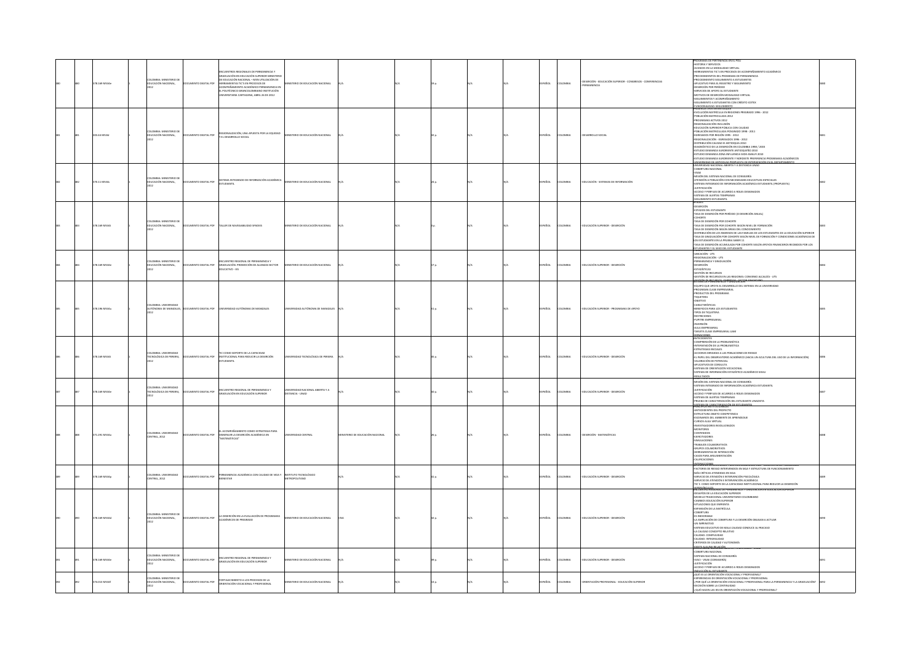|  | 378.169 MS34e | LOMBIA: MINISTERIO DE<br>EDUCACIÓN NACIONAL     | OCUMENTO DIGITAL PDF      | NALES DE PER<br>NCIA Y<br>ADUACIÓN EN EDUCACIÓN SUPERIOR MINISTERI<br>E EDUCACIÓN NACIONAL - MEN UTILIZACIÓN DE<br>ERRAMIENTAS TIC'S EN PROCESOS DE<br>OMPAÑAMIENTO ACADÉMICO PERMANENCIA EN<br>POLITÉCNICO GRANCOLOMBIANO INSTITUCIÓN<br>ERSITARIA CARTAGENA, ABRIL 26 DE 2012 | ISTERIO DE EDUCACIÓN NACIONAL                        |                             |      |  | <b>PAÑOL</b> | <b>QLOMBIA</b> | DESERCIÓN - EDUCACIÓN SUPERIOR - CONGRESOS - CONFERENCIAS | PROGRAMA DE PERTINENCIA EN EL IVOL<br>PRUSIRANA DE PERTINENCIA EN EL POLI<br>-HISTORIA Y SERVICIOS<br>-ANSTORIA Y SERVICIOS<br>-HERRAMIENTAS TIC'S EN PROCESOS DE ACOMPAÑAMIENTO ACADÉMICO<br>-PROCEDIMIENTOS DEL PROGRAMA DE PERMANENCIA<br>-PROCEDIMIENTO SEGUIMIENTO A ESTUDIANTES<br>-APLICATIVO PARA EL REGISTRO Y SEGUIMIENTO<br>DESERCIÓN POR PERÍODO<br>SERVICIOS DE AROYO AL ESTUDIANTE<br>ENVICUS DE APOTO AL ESTODIANTE<br>ÉGUIVOS DE DESERCIÓN MODALIDAD VIRTUAL<br>ÉGUIMIENTOS Y ACOMPAÑAMIENTO<br>ÉGUIMIENTO A ESTUDIANTES CON CRÉDITO ICETEX<br>FUNCIONALIDAD: SEGUIMIENTO<br>MESENCIA VIVA EN ANTIOQUIA                                                                                                                                                                           |      |
|--|---------------|-------------------------------------------------|---------------------------|---------------------------------------------------------------------------------------------------------------------------------------------------------------------------------------------------------------------------------------------------------------------------------|------------------------------------------------------|-----------------------------|------|--|--------------|----------------|-----------------------------------------------------------|---------------------------------------------------------------------------------------------------------------------------------------------------------------------------------------------------------------------------------------------------------------------------------------------------------------------------------------------------------------------------------------------------------------------------------------------------------------------------------------------------------------------------------------------------------------------------------------------------------------------------------------------------------------------------------------------------------------------------------------------------------------------------------------------------|------|
|  | 03.44 M534r   | LOMBIA: MINISTERIO DE<br>EDUCACIÓN NACIONAL     | CUMENTO DIGITAL PDF       | EGIONALIZACIÓN, UNA APUESTA POR LA EQUIDAD<br>EL DESARROLLO SOCIAL                                                                                                                                                                                                              | INSTERIO DE EDUCACIÓN NACIONAL                       |                             |      |  | <b>AÑOL</b>  | <b>ILOMBIA</b> | <b>ESARROLLO SOCIA</b>                                    | PRESENCIA VIAN EN PARTINGUIA<br>-EVOLUCIÓN MATRÍCULA EN REGIONES PREGRADO 1996 - 2012<br>-POGGRAMAS ACTIVOS 2012<br>-PROGRAMAS ACTIVOS 2012<br>-REGIONALIZACIÓN INCLUSIÓN<br>EDUCACIÓN SUPERIOR PÚBLICA CON CALIDAD<br>-POBLACIÓN MATRICULADA POSGRADO 1998 - 2011<br>EGRESADOS POR REGIÓN 1995 - 2012<br>EXIRCIANOS Y UN REGIONI 1995 - 2012<br>REGIONALIZACIÓN - EGRESADOS 1996 - 2012<br>DISTRIBUCIÓN CALIDAD IE ANTIOQUIA 2010<br>DIAGNÓSTICO DE LA DESERCIÓN EN COLOMBIA 1998 / 2003<br>ESTUDIO DEMANDA SURORIENTE ANTIOQUEÑO 2010<br>ESTUDIO DEMANDA ZONA INFLUENCIA SEDE AMALFI 2010<br>ESTUDIO DEMANDA SURORIENTE Y NORDESTE PREFERENCIA PROGRAMAS ACADÉMICOS<br>INIVERSIDAD DE ANTIOQUIA PROPUESTA DE INTERVENCIÓN EN EL DEPARTAMENTO.<br>NIVERSIDAD NACIONAL ABIERTA Y A DISTANCIA UNAD |      |
|  | 70.11 MS34s   | OMRIA: MINISTERIO D<br>UCACIÓN NACIONAL         | UMENTO DIGITAL PDF        | ISTEMA INTEGRADO DE INFORMACIÓN ACADÉMICA<br>.<br>STUDIANTIL                                                                                                                                                                                                                    | NISTERIO DE EDUCACIÓN NACIONAL                       |                             |      |  | AÑOL         | <b>CAMBIA</b>  | <b>EDUCACIÓN - SISTEMAS DE INFORMACIÓN</b>                | COBERTURA NACIONAL<br>VISAE<br>MISIÓN DEL SISTEMA NACIONAL DE CONSEJERÍA<br>-ATENCIÓN A POBLACIÓN CON NECESIDADES EDUCATIVAS ESPECIALES<br>-RISTEMA INTEGRADO DE INFORMACIÓN ACADÉMICA ESTUDIANTIL (PROPUESTA)<br>-ISSTEMA INTEGRADO DE INFORMACIÓN ACADÉMICA ESTUDIANTIL (PROPUESTA)<br>-ACCESO Y PERFILES DE ACUERDO A ROLES DESIGNADOS<br>SISTEMA DE ALERTAS TEMPRANAS<br>SEGUIMIENTO ESTUDIANTIL                                                                                                                                                                                                                                                                                                                                                                                              |      |
|  | 8.169 MS34t   | MRIA: MINISTERIO I<br>UCACIÓN NACIONAL,         | MENTO DIGITAL PDF         | ALLER DE NAVEGABILIDAD SPADIES                                                                                                                                                                                                                                                  | STERIO DE EDUCACIÓN NACIONAL                         |                             |      |  | AÑOL         |                | DUCACIÓN SUPERIOR - DESERCIÓN                             | -DESERCIÓN<br>ESTADOS DEL ESTUDIANTE<br>-TASA DE DESERCIÓN POR PERÍODO (O DESERCIÓN ANUAL)<br><b>TROHOT</b><br>TASA DE DESERCIÓN POR COHORTE<br>- I ASA DE DESERUDIN POR CUMORIE<br>- TASA DE DESERCIÓN SOR COHORTE SEGÚN NIVEL DE FORMACIÓN<br>- TASA DE DESERCIÓN SEGÚN ÁREAS DEL CONOCIMIENTO<br>- DISTRIBUCIÓN DE LOS INGRESOS DE LAS FAMILIAS DE LOS ESTUDIANTES DE LA EDUCACIÓN S<br>TASA DE GRADUACIÓN POR COHORTE SEGÚN NIVEL DE FORMACIÓN Y CONDICIONES ACADÉMICAS DE<br>LOS ESTUDIANTES EN LA PRUEBA SABER 11<br>-TASA DE DESERCIÓN ACUMULADA POR COHORTE SEGÚN APOYOS FINANCIEROS RECIBIDOS POR LOS                                                                                                                                                                                    |      |
|  | 78.169 MS34e  | MBIA: MINISTERIO DE<br>JUCACIÓN NACIONAL,       | <b>MENTO DIGITAL PDF</b>  | :<br>NCUENTRO REGIONAL DE PERMANENCIA Y<br>SRADUACIÓN. PROMOCIÓN DE ALIANZAS SECTOR<br>231 - QVITAQUO                                                                                                                                                                           | STERIO DE EDUCACIÓN NACIONAL                         |                             |      |  | PAÑOL        |                | EDUCACIÓN SUPERIOR - DESERCIÓN                            | -TASA DE DESERCON ACUMULADA POR O<br>ESTURIANTES Y EL SEKO DEL ESTUDIANTE<br>-UBICACIÓN - UTS<br>-REGIONALIZACIÓN - UTS<br>-PERMANENCIA Y GRADUACIÓN<br>-DESERCIÓN<br>-ESTADÍSTICAS<br>-GESTIÓN DE RECURSOS<br>GESTIÓN DE RECURSOS EN LAS REGIONES: CONVENIO ALCALDÍA - UTS                                                                                                                                                                                                                                                                                                                                                                                                                                                                                                                       |      |
|  | 378.196 MS34u | OMBIA: UNIVERSIDAD<br>JTÓNOMA DE MANIZALES.     | OCUMENTO DIGITAL PDF      | NIVERSIDAD AUTÓNOMA DE MANIZALES                                                                                                                                                                                                                                                | VERSIDAD AUTÓNOMA DE MANIZALES                       |                             |      |  | PAÑOL        | <b>QLOMBIA</b> | EDUCACIÓN SUPERIOR - PROGRAMAS DE APOYO                   | GESTIÓN DE BECUREOS, EMBRESAS - ESCTOR<br>ISTEMA DE PERMANENCIA Y GRADUACIÓN<br>-EQUIPO QUE APOYA EL DESARROLLO DEL SISTEMA EN LA UNIVERSIDAD<br><b>PROGRAMA CLASE EMPRESARIAL</b><br>PRODUCTOS DEL PROGRAMA<br>TIQUETERA<br>-OBJETIVO<br>-CARACTERÍSTICAS<br>-BENEFICIOS PARA LOS ESTUDIANTES<br>-TIPOS DE TIQUETERA<br><b>PESTRICIONES</b><br><b>PUPITRE FMPRESARIA</b><br>-FOFFINIL LINFINLANDINIL<br>-AULA EMPRESARIAL<br>-TARJETA CLASE EMPRESARIAL LIAM<br><b>DONACIONES</b><br>INTECEDENTES                                                                                                                                                                                                                                                                                                |      |
|  | 378.169 MS34t | OLOMBIA: UNIVERSIDAD<br>TECNOLÓGICA DE PEREIRA  | OCUMENTO DIGITAL PDF      | IC COMO SOPORTE DE LA CAPACIDAD<br>NSTITUCIONAL PARA REDUCIR LA DESERCIÓN<br><b>UDIANTIL</b>                                                                                                                                                                                    | VERSIDAD TECNOLÓGICA DE PEREIRA                      |                             |      |  | <b>JORA</b>  | LOMBIA.        | EDUCACIÓN SUPERIOR - DESERCIÓN                            | COMPRENSIÓN DE LA PROBLEMÁTICA<br>INTERVENCIÓN DE LA PROBLEMÁTICA<br>ESTRATEGIAS INICIALES<br>ACCIONES DIRIGIDAS A LAS POBLACIONES DE RIESGO<br>PLANEL DEL ORSENVATORIO ACADÊMICO IHACIA UN ACULTURA DEL USO DE LA INFORMACIÓNI<br>-EL PAPEL DEL OBSERVATORIO ACADEMICO (HAGA UN ACULTU<br>-VALORACIÓN DE POTENCIAL<br>-APLICATIVOS DE CONSULTA<br>-SISTEMA DE ONIENTACIÓN VOCACIONAL<br>-SISTEMA DE INFORMACIÓN ESTADÍSTICO ACADÉMICO SIEAU<br>-SISTEMA DE INFORMACIÓN ESTADÍST<br>-RESULTADOS                                                                                                                                                                                                                                                                                                   |      |
|  | 378.169 MS34e | CMRIL- I INNERSOLE<br>ECNOLÓGICA DE PEREIRA,    | <b>IMENTO DIGITAL PDF</b> | <b>UENTRO REGIONAL DE PERMANENCIA Y</b><br>UACIÓN EN EDUCACIÓN SUPERIOR                                                                                                                                                                                                         | <b>ERSIDAD NACIONAL ABIERTA Y A</b><br>TANCIA - UNAD |                             |      |  | AÑOL         |                | EDUCACIÓN SUPERIOR - DESERCIÓN                            | MISIÓN DEL SISTEMA NACIONAL DE CONSEIERÍA<br>SISTEMA INTEGRADO DE INFO<br>MACIÓN ACADÉMICA ESTUDIANTIL<br>-SISTEMA INTERNADO DE INFORMACION ACADEMICA ESTUDI<br>-USTIFICACIÓN<br>-ACCESO Y PERFILES DE ACUERDO A ROLES DESIGNADOS<br>-SISTEMA DE ALERTAS TEMPRANAS<br>-PRUEBA DE CARACTERIZACIÓN DEL ESTUDIANTE UNADISTA<br>SISTEMA DE CARACTERIZACIÓN DE ESTUD                                                                                                                                                                                                                                                                                                                                                                                                                                   |      |
|  | 371.291 MS34a | CENTRAL, 2012                                   | UMENTO DIGITAL PDF        | EL ACOMPAÑAMIENTO COMO ESTRATEGIA PARA<br>DISMINUIR LA DESERCIÓN ACADÉMICA EN<br><b><i>TEMÁTICAS</i></b>                                                                                                                                                                        |                                                      | TERIO DE EDUCACIÓN NACIONAL |      |  | AÑOL         |                | DESERCIÓN - MATEMÁTICAS                                   | -ANTECEDENTES DEL PROYECTO<br>-ESTRUCTURA OBJETO COMPETENCIA<br>-ESCENARIOS DEL AMBIENTE DE APRENDIZAJE<br>-<br>-CURSOS AULA VIRTUAL<br>-INVESTIGADORES INVOLUCRADOS<br>-INVESTIGADORES<br>-MONITORES<br>-CONTENIDOS<br>-EJERCITADORES<br><b>SIMULACIONES</b><br>-TRABAJOS COLABORATIVOS<br>CRUITARDRA IDD 2011 IRC<br>HERRAMIENTAS DE INTERACCIÓN<br>CASOS PARA ARGUMENTACIÓN<br>CALIFICACIONES                                                                                                                                                                                                                                                                                                                                                                                                  |      |
|  | 378.169 MS34p | LOMBIA: UNIVERSIDAD<br>CENTRAL 2012             | DOCUMENTO DIGITAL PDF     | <b>RMANENCIA ACADÉMICA CON CAUDAD DE VIDA Y INSTITUTO TECNOLÓGICO</b><br>ENESTAR                                                                                                                                                                                                | METROPOLITANO                                        |                             | 110. |  | <b>JORAS</b> | LOMBIA         | EDUCACIÓN SUPERIOR - DESERCIÓN                            | INTERACCIONES<br>SERVICIO DE INTERVENCION Y GESTION ACADEMICA SIGA - OBSER<br>-FACTORES DE RIESGO INTERVENIDOS EN SIGA Y ESTRUCTURA DE FUNCIONAMIENTO<br>-MÁS CRÍTICAS ATENDIDAS EN SIGA<br>-SERVICIO DE ATENCIÓN E INTERVENCIÓN PSICOLÓGICA<br>-SERVICIO DE ATENCIÓN E INTERVENCIÓN ACADÉMICA<br>-TIC'S COMO SOPORTE DE LA CAPACIDAD INSTITUCIONAL PARA REDUCIR LA DESERCIÓN<br>HIPFRYÍNCI II.OS.<br>NETROVÍNCI REGIONAL DE VERMANENCIA V GRADIAL IC                                                                                                                                                                                                                                                                                                                                             |      |
|  | 378.169 MS34d | LOMBIA: MINISTERIO DE<br>EDUCACIÓN NACIONAL     | DOCUMENTO DIGITAL PDF     | LA DESERCIÓN EN LA EVALUACIÓN DE PROGRAMAS<br>ACADÉMICOS DE PREGRADO                                                                                                                                                                                                            | MINISTERIO DE EDUCACIÓN NACIONAL                     |                             |      |  | JORAS        | <b>QLOMBIA</b> | EDUCACIÓN SUPERIOR - DESERCIÓN                            | DESAFÍOS DE LA EDUCACIÓN SUPERIOR<br>-DISHANDS DE LA EDIDANIA UNIVERSITARIO COLOMBI<br>- MODELO TRADICIONAL UNIVERSITARIO COLOMBI<br>- SITUACIONES QUE ENFRENTA<br>-EXPANSIÓN DE LA MATRÍCULA<br>COBERTURA<br>-ES INEXORABLE<br>LA AMPUACIÓN DE COBERTURA Y LA DESERCIÓN OBLIGAN A ACTUAR<br>IN IMPFRATIVO<br>SISTEMA EDUCATIVO DE MALA CALIDAD CONDUCE AL FRACASO<br>-LA CALIDAD CONCEPTO RELATIVO<br>-CALIDAD: COMPLEJIDAD<br>-CALIDAD: INTEGRALIDAD<br>CRITERIOS DE CALIDAD Y AUTONOMÍA<br>.<br>NIVERSIDAD NACIONAL ABIERIA Y A DISTA                                                                                                                                                                                                                                                          |      |
|  | 378.169 MS34e | OMRIA: MINISTERIO DE<br><b>UCACIÓN NACIONAL</b> | CUMENTO DIGITAL PDF       | <b>UENTRO REGIONAL DE PERMANENCIA Y</b><br>UACIÓN EN EDUCACIÓN SUPERIOR                                                                                                                                                                                                         | NISTERIO DE EDUCACIÓN NACIONAL                       |                             | 39p  |  | AÑOL         | <b>CAMBIA</b>  | EDUCACIÓN SUPERIOR - DESERCIÓN                            | -COBERTURA NACIONAL<br>-LUISENTURA MACIONAL DE CONSEJERÍA<br>-SISTEMA NACIONAL DE CONSEJERÍA<br>-VIACI - VISAE (CONSEJERÍA)<br>-ACCESO Y PERFILES DE ACUERDO A ROLES DESIGNADOS                                                                                                                                                                                                                                                                                                                                                                                                                                                                                                                                                                                                                   |      |
|  | 74.013 MS34f  | LOMBIA: MINISTERIO DE<br>JUCACIÓN NACIONAL      | HOR JATION OTHER          | ORTALECIMIENTO A LOS PROCESOS DE LA<br><b>IENTACIÓN VOCACIONAL Y PROFESIONAL</b>                                                                                                                                                                                                | ISTERIO DE EDUCACIÓN NACIONAL                        |                             |      |  | PAÑOL        | <b>OLOMBIA</b> | ORIENTACIÓN PROFESIONAL - EDUCACIÓN SUPERIOR              | INDUCCIÓN AL ESTUDIANTE<br>¿QUÉ ES LA ORIENTACIÓN VOCACIONAL Y PROFESIONAL?<br>XPERIENCIAS DE ORIENTACIÓN VOCACIONAL Y PROFESIONAL<br>-/POR QUÉ LA ORIENTACIÓN VOCACIONAL Y PROFESIONAL PARA LA PERMANENCIA Y LA GRADUACIÓN?<br>DECISIÓN SOBRE LA CONTINUIDAD<br>¿QUÉ HACEN LAS IES EN ORIENTACIÓN VOCACIONAL Y PROFESIONAL?                                                                                                                                                                                                                                                                                                                                                                                                                                                                      | 5940 |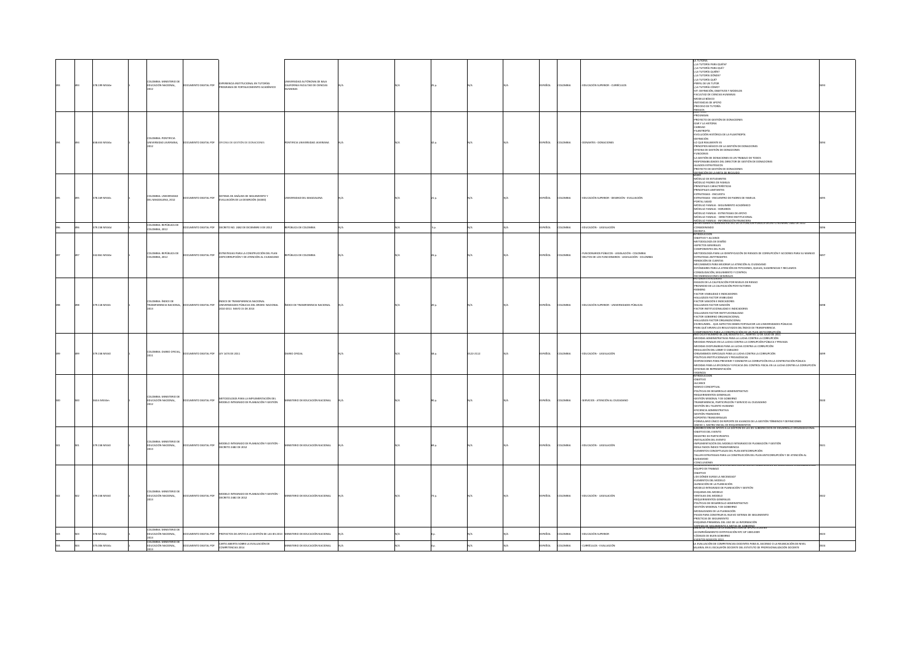|  | 78.199 MS34e  | OLOMBIA: MINISTERIO DE<br>EDUCACIÓN NACIONAL,         | OCUMENTO DIGITAL PDF       | EXPERIENCIA INSTITUCIONAL EN TUTORÍAS<br>ROGRAMA DE FORTALECIMIENTO ACADÉMICO                                   | ERSIDAD AUTÓNOMA DE BAJA<br>CALIFORNIA FACULTAD DE CIENCIAS<br>MANAS |  |          | PAÑOL  | OLOMBIA        | EDUCACIÓN SUPERIOR - CURRÍCULOS                                                                      | <b>FUTORIA</b><br>-LA TUTORÍA PARA QUIÉN?<br>-LA TUTORÍA PARA QUÉ?<br><b><i>FIRENCIA AIROTUT AJS</i></b><br>-/LA TUTORÍA DÓNDE?<br>LA TUTORÍA QUE?<br>-PERFIL DE UN TUTOR<br>-/LA TUTORÍA CÓMO?<br>-EN TUTURN COMOT<br>-SIT: DEFINICIÓN, OBJETIVOS Y MODELOS<br>-FACULTAD DE CIENCIAS HUMANAS<br>MODELO BÁSICO<br>-INSTANCIAS DE APOYO<br>-INSTANCIAS DE APOYO<br><b>BIFSGOS</b>                                                                                                                                                                                                                                                                                                                                                                                             |  |
|--|---------------|-------------------------------------------------------|----------------------------|-----------------------------------------------------------------------------------------------------------------|----------------------------------------------------------------------|--|----------|--------|----------------|------------------------------------------------------------------------------------------------------|------------------------------------------------------------------------------------------------------------------------------------------------------------------------------------------------------------------------------------------------------------------------------------------------------------------------------------------------------------------------------------------------------------------------------------------------------------------------------------------------------------------------------------------------------------------------------------------------------------------------------------------------------------------------------------------------------------------------------------------------------------------------------|--|
|  | 58.653 M534c  | COLOMBIA: PONTIFICIA<br>UNIVERSIDAD JAVERIANA,        | OCUMENTO DIGITAL PDF       | OFICINA DE GESTIÓN DE DONACIONES                                                                                | TIFICIA UNIVERSIDAD JAVERIANA                                        |  |          | PAÑOL  | OLOMBIA        | ONANTES - DONACIONES                                                                                 | <b>ROGRAMA</b><br>-PROYECTO DE GESTIÓN DE DONACIONES<br>DAR Y LA HISTORIA<br>CARIDAD<br>-CARIDAD<br>-FILANTROPÍA<br>EVOLUCIÓN HISTÓRICA DE LA FILANTROPÍA<br>-<br>- DEFINICIÓN<br>- LO QUE REALMENTE ES<br>-PRINCIPIOS BÁSICOS DE LA GESTIÓN DE DONACIONES<br>-OFICINA DE GESTIÓN DE DONACIONES<br>-FUNCIONES<br>-LA GESTIÓN DE DONACIONES ES UN TRABAJO DE TODOS<br>-<br>RESPONSABILIDADES DEL DIRECTOR DE GESTIÓN DE DONACIONES<br>-ALIADOS ESTRATÉGICOS<br>PROYECTO DE GESTIÓN DE DONACIONES                                                                                                                                                                                                                                                                              |  |
|  | 78.169 MS34s  | OLOMBIA: LINIVERSIDAD<br>DEL MAGDALENA, 2012          | UMENTO DIGITAL PDF         | SISTEMA DE ANÁLISIS DE SEGUIMIENTO Y<br>ALLIACIÓN DE LA DESERCIÓN (SASED)                                       | ERSIDAD DEL MAGDALENA                                                |  |          | PAÑOL  | LOMBIA         | EDUCACIÓN SUPERIOR - DESERCIÓN - EVALUACIÓN                                                          | MÓDULO DE ESTUDIANTES<br>-MÓDULO PADRES DE FAMILIA<br>-MODOLO FROM SIDE FRIEDRI<br>- PRINCIPALES LIMITANTES<br>- PRINCIPALES LIMITANTES<br>-ESTRATEGIAS - ENCUESTA<br>-<br>ESTRATEGIAS - ENCUENTRO DE PADRES DE FAMILIA<br>-PORTAL SASED<br>MÓDIFIO FAMILIA - SEGUIMENTO ACADÉMICO<br>-MODULO FAMILIA - HORARIOS<br>-MÓDULO FAMILIA - HORARIOS<br>-MÓDULO FAMILIA - ESTRATEGIAS DE APOYO<br>-MÓDULO FAMILIA - DIRECTORIO INSTITUCIONAL<br>-MÓDULO FAMILIA - INFORMACIÓN FINANCIERA.<br>DEPARTAMENTO ADMINISTRATIVO DE LA FUNCION PUBLICA DECRETO NUMERO 2482 DE 2012 -                                                                                                                                                                                                       |  |
|  | 79.158 M534d  | OLOMBIA: REPÚBLICA DE<br>OLOMBIA, 2012                | UMENTO DIGITAL PDF         | DECRETO NO. 2482 DE DICIEMBRE 3 DE 2012                                                                         | <b>VÚBLICA DE COLOMBIA</b>                                           |  |          | AÑOL   | LOMBIA         | EDUCACIÓN - LEGISLACIÓN                                                                              | CONSIDERANDO                                                                                                                                                                                                                                                                                                                                                                                                                                                                                                                                                                                                                                                                                                                                                                 |  |
|  | 42.861 MS34e  | OLOMBIA: REPÚBLICA DE<br>OMBIA, 2012                  | OCUMENTO DIGITAL PDF       | STRATEGIAS PARA LA CONSTRUCCIÓN DEL PLAN<br>ITICORRUPCIÓN Y DE ATENCIÓN AL CIUDADANO                            | <b>FÚBLICA DE COLOMBIA</b>                                           |  |          | PAÑOL  | OLOMBIA        | UNCIONARIOS PÚBLICOS - LEGISLACIÓN - COLOMBIA<br>ELITOS DE LOS FUNCIONARIOS - LEGISLACIÓN - COLOMBIA | -DECRETA<br>INTRODUCCION<br>OBJETIVO Y ALCANCE<br>-METODOLOGÍA DE DISEÑO<br>-METODOLOGIK DE DISENT<br>-ASPECTOS GENERALES<br>-COMPONENTES DEL PLAN<br>-METODOLOGÍA PARA LA IDENTIFICACIÓN DE RIESGOS DE CORRUPCIÓN Y ACCIONES PARA SU MANEIO<br>-<br>ESTRATEGIA ANTITRAMITES<br>-RENDICIÓN DE CUENTAS<br>-MECANISMOS PARA MEJORAR LA ATENCIÓN AL CIUDADANO<br>-<br>ESTÁNDARES PARA LA ATENCIÓN DE PETICIONES, QUEIAS, SUGERENCIAS Y RECLAMOS<br>-CONSOLIDACIÓN, SEGUIMIENTO Y CONTROL<br>RECOMENDACIONES GENERALES                                                                                                                                                                                                                                                           |  |
|  | 379.118 MS34i | OLOMBIA: ÍNDICE DE                                    | CUMENTO DIGITAL PDR        | .<br>INDICE DE TRANSPARENCIA NACIONAL<br>UNIVERSIDADES PÚBLICAS DEL ORDEN NACIONAL<br>2010-2011 MAYO 15 DE 2013 | NDICE DE TRANSPARENCIA NACIONAL                                      |  |          | SPAÑOL | OLOMBIA        | EDUCACIÓN SUPERIOR - UNIVERSIDADES PÚBLICAS                                                          | -RASGOS DE LA CALIFICACIÓN POR NIVELES DE RIESGO<br>-PROMEDIO DE LA CALIFICACIÓN POR FACTORES<br>-RANKING<br>-FACTOR VISIBILIDAD E INDICADORES<br>-HALLAZGOS FACTOR VISIBILIDAD<br>-FACTOR SANCIÓN E INDICADORES<br>-FACTOR SANCIÓN E INDICADORES<br>-HALLAZGOS FACTOR SANCIÓN<br>-FACTOR INSTITUCIONALIDAD E INDICADORES<br>-FACTOR INSTITUCIONALIDAD E INDICADO<br>-HALLAZGOS FACTOR INSTITUCIONALIDAD<br>-FACTOR GOBIERNO ORGANIZACIONAL<br>-HALLAZGOS FACTOR ORGANIZACIONAL<br>-<br>EN RESUMEN QUE ASPECTOS DEBEN FORTALECER LAS UNIVERSIDADES PÚBLICAS<br>-PARA QUÉ SIRVEN LOS RESULTADOS DEL ÍNDICE DE TRANSPARENCIA                                                                                                                                                   |  |
|  | 79.158 MS34   | OLOMBIA: DIARIO OFICIAL                               | 309 IATON OTHERSTAND       | LEY 1474 DE 2011                                                                                                | ARIO OFICIAL                                                         |  | 122-2112 | PAÑOL  | <b>OLOMBIA</b> | EDUCACIÓN - LEGISLACIÓN                                                                              | -COMPONENTES PARA LA CONSTRUCCIÓN DE UN PLAN ANTICORRUPCIÓN<br>AÑO COLVII NÚMERO 48.128, BOGOTÁ D.C., MARTES 12 DE JULIO DE 2011<br>-MEDIDAS ADMINISTRATIVAS PARA LA LUCHA CONTRA LA CORRUPCIÓN<br>-MEDIDAS PENALES EN LA LUCHA CONTRA LA CORRUPCIÓN PÚBLICA Y PRIVADA<br>-MEDIDAS DICIPLINARIAS PARA LA LUCHA CONTRA LA CORRUPCIÓN<br>REGULACIÓN DEL LOBBY O CABILDEO<br>-ORGANISMOS ESPECIALES PARA LA LUCHA CONTRA LA CORRUPCIÓN<br>POLÍTICAS INSTITUCIONALES Y PEDAGÓGICAS<br>-FOLLIDATIONISM DELONALES I FEDROLOGICAS<br>-DISPOSICIONES PARA PREVENIR Y COMBATIR LA CORRUPCIÓN EN LA CONTRATACIÓN PÚBLICA<br>-MEDIDAS PARA LA EFICIENCIA Y EFICACIA DEL CONTROL FISCAL EN LA LUCHA CONTRA LA CORRUPCIÓN<br>OFICINAS DE REPRESENTACIÓN<br><u>VIGENCIA</u><br>NTRODUCCIOI |  |
|  | 63.6 MS34m    | LOMBIA: MINISTERIO DI<br>EDUCACIÓN NACIONAL,          | OCUMENTO DIGITAL PDF       | ETODOLOGÍA PARA LA IMPLEMENTACIÓN DEL<br>MODELO INTEGRADO DE PLANEACIÓN Y GESTIÓN                               | WSTERIO DE EDUCACIÓN NACIONAL                                        |  |          | SPAÑOL | OLOMBIA        | SERVICIOS - ATENCIÓN AL CIUDADANO                                                                    | -OBJETIVO<br>-ALCANCE<br>-MARCO CONCEPTUAL<br>-POLÍTICAS DE DESARROLLO ADMINISTRATIVO<br>-REQUERIMIENTOS GENERALES<br>-GESTIÓN MISIONAL Y DE GOBIERNO<br>-TRANSPARENCIA, PARTICIPACIÓN Y SERVICIO AL CIUDADANO<br>-GESTIÓN DEL TALENTO HUMANO<br>EFICIENCIA ADMINISTRATIVA<br>-GESTIÓN FINANCIERA<br>-SOPORTES TRANSVERSALES<br>RMULARIO ÚNICO DE REPORTE DE AVANCES DE LA GESTIÓN TÉRMINOS Y DEFINICIONES                                                                                                                                                                                                                                                                                                                                                                   |  |
|  | 79.158 MS34   | <b>DLOMBIA: MINISTERIO DI</b><br>EDUCACIÓN NACIONAL   | <b>CUMENTO DIGITAL PDF</b> | ODELO INTEGRADO DE PLANEACIÓN Y GESTIÓN -<br>DECRETO 2482 DE 2012                                               | NISTERIO DE EDUCACIÓN NACIONAL                                       |  |          | SPAÑOL | <b>OLOMBIA</b> | EDUCACIÓN - LEGISLACIÓN                                                                              | LAMEXO 1: MATRIZ INICIAL DE BEOLIFRIMIENTOS.<br>SUBDIRECCIÓN DE APOYO A LA GESTIÓN DE LAS IES SUBDIRECCIÓN DE DESARROLLO ORGANIZACIONA<br>-OBJETIVO DEL EVENTO<br>-<br>REGISTRO DE PARTICIPANTES<br>-INSTALACIÓN DEL EVENTO<br>-IMPLEMENTACIÓN DEL MODELO INTEGRADO DE PLANEACIÓN Y GESTIÓN<br>-RESULTADOS ÍNDICE TRANSPARENCIA<br>ELEMENTOS CONCEPTUALES DEL PLAN ANTICORRUPCIÓN<br>TALLER ESTRATEGIAS PARA LA CONSTRUCCIÓN DEL PLAN ANTICORRUPCIÓN Y DE ATENCIÓN AL<br><b>OVADADA</b>                                                                                                                                                                                                                                                                                      |  |
|  | 379.158 M534  | <b>QLOMBIA: MINISTERIO DE</b><br>EDUCACIÓN NACIONAL,  | OCUMENTO DIGITAL PDF       | MODELO INTEGRADO DE PLANEACIÓN Y GESTIÓN -<br>DECRETO 2482 DE 2012                                              | ISTERIO DE EDUCACIÓN NACIONAL                                        |  |          | SPAÑOL | OLOMBIA        | EDUCACIÓN - LEGISLACIÓN                                                                              | -CONCLUSIONES<br>SUBDIRECCION DE APOYO A LA GESTION DE LASTES SUBDIRECCION DE DESARROLLO ORGANIZACIO<br>EQUIPO DE TRABAIC<br>-OBJETIVO<br>-¿DE DÓNDE SURGE LA NECESIDAD?<br>-<br>ELEMENTOS DEL MODELO<br>-ALINEACIÓN DE LA PLANEACIÓN<br>-MODELO INTEGRADO DE PLANEACIÓN Y GESTIÓN<br>-<br>ESQUEMA DEL MODELO<br>-REQUERIMIENTOS GENERALES<br>-POLÍTICAS DE DESARROLLO ADMINISTRATIVO<br>GESTIÓN MISIONAL Y DE GOBIERNO<br>-MODALIDADES DE LA PLANEACIÓN<br>OTHERWILDER CONSTRUIRE FLAUENO SISTEMA DE SEGUIMENTO<br>PRÁCTICAS DE SEGUIMIENTO<br>-ESQUEMA PIRAMIDAL DEL USO DE LA INFORMACIÓN<br>.<br>SISTEMA DE SEGUINIENTO A METAS DE GOBIERNO.<br>UNEAS DE TRABAID DE LA SURDIRECCIÓN DE AROYO A LAS IES.                                                                  |  |
|  | QAE2M 85      | COLOMBIA: MINISTERIO I<br>EDUCACIÓN NACIONAL,<br>2013 | OCUMENTO DIGITAL PDF       | PROYECTOS DE APOYO A LA GESTIÓN DE LAS IES 2013 MINISTERIO DE EDUCACIÓN NACIONAL                                |                                                                      |  |          | AÑOL   | LOMBIA         | DUCACIÓN SUPERIOR                                                                                    | ACOMPAÑAMIENTO CERTIFICACIÓN NTC GP 1000:2009<br>CÓDIGOS DE BUEN GOBIERNO<br>EVENTOS MASIVOS 2013                                                                                                                                                                                                                                                                                                                                                                                                                                                                                                                                                                                                                                                                            |  |
|  | 75.006 MS34c  | COLOMBIA: MINISTERIO DI<br>EDUCACIÓN NACIONAL,        |                            | DOCUMENTO DIGITAL PDF CARTA ABIERTA SOBRE LA EVALUACIÓN DE                                                      | MINISTERIO DE EDUCACIÓN NACIONAL                                     |  |          | SPAÑOL | <b>OLOMBIA</b> | LURRÍCULOS - EVALUACIÓN                                                                              | LA EVALUACIÓN DE COMPETENCIAS DOCENTES PARA EL ASCENSO O LA REUBICACIÓN DE NIVEL<br>SALARIAL EN EL ESCALAEÓN DOCENTE DEL ESTATUTO DE PROFESIONALIZACIÓN DOCENTE                                                                                                                                                                                                                                                                                                                                                                                                                                                                                                                                                                                                              |  |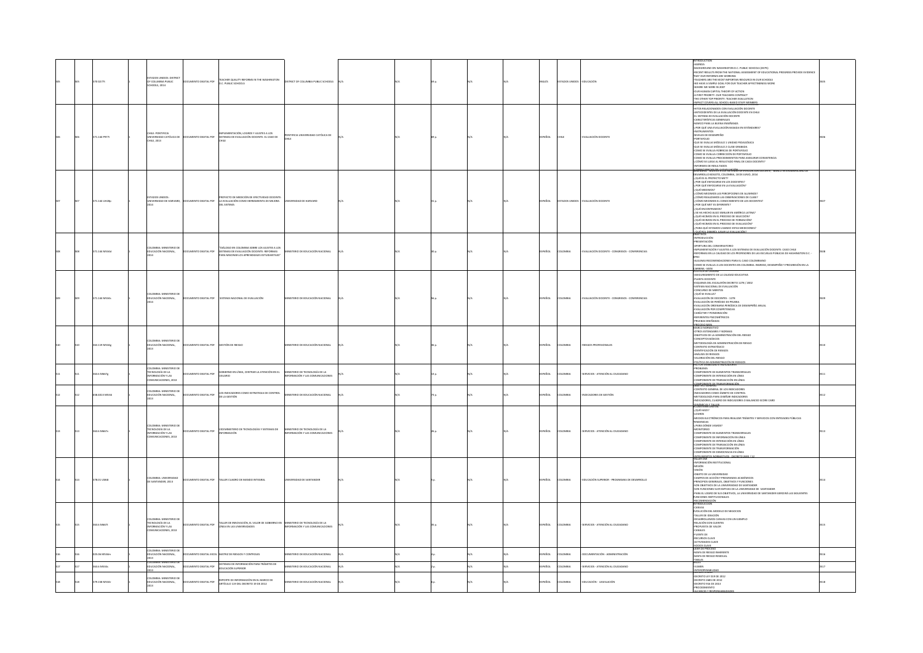|  |                    |                                                                                   |                             |                                                                                                                                       |                                                                 |  |  |              |                           |                                               | VTRODUCTION                                                                                                                                                                                                                                                                                                                                                                                                                                                                                                                                                                                                                                                                                                                                                     |  |
|--|--------------------|-----------------------------------------------------------------------------------|-----------------------------|---------------------------------------------------------------------------------------------------------------------------------------|-----------------------------------------------------------------|--|--|--------------|---------------------------|-----------------------------------------------|-----------------------------------------------------------------------------------------------------------------------------------------------------------------------------------------------------------------------------------------------------------------------------------------------------------------------------------------------------------------------------------------------------------------------------------------------------------------------------------------------------------------------------------------------------------------------------------------------------------------------------------------------------------------------------------------------------------------------------------------------------------------|--|
|  | 20 D277t           | DOS UNIDOS: DISTRIC<br>OF COLUMBIA PUBLIC<br>HOOLS, 2014                          | <b>DCUMENTO DIGITAL PDF</b> | EACHER QUALITY REFORMS IN THE WASHINGTON<br>.C. PUBLIC SCHOOLS                                                                        | DISTRICT OF COLUMBIA PUBLIC SCHOOLS                             |  |  | GLÉS         | STADOS UNIDOS - EDUCACIÓN |                                               | en holden.<br>- Agenda<br>- Reckisround on Washington D.C. Public Schools (DCPS)<br>- Recent Results from the National Assessment of Educational Progress Provide Evidence<br>THAT OUR REFORMS ARE WORKING<br>TEACHERS ARE THE MOST IMPORTAN RESOURCE IN OUR SCHOOLS<br>-WE HAVE A SIMPLE GOAL FOR OUR TEACHER AFFECTIVENESS WORK<br>WHERE WE WERE IN 2007<br>"HILHL HE WENT IN 2007<br>-OUR HUMAN CAPITAL THEORY OF ACTION<br>-A FIRST PRIORITY: OUR TEACHERS CONTRACT<br>-THE OTHER TOP PRIORITY: TEACHER EVALUATION<br>MPACT COVERS ALL SCHOOL BASED STAFF MENBERG                                                                                                                                                                                           |  |
|  | 71.144 P977i       | HILE: PONTIFICIA<br>IVERSIDAD CATÓLICA DE<br><b>HILE, 2013</b>                    |                             | IMPLEMENTACIÓN, LOGROS Y AJUSTES A LOS<br>DOCUMENTO DIGITAL PDF SISTEMAS DE EVALUACIÓN DOCENTE: EL CASO DE                            | PONTIFICIA UNIVERSIDAD CATÓLICA DE<br>cius.                     |  |  | PAÑOL        | HILE                      | EVALUACIÓN DOCENTE                            | -HITOS RELACIONADOS CON EVALUACIÓN DOCENTE<br>ANTECEDENTES DE LA EVALUACIÓN DOCENTE EN CHILE<br>-EL SISTEMA DE EVALUACIÓN DOCENTE<br>-EL SISTEMA DE EVADUADON DOCENTE<br>- CARACTERÍSTICAS GENERALES<br>- MARCO PARA LA BUENA ENSEÑANZA<br>- JPOR QUÉ UNA EVALUACIÓN BASADA EN ESTÁNDARES?<br>-INSTRUMENTOS<br>NIVELES DE DESEMPEÑO<br>PORTAFOLIO<br>OUF SE EVALUA MODULO 1 UNIDAD PEDAGOSICA<br>-QUE SE EVALUA MODULO 2 IONDAD PERANDIDICA<br>-QUE SE EVALUA MÓDULO 2 CLASE GRABADA<br>-COMO SE EVALUA MÓBULO 2 CLASE GRABADA<br>-COMO SE EVALUA CORRECCIÓN DE PORTAFOLIO<br>-COMO SE EVALUA PROCEDIMIENTOS PARA ASEGURAR CONSISTENCIA<br>-¿CÓMO SE LLEGA AL RESULTADO FINAL DE CADA DOCENTE?<br>INFORMES DE RESULTADOS<br><b>CONSCRIBING TESTA EDISTICIÓN</b> |  |
|  | 71.144 UH28p       | ADOS UNIDOS:<br>INIVERSIDAD DE HARVARD                                            |                             | NOYECTO DE MEDICIÓN DE EFECTIVIDAD DOCENTE<br>DOCUMENTO DIGITAL PDF LA EVALUACIÓN COMO HERRAMIENTA DE MEJORA<br><b>EL SISTEMA</b>     | VERSIDAD DE HARVARD                                             |  |  | JORAS        | DOS UNIDO                 | EVALUACIÓN DOCENT                             | ESARROLLO BOGOTÁ, COLOMBIA, 18 DE JUNIO, 2014<br>CEN OTHERS IS 29 BLOCK<br>-LOUIS ES IN PROTECTION RETORIES PRODUCTION CONTINUES PROCARSE EN LA EVALUACIÓN?<br>- LOUIS QUE ENFOCARSE EN LA EVALUACIÓN?<br>- LOUIS MESTINOS?<br>- LOUIS MESTINOS?<br>- LOUIS MESTINOS LA SOBSERVACIONES DE CLASE?<br>- LOUIS MESTINOS EL<br>-/POR QUÉ MET ES DIFERENTE?<br>COMARTMLIFE PLU<br><b>JSE HA HECHO ALGO SIMILAR EN AMÉRICA LATINA?</b><br>-25e ha hecho algo Similar en America Latina?<br>- ¿Qué hiomos en El Proceso de Selección?<br>- ¿Qué hiomos en El Proceso de Formación?<br>- ¿Qué hiomos en El Proceso de Evaluación?<br>- ¿Para Qué Estamos Usando Estas Mediciones?                                                                                       |  |
|  | 71.144 MS34d       | <b>DMBIA: MINISTERIO DE</b><br>UCACIÓN NACIONAL,                                  | CUMENTO DIGITAL PDF         | DIÁLOGO EN COLOMBIA SOBRE LOS AJUSTES A LOS<br>SISTEMAS DE EVALUACIÓN DOCENTE: REFORMAS<br>ARA MEIORAR LOS ARRENDIZAIES ESTUDIANTILES | INSTERIO DE EDUCACIÓN NACIONAL                                  |  |  | <b>JORA</b>  | LOMBIA                    | EVALUACIÓN DOCENTE - CONGRESOS - CONFERENCIAS | LOUÉ BOL DEBEBÍ<br>OBJETIVOS<br>-INTRODUCCIÓN<br>PRESENTACIÓN<br>-APERTURA DEL CONVERSATORIO<br>-IMPLEMENTACIÓN Y AJUSTES A LOS SISTEMAS DE EVALUACIÓN DOCENTE: CASO CHILE<br>-REFORMAS EN LA CALIDAD DE LOS PROFESORES DE LAS ESCUELAS PÚBLICAS DE HASHINGTON D.C.<br>h-Vu.<br>- Alguang Becomendaciones para el caso colombiano<br>- Comos se evalua a los docentes en caso colombiano<br>- Camera - Niema<br>- Politica de Calidad<br>- Politica de Calidad                                                                                                                                                                                                                                                                                                  |  |
|  | 371.144 MS34s      | LOMBIA: MINISTERIO DE<br>EDUCACIÓN NACIONAL                                       | DOCUMENTO DIGITAL PDF       | SISTEMA NACIONAL DE EVALUACIÓN                                                                                                        | INISTERIO DE EDUCACIÓN NACIONAL                                 |  |  | PAÑOL        | AISMOJO                   | EVALUACIÓN DOCENTE - CONGRESOS - CONFERENCIAS | -ASEGURAMIENTO DE LA CALIDAD EDUCATIVA<br>-ASEGUIRMIENTO DE LA CALIDAD EDUCATIVA<br>- PLANTA DOCENTE<br>- ESQUEMA DEL ESCALAFÓN DECRETO 1278 / 2002<br>- SISTEMA NACIONAL DE EVALUACIÓN<br>- CONCURSO DE MERITOS<br>JOUE SE EVALUA?<br>EVALUACIÓN DE DOCENTES - 1278<br>EVALUACIÓN DE PERÍODO DE PRUEBA<br>-EVALUACIÓN DE PERIODO DE PRIDOCA DE DESEMPEÑO ANUAL<br>-EVALUACIÓN POR COMPETENCIAS<br>-EVALUACIÓN POR COMPETENCIAS<br>-CARÁCTER Y PONDERACIÓN<br>-REFERENTES PSICOMÉTRICOS<br>PRUEBAS DISEÑADAS<br><b>PROCESO MEN</b><br>MARCO NORMATIVO                                                                                                                                                                                                           |  |
|  | 63.119 MS34e       | LOMBIA: MINISTERIO DE<br>DUCACIÓN NACIONAL,                                       | <b>OCUMENTO DIGITAL PDF</b> | ESTIÓN DE RIESGO                                                                                                                      | NISTERIO DE EDUCACIÓN NACIONAL                                  |  |  | AÑOL         | <b>CAMBIA</b>             | <b>NESGOS PROFESIONALES</b>                   | -OTROS ESTÁNDARES Y NORMAS<br>OBJETIVOS DE LA ADMINISTRACIÓN DEL RIESGO<br>CONCEPTOS BÁSICOS<br>-METODOLOGÍA DE ADMINISTRACIÓN DE RIESGO<br>CONTEXTO ESTRATÉGICO<br>-CONTEXTO ESTIMATEGICO<br>-ANÁLISIS DE RIESGOS<br>-VALORACIÓN DEL RIESGO<br><b>POLÍTICA DE ADMINISTRACIÓN DE RIESGOS.</b><br>ALTOR VISIBILIDAD E INDICADURES                                                                                                                                                                                                                                                                                                                                                                                                                                |  |
|  | gCaaM a.£a         | LOMBIA: MINISTERIO DI<br>CNOLOGÍA DE LA<br>ORMACIÓN Y LAS<br>OMUNICACIONES, 2013  | CUMENTO DIGITAL PDF         | OBERNO EN LÍNEA, CENTRAR LA ATENCIÓN EN EL                                                                                            | MINISTERIO DE TECNOLOGÍA DE LA<br>ORMACIÓN Y LAS COMUNICACIONES |  |  | AÑOL         |                           | SERVICIOS - ATENCIÓN AL CIUDADANO             | FACTOR VISIBILIDAD E INDICADORES<br>-PROBLEMA<br>-COMPONENTE DE ELEMENTOS TRANSVERSALES<br>COMPONENTE DE INTERACCIÓN EN LÍNEA<br>COMPONENTE DE TRANSACCIÓN EN LÍNEA<br>COMPONENTE DE TRANSFORMACIÓ<br>783E TIVO GENERAL                                                                                                                                                                                                                                                                                                                                                                                                                                                                                                                                         |  |
|  | SS.4013 M534i      | LOMBIA: MINISTERIO DE<br>DUCACIÓN NACIONAL,                                       | UMENTO DIGITAL PDF          | LOS INDICADORES COMO ESTRATEGIA DE CONTROL<br>DE LA GESTIÓN                                                                           | <b>INSTERIO DE EDUCACIÓN NACIONAL</b>                           |  |  | PAÑOL        |                           | NDICADORES DE GESTIÓN                         | CONTEXTO GENERAL DE LOS INDICADORES<br>NDICADORES COMO ÁMRITO DE CONTROL<br>METODOLOGÍA PARA DISEÑAR INDICADORES<br>INDICADORES, CUADRO DE INDICADORES O BALANCED SCORE CARD<br>NNÁMKAS V TAUFR<br>COSISTEMA DIGITAL                                                                                                                                                                                                                                                                                                                                                                                                                                                                                                                                            |  |
|  | 63.6 M667v         | MBIA: MINISTERIO<br>ECNOLOGÍA DE LA<br>ORMACIÓN Y LAS<br>MUNICACIONES, 2013       | CUMENTO DIGITAL PDF         | VICEMINISTERIO DE TECNOLOGÍAS Y SISTEMAS DE<br>INFORMACIÓN                                                                            | MINISTERIO DE TECNOLOGÍA DE LA<br>ORMACIÓN Y LAS COMUNICACIONES |  |  | AÑOL         | <b>ILOMBIA</b>            | SERVICIOS - ATENCIÓN AL CIUDADANO             | <b>COUL HACE?</b><br>LADEROS<br>-IDGROS<br>-MEDIOS ELECTRÓNICOS PARA REALIZAR TRÁMITES Y SERVICIOS CON ENTIDADES PÚBLICAS<br>-MEDIXS ELECTRONICOS PARA REALIZAR TRAMITE<br>TERRENCIAS<br>- (PARA DÓNDE VAMÓS?<br>- COMPONENTE DE ELEMENTOS TRANSVERSALES<br>- COMPONENTE DE ELEMENTOS TRANSVERSALES<br>COMPONENTE DE INFORMACIÓN EN LÍNEA<br>-COMPONENTE DE INTERACCIÓN EN LÍNEA<br>COMPONENTE DE TRANSACCIÓN EN LÍNEA<br>COMPONENTE DE TRANSFORMACIÓN<br>MPONENTE DE DEMOCRACIA EN LÍNEA                                                                                                                                                                                                                                                                       |  |
|  | 78.01 US84t        | OMBIA: UNIVERSIDAD<br>ESANTANDER, 2013                                            | FOR JATION OTHER            | ALLER CUADRO DE MANDO INTEGRAL                                                                                                        | ERSIDAD DE SANTANDER                                            |  |  | AÑOL         |                           | EDUCACIÓN SUPERIOR - PROGRAMAS DE DESARROLLO  | -INTRUMENTOS NORMATIVOS - DECRETO 2693 /<br>TALLER CMI<br>INFORMACIÓN INSTITUCIONAL<br>-VISIÓN<br>-OBJETO DE LA UNIVERSIDAD<br>-<br>CAMPOS DE ACCIÓN Y PROGRAMAS ACADÉMICOS<br>-PRINCIPIOS GENERALES, OBJETIVOS Y FUNCIONES<br>-SON OBJETIVOS DE LA UNIVERISIDAD DE SANTANDER<br>-<br>SON FUNCIONES SUSTANTIVAS DE LA UNIVERSIDAD DE SANTANDER<br>-PARA EL LOGRO DE SUS OBJETIVOS, LA UNIVERSIDAD DE SANTANDER EJERCERÁ LAS SIGUIENTES<br>FUNCIONES INSTITUCIONALES<br>RECOMENDACIÓN                                                                                                                                                                                                                                                                            |  |
|  | I63.6 M667t        | MBIA: MINISTERIO DI<br>TECNOLOGÍA DE LA<br>FORMACIÓN Y LAS<br>OMUNICACIONES, 2013 | UMENTO DIGITAL PDF          | TALLER DE INNOVACIÓN, EL VALOR DE GOBIERNO EN MINISTERIO DE TECNOLOGÍA DE LA                                                          | <b>VFORMACIÓN Y LAS COMUNICACIONES</b>                          |  |  | PAÑOL        | OLOMBIA                   | SERVICIOS - ATENCIÓN AL CIUDADANO             | CANNAS<br>OLUCIÓN DEL MODELO DE NEGOCIOS<br>TALLER DE IDEACIÓN<br>-DESARROLLEMOS CANVAS CON UN EJEMPLO<br>- RELACIÓN CON CLIENTES<br>- RELACIÓN CON CLIENTES<br>-PROPUESTA DE VALOR<br>-<br>CANALES<br>-FUENTE DE<br>-RECURSOS CLAVE<br>CTIVIDADES CLAVE<br>SOCIOS CLAVE<br>JOER DE PROCESC                                                                                                                                                                                                                                                                                                                                                                                                                                                                     |  |
|  |                    | OLOMRIA: MINISTERIO DI                                                            |                             |                                                                                                                                       |                                                                 |  |  |              |                           |                                               |                                                                                                                                                                                                                                                                                                                                                                                                                                                                                                                                                                                                                                                                                                                                                                 |  |
|  | 5.06 M534m         | UCACIÓN NACIONAL,                                                                 |                             | UMENTO DIGITAL EXCEL MATRIZ DE RIESGOS Y CONTROLES                                                                                    | <b>ESTERIO DE EDUCACIÓN NACIONAL</b>                            |  |  | AÑOL         |                           | DOCUMENTACIÓN - ADMINISTRACIÓN                | LIDER DE PROCESO<br>-MAPA DE RIESGO INHERENTE<br>-MAPA DE RIESGO RESIDUAL                                                                                                                                                                                                                                                                                                                                                                                                                                                                                                                                                                                                                                                                                       |  |
|  | <b>AFR 6 MSRAL</b> | LOMBIA: MINISTERIO DI<br>UCACIÓN NACIONAL                                         | THE IATION OTHERS           | SISTEMAS DE INFORMACIÓN PARA TRÁMITES DE<br>EDUCACIÓN SUPERIOR                                                                        | INSTERIO DE EDUCACIÓN NACIONAL                                  |  |  | <b>Ingas</b> | <b>AIRMO IO</b>           | SERVICIOS - ATENCIÓN AL CUIDADANO             | M BAFN<br>INTEROPERABILII<br>VOHMATIVIDAD<br>DECRETO LEY 019 DE 2012                                                                                                                                                                                                                                                                                                                                                                                                                                                                                                                                                                                                                                                                                            |  |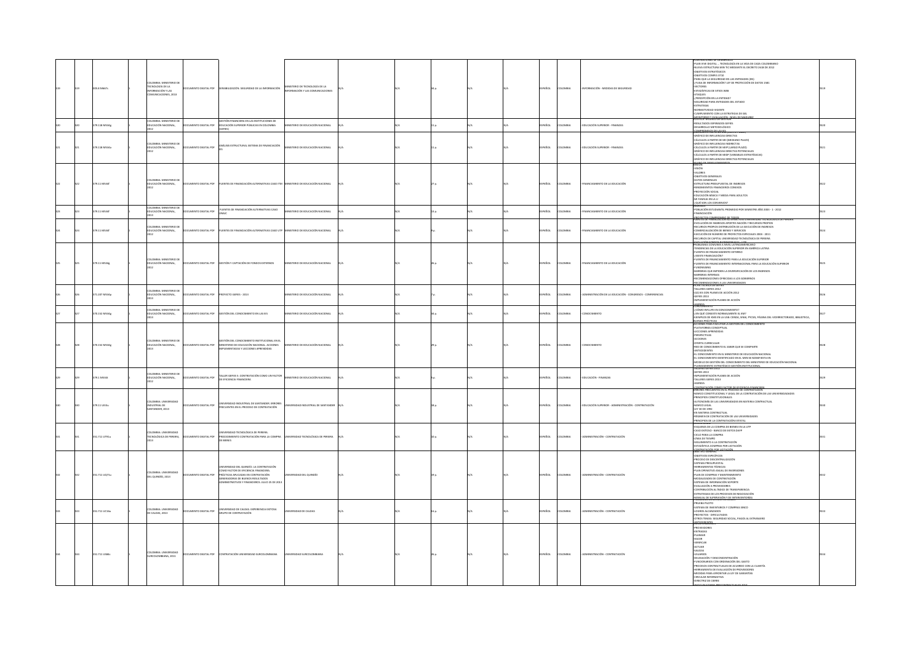|  | 05.8 M667s    | <b>OLOMBIA: MINISTERIO DI</b><br>TECNOLOGÍA DE LA<br>INFORMACIÓN Y LAS<br>COMUNICACIONES, 2013 | UMENTO DIGITAL PDF         | SENSIBILIZACIÓN, SEGURIDAD DE LA INFORMACIÓN                                                                                                                                                                                                   | <b>INSTERIO DE TECNOLOGÍA DE LA</b><br>INFORMACIÓN Y LAS COMU<br>COMED |  |  | JORAS        | <b>QLOMBIA</b> | INFORMACIÓN - MEDIDAS DE SEGURIDAD                        | PLAN NACIONAL DE DESARROLLO<br>-PLAN VIVE DIGITAL  TECNOLOGÍA EN LA VIDA DE CADA COLOMBIANO<br>-NUEVA ESTRUCTURA MIN TIC MEDIANTE EL DECRETO 2618 DE 2012<br>-NUEVEL ESTRUCTURA MINI TIC MEDIANTE EL DECRETO<br>-OBJETIVOS COTRATÉGICOS<br>-OBJETIVOS CONPES 3710<br>-PARA QUE LA SEGUIRIDAD EN LAS ENTIDADES (IES)<br>-/FUGA DE INFORMACIÓN? LEY DE PROTECCIÓN DE DATOS 1581<br><b>VECTORES</b><br><b>ESTADÍSTICAS DE SITIOS WER</b><br>-ESTADISTICAS DE SITIUS WEB<br>-ATAQUES<br>-¿PERCEPCIÓN EN LA ENTIDAD?<br>SEGURIDAD PARA ENTIDADES DEL ESTADO<br>-ESTRATEGIA<br><b>MORMATIVIDAD VISENTE</b><br>CUMPLIMIENTO CON LA ESTRATEGIA DE GEL |  |
|--|---------------|------------------------------------------------------------------------------------------------|----------------------------|------------------------------------------------------------------------------------------------------------------------------------------------------------------------------------------------------------------------------------------------|------------------------------------------------------------------------|--|--|--------------|----------------|-----------------------------------------------------------|-----------------------------------------------------------------------------------------------------------------------------------------------------------------------------------------------------------------------------------------------------------------------------------------------------------------------------------------------------------------------------------------------------------------------------------------------------------------------------------------------------------------------------------------------------------------------------------------------------------------------------------------------|--|
|  | 79.118 MS34g  | OLOMBIA: MINISTERIO DI<br>EDUCACIÓN NACIONAL,                                                  |                            | SESTIÓN FINANCIERA EN LAS INSTITUCIONES DE<br>LUMENTO DIGITAL PDF EDUCACIÓN SUPERIOR PÚBLICAS EN COLOMBIA<br>GEFIESI                                                                                                                           | ISTERIO DE EDUCACIÓN NACIONAL                                          |  |  | AÑOL         | LOMBIA         | DUCACIÓN SUPERIOR - FINANZAS                              | MONTORFO Y EVALUACIÓN - NO<br>-RESULTADOS ESPERADOS GEFIES<br>DESARROLLO METODOLÓGICO                                                                                                                                                                                                                                                                                                                                                                                                                                                                                                                                                         |  |
|  | 179.118 MS34a | OLOMBIA: MINISTERIO DE<br>EDUCACIÓN NACIONAL                                                   | UMENTO DIGITAL PDF         | ANÁLISIS ESTRUCTURAL SISTEMA DE FINANCIACIÓN                                                                                                                                                                                                   | STERIO DE EDUCACIÓN NACIONAL                                           |  |  | AÑOL         | LOMBIA         | EDUCACIÓN SUPERIOR - FINANZAS                             | <b>COMPROMISOS DE LAS JES</b> (COM<br>-GRÁFICO DE INFLUENCIAS DIRECTAS<br>-CÁLCULOS A PARTIR DE MII (MEDIANO PLAZO)<br>GRÁFICO DE INFLUENCIAS INDIRECTAS<br>-<br>CÁLCULOS A PARTIR DE MIIP (LARGO PLAZO)<br>-GRÁFICO DE INFLUENCIAS DIRECTAS POTENCIALES<br>-CÁLCULOS A PARTIR DE MIDP (VARIABLES ESTRATÉGICAS)<br>GRÁFICO DE INFLIENCIAS DIRECTAS POTENCIALES<br><b>DEAM</b>                                                                                                                                                                                                                                                                 |  |
|  | 2011 MS34F    | <b>OLOMBIA: MINISTERIO DE</b><br>EDUCACIÓN NACIONAL,                                           | MENTO DIGITAL PDF          | HENTES DE FINANCIACIÓN ALTERNATIVAS CASO ITM                                                                                                                                                                                                   | NISTERIO DE EDUCACIÓN NACIONAL                                         |  |  | <b>DAÑOI</b> | <b>UOMRIA</b>  | NANCIAMENTO DE LA EDUCACIÓN                               | -visión<br>-VALORES<br>-OBJETIVOS GENERALES<br>-DATOS GENERALES<br>FSTRUCTURA PRESUPLIESTAL DE INGRESOS<br>-ESTRUCTURA PRESUPUESTAL DE INGRESO<br>-EDUCACIÓN BÁSICA Y MEDIA PARA ADULTOS<br>MI FAMILIA EN LA U<br>-<br>Qué son los conven                                                                                                                                                                                                                                                                                                                                                                                                     |  |
|  | 79.11 MS34f   | COLOMBIA: MINISTERIO DI<br>EDUCACIÓN NACIONAL                                                  | UMENTO DIGITAL PDF         | FUENTES DE FINANCIACIÓN ALTERNATIVAS CASO<br>NAIC                                                                                                                                                                                              | ISTERIO DE EDUCACIÓN NACIONAL                                          |  |  | SPAÑOL       | <b>AISMOJO</b> | NANCIAMIENTO DE LA EDUCACIÓN                              | -ROBLACIÓN ESTUDIANTIL PROMEDIO POR SEMESTRE AÑO 2003 - 1 - 2012<br>-FINANCIACIÓN<br>NOVECTOS COMPROMISO DE TODO                                                                                                                                                                                                                                                                                                                                                                                                                                                                                                                              |  |
|  | 79.11 M534f   | MBIA: MINISTERIO DE<br>EDUCACIÓN NACIONAL,                                                     | LUMENTO DIGITAL PDF        | FUENTES DE FINANCIACIÓN ALTERNATIVAS CASO UTP MINISTERIO DE EDUCACIÓN NACIONAL                                                                                                                                                                 |                                                                        |  |  | AÑOL         | LOMBIA         | INANCIAMIENTO DE LA EDUCACIÓN                             | FUENTI ES DE FINANCIAMON ALTERNATIVAS DINVERSIDAD TECNOLOGO<br>-ENCLUCIÓN DE INSRESOS APORTES NACIÓN D'RECURSOS PROPIOS<br>-RECURSOS PROPIOS DISTRIBUCIÓN DE LA EJECUCIÓN DE INGRESOS<br>-COMERCIALIZACIÓN DE BIENES Y SERVICIOS<br>-EJECUCIÓN DE NÚMERO DE PROYECTOS ESPECIALES 2004 - 2011<br>RECURSOS DE CARITAL UNIVERSIDAD TECNOLÓGICA DE REREIRA                                                                                                                                                                                                                                                                                        |  |
|  | 79.11 M534g   | OMBIA: MINISTERIO DI<br>EDUCACIÓN NACIONAL,                                                    | MENTO DIGITAL PDF          | GESTIÓN Y CAPTACIÓN DE FONDOS EXTERNOS                                                                                                                                                                                                         | <b>ISTERIO DE EDUCACIÓN NACIONAL</b>                                   |  |  | PAÑOL        | LOMBIA         | INANCIAMIENTO DE LA EDUCACIÓN                             | EMOLLICIÓN EOMOGO BATRIMONIALES - LITR<br>PROBLEMAS COMUNES A NIVEL LATINOAMERICANO<br>-TENDENCIAS DE LA EDUCACIÓN SUPERIOR EN AMÉRICA LATINA<br>-FUENTES DE FINANCIAMIENTO EXTERNO<br>CROCKER MARIE 37200<br>-CEAISTE FINANCIACION<br>- FUENTES DE FINANCIAMIENTO PARA LA EDUCACIÓN SUPERIOR<br>- FUENTES DE FINANCIAMIENTO INTERNACIONAL PARA LA EDUCACIÓN SUPERIOR<br>- FUNDRAISING<br>-BARRERAS QUE IMPIDEN LA DIVERSIFICACIÓN DE LOS INGRESOS<br><b>BARRERAS INTERNAS</b><br>RECOMENDACIONES OFRECIDAS A LOS GOBIERNOS<br>-RECOMENDACIONES A LAS UNIVERSIDADES                                                                           |  |
|  | 71.207 MS34p  | <b>DLOMBIA: MINISTERIO DE</b><br>EDUCACIÓN NACIONAL                                            | <b>CUMENTO DIGITAL PDF</b> | PROYECTO GEFIES - 2013                                                                                                                                                                                                                         | INSTERIO DE EDUCACIÓN NACIONAL                                         |  |  | SPAÑOL       | <b>AISMOJO</b> | ADMINISTRACIÓN DE LA EDUCACIÓN - CONGRESOS - CONFERENCIAS | TALLERES GEFIES 2012<br>-(42) IES CON PLANES DE ACCIÓN 2012<br>GEFIES 2013<br><b><i>APLEMENTACIÓN PLANES DE ACCIÓN</i></b>                                                                                                                                                                                                                                                                                                                                                                                                                                                                                                                    |  |
|  | 70.152 MS34g  | COLOMBIA: MINISTERIO DE<br>EDUCACIÓN NACIONAL,                                                 | UMENTO DIGITAL PDF         | GESTIÓN DEL CONOCIMIENTO EN LAS IES                                                                                                                                                                                                            | <b>WSTERIO DE EDUCACIÓN NACIONAL</b>                                   |  |  | AÑOL         | LOMBIA         | OTABINIONO:                                               | <b>AGENDA</b> ENTO<br>-¿CÓMO INFLUYE EN CONOCIMIENTO?<br>-JEN QUÉ CONSISTE NORMALMENTE EL KM?<br>-EIEMPLOS DE KMS EN LA USB: CENDA, SINAI, PYCSIS, PÁGINA DEL VICERRECTORADO, BIBLIOTECA.                                                                                                                                                                                                                                                                                                                                                                                                                                                     |  |
|  | 170.152 MS34g | OLOMRIA: MINISTERIO DE<br>EDUCACIÓN NACIONAL                                                   | CUMENTO DIGITAL PDF        | SESTIÓN DEL CONOCIMIENTO INSTITUCIONAL EN EL<br>INISTERIO DE EDUCACIÓN NACIONAL. ACCIONES<br>MENTADAS Y LECCIONES APRENDIDAS                                                                                                                   | STERIO DE EDUCACIÓN NACIONAL                                           |  |  | <b>PAÑOI</b> |                | CONOCIMIENTO                                              | -PLATAFORMA CONCEPTUAL<br>-LECCIONES APRENDIDAS<br>PERSPECTIVAS<br>-PERSPELIVAS<br>-ACCIONES<br>-OFERTA CURRICULAR<br>-RED DE CONOCIMIENTO EL SABER QUE SE COMPARTE<br>-ANTECEDENTES<br>-EL CONOCIMIENTO EN EL MINISTERIO DE EDUCACIÓN NACIONAL<br>-EL CONOCIMIENTO IDENTIFICADO EN EL MEN SE MANIFIESTA EN<br>-MODELO DE GESTIÓN DEL CONOCIMIENTO DEL MINISTERIO DE EDUCACIÓN NACIONAL<br>-PLANEAMIENTO ESTRATÉGICO GESTIÓN INSTITUCIONAL<br>TALLERES GEFIES 2012                                                                                                                                                                            |  |
|  | 101 MS34      | <b>DLOMBIA: MINISTERIO DI</b><br>EDUCACIÓN NACIONAL                                            | MENTO DIGITAL PDF          | <b>TALLER GEFIES S: CONTRATACIÓN COMO UN FACTOR</b><br>E EFICIENCIA FINANCIERA                                                                                                                                                                 | NISTERIO DE EDUCACIÓN NACIONAL                                         |  |  | AÑOL         | <b>COMBIA</b>  | FOUCACIÓN - FINANZAS                                      | GEFIES 2013<br>IMPLEMENTACIÓN PLANES DE ACCIÓN<br>-TALLERES GEFIES 2013                                                                                                                                                                                                                                                                                                                                                                                                                                                                                                                                                                       |  |
|  | 19.11 UI33u   | COLOMBIA: UNIVERSIDA<br>INDUSTRIAL DE<br>NTANDER, 2013                                         | UMENTO DIGITAL PDF         | UNIVERSIDAD INDUSTRIAL DE SANTANDER. ERRORES<br>RECUENTES EN EL PROCESO DE CONTRATACIÓN                                                                                                                                                        | ERSIDAD INDUSTRIAL DE SANTANDER                                        |  |  | PAÑOL        | OLOMBIA        | EDUCACIÓN SUPERIOR - ADMINISTRACIÓN - CONTRATACIÓN        | .<br>CONTRATACIÓN COMO FACTOR DE FEICIENCIA EINANCIEI<br>ERRORES FRECUENTES EN EL PROCESO DE CONTRATACIÓN<br>AUTONOMÍA DE LAS UNIVERSIDADES EN MATERIA CONTRACTUAL<br>MARCO LEGAL<br>-LEY 30 DE 1992<br>FN MATFRIA CONTRACTUAL<br>-EN MATEMIA CONTRACTOAL<br>-RÉGIMEN DE CONTRATACIÓN DE LAS UNIVERSIDADES<br>-PRINCIPIOS DE LA CONTRATACIÓN ESTATAL<br>MARGO LEGAL                                                                                                                                                                                                                                                                           |  |
|  | 51.711 UT91u  | COLOMBIA: UNIVERSIDAD<br>TECNOLÓGICA DE PEREIRA,                                               | MENTO DIGITAL PDR          | UNIVERSIDAD TECNOLÓGICA DE PEREIRA.<br>PROCEDIMIENTO CONTRATACIÓN PARA LA COMPRA<br>DE BIENES                                                                                                                                                  | D TECNOLÓGICA DE PEREIRA                                               |  |  | PAÑOL        | OMBIA          | <b>DMINISTRACIÓN - CONTRATACIÓN</b>                       | FSOUFMA DE LA COMPRA DE RIENES EN LA LITR<br>CASO EXITOSO - BANCO DE EXITOS DAFF<br>-CASO EXITOSO - BANCO I<br>-CICLO PARA LA COMPRA<br>-LÍNEA DE TIEMPO<br>-SEGUIMIENTO A LA CONTRATACIÓN<br>-ESTADÍSTICA COMPRAS POR LICITACIÓN<br>CONTRATACIÓN POR LICITACIÓN<br>28JETIVO GENERAL                                                                                                                                                                                                                                                                                                                                                          |  |
|  | 5171110710    | OLOMBIA: UNIVERSIDAD<br>DEL QUINDÍO, 2013                                                      | IMENTO DIGITAL PDF         | IVERSIDAD DEL QUINDÍO. LA CONTRATACIÓN<br>COMO FACTOR DE EFICIENCIA FINANCIERA.<br>PRÁCTICAS APLICADAS EN CONTRATACIÓN<br>ACTICAS APLICADAS EN CONTRATACION<br>NERADORAS DE BUENOS RESULTADOS<br>MINISTRATIVOS Y FINANCIEROS. JULIO 25 DE 2013 | ORNIO 130 OADRES                                                       |  |  | PAÑOL        | OLOMBIA        | LOMINISTRACIÓN - CONTRATACIÓN                             | -OBJETIVOS ESPECÍFICOS<br>-PROCESO DE DESCENTRALIZACIÓN<br>-SISTEMA PRESUPUESTAL<br>-HERRAMIENTAS TÉCNICAS<br>-PLAN OPERATIVO ANUAL DE INVERSIONES<br>DIVERMINETIAN Y 2499MCD 30 MA 10.<br>-FLAW DE COMPRAS T MANTENIMIENTI<br>-MODALIDADES DE CONTRATACIÓN<br>-SISTEMA DE INFORMACIÓN SOPORTE<br>-EVALUACIÓN A PROVEEDORES<br>-CONTRIBUCIÓN AL ÍNDICE DE TRANSPARENCIA<br>-ESTRATEGIAS DE LOS PROCESOS DE NEGOCIACIÓN<br>MANUAL DE SUPERVISIÓN Y DE INTERVENTO<br>MOBLEMAS EN LA LUNTRATALION                                                                                                                                                |  |
|  | 51.711 UC16u  | <b>OLOMBIA: UNIVERSIDAD</b><br>DE CALDAS, 2013                                                 | OCUMENTO DIGITAL PDF       | UNIVERSIDAD DE CALDAS. EXPERIENCIA EXITOSA<br>GRUPO DE CONTRATACIÓN                                                                                                                                                                            | ERSIDAD DE CALDAS                                                      |  |  | PAÑOL        | OLOMBIA        | ADMINISTRACIÓN - CONTRATACIÓN                             | - MULEMMA EN DECIMINATION<br>- PRUEBA PILOTO<br>- LOGROS ALCANZADOS<br>-PROYECTOS - DIFICULTADES<br>-OTROS TEMAS: SEGURIDAD SOCIAL, PAGOS AL EXTRANJERO<br>ANTECEDENTES                                                                                                                                                                                                                                                                                                                                                                                                                                                                       |  |
|  | 51.711 US84c  | COLOMBIA: UNIVERSIDAD<br>SURCOLOMBIANA, 2011                                                   | <b>CUMENTO DIGITAL PDF</b> | INTRATACIÓN LINIVERSIDAD SURCOLOMBIANA                                                                                                                                                                                                         | FRSDAD SURCOLOMBIANA                                                   |  |  | SPAÑOL       | <b>AISMOJO</b> | ADMINISTRACIÓN - CONTRATACIÓN                             | <b>PROVEFOORES</b><br>-PROVEEDO<br>-ENTRADAS<br>-PLANEAR<br>HACER.<br>VERIFICAR<br>ACTUAR<br>SALIDAS<br>-<br>-USUARIOS<br>-DELEGACIÓN Y DESCONCENTRACIÓN<br>-FUNCIONARIOS CON ORDENACIÓN DEL GASTO<br>-PROCESOS CONTRACTUALES DE ACUERDO CON LA CUANTÍA<br>-HERRAMIENTA DE EVALUACIÓN DE PROVEEDORES<br>-MEDIDAS PARA AFRONTAR LA LEY DE GARANTÍAS<br>-CIRCULAR INFORMATIVA<br>DIRECTRIZ DE CIERRE                                                                                                                                                                                                                                            |  |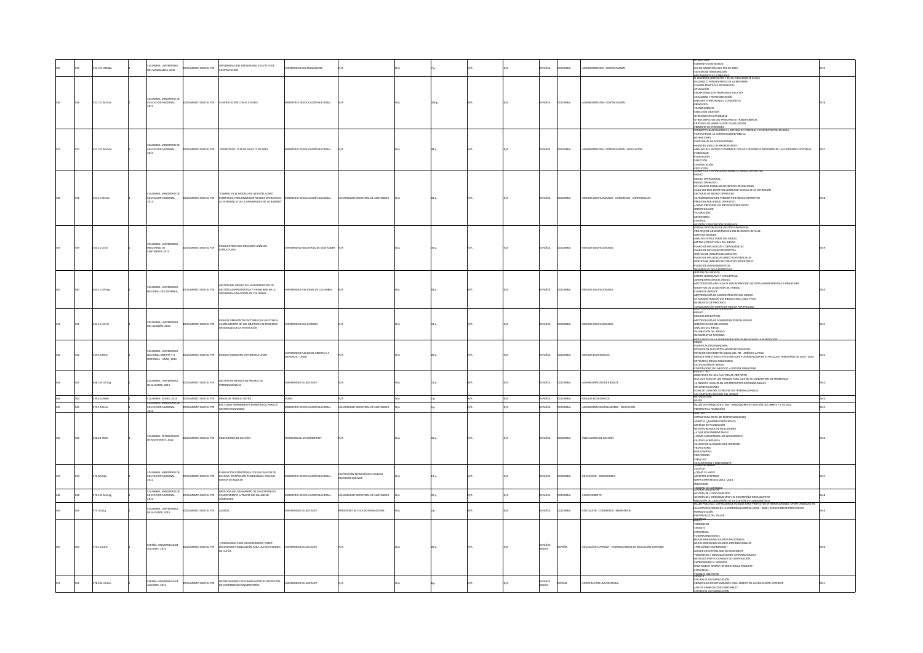|  | 51.711 UM48u  | OMBIA: UNIVERSIDAD<br>DEL MAGDALENA, 2016      | CUMENTO DIGITAL PDF         | INIVERSIDAD DEL MAGDALENA. ESTATUTO DE<br><b>INTRATACIÓN</b>                                                           | ERSIDAD DEL MAGDALENA                             |                                     |      |  | PAÑOL            | OMBIA          | <b>DMINISTRACIÓN - CONTRATACIÓN</b>                        | ELEMENTOS ESENCIALES<br>-LEY DE GARANTÍAS (LEY 996 DE 2005)<br>STEMA DE INFORMACIÓN                                                                                                                                                           |  |
|--|---------------|------------------------------------------------|-----------------------------|------------------------------------------------------------------------------------------------------------------------|---------------------------------------------------|-------------------------------------|------|--|------------------|----------------|------------------------------------------------------------|-----------------------------------------------------------------------------------------------------------------------------------------------------------------------------------------------------------------------------------------------|--|
|  |               |                                                |                             |                                                                                                                        |                                                   |                                     |      |  |                  |                |                                                            |                                                                                                                                                                                                                                               |  |
|  |               |                                                |                             |                                                                                                                        |                                                   |                                     |      |  |                  |                |                                                            | - CLEMAN CONTINUES I EN 30 ELCOCION<br>-RAZONES O FUNDAMENTOS DE LA REFORMA-<br>-ELIMINA PRÁCTICAS INEFICIENTES                                                                                                                               |  |
|  |               |                                                |                             |                                                                                                                        |                                                   |                                     |      |  |                  |                |                                                            | APLICACIÓN<br>-EXCEPCIONES CONTEMPLADAS EN LA LEY                                                                                                                                                                                             |  |
|  |               | OLOMBIA: MINISTERIO DI                         |                             |                                                                                                                        |                                                   |                                     |      |  |                  |                |                                                            | CAPACIDAD Y REPRESENTACIÓN<br>-UNIONES TEMPORALES O CONSORCIOS                                                                                                                                                                                |  |
|  | 351.711 MS34c | EDUCACIÓN NACIONAL,                            | CUMENTO DIGITAL PDF         | CONTRATACIÓN CON EL ESTADO                                                                                             | NISTERIO DE EDUCACIÓN NACIONAL                    |                                     |      |  | AÑOL             |                | <b>DMINISTRACIÓN - CONTRATACIÓN</b>                        |                                                                                                                                                                                                                                               |  |
|  |               |                                                |                             |                                                                                                                        |                                                   |                                     |      |  |                  |                |                                                            | -MINIMUM TERRITORIAL                                                                                                                                                                                                                          |  |
|  |               |                                                |                             |                                                                                                                        |                                                   |                                     |      |  |                  |                |                                                            | -OFRECIMIENTO FAVORABLE<br>-OTROS ASPECTOS DEL PRINCIPIO DE TRANSPARENCIA                                                                                                                                                                     |  |
|  |               |                                                |                             |                                                                                                                        |                                                   |                                     |      |  |                  |                |                                                            | -CRITERIOS DE VERIFICACIÓN Y EVALUACIÓN                                                                                                                                                                                                       |  |
|  |               |                                                |                             |                                                                                                                        |                                                   |                                     |      |  |                  |                |                                                            | -<br>PRINCIPIO DE ECONOMÍA<br>CONCEPTOS BÁSICOS PARA EL SISTEMA DE COMPRAS Y CONTRATACIÓN PÚBLICA<br>PARTICIPES DE LA CONTRATACIÓN PÚBLICA                                                                                                    |  |
|  |               |                                                |                             |                                                                                                                        |                                                   |                                     |      |  |                  |                |                                                            | -DEFINICIONES<br><b>PLAN ANI IAL DE ADOLISIONES</b>                                                                                                                                                                                           |  |
|  |               | LOMBIA: MINISTERIO DI<br>EDUCACIÓN NACIONAL,   |                             |                                                                                                                        |                                                   |                                     |      |  | AÑOL             |                |                                                            | " FINIT PRINT ON MODULEONING<br>- REGISTRO ÚNICO DE PROPONENTES<br>- PARÁLISIS DEL SECTOR ECONÓMICO Y DE LOS OFERENTES POR PARTE DE LAS ENTIDADES ESTATALES                                                                                   |  |
|  | 351.711 M534d |                                                | OCUMENTO DIGITAL PDF        | DECRETO NO. 1510 DE JULIO 17 DE 2013                                                                                   | AINISTERIO DE EDUCACIÓN NACIONAL                  |                                     |      |  |                  | OMBM           | DMINISTRACIÓN - CONTRATACIÓN - LEGISLACIÓN                 |                                                                                                                                                                                                                                               |  |
|  |               |                                                |                             |                                                                                                                        |                                                   |                                     |      |  |                  |                |                                                            | PLANEACIÓN<br>-SELECCIÓN                                                                                                                                                                                                                      |  |
|  |               |                                                |                             |                                                                                                                        |                                                   |                                     |      |  |                  |                |                                                            | CONTRATACIÓN<br>LIECUCIÓN<br>ONCEPTOS Y DEFINICIONES SOBRE EL RIESGO OPERAT                                                                                                                                                                   |  |
|  |               |                                                |                             |                                                                                                                        |                                                   |                                     |      |  |                  |                |                                                            | <b>RIESGO</b>                                                                                                                                                                                                                                 |  |
|  |               |                                                |                             |                                                                                                                        |                                                   |                                     |      |  |                  |                |                                                            | -RIESGO OPERACIONAL                                                                                                                                                                                                                           |  |
|  |               |                                                |                             |                                                                                                                        |                                                   |                                     |      |  |                  |                |                                                            | -RIESGO OPERATIVO<br>-RIESGO OPERATIVO<br>-LOS BANCOS MANEIAN DIFERENTES DEFINICIONES<br>-CADA VEZ MAS EXISTE UN CONSENSO ACERCA DE LA DEFINICIÓN<br>-FACTORES DE RIESGO OPERATIVO                                                            |  |
|  |               | MBIA: MINISTERIO DI                            |                             | AMBIO EN EL MODELO DE GESTIÓN, COMO                                                                                    |                                                   |                                     |      |  |                  |                |                                                            |                                                                                                                                                                                                                                               |  |
|  | 363.11 M534c  | EDUCACIÓN NACIONAL,                            | <b>OCUMENTO DIGITAL PDF</b> | ESTRATEGIA PARA DISMINUIR RIESGOS OPERATIVOS.<br>A EXPERIENCIA DE LA UNIVERSIDAD DE LA HABANA                          | AINISTERIO DE EDUCACIÓN NACIONAL                  | UNIVERSIDAD INDUSTRIAL DE SANTANDER |      |  | SPAÑOL           | LOMBIA         | RIESGOS OCUPACIONALES - CONGRESOS - CONFERENCIAS           | CATEGORIZACIÓN DE PÉRDIDA POR RIESGO OPERATIVO<br>-PÉRDIDAS POR RIESGO OPERATICO                                                                                                                                                              |  |
|  |               |                                                |                             |                                                                                                                        |                                                   |                                     |      |  |                  |                |                                                            | -/ CÓMO PREVENIR LOS RIESGOS OPERATIVOS?<br>-IDENTIFICACIÓN                                                                                                                                                                                   |  |
|  |               |                                                |                             |                                                                                                                        |                                                   |                                     |      |  |                  |                |                                                            |                                                                                                                                                                                                                                               |  |
|  |               |                                                |                             |                                                                                                                        |                                                   |                                     |      |  |                  |                |                                                            | -IDENTIFICALIO<br>-VALORACIÓN<br>-MONITOREO<br>-CONTROL                                                                                                                                                                                       |  |
|  |               |                                                |                             |                                                                                                                        |                                                   |                                     |      |  |                  |                |                                                            | -GESTIÓN Y RIEVENCIÓN DE BIESGOS<br>SISTEMA INTEGRADO DE GESTIÓN FINANCIERA<br>-PROCESO DE ADMINISTRACIÓN DEL RIESGO EN DETALLE<br>-MAPA DE RIESGOS                                                                                           |  |
|  |               |                                                |                             |                                                                                                                        |                                                   |                                     |      |  |                  |                |                                                            |                                                                                                                                                                                                                                               |  |
|  |               |                                                |                             |                                                                                                                        |                                                   |                                     |      |  |                  |                |                                                            | -ANÁLISIS ESTRUCTURAL DEL RIESGO<br>-MATRIZ ESTRUCTURAL DEL RIESGO                                                                                                                                                                            |  |
|  | 363.11 UIS3r  | OLOMBIA: UNIVERSIDAD<br>INDUSTRIAL DE          | <b>OCUMENTO DIGITAL PDF</b> | <b>UESGO OPERATIVO MEDIANTE ANÁLISIS</b>                                                                               | NIVERSIDAD INDUSTRIAL DE SANTANDER                |                                     |      |  | SPAÑOL           | OLOMBIA        | <b>NESGOS OCUPACIONALES</b>                                | PLANO DE INFLUENCIAS Y DEPENDENCIAS<br>PLANO DE INFLLUENCIAS DIRECTAS                                                                                                                                                                         |  |
|  |               | SANTANDER, 2013                                |                             | ESTRUCTURAL                                                                                                            |                                                   |                                     |      |  |                  |                |                                                            |                                                                                                                                                                                                                                               |  |
|  |               |                                                |                             |                                                                                                                        |                                                   |                                     |      |  |                  |                |                                                            | " DONNE DE MEDIENCIAS DIRECTAS<br>-GRÁFICA DE INFLUENCIAS DIRECTAS<br>-PLANO DE INFLUENCIAS DIRECTAS POTENCIALES<br>-GRÁFICA DE INFLUENCIAS DIRECTAS POTENCIALES                                                                              |  |
|  |               |                                                |                             |                                                                                                                        |                                                   |                                     |      |  |                  |                |                                                            | PLANO DE DESPLAZAMIENTOS                                                                                                                                                                                                                      |  |
|  |               |                                                |                             |                                                                                                                        |                                                   |                                     |      |  |                  |                |                                                            | <u>DESARROLLO DE LA ESTRATEGIA</u><br>SESTIÓN DEL RIESGOS<br>MARCO NORMATIVO Y CONCEPTUAL                                                                                                                                                     |  |
|  |               |                                                |                             |                                                                                                                        |                                                   |                                     |      |  |                  |                |                                                            | -ADMINISTRACIÓN DEL RIESGO<br>-METODOLOGÍA APLICADA AL MACROPROCESO GESTIÓN ADMINISTRATIVA Y FINANCIERA                                                                                                                                       |  |
|  | 63.11 UN54g   | COLOMBIA: UNIVERSIDAD                          | CUMENTO DIGITAL PDF         | ESTIÓN DEL RIESSO DEL MACROPROCESO DE<br>GESTIÓN ADMINISTRATIVA Y FINANCIERA EN LA                                     | ERSIDAD NACIONAL DE COLOMBIA                      |                                     |      |  | AÑOL             | nuwa           | ESGOS OCUPACIONALE:                                        | -OBJETIVOS DE LA GESTIÓN DEL RIESGO                                                                                                                                                                                                           |  |
|  |               | NACIONAL DE COLOMBIA.                          |                             | ERSIDAD NACIONAL DE COLOMBIA                                                                                           |                                                   |                                     |      |  |                  |                |                                                            | -CLASES DE RIESGOS<br>-CLASES DE RIESGOS<br>-METODOLOGÍA DE ADMINISTRACIÓN DEL RIESGO<br>-LA ADMINISTRACIÓN DEL RIESGO EN EL CICLO PHVA                                                                                                       |  |
|  |               |                                                |                             |                                                                                                                        |                                                   |                                     |      |  |                  |                |                                                            |                                                                                                                                                                                                                                               |  |
|  |               |                                                |                             |                                                                                                                        |                                                   |                                     |      |  |                  |                |                                                            | -DESPLIEGUE DE PROCESOS<br>-CONSOLIDACIÓN MAPAS DE RIESGO POR PROCES                                                                                                                                                                          |  |
|  |               |                                                |                             |                                                                                                                        |                                                   |                                     |      |  |                  |                |                                                            | OPP58.                                                                                                                                                                                                                                        |  |
|  |               | MBIA: UNIVERSIDAD                              |                             |                                                                                                                        |                                                   |                                     |      |  |                  |                |                                                            | -RIESOO<br>- RIESOOS OPERATIVOS<br>- METODOLOGÍA DE ADMNISTRACIÓN DEL RIESGO<br>- IDENTIFICACIÓN DEL RIESGO<br>- ANÁLISIS DEL RIESGO                                                                                                          |  |
|  | 363.11 UQ71r  | DEL QUINDÍO, 2013                              | FOR JATION OTHER            | RIESGOS OPERATIVOS FACTORES QUE AFECTAN EL<br>CUMPUMIENTO DE LOS OBJETIVOS DE PROCESOS<br>MISIONALES DE LA INSTITUCIÓN | ERSIDAD DEL QUINDÍO                               |                                     |      |  | SPAÑOL           | OMBIA          | <b>NESGOS OCUPACIONALES</b>                                |                                                                                                                                                                                                                                               |  |
|  |               |                                                |                             |                                                                                                                        |                                                   |                                     |      |  |                  |                |                                                            | VALORACIÓN DEL RIESGO<br>-IMPLEMENTAR ACCIONES                                                                                                                                                                                                |  |
|  |               |                                                |                             |                                                                                                                        |                                                   |                                     |      |  |                  |                |                                                            |                                                                                                                                                                                                                                               |  |
|  |               |                                                |                             |                                                                                                                        |                                                   |                                     |      |  |                  |                |                                                            | PLANIFICACIÓN FINANCIERA<br>-REVISIÓN DE SUPUESTOS MACROECONÓMICOS                                                                                                                                                                            |  |
|  | 330 4 UNS4r   | COLOMBIA: UNIVERSIDAD<br>NACIONAL ABIERTA Y A  |                             | UMENTO DIGITAL PDF RIESGO FINANCIERO EXPERIENCIA UNAD                                                                  | VERSIDAD NACIONAL ABIERTA Y A<br>DISTANCIA - UNAD |                                     |      |  | <b>CRASS</b>     | <b>UOMRIA</b>  | <b>NESGOS ECONÓMICOS</b>                                   | -REVISIÓN CRECIMIENTO ANUAL DEL PIB - AMÉRICA LATINA<br>-RIESGOS TRIBUTARIOS: FACTORES QUE PUEDEN INCIDIR EN EL RECAUDO TRIBUTARIO DE 2013 - 2014                                                                                             |  |
|  |               | STANCIA - UNAD, 2013                           |                             |                                                                                                                        |                                                   |                                     |      |  |                  |                |                                                            |                                                                                                                                                                                                                                               |  |
|  |               |                                                |                             |                                                                                                                        |                                                   |                                     |      |  |                  |                |                                                            |                                                                                                                                                                                                                                               |  |
|  |               |                                                |                             |                                                                                                                        |                                                   |                                     |      |  |                  |                |                                                            | -RESOOS TRIBUTANOS: FACTORIS QUE PUEDEN INCIDIR EN EL RECAUDO TRIBUTA<br>- ANTIGRA EL RESOO FINANCERO<br>- CONTINUIDAD DE RISSO FINANCERO<br>- CONTINUIDAD DEL NEGOLO - GESTIÓN FINANCERA<br>- RENEPICIOS DE UNA CULTURA DE PROYECTO<br>- BER |  |
|  | 658.155 UA11g | COLOMBIA: UNIVERSIDAD                          | CUMENTO DIGITAL PDF         | <b>SESTIÓN DE RIESGOS EN PROYECTOS</b>                                                                                 | ERSIDAD DE ALICANTE                               |                                     |      |  | PAÑOL            | OMBM           | MINISTRACIÓN DE RIESGOS                                    | -13 RIESGOS USUALES EN LOS PROYECTOS INTERNACIONALES                                                                                                                                                                                          |  |
|  |               | DE ALICANTE, 2013                              |                             | <b>TERNACIONALES</b>                                                                                                   |                                                   |                                     |      |  |                  |                |                                                            | -RECOMENDACIONES<br>-RECOMENDATIONS VS PROYECTOS INTERNACIONALES                                                                                                                                                                              |  |
|  |               |                                                |                             |                                                                                                                        |                                                   |                                     |      |  |                  |                |                                                            | 32 PARTNERS ARCHING THE WORLD                                                                                                                                                                                                                 |  |
|  | 339.4 G299m   | COLOMBIA: GEFIES, 2013<br>OMRIA: MINISTERIO D  | HOW JATIOU OTHER            | MESAS DE TRABAJO GEFIES                                                                                                | EFIES                                             |                                     |      |  | SPAÑOL           | <b>AISMOJO</b> | - RIESGOS ECONÓMICOS                                       | -GEFIES                                                                                                                                                                                                                                       |  |
|  | 379.1 MS34c   | UCACIÓN NACIONAL                               | <b>IMENTO DIGITAL PDF</b>   | BSC COMO HERRAMIENTA ESTRATÉGICA PARA LA<br>STIÓN FINANCIERA                                                           | NISTERIO DE EDUCACIÓN NACIONAL                    | VERSIDAD INDUSTRIAL DE SANTANDER    |      |  | <b>PAÑOL</b>     | LOMBIA         | <b>DMINISTRACIÓN FINANCIERA - EDUCACIÓN</b>                | TALLER DE FORMACIÓN 2. BSC - INDICADORES DE GESTIÓN OCTUBRE 4 Y S DE 2012<br>PERSPECTIVA FINANCIERA                                                                                                                                           |  |
|  |               |                                                |                             |                                                                                                                        |                                                   |                                     |      |  |                  |                |                                                            | OBJETIVO<br>-ESTRUCTURA (NIVEL DE RESPONSABILIDAD)                                                                                                                                                                                            |  |
|  |               |                                                |                             |                                                                                                                        |                                                   |                                     |      |  |                  |                |                                                            | AGENTES (/QUIÉNES PARTICIPAN?)                                                                                                                                                                                                                |  |
|  |               |                                                |                             |                                                                                                                        |                                                   |                                     |      |  |                  |                |                                                            | -MODELO DE PLANEACIÓN<br>-GESTIÓN BASADA EN INDICADORES<br>-¿A QUÉ NOS ENFRENTAMOS?                                                                                                                                                           |  |
|  |               |                                                |                             |                                                                                                                        |                                                   |                                     |      |  |                  |                |                                                            | -¿CÓMO AGRUPAMOS LOS INDICADORES?                                                                                                                                                                                                             |  |
|  | 658.40 T626   | COLOMBIA: TECNOLÓGICO<br>DE MONTERREY, 2012    | OCUMENTO DIGITAL PDF        | NDICADORES DE GESTIÓN                                                                                                  | ECNOLÓGICO DE MONTERREY                           |                                     |      |  | SPAÑOL           | <b>OLOMBIA</b> | NDICADORES DE GESTIÓN                                      | -CALIDAD ACADÉMICA                                                                                                                                                                                                                            |  |
|  |               |                                                |                             |                                                                                                                        |                                                   |                                     |      |  |                  |                |                                                            | -CALIDAD DE ALUMNOS QUE INGRESAN<br>-TRAYECTORIA                                                                                                                                                                                              |  |
|  |               |                                                |                             |                                                                                                                        |                                                   |                                     |      |  |                  |                |                                                            | -GRADUANDOS<br>-PROFESORES<br>-SERVICIOS                                                                                                                                                                                                      |  |
|  |               |                                                |                             |                                                                                                                        |                                                   |                                     |      |  |                  |                |                                                            |                                                                                                                                                                                                                                               |  |
|  |               |                                                |                             |                                                                                                                        |                                                   |                                     |      |  |                  |                |                                                            | CARACITACIÓN Y CRECH<br><b>ESS BUDS-</b>                                                                                                                                                                                                      |  |
|  | 370 MS34p     | LOMBIA: MINISTERIO DE<br>EDUCACIÓN NACIONAL,   | OCUMENTO DIGITAL PDF        | LANEACIÓN ESTRATÉGICA COLEGIO MAYOR DE<br>BOLÍVAR. INSTITUCIÓN TECNOLÓGICA COLEGIO                                     | <b>INSTERIO DE EDUCACIÓN NACIONAL</b>             | <b>ITUCIÓN TECNOLÓGICA COLEGIO</b>  | 130. |  | inGas            | OMRIA          | EDUCACIÓN - INDICADORES                                    |                                                                                                                                                                                                                                               |  |
|  |               |                                                |                             | <b>VOR DE BOLÍVAR</b>                                                                                                  |                                                   | <b>MYOR DE BOLÍVAR</b>              |      |  |                  |                |                                                            | - LCÓMO SE HACE?<br>- ASPECTOS EXTERNOS<br>- MAPA ESTRATÉGICO 2011 - 2014<br>- INDICADOR                                                                                                                                                      |  |
|  |               |                                                |                             |                                                                                                                        |                                                   |                                     |      |  |                  |                |                                                            | <b>CANERO DE COMMA</b>                                                                                                                                                                                                                        |  |
|  | 370.152 MS34g | COLOMBIA: MINISTERIO DE<br>EDUCACIÓN NACIONAL, | UMENTO DIGITAL PDF          | MEDICIÓN DEL DESEMPEÑO DE LA GESTIÓN DEL<br>CONOCIMIENTO A TRAVÉS DEL BALANCED                                         | <b>ASTERIO DE EDUCACIÓN NACIONAL</b>              | VERSIDAD INDUSTRIAL DE SANTANDER    |      |  | PAÑOL            | OMBIA          | OTABINDONG:                                                | GESTIÓN DEL CONOCIMIENTO<br>-GESTIÓN DEL CONOCIMIENTO Y EL DESEMPEÑO ORGANIZATIVO                                                                                                                                                             |  |
|  |               |                                                |                             | CORECARD                                                                                                               |                                                   |                                     |      |  |                  |                |                                                            | -<br>MEDICIÓN DEL DESEMPEÑO DE LA GESTIÓN DE CONOCIMIENTO<br>TALLER PRÁCTICO: CAPTACIÓN DE FONDOS PARA PROYECTOS INTERNACIONALES: OPORTUNIDA                                                                                                  |  |
|  |               | COLOMBIA: UNIVERSIDAD<br>DE ALICANTE, 2013     |                             |                                                                                                                        |                                                   |                                     |      |  |                  |                |                                                            | LAS CONVOCATORIAS DE LA COMISIÓN EUROPEA (2014 - 2020) REDACCIÓN DE PROPUESTAS                                                                                                                                                                |  |
|  | 70 UA11g      |                                                | UMENTO DIGITAL PDF          | SENDA                                                                                                                  | ERSIDAD DE ALICANTE                               | ISTERIO DE EDUCACIÓN NACIONAL       |      |  | AÑOL             |                | EDUCACIÓN - CONGRESOS - SEMINARIOS                         | INTRODUCCIÓN<br>PERTINENCIA DEL TALLER                                                                                                                                                                                                        |  |
|  |               |                                                |                             |                                                                                                                        |                                                   |                                     |      |  |                  |                |                                                            | -TENDENCIAS                                                                                                                                                                                                                                   |  |
|  |               |                                                |                             |                                                                                                                        |                                                   |                                     |      |  |                  |                |                                                            |                                                                                                                                                                                                                                               |  |
|  |               |                                                |                             |                                                                                                                        |                                                   |                                     |      |  |                  |                |                                                            | - IENUENIUM<br>- TARGETS<br>- ESTRATEGIA<br>- HEIS FUNDRAISING SOURCES NACIONALES                                                                                                                                                             |  |
|  |               |                                                |                             |                                                                                                                        |                                                   |                                     |      |  |                  |                |                                                            |                                                                                                                                                                                                                                               |  |
|  | 379.1 UA11f   | ESPAÑA: UNIVERSIDAD DE<br>ALICANTE, 2013       |                             | UNDRAISING PARA UNIVERSIDADES. COMO<br>DOCUMENTO DIGITAL PDF ENCONTRAR FINANCIACIÓN PARA LAS ACTIVIDADES               | UNIVERSIDAD DE ALICANTE                           |                                     |      |  | ESPAÑOL<br>NGLÉS | SPAÑA          | EDUCACIÓN SUPERIOR - FINANCIACIÓN DE LA EDUCACIÓN SUPERIOR | -HEIS FUNDRAISING SOURCES INTERNACIONALES<br>-/POR DÓNDE EMPEZAMOS?                                                                                                                                                                           |  |
|  |               |                                                |                             | E LAS IES                                                                                                              |                                                   |                                     |      |  |                  |                |                                                            | -HIGHER EDUCATION AND DEVELOPMENT                                                                                                                                                                                                             |  |
|  |               |                                                |                             |                                                                                                                        |                                                   |                                     |      |  |                  |                |                                                            |                                                                                                                                                                                                                                               |  |
|  |               |                                                |                             |                                                                                                                        |                                                   |                                     |      |  |                  |                |                                                            | -RIGHER EDUCATION AND DEVELOPMENT<br>-TRIDERICAS / ORGANIZACIONES INTERNACIONALES<br>-MODELOS INSTITUCIONALES DE COOPERACIÓN<br>-ENTENDIENDO EL NEGOCIO<br>-HOW DOES IT WORK? INTERNATIONAL PROJECTS                                          |  |
|  |               |                                                |                             |                                                                                                                        |                                                   |                                     |      |  |                  |                |                                                            | ESTRATEGIA<br><b>20SIBLES OBJETIVO</b>                                                                                                                                                                                                        |  |
|  |               | AÑA: UNIVERSIDAD DE                            |                             |                                                                                                                        |                                                   |                                     |      |  |                  |                |                                                            | FRICIAL VS FINANCIACIÓN                                                                                                                                                                                                                       |  |
|  | 378.104 UA11o | CANTE, 2013                                    | DOCUMENTO DIGITAL PDF       | )<br>PORTUNIDADES DE FINANCIACIÓN DE PROYECTOS<br>JE COOPERACIÓN UNIVERSITARIA                                         | UNIVERSIDAD DE ALICANTE                           |                                     |      |  | PAÑOL<br>GLÉS    | <b>ARAQ</b>    | COOPERACIÓN UNIVERSITARIA                                  | PRINCIPALES OPORTUNIDADES EN EL ÁMBITO DE LA EDUCACIÓN SUPERIOR<br>-LEXISTE FINANCIACIÓN DISPONIBLE?                                                                                                                                          |  |
|  |               |                                                |                             |                                                                                                                        |                                                   |                                     |      |  |                  |                |                                                            | TENCIA VS EINANCIACIÓN                                                                                                                                                                                                                        |  |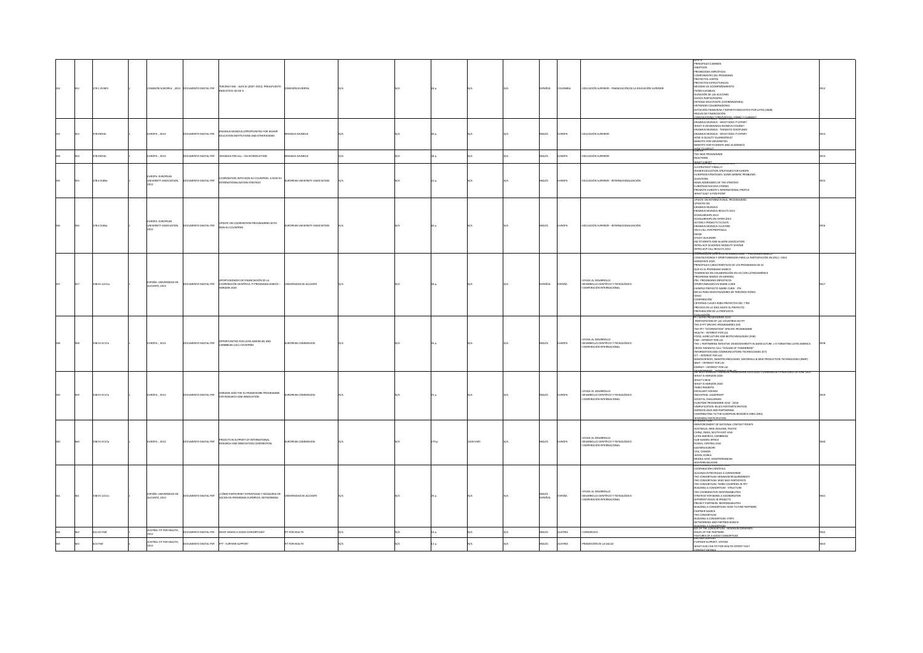|  | 379.1 CE387t | COMISIÓN EUROPEA: , 2013                            | DOCUMENTO DIGITAL PDF       | TERCERA FASE - ALFA III (2007--2013) PRESUPUESTO<br>NDICATIVO: 85 MI €                            | OMISIÓN EUROPEA                |  |      |          | SPAÑOL                         | <b>JLOMBIA</b> | EDUCACIÓN SUPERIOR - FINANCIACIÓN DE LA EDUCACIÓN SUPERIOR                                                          | -<br>PRINCIPALES CAMBIOS<br>- OBJETIVOS<br>PRIORIDADES ESPECÍFICAS<br>-COMPONENTES DEL PROGRAMA<br>PROYECTOS JUNTOS<br><b>PROYECTOS ESTRUCTURALES</b><br>MEDIDAS DE ACOMPAÑAMIENT<br>-PAÍSES ELEGIBLES<br>-DURACIÓN DE LAS ACCIONES<br>-SOCIOS PARTICIPANTES<br>-ENTIDAD SOLICITANTE (COORDINADORA)<br>-ENTIDADES COLABORADORAS<br>- ENTIDADES COLABORADORAS<br>- DOTACIÓN FINANCIERA Y REPARTO INDICATIVO POR LOTES (2008)<br>-REGLAS DE FINANCIACIÓN<br>RANGE ATORIA JE POBLIESTAS                                                                                                                                                                          |      |
|--|--------------|-----------------------------------------------------|-----------------------------|---------------------------------------------------------------------------------------------------|--------------------------------|--|------|----------|--------------------------------|----------------|---------------------------------------------------------------------------------------------------------------------|---------------------------------------------------------------------------------------------------------------------------------------------------------------------------------------------------------------------------------------------------------------------------------------------------------------------------------------------------------------------------------------------------------------------------------------------------------------------------------------------------------------------------------------------------------------------------------------------------------------------------------------------------------------|------|
|  | 78 EMS3e     | EUROPA: , 2013                                      | OCUMENTO DIGITAL PDF        | ASMUS MUNDUS.OPPORTUNITIES FOR HIGHER<br>UCATION INSTITUTIONS AND OTHER BODIES                    | <b>KMIK MINDIK</b>             |  |      |          | NGLÉS                          | UROPA          | EDUCACIÓN SUPERIOR                                                                                                  | ERASMUS MUNDUS - WHAT DOES IT OFFER?<br>-WHAT IS AN ERASMUS MUNDUS COURSE?<br>-ERASMUS MUNDUS - THEMATIC DISCIPLINES<br>-ENGINES MUNDES - THENRITE BELFERENCE<br>-BENEFITS FOR UNIVERSITIES<br>BENEFITS FOR STUDENTS AND ACADEMICS                                                                                                                                                                                                                                                                                                                                                                                                                            |      |
|  | 78 EMS3e     | UROPA: . 2013                                       | CUMENTO DIGITAL PDF         | RASMUS FOR ALL - AN INTRODUCTION                                                                  | ASMUS MUNDUS                   |  |      |          | NGLÉS                          | <b>UROPA</b>   | EDUCACIÓN SUPERIOR                                                                                                  | THE NEW PROGRAMME<br><b>BEACTIONS</b>                                                                                                                                                                                                                                                                                                                                                                                                                                                                                                                                                                                                                         |      |
|  | 378.4 EU86c  | <b>EUROPA: EUROPEAN<br/>UNIVERSITY ASSOCIATION,</b> | OCUMENTO DIGITAL PDF        | COOPERATION WITH NON-EU COUNTRIES: A NEW EU<br>TERNATIONALISATION STRATEGY                        | UROPEAN UNIVERSITY ASSOCIATION |  |      |          | NGLÉS                          | UROPA          | EDUCACIÓN SUPERIOR - INTERNACIONALIZACIÓN                                                                           | WHAT'S NEXT<br>A ESTRATEGY? FINALLY!<br>-HIGHER EDUCATION STRATEGIES FOR EUROPE<br>EUROPEAN STRATEGIES: SOME GENERIC PROBLEMS<br>QUESTIONS<br>MAIN ADDRESSEES OF THE STRATEGY<br>HOW ARON SUCCESS STORIES<br>- EUROPEAN SUCCESS STORIES<br>- PROMOTE EUROPE'S INTERNATIONAL PROFILE<br>- WHAT ELSE? A FEW POINT                                                                                                                                                                                                                                                                                                                                               |      |
|  | 378.4 EU86c  | LUROPA: EUROPEAN<br>UNIVERSITY ASSOCIATION.         | OCUMENTO DIGITAL PDF        | UPDATE ON COOPERATION PROGRAMMES WITH<br><b>JANEAU COLINTRIES</b>                                 | UROPEAN UNIVERSITY ASSOCIATION |  |      |          | NGLÉS                          | ASORU          | EDUCACIÓN SUPERIOR - INTERNACIONALIZACIÓN                                                                           | <b>CONCLUSION THERMA</b><br>-UPDATES ON<br><b>ERASMUS MUNDUS</b><br>-ERASMUS MUNDUS RESULTS 2012<br>SCHOLARSHIPS 2012<br>SCHOLARSHIPS ON OFFER 2013<br>-ACTION 3 PROJECTS TO DATE<br><b>ERASMUS MUNDUS CLUSTERS</b><br>3013 CALL FOR PROPOSALS<br>-SOLD CALL TON PRO<br>-EMIQA<br>-ATUDY IN EUROPE<br>-EM STUDENTS AND ALUMNI ASSOCIATION<br>INTRA-ACP ACADEMIC MOBILITY SCHEME<br>-INTRA-ACP CALL RESULTS 2012                                                                                                                                                                                                                                               |      |
|  | 338.91 UA11o | ESPAÑA: UNIVERSIDAD DE<br>ALICANTE, 2013            | OCUMENTO DIGITAL PDF        | OPORTUNIDADES DE FINANCIACIÓN DE LA<br>COOPERACIÓN CIENTÍFICA 7º PROGRAMA MARCO -<br>neron worken | NIVERSIDAD DE ALICANTE         |  |      |          | PAÑOL                          | <b>SPAÑA</b>   | - AYUDA AL DESARROLLO<br>- DESARROLLO CIENTÍFICO Y TECNOLÓGICO<br>COOPERACIÓN INTERNACIONAL                         | CONVOCATORIAS Y OPORTUNIDADES PARA LA PARTICIPACIÓN EN 2012 / 2013<br>HORIZONTE 2020<br>-PRINCIPALES CARACTERÍSTICAS DE LOS PROGRAMAS DE EC<br>-PRINCIPALES CARAL TERISTICAS DE LOS PROGRAMAS DE EL<br>-QUE ES EL PROGRAMA MARCO<br>-TENDENCIAS EN COLABORACIÓN EN I+D CON LATINOAMÉRICA<br><b>PROGRAMA MARCO FN GENERAL</b><br>-PM - PROGRAMAS ESPECÍFICOS<br>-OPORTUNIDADES EN MARIE CURIE<br>- EJEMPLO PROYECTO MARIE CURIE - ITN<br>BECAS PARA INVESTIGADORES DE TERCEROS PAÍSES<br>-IDEAS<br><b>KOOPFRACIÓN</b><br>-COOPERACION<br>-CRITERIOS CLAVES PARA PROYECTOS DEL 7 PM<br>-PROCESO DE LA IDEA HASTA EL PROYECTO<br>-PREPARACIÓN DE LA PROPUESTA    |      |
|  | 338.91 EC17o | EUROPA: , 2013                                      | OCUMENTO DIGITAL PDF        | OPPORTUNITIES FOR LATIN AMERICAN AND<br>CARIBBEAN (LAC) COUNTRIES                                 | <b>JROPEAN COMMISSION</b>      |  |      |          | <b>IGLÉS</b>                   | UROPA          | - AYUDA AL DESARROLLO<br>- DESARROLLO CIENTÍFICO Y TECNOLÓGICO<br><b>COOPERACIÓN INTERNACIONAL</b>                  | FVALUACIÓN<br>FP7 WORK PROGRAMMES 2013<br>- PARTICIPATION OF LAC COUNTRIES IN FP7<br>- FARTIST ATTOR OF DIC COURTINGS IN THE<br>-THE 4 FP7 SPECIFIC PROGRAMMES (SP)<br>-THE FP7 "COOPERATION" SPECIFIC PROGRAMME<br>-HEALTH - INTEREST FOR LAC<br>FOOD, AGRICULTURE AND BIOTECHNOLOGIES (FAB)<br>-FAB - INTEREST FOR LAC<br>-THE + PARTNERING INITIATIVE ON BIODIVERSITY IN AGRICULTURE » IS TARGETING LATIN AMERICA<br>-THE REPORTED MITCHING CONSIDERATION IN PROBATIONS<br>ICT-INTEREST FOR LAC<br>-ENERGY - INTEREST FOR LAC                                                                                                                              |      |
|  | 338.91 EC17o | EUROPA: . 2011                                      | <b>OCUMENTO DIGITAL PDF</b> | HORIZON 2020 THE EU FRAMEWORK PROGRAMME<br>OR RESEARCH AND INNOVATION                             | UROPEAN COMMISSION             |  |      |          | NGLÉS                          | UROPA          | AYUDA AL DESARROLLO<br>DESARROLLO CIENTÍFICO Y TECNOLÓGICO<br>OOPERACIÓN INTERNACIONAL                              | -<br>SAME MALINARIAL FINANCIA FRAMEWORK 2014-2020: COMMISSION'S PROPOSALS 29 JUNE 2011<br>THE MALINARIAL FINANCIA PRAMEWORK 2014-2020: COMMISSION'S PROPOSALS 29 JUNE 2011<br>- HIMATS THEW<br>- SPOLICIAN COENCIE<br>- SPOLICIAN COENCIE<br>- S<br>-INDUSTRIAL LONDONSHIP<br>-SOCIETAL CHALLENGES<br>-EURATOM PROGRAMME 2014 - 2018<br>-SIMPLIFICATION: RULES FOR PARTICIPATION<br>-HORIZON 2020 AND PARTNERING<br>-CONTRIBUTING TO THE EUROPEAN RESEARCH AREA (ERA)                                                                                                                                                                                         |      |
|  | 38.91 EC17p  | UROPA: , 2012                                       | OCUMENTO DIGITAL PDF        | MOTOR IN SUPPORT OF INTERNATIONAL<br>SEARCH AND INNOVATION COOPERATION                            | OPEAN COMMISSION               |  |      | 018-5593 | GLÉS                           | <b>JROPA</b>   | AYUDA AL DESARROLLO<br>-ATODA AL DESARROLLO<br>- DESARROLLO CIENTÍFICO Y TECNOLÓGICO<br>- COOPERACIÓN INTERNACIONAL | WIDENING PARTICIPATION<br>INTRODUCTION<br>-REINFORCEMENT OF NATIONAL CONTACT POINTS<br>-RUSTRALIA, NEW ZEALAND, PACIFIC<br>-AUSTRALIA, NEW ZEALAND, PACIFIC<br>-CHINA, INDIA, SOUTH-EAST ASIA<br>-LATIN AMERICA, CARIBBEAN<br>SUB-SAHARA AFRICA<br>-<br>RUSSIA, CENTRAL ASIA<br><b>EASTERN EUROPE</b><br>USA, CANADA<br>JAPAN, KOREA<br>-MIDDLE EAST. MEDITERRANEAN<br>-WESTERN BALKANS<br>COUPERACION UNIVERSITARI                                                                                                                                                                                                                                           |      |
|  | 338.91 UA11c | ESPAÑA: UNIVERSIDAD DE<br>ALICANTE, 2013            | OCUMENTO DIGITAL PDF        | / CÓMO PARTICIPAR? ESTRATEGIAS Y BÚSQUEDA DE<br>DCIOS EN PROGRAMA EUROPEOS, NETWORKING            | INFRSIDAD DE ALICANTE          |  |      |          | <b>INGLÉS</b><br><b>IORAGE</b> | 49493          | AYUDA AL DESARROLLO<br>ONDO IO INTERNATION O LIDRARYO<br>OOPERACIÓN INTERNACIONA                                    | -COOPERACIÓN CIENTÍFICA<br>ALGUNAS PSTRATFGIAS A CONSIDERAR<br>THE CONSORTIUM: MINIMUM REQUIREMENTS<br>-THE CONSORTIUM: WHO MAY PARTICIPATE<br>THE CONSORTIUM: THIRD COUNTRIES IN EP7<br>BUILDING A CONSORTIUM - STRUCTURE<br>-THE COORDINATOR: RESPONSABILITIES<br>STRATEGY FOR BEING A COORDINATOR<br>-SIMALEGT FOR BEING A COORDINATOR<br>-DIFFERENT ROLES IN PROJECTS<br>-PROJECT PARTNERS: RESPONSABILITIES<br>BUILDING A CONSORTIUM: HOW TO FIND PARTNERS<br>-BUILDING A CUNSUR<br>-PARTNER SEARCH<br>-THE CONSORTIUM<br>BUILDING A CONSORTILIM-STERS<br>NETWORKING AND PARTNER SEARCH<br><b>BLILDING A CONSORTILIM.</b><br>SIZE OF THE CONSORTIUM - MI |      |
|  | 021.65 F36f  | AUSTRIA: FIT FOR HEALTH.                            | 209 IATOD OTHERS OF         | WHAT MAKES A GOOD CONSORTHING                                                                     | IT FOR HEALTH                  |  | 16 n |          | 29 IOM                         | <b>ISTRA</b>   | consonning                                                                                                          | <b>BOLES OF THE PARTNERS</b><br><b>FEATURES OF A GOOD CONS</b><br>FURTHER SUPPORT                                                                                                                                                                                                                                                                                                                                                                                                                                                                                                                                                                             | cazo |
|  | 13 F36       | <b>NUSTRIA: FIT FOR HEALTH.</b>                     | MENTO DIGITAL PDF           | P7 - FURTHER SUPPORT                                                                              | T FOR HEALTH                   |  |      |          | GLÉS                           | <b>STRIA</b>   | ROMOCIÓN DE LA SALUD                                                                                                | FUKTHER SUPPURT: SYSTEM<br>-FURTHER SUPPORT: SYSTEM<br>-WHAT ELSE CAN FIT FOR HEALTH OFFERT YOU?                                                                                                                                                                                                                                                                                                                                                                                                                                                                                                                                                              |      |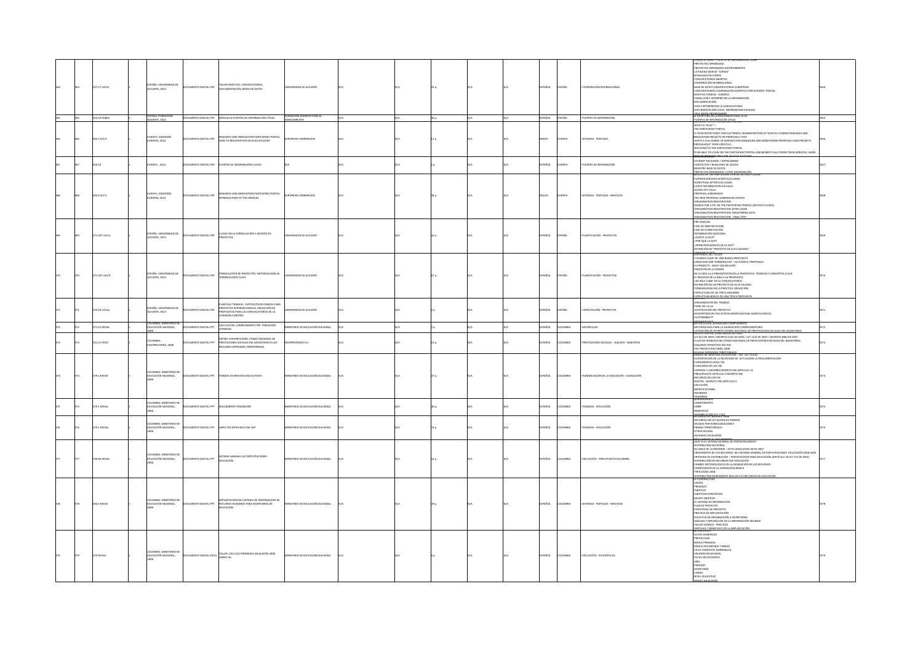|  | 327.17 UA11t<br>016.33 F648m | AÑA: UNIVERSIDAD DE<br>ALICANTE, 2013<br>ANA: FUNDACIO | DOCUMENTO DIGITAL PDF<br>DOCUMENTO DIGITAL PDF | <b>FALLER PRÁCTICO: CONVOCATORIAS,</b><br>OCUMENTACIÓN, BASES DE DATOS<br>MÓDULO 8 FUENTES DE INFORMACIÓN ÚTILES                                              | VERSIDAD DE ALICANTE<br>DACIÓN MADRIOT PARA |  | 40 p. | N/A | SPAÑOL<br>ESPAÑOL | <b>ARASS</b><br>ESPAÑA | COOPERACIÓN INTERNACIONA<br>FUENTES DE INFORMACIÓN | CONVOCATORIAS - FUENTI<br>-PROYECTOS APROBADOS<br>-PROYECTOS APROBADOS ANTERIORMENTE<br>LA PÁGINA WEB DE "CORDIS"<br><b>RÚSOLIEDA EN CORDIS</b><br>-BUSULINA EN CURIDS<br>-CONVOCATORIAS ABIERTAS<br>-COOPERACIÓN INTERNACIONAL<br>-RONVOCATORIAS COOPERACIÓN CIENTÍFICA PARTICIPANTS' PORTAL<br>-CONVOCATORIAS COOPERACIÓN CIENTÍFICA PARTICIPANTS' PORTAL<br>O HIMBI 3 / 2000/13 10 ASAM.<br>-MAPA DE FUNDUD - EJEMPIO<br>-COMO LEER E INTERPRETAR LA INFORMACIÓN<br>-LEER E INTERPRETAR LA CONVOCATORIA<br>DOCUMENTACIÓN CLAVE: INFORMATION PACKAGE<br>-2011 WORK PROGRAMMES<br>LA ESCRITURA DE LA RELEVANCIA PARA LA UE |                |
|--|------------------------------|--------------------------------------------------------|------------------------------------------------|---------------------------------------------------------------------------------------------------------------------------------------------------------------|---------------------------------------------|--|-------|-----|-------------------|------------------------|----------------------------------------------------|-----------------------------------------------------------------------------------------------------------------------------------------------------------------------------------------------------------------------------------------------------------------------------------------------------------------------------------------------------------------------------------------------------------------------------------------------------------------------------------------------------------------------------------------------------------------------------------------------------------------------------|----------------|
|  |                              | UOT. 2012                                              |                                                |                                                                                                                                                               |                                             |  |       |     |                   |                        |                                                    | <b>UENTES DE INFORM</b>                                                                                                                                                                                                                                                                                                                                                                                                                                                                                                                                                                                                     |                |
|  | 003.3 EC17r                  | EUROPA: COMISIÓN<br>EUROPEA, 2012                      | JON JATIOD OTHER                               | EARCH AND INNOVATION PARTICIPANT PORTAL<br>HOW TO REGISTER FOR AN ECAS ACCOUNT                                                                                | BOREAN COMMISSION                           |  |       |     | <b>DATE</b>       | <b>UROPA</b>           | SISTEMAS - PORTALES                                | WELLUME TO THE PARTICIP<br>-WHAT IS "ECAS" ?<br>-THE PARTICIPANT PORTAL<br>-IS YOUR ENTRY POINT FOR ELECTRONIC ADMINISTRATION OF YOUR EU-FUNDED RESEARCH AND<br>-IS FOUR ENTIR TAINT FOR EXECTINGULA JUSTICIAN IUN OF TOUR EG-FORDED RESERVICITATIO<br>INNOVATION PROJECTS OR PROPOSALS THAT<br>-HOSTS A FULL RANGE OF SERVICES FOR MANAGING AND MONITORING PROPOSALS AND PROJECTS<br>THROUGHOUT THEIR<br>-WELCOME TO THE PARTICIPANT PORTAL<br>TO BE ABLE TO LOGIN ON THE PARTICIPANT PORTAL AND BENEFIT FULLY FROM THESE SERVICES, USERS<br><b>NAVICATORIES</b> FIRST FOR                                                 |                |
|  | 016.33                       | EUROPA: , 2012                                         | CUMENTO DIGITAL PDF                            | <b>UENTES DE INFORMACIÓN CLAVES</b>                                                                                                                           |                                             |  |       |     | JORAS:            | UROPA                  | FUENTES DE INFORMACIÓN                             | -<br>STUDENT EXCHANGE / INTERCAMBIO<br>CONTACTOS Y BUSQUEDA DE SOCIOS<br>EGISTRO BASE DE DATOS                                                                                                                                                                                                                                                                                                                                                                                                                                                                                                                              |                |
|  | 003.3 EC17r                  | EUROPA: COMISIÓN<br>EUROPEA, 2012                      | CUMENTO DIGITAL PDF                            | RESEARCH AND INNOVATION PARTICIPANT PORTAL<br>NTRODUCTION TO THE SERVICES                                                                                     | ROPEAN COMMISSION                           |  |       |     | NGLÉS             | UROPA                  | SISTEMAS - PORTALES - SERVICIOS                    | . RROVECTOS ARROBADOS Y OTRA INFORMACIÓN<br>SERVICES OF THE PARTICIPANT PORTAL WITHOUT LOGI<br>-FURTHER SERVICES AFTER ECAS LOGIN<br>-FUNTHER SERVICES AFTER ECAS LO<br>-HOME PAGE AFTER ECAS LOGIN<br>-LATEST INFORMATION ON CALLS<br>-RODOSAL SUBMISSION<br>THE NEW PROPOSAL SUBMISSION SYSTEM<br>-THE NEW YHOTOJAE SOSIMILISUUS HUTHUM<br>-CINGANISATION REGISTRATION<br>-CINGANISATION REGISTRATION AFTER LOGIN<br>-ORGANISATION REGISTRATION AFTER LOGIN<br>-ORGANISATION REGISTRATION REGISTERING DATA<br>-ORGANISATION REGISTRATION REGIST<br>-ORGANISATION REGISTRATION - FINAL STEP                                |                |
|  | 371.207 UA11c                | ESPAÑA: UNIVERSIDAD DE<br>ALICANTE, 2013               | DOCUMENTO DIGITAL PDF                          | CLAVES EN LA FORMULACIÓN Y GESTIÓN DE<br>PROYECTOS                                                                                                            | ERSIDAD DE ALICANTE                         |  |       |     | PAÑOL             | spaña                  | LANIFICACIÓN - PROYECTOS                           | PRE-ANÁLISIS<br>-PRE-AMAILING<br>-FASE DE IDENTIFICACIÓN<br>-INFORMACIÓN ADICIONAL<br>-LOUÉ ES LA GOP?<br>-LOUÉ ES LA GOP?<br>-LPOR QUÉ LA GOP?<br>-/PRINCIPIOS BÁSICOS DE LA GCP?<br>-<br>DEFINICIÓN DE "PROYECTO DE ALTA CALIDAD"                                                                                                                                                                                                                                                                                                                                                                                         |                |
|  | 371.207 UA11f                | AÑA: UNIVERSIDAD DE<br>ALICANTE, 2013                  | OCUMENTO DIGITAL PDF                           | RMULACIÓN DE PROYECTOS: METODOLOGÍAS &<br>ERMINOLOGÍA CLAVE                                                                                                   | <b>VERSIDAD DE ALICANTE</b>                 |  |       |     | SPAÑOL            | spaña                  | LANIFICACIÓN - PROYECTOS                           | -CONTENIDO DEL TALLER<br>-3 PILARES CLAVE DE UNA BUENA PROPUESTA<br>-LANGUAGE AND TERMINOLOGY - SUCCESSFUL PROPOSALS<br>-EU PROJECTS - BASIC VOCABULARY<br>OBJETIVOS DE LA SESIÓN<br>-DE LA IDEA A LA PRESENTACIÓN DE LA PROPUESTA: TÉCNICAS Y CONCEPTOS CLAVE<br>-DE DA IDEA A CA PRESENTADUN DE DA PROPOESTA<br>-EL PROCESO DE LA IDEA A LA PROPUESTA<br>-UMI IDEA "CABE" EN LA CONVOCATORIA?<br>-DEFINICIÓN DE UN PROYECTO DE ALTA CALIDAD<br>TERMINOLOGÍA EN LA PRÁCTICA: REDACCIÓN<br><b>ESTRUCTURA DE UN TÍRICO RESUMEN-</b><br>-ESTRUCTURA BÁSICA DE UNA TÍPICA PROPUEST                                             |                |
|  | 374.29 UA11p                 | SPAÑA: UNIVERSIDAD DE<br>ALICANTE, 2013                | OCUMENTO DIGITAL PDF                           | <b>LANTILLA TRABAIO.</b> CAPTACIÓN DE FONDOS PARA<br>ROYECTOS INTERNACIONALES, REDACCIÓN DE<br>ROPUESTAS PARA LAS CONVOCATORIAS DE LA<br><b>ISIÓN EUROPEA</b> | VERSIDAD DE ALICANTE                        |  |       |     | <b>ESPAÑOL</b>    | SPAÑA                  | CAPACITACIÓN - PROYECTOS                           | ORGANIZACIÓN DEL TRABAJO<br>PAPEL DE LA UA<br>JUSTIFICACIÓN DEL PROYECTO<br>-DESCRIPTION ON THE ACTION (APARTADOS DEL MARCO LÓGICO)<br>-SUSTAINABILITY                                                                                                                                                                                                                                                                                                                                                                                                                                                                      |                |
|  | 371.21 M534c                 | OMBIA: MINISTERIO D<br>EDUCACIÓN NACIONAL              | <b>OCUMENTO DIGITAL PPT</b>                    | CÁLCULO DEL COMPLEMENTO POR POBLACIÓN<br><b>FENDIDA</b>                                                                                                       | INSTERIO DE EDUCACIÓN NACIONAL              |  |       |     | ESPAÑOL           | <b>AISMOJ</b>          | MATRÍCULAS                                         | METHODOLOGY<br>METODOLOGIA ASIGNACIÓN COMPLEMENTO<br>-METODOLOGÍA PARA LA ASIGNACIÓN COMPLEMENTARIA                                                                                                                                                                                                                                                                                                                                                                                                                                                                                                                         | $\overline{ }$ |
|  | 331.21 F451f                 | LOMBIA:<br>IDUPREVISORA, 2008                          | UMENTO DIGITAL PPT                             | <b>IPSM. FIDUPREVISORA. FONDO NACIONAL DE</b><br>RESTACIONES SOCIALES DEL MAGISTERIO FLUIO<br>CURSOS ENTIDADES TERRITORIALES                                  | <b>PREVISORA S.A.</b>                       |  |       |     | SPAÑOL            | LOMBIA                 | RESTACIONES SOCIALES - SUELDOS - MAESTROS          | .<br>DTIZACIÓN DE APORTES FONDO NACIONAL DE PRESTACIONES SOCIALES DEL MAGISTERIO<br>PRUTFECULIN PAC (PLAN ANUAL DE CAIA)<br>-LEY 812 DE 2003 / DECRETO 2341 DE 2003 / LEY 1122 DE 2007 / DECRETO 4982 DE 2007<br>-FLUJO DE INGRESOS DEL FONDO NACIONAL DE PRESTACIONES SOCIALES DEL MAGISTERIO<br>-ESQUEMA OPERATIVO DEL PAC<br>-PAC PROYECTADO ABRIL 2008                                                                                                                                                                                                                                                                  |                |
|  | 379.1 MS34f                  | ) LOMBIA: MINISTERIO DE<br>JUCACIÓN NACIONAL,          | DOCUMENTO DIGITAL PPT                          | ONDOS DE SERVICIOS EDUCATIVOS                                                                                                                                 | NISTERIO DE EDUCACIÓN NACIONAL              |  |       |     | SPAÑOL            | <b>LOMBIA</b>          | HANANCIACIÓN DE LA EDUCACIÓN - LEGISLACIÓN         | -i musicalismo minicialismo<br>FONDOS DE SERVICIOS EDUCATIVOS - FES- LEY 715/01<br>-SUSTENTACIÓN DE LA NECESIDAD DE ACTUALIZAR LA REGLAMENTACIÓN<br>FUNDAMENTO LEGAL FSE<br>-FUNCIONES DE LOS FSE<br>-CONTROL Y ASESORÍA DECRETO 992 ARTICULO 13<br>-PRESUPUESTO ARTÍCULO 3 DECRETO 992<br>-RECURSOS DE LOS FSE<br>-GASTOS - DECRETO 992 ARTÍCULO 5<br>EJECUCIÓN<br>-MODIFICACIONES<br>-INFORMES<br><b>TESORERÍA</b><br>JENEKALIDA                                                                                                                                                                                          |                |
|  | 1 MS34                       | LOMBIA: MINISTERIO DE<br>CACIÓN NACIONAL,              | MENTO DIGITAL PPT                              | MIENTO FINANCIERO                                                                                                                                             | STERIO DE EDUCACIÓN NACIONAL                |  |       |     | PAÑOL             |                        | NANZAS - EDUCACIÓN                                 | COMPONENTES<br>-COMPONENTES<br>-BENEFICIOS<br>INTERRELACIÓN EUT                                                                                                                                                                                                                                                                                                                                                                                                                                                                                                                                                             |                |
|  | 170 1 M F 34a                | LOMBIA: MINISTERIO DE<br>EDUCACIÓN NACIONAL,           | TRE IATION OTHER                               | SPECTOS ESPECIALES DEL SGP                                                                                                                                    | <b>USTERIO DE EDUCACIÓN NACIONAL</b>        |  |       |     | SPAÑOL            | OMRIA                  | <b>INANZAS, FOUCACIÓN</b>                          | -RECURSOS SIN SITUACIÓN DE FONDOS<br>DEUDAS POR HOMOLOGACIONES<br>PRIMAS TERRITORIALES<br>-PRIMAS TERRITORIALES<br>-OTRAS DEUDAS<br>-ASCENSOS ESCALAFÓN<br><b>LREGI AMENTO AL SEGLIMIENTO.</b><br>¿QUÉ ES EL SISTEMA GENERAL DE PARTICIPACIONE                                                                                                                                                                                                                                                                                                                                                                              |                |
|  | 336.86 M534s                 | OLOMBIA: MINISTERIO DE<br>EDUCACIÓN NACIONAL           | TRA JATI200 OTM3MUDD                           | SISTEMA GENERAL DE PARTICIPACIONES -<br><b>NÓDACIÓ</b>                                                                                                        | NISTERIO DE EDUCACIÓN NACIONAL              |  |       |     | SPAÑOL            | <b>OLOMBIA</b>         | EDUCACIÓN - PRESUPUESTO COLOMBIA                   | (CULIE ES L'OSITINA GIRENAL DE PARTICUPACIONES)<br>- CHECANICE DE LA REFORMA - ACTO LEGISLATIVO DA DE 2007<br>- CHECANICE DE LA REFORMA - ACTO LEGISLATIVO DA DE 2007<br>- CHITERIOS DE DISTIRIBUCIÓN - PARTICIPACIÓN PARA EDUCACIÓN (A<br>DISTRIBUCIÓN DE RECURSOS SGP EDUCACIÓN<br>CAMBIO METODOLÓGICO EN LA ASIGNACIÓN DE LOS RECURSOS<br>COMPOSICIÓN DE LA ASIGNACIÓN BÁSICA<br>TIPOLOGÍAS 2008<br>-<br>DISTRIBUCIÓN INCREMENTO REAL DE LOS RECURSOS DE EDUCACIÓN                                                                                                                                                       |                |
|  | 03.3 MS34                    | .<br>COLOMBIA: MINISTERIO DE<br>EDUCACIÓN NACIONAL,    | <b>DOCUMENTO DIGITAL PPT</b>                   | IMPLANTACIÓN DEL SISTEMA DE INFORMACIÓN DE<br>RECURSOS HUMANOS PARA SECRETARÍAS DE<br>DUCACIÓN                                                                | <b>MSTERIO DE EDUCACIÓN NACIONAL</b>        |  |       |     | PAÑOL             | OMBIA                  | <b>ISTEMAS - PORTALES - SERVICIOS</b>              | MSIÓN-<br>-PREMISAS<br>-OBJETIVO<br>-OBJETIVOS ESPECÍFICOS<br>-OBJETIVOS ESPECIFICOS<br>-GRUPO OBJETIVO<br>-PLAN DE PROYECTO<br>-ESTRATEGIA DE PROYECTO<br><b>JROCESO DE IMPLANTACIÓN</b><br>-PROCESO DE IMPORMACIÓN A SECRETARÍAS<br>-ANÁLISIS Y DEPURACIÓN DE LA INFORMACIÓN<br>-TALLER TEÓRICO - PRÁCTICO<br>MACIÓN RECIBIDA                                                                                                                                                                                                                                                                                             |                |
|  | 70 M534t                     | LOMBIA: MINISTERIO DE<br>EDUCACIÓN NACIONAL,           | OCUMENTO DIGITAL EXCEL TALLER CA               | ALLER, CÁLCULO PROMEDIO ESCALAFÓN 2008                                                                                                                        | <b>NSTERIO DE EDUCACIÓN NACIONAL</b>        |  |       |     | SPAÑOL            | LOMBIA                 | EDUCACIÓN - ESTADÍSTICAS                           | -VENTAIAS Y BENEFICIOS I<br>NO DUCENTES<br>-DATOS GENERALES<br>-PREESCOLAR<br>-<br>BÁSICA PRIMARIA<br>-BÁSICA SECUNDARIA Y MEDIA<br>-CICLO COMPLETO (NORMALES)<br><b>SIN FSPECIFICAR NIVEL</b><br>TOTAL NO DOCENTES<br>-AÑO<br>-PERÍODO<br><b>SECRETARÍA</b><br>CARGO<br>NIVEL EDUCATIVO                                                                                                                                                                                                                                                                                                                                    |                |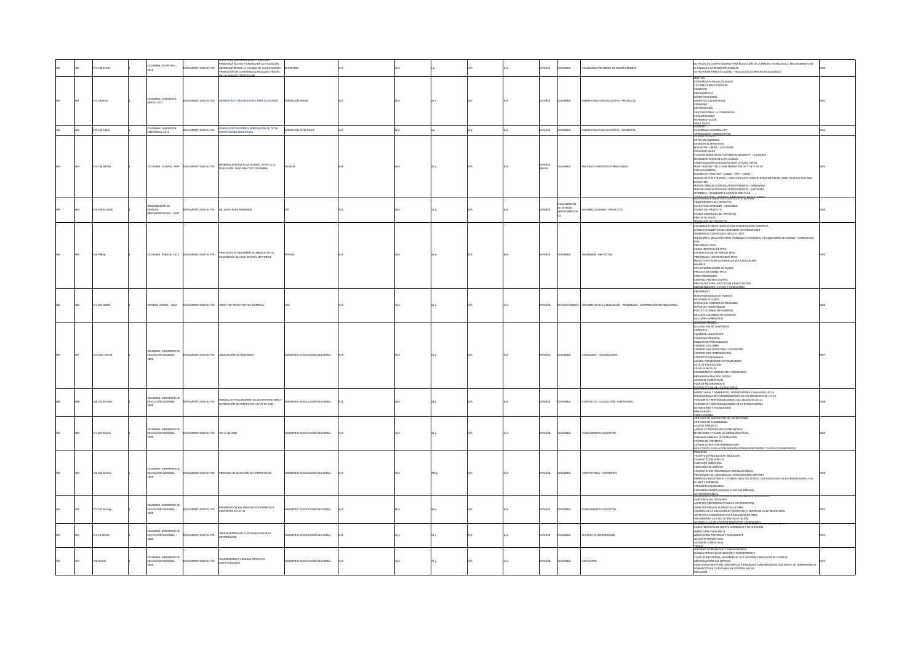|  | 71.334 EC19e    | COLOMBIA: ECOPETROL.                                               | <b>IMENTO DIGITAL PDF</b>    | ROGRAMA ACCESO Y CALIDAD DE LA EDUCACIÓN<br>MEJORAMIENTO DE LA CALIDAD DE LA EDUCACIÓN Y<br>ROMOCIÓN DE LA RETENCIÓN ESCOLAR A TRAVÉS | PETROL                          |  |       |  | <b>Viol</b>    |                                 | <b>INSEÑANZA POR MEDIO DE COMPUTADORES</b>                        | OTACIÓN DE COMPUTADORES PARA REDUCCIÓN DE LA BRECHA TECNOLÓGICA, MEJORAMIENTO DE<br>A CALIDAD Y LA RETENCIÓN ESCOLAR<br>A CALIDAD Y LA RETENCIÓN ESCOLAR<br>ESTRATEGIAS PARA LA CALIDAD - REDUCCIÓN DE BRECHA TECNOLÓGICA                                                                                                                                                                                                                                                                                                                                                                                                                             |  |
|--|-----------------|--------------------------------------------------------------------|------------------------------|---------------------------------------------------------------------------------------------------------------------------------------|---------------------------------|--|-------|--|----------------|---------------------------------|-------------------------------------------------------------------|-------------------------------------------------------------------------------------------------------------------------------------------------------------------------------------------------------------------------------------------------------------------------------------------------------------------------------------------------------------------------------------------------------------------------------------------------------------------------------------------------------------------------------------------------------------------------------------------------------------------------------------------------------|--|
|  | 371.6 MS34i     | OLOMBIA: FUNDACIÓN<br>ARGOS, 2012                                  | CUMENTO DIGITAL PDF          | E LAS NUEVAS TECNOLOGÍAS<br><b>IFRAESTRUCTURA EDUCATIVA PARA LA CAUDAD</b>                                                            | NDACIÓN ARGOS                   |  |       |  | <b>AÑOL</b>    | OMBIA                           | NFRAESTRUCTURA EDUCATIVA - PROYECTOS                              | <b>OBJETIVO</b><br>-ESTRATEGIA FUNDACIÓN ARGOS<br>LE. PABLO EMILIO CARVAIAL<br>-CONTEXTO<br>-PROBLEMÁTICA<br>-OBJETIVO GENERAL<br>-OBJETIVO COLEGIO VERDE<br>-CONVENIO<br>-METODOLOGÍA<br>-VINCULACIÓN DE LA COMUNIDAD<br>-CAPACITACIONES<br>MPI FMFNTACIÓN                                                                                                                                                                                                                                                                                                                                                                                           |  |
|  |                 |                                                                    |                              |                                                                                                                                       |                                 |  |       |  |                |                                 |                                                                   | -RESULTADOS                                                                                                                                                                                                                                                                                                                                                                                                                                                                                                                                                                                                                                           |  |
|  | 371.334 P948f   | COLOMBIA: FUNDACIÓN<br>TELEFÓNICA, 2011                            | CUMENTO DIGITAL PDF          | FUNDACIÓN TELEFÓNICA APROPIACIÓN DE TIC EN<br>INSTITUCIONES EDUCATIVAS                                                                | INDACIÓN TELEFÓNICA             |  |       |  | PAÑOL          | LOMBIA                          | INFRAESTRUCTURA EDUCATIVA - PROYECTOS                             | -<br>PANORAMA NACIONAL AFT<br>-APRENDIZAJES SIGNIFICATI                                                                                                                                                                                                                                                                                                                                                                                                                                                                                                                                                                                               |  |
|  | 333.794 H874e   | COLOMBIA: HUAWEI, 2009                                             | DOCUMENTO DIGITAL PDF        | NERGÍAS ALTERNATIVAS HUAWEI. APOYO A LA<br>EDUCACIÓN. CASO PRÁCTICO COLON                                                             |                                 |  |       |  | SPAÑOL<br>GLÉS | LOMBIA                          | RECURSOS ENERGÉTICOS RENOVABLES                                   | -RETOS EN COLOMBIA<br><b>ENERGÍAS ALTERNATIVAS</b><br>SANSANSA PALLONGONINA<br>-BAZARETH - URIBIA - LA GUAJIRA<br>-FUNCIONAMIENTO DEL SISTEMA EN NAZARETH - LA GUAJIRA<br>IMPLEMENTACIÓN DE ALTA CALIDAD<br>CONFIGURACIÓN DE EQUIPOS PARA UN CASO TÍPICO<br>-UNIT HISTORY TELLS US IN TRANSITION OF CT & IT TO ICT<br>- WHAT HISTORY TELLS US IN TRANSITION OF CT & IT TO ICT<br>- HUAWEI ICT STRATEGY- CLOUD + PIPE + CLIENT<br>-HUAWEI CLOUD STRATEGY - FOCUS ON DATA CENTER INFRASTRUCTURE, OPEN TO BUILD WIN-WIN<br>COSYSTEM<br><u>AFSTANCEAN SOBAR DAS ESCUEDAS A INTENVENTI</u>                                                                 |  |
|  | 18 CRO AMPT 078 | RGANIZACIÓN DE<br>LINANNIACH<br>ESTADOS<br>IBEROAMERICANOS: , 2012 | CUMENTO DIGITAL PDF          | FLUICES PARA APRENDER                                                                                                                 |                                 |  |       |  | <b>IORAS</b>   | <b>GANIZACIÓN</b><br>DE ESTADOS | <b>ESARROLLO RURAL - PROYECTOS</b>                                | COMPONENTES DEL PROYECTO<br>-LUCES PARA APRENDER - COLOMBIA<br>-LOCES FRICK AFRICAL RESIGNING<br>-ETAPAS DEL PROYECTO<br>-ETAPAS GENERALES DEL PROYECTO<br>PROYECTO PILOTO<br>OBERACIÓN DEL PROVECTO                                                                                                                                                                                                                                                                                                                                                                                                                                                  |  |
|  | 520 P985p       | COLOMBIA: PURDUE, 2012                                             | DOCUMENTO DIGITAL PDF        | PROYECTOS DE INGENIERÍA AL SERVICIO DE LA<br>COMUNIDAD: EL CASO DE EPICS EN PURDUE                                                    |                                 |  |       |  | PAÑOL          | OMBM                            | <b>VGENIERÍA - PROYECTO!</b>                                      | -COLOMBIA-PURDUE INSTITUTO DE INVESTIGACIÓN CIENTÍFICA<br>ATRIBUTOS OBJETIVO DEL INGENIERO DE PURDUE 2020<br>DOG IS ADAH SUCCESS WOO ORSUNSON.<br>-UN EJEMPLO: RELACIÓN ENTRE LIDERAZGO ESTUDIANTIL Y EL INGENIERO DE PURDUE - CURRICULUM<br>-PROGRAMA EPICS<br>-CARACTERÍSTICAS DE EPICS<br>-ESTADO ACTUAL DE PURDUE EPICS<br>-PROGRAMAS UNIVERSITARIOS EPICS<br>-PRODUNANO DINVERSITARIOS EPILS<br>-INFACTO EN TODOS LOS NIVELES DE LA EDUCACIÓN<br>-BALANCE<br>-PICS DIFERENCIACIÓN DE PLAZOS<br>PROCESO DE DISEÑO EPICS<br>-PROCESO DE UISENO EPICS<br>-EPICS PROGRAMAS<br>-EJEMPLO: PROYECTOS EPICS<br>-PROYECTOS EPICS: EDUCACIÓN Y DIVULGACIÓN |  |
|  | 371.207 OE28t   | ESTADOS UNIDOS: , 2012                                             | DOCUMENTO DIGITAL PDF        | TRUST THE TRUST FOR THE AMERICAS                                                                                                      |                                 |  |       |  | <b>IORAS</b>   |                                 | DESARROLLO DE LA EDUCACIÓN - PROGRAMAS - COOPERACIÓN INTERNACIONA | -PROGRAMAS<br>-NUESTRO MODELO DE TRABAJO<br>-EN DONDE ESTAMOS<br>-LOVERACIÓN CENTROS EN COLOMBIA<br>-IMPACTOS HEMISFÉRICOS<br>-POETA COLOMBIA EN NÚMEROS<br>-MI LLAVE COLOMBIA EN NÚMEROS<br>-LECCIONES APRENDIDAS                                                                                                                                                                                                                                                                                                                                                                                                                                    |  |
|  | 353.9291 M534   | COLOMBIA: MINISTERIO DE<br>EDUCACIÓN NACIONAL                      | TIMENTO DIGITAL PDF          | <b>ULIDACIÓN DE CONVENIOS</b>                                                                                                         | NISTERIO DE EDUCACIÓN NACIONAL  |  |       |  | <b>IORA</b>    |                                 | ONVENIOS - LIQUIDACIONES                                          | -HOUIDACIÓN DE CONVENIOS<br>CONCEPTO<br>CLASES DE LIQUIDACIÓN<br>-CONVENIO PRINCIPAL<br>-REQUISITOS PARA LIQUIDAR<br>-CONTRATO DE OBRA<br>CONTRATO DE DOTACIÓN O SUMINISTRO<br>-CONTRATO DE INTERVENTORÍA<br>-CONTRACTOR MICROPALIST<br>-CONCEPTOS GENERALES<br>-SALDOS Y RENDIMIENTOS FINANCIEROS<br>-ACTA DE LIQUIDACIÓN<br>-CASOS ESPECIALES<br>RENDIMIENTOS EXCEDENTES Y REINTEGROS<br>-RENDIMIENTOS EXCEDENTES<br>-PROBLEMAS MAS FRECUENTES<br>-ACCIONES CORRECTIVAS<br>PLAN DE MEJORAMIENTO                                                                                                                                                     |  |
|  | AAS 024 MS34w   | LOMBIA: MINISTERIO DE<br>EDUCACIÓN NACIONAL,                       | OCUMENTO DIGITAL PDF         | MANUAL DE PROCEDIMIENTOS DE INTERVENTORÍA Y<br>SUPERVISIÓN DE CONTRATOS. LEY 21 DE 1982                                               | INISTERIO DE EDUCACIÓN NACIONAL |  |       |  | <b>IORAS</b>   | OMRIA                           | CONTRATOS - LEGISLACIÓN - SUPERVISIÓN                             | <b>TADO ACTUAL DE LIQUID</b><br>-MARCO LEGAL Y NORMATIVO: INTERVENTORÍA Y DELEGADO LEY 21<br>-ORGANIGRAMA DE FUNCIONAMIENTO DE LOS PROYECTOS DE LEY 21<br>-FUNCIONES Y RESPONSABILIDADES DEL DELEGADO LEY 21<br>-FUNCIONES Y RESPONSABILIDADES DE LA INTERVENTORÍA<br>DEFINICIONES Y VOCABULARIO<br><b>BIBLIOGRAFÍA</b>                                                                                                                                                                                                                                                                                                                               |  |
|  | 371.207 MS34    | LOMBIA: MINISTERIO DE<br>EDUCACIÓN NACIONAL                        | <b>COLUMENTO DIGITAL PDF</b> | LEY 21 DE 1982                                                                                                                        | NISTERIO DE EDUCACIÓN NACIONAL  |  |       |  | SPAÑOL         | LOMBIA                          | LANEAMIENTO EDUCATIVO                                             | CONCLUSIONES<br>-CRITERIOS DE ASIGNACIÓN DE LOS RECURSOS<br>-CRITERIOS DE ELEGIBILIDAD.<br>-¿QUÉ SE FINANCIA?<br>- CÓMO SE PRESENTAN LOS PROYECTOS?<br>-¿COMO SE PRESENTAN LOS PROTECTOS?<br>INVENTARIOS Y PLANES DE INFRAESTRUCTURA.<br>-ESQUEMA GENERAL DE OPERACIÓN.<br>-ESTADO DEL PROYECTO.<br>-/DÓNDE CONSULTAR INFORMACIÓN?<br>RESULTADOS EVALUACIÓN PRIORIZACIÓN REGIÓN CENTRO Y ANTIGUOS TERRITORIOS<br>PRINCIPIOS                                                                                                                                                                                                                           |  |
|  | 346.024 MS34o   | COLOMBIA: MINISTERIO DE<br>EDUCACIÓN NACIONAL,                     | OCUMENTO DIGITAL PDF         | PROCESOS DE SELECCIÓN DE CONTRATISTAS                                                                                                 | NISTERIO DE EDUCACIÓN NACIONAL  |  |       |  | <b>AÑOL</b>    | OMRIA                           | CONTRATISTAS - CONTRATOS                                          | -<br>TRÁMITE DE PROCESOS DE SELECCIÓN<br>-CONTRATACIÓN DIRECTA<br>-SELECCIÓN ABREVIADA<br>-CONCURSO DE MÉRITOS<br>CONTRATACIÓN ORGANISMOS INTERNACIONALES<br>-LANITION DEL DESARROLLO, CONVOCATORIA<br>-PROMOCIÓN DEL DESARROLLO, CONVOCATORIA MIPYMES<br>-EMPRESAS INDUSTRIALES Y COMERCIALES DEL ESTADO, LAS SOCIEDADES DE ECONOMÍA MIXTA, SUS<br><b>FILIALES Y EMPRESAS</b><br>-ENTIDADES FINANCIERAS<br>-ENTIDADES EXCEPTUADAS EN EL SECTOR DEFENSA<br>UCITACIÓN PÚBLICA                                                                                                                                                                          |  |
|  | 371.207 MS34n   | LOMBIA: MINISTERIO DE<br>EDUCACIÓN NACIONAL,                       | OCUMENTO DIGITAL PDF         | ESENTACIÓN DEL PROCESO SEGUIMIENTO A<br>ROYECTOS DE LEY 21                                                                            | NISTERIO DE EDUCACIÓN NACIONAL  |  |       |  | 108492         | <b>UCMAN</b>                    | <b>UNITALIST OTNINGSHAP</b>                                       | FUNCIONES DEL DELEGADO.<br>-ASPECTOS PRECONTRACTUALES A LOS PROYECTOS.<br>-ASPECTOS PREVIOS AL INICIO DE LA OBRA.<br>-CONTROL DE LA EJECUCIÓN DE PROYECTOS A TRAVÉS DE LA INTERVENTORÍA.<br>-ASPECTOS A CONSIDERAR EN LA EJECUCIÓN DE DBRA.<br>-SEGUIMIENTO A LA EJECUCIÓN DE DOTACIÓN.                                                                                                                                                                                                                                                                                                                                                               |  |
|  | 182M FF 310     | LOMBIA: MINISTERIO DE<br>EDUCACIÓN NACIONAL,                       | HOW JATIOU OTHER             | RANSPARENCIA EN LA DIVULGACIÓN DE LA<br>FORMACIÓN                                                                                     | ISTERIO DE EDUCACIÓN NACIONAL   |  |       |  | <b>IORAS</b>   |                                 | UENTES DE INFORMACIÓN                                             | <b>INFERION OUN LIBE DRY RESISTED TEACH DISPONTISE TALK</b><br>CARACTERÍSTICAS DE OFERTA ACADÉMICA Y DE SERVICIOS<br>-INSPECCIÓN Y VIGILANCIA<br>VERIFICACIÓN POSTERIOR Y PERMANENTE<br>VERIFICACIÓN POSTERIOR<br>-ACCIONES PREVENTIVAS<br>-ACCIONES CORRECTIVAS                                                                                                                                                                                                                                                                                                                                                                                      |  |
|  | 370 MS34t       | OMBIA: MINISTERIO DE<br>EDUCACIÓN NACIONAL,                        |                              | DOCUMENTO DIGITAL PDF TRANSPARENCIA Y BUENAS PRÁCTICAS                                                                                | INISTERIO DE EDUCACIÓN NACIONAL |  | 73 p. |  | PAÑOL          | LOMBIA                          | EDUCACIÓN                                                         | TABEAS<br>GOBIERNO CORPORATIVO Y TRANSPARENCIA<br>-BUENAS PRÁCTICAS DE GESTIÓN Y TRANSPARENCIA<br>TOMA DE DECISIONES, SEGUIMIENTO A LA GESTIÓN Y RENDICIÓN DE CUENTAS<br>-MEJORAMIENTO DEL SERVICIO<br>-MEIGIMMIENTO UEL SENICIO<br>-PLAN ANTICORRUPCIÓN, ATENCIÓN AL CIUDADANO Y MEJORAMIENTO DEL ÍNDICE DE TRANSPARENCIA<br>-FORMACIÓN DE CIUDADANÍA EN CONTROL SOCIAL<br>-REFLEXIÓN                                                                                                                                                                                                                                                                |  |
|  |                 |                                                                    |                              |                                                                                                                                       |                                 |  |       |  |                |                                 |                                                                   |                                                                                                                                                                                                                                                                                                                                                                                                                                                                                                                                                                                                                                                       |  |